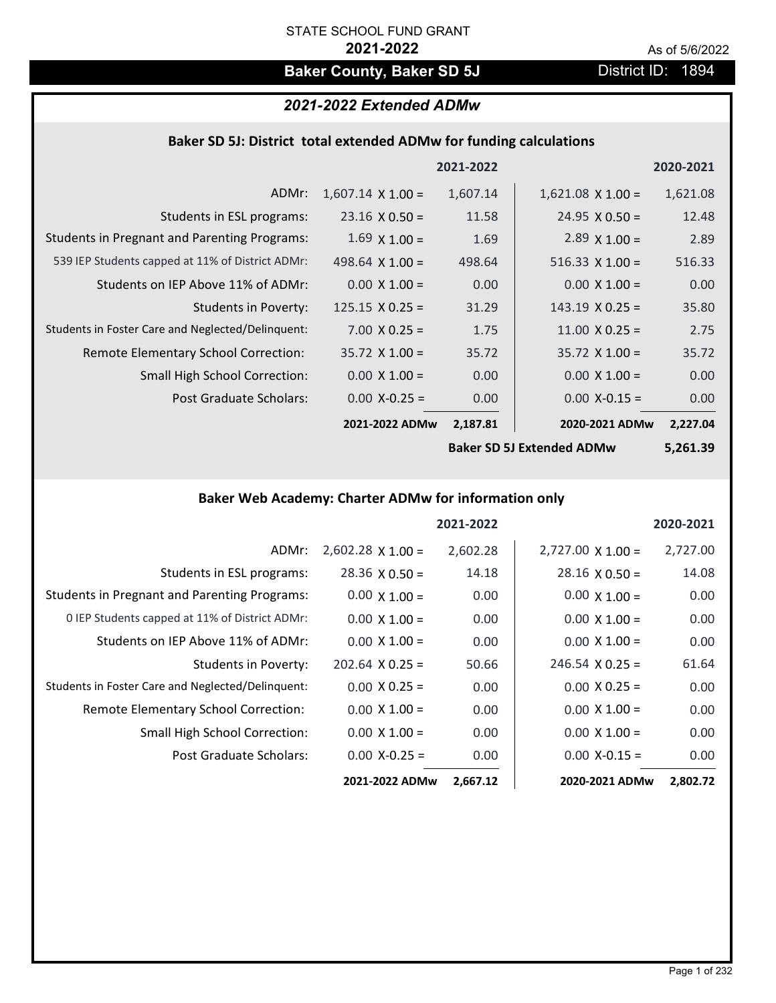# **Baker County, Baker SD 5J** District ID: 1894

# *2021-2022 Extended ADMw*

## **Baker SD 5J: District total extended ADMw for funding calculations**

|                          |          |                             | 2020-2021 |
|--------------------------|----------|-----------------------------|-----------|
| $1,607.14 \times 1.00 =$ | 1,607.14 | $1,621.08$ X $1.00 =$       | 1,621.08  |
| $23.16 \times 0.50 =$    | 11.58    | $24.95 \times 0.50 =$       | 12.48     |
| $1.69 \times 1.00 =$     | 1.69     | $2.89 \times 1.00 =$        | 2.89      |
| $498.64 \times 1.00 =$   | 498.64   | 516.33 $\times$ 1.00 =      | 516.33    |
| $0.00 \times 1.00 =$     | 0.00     | $0.00$ X $1.00 =$           | 0.00      |
| $125.15 \times 0.25 =$   | 31.29    | $143.19 \times 0.25 =$      | 35.80     |
| $7.00 \times 0.25 =$     | 1.75     | $11.00 \times 0.25 =$       | 2.75      |
| $35.72 \times 1.00 =$    | 35.72    | $35.72 \times 1.00 =$       | 35.72     |
| $0.00 \times 1.00 =$     | 0.00     | $0.00 \times 1.00 =$        | 0.00      |
| $0.00$ X-0.25 =          | 0.00     | $0.00$ X-0.15 =             | 0.00      |
|                          | 2,187.81 | 2020-2021 ADMw              | 2,227.04  |
|                          |          | 2021-2022<br>2021-2022 ADMw |           |

**Baker SD 5J Extended ADMw**

**5,261.39**

# **Baker Web Academy: Charter ADMw for information only**

|                                                     |                          | 2021-2022 |                          | 2020-2021 |
|-----------------------------------------------------|--------------------------|-----------|--------------------------|-----------|
| ADMr:                                               | $2,602.28 \times 1.00 =$ | 2,602.28  | $2,727.00 \times 1.00 =$ | 2,727.00  |
| Students in ESL programs:                           | $28.36 \times 0.50 =$    | 14.18     | $28.16 \times 0.50 =$    | 14.08     |
| <b>Students in Pregnant and Parenting Programs:</b> | $0.00 \times 1.00 =$     | 0.00      | $0.00 \times 1.00 =$     | 0.00      |
| 0 IEP Students capped at 11% of District ADMr:      | $0.00 \times 1.00 =$     | 0.00      | $0.00 \times 1.00 =$     | 0.00      |
| Students on IEP Above 11% of ADMr:                  | $0.00 \times 1.00 =$     | 0.00      | $0.00 \times 1.00 =$     | 0.00      |
| Students in Poverty:                                | $202.64 \times 0.25 =$   | 50.66     | $246.54 \times 0.25 =$   | 61.64     |
| Students in Foster Care and Neglected/Delinquent:   | $0.00 \times 0.25 =$     | 0.00      | $0.00 \times 0.25 =$     | 0.00      |
| Remote Elementary School Correction:                | $0.00 \times 1.00 =$     | 0.00      | $0.00 \times 1.00 =$     | 0.00      |
| <b>Small High School Correction:</b>                | $0.00 \times 1.00 =$     | 0.00      | $0.00 \times 1.00 =$     | 0.00      |
| Post Graduate Scholars:                             | $0.00$ X-0.25 =          | 0.00      | $0.00 X - 0.15 =$        | 0.00      |
|                                                     | 2021-2022 ADMw           | 2,667.12  | 2020-2021 ADMw           | 2,802.72  |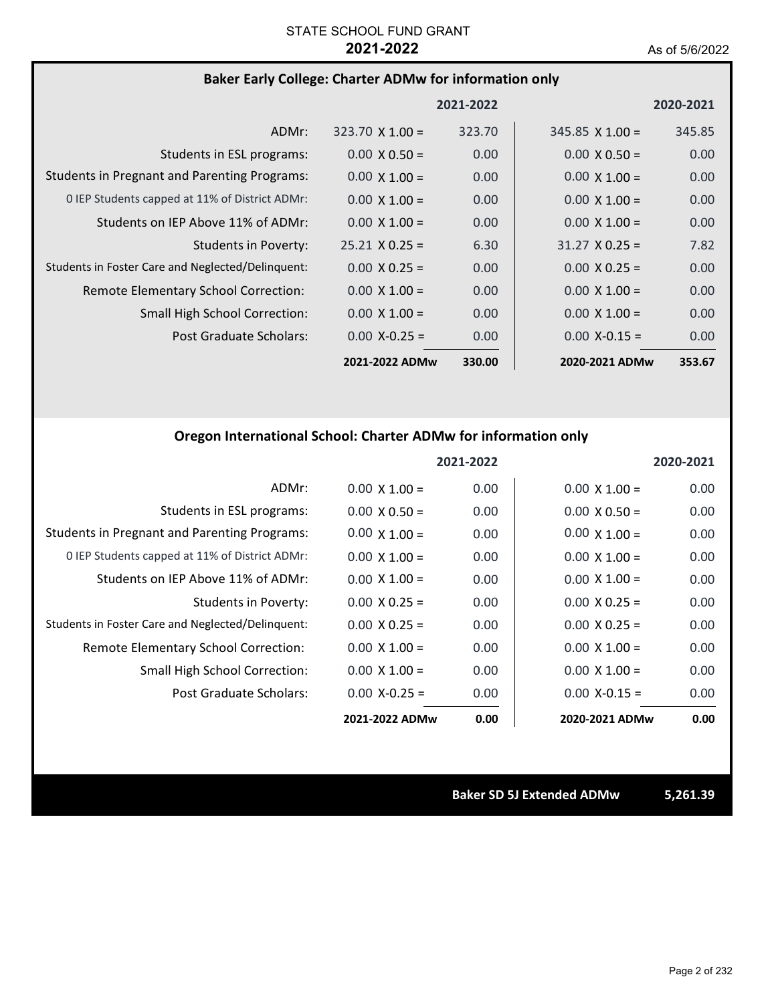# **Baker Early College: Charter ADMw for information only**

|                                                     |                        | 2021-2022 |                        | 2020-2021         |
|-----------------------------------------------------|------------------------|-----------|------------------------|-------------------|
| ADMr:                                               | $323.70 \times 1.00 =$ | 323.70    | $345.85 \times 1.00 =$ | 345.85            |
| Students in ESL programs:                           | $0.00 \times 0.50 =$   | 0.00      | $0.00 \times 0.50 =$   | 0.00              |
| <b>Students in Pregnant and Parenting Programs:</b> | $0.00 \times 1.00 =$   | 0.00      | $0.00 \times 1.00 =$   | 0.00              |
| 0 IEP Students capped at 11% of District ADMr:      | $0.00 \times 1.00 =$   | 0.00      | $0.00 \times 1.00 =$   | 0.00              |
| Students on IEP Above 11% of ADMr:                  | $0.00 \times 1.00 =$   | 0.00      | $0.00 \times 1.00 =$   | 0.00              |
| Students in Poverty:                                | $25.21 \times 0.25 =$  | 6.30      | $31.27 \times 0.25 =$  | 7.82              |
| Students in Foster Care and Neglected/Delinguent:   | $0.00 \times 0.25 =$   | 0.00      | $0.00 \times 0.25 =$   | 0.00              |
| Remote Elementary School Correction:                | $0.00 \times 1.00 =$   | 0.00      | $0.00 \times 1.00 =$   | 0.00 <sub>1</sub> |
| <b>Small High School Correction:</b>                | $0.00 \times 1.00 =$   | 0.00      | $0.00 \times 1.00 =$   | 0.00              |
| Post Graduate Scholars:                             | $0.00 X - 0.25 =$      | 0.00      | $0.00 X - 0.15 =$      | 0.00 <sub>1</sub> |
|                                                     | 2021-2022 ADMw         | 330.00    | 2020-2021 ADMw         | 353.67            |

# **Oregon International School: Charter ADMw for information only**

|                                                     |                      | 2021-2022 |                      | 2020-2021 |
|-----------------------------------------------------|----------------------|-----------|----------------------|-----------|
| ADMr:                                               | $0.00 \times 1.00 =$ | 0.00      | $0.00 \times 1.00 =$ | 0.00      |
| Students in ESL programs:                           | $0.00 \times 0.50 =$ | 0.00      | $0.00 \times 0.50 =$ | 0.00      |
| <b>Students in Pregnant and Parenting Programs:</b> | $0.00 \times 1.00 =$ | 0.00      | $0.00 \times 1.00 =$ | 0.00      |
| 0 IEP Students capped at 11% of District ADMr:      | $0.00 \times 1.00 =$ | 0.00      | $0.00 \times 1.00 =$ | 0.00      |
| Students on IEP Above 11% of ADMr:                  | $0.00 \times 1.00 =$ | 0.00      | $0.00 \times 1.00 =$ | 0.00      |
| <b>Students in Poverty:</b>                         | $0.00 \times 0.25 =$ | 0.00      | $0.00 \times 0.25 =$ | 0.00      |
| Students in Foster Care and Neglected/Delinquent:   | $0.00 \times 0.25 =$ | 0.00      | $0.00 \times 0.25 =$ | 0.00      |
| Remote Elementary School Correction:                | $0.00 \times 1.00 =$ | 0.00      | $0.00 \times 1.00 =$ | 0.00      |
| Small High School Correction:                       | $0.00 \times 1.00 =$ | 0.00      | $0.00 \times 1.00 =$ | 0.00      |
| Post Graduate Scholars:                             | $0.00 X-0.25 =$      | 0.00      | $0.00 X - 0.15 =$    | 0.00      |
|                                                     | 2021-2022 ADMw       | 0.00      | 2020-2021 ADMw       | 0.00      |

**Baker SD 5J Extended ADMw 5,261.39**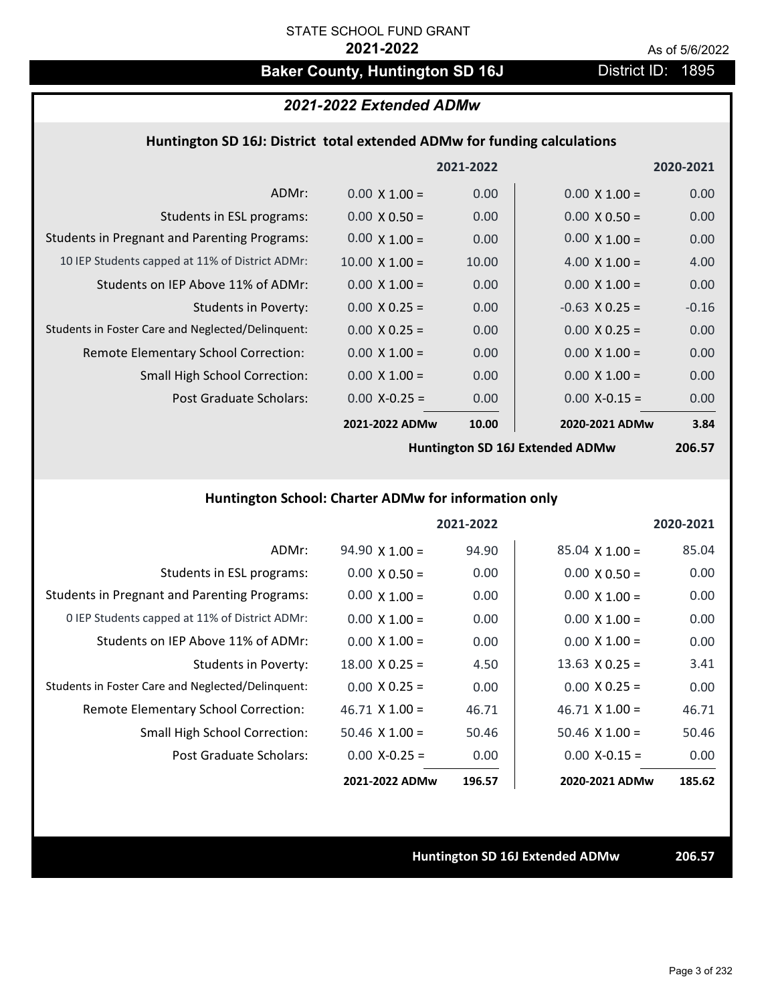# Baker County, Huntington SD 16J **District ID: 1895**

## *2021-2022 Extended ADMw*

## **Huntington SD 16J: District total extended ADMw for funding calculations**

|                                                     |                       | 2021-2022 |                      | 2020-2021 |
|-----------------------------------------------------|-----------------------|-----------|----------------------|-----------|
| ADMr:                                               | $0.00 \times 1.00 =$  | 0.00      | $0.00 \times 1.00 =$ | 0.00      |
| Students in ESL programs:                           | $0.00 \times 0.50 =$  | 0.00      | $0.00 \times 0.50 =$ | 0.00      |
| <b>Students in Pregnant and Parenting Programs:</b> | $0.00 \times 1.00 =$  | 0.00      | $0.00 \times 1.00 =$ | 0.00      |
| 10 IEP Students capped at 11% of District ADMr:     | $10.00 \times 1.00 =$ | 10.00     | 4.00 $\times$ 1.00 = | 4.00      |
| Students on IEP Above 11% of ADMr:                  | $0.00 \times 1.00 =$  | 0.00      | $0.00 \times 1.00 =$ | 0.00      |
| <b>Students in Poverty:</b>                         | $0.00 \times 0.25 =$  | 0.00      | $-0.63$ X 0.25 =     | $-0.16$   |
| Students in Foster Care and Neglected/Delinquent:   | $0.00 \times 0.25 =$  | 0.00      | $0.00 \times 0.25 =$ | 0.00      |
| Remote Elementary School Correction:                | $0.00 \times 1.00 =$  | 0.00      | $0.00 \times 1.00 =$ | 0.00      |
| <b>Small High School Correction:</b>                | $0.00 \times 1.00 =$  | 0.00      | $0.00 \times 1.00 =$ | 0.00      |
| Post Graduate Scholars:                             | $0.00$ X-0.25 =       | 0.00      | $0.00$ X-0.15 =      | 0.00      |
|                                                     | 2021-2022 ADMw        | 10.00     | 2020-2021 ADMw       | 3.84      |
|                                                     |                       |           |                      |           |

**Huntington SD 16J Extended ADMw**

**206.57**

## **Huntington School: Charter ADMw for information only**

|                                                     |                       | 2021-2022 |                       | 2020-2021 |
|-----------------------------------------------------|-----------------------|-----------|-----------------------|-----------|
| ADMr:                                               | $94.90 \times 1.00 =$ | 94.90     | $85.04 \times 1.00 =$ | 85.04     |
| Students in ESL programs:                           | $0.00 \times 0.50 =$  | 0.00      | $0.00 \times 0.50 =$  | 0.00      |
| <b>Students in Pregnant and Parenting Programs:</b> | $0.00 \times 1.00 =$  | 0.00      | $0.00 \times 1.00 =$  | 0.00      |
| 0 IEP Students capped at 11% of District ADMr:      | $0.00 \times 1.00 =$  | 0.00      | $0.00 \times 1.00 =$  | 0.00      |
| Students on IEP Above 11% of ADMr:                  | $0.00 \times 1.00 =$  | 0.00      | $0.00 \times 1.00 =$  | 0.00      |
| Students in Poverty:                                | $18.00 \times 0.25 =$ | 4.50      | $13.63 \times 0.25 =$ | 3.41      |
| Students in Foster Care and Neglected/Delinquent:   | $0.00 \times 0.25 =$  | 0.00      | $0.00 \times 0.25 =$  | 0.00      |
| Remote Elementary School Correction:                | $46.71 \times 1.00 =$ | 46.71     | $46.71 \times 1.00 =$ | 46.71     |
| <b>Small High School Correction:</b>                | $50.46$ X 1.00 =      | 50.46     | $50.46 \times 1.00 =$ | 50.46     |
| Post Graduate Scholars:                             | $0.00 X - 0.25 =$     | 0.00      | $0.00 X - 0.15 =$     | 0.00      |
|                                                     | 2021-2022 ADMw        | 196.57    | 2020-2021 ADMw        | 185.62    |

**Huntington SD 16J Extended ADMw 206.57**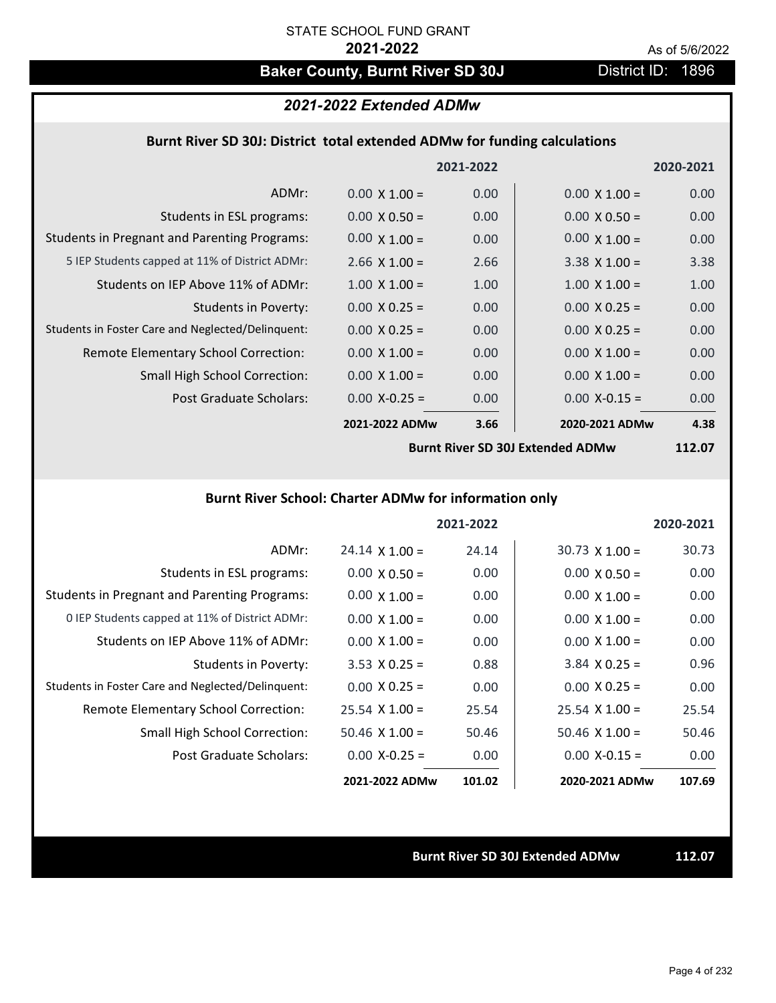# Baker County, Burnt River SD 30J District ID: 1896

## *2021-2022 Extended ADMw*

## **Burnt River SD 30J: District total extended ADMw for funding calculations**

|                                                     |                      | 2021-2022 |                      | 2020-2021 |
|-----------------------------------------------------|----------------------|-----------|----------------------|-----------|
| ADMr:                                               | $0.00 \times 1.00 =$ | 0.00      | $0.00 \times 1.00 =$ | 0.00      |
| Students in ESL programs:                           | $0.00 \times 0.50 =$ | 0.00      | $0.00 \times 0.50 =$ | 0.00      |
| <b>Students in Pregnant and Parenting Programs:</b> | $0.00 \times 1.00 =$ | 0.00      | $0.00 \times 1.00 =$ | 0.00      |
| 5 IEP Students capped at 11% of District ADMr:      | $2.66 \times 1.00 =$ | 2.66      | $3.38 \times 1.00 =$ | 3.38      |
| Students on IEP Above 11% of ADMr:                  | $1.00 \times 1.00 =$ | 1.00      | $1.00 \times 1.00 =$ | 1.00      |
| Students in Poverty:                                | $0.00 \times 0.25 =$ | 0.00      | $0.00 \times 0.25 =$ | 0.00      |
| Students in Foster Care and Neglected/Delinquent:   | $0.00 \times 0.25 =$ | 0.00      | $0.00 \times 0.25 =$ | 0.00      |
| Remote Elementary School Correction:                | $0.00 \times 1.00 =$ | 0.00      | $0.00 \times 1.00 =$ | 0.00      |
| <b>Small High School Correction:</b>                | $0.00 \times 1.00 =$ | 0.00      | $0.00 \times 1.00 =$ | 0.00      |
| Post Graduate Scholars:                             | $0.00 X - 0.25 =$    | 0.00      | $0.00$ X-0.15 =      | 0.00      |
|                                                     | 2021-2022 ADMw       | 3.66      | 2020-2021 ADMw       | 4.38      |

**Burnt River SD 30J Extended ADMw**

**112.07**

## **Burnt River School: Charter ADMw for information only**

|                                                     |                       | 2021-2022 |                       | 2020-2021 |
|-----------------------------------------------------|-----------------------|-----------|-----------------------|-----------|
| ADMr:                                               | $24.14 \times 1.00 =$ | 24.14     | $30.73 \times 1.00 =$ | 30.73     |
| Students in ESL programs:                           | $0.00 \times 0.50 =$  | 0.00      | $0.00 \times 0.50 =$  | 0.00      |
| <b>Students in Pregnant and Parenting Programs:</b> | $0.00 \times 1.00 =$  | 0.00      | $0.00 \times 1.00 =$  | 0.00      |
| 0 IEP Students capped at 11% of District ADMr:      | $0.00 \times 1.00 =$  | 0.00      | $0.00 \times 1.00 =$  | 0.00      |
| Students on IEP Above 11% of ADMr:                  | $0.00 \times 1.00 =$  | 0.00      | $0.00 \times 1.00 =$  | 0.00      |
| Students in Poverty:                                | $3.53 \times 0.25 =$  | 0.88      | $3.84$ X 0.25 =       | 0.96      |
| Students in Foster Care and Neglected/Delinquent:   | $0.00 \times 0.25 =$  | 0.00      | $0.00 \times 0.25 =$  | 0.00      |
| Remote Elementary School Correction:                | $25.54 \times 1.00 =$ | 25.54     | $25.54 \times 1.00 =$ | 25.54     |
| <b>Small High School Correction:</b>                | $50.46$ X 1.00 =      | 50.46     | $50.46 \times 1.00 =$ | 50.46     |
| Post Graduate Scholars:                             | $0.00 X - 0.25 =$     | 0.00      | $0.00 X - 0.15 =$     | 0.00      |
|                                                     | 2021-2022 ADMw        | 101.02    | 2020-2021 ADMw        | 107.69    |

**Burnt River SD 30J Extended ADMw 112.07**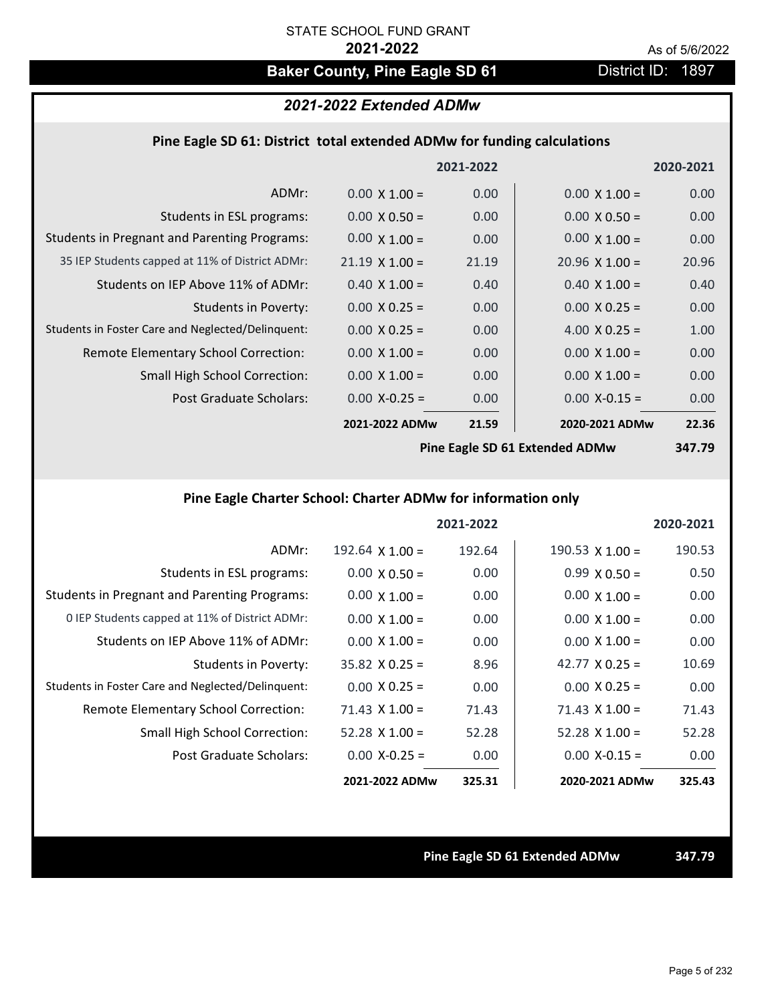# **Baker County, Pine Eagle SD 61** District ID: 1897

## *2021-2022 Extended ADMw*

## **Pine Eagle SD 61: District total extended ADMw for funding calculations**

|                                                     |                       | 2021-2022 |                                | 2020-2021     |
|-----------------------------------------------------|-----------------------|-----------|--------------------------------|---------------|
| ADMr:                                               | $0.00 \times 1.00 =$  | 0.00      | $0.00 \times 1.00 =$           | 0.00          |
| Students in ESL programs:                           | $0.00 \times 0.50 =$  | 0.00      | $0.00 \times 0.50 =$           | 0.00          |
| <b>Students in Pregnant and Parenting Programs:</b> | $0.00 \times 1.00 =$  | 0.00      | $0.00 \times 1.00 =$           | 0.00          |
| 35 IEP Students capped at 11% of District ADMr:     | $21.19 \times 1.00 =$ | 21.19     | $20.96 \times 1.00 =$          | 20.96         |
| Students on IEP Above 11% of ADMr:                  | $0.40 \times 1.00 =$  | 0.40      | $0.40 \times 1.00 =$           | 0.40          |
| <b>Students in Poverty:</b>                         | $0.00 \times 0.25 =$  | 0.00      | $0.00 \times 0.25 =$           | 0.00          |
| Students in Foster Care and Neglected/Delinquent:   | $0.00 \times 0.25 =$  | 0.00      | 4.00 $X$ 0.25 =                | 1.00          |
| Remote Elementary School Correction:                | $0.00 \times 1.00 =$  | 0.00      | $0.00 \times 1.00 =$           | 0.00          |
| <b>Small High School Correction:</b>                | $0.00 \times 1.00 =$  | 0.00      | $0.00 \times 1.00 =$           | 0.00          |
| Post Graduate Scholars:                             | $0.00$ X-0.25 =       | 0.00      | $0.00$ X-0.15 =                | 0.00          |
|                                                     | 2021-2022 ADMw        | 21.59     | 2020-2021 ADMw                 | 22.36         |
|                                                     |                       |           | Dine Feels CD C1 Futended ADMu | <b>247 70</b> |

**Pine Eagle SD 61 Extended ADMw**

**347.79**

# **Pine Eagle Charter School: Charter ADMw for information only**

|                                                     |                        | 2021-2022 |                        | 2020-2021 |
|-----------------------------------------------------|------------------------|-----------|------------------------|-----------|
| ADMr:                                               | $192.64 \times 1.00 =$ | 192.64    | $190.53 \times 1.00 =$ | 190.53    |
| Students in ESL programs:                           | $0.00 \times 0.50 =$   | 0.00      | $0.99 \times 0.50 =$   | 0.50      |
| <b>Students in Pregnant and Parenting Programs:</b> | $0.00 \times 1.00 =$   | 0.00      | $0.00 \times 1.00 =$   | 0.00      |
| 0 IEP Students capped at 11% of District ADMr:      | $0.00 \times 1.00 =$   | 0.00      | $0.00 \times 1.00 =$   | 0.00      |
| Students on IEP Above 11% of ADMr:                  | $0.00 \times 1.00 =$   | 0.00      | $0.00 \times 1.00 =$   | 0.00      |
| Students in Poverty:                                | $35.82 \times 0.25 =$  | 8.96      | $42.77 \times 0.25 =$  | 10.69     |
| Students in Foster Care and Neglected/Delinquent:   | $0.00 \times 0.25 =$   | 0.00      | $0.00 \times 0.25 =$   | 0.00      |
| Remote Elementary School Correction:                | $71.43 \times 1.00 =$  | 71.43     | $71.43$ X $1.00 =$     | 71.43     |
| <b>Small High School Correction:</b>                | $52.28 \times 1.00 =$  | 52.28     | $52.28 \times 1.00 =$  | 52.28     |
| Post Graduate Scholars:                             | $0.00$ X-0.25 =        | 0.00      | $0.00$ X-0.15 =        | 0.00      |
|                                                     | 2021-2022 ADMw         | 325.31    | 2020-2021 ADMw         | 325.43    |

**Pine Eagle SD 61 Extended ADMw 347.79**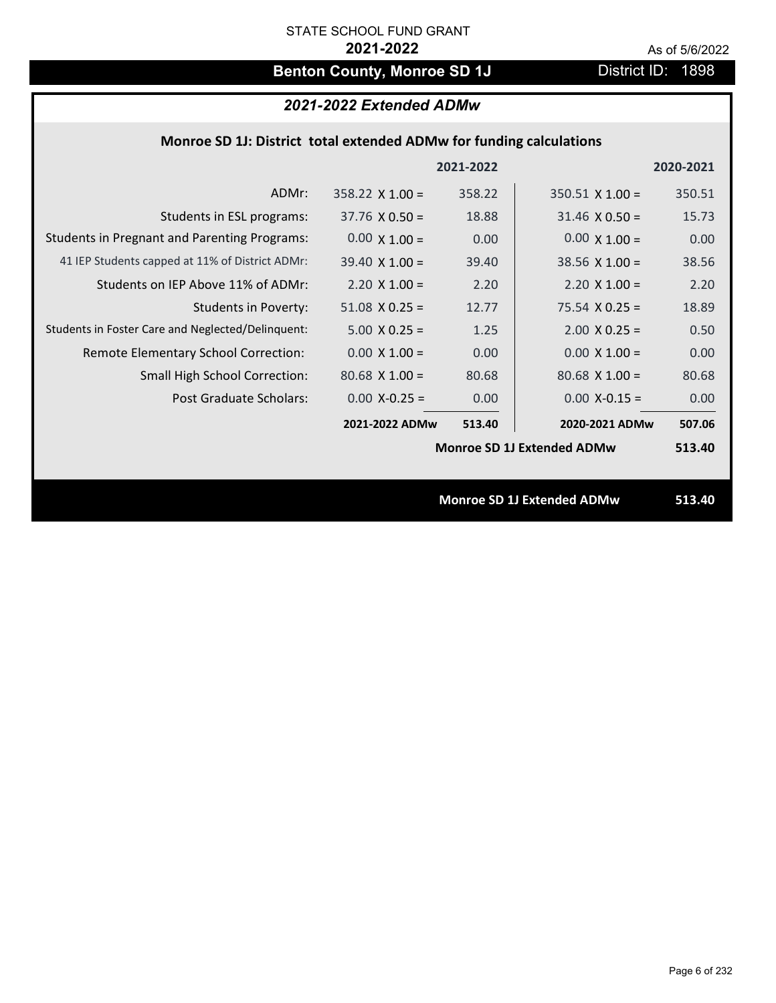# **Benton County, Monroe SD 1J** District ID: 1898

# *2021-2022 Extended ADMw*

## **Monroe SD 1J: District total extended ADMw for funding calculations**

|                                                     |                        | 2021-2022 |                                   | 2020-2021 |
|-----------------------------------------------------|------------------------|-----------|-----------------------------------|-----------|
| ADMr:                                               | $358.22 \times 1.00 =$ | 358.22    | $350.51$ X 1.00 =                 | 350.51    |
| Students in ESL programs:                           | $37.76 \times 0.50 =$  | 18.88     | $31.46 \times 0.50 =$             | 15.73     |
| <b>Students in Pregnant and Parenting Programs:</b> | $0.00 \times 1.00 =$   | 0.00      | $0.00 \times 1.00 =$              | 0.00      |
| 41 IEP Students capped at 11% of District ADMr:     | $39.40 \times 1.00 =$  | 39.40     | $38.56 \times 1.00 =$             | 38.56     |
| Students on IEP Above 11% of ADMr:                  | $2.20 \times 1.00 =$   | 2.20      | $2.20 \times 1.00 =$              | 2.20      |
| <b>Students in Poverty:</b>                         | $51.08$ X 0.25 =       | 12.77     | $75.54 \times 0.25 =$             | 18.89     |
| Students in Foster Care and Neglected/Delinquent:   | $5.00 \times 0.25 =$   | 1.25      | $2.00$ X 0.25 =                   | 0.50      |
| Remote Elementary School Correction:                | $0.00 \times 1.00 =$   | 0.00      | $0.00 \times 1.00 =$              | 0.00      |
| <b>Small High School Correction:</b>                | $80.68$ X 1.00 =       | 80.68     | $80.68$ X 1.00 =                  | 80.68     |
| Post Graduate Scholars:                             | $0.00$ X-0.25 =        | 0.00      | $0.00$ X-0.15 =                   | 0.00      |
|                                                     | 2021-2022 ADMw         | 513.40    | 2020-2021 ADMw                    | 507.06    |
|                                                     |                        |           | <b>Monroe SD 1J Extended ADMw</b> | 513.40    |
|                                                     |                        |           |                                   |           |
|                                                     |                        |           | <b>Monroe SD 1J Extended ADMw</b> | 513.40    |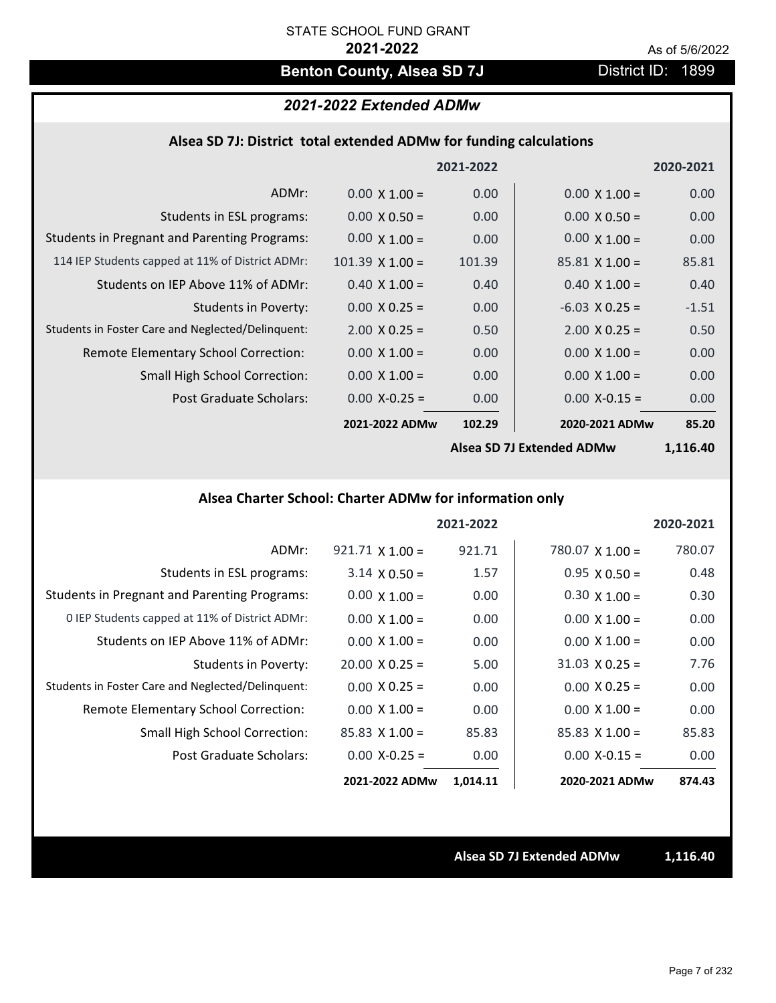# **Benton County, Alsea SD 7J** District ID: 1899

## *2021-2022 Extended ADMw*

## **Alsea SD 7J: District total extended ADMw for funding calculations**

|                                                     |                      | 2021-2022 |                        | 2020-2021 |
|-----------------------------------------------------|----------------------|-----------|------------------------|-----------|
| ADMr:                                               | $0.00 \times 1.00 =$ | 0.00      | $0.00 \times 1.00 =$   | 0.00      |
| Students in ESL programs:                           | $0.00 \times 0.50 =$ | 0.00      | $0.00 \times 0.50 =$   | 0.00      |
| <b>Students in Pregnant and Parenting Programs:</b> | $0.00 \times 1.00 =$ | 0.00      | $0.00 \times 1.00 =$   | 0.00      |
| 114 IEP Students capped at 11% of District ADMr:    | $101.39$ X $1.00 =$  | 101.39    | $85.81 \times 1.00 =$  | 85.81     |
| Students on IEP Above 11% of ADMr:                  | $0.40 \times 1.00 =$ | 0.40      | $0.40 \times 1.00 =$   | 0.40      |
| <b>Students in Poverty:</b>                         | $0.00 \times 0.25 =$ | 0.00      | $-6.03$ X 0.25 =       | $-1.51$   |
| Students in Foster Care and Neglected/Delinquent:   | $2.00 \times 0.25 =$ | 0.50      | $2.00 \times 0.25 =$   | 0.50      |
| Remote Elementary School Correction:                | $0.00 \times 1.00 =$ | 0.00      | $0.00 \times 1.00 =$   | 0.00      |
| <b>Small High School Correction:</b>                | $0.00 \times 1.00 =$ | 0.00      | $0.00 \times 1.00 =$   | 0.00      |
| Post Graduate Scholars:                             | $0.00$ X-0.25 =      | 0.00      | $0.00$ X-0.15 =        | 0.00      |
|                                                     | 2021-2022 ADMw       | 102.29    | 2020-2021 ADMw         | 85.20     |
|                                                     |                      |           | $\sim$ CD 71 F. t. ADM | 1.110.10  |

**Alsea SD 7J Extended ADMw**

**1,116.40**

# **Alsea Charter School: Charter ADMw for information only**

|                                                     |                        | 2021-2022 |                       | 2020-2021 |
|-----------------------------------------------------|------------------------|-----------|-----------------------|-----------|
| ADMr:                                               | $921.71 \times 1.00 =$ | 921.71    | $780.07$ X 1.00 =     | 780.07    |
| Students in ESL programs:                           | $3.14 \times 0.50 =$   | 1.57      | $0.95 \times 0.50 =$  | 0.48      |
| <b>Students in Pregnant and Parenting Programs:</b> | $0.00 \times 1.00 =$   | 0.00      | $0.30 \times 1.00 =$  | 0.30      |
| 0 IEP Students capped at 11% of District ADMr:      | $0.00 \times 1.00 =$   | 0.00      | $0.00 \times 1.00 =$  | 0.00      |
| Students on IEP Above 11% of ADMr:                  | $0.00 \times 1.00 =$   | 0.00      | $0.00 \times 1.00 =$  | 0.00      |
| Students in Poverty:                                | $20.00 \times 0.25 =$  | 5.00      | $31.03 \times 0.25 =$ | 7.76      |
| Students in Foster Care and Neglected/Delinquent:   | $0.00 \times 0.25 =$   | 0.00      | $0.00 \times 0.25 =$  | 0.00      |
| Remote Elementary School Correction:                | $0.00 \times 1.00 =$   | 0.00      | $0.00 \times 1.00 =$  | 0.00      |
| <b>Small High School Correction:</b>                | $85.83$ X 1.00 =       | 85.83     | $85.83 \times 1.00 =$ | 85.83     |
| Post Graduate Scholars:                             | $0.00 X - 0.25 =$      | 0.00      | $0.00 X - 0.15 =$     | 0.00      |
|                                                     | 2021-2022 ADMw         | 1,014.11  | 2020-2021 ADMw        | 874.43    |

**Alsea SD 7J Extended ADMw 1,116.40**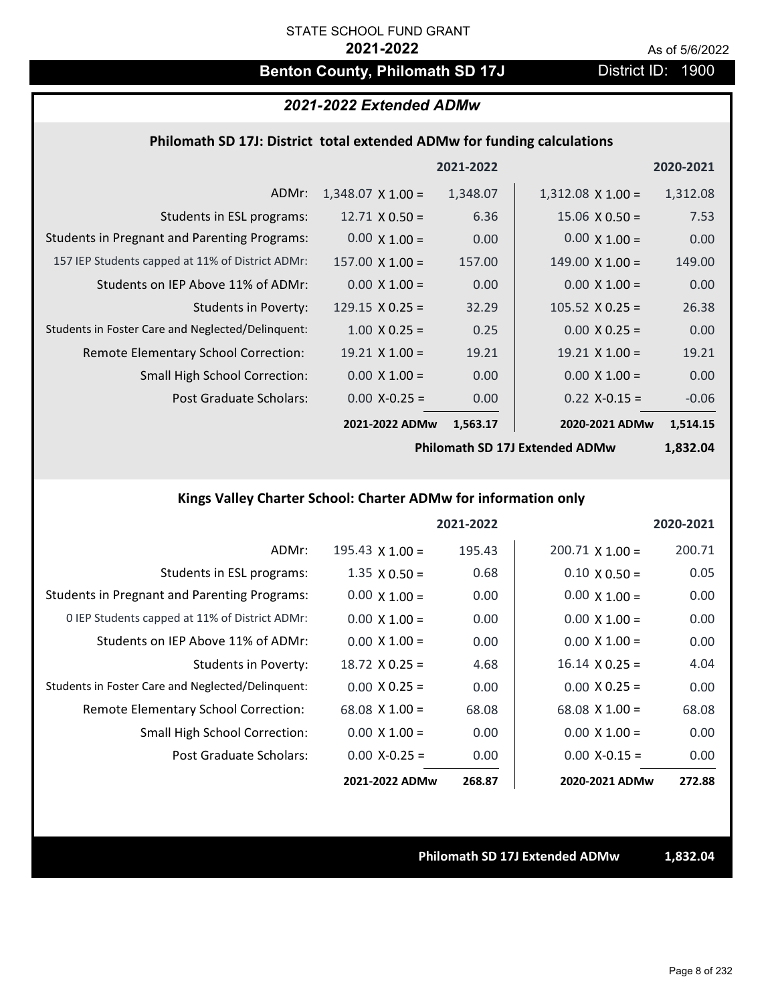# **Benton County, Philomath SD 17J** District ID: 1900

# *2021-2022 Extended ADMw*

## **Philomath SD 17J: District total extended ADMw for funding calculations**

|                                                     |                          | 2021-2022 |                          | 2020-2021 |
|-----------------------------------------------------|--------------------------|-----------|--------------------------|-----------|
| ADMr:                                               | $1,348.07 \times 1.00 =$ | 1,348.07  | $1,312.08 \times 1.00 =$ | 1,312.08  |
| Students in ESL programs:                           | $12.71 \times 0.50 =$    | 6.36      | $15.06 \times 0.50 =$    | 7.53      |
| <b>Students in Pregnant and Parenting Programs:</b> | $0.00 \times 1.00 =$     | 0.00      | $0.00 \times 1.00 =$     | 0.00      |
| 157 IEP Students capped at 11% of District ADMr:    | $157.00 \times 1.00 =$   | 157.00    | $149.00 \times 1.00 =$   | 149.00    |
| Students on IEP Above 11% of ADMr:                  | $0.00 \times 1.00 =$     | 0.00      | $0.00 \times 1.00 =$     | 0.00      |
| Students in Poverty:                                | $129.15 \times 0.25 =$   | 32.29     | $105.52 \times 0.25 =$   | 26.38     |
| Students in Foster Care and Neglected/Delinquent:   | $1.00 \times 0.25 =$     | 0.25      | $0.00 \times 0.25 =$     | 0.00      |
| <b>Remote Elementary School Correction:</b>         | $19.21 \times 1.00 =$    | 19.21     | $19.21 \times 1.00 =$    | 19.21     |
| <b>Small High School Correction:</b>                | $0.00 \times 1.00 =$     | 0.00      | $0.00 \times 1.00 =$     | 0.00      |
| Post Graduate Scholars:                             | $0.00$ X-0.25 =          | 0.00      | $0.22$ X-0.15 =          | $-0.06$   |
|                                                     | 2021-2022 ADMw           | 1,563.17  | 2020-2021 ADMw           | 1,514.15  |

**Philomath SD 17J Extended ADMw**

**1,832.04**

# **Kings Valley Charter School: Charter ADMw for information only**

|                                                     |                        | 2021-2022 |                        | 2020-2021 |
|-----------------------------------------------------|------------------------|-----------|------------------------|-----------|
| ADMr:                                               | $195.43 \times 1.00 =$ | 195.43    | $200.71 \times 1.00 =$ | 200.71    |
| Students in ESL programs:                           | $1.35 \times 0.50 =$   | 0.68      | $0.10 \times 0.50 =$   | 0.05      |
| <b>Students in Pregnant and Parenting Programs:</b> | $0.00 \times 1.00 =$   | 0.00      | $0.00 \times 1.00 =$   | 0.00      |
| 0 IEP Students capped at 11% of District ADMr:      | $0.00 \times 1.00 =$   | 0.00      | $0.00 \times 1.00 =$   | 0.00      |
| Students on IEP Above 11% of ADMr:                  | $0.00 \times 1.00 =$   | 0.00      | $0.00 \times 1.00 =$   | 0.00      |
| Students in Poverty:                                | $18.72 \times 0.25 =$  | 4.68      | $16.14 \times 0.25 =$  | 4.04      |
| Students in Foster Care and Neglected/Delinquent:   | $0.00 \times 0.25 =$   | 0.00      | $0.00 \times 0.25 =$   | 0.00      |
| Remote Elementary School Correction:                | $68.08 \times 1.00 =$  | 68.08     | $68.08 \times 1.00 =$  | 68.08     |
| <b>Small High School Correction:</b>                | $0.00 \times 1.00 =$   | 0.00      | $0.00 \times 1.00 =$   | 0.00      |
| Post Graduate Scholars:                             | $0.00$ X-0.25 =        | 0.00      | $0.00 X - 0.15 =$      | 0.00      |
|                                                     | 2021-2022 ADMw         | 268.87    | 2020-2021 ADMw         | 272.88    |

**Philomath SD 17J Extended ADMw 1,832.04**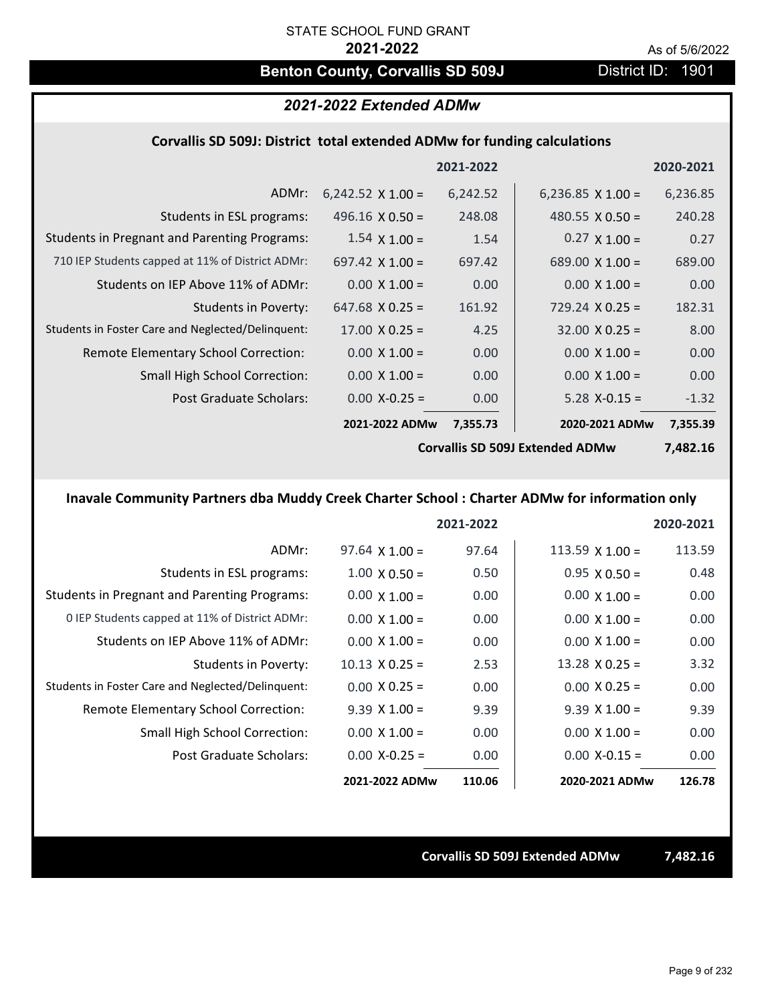# **Benton County, Corvallis SD 509J** District ID: 1901

## *2021-2022 Extended ADMw*

## **Corvallis SD 509J: District total extended ADMw for funding calculations**

|                                                     |                          | 2021-2022 |                                | 2020-2021       |
|-----------------------------------------------------|--------------------------|-----------|--------------------------------|-----------------|
| ADMr:                                               | $6,242.52 \times 1.00 =$ | 6,242.52  | 6,236.85 $\times$ 1.00 =       | 6,236.85        |
| Students in ESL programs:                           | 496.16 $\times$ 0.50 =   | 248.08    | 480.55 $\times$ 0.50 =         | 240.28          |
| <b>Students in Pregnant and Parenting Programs:</b> | $1.54 \times 1.00 =$     | 1.54      | $0.27 \times 1.00 =$           | 0.27            |
| 710 IEP Students capped at 11% of District ADMr:    | 697.42 $\times$ 1.00 =   | 697.42    | $689.00 \times 1.00 =$         | 689.00          |
| Students on IEP Above 11% of ADMr:                  | $0.00 \times 1.00 =$     | 0.00      | $0.00 \times 1.00 =$           | 0.00            |
| <b>Students in Poverty:</b>                         | $647.68 \times 0.25 =$   | 161.92    | $729.24 \times 0.25 =$         | 182.31          |
| Students in Foster Care and Neglected/Delinquent:   | $17.00 \times 0.25 =$    | 4.25      | $32.00 \times 0.25 =$          | 8.00            |
| Remote Elementary School Correction:                | $0.00 \times 1.00 =$     | 0.00      | $0.00 \times 1.00 =$           | 0.00            |
| <b>Small High School Correction:</b>                | $0.00 \times 1.00 =$     | 0.00      | $0.00 \times 1.00 =$           | 0.00            |
| Post Graduate Scholars:                             | $0.00$ X-0.25 =          | 0.00      | $5.28$ X-0.15 =                | $-1.32$         |
|                                                     | 2021-2022 ADMw           | 7,355.73  | 2020-2021 ADMw                 | 7,355.39        |
|                                                     |                          |           | Canvallic CD E001 Extended ADM | <b>7 107 16</b> |

**Corvallis SD 509J Extended ADMw**

**7,482.16**

# **Inavale Community Partners dba Muddy Creek Charter School : Charter ADMw for information only**

|                                                     |                       | 2021-2022 |                        | 2020-2021 |
|-----------------------------------------------------|-----------------------|-----------|------------------------|-----------|
| ADMr:                                               | $97.64 \times 1.00 =$ | 97.64     | $113.59 \times 1.00 =$ | 113.59    |
| Students in ESL programs:                           | $1.00 \times 0.50 =$  | 0.50      | $0.95 \times 0.50 =$   | 0.48      |
| <b>Students in Pregnant and Parenting Programs:</b> | $0.00 \times 1.00 =$  | 0.00      | $0.00 \times 1.00 =$   | 0.00      |
| 0 IEP Students capped at 11% of District ADMr:      | $0.00 \times 1.00 =$  | 0.00      | $0.00 \times 1.00 =$   | 0.00      |
| Students on IEP Above 11% of ADMr:                  | $0.00 \times 1.00 =$  | 0.00      | $0.00 \times 1.00 =$   | 0.00      |
| Students in Poverty:                                | $10.13 \times 0.25 =$ | 2.53      | $13.28 \times 0.25 =$  | 3.32      |
| Students in Foster Care and Neglected/Delinquent:   | $0.00 \times 0.25 =$  | 0.00      | $0.00 \times 0.25 =$   | 0.00      |
| <b>Remote Elementary School Correction:</b>         | $9.39 \times 1.00 =$  | 9.39      | $9.39 \times 1.00 =$   | 9.39      |
| <b>Small High School Correction:</b>                | $0.00 \times 1.00 =$  | 0.00      | $0.00 \times 1.00 =$   | 0.00      |
| Post Graduate Scholars:                             | $0.00 X - 0.25 =$     | 0.00      | $0.00$ X-0.15 =        | 0.00      |
|                                                     | 2021-2022 ADMw        | 110.06    | 2020-2021 ADMw         | 126.78    |

**Corvallis SD 509J Extended ADMw 7,482.16**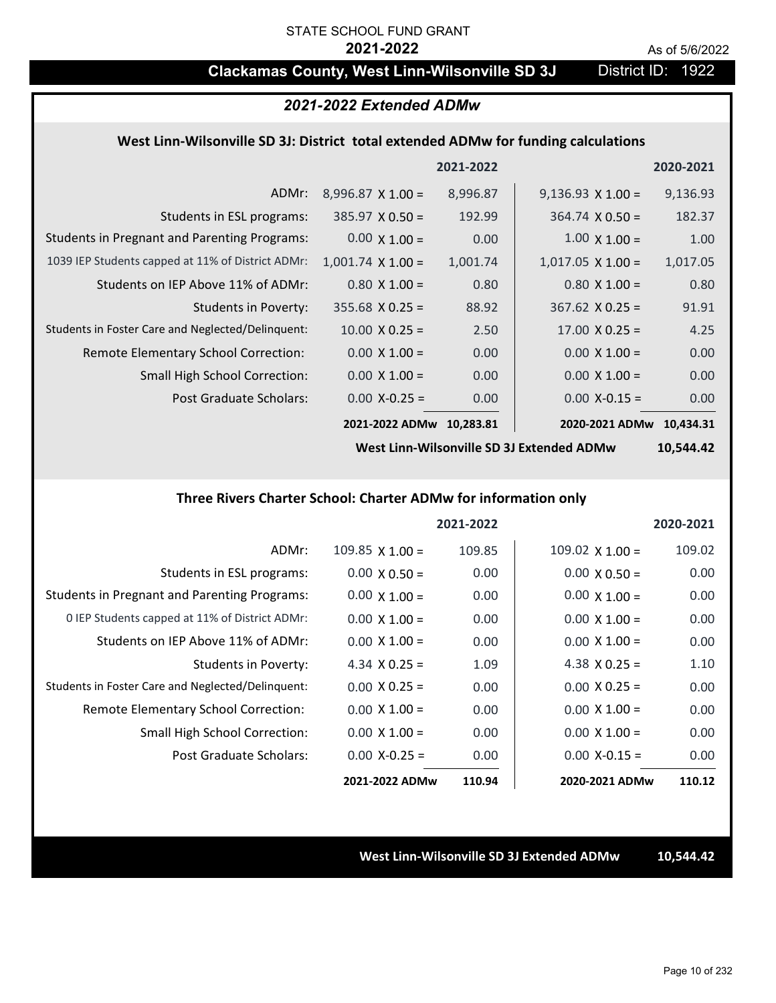# **Clackamas County, West Linn-Wilsonville SD 3J** District ID: 1922

## *2021-2022 Extended ADMw*

## **West Linn‐Wilsonville SD 3J: District total extended ADMw for funding calculations**

|                                                     |                          | 2021-2022 |                          | 2020-2021 |
|-----------------------------------------------------|--------------------------|-----------|--------------------------|-----------|
| ADMr:                                               | $8,996.87 \times 1.00 =$ | 8,996.87  | $9,136.93 \times 1.00 =$ | 9,136.93  |
| Students in ESL programs:                           | $385.97 \times 0.50 =$   | 192.99    | $364.74 \times 0.50 =$   | 182.37    |
| <b>Students in Pregnant and Parenting Programs:</b> | $0.00 \times 1.00 =$     | 0.00      | $1.00 \times 1.00 =$     | 1.00      |
| 1039 IEP Students capped at 11% of District ADMr:   | $1,001.74$ X $1.00 =$    | 1,001.74  | $1,017.05 \times 1.00 =$ | 1,017.05  |
| Students on IEP Above 11% of ADMr:                  | $0.80$ X $1.00 =$        | 0.80      | $0.80 \times 1.00 =$     | 0.80      |
| <b>Students in Poverty:</b>                         | $355.68 \times 0.25 =$   | 88.92     | $367.62$ X 0.25 =        | 91.91     |
| Students in Foster Care and Neglected/Delinquent:   | $10.00 \times 0.25 =$    | 2.50      | $17.00 \times 0.25 =$    | 4.25      |
| Remote Elementary School Correction:                | $0.00 \times 1.00 =$     | 0.00      | $0.00 \times 1.00 =$     | 0.00      |
| <b>Small High School Correction:</b>                | $0.00 \times 1.00 =$     | 0.00      | $0.00 \times 1.00 =$     | 0.00      |
| Post Graduate Scholars:                             | $0.00$ X-0.25 =          | 0.00      | $0.00$ X-0.15 =          | 0.00      |
|                                                     | 2021-2022 ADMw           | 10.283.81 | 2020-2021 ADMw           | 10.434.31 |

**West Linn‐Wilsonville SD 3J Extended ADMw**

**10,544.42**

## **Three Rivers Charter School: Charter ADMw for information only**

|                                                     |                      | 2021-2022 |                        | 2020-2021 |
|-----------------------------------------------------|----------------------|-----------|------------------------|-----------|
| ADMr:                                               | 109.85 $X$ 1.00 =    | 109.85    | $109.02 \times 1.00 =$ | 109.02    |
| Students in ESL programs:                           | $0.00 \times 0.50 =$ | 0.00      | $0.00 \times 0.50 =$   | 0.00      |
| <b>Students in Pregnant and Parenting Programs:</b> | $0.00 \times 1.00 =$ | 0.00      | $0.00 \times 1.00 =$   | 0.00      |
| 0 IEP Students capped at 11% of District ADMr:      | $0.00 \times 1.00 =$ | 0.00      | $0.00 \times 1.00 =$   | 0.00      |
| Students on IEP Above 11% of ADMr:                  | $0.00 \times 1.00 =$ | 0.00      | $0.00 \times 1.00 =$   | 0.00      |
| Students in Poverty:                                | 4.34 $X$ 0.25 =      | 1.09      | 4.38 $X$ 0.25 =        | 1.10      |
| Students in Foster Care and Neglected/Delinquent:   | $0.00 \times 0.25 =$ | 0.00      | $0.00 \times 0.25 =$   | 0.00      |
| Remote Elementary School Correction:                | $0.00 \times 1.00 =$ | 0.00      | $0.00 \times 1.00 =$   | 0.00      |
| <b>Small High School Correction:</b>                | $0.00 \times 1.00 =$ | 0.00      | $0.00 \times 1.00 =$   | 0.00      |
| Post Graduate Scholars:                             | $0.00 X - 0.25 =$    | 0.00      | $0.00$ X-0.15 =        | 0.00      |
|                                                     | 2021-2022 ADMw       | 110.94    | 2020-2021 ADMw         | 110.12    |

**West Linn‐Wilsonville SD 3J Extended ADMw 10,544.42**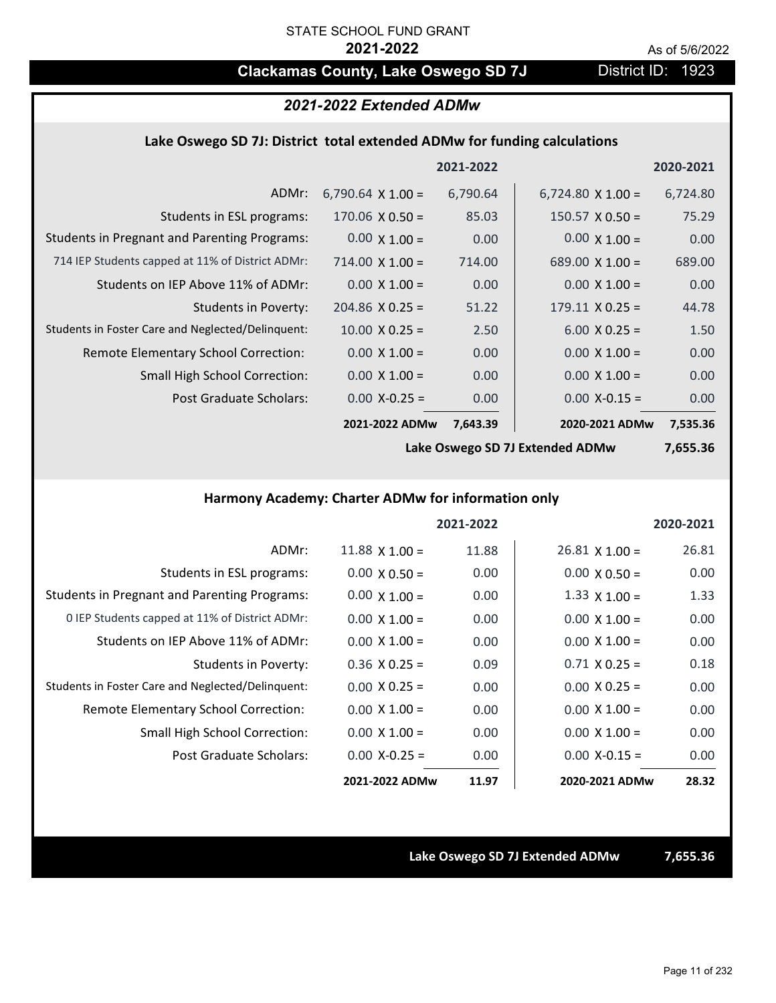# **Clackamas County, Lake Oswego SD 7J District ID: 1923**

# *2021-2022 Extended ADMw*

## **Lake Oswego SD 7J: District total extended ADMw for funding calculations**

|                                                     |                          | 2021-2022 |                          | 2020-2021 |
|-----------------------------------------------------|--------------------------|-----------|--------------------------|-----------|
| ADMr:                                               | 6,790.64 $\times$ 1.00 = | 6,790.64  | $6,724.80 \times 1.00 =$ | 6,724.80  |
| Students in ESL programs:                           | $170.06 \times 0.50 =$   | 85.03     | $150.57 \times 0.50 =$   | 75.29     |
| <b>Students in Pregnant and Parenting Programs:</b> | $0.00 \times 1.00 =$     | 0.00      | $0.00 \times 1.00 =$     | 0.00      |
| 714 IEP Students capped at 11% of District ADMr:    | $714.00 \times 1.00 =$   | 714.00    | $689.00 \times 1.00 =$   | 689.00    |
| Students on IEP Above 11% of ADMr:                  | $0.00 \times 1.00 =$     | 0.00      | $0.00 \times 1.00 =$     | 0.00      |
| Students in Poverty:                                | $204.86$ X 0.25 =        | 51.22     | $179.11 \times 0.25 =$   | 44.78     |
| Students in Foster Care and Neglected/Delinquent:   | $10.00 \times 0.25 =$    | 2.50      | $6.00 \times 0.25 =$     | 1.50      |
| Remote Elementary School Correction:                | $0.00 \times 1.00 =$     | 0.00      | $0.00 \times 1.00 =$     | 0.00      |
| <b>Small High School Correction:</b>                | $0.00 \times 1.00 =$     | 0.00      | $0.00 \times 1.00 =$     | 0.00      |
| Post Graduate Scholars:                             | $0.00$ X-0.25 =          | 0.00      | $0.00$ X-0.15 =          | 0.00      |
|                                                     | 2021-2022 ADMw           | 7,643.39  | 2020-2021 ADMw           | 7,535.36  |

**Lake Oswego SD 7J Extended ADMw**

**7,655.36**

## **Harmony Academy: Charter ADMw for information only**

|                                                     |                      | 2021-2022 |                       | 2020-2021 |
|-----------------------------------------------------|----------------------|-----------|-----------------------|-----------|
| ADMr:                                               | $11.88$ X $1.00 =$   | 11.88     | $26.81 \times 1.00 =$ | 26.81     |
| Students in ESL programs:                           | $0.00 \times 0.50 =$ | 0.00      | $0.00 \times 0.50 =$  | 0.00      |
| <b>Students in Pregnant and Parenting Programs:</b> | $0.00 \times 1.00 =$ | 0.00      | $1.33 \times 1.00 =$  | 1.33      |
| 0 IEP Students capped at 11% of District ADMr:      | $0.00 \times 1.00 =$ | 0.00      | $0.00 \times 1.00 =$  | 0.00      |
| Students on IEP Above 11% of ADMr:                  | $0.00 \times 1.00 =$ | 0.00      | $0.00 \times 1.00 =$  | 0.00      |
| Students in Poverty:                                | $0.36$ X 0.25 =      | 0.09      | $0.71 X 0.25 =$       | 0.18      |
| Students in Foster Care and Neglected/Delinquent:   | $0.00 \times 0.25 =$ | 0.00      | $0.00 \times 0.25 =$  | 0.00      |
| Remote Elementary School Correction:                | $0.00 \times 1.00 =$ | 0.00      | $0.00 \times 1.00 =$  | 0.00      |
| <b>Small High School Correction:</b>                | $0.00 \times 1.00 =$ | 0.00      | $0.00 \times 1.00 =$  | 0.00      |
| Post Graduate Scholars:                             | $0.00 X - 0.25 =$    | 0.00      | $0.00 X - 0.15 =$     | 0.00      |
|                                                     | 2021-2022 ADMw       | 11.97     | 2020-2021 ADMw        | 28.32     |

**Lake Oswego SD 7J Extended ADMw 7,655.36**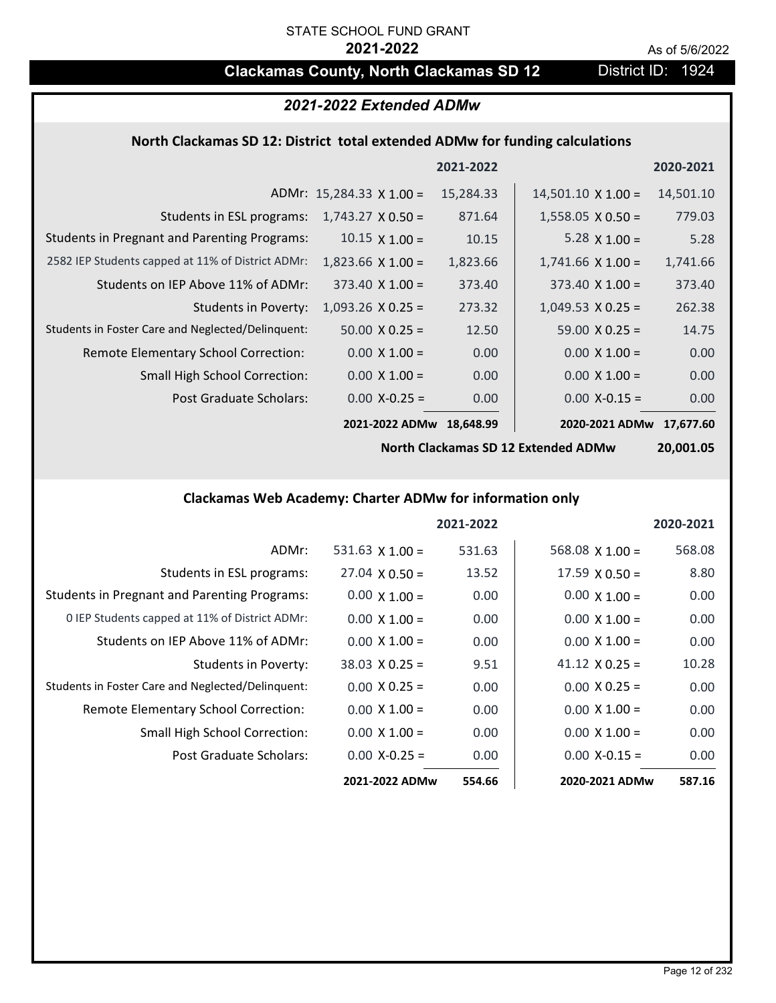# **Clackamas County, North Clackamas SD 12** District ID: 1924

# *2021-2022 Extended ADMw*

## **North Clackamas SD 12: District total extended ADMw for funding calculations**

|                                                     |                                 | 2021-2022 |                           | 2020-2021 |
|-----------------------------------------------------|---------------------------------|-----------|---------------------------|-----------|
|                                                     | ADMr: $15,284.33 \times 1.00 =$ | 15,284.33 | $14,501.10 \times 1.00 =$ | 14,501.10 |
| Students in ESL programs:                           | $1,743.27 \times 0.50 =$        | 871.64    | $1,558.05 \times 0.50 =$  | 779.03    |
| <b>Students in Pregnant and Parenting Programs:</b> | $10.15 \times 1.00 =$           | 10.15     | 5.28 $\times$ 1.00 =      | 5.28      |
| 2582 IEP Students capped at 11% of District ADMr:   | $1,823.66 \times 1.00 =$        | 1,823.66  | $1,741.66 \times 1.00 =$  | 1,741.66  |
| Students on IEP Above 11% of ADMr:                  | $373.40 \times 1.00 =$          | 373.40    | $373.40 \times 1.00 =$    | 373.40    |
| <b>Students in Poverty:</b>                         | $1,093.26$ X 0.25 =             | 273.32    | $1,049.53 \times 0.25 =$  | 262.38    |
| Students in Foster Care and Neglected/Delinquent:   | $50.00 \times 0.25 =$           | 12.50     | $59.00 \times 0.25 =$     | 14.75     |
| Remote Elementary School Correction:                | $0.00 \times 1.00 =$            | 0.00      | $0.00 \times 1.00 =$      | 0.00      |
| <b>Small High School Correction:</b>                | $0.00 \times 1.00 =$            | 0.00      | $0.00 \times 1.00 =$      | 0.00      |
| Post Graduate Scholars:                             | $0.00$ X-0.25 =                 | 0.00      | $0.00$ X-0.15 =           | 0.00      |
|                                                     | 2021-2022 ADMw                  | 18.648.99 | 2020-2021 ADMw            | 17.677.60 |

**North Clackamas SD 12 Extended ADMw**

**20,001.05**

# **Clackamas Web Academy: Charter ADMw for information only**

|                                                     |                       | 2021-2022 |                       | 2020-2021 |
|-----------------------------------------------------|-----------------------|-----------|-----------------------|-----------|
| ADMr:                                               | 531.63 $X$ 1.00 =     | 531.63    | 568.08 $X$ 1.00 =     | 568.08    |
| Students in ESL programs:                           | $27.04 \times 0.50 =$ | 13.52     | $17.59 \times 0.50 =$ | 8.80      |
| <b>Students in Pregnant and Parenting Programs:</b> | $0.00 \times 1.00 =$  | 0.00      | $0.00 \times 1.00 =$  | 0.00      |
| 0 IEP Students capped at 11% of District ADMr:      | $0.00 \times 1.00 =$  | 0.00      | $0.00 \times 1.00 =$  | 0.00      |
| Students on IEP Above 11% of ADMr:                  | $0.00 \times 1.00 =$  | 0.00      | $0.00 \times 1.00 =$  | 0.00      |
| Students in Poverty:                                | $38.03 \times 0.25 =$ | 9.51      | 41.12 $\times$ 0.25 = | 10.28     |
| Students in Foster Care and Neglected/Delinquent:   | $0.00 \times 0.25 =$  | 0.00      | $0.00 \times 0.25 =$  | 0.00      |
| Remote Elementary School Correction:                | $0.00 \times 1.00 =$  | 0.00      | $0.00 \times 1.00 =$  | 0.00      |
| <b>Small High School Correction:</b>                | $0.00 \times 1.00 =$  | 0.00      | $0.00 \times 1.00 =$  | 0.00      |
| Post Graduate Scholars:                             | $0.00$ X-0.25 =       | 0.00      | $0.00 X - 0.15 =$     | 0.00      |
|                                                     | 2021-2022 ADMw        | 554.66    | 2020-2021 ADMw        | 587.16    |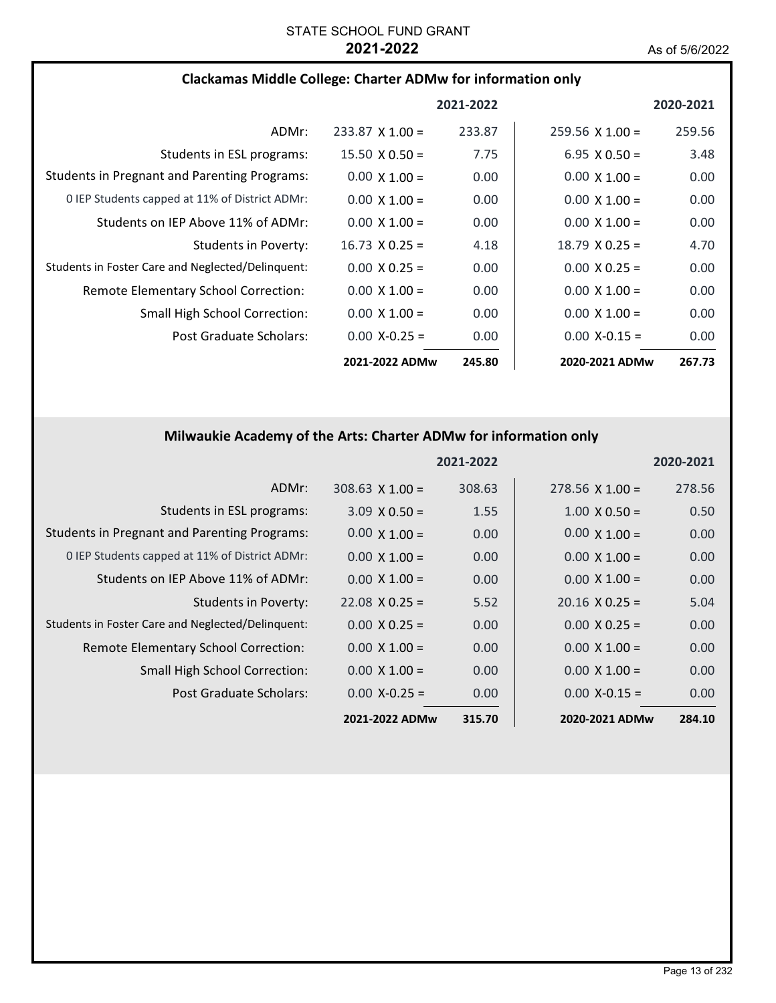## **Clackamas Middle College: Charter ADMw for information only**

|                                                     |                        | 2021-2022 |                        | 2020-2021 |
|-----------------------------------------------------|------------------------|-----------|------------------------|-----------|
| ADMr:                                               | $233.87 \times 1.00 =$ | 233.87    | $259.56 \times 1.00 =$ | 259.56    |
| Students in ESL programs:                           | $15.50 \times 0.50 =$  | 7.75      | $6.95 \times 0.50 =$   | 3.48      |
| <b>Students in Pregnant and Parenting Programs:</b> | $0.00 \times 1.00 =$   | 0.00      | $0.00 \times 1.00 =$   | 0.00      |
| 0 IEP Students capped at 11% of District ADMr:      | $0.00 \times 1.00 =$   | 0.00      | $0.00 \times 1.00 =$   | 0.00      |
| Students on IEP Above 11% of ADMr:                  | $0.00 \times 1.00 =$   | 0.00      | $0.00 \times 1.00 =$   | 0.00      |
| Students in Poverty:                                | $16.73 \times 0.25 =$  | 4.18      | $18.79 \times 0.25 =$  | 4.70      |
| Students in Foster Care and Neglected/Delinguent:   | $0.00 \times 0.25 =$   | 0.00      | $0.00 \times 0.25 =$   | 0.00      |
| Remote Elementary School Correction:                | $0.00 \times 1.00 =$   | 0.00      | $0.00 \times 1.00 =$   | 0.00      |
| Small High School Correction:                       | $0.00 \times 1.00 =$   | 0.00      | $0.00 \times 1.00 =$   | 0.00      |
| Post Graduate Scholars:                             | $0.00 X - 0.25 =$      | 0.00      | $0.00 X - 0.15 =$      | 0.00      |
|                                                     | 2021-2022 ADMw         | 245.80    | 2020-2021 ADMw         | 267.73    |

# **Milwaukie Academy of the Arts: Charter ADMw for information only**

|                                                     |                       | 2021-2022 |                       | 2020-2021 |
|-----------------------------------------------------|-----------------------|-----------|-----------------------|-----------|
| ADMr:                                               | $308.63$ X 1.00 =     | 308.63    | $278.56$ X 1.00 =     | 278.56    |
| Students in ESL programs:                           | $3.09 \times 0.50 =$  | 1.55      | $1.00 \times 0.50 =$  | 0.50      |
| <b>Students in Pregnant and Parenting Programs:</b> | $0.00 \times 1.00 =$  | 0.00      | $0.00 \times 1.00 =$  | 0.00      |
| 0 IEP Students capped at 11% of District ADMr:      | $0.00 \times 1.00 =$  | 0.00      | $0.00 \times 1.00 =$  | 0.00      |
| Students on IEP Above 11% of ADMr:                  | $0.00 \times 1.00 =$  | 0.00      | $0.00 \times 1.00 =$  | 0.00      |
| <b>Students in Poverty:</b>                         | $22.08 \times 0.25 =$ | 5.52      | $20.16 \times 0.25 =$ | 5.04      |
| Students in Foster Care and Neglected/Delinquent:   | $0.00 \times 0.25 =$  | 0.00      | $0.00 \times 0.25 =$  | 0.00      |
| Remote Elementary School Correction:                | $0.00 \times 1.00 =$  | 0.00      | $0.00 \times 1.00 =$  | 0.00      |
| <b>Small High School Correction:</b>                | $0.00 \times 1.00 =$  | 0.00      | $0.00 \times 1.00 =$  | 0.00      |
| Post Graduate Scholars:                             | $0.00$ X-0.25 =       | 0.00      | $0.00$ X-0.15 =       | 0.00      |
|                                                     | 2021-2022 ADMw        | 315.70    | 2020-2021 ADMw        | 284.10    |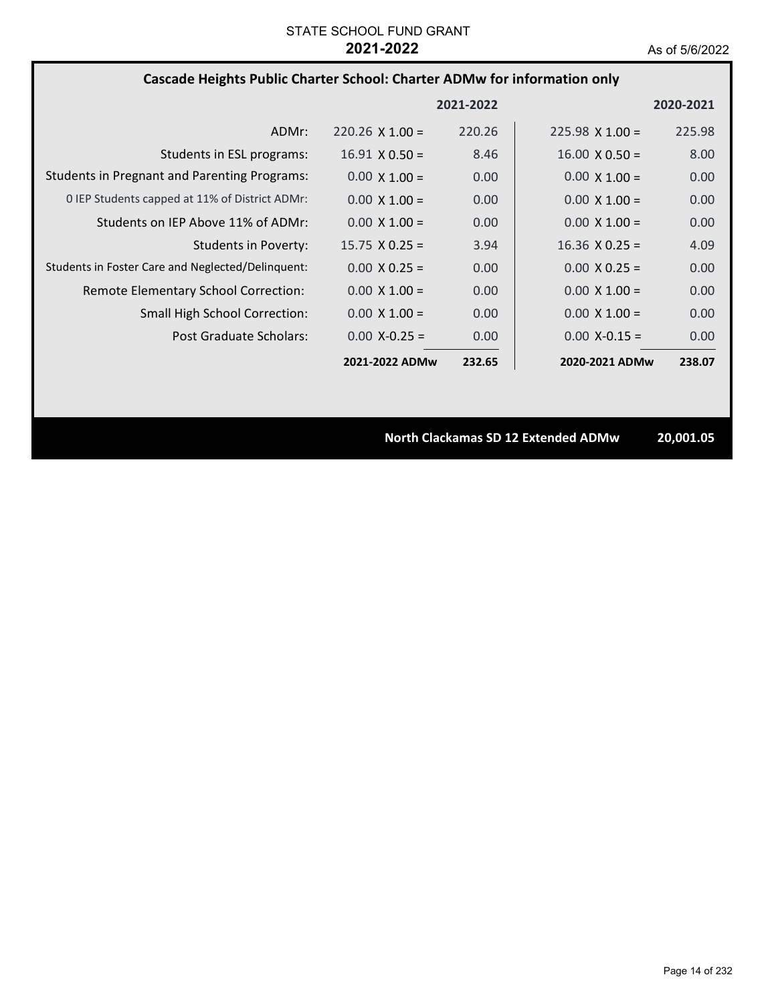## **Cascade Heights Public Charter School: Charter ADMw for information only**

|                                                     |                        | 2021-2022 |                        | 2020-2021 |
|-----------------------------------------------------|------------------------|-----------|------------------------|-----------|
| ADMr:                                               | $220.26 \times 1.00 =$ | 220.26    | $225.98 \times 1.00 =$ | 225.98    |
| Students in ESL programs:                           | $16.91 \times 0.50 =$  | 8.46      | $16.00 \times 0.50 =$  | 8.00      |
| <b>Students in Pregnant and Parenting Programs:</b> | $0.00 \times 1.00 =$   | 0.00      | $0.00 \times 1.00 =$   | 0.00      |
| 0 IEP Students capped at 11% of District ADMr:      | $0.00 \times 1.00 =$   | 0.00      | $0.00 \times 1.00 =$   | 0.00      |
| Students on IEP Above 11% of ADMr:                  | $0.00 \times 1.00 =$   | 0.00      | $0.00 \times 1.00 =$   | 0.00      |
| Students in Poverty:                                | $15.75 \times 0.25 =$  | 3.94      | $16.36 \times 0.25 =$  | 4.09      |
| Students in Foster Care and Neglected/Delinguent:   | $0.00 \times 0.25 =$   | 0.00      | $0.00 \times 0.25 =$   | 0.00      |
| Remote Elementary School Correction:                | $0.00 \times 1.00 =$   | 0.00      | $0.00 \times 1.00 =$   | 0.00      |
| <b>Small High School Correction:</b>                | $0.00 \times 1.00 =$   | 0.00      | $0.00 \times 1.00 =$   | 0.00      |
| Post Graduate Scholars:                             | $0.00 X - 0.25 =$      | 0.00      | $0.00 X - 0.15 =$      | 0.00      |
|                                                     | 2021-2022 ADMw         | 232.65    | 2020-2021 ADMw         | 238.07    |

**North Clackamas SD 12 Extended ADMw 20,001.05**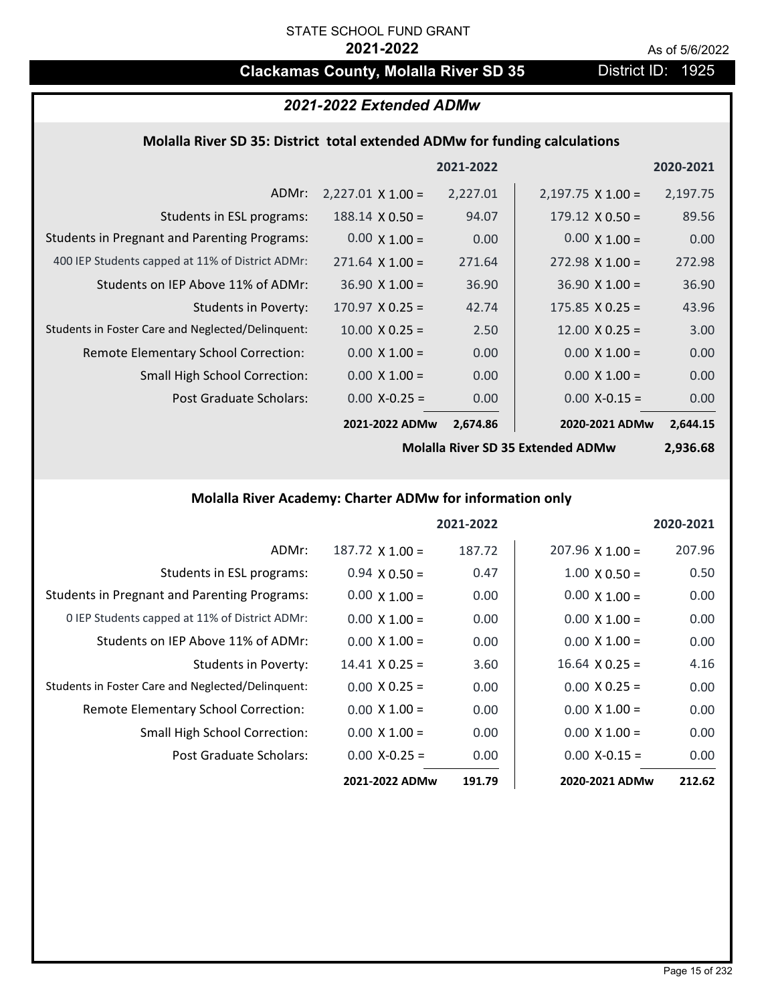# **Clackamas County, Molalla River SD 35** District ID: 1925

# *2021-2022 Extended ADMw*

## **Molalla River SD 35: District total extended ADMw for funding calculations**

|                                                     |                          | 2021-2022 |                          | 2020-2021 |
|-----------------------------------------------------|--------------------------|-----------|--------------------------|-----------|
| ADMr:                                               | $2,227.01 \times 1.00 =$ | 2,227.01  | $2,197.75 \times 1.00 =$ | 2,197.75  |
| Students in ESL programs:                           | $188.14 \times 0.50 =$   | 94.07     | $179.12 \times 0.50 =$   | 89.56     |
| <b>Students in Pregnant and Parenting Programs:</b> | $0.00 \times 1.00 =$     | 0.00      | $0.00 \times 1.00 =$     | 0.00      |
| 400 IEP Students capped at 11% of District ADMr:    | $271.64 \times 1.00 =$   | 271.64    | $272.98 \times 1.00 =$   | 272.98    |
| Students on IEP Above 11% of ADMr:                  | $36.90 \times 1.00 =$    | 36.90     | $36.90 \times 1.00 =$    | 36.90     |
| <b>Students in Poverty:</b>                         | $170.97 \times 0.25 =$   | 42.74     | $175.85 \times 0.25 =$   | 43.96     |
| Students in Foster Care and Neglected/Delinquent:   | $10.00 \times 0.25 =$    | 2.50      | $12.00 \times 0.25 =$    | 3.00      |
| Remote Elementary School Correction:                | $0.00 \times 1.00 =$     | 0.00      | $0.00 \times 1.00 =$     | 0.00      |
| <b>Small High School Correction:</b>                | $0.00 \times 1.00 =$     | 0.00      | $0.00 \times 1.00 =$     | 0.00      |
| Post Graduate Scholars:                             | $0.00$ X-0.25 =          | 0.00      | $0.00$ X-0.15 =          | 0.00      |
|                                                     | 2021-2022 ADMw           | 2,674.86  | 2020-2021 ADMw           | 2,644.15  |

**Molalla River SD 35 Extended ADMw**

**2,936.68**

# **Molalla River Academy: Charter ADMw for information only**

|                                                     |                       | 2021-2022 |                        | 2020-2021 |
|-----------------------------------------------------|-----------------------|-----------|------------------------|-----------|
| ADMr:                                               | $187.72$ X $1.00 =$   | 187.72    | $207.96 \times 1.00 =$ | 207.96    |
| Students in ESL programs:                           | $0.94 \times 0.50 =$  | 0.47      | $1.00 \times 0.50 =$   | 0.50      |
| <b>Students in Pregnant and Parenting Programs:</b> | $0.00 \times 1.00 =$  | 0.00      | $0.00 \times 1.00 =$   | 0.00      |
| 0 IEP Students capped at 11% of District ADMr:      | $0.00 \times 1.00 =$  | 0.00      | $0.00 \times 1.00 =$   | 0.00      |
| Students on IEP Above 11% of ADMr:                  | $0.00 \times 1.00 =$  | 0.00      | $0.00 \times 1.00 =$   | 0.00      |
| Students in Poverty:                                | $14.41 \times 0.25 =$ | 3.60      | $16.64 \times 0.25 =$  | 4.16      |
| Students in Foster Care and Neglected/Delinquent:   | $0.00 \times 0.25 =$  | 0.00      | $0.00 \times 0.25 =$   | 0.00      |
| Remote Elementary School Correction:                | $0.00 \times 1.00 =$  | 0.00      | $0.00 \times 1.00 =$   | 0.00      |
| <b>Small High School Correction:</b>                | $0.00 \times 1.00 =$  | 0.00      | $0.00 \times 1.00 =$   | 0.00      |
| Post Graduate Scholars:                             | $0.00 X - 0.25 =$     | 0.00      | $0.00 X - 0.15 =$      | 0.00      |
|                                                     | 2021-2022 ADMw        | 191.79    | 2020-2021 ADMw         | 212.62    |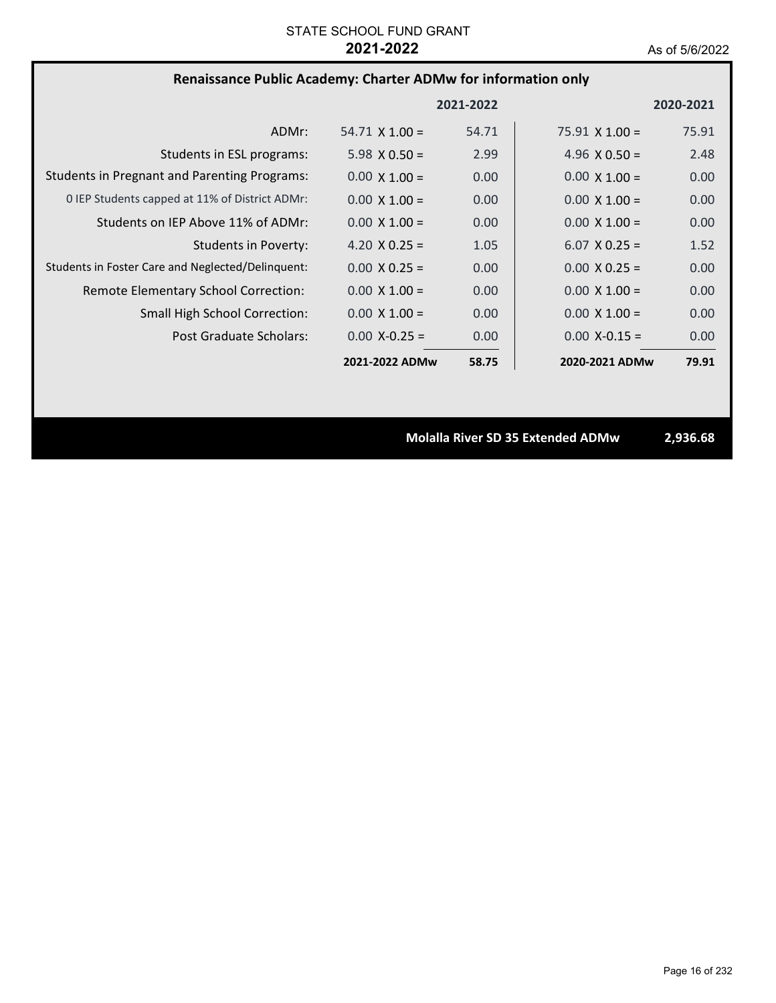# **Renaissance Public Academy: Charter ADMw for information only**

|                                                     |                       | 2021-2022 |                       | 2020-2021 |
|-----------------------------------------------------|-----------------------|-----------|-----------------------|-----------|
| ADMr:                                               | $54.71 \times 1.00 =$ | 54.71     | $75.91 \times 1.00 =$ | 75.91     |
| Students in ESL programs:                           | $5.98 \times 0.50 =$  | 2.99      | 4.96 $\times$ 0.50 =  | 2.48      |
| <b>Students in Pregnant and Parenting Programs:</b> | $0.00 \times 1.00 =$  | 0.00      | $0.00 \times 1.00 =$  | 0.00      |
| 0 IEP Students capped at 11% of District ADMr:      | $0.00 \times 1.00 =$  | 0.00      | $0.00 \times 1.00 =$  | 0.00      |
| Students on IEP Above 11% of ADMr:                  | $0.00 \times 1.00 =$  | 0.00      | $0.00 \times 1.00 =$  | 0.00      |
| Students in Poverty:                                | 4.20 $X$ 0.25 =       | 1.05      | $6.07 \times 0.25 =$  | 1.52      |
| Students in Foster Care and Neglected/Delinquent:   | $0.00 \times 0.25 =$  | 0.00      | $0.00 \times 0.25 =$  | 0.00      |
| Remote Elementary School Correction:                | $0.00 \times 1.00 =$  | 0.00      | $0.00 \times 1.00 =$  | 0.00      |
| <b>Small High School Correction:</b>                | $0.00 \times 1.00 =$  | 0.00      | $0.00 \times 1.00 =$  | 0.00      |
| Post Graduate Scholars:                             | $0.00 X - 0.25 =$     | 0.00      | $0.00 X - 0.15 =$     | 0.00      |
|                                                     | 2021-2022 ADMw        | 58.75     | 2020-2021 ADMw        | 79.91     |

**Molalla River SD 35 Extended ADMw 2,936.68**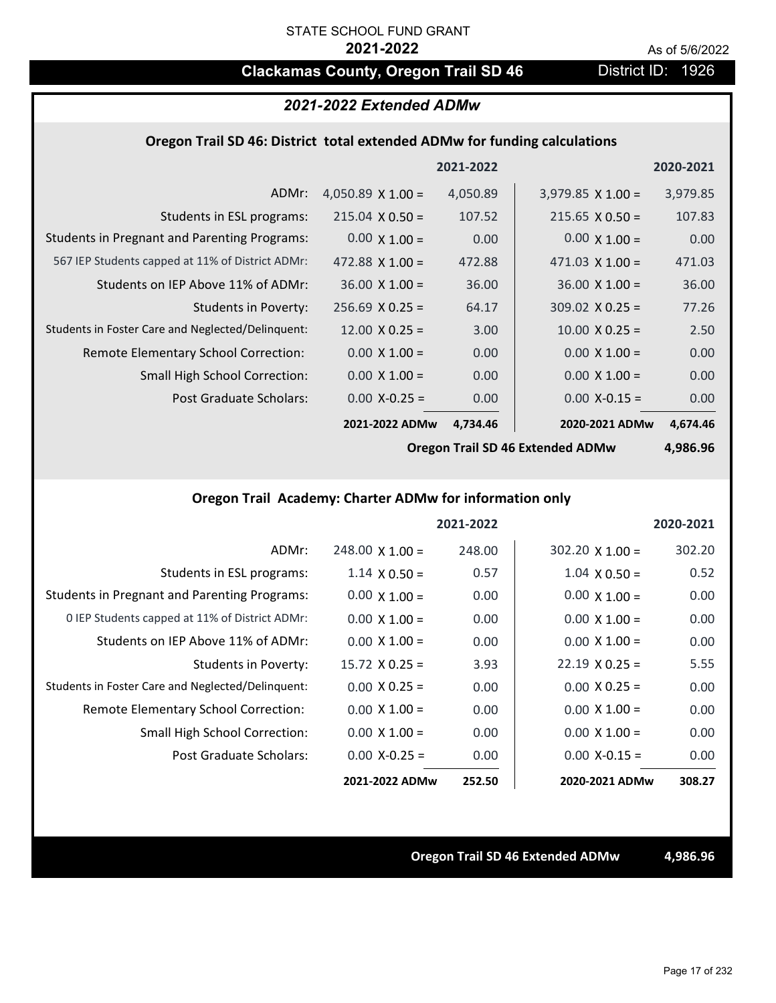# **Clackamas County, Oregon Trail SD 46** District ID: 1926

## *2021-2022 Extended ADMw*

## **Oregon Trail SD 46: District total extended ADMw for funding calculations**

|                                                     |                          | 2021-2022 |                          | 2020-2021 |
|-----------------------------------------------------|--------------------------|-----------|--------------------------|-----------|
| ADMr:                                               | 4,050.89 $\times$ 1.00 = | 4,050.89  | $3,979.85 \times 1.00 =$ | 3,979.85  |
| Students in ESL programs:                           | $215.04 \times 0.50 =$   | 107.52    | $215.65 \times 0.50 =$   | 107.83    |
| <b>Students in Pregnant and Parenting Programs:</b> | $0.00 \times 1.00 =$     | 0.00      | $0.00 \times 1.00 =$     | 0.00      |
| 567 IEP Students capped at 11% of District ADMr:    | $472.88 \times 1.00 =$   | 472.88    | $471.03 \times 1.00 =$   | 471.03    |
| Students on IEP Above 11% of ADMr:                  | $36.00 \times 1.00 =$    | 36.00     | $36.00 \times 1.00 =$    | 36.00     |
| Students in Poverty:                                | $256.69 \times 0.25 =$   | 64.17     | $309.02 \times 0.25 =$   | 77.26     |
| Students in Foster Care and Neglected/Delinquent:   | $12.00 \times 0.25 =$    | 3.00      | $10.00 \times 0.25 =$    | 2.50      |
| Remote Elementary School Correction:                | $0.00 \times 1.00 =$     | 0.00      | $0.00 \times 1.00 =$     | 0.00      |
| <b>Small High School Correction:</b>                | $0.00 \times 1.00 =$     | 0.00      | $0.00 \times 1.00 =$     | 0.00      |
| Post Graduate Scholars:                             | $0.00$ X-0.25 =          | 0.00      | $0.00$ X-0.15 =          | 0.00      |
|                                                     | 2021-2022 ADMw           | 4,734.46  | 2020-2021 ADMw           | 4,674.46  |

**Oregon Trail SD 46 Extended ADMw**

**4,986.96**

# **Oregon Trail Academy: Charter ADMw for information only**

|                                                     |                        | 2021-2022 |                        | 2020-2021 |
|-----------------------------------------------------|------------------------|-----------|------------------------|-----------|
| ADMr:                                               | $248.00 \times 1.00 =$ | 248.00    | $302.20 \times 1.00 =$ | 302.20    |
| Students in ESL programs:                           | $1.14 \times 0.50 =$   | 0.57      | $1.04 \times 0.50 =$   | 0.52      |
| <b>Students in Pregnant and Parenting Programs:</b> | $0.00 \times 1.00 =$   | 0.00      | $0.00 \times 1.00 =$   | 0.00      |
| 0 IEP Students capped at 11% of District ADMr:      | $0.00 \times 1.00 =$   | 0.00      | $0.00 \times 1.00 =$   | 0.00      |
| Students on IEP Above 11% of ADMr:                  | $0.00 \times 1.00 =$   | 0.00      | $0.00 \times 1.00 =$   | 0.00      |
| Students in Poverty:                                | $15.72 \times 0.25 =$  | 3.93      | $22.19 \times 0.25 =$  | 5.55      |
| Students in Foster Care and Neglected/Delinquent:   | $0.00 \times 0.25 =$   | 0.00      | $0.00 \times 0.25 =$   | 0.00      |
| Remote Elementary School Correction:                | $0.00 \times 1.00 =$   | 0.00      | $0.00 \times 1.00 =$   | 0.00      |
| <b>Small High School Correction:</b>                | $0.00 \times 1.00 =$   | 0.00      | $0.00 \times 1.00 =$   | 0.00      |
| Post Graduate Scholars:                             | $0.00 X - 0.25 =$      | 0.00      | $0.00 X - 0.15 =$      | 0.00      |
|                                                     | 2021-2022 ADMw         | 252.50    | 2020-2021 ADMw         | 308.27    |

**Oregon Trail SD 46 Extended ADMw 4,986.96**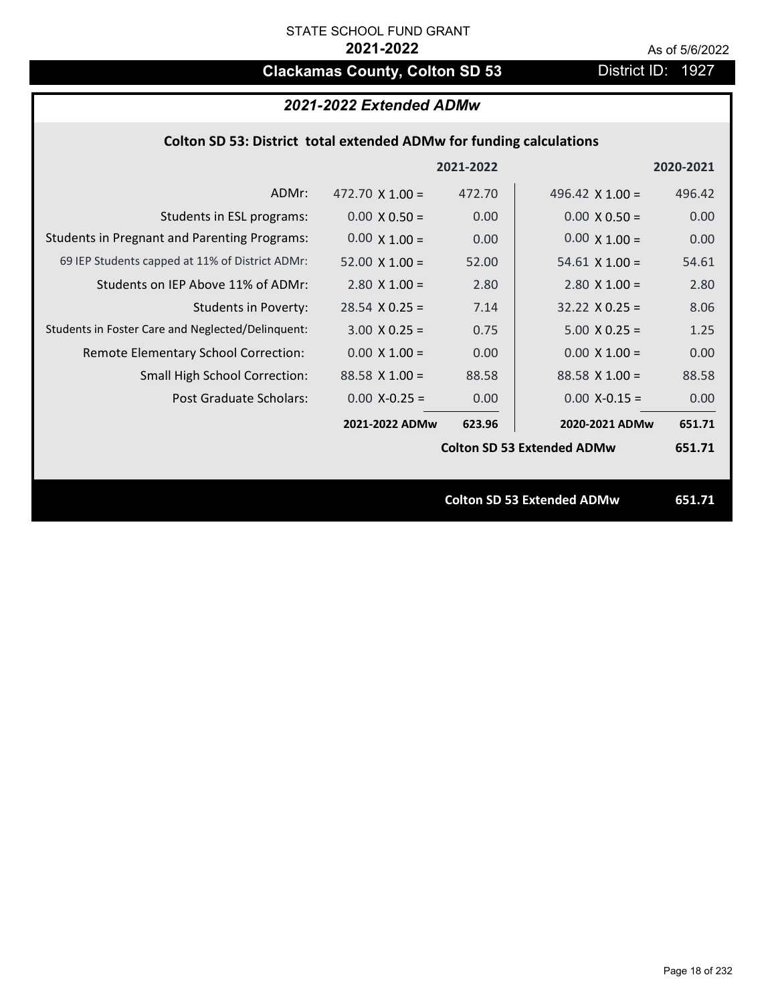# **Clackamas County, Colton SD 53** District ID: 1927

# *2021-2022 Extended ADMw*

# **Colton SD 53: District total extended ADMw for funding calculations**

|                                                     |                        | 2021-2022 |                                   | 2020-2021 |
|-----------------------------------------------------|------------------------|-----------|-----------------------------------|-----------|
| ADMr:                                               | 472.70 $\times$ 1.00 = | 472.70    | 496.42 $\times$ 1.00 =            | 496.42    |
| Students in ESL programs:                           | $0.00 \times 0.50 =$   | 0.00      | $0.00 \times 0.50 =$              | 0.00      |
| <b>Students in Pregnant and Parenting Programs:</b> | $0.00 \times 1.00 =$   | 0.00      | $0.00 \times 1.00 =$              | 0.00      |
| 69 IEP Students capped at 11% of District ADMr:     | $52.00 \times 1.00 =$  | 52.00     | $54.61$ X 1.00 =                  | 54.61     |
| Students on IEP Above 11% of ADMr:                  | $2.80$ X $1.00 =$      | 2.80      | $2.80$ X $1.00 =$                 | 2.80      |
| <b>Students in Poverty:</b>                         | $28.54$ X 0.25 =       | 7.14      | $32.22 \times 0.25 =$             | 8.06      |
| Students in Foster Care and Neglected/Delinquent:   | $3.00 \times 0.25 =$   | 0.75      | $5.00 \times 0.25 =$              | 1.25      |
| Remote Elementary School Correction:                | $0.00 \times 1.00 =$   | 0.00      | $0.00 \times 1.00 =$              | 0.00      |
| <b>Small High School Correction:</b>                | $88.58 \times 1.00 =$  | 88.58     | $88.58 \times 1.00 =$             | 88.58     |
| <b>Post Graduate Scholars:</b>                      | $0.00$ X-0.25 =        | 0.00      | $0.00$ X-0.15 =                   | 0.00      |
|                                                     | 2021-2022 ADMw         | 623.96    | 2020-2021 ADMw                    | 651.71    |
|                                                     |                        |           | <b>Colton SD 53 Extended ADMw</b> | 651.71    |
|                                                     |                        |           |                                   |           |
|                                                     |                        |           | <b>Colton SD 53 Extended ADMw</b> | 651.71    |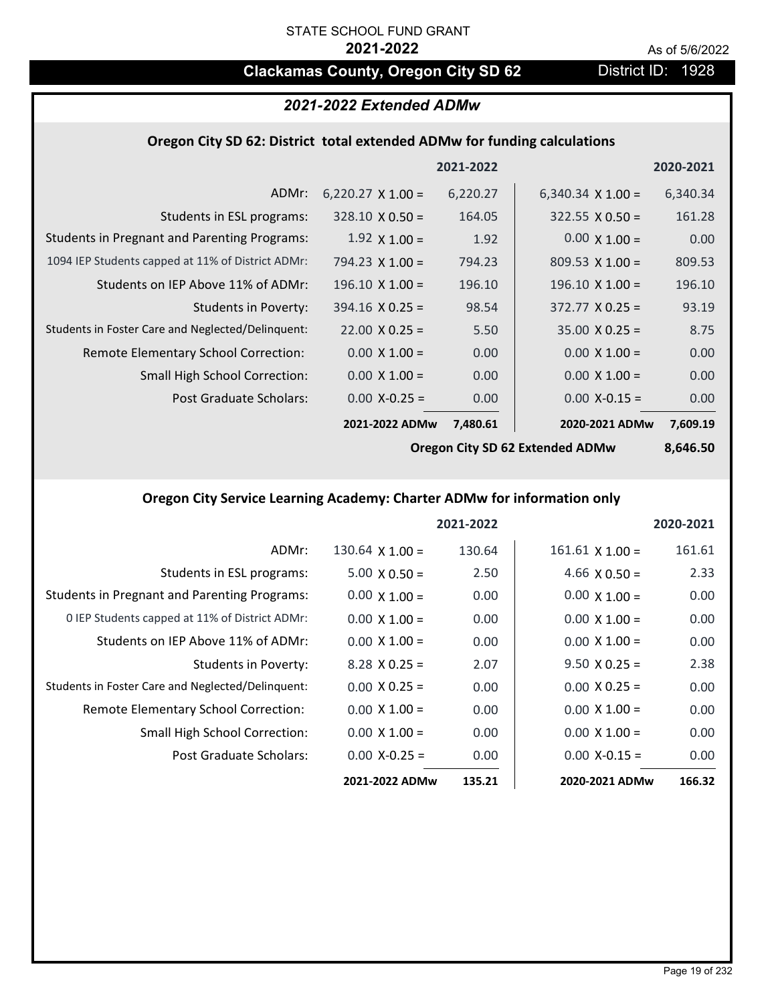# **Clackamas County, Oregon City SD 62** District ID: 1928

# *2021-2022 Extended ADMw*

### **Oregon City SD 62: District total extended ADMw for funding calculations**

|                                                     |                          | 2021-2022 |                          | 2020-2021 |
|-----------------------------------------------------|--------------------------|-----------|--------------------------|-----------|
| ADMr:                                               | $6,220.27 \times 1.00 =$ | 6,220.27  | 6,340.34 $\times$ 1.00 = | 6,340.34  |
| Students in ESL programs:                           | $328.10 \times 0.50 =$   | 164.05    | $322.55 \times 0.50 =$   | 161.28    |
| <b>Students in Pregnant and Parenting Programs:</b> | $1.92 \times 1.00 =$     | 1.92      | $0.00 \times 1.00 =$     | 0.00      |
| 1094 IEP Students capped at 11% of District ADMr:   | $794.23 \times 1.00 =$   | 794.23    | $809.53 \times 1.00 =$   | 809.53    |
| Students on IEP Above 11% of ADMr:                  | $196.10 \times 1.00 =$   | 196.10    | $196.10 \times 1.00 =$   | 196.10    |
| <b>Students in Poverty:</b>                         | $394.16 \times 0.25 =$   | 98.54     | $372.77 \times 0.25 =$   | 93.19     |
| Students in Foster Care and Neglected/Delinquent:   | $22.00 \times 0.25 =$    | 5.50      | $35.00 \times 0.25 =$    | 8.75      |
| Remote Elementary School Correction:                | $0.00 \times 1.00 =$     | 0.00      | $0.00 \times 1.00 =$     | 0.00      |
| <b>Small High School Correction:</b>                | $0.00 \times 1.00 =$     | 0.00      | $0.00 \times 1.00 =$     | 0.00      |
| Post Graduate Scholars:                             | $0.00 X - 0.25 =$        | 0.00      | $0.00$ X-0.15 =          | 0.00      |
|                                                     | 2021-2022 ADMw           | 7,480.61  | 2020-2021 ADMw           | 7,609.19  |

**Oregon City SD 62 Extended ADMw**

**8,646.50**

# **Oregon City Service Learning Academy: Charter ADMw for information only**

|                                                     |                      | 2021-2022 |                        | 2020-2021 |
|-----------------------------------------------------|----------------------|-----------|------------------------|-----------|
| ADMr:                                               | $130.64$ X $1.00 =$  | 130.64    | $161.61 \times 1.00 =$ | 161.61    |
| Students in ESL programs:                           | $5.00 \times 0.50 =$ | 2.50      | 4.66 $X$ 0.50 =        | 2.33      |
| <b>Students in Pregnant and Parenting Programs:</b> | $0.00 \times 1.00 =$ | 0.00      | $0.00 \times 1.00 =$   | 0.00      |
| 0 IEP Students capped at 11% of District ADMr:      | $0.00 \times 1.00 =$ | 0.00      | $0.00 \times 1.00 =$   | 0.00      |
| Students on IEP Above 11% of ADMr:                  | $0.00 \times 1.00 =$ | 0.00      | $0.00 \times 1.00 =$   | 0.00      |
| Students in Poverty:                                | $8.28 \times 0.25 =$ | 2.07      | $9.50 \times 0.25 =$   | 2.38      |
| Students in Foster Care and Neglected/Delinquent:   | $0.00 \times 0.25 =$ | 0.00      | $0.00 \times 0.25 =$   | 0.00      |
| Remote Elementary School Correction:                | $0.00 \times 1.00 =$ | 0.00      | $0.00 \times 1.00 =$   | 0.00      |
| <b>Small High School Correction:</b>                | $0.00 \times 1.00 =$ | 0.00      | $0.00 \times 1.00 =$   | 0.00      |
| Post Graduate Scholars:                             | $0.00 X - 0.25 =$    | 0.00      | $0.00 X - 0.15 =$      | 0.00      |
|                                                     | 2021-2022 ADMw       | 135.21    | 2020-2021 ADMw         | 166.32    |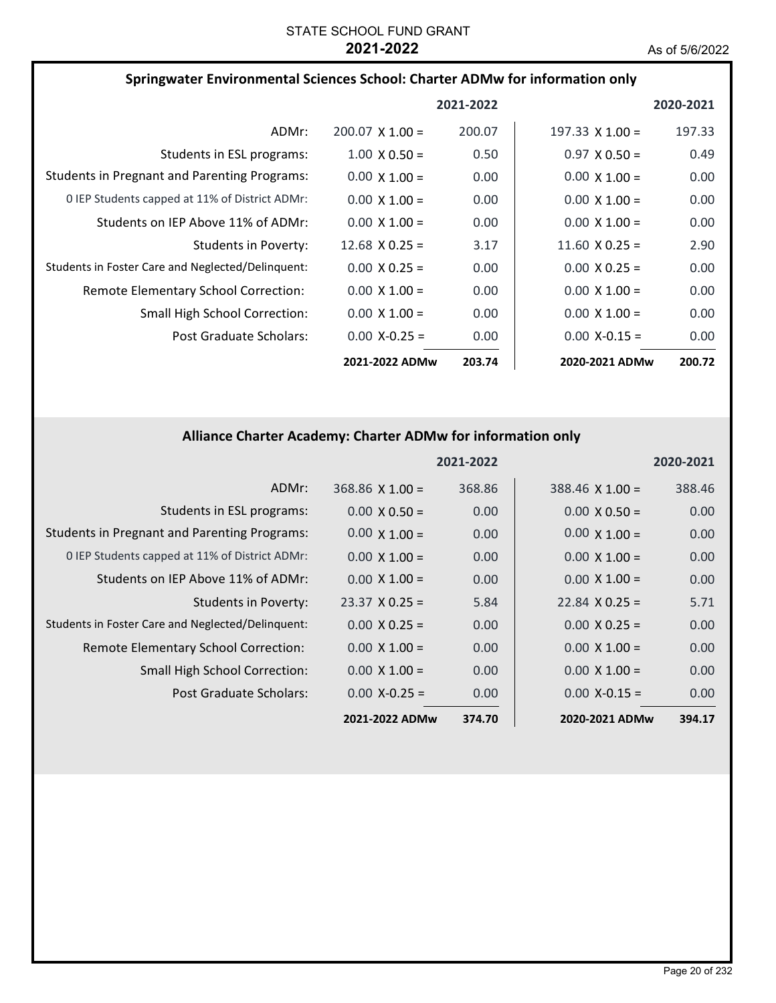| Springwater Environmental Sciences School: Charter ADMw for information only |                        |           |                        |           |
|------------------------------------------------------------------------------|------------------------|-----------|------------------------|-----------|
|                                                                              |                        | 2021-2022 |                        | 2020-2021 |
| ADMr:                                                                        | $200.07 \times 1.00 =$ | 200.07    | $197.33 \times 1.00 =$ | 197.33    |
| Students in ESL programs:                                                    | $1.00 \times 0.50 =$   | 0.50      | $0.97 \times 0.50 =$   | 0.49      |
| <b>Students in Pregnant and Parenting Programs:</b>                          | $0.00 \times 1.00 =$   | 0.00      | $0.00 \times 1.00 =$   | 0.00      |
| 0 IEP Students capped at 11% of District ADMr:                               | $0.00 \times 1.00 =$   | 0.00      | $0.00 \times 1.00 =$   | 0.00      |
| Students on IEP Above 11% of ADMr:                                           | $0.00 \times 1.00 =$   | 0.00      | $0.00 \times 1.00 =$   | 0.00      |
| Students in Poverty:                                                         | $12.68 \times 0.25 =$  | 3.17      | $11.60 \times 0.25 =$  | 2.90      |
| Students in Foster Care and Neglected/Delinquent:                            | $0.00 \times 0.25 =$   | 0.00      | $0.00 \times 0.25 =$   | 0.00      |
| Remote Elementary School Correction:                                         | $0.00 \times 1.00 =$   | 0.00      | $0.00 \times 1.00 =$   | 0.00      |
| <b>Small High School Correction:</b>                                         | $0.00 \times 1.00 =$   | 0.00      | $0.00 \times 1.00 =$   | 0.00      |
| Post Graduate Scholars:                                                      | $0.00 X-0.25 =$        | 0.00      | $0.00$ X-0.15 =        | 0.00      |
|                                                                              | 2021-2022 ADMw         | 203.74    | 2020-2021 ADMw         | 200.72    |

# **Alliance Charter Academy: Charter ADMw for information only**

|                                                     |                       | 2021-2022 |                        | 2020-2021 |
|-----------------------------------------------------|-----------------------|-----------|------------------------|-----------|
| ADMr:                                               | $368.86$ X 1.00 =     | 368.86    | $388.46 \times 1.00 =$ | 388.46    |
| Students in ESL programs:                           | $0.00 \times 0.50 =$  | 0.00      | $0.00 \times 0.50 =$   | 0.00      |
| <b>Students in Pregnant and Parenting Programs:</b> | $0.00 \times 1.00 =$  | 0.00      | $0.00 \times 1.00 =$   | 0.00      |
| 0 IEP Students capped at 11% of District ADMr:      | $0.00 \times 1.00 =$  | 0.00      | $0.00 \times 1.00 =$   | 0.00      |
| Students on IEP Above 11% of ADMr:                  | $0.00 \times 1.00 =$  | 0.00      | $0.00 \times 1.00 =$   | 0.00      |
| <b>Students in Poverty:</b>                         | $23.37 \times 0.25 =$ | 5.84      | $22.84 \times 0.25 =$  | 5.71      |
| Students in Foster Care and Neglected/Delinquent:   | $0.00 \times 0.25 =$  | 0.00      | $0.00 \times 0.25 =$   | 0.00      |
| Remote Elementary School Correction:                | $0.00 \times 1.00 =$  | 0.00      | $0.00 \times 1.00 =$   | 0.00      |
| <b>Small High School Correction:</b>                | $0.00 \times 1.00 =$  | 0.00      | $0.00 \times 1.00 =$   | 0.00      |
| Post Graduate Scholars:                             | $0.00$ X-0.25 =       | 0.00      | $0.00$ X-0.15 =        | 0.00      |
|                                                     | 2021-2022 ADMw        | 374.70    | 2020-2021 ADMw         | 394.17    |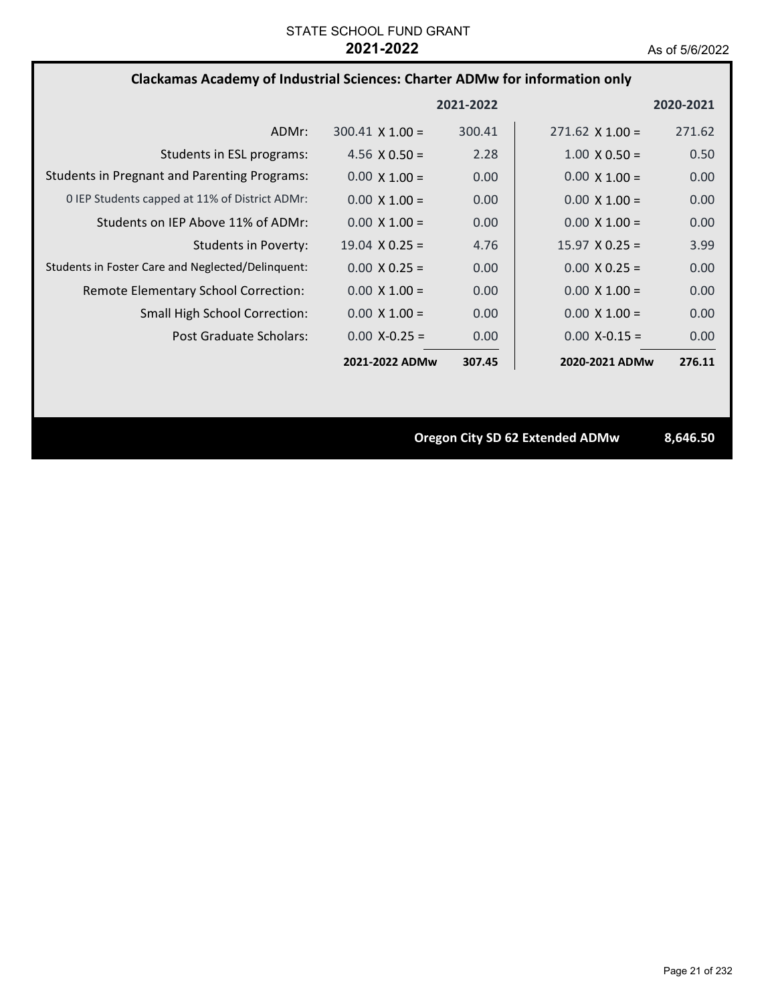## **Clackamas Academy of Industrial Sciences: Charter ADMw for information only**

|                                                     |                        | 2021-2022 |                        | 2020-2021 |
|-----------------------------------------------------|------------------------|-----------|------------------------|-----------|
| ADMr:                                               | $300.41 \times 1.00 =$ | 300.41    | $271.62 \times 1.00 =$ | 271.62    |
| Students in ESL programs:                           | 4.56 $\times$ 0.50 =   | 2.28      | $1.00 \times 0.50 =$   | 0.50      |
| <b>Students in Pregnant and Parenting Programs:</b> | $0.00 \times 1.00 =$   | 0.00      | $0.00 \times 1.00 =$   | 0.00      |
| 0 IEP Students capped at 11% of District ADMr:      | $0.00 \times 1.00 =$   | 0.00      | $0.00 \times 1.00 =$   | 0.00      |
| Students on IEP Above 11% of ADMr:                  | $0.00 \times 1.00 =$   | 0.00      | $0.00 \times 1.00 =$   | 0.00      |
| Students in Poverty:                                | $19.04 \times 0.25 =$  | 4.76      | $15.97 \times 0.25 =$  | 3.99      |
| Students in Foster Care and Neglected/Delinquent:   | $0.00 \times 0.25 =$   | 0.00      | $0.00 \times 0.25 =$   | 0.00      |
| Remote Elementary School Correction:                | $0.00 \times 1.00 =$   | 0.00      | $0.00 \times 1.00 =$   | 0.00      |
| <b>Small High School Correction:</b>                | $0.00 \times 1.00 =$   | 0.00      | $0.00 \times 1.00 =$   | 0.00      |
| Post Graduate Scholars:                             | $0.00 X - 0.25 =$      | 0.00      | $0.00 X - 0.15 =$      | 0.00      |
|                                                     | 2021-2022 ADMw         | 307.45    | 2020-2021 ADMw         | 276.11    |

**Oregon City SD 62 Extended ADMw 8,646.50**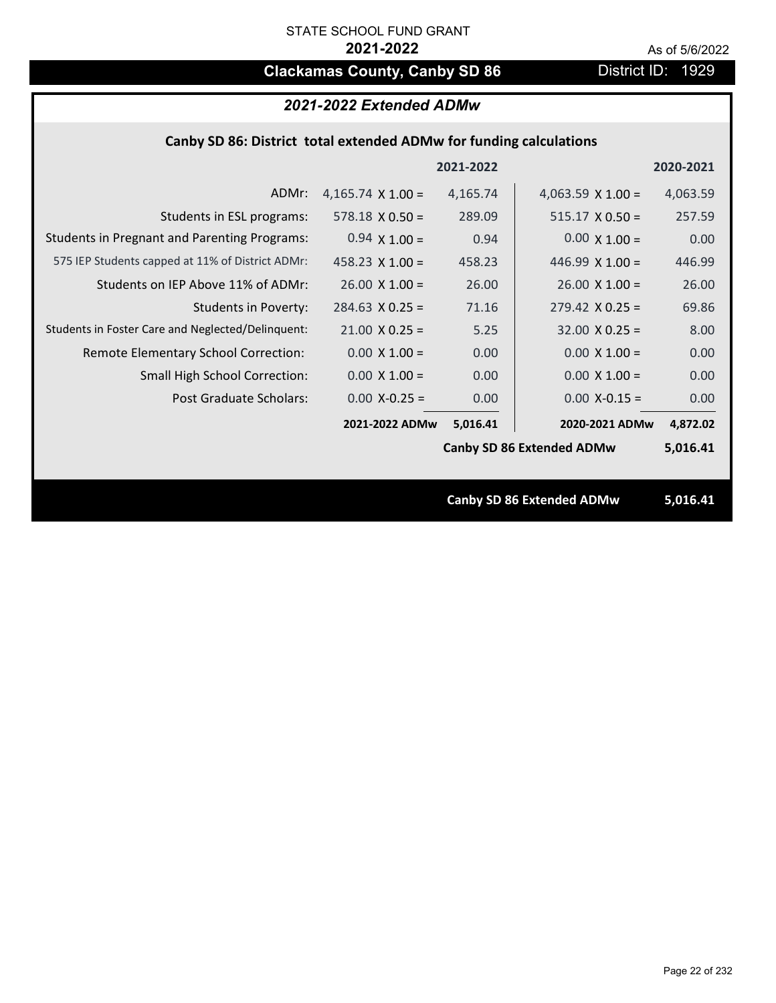# **Clackamas County, Canby SD 86** District ID: 1929

# *2021-2022 Extended ADMw*

## **Canby SD 86: District total extended ADMw for funding calculations**

|                                                     |                          | 2021-2022 |                                  | 2020-2021 |
|-----------------------------------------------------|--------------------------|-----------|----------------------------------|-----------|
| ADMr:                                               | 4,165.74 $\times$ 1.00 = | 4,165.74  | 4,063.59 $\times$ 1.00 =         | 4,063.59  |
| Students in ESL programs:                           | $578.18 \times 0.50 =$   | 289.09    | $515.17 \times 0.50 =$           | 257.59    |
| <b>Students in Pregnant and Parenting Programs:</b> | $0.94 \times 1.00 =$     | 0.94      | $0.00 \times 1.00 =$             | 0.00      |
| 575 IEP Students capped at 11% of District ADMr:    | $458.23 \times 1.00 =$   | 458.23    | 446.99 $X$ 1.00 =                | 446.99    |
| Students on IEP Above 11% of ADMr:                  | $26.00 \times 1.00 =$    | 26.00     | $26.00 \times 1.00 =$            | 26.00     |
| <b>Students in Poverty:</b>                         | $284.63$ X 0.25 =        | 71.16     | $279.42$ X 0.25 =                | 69.86     |
| Students in Foster Care and Neglected/Delinquent:   | $21.00 \times 0.25 =$    | 5.25      | $32.00 \times 0.25 =$            | 8.00      |
| Remote Elementary School Correction:                | $0.00 \times 1.00 =$     | 0.00      | $0.00 \times 1.00 =$             | 0.00      |
| <b>Small High School Correction:</b>                | $0.00 \times 1.00 =$     | 0.00      | $0.00 \times 1.00 =$             | 0.00      |
| Post Graduate Scholars:                             | $0.00$ X-0.25 =          | 0.00      | $0.00$ X-0.15 =                  | 0.00      |
|                                                     | 2021-2022 ADMw           | 5,016.41  | 2020-2021 ADMw                   | 4,872.02  |
|                                                     |                          |           | <b>Canby SD 86 Extended ADMw</b> | 5,016.41  |
|                                                     |                          |           |                                  |           |
|                                                     |                          |           | <b>Canby SD 86 Extended ADMw</b> | 5,016.41  |
|                                                     |                          |           |                                  |           |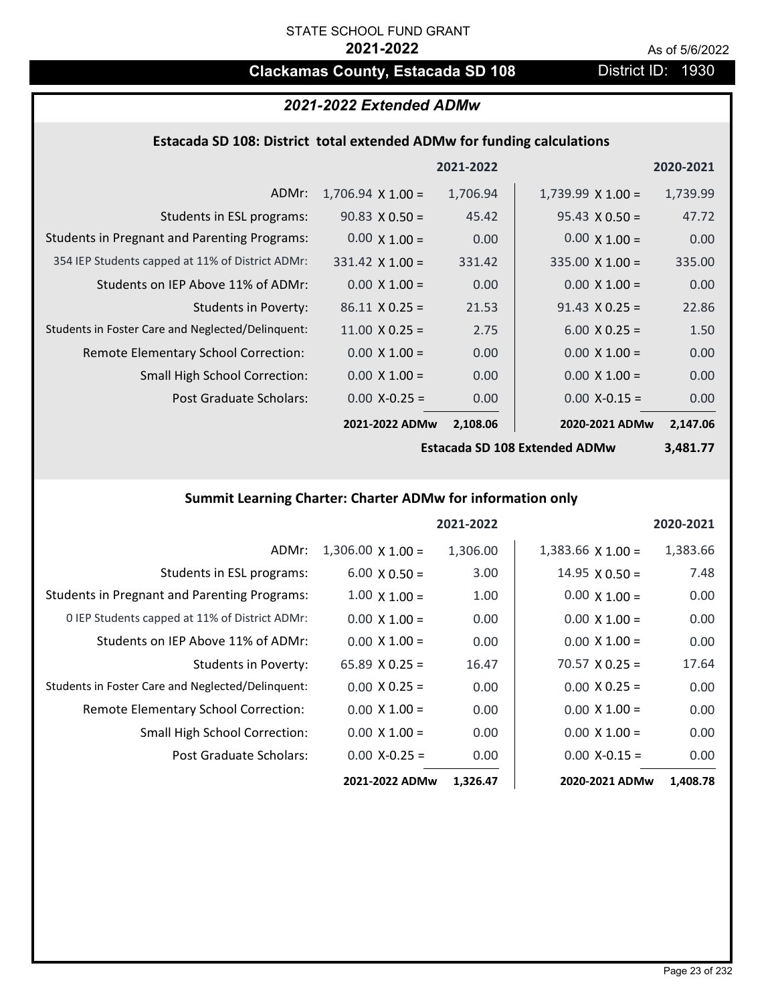# **Clackamas County, Estacada SD 108** District ID: 1930

# *2021-2022 Extended ADMw*

# **Estacada SD 108: District total extended ADMw for funding calculations**

|                                                     |                          | 2021-2022 |                          | 2020-2021 |
|-----------------------------------------------------|--------------------------|-----------|--------------------------|-----------|
| ADMr:                                               | $1,706.94 \times 1.00 =$ | 1,706.94  | $1,739.99 \times 1.00 =$ | 1,739.99  |
| Students in ESL programs:                           | $90.83 \times 0.50 =$    | 45.42     | $95.43 \times 0.50 =$    | 47.72     |
| <b>Students in Pregnant and Parenting Programs:</b> | $0.00 \times 1.00 =$     | 0.00      | $0.00 \times 1.00 =$     | 0.00      |
| 354 IEP Students capped at 11% of District ADMr:    | $331.42 \times 1.00 =$   | 331.42    | $335.00 \times 1.00 =$   | 335.00    |
| Students on IEP Above 11% of ADMr:                  | $0.00 \times 1.00 =$     | 0.00      | $0.00 \times 1.00 =$     | 0.00      |
| <b>Students in Poverty:</b>                         | $86.11 \times 0.25 =$    | 21.53     | $91.43 \times 0.25 =$    | 22.86     |
| Students in Foster Care and Neglected/Delinquent:   | $11.00 \times 0.25 =$    | 2.75      | $6.00 \times 0.25 =$     | 1.50      |
| Remote Elementary School Correction:                | $0.00 \times 1.00 =$     | 0.00      | $0.00 \times 1.00 =$     | 0.00      |
| <b>Small High School Correction:</b>                | $0.00 \times 1.00 =$     | 0.00      | $0.00 \times 1.00 =$     | 0.00      |
| Post Graduate Scholars:                             | $0.00$ X-0.25 =          | 0.00      | $0.00$ X-0.15 =          | 0.00      |
|                                                     | 2021-2022 ADMw           | 2,108.06  | 2020-2021 ADMw           | 2,147.06  |

**Estacada SD 108 Extended ADMw**

**3,481.77**

# **Summit Learning Charter: Charter ADMw for information only**

|                                                     |                          | 2021-2022 |                          | 2020-2021 |
|-----------------------------------------------------|--------------------------|-----------|--------------------------|-----------|
| ADMr:                                               | $1,306.00 \times 1.00 =$ | 1,306.00  | $1,383.66 \times 1.00 =$ | 1,383.66  |
| Students in ESL programs:                           | $6.00 \times 0.50 =$     | 3.00      | $14.95 \times 0.50 =$    | 7.48      |
| <b>Students in Pregnant and Parenting Programs:</b> | $1.00 \times 1.00 =$     | 1.00      | $0.00 \times 1.00 =$     | 0.00      |
| 0 IEP Students capped at 11% of District ADMr:      | $0.00 \times 1.00 =$     | 0.00      | $0.00 \times 1.00 =$     | 0.00      |
| Students on IEP Above 11% of ADMr:                  | $0.00 \times 1.00 =$     | 0.00      | $0.00 \times 1.00 =$     | 0.00      |
| Students in Poverty:                                | $65.89 \times 0.25 =$    | 16.47     | $70.57 \times 0.25 =$    | 17.64     |
| Students in Foster Care and Neglected/Delinquent:   | $0.00 \times 0.25 =$     | 0.00      | $0.00 \times 0.25 =$     | 0.00      |
| Remote Elementary School Correction:                | $0.00 \times 1.00 =$     | 0.00      | $0.00 \times 1.00 =$     | 0.00      |
| <b>Small High School Correction:</b>                | $0.00 \times 1.00 =$     | 0.00      | $0.00 \times 1.00 =$     | 0.00      |
| Post Graduate Scholars:                             | $0.00$ X-0.25 =          | 0.00      | $0.00$ X-0.15 =          | 0.00      |
|                                                     | 2021-2022 ADMw           | 1,326.47  | 2020-2021 ADMw           | 1,408.78  |

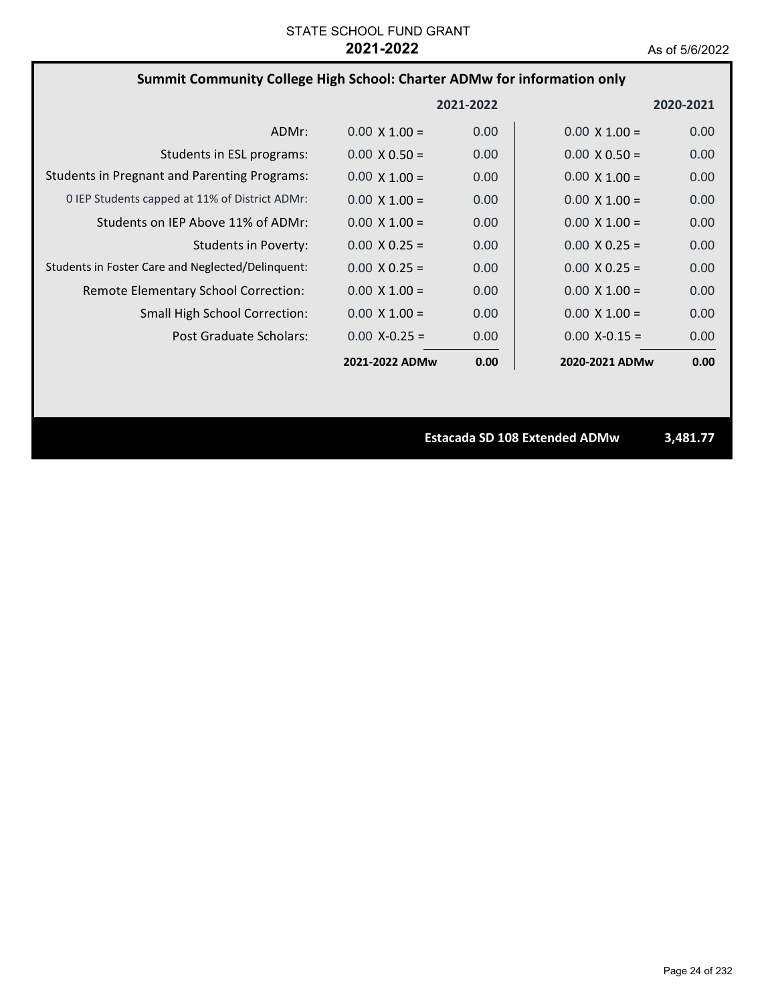# **Summit Community College High School: Charter ADMw for information only**

|                                                     |                      | 2021-2022 |                      | 2020-2021 |
|-----------------------------------------------------|----------------------|-----------|----------------------|-----------|
| ADMr:                                               | $0.00 \times 1.00 =$ | 0.00      | $0.00 \times 1.00 =$ | 0.00      |
| Students in ESL programs:                           | $0.00 \times 0.50 =$ | 0.00      | $0.00 \times 0.50 =$ | 0.00      |
| <b>Students in Pregnant and Parenting Programs:</b> | $0.00 \times 1.00 =$ | 0.00      | $0.00 \times 1.00 =$ | 0.00      |
| 0 IEP Students capped at 11% of District ADMr:      | $0.00 \times 1.00 =$ | 0.00      | $0.00 \times 1.00 =$ | 0.00      |
| Students on IEP Above 11% of ADMr:                  | $0.00 \times 1.00 =$ | 0.00      | $0.00 \times 1.00 =$ | 0.00      |
| Students in Poverty:                                | $0.00 \times 0.25 =$ | 0.00      | $0.00 \times 0.25 =$ | 0.00      |
| Students in Foster Care and Neglected/Delinquent:   | $0.00 \times 0.25 =$ | 0.00      | $0.00 \times 0.25 =$ | 0.00      |
| Remote Elementary School Correction:                | $0.00 \times 1.00 =$ | 0.00      | $0.00 \times 1.00 =$ | 0.00      |
| <b>Small High School Correction:</b>                | $0.00 \times 1.00 =$ | 0.00      | $0.00 \times 1.00 =$ | 0.00      |
| Post Graduate Scholars:                             | $0.00 X - 0.25 =$    | 0.00      | $0.00$ X-0.15 =      | 0.00      |
|                                                     | 2021-2022 ADMw       | 0.00      | 2020-2021 ADMw       | 0.00      |

**Estacada SD 108 Extended ADMw 3,481.77**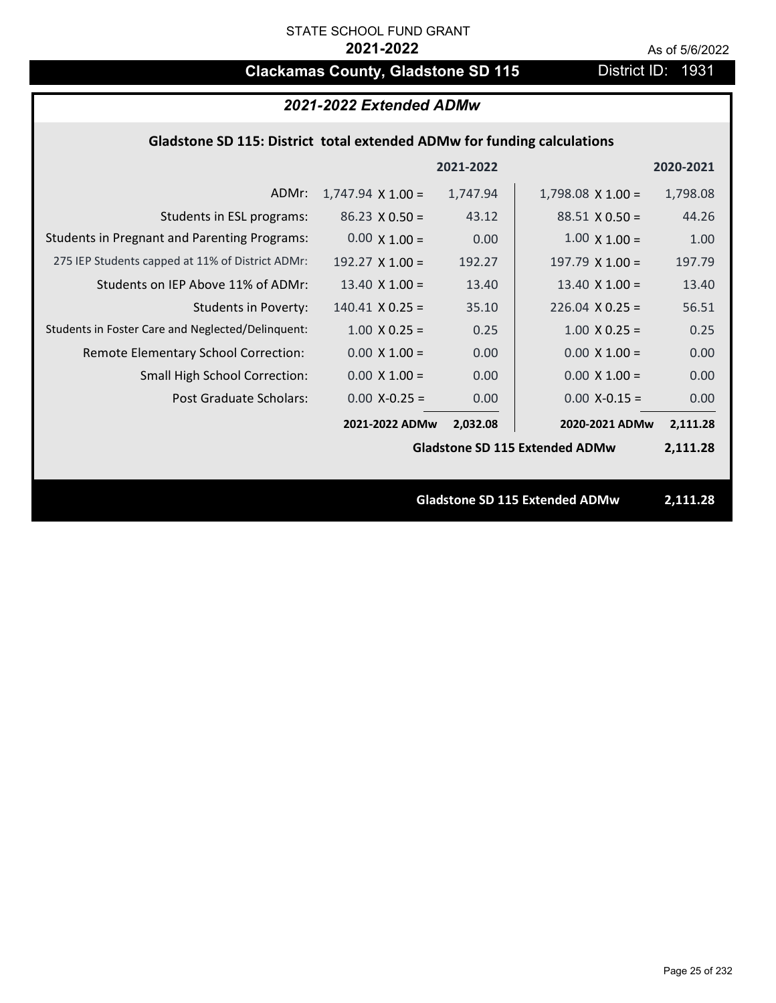# **Clackamas County, Gladstone SD 115** District ID: 1931

| 2021-2022 Extended ADMw                                                 |                          |           |                                       |           |
|-------------------------------------------------------------------------|--------------------------|-----------|---------------------------------------|-----------|
| Gladstone SD 115: District total extended ADMw for funding calculations |                          |           |                                       |           |
|                                                                         |                          | 2021-2022 |                                       | 2020-2021 |
| ADMr:                                                                   | $1,747.94 \times 1.00 =$ | 1,747.94  | $1,798.08 \times 1.00 =$              | 1,798.08  |
| Students in ESL programs:                                               | $86.23 \times 0.50 =$    | 43.12     | $88.51 \times 0.50 =$                 | 44.26     |
| <b>Students in Pregnant and Parenting Programs:</b>                     | $0.00 \times 1.00 =$     | 0.00      | $1.00 \times 1.00 =$                  | 1.00      |
| 275 IEP Students capped at 11% of District ADMr:                        | 192.27 $X$ 1.00 =        | 192.27    | 197.79 $X$ 1.00 =                     | 197.79    |
| Students on IEP Above 11% of ADMr:                                      | $13.40 \times 1.00 =$    | 13.40     | $13.40 \times 1.00 =$                 | 13.40     |
| <b>Students in Poverty:</b>                                             | $140.41$ X 0.25 =        | 35.10     | $226.04$ X 0.25 =                     | 56.51     |
| Students in Foster Care and Neglected/Delinquent:                       | $1.00 \times 0.25 =$     | 0.25      | $1.00 \times 0.25 =$                  | 0.25      |
| Remote Elementary School Correction:                                    | $0.00 \times 1.00 =$     | 0.00      | $0.00 \times 1.00 =$                  | 0.00      |
| <b>Small High School Correction:</b>                                    | $0.00 \times 1.00 =$     | 0.00      | $0.00 \times 1.00 =$                  | 0.00      |
| Post Graduate Scholars:                                                 | $0.00$ X-0.25 =          | 0.00      | $0.00$ X-0.15 =                       | 0.00      |
|                                                                         | 2021-2022 ADMw           | 2,032.08  | 2020-2021 ADMw                        | 2,111.28  |
|                                                                         |                          |           | <b>Gladstone SD 115 Extended ADMw</b> | 2,111.28  |
|                                                                         |                          |           |                                       |           |
|                                                                         |                          |           | <b>Gladstone SD 115 Extended ADMw</b> | 2,111.28  |
|                                                                         |                          |           |                                       |           |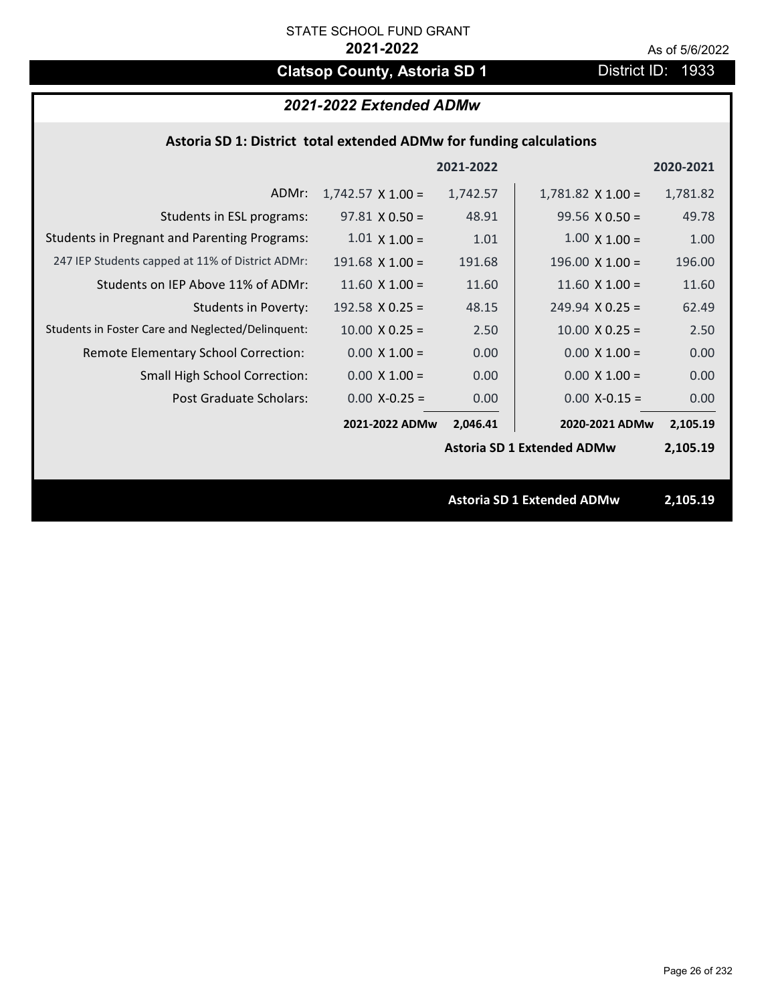# **Clatsop County, Astoria SD 1** District ID: 1933

## *2021-2022 Extended ADMw*

## **Astoria SD 1: District total extended ADMw for funding calculations**

|                                                     |                          | 2021-2022 |                                   | 2020-2021 |
|-----------------------------------------------------|--------------------------|-----------|-----------------------------------|-----------|
| ADMr:                                               | $1,742.57 \times 1.00 =$ | 1,742.57  | $1,781.82 \times 1.00 =$          | 1,781.82  |
| Students in ESL programs:                           | $97.81 \times 0.50 =$    | 48.91     | $99.56 \times 0.50 =$             | 49.78     |
| <b>Students in Pregnant and Parenting Programs:</b> | $1.01 \times 1.00 =$     | 1.01      | $1.00 \times 1.00 =$              | 1.00      |
| 247 IEP Students capped at 11% of District ADMr:    | $191.68$ X 1.00 =        | 191.68    | $196.00 \times 1.00 =$            | 196.00    |
| Students on IEP Above 11% of ADMr:                  | $11.60$ X $1.00 =$       | 11.60     | $11.60$ X $1.00 =$                | 11.60     |
| <b>Students in Poverty:</b>                         | 192.58 $X$ 0.25 =        | 48.15     | $249.94 \times 0.25 =$            | 62.49     |
| Students in Foster Care and Neglected/Delinquent:   | $10.00 \times 0.25 =$    | 2.50      | $10.00 \times 0.25 =$             | 2.50      |
| Remote Elementary School Correction:                | $0.00 \times 1.00 =$     | 0.00      | $0.00 \times 1.00 =$              | 0.00      |
| <b>Small High School Correction:</b>                | $0.00 \times 1.00 =$     | 0.00      | $0.00 \times 1.00 =$              | 0.00      |
| Post Graduate Scholars:                             | $0.00$ X-0.25 =          | 0.00      | $0.00$ X-0.15 =                   | 0.00      |
|                                                     | 2021-2022 ADMw           | 2,046.41  | 2020-2021 ADMw                    | 2,105.19  |
|                                                     |                          |           | <b>Astoria SD 1 Extended ADMw</b> | 2,105.19  |
|                                                     |                          |           |                                   |           |
|                                                     |                          |           | <b>Astoria SD 1 Extended ADMw</b> | 2,105.19  |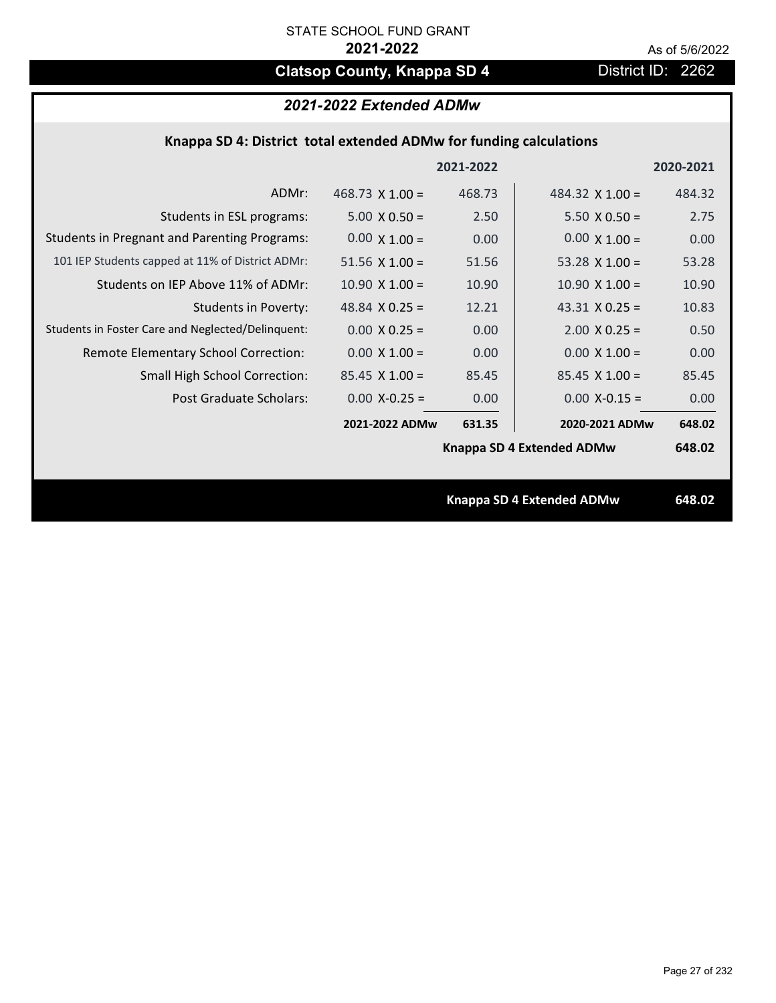# **Clatsop County, Knappa SD 4** District ID: 2262

# *2021-2022 Extended ADMw*

| Knappa SD 4: District total extended ADMw for funding calculations |  |  |  |
|--------------------------------------------------------------------|--|--|--|
|--------------------------------------------------------------------|--|--|--|

|                                                     |                        | 2021-2022 |                           | 2020-2021 |
|-----------------------------------------------------|------------------------|-----------|---------------------------|-----------|
| ADMr:                                               | $468.73 \times 1.00 =$ | 468.73    | 484.32 $\times$ 1.00 =    | 484.32    |
| Students in ESL programs:                           | $5.00 \times 0.50 =$   | 2.50      | $5.50 \times 0.50 =$      | 2.75      |
| <b>Students in Pregnant and Parenting Programs:</b> | $0.00 \times 1.00 =$   | 0.00      | $0.00 \times 1.00 =$      | 0.00      |
| 101 IEP Students capped at 11% of District ADMr:    | $51.56 \times 1.00 =$  | 51.56     | 53.28 $\times$ 1.00 =     | 53.28     |
| Students on IEP Above 11% of ADMr:                  | $10.90 \times 1.00 =$  | 10.90     | $10.90 \times 1.00 =$     | 10.90     |
| <b>Students in Poverty:</b>                         | 48.84 $X$ 0.25 =       | 12.21     | 43.31 $X$ 0.25 =          | 10.83     |
| Students in Foster Care and Neglected/Delinquent:   | $0.00 \times 0.25 =$   | 0.00      | $2.00 \times 0.25 =$      | 0.50      |
| Remote Elementary School Correction:                | $0.00 \times 1.00 =$   | 0.00      | $0.00 \times 1.00 =$      | 0.00      |
| <b>Small High School Correction:</b>                | $85.45 \times 1.00 =$  | 85.45     | $85.45 \times 1.00 =$     | 85.45     |
| Post Graduate Scholars:                             | $0.00$ X-0.25 =        | 0.00      | $0.00$ X-0.15 =           | 0.00      |
|                                                     | 2021-2022 ADMw         | 631.35    | 2020-2021 ADMw            | 648.02    |
|                                                     |                        |           | Knappa SD 4 Extended ADMw | 648.02    |
|                                                     |                        |           |                           |           |
|                                                     |                        |           | Knappa SD 4 Extended ADMw | 648.02    |
|                                                     |                        |           |                           |           |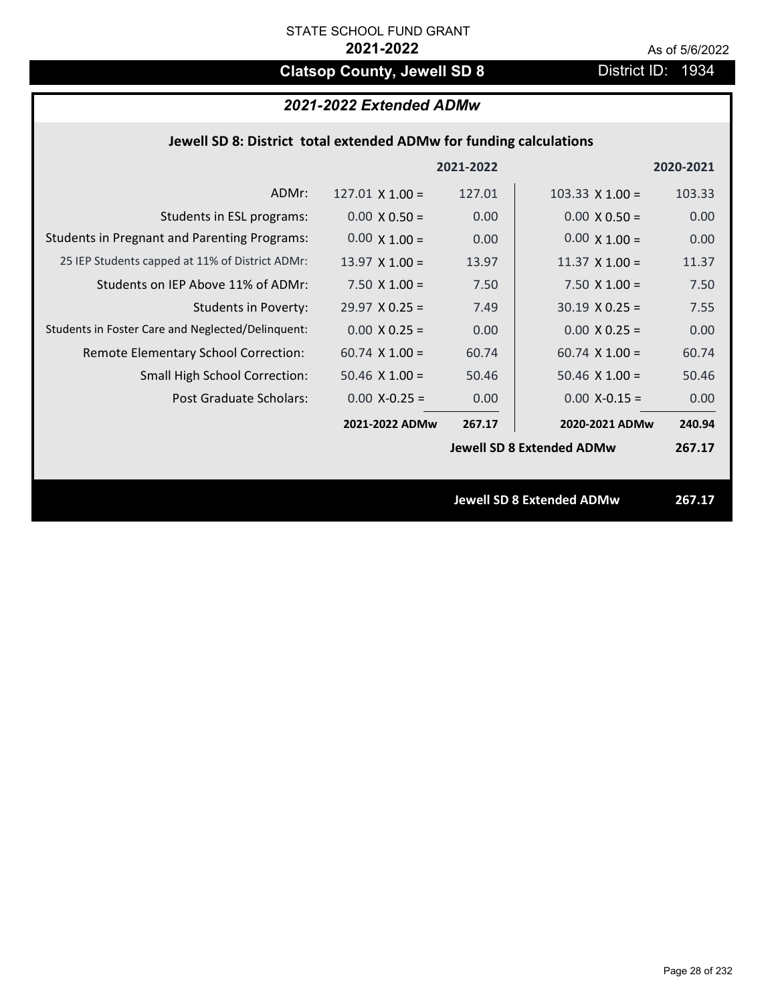# **Clatsop County, Jewell SD 8** District ID: 1934

# *2021-2022 Extended ADMw*

| Jewell SD 8: District total extended ADMw for funding calculations |                        |           |                       |           |
|--------------------------------------------------------------------|------------------------|-----------|-----------------------|-----------|
|                                                                    |                        | 2021-2022 |                       | 2020-2021 |
| ADMr:                                                              | $127.01 \times 1.00 =$ | 127.01    | 103.33 $X$ 1.00 =     | 103.33    |
| Students in ESL programs:                                          | $0.00 \times 0.50 =$   | 0.00      | $0.00 \times 0.50 =$  | 0.00      |
| <b>Students in Pregnant and Parenting Programs:</b>                | $0.00 \times 1.00 =$   | 0.00      | $0.00 \times 1.00 =$  | 0.00      |
| 25 IEP Students capped at 11% of District ADMr:                    | $13.97 \times 1.00 =$  | 13.97     | $11.37 \times 1.00 =$ | 11.37     |
| Students on IEP Above 11% of ADMr:                                 | $7.50 \times 1.00 =$   | 7.50      | $7.50 \times 1.00 =$  | 7.50      |
| <b>Students in Poverty:</b>                                        | $29.97 \times 0.25 =$  | 7.49      | $30.19 \times 0.25 =$ | 7.55      |
| Students in Foster Care and Neglected/Delinquent:                  | $0.00 \times 0.25 =$   | 0.00      | $0.00 \times 0.25 =$  | 0.00      |
| Remote Elementary School Correction:                               | $60.74 \times 1.00 =$  | 60.74     | $60.74 \times 1.00 =$ | 60.74     |

**267.17 240.94 2021‐2022 ADMw 2020‐2021 ADMw** Small High School Correction:  $50.46 \times 1.00 = 50.46$ 50.46 X 1.00 = 50.46 **Jewell SD 8 Extended ADMw** Post Graduate Scholars:  $0.00 \text{ X} - 0.25 = 0.00 \text{ X} - 0.15 = 0.00 \text{ X} - 0.15 = 0.00 \text{ X} - 0.00 \text{ X} - 0.00 \text{ X} - 0.00 \text{ X} - 0.00 \text{ X} - 0.00 \text{ X} - 0.00 \text{ X} - 0.00 \text{ X} - 0.00 \text{ X} - 0.00 \text{ X} - 0.00 \text{ X} - 0.00 \text{ X} - 0.00 \text{ X} - 0.$ 

**Jewell SD 8 Extended ADMw 267.17**

**267.17**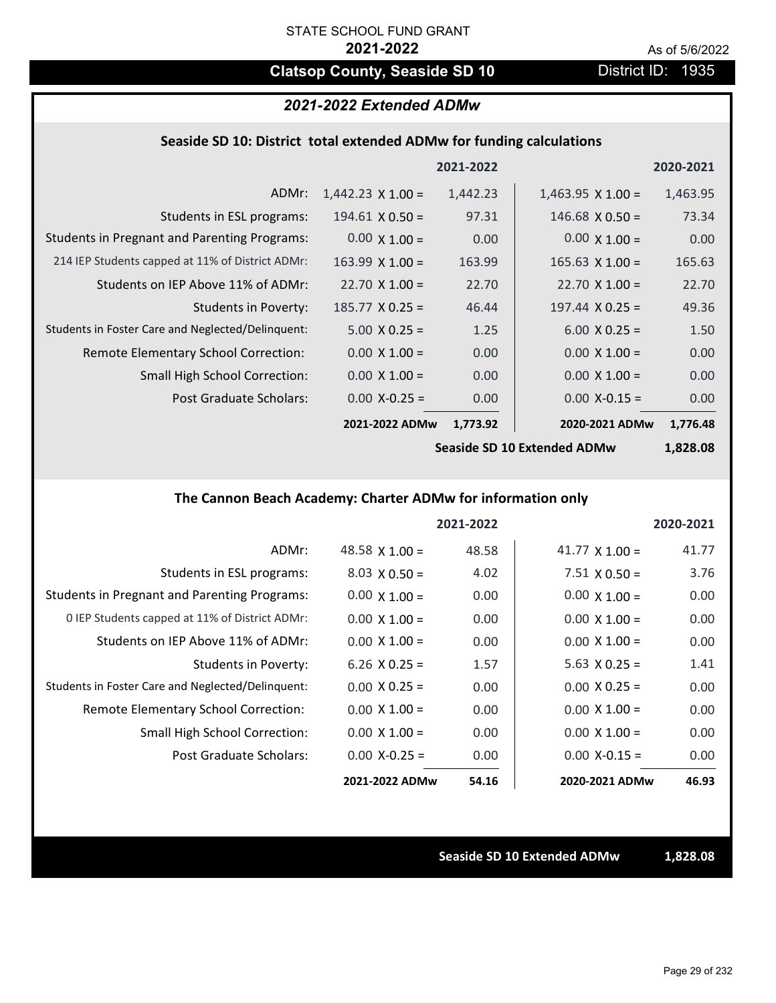# **Clatsop County, Seaside SD 10** District ID: 1935

## *2021-2022 Extended ADMw*

## **Seaside SD 10: District total extended ADMw for funding calculations**

|                                                     |                          | 2021-2022 |                          | 2020-2021 |
|-----------------------------------------------------|--------------------------|-----------|--------------------------|-----------|
| ADMr:                                               | $1,442.23 \times 1.00 =$ | 1,442.23  | $1,463.95 \times 1.00 =$ | 1,463.95  |
| Students in ESL programs:                           | $194.61$ X 0.50 =        | 97.31     | $146.68 \times 0.50 =$   | 73.34     |
| <b>Students in Pregnant and Parenting Programs:</b> | $0.00 \times 1.00 =$     | 0.00      | $0.00 \times 1.00 =$     | 0.00      |
| 214 IEP Students capped at 11% of District ADMr:    | $163.99 \times 1.00 =$   | 163.99    | $165.63 \times 1.00 =$   | 165.63    |
| Students on IEP Above 11% of ADMr:                  | $22.70 \times 1.00 =$    | 22.70     | $22.70 \times 1.00 =$    | 22.70     |
| <b>Students in Poverty:</b>                         | $185.77 \times 0.25 =$   | 46.44     | $197.44 \times 0.25 =$   | 49.36     |
| Students in Foster Care and Neglected/Delinquent:   | $5.00 \times 0.25 =$     | 1.25      | $6.00 \times 0.25 =$     | 1.50      |
| Remote Elementary School Correction:                | $0.00 \times 1.00 =$     | 0.00      | $0.00 \times 1.00 =$     | 0.00      |
| <b>Small High School Correction:</b>                | $0.00 \times 1.00 =$     | 0.00      | $0.00 \times 1.00 =$     | 0.00      |
| Post Graduate Scholars:                             | $0.00$ X-0.25 =          | 0.00      | $0.00$ X-0.15 =          | 0.00      |
|                                                     | 2021-2022 ADMw           | 1,773.92  | 2020-2021 ADMw           | 1,776.48  |

**Seaside SD 10 Extended ADMw**

**1,828.08**

## **The Cannon Beach Academy: Charter ADMw for information only**

|                                                     |                       | 2021-2022 |                       | 2020-2021 |
|-----------------------------------------------------|-----------------------|-----------|-----------------------|-----------|
| ADMr:                                               | 48.58 $\times$ 1.00 = | 48.58     | 41.77 $\times$ 1.00 = | 41.77     |
| Students in ESL programs:                           | $8.03 \times 0.50 =$  | 4.02      | $7.51 \times 0.50 =$  | 3.76      |
| <b>Students in Pregnant and Parenting Programs:</b> | $0.00 \times 1.00 =$  | 0.00      | $0.00 \times 1.00 =$  | 0.00      |
| 0 IEP Students capped at 11% of District ADMr:      | $0.00 \times 1.00 =$  | 0.00      | $0.00 \times 1.00 =$  | 0.00      |
| Students on IEP Above 11% of ADMr:                  | $0.00 \times 1.00 =$  | 0.00      | $0.00 \times 1.00 =$  | 0.00      |
| Students in Poverty:                                | 6.26 $X$ 0.25 =       | 1.57      | $5.63 \times 0.25 =$  | 1.41      |
| Students in Foster Care and Neglected/Delinquent:   | $0.00 \times 0.25 =$  | 0.00      | $0.00 \times 0.25 =$  | 0.00      |
| Remote Elementary School Correction:                | $0.00 \times 1.00 =$  | 0.00      | $0.00 \times 1.00 =$  | 0.00      |
| <b>Small High School Correction:</b>                | $0.00 \times 1.00 =$  | 0.00      | $0.00 \times 1.00 =$  | 0.00      |
| Post Graduate Scholars:                             | $0.00 X - 0.25 =$     | 0.00      | $0.00 X - 0.15 =$     | 0.00      |
|                                                     | 2021-2022 ADMw        | 54.16     | 2020-2021 ADMw        | 46.93     |

**Seaside SD 10 Extended ADMw 1,828.08**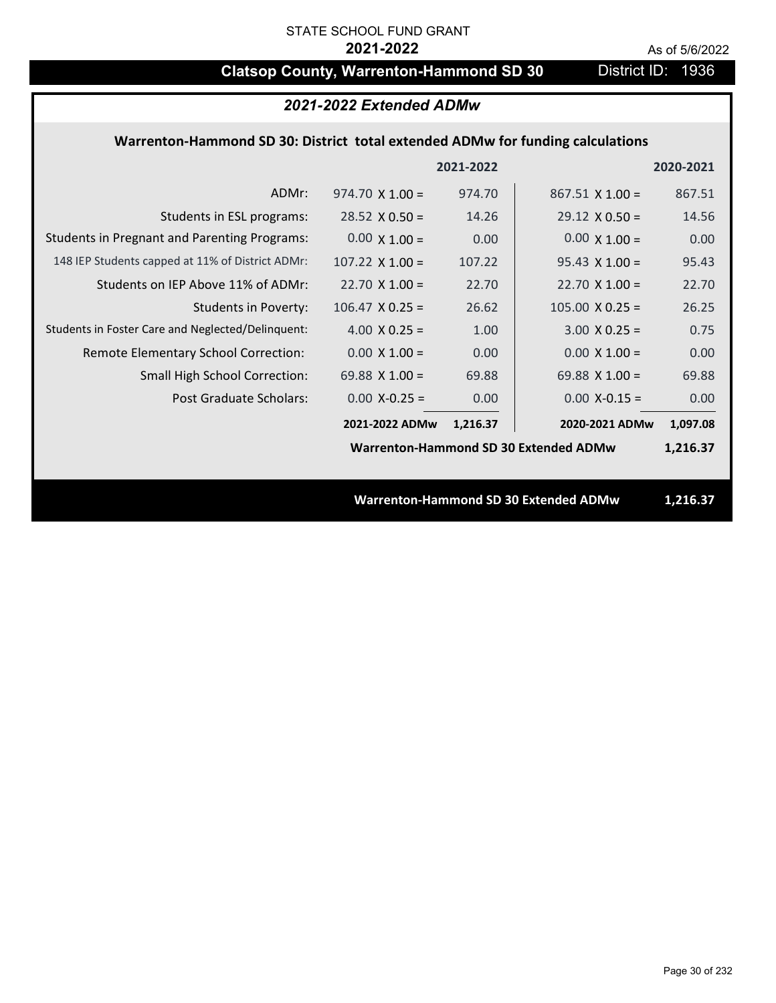# **Clatsop County, Warrenton-Hammond SD 30** District ID: 1936

| 2021-2022 Extended ADMw                                                        |                        |           |                                              |           |  |
|--------------------------------------------------------------------------------|------------------------|-----------|----------------------------------------------|-----------|--|
| Warrenton-Hammond SD 30: District total extended ADMw for funding calculations |                        |           |                                              |           |  |
|                                                                                |                        | 2021-2022 |                                              | 2020-2021 |  |
| ADMr:                                                                          | $974.70 \times 1.00 =$ | 974.70    | $867.51 \times 1.00 =$                       | 867.51    |  |
| Students in ESL programs:                                                      | $28.52 \times 0.50 =$  | 14.26     | $29.12 \times 0.50 =$                        | 14.56     |  |
| <b>Students in Pregnant and Parenting Programs:</b>                            | $0.00 \times 1.00 =$   | 0.00      | $0.00 \times 1.00 =$                         | 0.00      |  |
| 148 IEP Students capped at 11% of District ADMr:                               | $107.22 \times 1.00 =$ | 107.22    | $95.43 \times 1.00 =$                        | 95.43     |  |
| Students on IEP Above 11% of ADMr:                                             | $22.70 \times 1.00 =$  | 22.70     | $22.70 \times 1.00 =$                        | 22.70     |  |
| <b>Students in Poverty:</b>                                                    | $106.47$ X 0.25 =      | 26.62     | $105.00 \times 0.25 =$                       | 26.25     |  |
| Students in Foster Care and Neglected/Delinquent:                              | 4.00 $X$ 0.25 =        | 1.00      | $3.00 X 0.25 =$                              | 0.75      |  |
| Remote Elementary School Correction:                                           | $0.00 \times 1.00 =$   | 0.00      | $0.00 \times 1.00 =$                         | 0.00      |  |
| <b>Small High School Correction:</b>                                           | 69.88 $\times$ 1.00 =  | 69.88     | 69.88 $\times$ 1.00 =                        | 69.88     |  |
| Post Graduate Scholars:                                                        | $0.00$ X-0.25 =        | 0.00      | $0.00$ X-0.15 =                              | 0.00      |  |
|                                                                                | 2021-2022 ADMw         | 1,216.37  | 2020-2021 ADMw                               | 1,097.08  |  |
|                                                                                |                        |           | <b>Warrenton-Hammond SD 30 Extended ADMw</b> | 1,216.37  |  |
|                                                                                |                        |           |                                              |           |  |
|                                                                                |                        |           | <b>Warrenton-Hammond SD 30 Extended ADMw</b> | 1,216.37  |  |
|                                                                                |                        |           |                                              |           |  |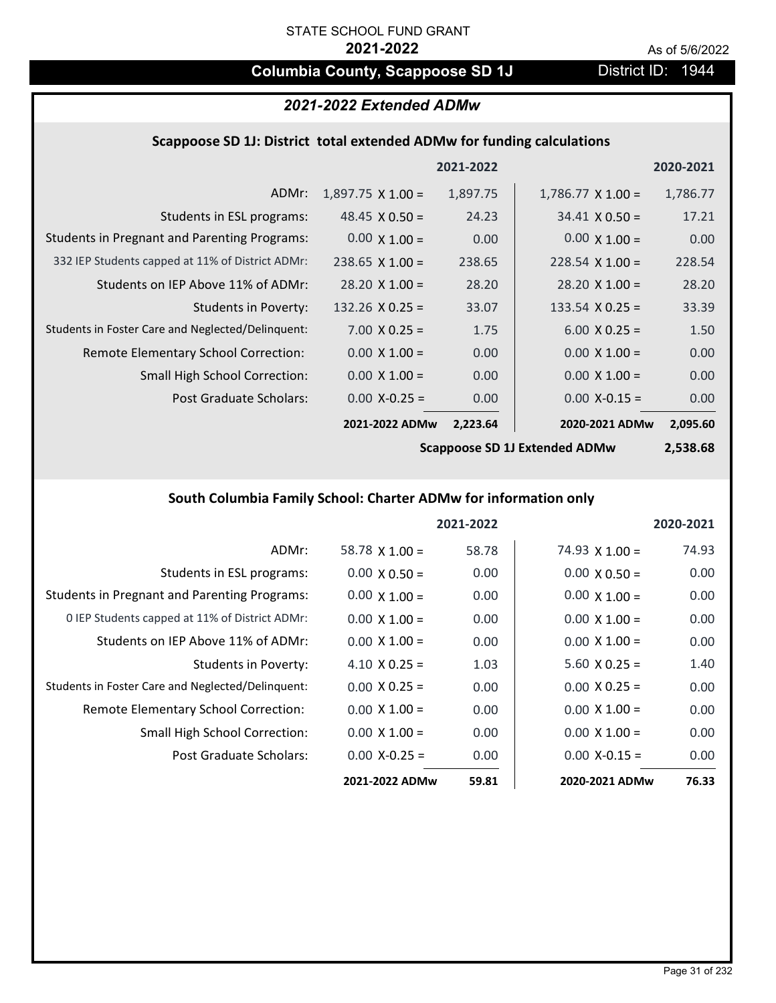# **Columbia County, Scappoose SD 1J** District ID: 1944

# *2021-2022 Extended ADMw*

## **Scappoose SD 1J: District total extended ADMw for funding calculations**

|                                                     |                          | 2021-2022 |                          | 2020-2021 |
|-----------------------------------------------------|--------------------------|-----------|--------------------------|-----------|
| ADMr:                                               | $1,897.75 \times 1.00 =$ | 1,897.75  | $1,786.77 \times 1.00 =$ | 1,786.77  |
| Students in ESL programs:                           | $48.45 \times 0.50 =$    | 24.23     | $34.41 \times 0.50 =$    | 17.21     |
| <b>Students in Pregnant and Parenting Programs:</b> | $0.00 \times 1.00 =$     | 0.00      | $0.00 \times 1.00 =$     | 0.00      |
| 332 IEP Students capped at 11% of District ADMr:    | $238.65 \times 1.00 =$   | 238.65    | $228.54 \times 1.00 =$   | 228.54    |
| Students on IEP Above 11% of ADMr:                  | $28.20 \times 1.00 =$    | 28.20     | $28.20 \times 1.00 =$    | 28.20     |
| <b>Students in Poverty:</b>                         | $132.26 \times 0.25 =$   | 33.07     | 133.54 $X$ 0.25 =        | 33.39     |
| Students in Foster Care and Neglected/Delinquent:   | $7.00 \times 0.25 =$     | 1.75      | $6.00 \times 0.25 =$     | 1.50      |
| Remote Elementary School Correction:                | $0.00 \times 1.00 =$     | 0.00      | $0.00 \times 1.00 =$     | 0.00      |
| <b>Small High School Correction:</b>                | $0.00 \times 1.00 =$     | 0.00      | $0.00 \times 1.00 =$     | 0.00      |
| Post Graduate Scholars:                             | $0.00$ X-0.25 =          | 0.00      | $0.00$ X-0.15 =          | 0.00      |
|                                                     | 2021-2022 ADMw           | 2,223.64  | 2020-2021 ADMw           | 2,095.60  |

**Scappoose SD 1J Extended ADMw**

**2,538.68**

## **South Columbia Family School: Charter ADMw for information only**

|                                                     |                      | 2021-2022 |                       | 2020-2021 |
|-----------------------------------------------------|----------------------|-----------|-----------------------|-----------|
| ADMr:                                               | 58.78 $X$ 1.00 =     | 58.78     | $74.93 \times 1.00 =$ | 74.93     |
| Students in ESL programs:                           | $0.00 \times 0.50 =$ | 0.00      | $0.00 \times 0.50 =$  | 0.00      |
| <b>Students in Pregnant and Parenting Programs:</b> | $0.00 \times 1.00 =$ | 0.00      | $0.00 \times 1.00 =$  | 0.00      |
| 0 IEP Students capped at 11% of District ADMr:      | $0.00 \times 1.00 =$ | 0.00      | $0.00 \times 1.00 =$  | 0.00      |
| Students on IEP Above 11% of ADMr:                  | $0.00 \times 1.00 =$ | 0.00      | $0.00 \times 1.00 =$  | 0.00      |
| Students in Poverty:                                | $4.10 \times 0.25 =$ | 1.03      | $5.60 \times 0.25 =$  | 1.40      |
| Students in Foster Care and Neglected/Delinquent:   | $0.00 \times 0.25 =$ | 0.00      | $0.00 \times 0.25 =$  | 0.00      |
| Remote Elementary School Correction:                | $0.00 \times 1.00 =$ | 0.00      | $0.00 \times 1.00 =$  | 0.00      |
| <b>Small High School Correction:</b>                | $0.00 \times 1.00 =$ | 0.00      | $0.00 \times 1.00 =$  | 0.00      |
| Post Graduate Scholars:                             | $0.00 X - 0.25 =$    | 0.00      | $0.00 X - 0.15 =$     | 0.00      |
|                                                     | 2021-2022 ADMw       | 59.81     | 2020-2021 ADMw        | 76.33     |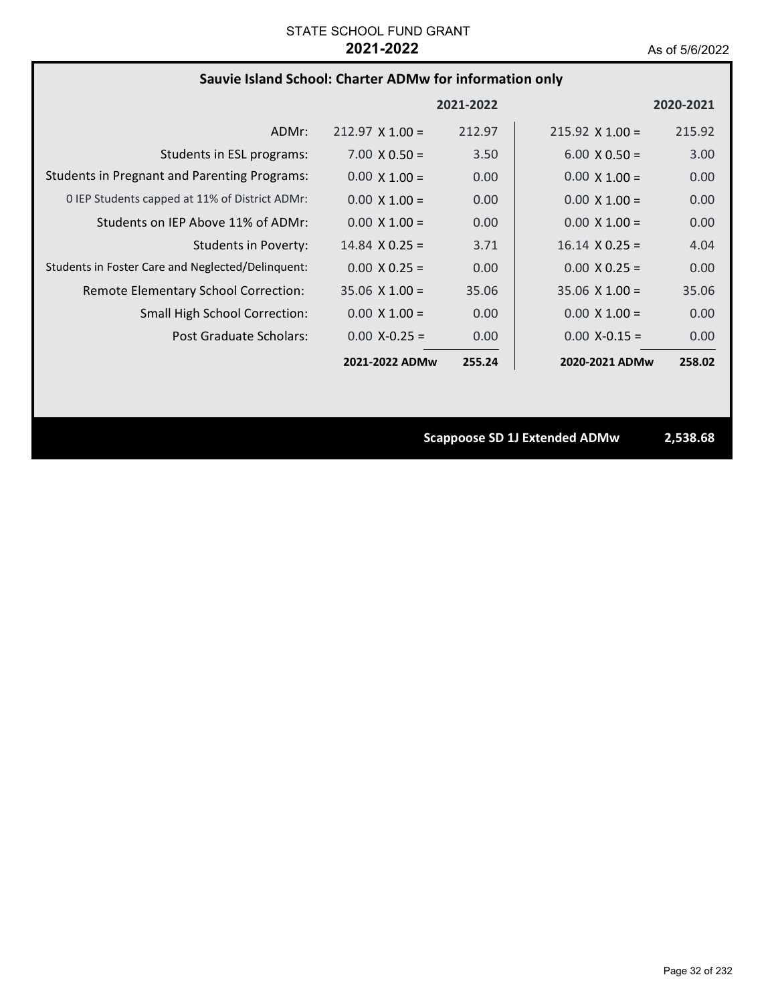# **Sauvie Island School: Charter ADMw for information only**

|                                                     |                        | 2021-2022 |                        | 2020-2021 |
|-----------------------------------------------------|------------------------|-----------|------------------------|-----------|
| ADMr:                                               | $212.97 \times 1.00 =$ | 212.97    | $215.92 \times 1.00 =$ | 215.92    |
| Students in ESL programs:                           | $7.00 \times 0.50 =$   | 3.50      | $6.00 \times 0.50 =$   | 3.00      |
| <b>Students in Pregnant and Parenting Programs:</b> | $0.00 \times 1.00 =$   | 0.00      | $0.00 \times 1.00 =$   | 0.00      |
| 0 IEP Students capped at 11% of District ADMr:      | $0.00 \times 1.00 =$   | 0.00      | $0.00 \times 1.00 =$   | 0.00      |
| Students on IEP Above 11% of ADMr:                  | $0.00 \times 1.00 =$   | 0.00      | $0.00 \times 1.00 =$   | 0.00      |
| Students in Poverty:                                | $14.84 \times 0.25 =$  | 3.71      | $16.14 \times 0.25 =$  | 4.04      |
| Students in Foster Care and Neglected/Delinquent:   | $0.00 \times 0.25 =$   | 0.00      | $0.00 \times 0.25 =$   | 0.00      |
| Remote Elementary School Correction:                | $35.06 \times 1.00 =$  | 35.06     | $35.06 \times 1.00 =$  | 35.06     |
| <b>Small High School Correction:</b>                | $0.00 \times 1.00 =$   | 0.00      | $0.00 \times 1.00 =$   | 0.00      |
| Post Graduate Scholars:                             | $0.00 X - 0.25 =$      | 0.00      | $0.00 X - 0.15 =$      | 0.00      |
|                                                     | 2021-2022 ADMw         | 255.24    | 2020-2021 ADMw         | 258.02    |

**Scappoose SD 1J Extended ADMw 2,538.68**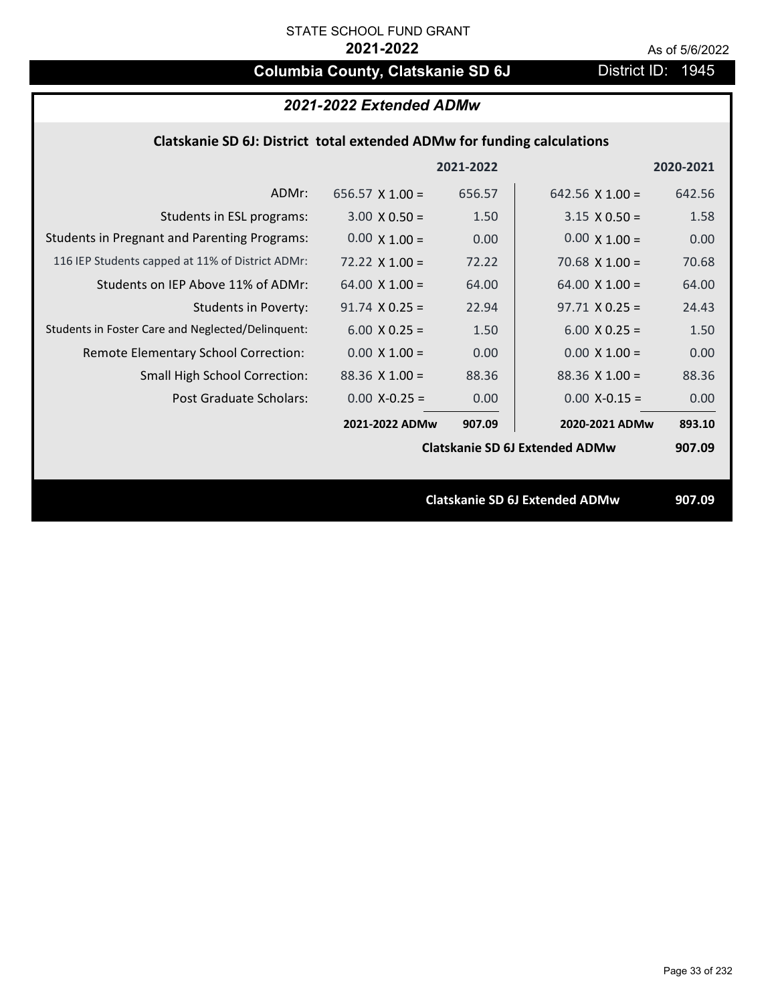# **Columbia County, Clatskanie SD 6J** District ID: 1945

|           | 2021-2022 Extended ADMw                                                 |           |                       |                                                     |  |  |
|-----------|-------------------------------------------------------------------------|-----------|-----------------------|-----------------------------------------------------|--|--|
|           | Clatskanie SD 6J: District total extended ADMw for funding calculations |           |                       |                                                     |  |  |
| 2020-2021 |                                                                         | 2021-2022 |                       |                                                     |  |  |
| 642.56    | 642.56 $\times$ 1.00 =                                                  | 656.57    | 656.57 $X$ 1.00 =     | ADMr:                                               |  |  |
| 1.58      | $3.15 \times 0.50 =$                                                    | 1.50      | $3.00 \times 0.50 =$  | Students in ESL programs:                           |  |  |
| 0.00      | $0.00 \times 1.00 =$                                                    | 0.00      | $0.00 \times 1.00 =$  | <b>Students in Pregnant and Parenting Programs:</b> |  |  |
| 70.68     | 70.68 $X$ 1.00 =                                                        | 72.22     | $72.22 \times 1.00 =$ | 116 IEP Students capped at 11% of District ADMr:    |  |  |
| 64.00     | $64.00 \times 1.00 =$                                                   | 64.00     | $64.00 \times 1.00 =$ | Students on IEP Above 11% of ADMr:                  |  |  |
| 24.43     | $97.71 \times 0.25 =$                                                   | 22.94     | $91.74$ X 0.25 =      | <b>Students in Poverty:</b>                         |  |  |
| 1.50      | $6.00 \times 0.25 =$                                                    | 1.50      | $6.00 \times 0.25 =$  | Students in Foster Care and Neglected/Delinquent:   |  |  |
| 0.00      | $0.00 \times 1.00 =$                                                    | 0.00      | $0.00 \times 1.00 =$  | Remote Elementary School Correction:                |  |  |
| 88.36     | $88.36$ X 1.00 =                                                        | 88.36     | $88.36$ X 1.00 =      | <b>Small High School Correction:</b>                |  |  |
| 0.00      | $0.00$ X-0.15 =                                                         | 0.00      | $0.00 X - 0.25 =$     | Post Graduate Scholars:                             |  |  |
| 893.10    | 2020-2021 ADMw                                                          | 907.09    | 2021-2022 ADMw        |                                                     |  |  |

**Clatskanie SD 6J Extended ADMw**

**Clatskanie SD 6J Extended ADMw 907.09**

**907.09**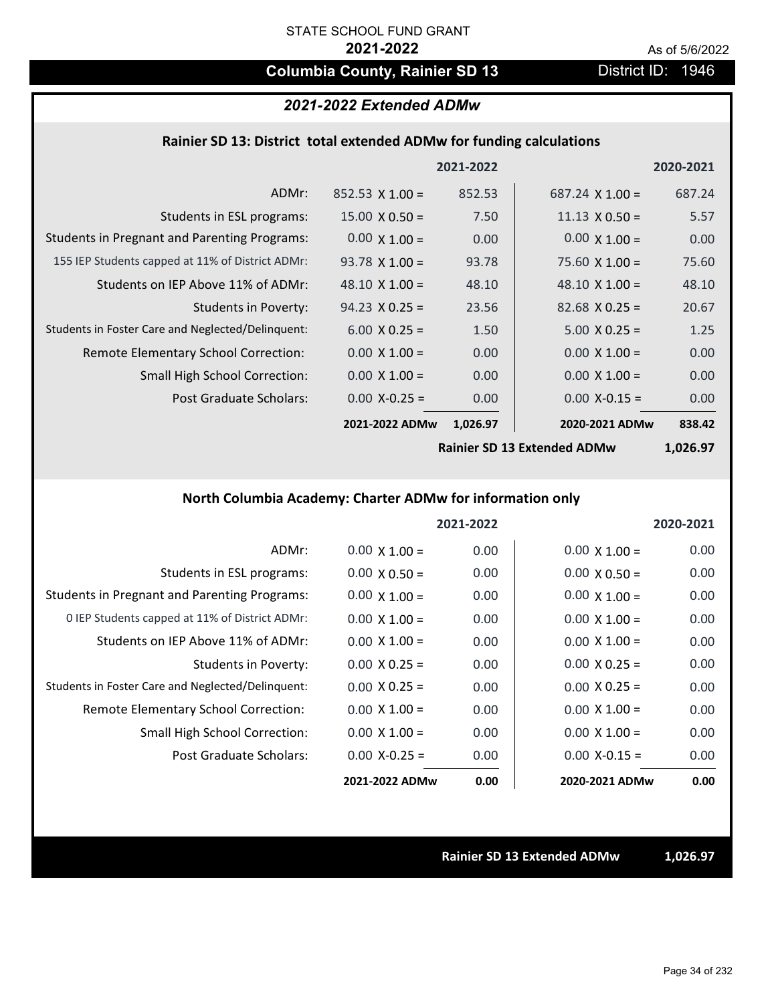# **Columbia County, Rainier SD 13** District ID: 1946

# *2021-2022 Extended ADMw*

## **Rainier SD 13: District total extended ADMw for funding calculations**

|                                                     |                        | 2021-2022 |                        | 2020-2021 |
|-----------------------------------------------------|------------------------|-----------|------------------------|-----------|
| ADMr:                                               | $852.53 \times 1.00 =$ | 852.53    | $687.24 \times 1.00 =$ | 687.24    |
| Students in ESL programs:                           | $15.00 \times 0.50 =$  | 7.50      | $11.13 \times 0.50 =$  | 5.57      |
| <b>Students in Pregnant and Parenting Programs:</b> | $0.00 \times 1.00 =$   | 0.00      | $0.00 \times 1.00 =$   | 0.00      |
| 155 IEP Students capped at 11% of District ADMr:    | $93.78 \times 1.00 =$  | 93.78     | $75.60 \times 1.00 =$  | 75.60     |
| Students on IEP Above 11% of ADMr:                  | 48.10 $\times$ 1.00 =  | 48.10     | 48.10 $\times$ 1.00 =  | 48.10     |
| <b>Students in Poverty:</b>                         | $94.23 \times 0.25 =$  | 23.56     | $82.68 \times 0.25 =$  | 20.67     |
| Students in Foster Care and Neglected/Delinquent:   | $6.00 \times 0.25 =$   | 1.50      | $5.00 \times 0.25 =$   | 1.25      |
| Remote Elementary School Correction:                | $0.00 \times 1.00 =$   | 0.00      | $0.00 \times 1.00 =$   | 0.00      |
| <b>Small High School Correction:</b>                | $0.00 \times 1.00 =$   | 0.00      | $0.00 \times 1.00 =$   | 0.00      |
| Post Graduate Scholars:                             | $0.00 X - 0.25 =$      | 0.00      | $0.00 X - 0.15 =$      | 0.00      |
|                                                     | 2021-2022 ADMw         | 1,026.97  | 2020-2021 ADMw         | 838.42    |

**Rainier SD 13 Extended ADMw**

**1,026.97**

# **North Columbia Academy: Charter ADMw for information only**

|                                                     |                      | 2021-2022 |                      | 2020-2021 |
|-----------------------------------------------------|----------------------|-----------|----------------------|-----------|
| ADMr:                                               | $0.00 \times 1.00 =$ | 0.00      | $0.00 \times 1.00 =$ | 0.00      |
| Students in ESL programs:                           | $0.00 \times 0.50 =$ | 0.00      | $0.00 \times 0.50 =$ | 0.00      |
| <b>Students in Pregnant and Parenting Programs:</b> | $0.00 \times 1.00 =$ | 0.00      | $0.00 \times 1.00 =$ | 0.00      |
| 0 IEP Students capped at 11% of District ADMr:      | $0.00 \times 1.00 =$ | 0.00      | $0.00 \times 1.00 =$ | 0.00      |
| Students on IEP Above 11% of ADMr:                  | $0.00 \times 1.00 =$ | 0.00      | $0.00 \times 1.00 =$ | 0.00      |
| Students in Poverty:                                | $0.00 \times 0.25 =$ | 0.00      | $0.00 \times 0.25 =$ | 0.00      |
| Students in Foster Care and Neglected/Delinquent:   | $0.00 \times 0.25 =$ | 0.00      | $0.00 \times 0.25 =$ | 0.00      |
| Remote Elementary School Correction:                | $0.00 \times 1.00 =$ | 0.00      | $0.00 \times 1.00 =$ | 0.00      |
| <b>Small High School Correction:</b>                | $0.00 \times 1.00 =$ | 0.00      | $0.00 \times 1.00 =$ | 0.00      |
| Post Graduate Scholars:                             | $0.00$ X-0.25 =      | 0.00      | $0.00$ X-0.15 =      | 0.00      |
|                                                     | 2021-2022 ADMw       | 0.00      | 2020-2021 ADMw       | 0.00      |

**Rainier SD 13 Extended ADMw 1,026.97**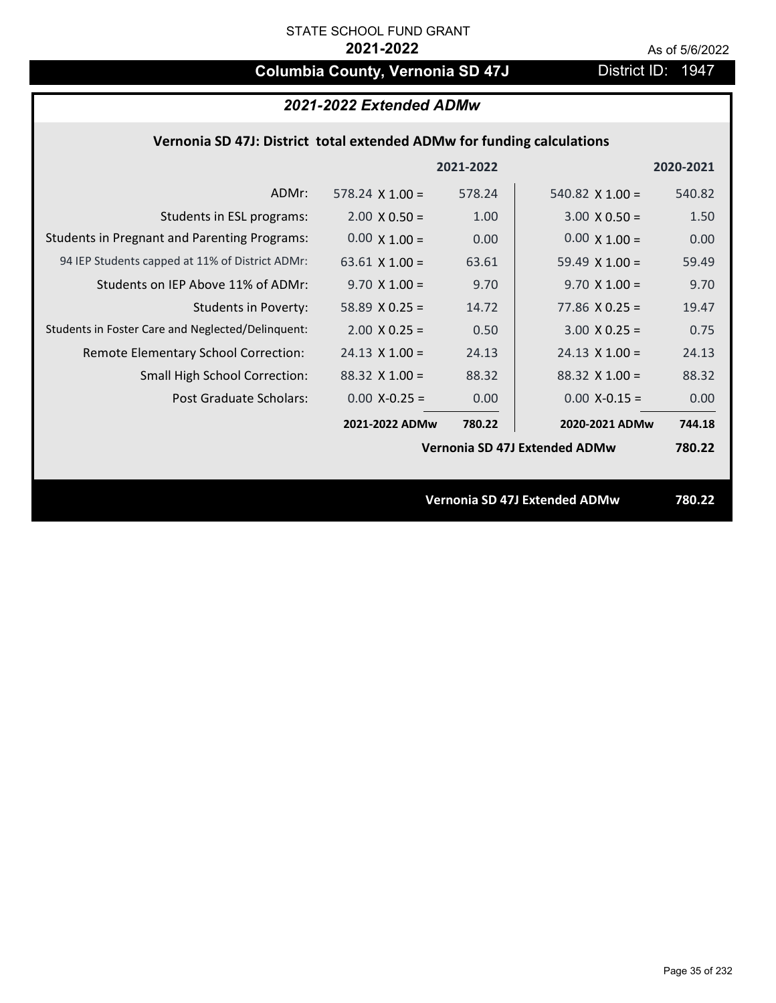# **Columbia County, Vernonia SD 47J** District ID: 1947

| 2021-2022 Extended ADMw |  |  |
|-------------------------|--|--|
|-------------------------|--|--|

## **Vernonia SD 47J: District total extended ADMw for funding calculations**

|                                                     |                       | 2021-2022 |                                      | 2020-2021 |
|-----------------------------------------------------|-----------------------|-----------|--------------------------------------|-----------|
| ADMr:                                               | $578.24$ X $1.00 =$   | 578.24    | 540.82 $\times$ 1.00 =               | 540.82    |
| Students in ESL programs:                           | $2.00 \times 0.50 =$  | 1.00      | $3.00 \times 0.50 =$                 | 1.50      |
| <b>Students in Pregnant and Parenting Programs:</b> | $0.00 \times 1.00 =$  | 0.00      | $0.00 \times 1.00 =$                 | 0.00      |
| 94 IEP Students capped at 11% of District ADMr:     | 63.61 $\times$ 1.00 = | 63.61     | 59.49 $\times$ 1.00 =                | 59.49     |
| Students on IEP Above 11% of ADMr:                  | $9.70 \times 1.00 =$  | 9.70      | $9.70$ X $1.00 =$                    | 9.70      |
| <b>Students in Poverty:</b>                         | 58.89 $X$ 0.25 =      | 14.72     | $77.86$ X 0.25 =                     | 19.47     |
| Students in Foster Care and Neglected/Delinquent:   | $2.00 \times 0.25 =$  | 0.50      | $3.00 \times 0.25 =$                 | 0.75      |
| Remote Elementary School Correction:                | $24.13 \times 1.00 =$ | 24.13     | $24.13 \times 1.00 =$                | 24.13     |
| <b>Small High School Correction:</b>                | $88.32 \times 1.00 =$ | 88.32     | $88.32$ X 1.00 =                     | 88.32     |
| Post Graduate Scholars:                             | $0.00 X - 0.25 =$     | 0.00      | $0.00$ X-0.15 =                      | 0.00      |
|                                                     | 2021-2022 ADMw        | 780.22    | 2020-2021 ADMw                       | 744.18    |
|                                                     |                       |           | Vernonia SD 47J Extended ADMw        | 780.22    |
|                                                     |                       |           |                                      |           |
|                                                     |                       |           | <b>Vernonia SD 47J Extended ADMw</b> | 780.22    |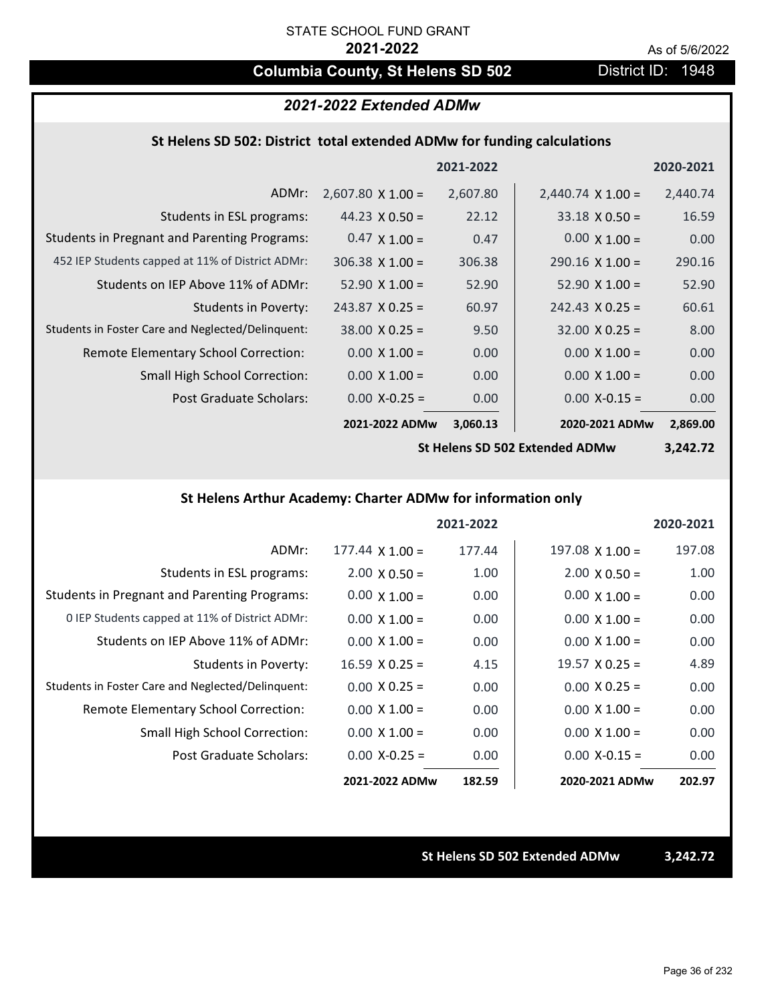# **Columbia County, St Helens SD 502** District ID: 1948

## *2021-2022 Extended ADMw*

## **St Helens SD 502: District total extended ADMw for funding calculations**

|                                                     |                          | 2021-2022 |                          | 2020-2021 |
|-----------------------------------------------------|--------------------------|-----------|--------------------------|-----------|
| ADMr:                                               | $2,607.80 \times 1.00 =$ | 2,607.80  | $2,440.74 \times 1.00 =$ | 2,440.74  |
| Students in ESL programs:                           | 44.23 $\times$ 0.50 =    | 22.12     | $33.18 \times 0.50 =$    | 16.59     |
| <b>Students in Pregnant and Parenting Programs:</b> | $0.47 \times 1.00 =$     | 0.47      | $0.00 \times 1.00 =$     | 0.00      |
| 452 IEP Students capped at 11% of District ADMr:    | $306.38 \times 1.00 =$   | 306.38    | $290.16 \times 1.00 =$   | 290.16    |
| Students on IEP Above 11% of ADMr:                  | $52.90 \times 1.00 =$    | 52.90     | $52.90 \times 1.00 =$    | 52.90     |
| Students in Poverty:                                | $243.87$ X 0.25 =        | 60.97     | $242.43 \times 0.25 =$   | 60.61     |
| Students in Foster Care and Neglected/Delinquent:   | $38.00 \times 0.25 =$    | 9.50      | $32.00 \times 0.25 =$    | 8.00      |
| Remote Elementary School Correction:                | $0.00 \times 1.00 =$     | 0.00      | $0.00 \times 1.00 =$     | 0.00      |
| <b>Small High School Correction:</b>                | $0.00 \times 1.00 =$     | 0.00      | $0.00 \times 1.00 =$     | 0.00      |
| Post Graduate Scholars:                             | $0.00 X - 0.25 =$        | 0.00      | $0.00$ X-0.15 =          | 0.00      |
|                                                     | 2021-2022 ADMw           | 3,060.13  | 2020-2021 ADMw           | 2,869.00  |

**St Helens SD 502 Extended ADMw**

**3,242.72**

## **St Helens Arthur Academy: Charter ADMw for information only**

|                                                     |                        | 2021-2022 |                        | 2020-2021 |
|-----------------------------------------------------|------------------------|-----------|------------------------|-----------|
| ADMr:                                               | $177.44 \times 1.00 =$ | 177.44    | $197.08 \times 1.00 =$ | 197.08    |
| Students in ESL programs:                           | $2.00 \times 0.50 =$   | 1.00      | $2.00 \times 0.50 =$   | 1.00      |
| <b>Students in Pregnant and Parenting Programs:</b> | $0.00 \times 1.00 =$   | 0.00      | $0.00 \times 1.00 =$   | 0.00      |
| 0 IEP Students capped at 11% of District ADMr:      | $0.00 \times 1.00 =$   | 0.00      | $0.00 \times 1.00 =$   | 0.00      |
| Students on IEP Above 11% of ADMr:                  | $0.00 \times 1.00 =$   | 0.00      | $0.00 \times 1.00 =$   | 0.00      |
| Students in Poverty:                                | $16.59 \times 0.25 =$  | 4.15      | $19.57 \times 0.25 =$  | 4.89      |
| Students in Foster Care and Neglected/Delinquent:   | $0.00 \times 0.25 =$   | 0.00      | $0.00 \times 0.25 =$   | 0.00      |
| Remote Elementary School Correction:                | $0.00 \times 1.00 =$   | 0.00      | $0.00 \times 1.00 =$   | 0.00      |
| <b>Small High School Correction:</b>                | $0.00 \times 1.00 =$   | 0.00      | $0.00 \times 1.00 =$   | 0.00      |
| Post Graduate Scholars:                             | $0.00$ X-0.25 =        | 0.00      | $0.00$ X-0.15 =        | 0.00      |
|                                                     | 2021-2022 ADMw         | 182.59    | 2020-2021 ADMw         | 202.97    |

**St Helens SD 502 Extended ADMw 3,242.72**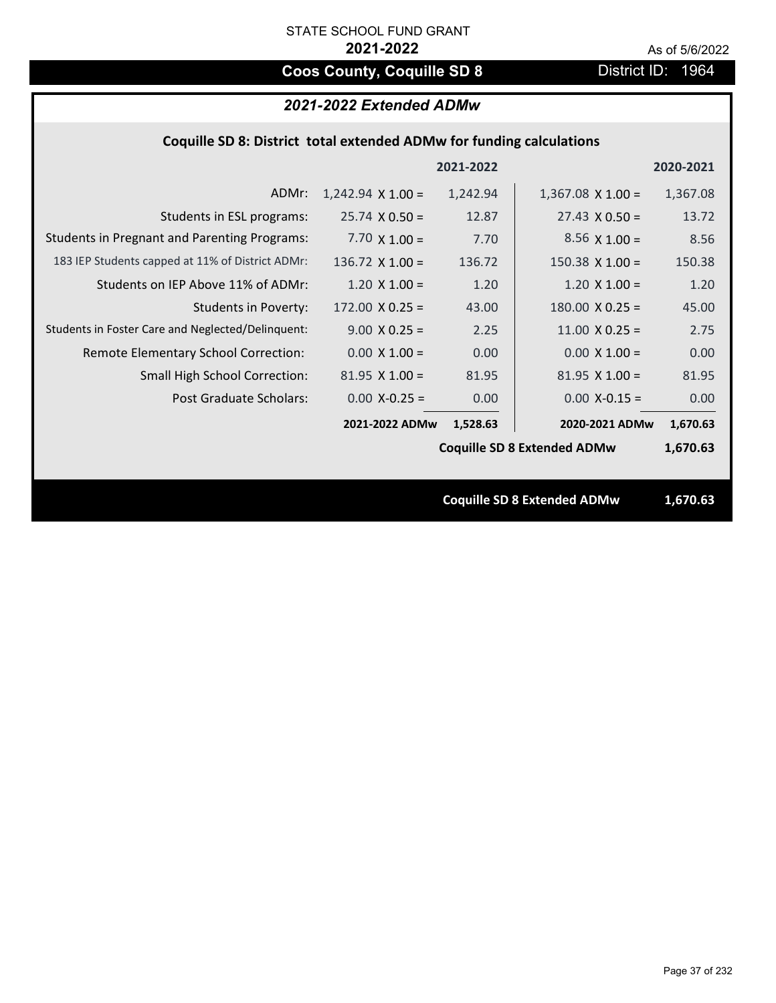# **Coos County, Coquille SD 8** District ID: 1964

|  |  | Coquille SD 8: District total extended ADMw for funding calculations |
|--|--|----------------------------------------------------------------------|
|--|--|----------------------------------------------------------------------|

| 1,367.08 |
|----------|
| 13.72    |
| 8.56     |
| 150.38   |
| 1.20     |
| 45.00    |
| 2.75     |
| 0.00     |
| 81.95    |
| 0.00     |
| 1,670.63 |
| 1,670.63 |
|          |
| 1,670.63 |
|          |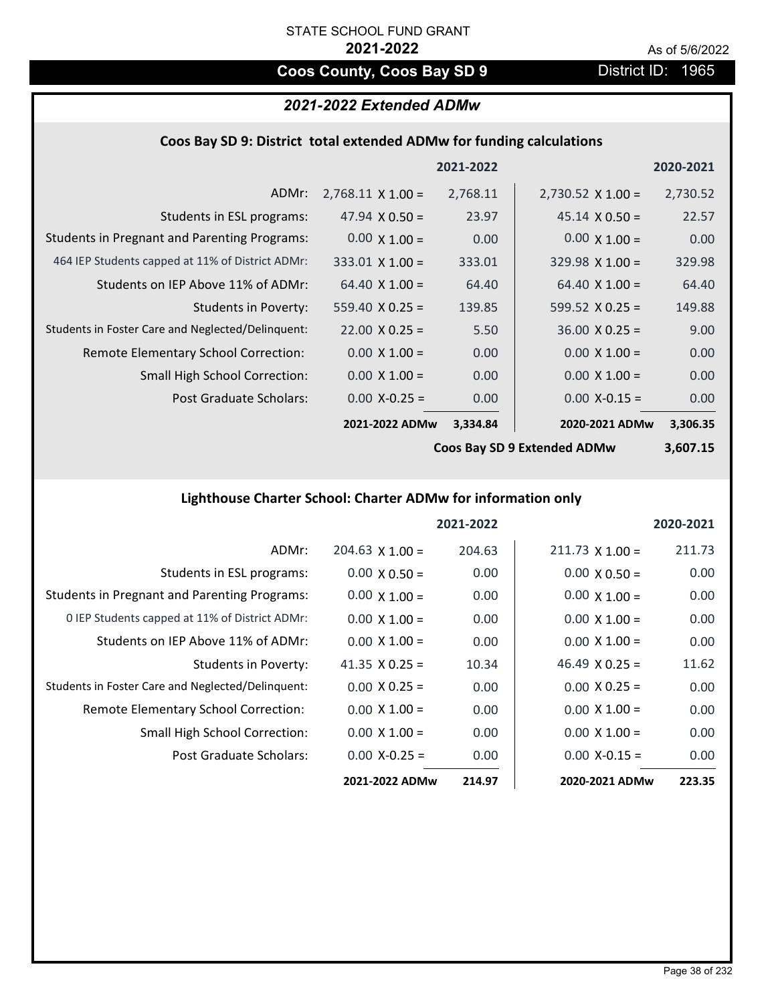# **Coos County, Coos Bay SD 9** District ID: 1965

# *2021-2022 Extended ADMw*

### **Coos Bay SD 9: District total extended ADMw for funding calculations**

|                                                     |                          | 2021-2022 |                          | 2020-2021 |
|-----------------------------------------------------|--------------------------|-----------|--------------------------|-----------|
| ADMr:                                               | $2,768.11 \times 1.00 =$ | 2,768.11  | $2,730.52 \times 1.00 =$ | 2,730.52  |
| Students in ESL programs:                           | 47.94 $\times$ 0.50 =    | 23.97     | $45.14 \times 0.50 =$    | 22.57     |
| <b>Students in Pregnant and Parenting Programs:</b> | $0.00 \times 1.00 =$     | 0.00      | $0.00 \times 1.00 =$     | 0.00      |
| 464 IEP Students capped at 11% of District ADMr:    | $333.01$ X 1.00 =        | 333.01    | $329.98 \times 1.00 =$   | 329.98    |
| Students on IEP Above 11% of ADMr:                  | $64.40 \times 1.00 =$    | 64.40     | $64.40 \times 1.00 =$    | 64.40     |
| <b>Students in Poverty:</b>                         | $559.40 \times 0.25 =$   | 139.85    | 599.52 $X$ 0.25 =        | 149.88    |
| Students in Foster Care and Neglected/Delinquent:   | $22.00 \times 0.25 =$    | 5.50      | $36.00 \times 0.25 =$    | 9.00      |
| Remote Elementary School Correction:                | $0.00 \times 1.00 =$     | 0.00      | $0.00 \times 1.00 =$     | 0.00      |
| <b>Small High School Correction:</b>                | $0.00 \times 1.00 =$     | 0.00      | $0.00 \times 1.00 =$     | 0.00      |
| Post Graduate Scholars:                             | $0.00$ X-0.25 =          | 0.00      | $0.00$ X-0.15 =          | 0.00      |
|                                                     | 2021-2022 ADMw           | 3,334.84  | 2020-2021 ADMw           | 3,306.35  |

**Coos Bay SD 9 Extended ADMw**

**3,607.15**

# **Lighthouse Charter School: Charter ADMw for information only**

|                                                     |                       | 2021-2022 |                        | 2020-2021 |
|-----------------------------------------------------|-----------------------|-----------|------------------------|-----------|
| ADMr:                                               | $204.63$ X 1.00 =     | 204.63    | $211.73 \times 1.00 =$ | 211.73    |
| Students in ESL programs:                           | $0.00 \times 0.50 =$  | 0.00      | $0.00 \times 0.50 =$   | 0.00      |
| <b>Students in Pregnant and Parenting Programs:</b> | $0.00 \times 1.00 =$  | 0.00      | $0.00 \times 1.00 =$   | 0.00      |
| 0 IEP Students capped at 11% of District ADMr:      | $0.00 \times 1.00 =$  | 0.00      | $0.00 \times 1.00 =$   | 0.00      |
| Students on IEP Above 11% of ADMr:                  | $0.00 \times 1.00 =$  | 0.00      | $0.00 \times 1.00 =$   | 0.00      |
| Students in Poverty:                                | 41.35 $\times$ 0.25 = | 10.34     | 46.49 $\times$ 0.25 =  | 11.62     |
| Students in Foster Care and Neglected/Delinquent:   | $0.00 \times 0.25 =$  | 0.00      | $0.00 \times 0.25 =$   | 0.00      |
| Remote Elementary School Correction:                | $0.00 \times 1.00 =$  | 0.00      | $0.00 \times 1.00 =$   | 0.00      |
| <b>Small High School Correction:</b>                | $0.00 \times 1.00 =$  | 0.00      | $0.00 \times 1.00 =$   | 0.00      |
| Post Graduate Scholars:                             | $0.00 X - 0.25 =$     | 0.00      | $0.00 X - 0.15 =$      | 0.00      |
|                                                     | 2021-2022 ADMw        | 214.97    | 2020-2021 ADMw         | 223.35    |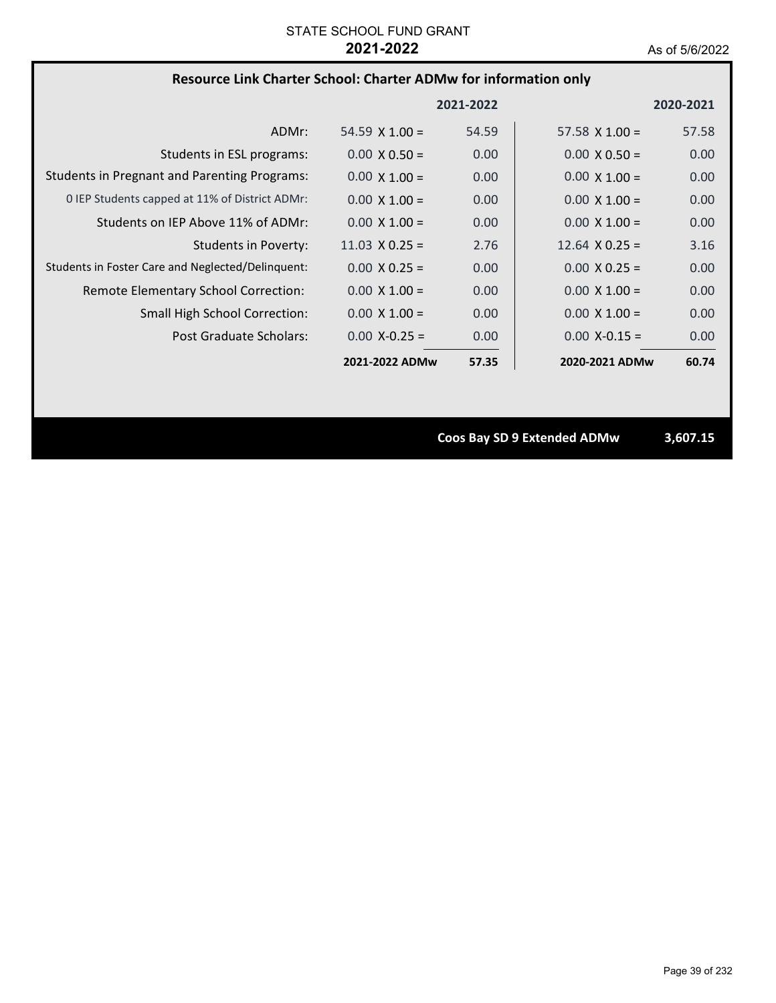### **Resource Link Charter School: Charter ADMw for information only**

|                                                     |                       | 2021-2022         |                       | 2020-2021 |
|-----------------------------------------------------|-----------------------|-------------------|-----------------------|-----------|
| ADMr:                                               | 54.59 $\times$ 1.00 = | 54.59             | $57.58 \times 1.00 =$ | 57.58     |
| Students in ESL programs:                           | $0.00 \times 0.50 =$  | 0.00 <sub>1</sub> | $0.00 \times 0.50 =$  | 0.00      |
| <b>Students in Pregnant and Parenting Programs:</b> | $0.00 \times 1.00 =$  | 0.00              | $0.00 \times 1.00 =$  | 0.00      |
| 0 IEP Students capped at 11% of District ADMr:      | $0.00 \times 1.00 =$  | 0.00              | $0.00 \times 1.00 =$  | 0.00      |
| Students on IEP Above 11% of ADMr:                  | $0.00 \times 1.00 =$  | 0.00              | $0.00 \times 1.00 =$  | 0.00      |
| Students in Poverty:                                | $11.03 \times 0.25 =$ | 2.76              | $12.64 \times 0.25 =$ | 3.16      |
| Students in Foster Care and Neglected/Delinquent:   | $0.00 \times 0.25 =$  | 0.00 <sub>1</sub> | $0.00 \times 0.25 =$  | 0.00      |
| Remote Elementary School Correction:                | $0.00 \times 1.00 =$  | 0.00              | $0.00 \times 1.00 =$  | 0.00      |
| <b>Small High School Correction:</b>                | $0.00 \times 1.00 =$  | 0.00              | $0.00 \times 1.00 =$  | 0.00      |
| Post Graduate Scholars:                             | $0.00 X - 0.25 =$     | 0.00 <sub>1</sub> | $0.00 X - 0.15 =$     | 0.00      |
|                                                     | 2021-2022 ADMw        | 57.35             | 2020-2021 ADMw        | 60.74     |

**Coos Bay SD 9 Extended ADMw 3,607.15**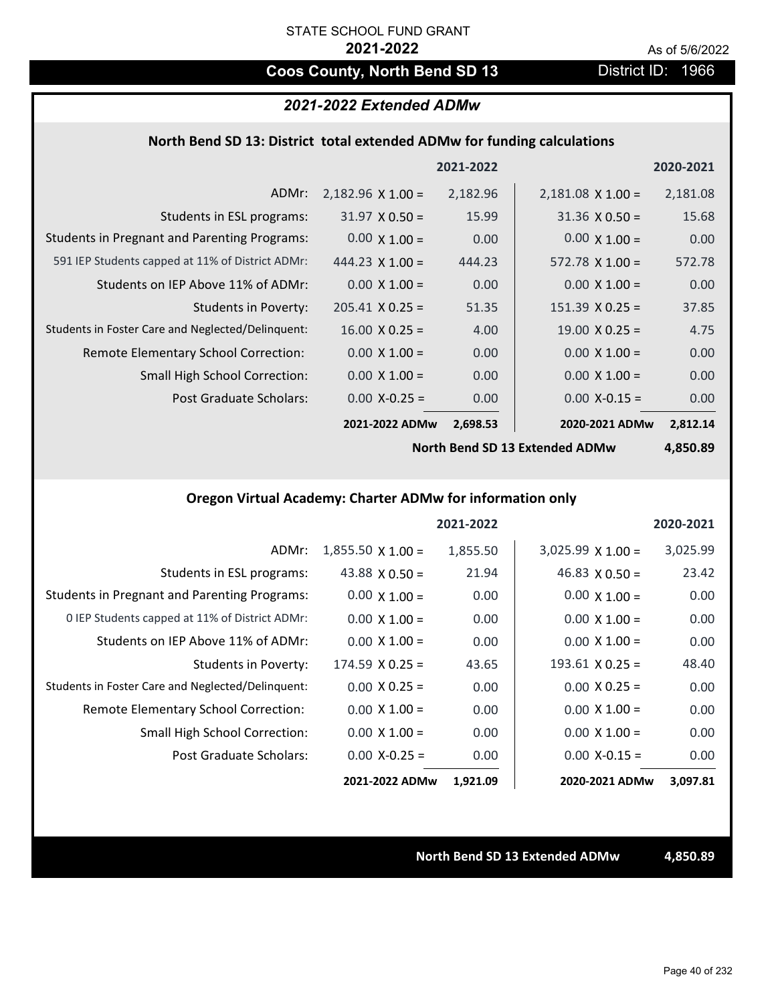# **Coos County, North Bend SD 13** District ID: 1966

## *2021-2022 Extended ADMw*

### **North Bend SD 13: District total extended ADMw for funding calculations**

|                                                     |                          | 2021-2022 |                          | 2020-2021 |
|-----------------------------------------------------|--------------------------|-----------|--------------------------|-----------|
| ADMr:                                               | $2,182.96 \times 1.00 =$ | 2,182.96  | $2,181.08 \times 1.00 =$ | 2,181.08  |
| Students in ESL programs:                           | $31.97 \times 0.50 =$    | 15.99     | $31.36 \times 0.50 =$    | 15.68     |
| <b>Students in Pregnant and Parenting Programs:</b> | $0.00 \times 1.00 =$     | 0.00      | $0.00 \times 1.00 =$     | 0.00      |
| 591 IEP Students capped at 11% of District ADMr:    | $444.23 \times 1.00 =$   | 444.23    | $572.78 \times 1.00 =$   | 572.78    |
| Students on IEP Above 11% of ADMr:                  | $0.00 \times 1.00 =$     | 0.00      | $0.00 \times 1.00 =$     | 0.00      |
| <b>Students in Poverty:</b>                         | $205.41 \times 0.25 =$   | 51.35     | $151.39 \times 0.25 =$   | 37.85     |
| Students in Foster Care and Neglected/Delinquent:   | $16.00 \times 0.25 =$    | 4.00      | $19.00 \times 0.25 =$    | 4.75      |
| Remote Elementary School Correction:                | $0.00 \times 1.00 =$     | 0.00      | $0.00 \times 1.00 =$     | 0.00      |
| <b>Small High School Correction:</b>                | $0.00 \times 1.00 =$     | 0.00      | $0.00 \times 1.00 =$     | 0.00      |
| Post Graduate Scholars:                             | $0.00$ X-0.25 =          | 0.00      | $0.00$ X-0.15 =          | 0.00      |
|                                                     | 2021-2022 ADMw           | 2,698.53  | 2020-2021 ADMw           | 2,812.14  |

**North Bend SD 13 Extended ADMw**

**4,850.89**

# **Oregon Virtual Academy: Charter ADMw for information only**

|                                                     |                          | 2021-2022 |                        | 2020-2021 |
|-----------------------------------------------------|--------------------------|-----------|------------------------|-----------|
| ADMr:                                               | $1,855.50 \times 1.00 =$ | 1,855.50  | $3,025.99$ X $1.00 =$  | 3,025.99  |
| Students in ESL programs:                           | 43.88 $X$ 0.50 =         | 21.94     | $46.83 \times 0.50 =$  | 23.42     |
| <b>Students in Pregnant and Parenting Programs:</b> | $0.00 \times 1.00 =$     | 0.00      | $0.00 \times 1.00 =$   | 0.00      |
| 0 IEP Students capped at 11% of District ADMr:      | $0.00 \times 1.00 =$     | 0.00      | $0.00 \times 1.00 =$   | 0.00      |
| Students on IEP Above 11% of ADMr:                  | $0.00 \times 1.00 =$     | 0.00      | $0.00 \times 1.00 =$   | 0.00      |
| Students in Poverty:                                | $174.59 \times 0.25 =$   | 43.65     | $193.61 \times 0.25 =$ | 48.40     |
| Students in Foster Care and Neglected/Delinquent:   | $0.00 \times 0.25 =$     | 0.00      | $0.00 \times 0.25 =$   | 0.00      |
| <b>Remote Elementary School Correction:</b>         | $0.00 \times 1.00 =$     | 0.00      | $0.00 \times 1.00 =$   | 0.00      |
| <b>Small High School Correction:</b>                | $0.00 \times 1.00 =$     | 0.00      | $0.00 \times 1.00 =$   | 0.00      |
| Post Graduate Scholars:                             | $0.00$ X-0.25 =          | 0.00      | $0.00$ X-0.15 =        | 0.00      |
|                                                     | 2021-2022 ADMw           | 1,921.09  | 2020-2021 ADMw         | 3,097.81  |

### **North Bend SD 13 Extended ADMw 4,850.89**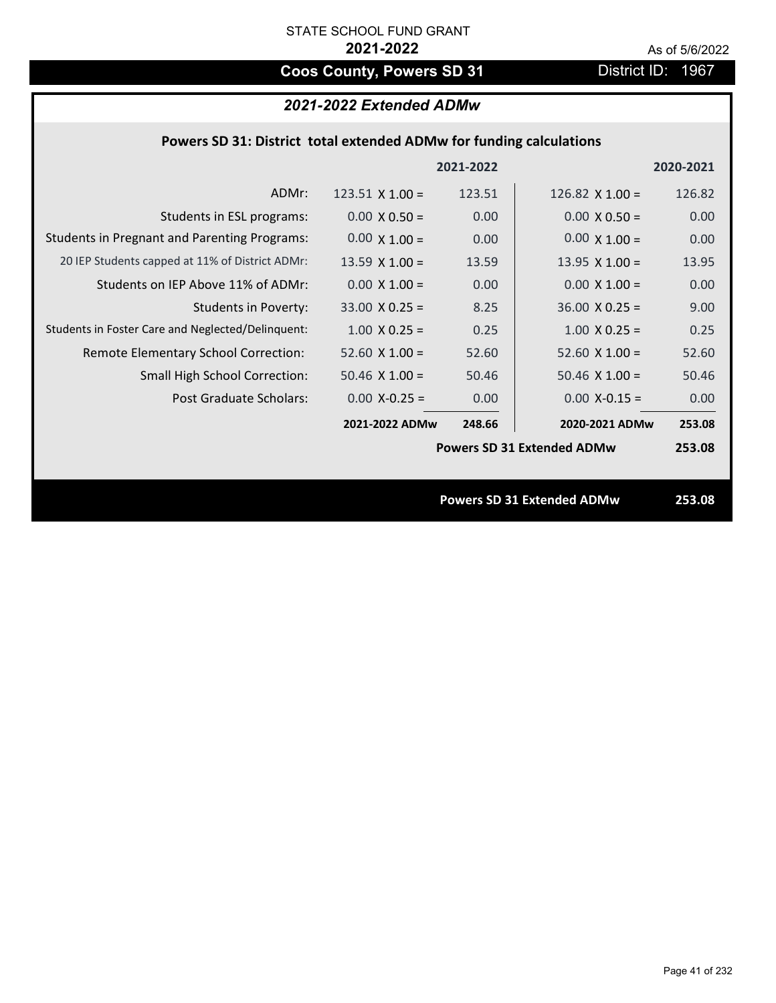# **Coos County, Powers SD 31** District ID: 1967

# *2021-2022 Extended ADMw*

### **Powers SD 31: District total extended ADMw for funding calculations**

|                                                     |                       | 2021-2022 |                                   | 2020-2021 |
|-----------------------------------------------------|-----------------------|-----------|-----------------------------------|-----------|
| ADMr:                                               | 123.51 $X$ 1.00 =     | 123.51    | 126.82 $\times$ 1.00 =            | 126.82    |
| Students in ESL programs:                           | $0.00 \times 0.50 =$  | 0.00      | $0.00 \times 0.50 =$              | 0.00      |
| <b>Students in Pregnant and Parenting Programs:</b> | $0.00 \times 1.00 =$  | 0.00      | $0.00 \times 1.00 =$              | 0.00      |
| 20 IEP Students capped at 11% of District ADMr:     | $13.59 \times 1.00 =$ | 13.59     | 13.95 $X$ 1.00 =                  | 13.95     |
| Students on IEP Above 11% of ADMr:                  | $0.00 \times 1.00 =$  | 0.00      | $0.00 \times 1.00 =$              | 0.00      |
| <b>Students in Poverty:</b>                         | $33.00 \times 0.25 =$ | 8.25      | $36.00 \times 0.25 =$             | 9.00      |
| Students in Foster Care and Neglected/Delinquent:   | $1.00 \times 0.25 =$  | 0.25      | $1.00$ X 0.25 =                   | 0.25      |
| Remote Elementary School Correction:                | $52.60$ X $1.00 =$    | 52.60     | $52.60 \times 1.00 =$             | 52.60     |
| <b>Small High School Correction:</b>                | $50.46 \times 1.00 =$ | 50.46     | $50.46$ X 1.00 =                  | 50.46     |
| Post Graduate Scholars:                             | $0.00 X - 0.25 =$     | 0.00      | $0.00$ X-0.15 =                   | 0.00      |
|                                                     | 2021-2022 ADMw        | 248.66    | 2020-2021 ADMw                    | 253.08    |
|                                                     |                       |           | <b>Powers SD 31 Extended ADMw</b> | 253.08    |
|                                                     |                       |           |                                   |           |
|                                                     |                       |           | <b>Powers SD 31 Extended ADMw</b> | 253.08    |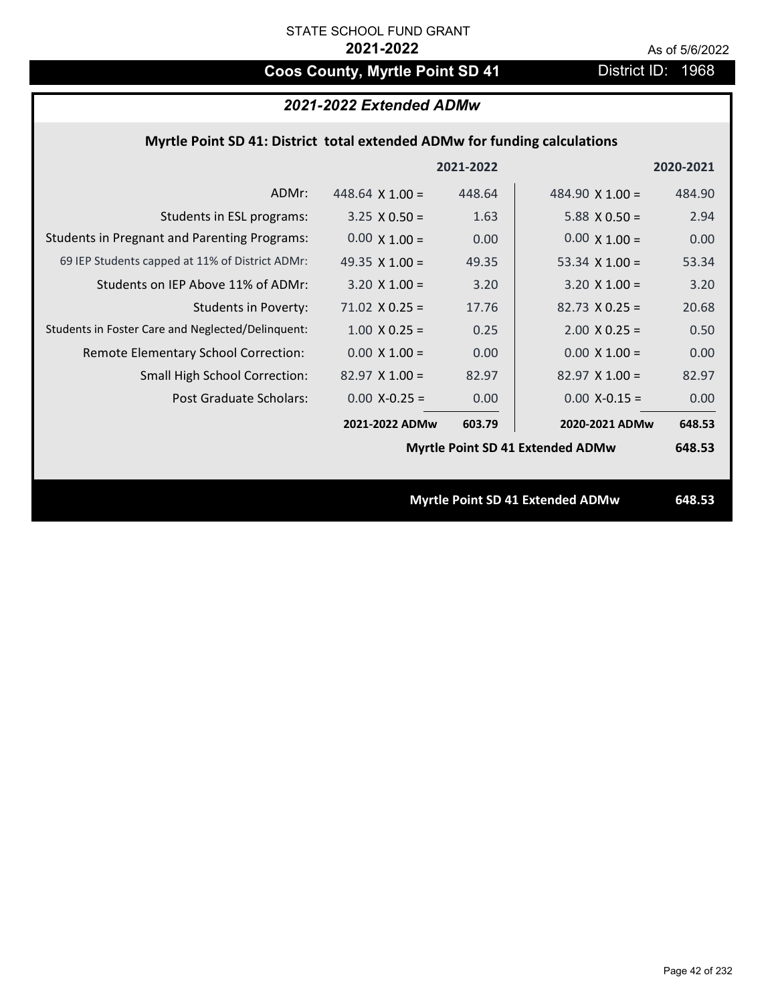# Coos County, Myrtle Point SD 41 District ID: 1968

|  | 2021-2022 Extended ADMw |
|--|-------------------------|
|--|-------------------------|

## **Myrtle Point SD 41: District total extended ADMw for funding calculations**

|                                                     |                        | 2021-2022 |                                         | 2020-2021 |
|-----------------------------------------------------|------------------------|-----------|-----------------------------------------|-----------|
| ADMr:                                               | 448.64 $\times$ 1.00 = | 448.64    | 484.90 $\times$ 1.00 =                  | 484.90    |
| Students in ESL programs:                           | $3.25 \times 0.50 =$   | 1.63      | $5.88 \times 0.50 =$                    | 2.94      |
| <b>Students in Pregnant and Parenting Programs:</b> | $0.00 \times 1.00 =$   | 0.00      | $0.00 \times 1.00 =$                    | 0.00      |
| 69 IEP Students capped at 11% of District ADMr:     | 49.35 $\times$ 1.00 =  | 49.35     | 53.34 $\times$ 1.00 =                   | 53.34     |
| Students on IEP Above 11% of ADMr:                  | $3.20 \times 1.00 =$   | 3.20      | $3.20$ X $1.00 =$                       | 3.20      |
| <b>Students in Poverty:</b>                         | $71.02$ X 0.25 =       | 17.76     | $82.73 \times 0.25 =$                   | 20.68     |
| Students in Foster Care and Neglected/Delinquent:   | $1.00 \times 0.25 =$   | 0.25      | $2.00$ X 0.25 =                         | 0.50      |
| Remote Elementary School Correction:                | $0.00 \times 1.00 =$   | 0.00      | $0.00 \times 1.00 =$                    | 0.00      |
| <b>Small High School Correction:</b>                | $82.97 \times 1.00 =$  | 82.97     | $82.97$ X 1.00 =                        | 82.97     |
| Post Graduate Scholars:                             | $0.00$ X-0.25 =        | 0.00      | $0.00$ X-0.15 =                         | 0.00      |
|                                                     | 2021-2022 ADMw         | 603.79    | 2020-2021 ADMw                          | 648.53    |
|                                                     |                        |           | <b>Myrtle Point SD 41 Extended ADMw</b> | 648.53    |
|                                                     |                        |           |                                         |           |
|                                                     |                        |           | <b>Myrtle Point SD 41 Extended ADMw</b> | 648.53    |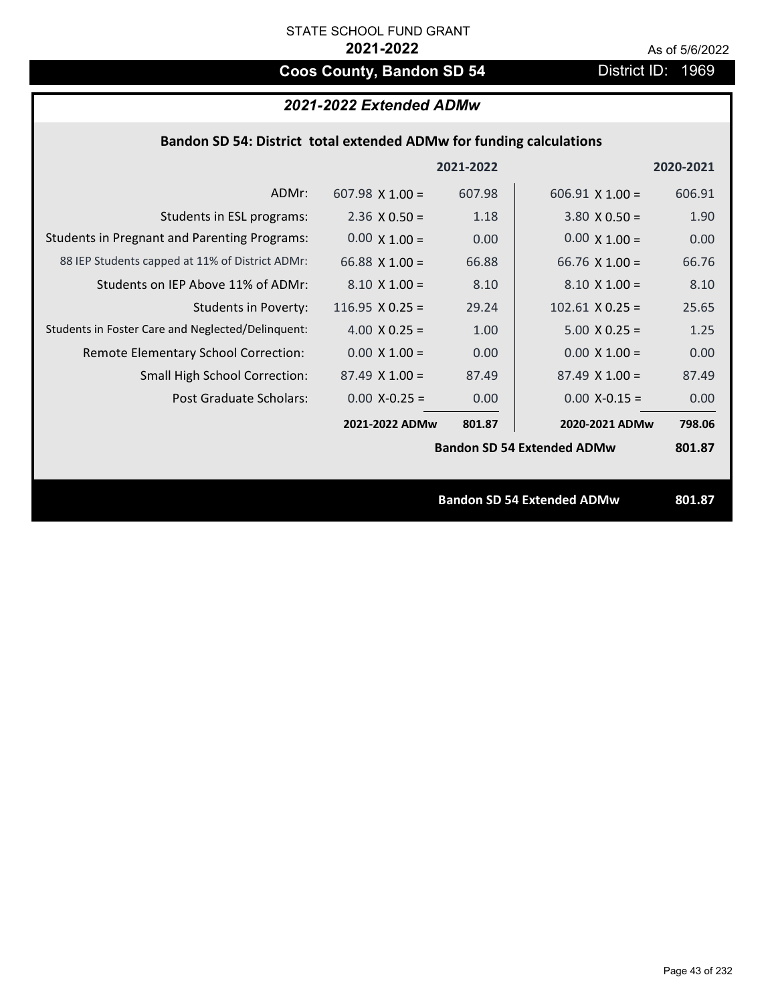# **Coos County, Bandon SD 54** District ID: 1969

# *2021-2022 Extended ADMw*

| Bandon SD 54: District total extended ADMw for funding calculations |  |  |  |
|---------------------------------------------------------------------|--|--|--|
|---------------------------------------------------------------------|--|--|--|

|                                                     |                       | 2021-2022 |                                   | 2020-2021 |
|-----------------------------------------------------|-----------------------|-----------|-----------------------------------|-----------|
| ADMr:                                               | 607.98 $X$ 1.00 =     | 607.98    | $606.91 \times 1.00 =$            | 606.91    |
| Students in ESL programs:                           | $2.36 \times 0.50 =$  | 1.18      | $3.80 \times 0.50 =$              | 1.90      |
| <b>Students in Pregnant and Parenting Programs:</b> | $0.00 \times 1.00 =$  | 0.00      | $0.00 \times 1.00 =$              | 0.00      |
| 88 IEP Students capped at 11% of District ADMr:     | 66.88 $\times$ 1.00 = | 66.88     | 66.76 $\times$ 1.00 =             | 66.76     |
| Students on IEP Above 11% of ADMr:                  | $8.10 \times 1.00 =$  | 8.10      | $8.10 \times 1.00 =$              | 8.10      |
| <b>Students in Poverty:</b>                         | 116.95 $X$ 0.25 =     | 29.24     | $102.61$ X 0.25 =                 | 25.65     |
| Students in Foster Care and Neglected/Delinquent:   | 4.00 $X$ 0.25 =       | 1.00      | $5.00 \times 0.25 =$              | 1.25      |
| Remote Elementary School Correction:                | $0.00 \times 1.00 =$  | 0.00      | $0.00 \times 1.00 =$              | 0.00      |
| <b>Small High School Correction:</b>                | $87.49 \times 1.00 =$ | 87.49     | $87.49 \times 1.00 =$             | 87.49     |
| Post Graduate Scholars:                             | $0.00 X - 0.25 =$     | 0.00      | $0.00$ X-0.15 =                   | 0.00      |
|                                                     | 2021-2022 ADMw        | 801.87    | 2020-2021 ADMw                    | 798.06    |
|                                                     |                       |           | <b>Bandon SD 54 Extended ADMw</b> | 801.87    |
|                                                     |                       |           |                                   |           |
|                                                     |                       |           | <b>Bandon SD 54 Extended ADMw</b> | 801.87    |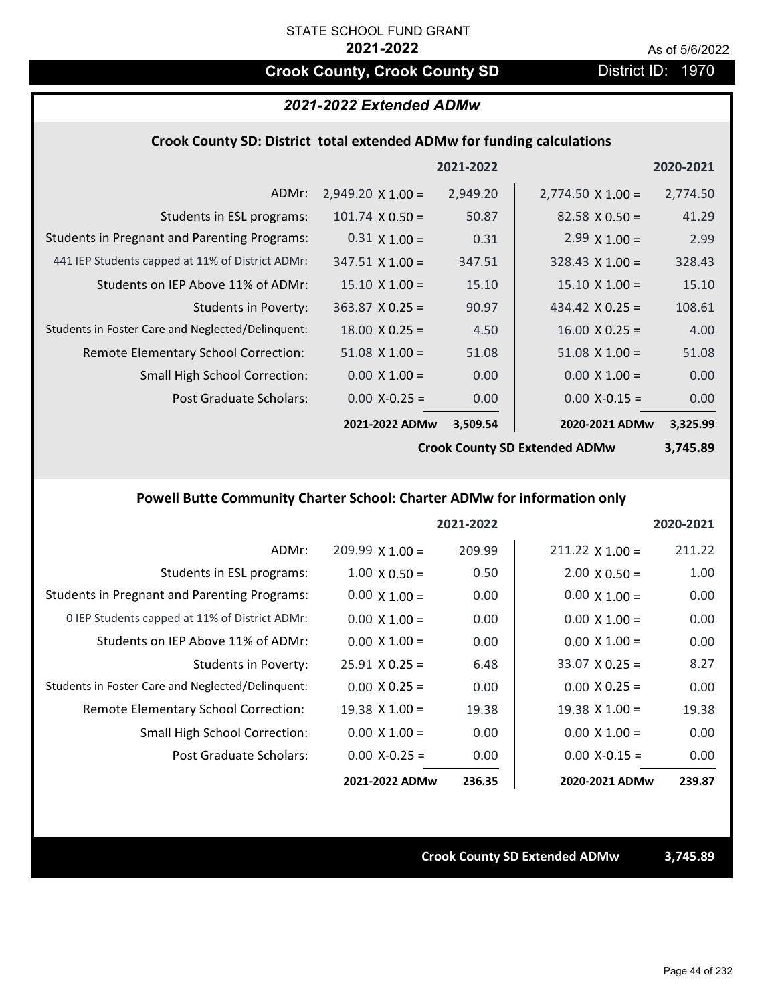# **Crook County, Crook County SD District ID: 1970**

### *2021-2022 Extended ADMw*

### **Crook County SD: District total extended ADMw for funding calculations**

|                                                     |                          | 2021-2022 |                          | 2020-2021 |
|-----------------------------------------------------|--------------------------|-----------|--------------------------|-----------|
| ADMr:                                               | $2,949.20 \times 1.00 =$ | 2,949.20  | $2,774.50 \times 1.00 =$ | 2,774.50  |
| Students in ESL programs:                           | $101.74 \times 0.50 =$   | 50.87     | $82.58 \times 0.50 =$    | 41.29     |
| <b>Students in Pregnant and Parenting Programs:</b> | $0.31 \times 1.00 =$     | 0.31      | $2.99 \times 1.00 =$     | 2.99      |
| 441 IEP Students capped at 11% of District ADMr:    | $347.51 \times 1.00 =$   | 347.51    | $328.43 \times 1.00 =$   | 328.43    |
| Students on IEP Above 11% of ADMr:                  | $15.10 \times 1.00 =$    | 15.10     | $15.10 \times 1.00 =$    | 15.10     |
| <b>Students in Poverty:</b>                         | $363.87$ X 0.25 =        | 90.97     | 434.42 $X$ 0.25 =        | 108.61    |
| Students in Foster Care and Neglected/Delinquent:   | $18.00 \times 0.25 =$    | 4.50      | $16.00 \times 0.25 =$    | 4.00      |
| Remote Elementary School Correction:                | $51.08 \times 1.00 =$    | 51.08     | $51.08 \times 1.00 =$    | 51.08     |
| <b>Small High School Correction:</b>                | $0.00 \times 1.00 =$     | 0.00      | $0.00 \times 1.00 =$     | 0.00      |
| Post Graduate Scholars:                             | $0.00 X - 0.25 =$        | 0.00      | $0.00 X - 0.15 =$        | 0.00      |
|                                                     | 2021-2022 ADMw           | 3,509.54  | 2020-2021 ADMw           | 3,325.99  |

**Crook County SD Extended ADMw**

**3,745.89**

# **Powell Butte Community Charter School: Charter ADMw for information only**

|                                                     |                        | 2021-2022 |                       | 2020-2021 |
|-----------------------------------------------------|------------------------|-----------|-----------------------|-----------|
| ADMr:                                               | $209.99 \times 1.00 =$ | 209.99    | $211.22$ X $1.00 =$   | 211.22    |
| Students in ESL programs:                           | $1.00 \times 0.50 =$   | 0.50      | $2.00 \times 0.50 =$  | 1.00      |
| <b>Students in Pregnant and Parenting Programs:</b> | $0.00 \times 1.00 =$   | 0.00      | $0.00 \times 1.00 =$  | 0.00      |
| 0 IEP Students capped at 11% of District ADMr:      | $0.00 \times 1.00 =$   | 0.00      | $0.00 \times 1.00 =$  | 0.00      |
| Students on IEP Above 11% of ADMr:                  | $0.00 \times 1.00 =$   | 0.00      | $0.00 \times 1.00 =$  | 0.00      |
| Students in Poverty:                                | $25.91 \times 0.25 =$  | 6.48      | $33.07 \times 0.25 =$ | 8.27      |
| Students in Foster Care and Neglected/Delinquent:   | $0.00 \times 0.25 =$   | 0.00      | $0.00 \times 0.25 =$  | 0.00      |
| Remote Elementary School Correction:                | $19.38 \times 1.00 =$  | 19.38     | $19.38 \times 1.00 =$ | 19.38     |
| <b>Small High School Correction:</b>                | $0.00 \times 1.00 =$   | 0.00      | $0.00 \times 1.00 =$  | 0.00      |
| Post Graduate Scholars:                             | $0.00$ X-0.25 =        | 0.00      | $0.00 X - 0.15 =$     | 0.00      |
|                                                     | 2021-2022 ADMw         | 236.35    | 2020-2021 ADMw        | 239.87    |

**Crook County SD Extended ADMw 3,745.89**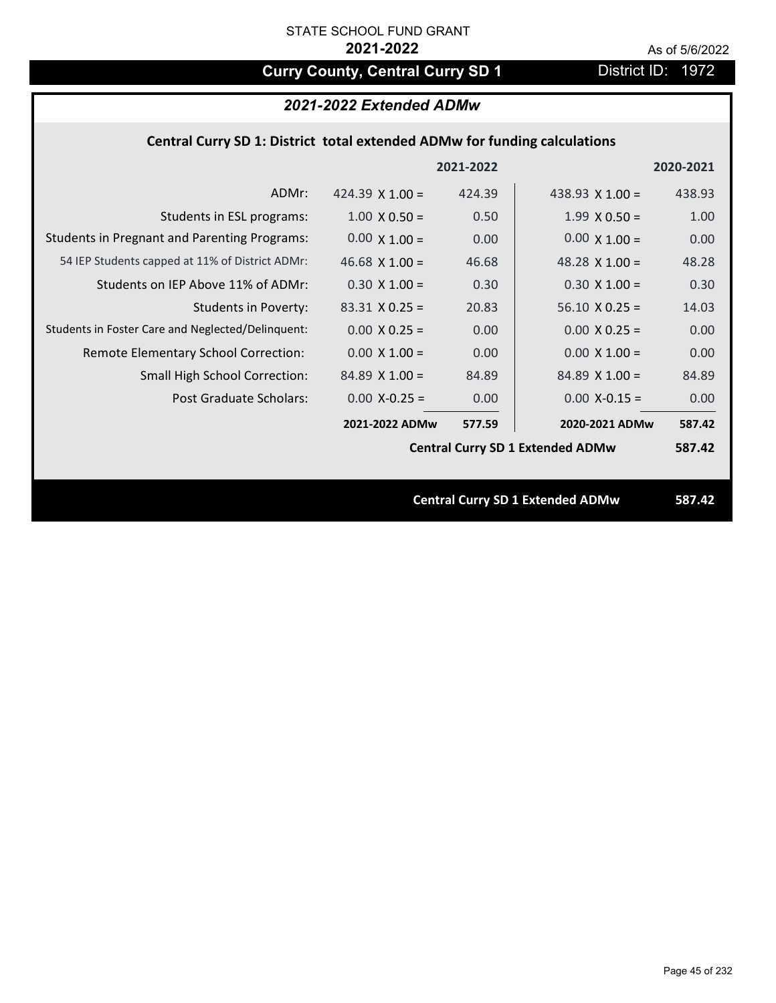# **Curry County, Central Curry SD 1** District ID: 1972

# *2021-2022 Extended ADMw*

## **Central Curry SD 1: District total extended ADMw for funding calculations**

|                                                     |                                         | 2021-2022 |                                         | 2020-2021 |
|-----------------------------------------------------|-----------------------------------------|-----------|-----------------------------------------|-----------|
| ADMr:                                               | 424.39 $\times$ 1.00 =                  | 424.39    | 438.93 $X$ 1.00 =                       | 438.93    |
| Students in ESL programs:                           | $1.00 \times 0.50 =$                    | 0.50      | $1.99 \times 0.50 =$                    | 1.00      |
| <b>Students in Pregnant and Parenting Programs:</b> | $0.00 \times 1.00 =$                    | 0.00      | $0.00 \times 1.00 =$                    | 0.00      |
| 54 IEP Students capped at 11% of District ADMr:     | 46.68 $\times$ 1.00 =                   | 46.68     | 48.28 $\times$ 1.00 =                   | 48.28     |
| Students on IEP Above 11% of ADMr:                  | $0.30 \times 1.00 =$                    | 0.30      | $0.30 X 1.00 =$                         | 0.30      |
| <b>Students in Poverty:</b>                         | $83.31$ X 0.25 =                        | 20.83     | $56.10 \times 0.25 =$                   | 14.03     |
| Students in Foster Care and Neglected/Delinquent:   | $0.00 \times 0.25 =$                    | 0.00      | $0.00 X 0.25 =$                         | 0.00      |
| Remote Elementary School Correction:                | $0.00 \times 1.00 =$                    | 0.00      | $0.00 \times 1.00 =$                    | 0.00      |
| <b>Small High School Correction:</b>                | $84.89$ X 1.00 =                        | 84.89     | $84.89$ X 1.00 =                        | 84.89     |
| Post Graduate Scholars:                             | $0.00$ X-0.25 =                         | 0.00      | $0.00$ X-0.15 =                         | 0.00      |
|                                                     | 2021-2022 ADMw                          | 577.59    | 2020-2021 ADMw                          | 587.42    |
|                                                     | <b>Central Curry SD 1 Extended ADMw</b> |           |                                         | 587.42    |
|                                                     |                                         |           |                                         |           |
|                                                     |                                         |           | <b>Central Curry SD 1 Extended ADMw</b> | 587.42    |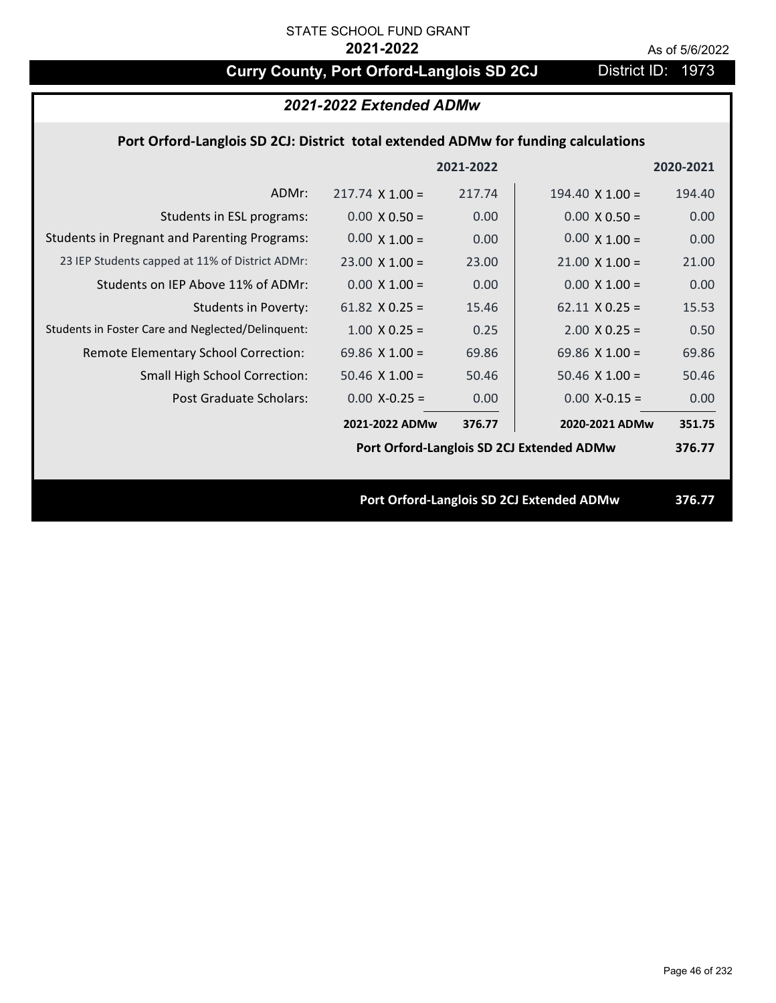# **Curry County, Port Orford-Langlois SD 2CJ** District ID: 1973

| 2021-2022 Extended ADMw                                                            |                        |           |                        |           |  |
|------------------------------------------------------------------------------------|------------------------|-----------|------------------------|-----------|--|
| Port Orford-Langlois SD 2CJ: District total extended ADMw for funding calculations |                        |           |                        |           |  |
|                                                                                    |                        | 2021-2022 |                        | 2020-2021 |  |
| ADMr:                                                                              | $217.74 \times 1.00 =$ | 217.74    | 194.40 $\times$ 1.00 = | 194.40    |  |
| Students in ESL programs:                                                          | $0.00 \times 0.50 =$   | 0.00      | $0.00 \times 0.50 =$   | 0.00      |  |
| <b>Students in Pregnant and Parenting Programs:</b>                                | $0.00 \times 1.00 =$   | 0.00      | $0.00 \times 1.00 =$   | 0.00      |  |
| 23 IEP Students capped at 11% of District ADMr:                                    | $23.00 \times 1.00 =$  | 23.00     | $21.00 \times 1.00 =$  | 21.00     |  |
| Students on IEP Above 11% of ADMr:                                                 | $0.00 \times 1.00 =$   | 0.00      | $0.00 \times 1.00 =$   | 0.00      |  |
| Students in Poverty:                                                               | 61.82 $X$ 0.25 =       | 15.46     | $62.11 \times 0.25 =$  | 15.53     |  |
| Students in Foster Care and Neglected/Delinquent:                                  | $1.00 \times 0.25 =$   | 0.25      | $2.00 \times 0.25 =$   | 0.50      |  |
| Remote Elementary School Correction:                                               | 69.86 $X$ 1.00 =       | 69.86     | 69.86 $X$ 1.00 =       | 69.86     |  |
| Small High School Correction:                                                      | $50.46$ X $1.00 =$     | 50.46     | $50.46$ X $1.00 =$     | 50.46     |  |
| Post Graduate Scholars:                                                            | $0.00$ X-0.25 =        | 0.00      | $0.00$ X-0.15 =        | 0.00      |  |
|                                                                                    | 2021-2022 ADMw         | 376.77    | 2020-2021 ADMw         | 351.75    |  |
| Port Orford-Langlois SD 2CJ Extended ADMw                                          |                        |           |                        |           |  |
|                                                                                    |                        |           |                        |           |  |
| Port Orford-Langlois SD 2CJ Extended ADMw                                          |                        |           |                        | 376.77    |  |
|                                                                                    |                        |           |                        |           |  |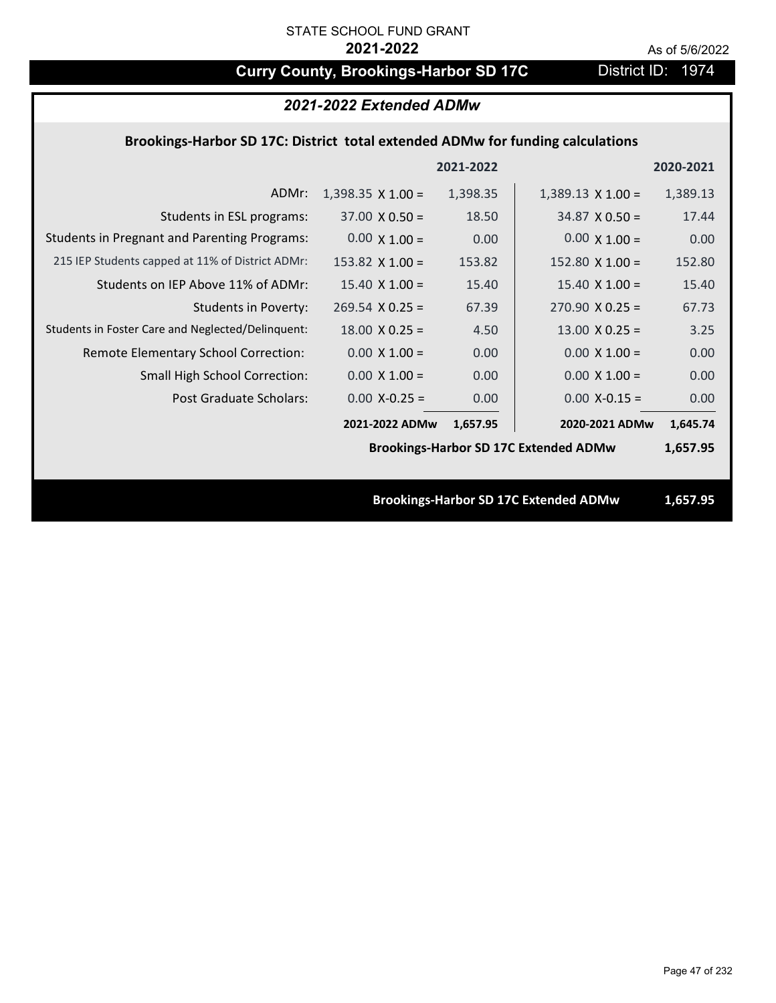# **Curry County, Brookings-Harbor SD 17C** District ID: 1974

| 2021-2022 Extended ADMw                                                        |                          |           |                          |           |  |  |
|--------------------------------------------------------------------------------|--------------------------|-----------|--------------------------|-----------|--|--|
| Brookings-Harbor SD 17C: District total extended ADMw for funding calculations |                          |           |                          |           |  |  |
|                                                                                |                          | 2021-2022 |                          | 2020-2021 |  |  |
| ADMr:                                                                          | $1,398.35 \times 1.00 =$ | 1,398.35  | $1,389.13 \times 1.00 =$ | 1,389.13  |  |  |
| Students in ESL programs:                                                      | $37.00 \times 0.50 =$    | 18.50     | $34.87 \times 0.50 =$    | 17.44     |  |  |
| <b>Students in Pregnant and Parenting Programs:</b>                            | $0.00 \times 1.00 =$     | 0.00      | $0.00 \times 1.00 =$     | 0.00      |  |  |
| 215 IEP Students capped at 11% of District ADMr:                               | 153.82 $\times$ 1.00 =   | 153.82    | 152.80 $\times$ 1.00 =   | 152.80    |  |  |
| Students on IEP Above 11% of ADMr:                                             | $15.40 \times 1.00 =$    | 15.40     | $15.40 \times 1.00 =$    | 15.40     |  |  |
| <b>Students in Poverty:</b>                                                    | $269.54$ X 0.25 =        | 67.39     | $270.90 \times 0.25 =$   | 67.73     |  |  |
| Students in Foster Care and Neglected/Delinquent:                              | $18.00 \times 0.25 =$    | 4.50      | $13.00 \times 0.25 =$    | 3.25      |  |  |
| Remote Elementary School Correction:                                           | $0.00 \times 1.00 =$     | 0.00      | $0.00 \times 1.00 =$     | 0.00      |  |  |
| Small High School Correction:                                                  | $0.00 \times 1.00 =$     | 0.00      | $0.00 \times 1.00 =$     | 0.00      |  |  |
| <b>Post Graduate Scholars:</b>                                                 | $0.00$ X-0.25 =          | 0.00      | $0.00$ X-0.15 =          | 0.00      |  |  |
|                                                                                | 2021-2022 ADMw           | 1,657.95  | 2020-2021 ADMw           | 1,645.74  |  |  |
| <b>Brookings-Harbor SD 17C Extended ADMw</b>                                   |                          |           |                          |           |  |  |
|                                                                                |                          |           |                          |           |  |  |
| <b>Brookings-Harbor SD 17C Extended ADMw</b>                                   |                          |           |                          | 1,657.95  |  |  |
|                                                                                |                          |           |                          |           |  |  |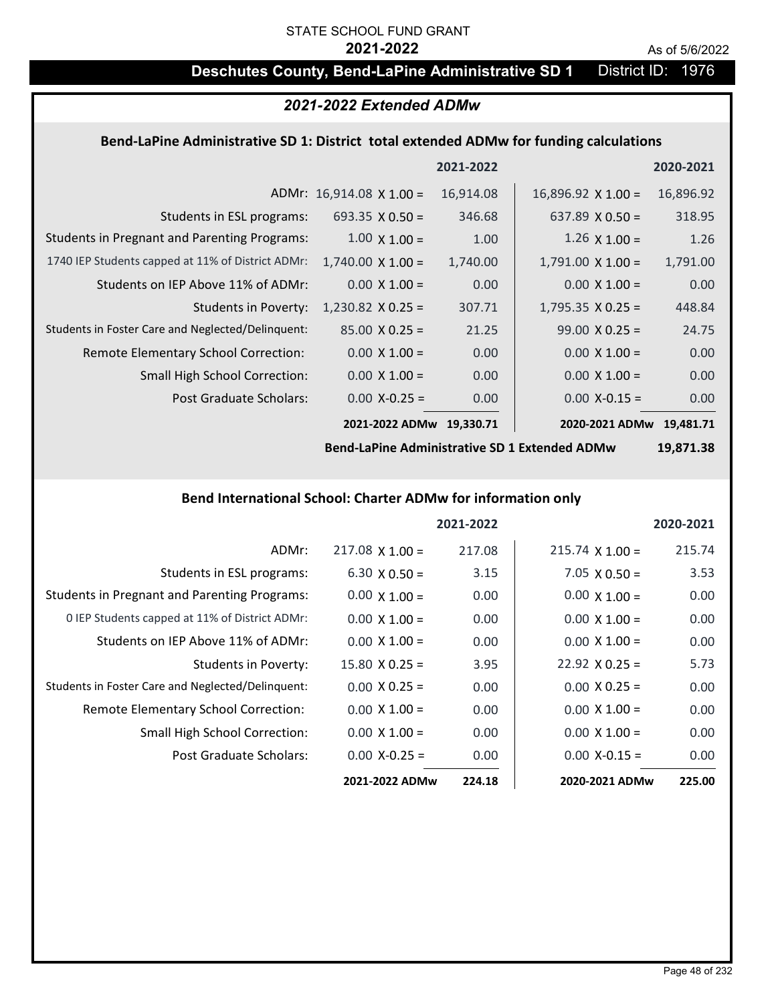# STATE SCHOOL FUND GRANT

### **2021-2022** As of 5/6/2022

# **Deschutes County, Bend-LaPine Administrative SD 1** District ID: 1976

## *2021-2022 Extended ADMw*

### **Bend‐LaPine Administrative SD 1: District total extended ADMw for funding calculations**

|                                                     |                                 | 2021-2022 |                           | 2020-2021 |
|-----------------------------------------------------|---------------------------------|-----------|---------------------------|-----------|
|                                                     | ADMr: $16,914.08 \times 1.00 =$ | 16,914.08 | $16,896.92 \times 1.00 =$ | 16,896.92 |
| Students in ESL programs:                           | 693.35 $\times$ 0.50 =          | 346.68    | 637.89 $\times$ 0.50 =    | 318.95    |
| <b>Students in Pregnant and Parenting Programs:</b> | $1.00 \times 1.00 =$            | 1.00      | $1.26 \times 1.00 =$      | 1.26      |
| 1740 IEP Students capped at 11% of District ADMr:   | $1,740.00 \times 1.00 =$        | 1,740.00  | $1,791.00 \times 1.00 =$  | 1,791.00  |
| Students on IEP Above 11% of ADMr:                  | $0.00 \times 1.00 =$            | 0.00      | $0.00 \times 1.00 =$      | 0.00      |
| <b>Students in Poverty:</b>                         | $1,230.82$ X 0.25 =             | 307.71    | $1,795.35 \times 0.25 =$  | 448.84    |
| Students in Foster Care and Neglected/Delinquent:   | $85.00 \times 0.25 =$           | 21.25     | $99.00 \times 0.25 =$     | 24.75     |
| Remote Elementary School Correction:                | $0.00 \times 1.00 =$            | 0.00      | $0.00 \times 1.00 =$      | 0.00      |
| <b>Small High School Correction:</b>                | $0.00 \times 1.00 =$            | 0.00      | $0.00 \times 1.00 =$      | 0.00      |
| Post Graduate Scholars:                             | $0.00 X - 0.25 =$               | 0.00      | $0.00$ X-0.15 =           | 0.00      |
|                                                     | 2021-2022 ADMw                  | 19,330.71 | 2020-2021 ADMw            | 19.481.71 |

**Bend‐LaPine Administrative SD 1 Extended ADMw**

**19,871.38**

### **Bend International School: Charter ADMw for information only**

|                                                     |                       | 2021-2022 |                        | 2020-2021 |
|-----------------------------------------------------|-----------------------|-----------|------------------------|-----------|
| ADMr:                                               | $217.08$ X 1.00 =     | 217.08    | $215.74 \times 1.00 =$ | 215.74    |
| Students in ESL programs:                           | $6.30 \times 0.50 =$  | 3.15      | $7.05 \times 0.50 =$   | 3.53      |
| <b>Students in Pregnant and Parenting Programs:</b> | $0.00 \times 1.00 =$  | 0.00      | $0.00 \times 1.00 =$   | 0.00      |
| 0 IEP Students capped at 11% of District ADMr:      | $0.00 \times 1.00 =$  | 0.00      | $0.00 \times 1.00 =$   | 0.00      |
| Students on IEP Above 11% of ADMr:                  | $0.00 \times 1.00 =$  | 0.00      | $0.00 \times 1.00 =$   | 0.00      |
| Students in Poverty:                                | $15.80 \times 0.25 =$ | 3.95      | $22.92 \times 0.25 =$  | 5.73      |
| Students in Foster Care and Neglected/Delinquent:   | $0.00 \times 0.25 =$  | 0.00      | $0.00 \times 0.25 =$   | 0.00      |
| Remote Elementary School Correction:                | $0.00 \times 1.00 =$  | 0.00      | $0.00 \times 1.00 =$   | 0.00      |
| <b>Small High School Correction:</b>                | $0.00 \times 1.00 =$  | 0.00      | $0.00 \times 1.00 =$   | 0.00      |
| Post Graduate Scholars:                             | $0.00 X - 0.25 =$     | 0.00      | $0.00 X - 0.15 =$      | 0.00      |
|                                                     | 2021-2022 ADMw        | 224.18    | 2020-2021 ADMw         | 225.00    |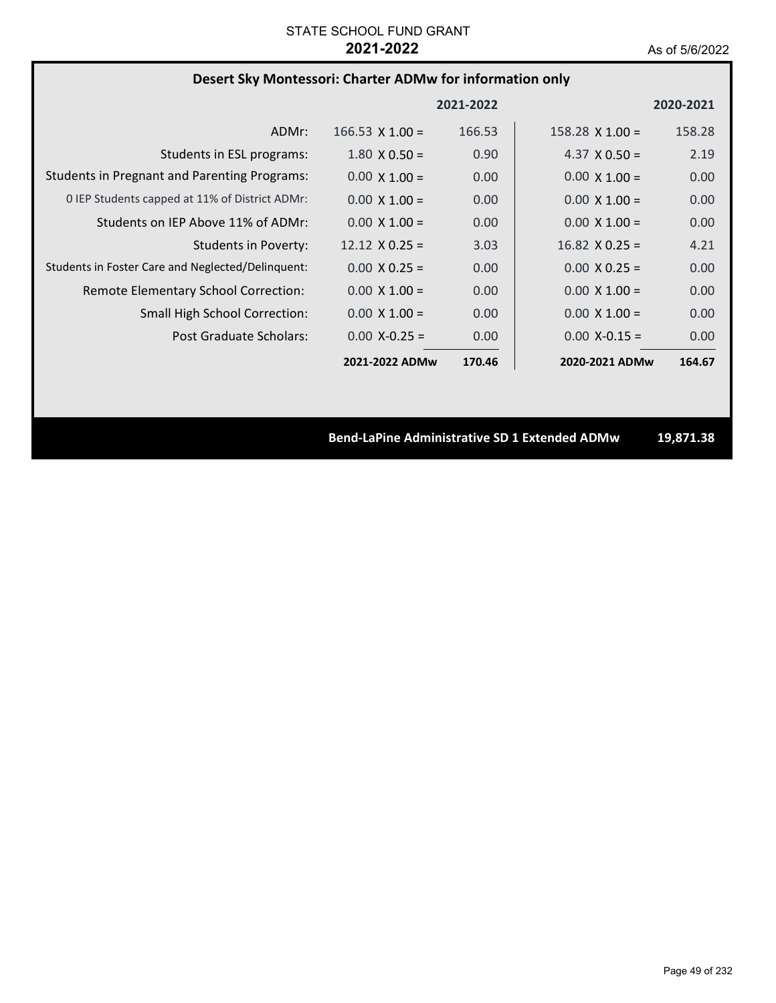# **Desert Sky Montessori: Charter ADMw for information only**

|                                                     |                        | 2021-2022         |                        | 2020-2021 |
|-----------------------------------------------------|------------------------|-------------------|------------------------|-----------|
| ADMr:                                               | $166.53 \times 1.00 =$ | 166.53            | $158.28 \times 1.00 =$ | 158.28    |
| Students in ESL programs:                           | $1.80 \times 0.50 =$   | 0.90 <sub>1</sub> | 4.37 $\times$ 0.50 =   | 2.19      |
| <b>Students in Pregnant and Parenting Programs:</b> | $0.00 \times 1.00 =$   | 0.00              | $0.00 \times 1.00 =$   | 0.00      |
| 0 IEP Students capped at 11% of District ADMr:      | $0.00 \times 1.00 =$   | 0.00              | $0.00 \times 1.00 =$   | 0.00      |
| Students on IEP Above 11% of ADMr:                  | $0.00 \times 1.00 =$   | 0.00              | $0.00 \times 1.00 =$   | 0.00      |
| <b>Students in Poverty:</b>                         | $12.12 \times 0.25 =$  | 3.03              | $16.82 \times 0.25 =$  | 4.21      |
| Students in Foster Care and Neglected/Delinquent:   | $0.00 \times 0.25 =$   | 0.00              | $0.00 \times 0.25 =$   | 0.00      |
| Remote Elementary School Correction:                | $0.00 \times 1.00 =$   | 0.00              | $0.00 \times 1.00 =$   | 0.00      |
| <b>Small High School Correction:</b>                | $0.00 \times 1.00 =$   | 0.00              | $0.00 \times 1.00 =$   | 0.00      |
| Post Graduate Scholars:                             | $0.00 X - 0.25 =$      | 0.00              | $0.00 X - 0.15 =$      | 0.00      |
|                                                     | 2021-2022 ADMw         | 170.46            | 2020-2021 ADMw         | 164.67    |

**Bend‐LaPine Administrative SD 1 Extended ADMw 19,871.38**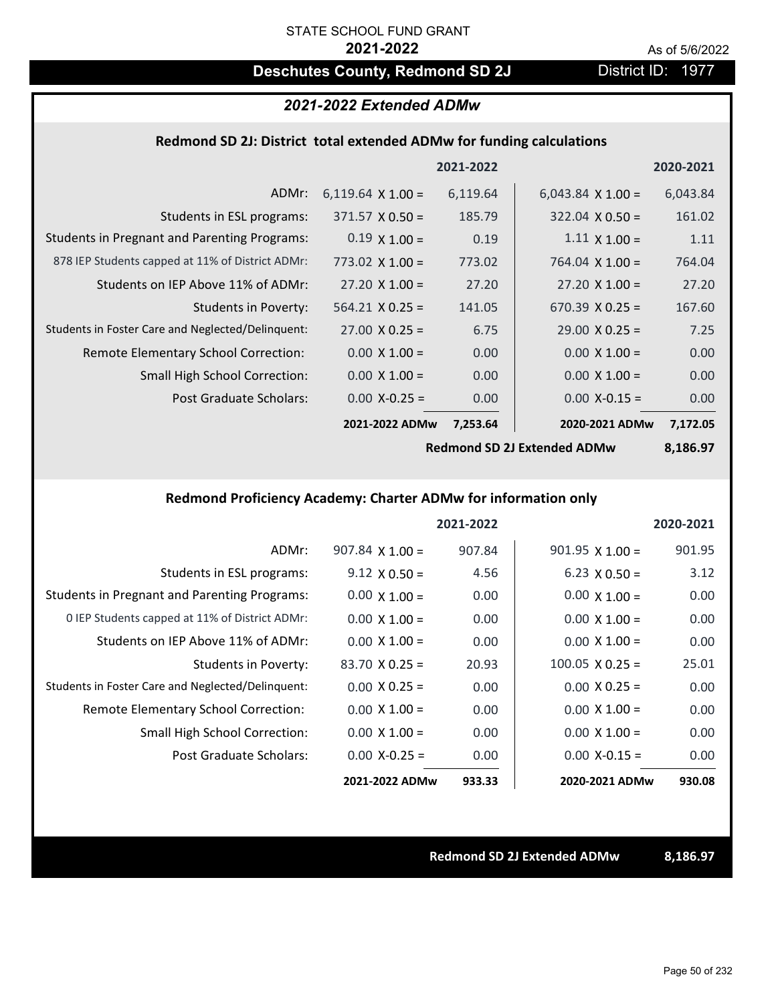# **Deschutes County, Redmond SD 2J District ID: 1977**

# *2021-2022 Extended ADMw*

### **Redmond SD 2J: District total extended ADMw for funding calculations**

|                                                     |                          | 2021-2022 |                          | 2020-2021 |
|-----------------------------------------------------|--------------------------|-----------|--------------------------|-----------|
| ADMr:                                               | 6,119.64 $\times$ 1.00 = | 6,119.64  | $6,043.84 \times 1.00 =$ | 6,043.84  |
| Students in ESL programs:                           | $371.57 \times 0.50 =$   | 185.79    | $322.04 \times 0.50 =$   | 161.02    |
| <b>Students in Pregnant and Parenting Programs:</b> | $0.19 \times 1.00 =$     | 0.19      | $1.11 \times 1.00 =$     | 1.11      |
| 878 IEP Students capped at 11% of District ADMr:    | $773.02 \times 1.00 =$   | 773.02    | 764.04 $\times$ 1.00 =   | 764.04    |
| Students on IEP Above 11% of ADMr:                  | $27.20 \times 1.00 =$    | 27.20     | $27.20 \times 1.00 =$    | 27.20     |
| <b>Students in Poverty:</b>                         | $564.21 \times 0.25 =$   | 141.05    | $670.39 \times 0.25 =$   | 167.60    |
| Students in Foster Care and Neglected/Delinquent:   | $27.00 \times 0.25 =$    | 6.75      | $29.00 \times 0.25 =$    | 7.25      |
| Remote Elementary School Correction:                | $0.00 \times 1.00 =$     | 0.00      | $0.00 \times 1.00 =$     | 0.00      |
| <b>Small High School Correction:</b>                | $0.00 \times 1.00 =$     | 0.00      | $0.00 \times 1.00 =$     | 0.00      |
| Post Graduate Scholars:                             | $0.00$ X-0.25 =          | 0.00      | $0.00$ X-0.15 =          | 0.00      |
|                                                     | 2021-2022 ADMw           | 7,253.64  | 2020-2021 ADMw           | 7,172.05  |

**Redmond SD 2J Extended ADMw**

**8,186.97**

## **Redmond Proficiency Academy: Charter ADMw for information only**

|                                                     |                        | 2021-2022 |                        | 2020-2021 |
|-----------------------------------------------------|------------------------|-----------|------------------------|-----------|
| ADMr:                                               | $907.84 \times 1.00 =$ | 907.84    | $901.95 \times 1.00 =$ | 901.95    |
| Students in ESL programs:                           | $9.12 \times 0.50 =$   | 4.56      | $6.23 \times 0.50 =$   | 3.12      |
| <b>Students in Pregnant and Parenting Programs:</b> | $0.00 \times 1.00 =$   | 0.00      | $0.00 \times 1.00 =$   | 0.00      |
| 0 IEP Students capped at 11% of District ADMr:      | $0.00 \times 1.00 =$   | 0.00      | $0.00 \times 1.00 =$   | 0.00      |
| Students on IEP Above 11% of ADMr:                  | $0.00 \times 1.00 =$   | 0.00      | $0.00 \times 1.00 =$   | 0.00      |
| Students in Poverty:                                | $83.70$ X 0.25 =       | 20.93     | $100.05 \times 0.25 =$ | 25.01     |
| Students in Foster Care and Neglected/Delinquent:   | $0.00 \times 0.25 =$   | 0.00      | $0.00 \times 0.25 =$   | 0.00      |
| Remote Elementary School Correction:                | $0.00 \times 1.00 =$   | 0.00      | $0.00 \times 1.00 =$   | 0.00      |
| <b>Small High School Correction:</b>                | $0.00 \times 1.00 =$   | 0.00      | $0.00 \times 1.00 =$   | 0.00      |
| Post Graduate Scholars:                             | $0.00$ X-0.25 =        | 0.00      | $0.00 X - 0.15 =$      | 0.00      |
|                                                     | 2021-2022 ADMw         | 933.33    | 2020-2021 ADMw         | 930.08    |

**Redmond SD 2J Extended ADMw 8,186.97**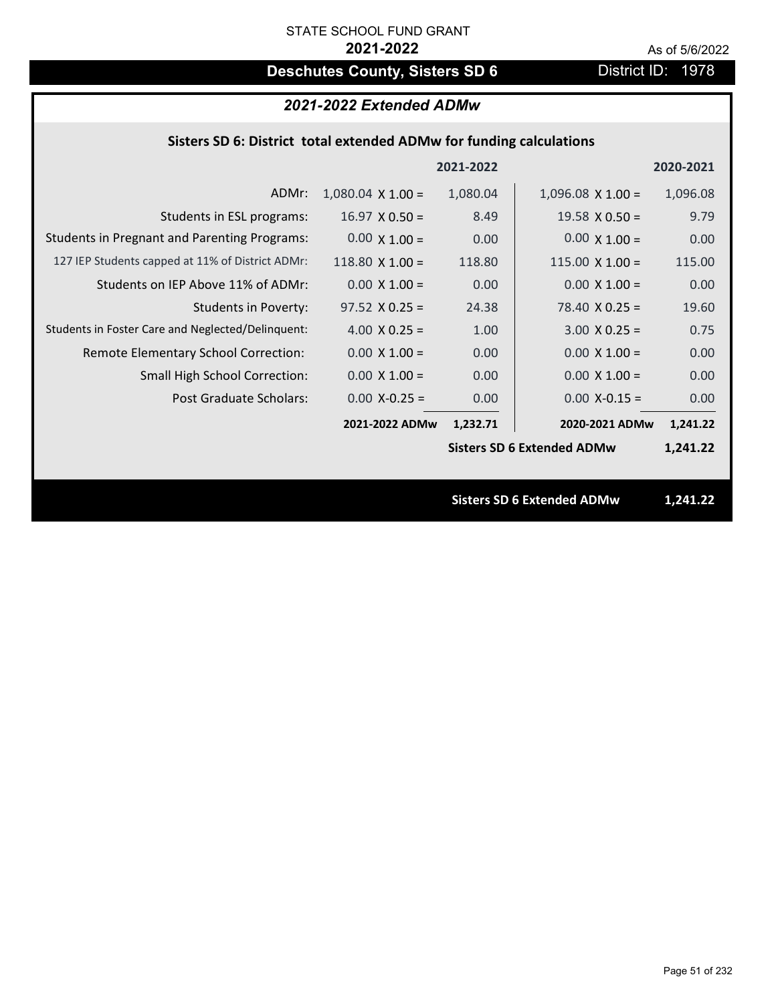# **Deschutes County, Sisters SD 6** District ID: 1978

# *2021-2022 Extended ADMw*

## **Sisters SD 6: District total extended ADMw for funding calculations**

|                                                     |                          | 2021-2022 |                                   | 2020-2021 |
|-----------------------------------------------------|--------------------------|-----------|-----------------------------------|-----------|
| ADMr:                                               | $1,080.04 \times 1.00 =$ | 1,080.04  | $1,096.08 \times 1.00 =$          | 1,096.08  |
| Students in ESL programs:                           | $16.97 \times 0.50 =$    | 8.49      | $19.58 \times 0.50 =$             | 9.79      |
| <b>Students in Pregnant and Parenting Programs:</b> | $0.00 \times 1.00 =$     | 0.00      | $0.00 \times 1.00 =$              | 0.00      |
| 127 IEP Students capped at 11% of District ADMr:    | $118.80 \times 1.00 =$   | 118.80    | $115.00 \times 1.00 =$            | 115.00    |
| Students on IEP Above 11% of ADMr:                  | $0.00 \times 1.00 =$     | 0.00      | $0.00 \times 1.00 =$              | 0.00      |
| <b>Students in Poverty:</b>                         | $97.52 \times 0.25 =$    | 24.38     | $78.40 \times 0.25 =$             | 19.60     |
| Students in Foster Care and Neglected/Delinquent:   | $4.00 \times 0.25 =$     | 1.00      | $3.00 X 0.25 =$                   | 0.75      |
| Remote Elementary School Correction:                | $0.00 \times 1.00 =$     | 0.00      | $0.00 \times 1.00 =$              | 0.00      |
| <b>Small High School Correction:</b>                | $0.00 \times 1.00 =$     | 0.00      | $0.00 \times 1.00 =$              | 0.00      |
| Post Graduate Scholars:                             | $0.00$ X-0.25 =          | 0.00      | $0.00$ X-0.15 =                   | 0.00      |
|                                                     | 2021-2022 ADMw           | 1,232.71  | 2020-2021 ADMw                    | 1,241.22  |
|                                                     |                          |           | <b>Sisters SD 6 Extended ADMw</b> | 1,241.22  |
|                                                     |                          |           |                                   |           |
|                                                     |                          |           | <b>Sisters SD 6 Extended ADMw</b> | 1,241.22  |
|                                                     |                          |           |                                   |           |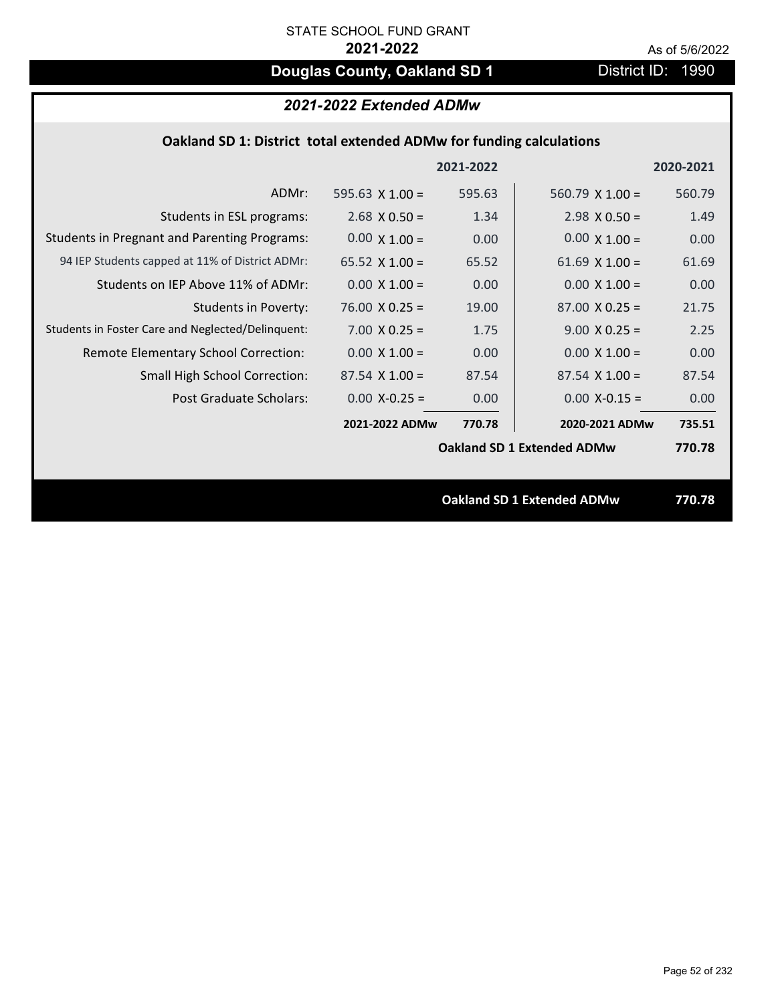# **Douglas County, Oakland SD 1** District ID: 1990

# *2021-2022 Extended ADMw*

## **Oakland SD 1: District total extended ADMw for funding calculations**

|                                                     |                       | 2021-2022 |                                   | 2020-2021 |
|-----------------------------------------------------|-----------------------|-----------|-----------------------------------|-----------|
| ADMr:                                               | 595.63 $X$ 1.00 =     | 595.63    | 560.79 $X$ 1.00 =                 | 560.79    |
| Students in ESL programs:                           | $2.68 \times 0.50 =$  | 1.34      | $2.98 \times 0.50 =$              | 1.49      |
| <b>Students in Pregnant and Parenting Programs:</b> | $0.00 \times 1.00 =$  | 0.00      | $0.00 \times 1.00 =$              | 0.00      |
| 94 IEP Students capped at 11% of District ADMr:     | 65.52 $\times$ 1.00 = | 65.52     | 61.69 $X$ 1.00 =                  | 61.69     |
| Students on IEP Above 11% of ADMr:                  | $0.00 \times 1.00 =$  | 0.00      | $0.00 \times 1.00 =$              | 0.00      |
| <b>Students in Poverty:</b>                         | $76.00 \times 0.25 =$ | 19.00     | $87.00 \times 0.25 =$             | 21.75     |
| Students in Foster Care and Neglected/Delinquent:   | $7.00 \times 0.25 =$  | 1.75      | $9.00 \times 0.25 =$              | 2.25      |
| Remote Elementary School Correction:                | $0.00 \times 1.00 =$  | 0.00      | $0.00 \times 1.00 =$              | 0.00      |
| <b>Small High School Correction:</b>                | $87.54$ X 1.00 =      | 87.54     | $87.54 \times 1.00 =$             | 87.54     |
| Post Graduate Scholars:                             | $0.00$ X-0.25 =       | 0.00      | $0.00$ X-0.15 =                   | 0.00      |
|                                                     | 2021-2022 ADMw        | 770.78    | 2020-2021 ADMw                    | 735.51    |
|                                                     |                       |           | <b>Oakland SD 1 Extended ADMw</b> | 770.78    |
|                                                     |                       |           |                                   |           |
|                                                     |                       |           | <b>Oakland SD 1 Extended ADMw</b> | 770.78    |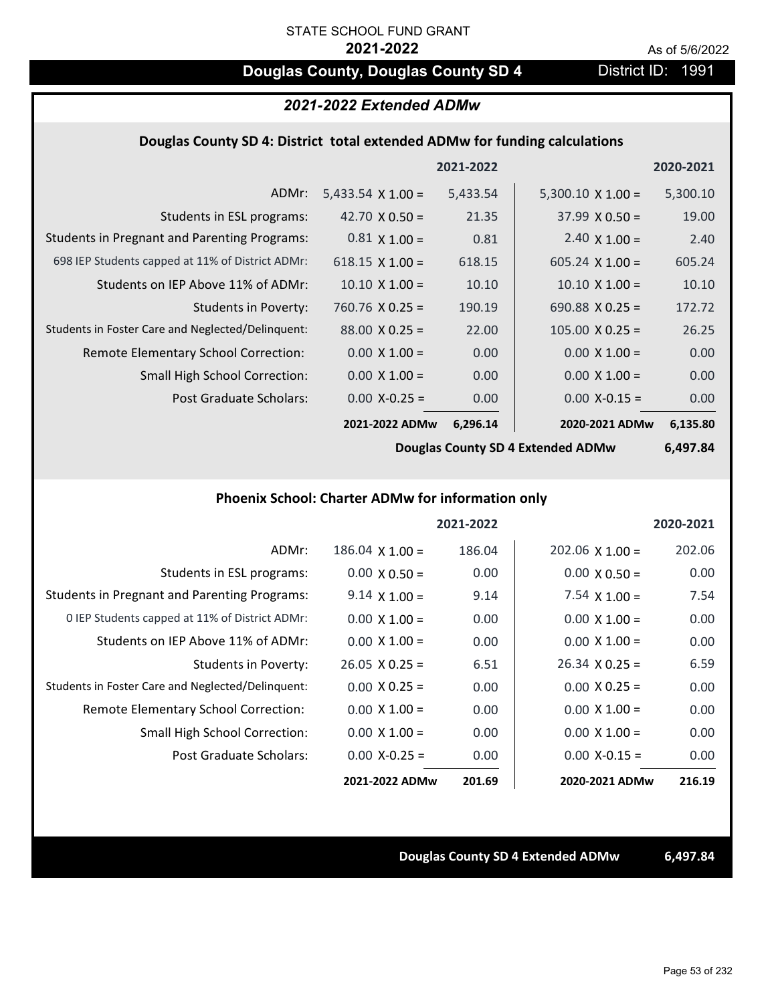# **Douglas County, Douglas County SD 4** District ID: 1991

# *2021-2022 Extended ADMw*

### **Douglas County SD 4: District total extended ADMw for funding calculations**

|                                                     |                          | 2021-2022 |                          | 2020-2021 |
|-----------------------------------------------------|--------------------------|-----------|--------------------------|-----------|
| ADMr:                                               | 5,433.54 $\times$ 1.00 = | 5,433.54  | $5,300.10 \times 1.00 =$ | 5,300.10  |
| Students in ESL programs:                           | 42.70 $\times$ 0.50 =    | 21.35     | $37.99 \times 0.50 =$    | 19.00     |
| <b>Students in Pregnant and Parenting Programs:</b> | $0.81 \times 1.00 =$     | 0.81      | 2.40 $\times$ 1.00 =     | 2.40      |
| 698 IEP Students capped at 11% of District ADMr:    | $618.15 \times 1.00 =$   | 618.15    | $605.24 \times 1.00 =$   | 605.24    |
| Students on IEP Above 11% of ADMr:                  | $10.10 \times 1.00 =$    | 10.10     | $10.10 \times 1.00 =$    | 10.10     |
| Students in Poverty:                                | $760.76 \times 0.25 =$   | 190.19    | 690.88 $X$ 0.25 =        | 172.72    |
| Students in Foster Care and Neglected/Delinquent:   | $88.00 \times 0.25 =$    | 22.00     | $105.00 \times 0.25 =$   | 26.25     |
| Remote Elementary School Correction:                | $0.00 \times 1.00 =$     | 0.00      | $0.00 \times 1.00 =$     | 0.00      |
| <b>Small High School Correction:</b>                | $0.00 \times 1.00 =$     | 0.00      | $0.00 \times 1.00 =$     | 0.00      |
| Post Graduate Scholars:                             | $0.00$ X-0.25 =          | 0.00      | $0.00$ X-0.15 =          | 0.00      |
|                                                     | 2021-2022 ADMw           | 6,296.14  | 2020-2021 ADMw           | 6,135.80  |

**Douglas County SD 4 Extended ADMw**

**6,497.84**

### **Phoenix School: Charter ADMw for information only**

|                                                     |                        | 2021-2022 |                        | 2020-2021 |
|-----------------------------------------------------|------------------------|-----------|------------------------|-----------|
| ADMr:                                               | $186.04 \times 1.00 =$ | 186.04    | $202.06 \times 1.00 =$ | 202.06    |
| Students in ESL programs:                           | $0.00 \times 0.50 =$   | 0.00      | $0.00 \times 0.50 =$   | 0.00      |
| <b>Students in Pregnant and Parenting Programs:</b> | $9.14 \times 1.00 =$   | 9.14      | 7.54 $\times$ 1.00 =   | 7.54      |
| 0 IEP Students capped at 11% of District ADMr:      | $0.00 \times 1.00 =$   | 0.00      | $0.00 \times 1.00 =$   | 0.00      |
| Students on IEP Above 11% of ADMr:                  | $0.00 \times 1.00 =$   | 0.00      | $0.00 \times 1.00 =$   | 0.00      |
| Students in Poverty:                                | $26.05 \times 0.25 =$  | 6.51      | $26.34 \times 0.25 =$  | 6.59      |
| Students in Foster Care and Neglected/Delinquent:   | $0.00 \times 0.25 =$   | 0.00      | $0.00 \times 0.25 =$   | 0.00      |
| Remote Elementary School Correction:                | $0.00 \times 1.00 =$   | 0.00      | $0.00 \times 1.00 =$   | 0.00      |
| <b>Small High School Correction:</b>                | $0.00 \times 1.00 =$   | 0.00      | $0.00 \times 1.00 =$   | 0.00      |
| Post Graduate Scholars:                             | $0.00 X - 0.25 =$      | 0.00      | $0.00$ X-0.15 =        | 0.00      |
|                                                     | 2021-2022 ADMw         | 201.69    | 2020-2021 ADMw         | 216.19    |

### **Douglas County SD 4 Extended ADMw 6,497.84**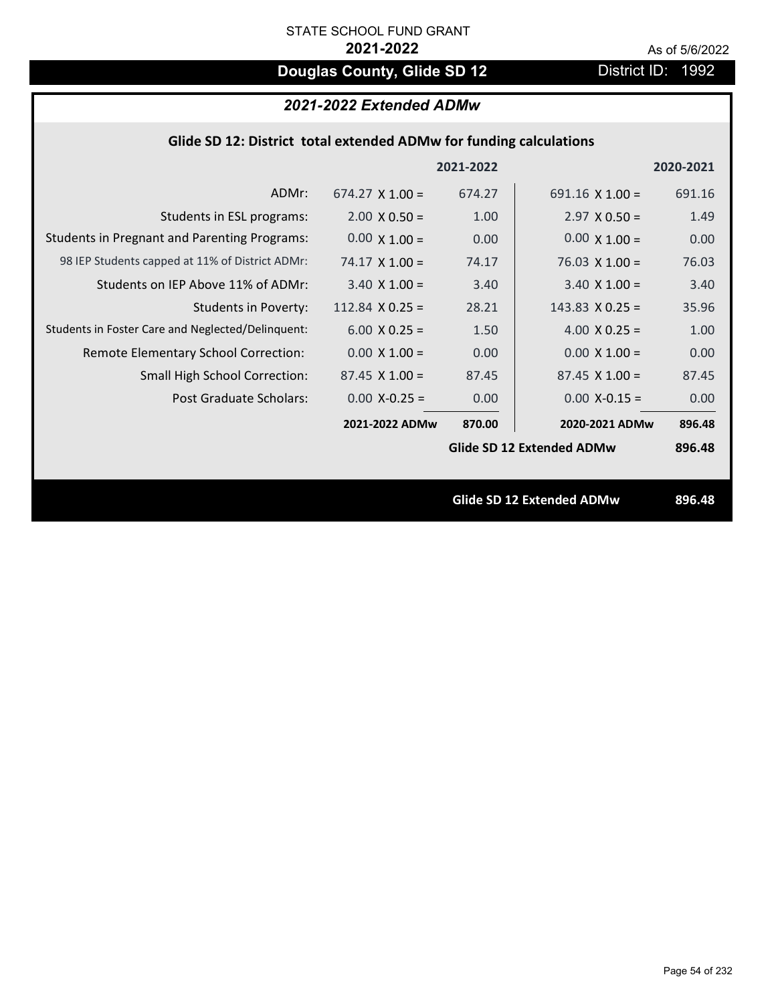# **Douglas County, Glide SD 12** District ID: 1992

# *2021-2022 Extended ADMw*

| Glide SD 12: District total extended ADMw for funding calculations |                        |           |                                  |           |
|--------------------------------------------------------------------|------------------------|-----------|----------------------------------|-----------|
|                                                                    |                        | 2021-2022 |                                  | 2020-2021 |
| ADMr:                                                              | $674.27 \times 1.00 =$ | 674.27    | 691.16 $X$ 1.00 =                | 691.16    |
| Students in ESL programs:                                          | $2.00 \times 0.50 =$   | 1.00      | $2.97 \times 0.50 =$             | 1.49      |
| <b>Students in Pregnant and Parenting Programs:</b>                | $0.00 \times 1.00 =$   | 0.00      | $0.00 \times 1.00 =$             | 0.00      |
| 98 IEP Students capped at 11% of District ADMr:                    | $74.17 \times 1.00 =$  | 74.17     | $76.03 \times 1.00 =$            | 76.03     |
| Students on IEP Above 11% of ADMr:                                 | $3.40 \times 1.00 =$   | 3.40      | $3.40$ X $1.00 =$                | 3.40      |
| <b>Students in Poverty:</b>                                        | $112.84$ X 0.25 =      | 28.21     | $143.83 \times 0.25 =$           | 35.96     |
| Students in Foster Care and Neglected/Delinquent:                  | $6.00 X 0.25 =$        | 1.50      | 4.00 $X$ 0.25 =                  | 1.00      |
| Remote Elementary School Correction:                               | $0.00 \times 1.00 =$   | 0.00      | $0.00 \times 1.00 =$             | 0.00      |
| <b>Small High School Correction:</b>                               | $87.45 \times 1.00 =$  | 87.45     | $87.45$ X 1.00 =                 | 87.45     |
| <b>Post Graduate Scholars:</b>                                     | $0.00$ X-0.25 =        | 0.00      | $0.00$ X-0.15 =                  | 0.00      |
|                                                                    | 2021-2022 ADMw         | 870.00    | 2020-2021 ADMw                   | 896.48    |
|                                                                    |                        |           | <b>Glide SD 12 Extended ADMw</b> | 896.48    |
|                                                                    |                        |           | Glide SD 12 Extended ADMw        | 896.48    |
|                                                                    |                        |           |                                  |           |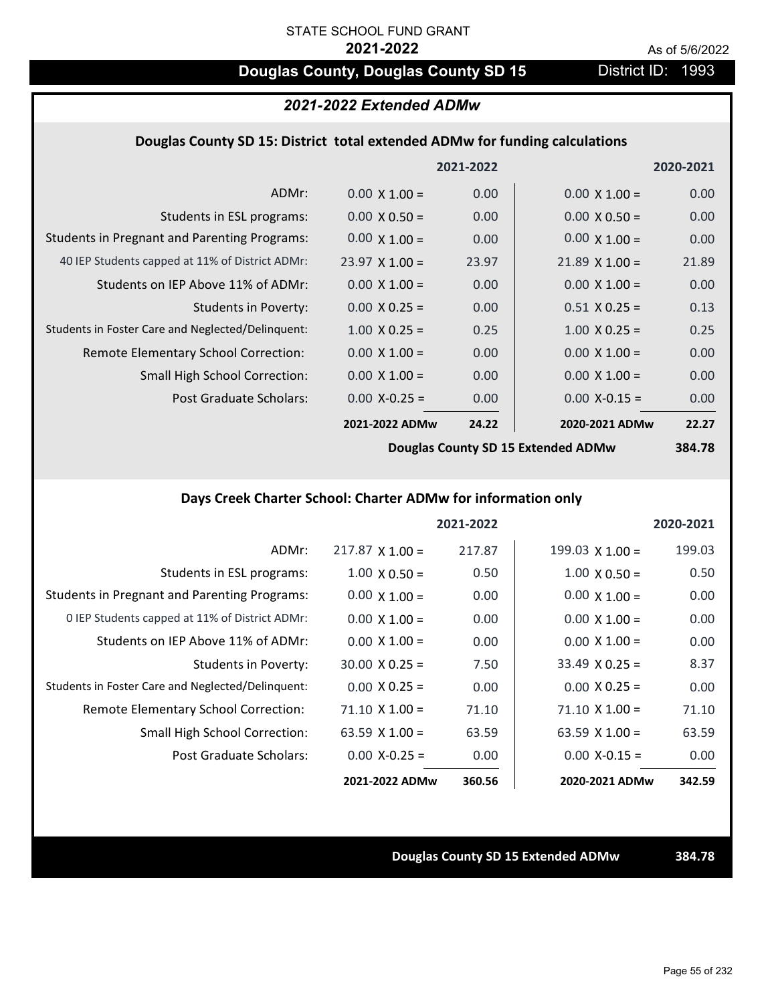# **Douglas County, Douglas County SD 15** District ID: 1993

# *2021-2022 Extended ADMw*

### **Douglas County SD 15: District total extended ADMw for funding calculations**

|                                                     |                       | 2021-2022 |                       | 2020-2021 |
|-----------------------------------------------------|-----------------------|-----------|-----------------------|-----------|
| ADMr:                                               | $0.00 \times 1.00 =$  | 0.00      | $0.00 \times 1.00 =$  | 0.00      |
| Students in ESL programs:                           | $0.00 \times 0.50 =$  | 0.00      | $0.00 \times 0.50 =$  | 0.00      |
| <b>Students in Pregnant and Parenting Programs:</b> | $0.00 \times 1.00 =$  | 0.00      | $0.00 \times 1.00 =$  | 0.00      |
| 40 IEP Students capped at 11% of District ADMr:     | $23.97 \times 1.00 =$ | 23.97     | $21.89 \times 1.00 =$ | 21.89     |
| Students on IEP Above 11% of ADMr:                  | $0.00 \times 1.00 =$  | 0.00      | $0.00 \times 1.00 =$  | 0.00      |
| <b>Students in Poverty:</b>                         | $0.00 \times 0.25 =$  | 0.00      | $0.51 X 0.25 =$       | 0.13      |
| Students in Foster Care and Neglected/Delinquent:   | $1.00 \times 0.25 =$  | 0.25      | $1.00 \times 0.25 =$  | 0.25      |
| Remote Elementary School Correction:                | $0.00 \times 1.00 =$  | 0.00      | $0.00 \times 1.00 =$  | 0.00      |
| <b>Small High School Correction:</b>                | $0.00 \times 1.00 =$  | 0.00      | $0.00 \times 1.00 =$  | 0.00      |
| Post Graduate Scholars:                             | $0.00$ X-0.25 =       | 0.00      | $0.00 X - 0.15 =$     | 0.00      |
|                                                     | 2021-2022 ADMw        | 24.22     | 2020-2021 ADMw        | 22.27     |
|                                                     |                       |           |                       |           |

**Douglas County SD 15 Extended ADMw**

# **384.78**

# **Days Creek Charter School: Charter ADMw for information only**

|                                                     |                        | 2021-2022 |                        | 2020-2021 |
|-----------------------------------------------------|------------------------|-----------|------------------------|-----------|
| ADMr:                                               | $217.87 \times 1.00 =$ | 217.87    | $199.03 \times 1.00 =$ | 199.03    |
| Students in ESL programs:                           | $1.00 \times 0.50 =$   | 0.50      | $1.00 \times 0.50 =$   | 0.50      |
| <b>Students in Pregnant and Parenting Programs:</b> | $0.00 \times 1.00 =$   | 0.00      | $0.00 \times 1.00 =$   | 0.00      |
| 0 IEP Students capped at 11% of District ADMr:      | $0.00 \times 1.00 =$   | 0.00      | $0.00 \times 1.00 =$   | 0.00      |
| Students on IEP Above 11% of ADMr:                  | $0.00 \times 1.00 =$   | 0.00      | $0.00 \times 1.00 =$   | 0.00      |
| Students in Poverty:                                | $30.00 \times 0.25 =$  | 7.50      | $33.49 \times 0.25 =$  | 8.37      |
| Students in Foster Care and Neglected/Delinquent:   | $0.00 \times 0.25 =$   | 0.00      | $0.00 \times 0.25 =$   | 0.00      |
| Remote Elementary School Correction:                | $71.10 \times 1.00 =$  | 71.10     | $71.10 \times 1.00 =$  | 71.10     |
| <b>Small High School Correction:</b>                | 63.59 $X$ 1.00 =       | 63.59     | 63.59 $\times$ 1.00 =  | 63.59     |
| Post Graduate Scholars:                             | $0.00 X - 0.25 =$      | 0.00      | $0.00 X - 0.15 =$      | 0.00      |
|                                                     | 2021-2022 ADMw         | 360.56    | 2020-2021 ADMw         | 342.59    |

### **Douglas County SD 15 Extended ADMw 384.78**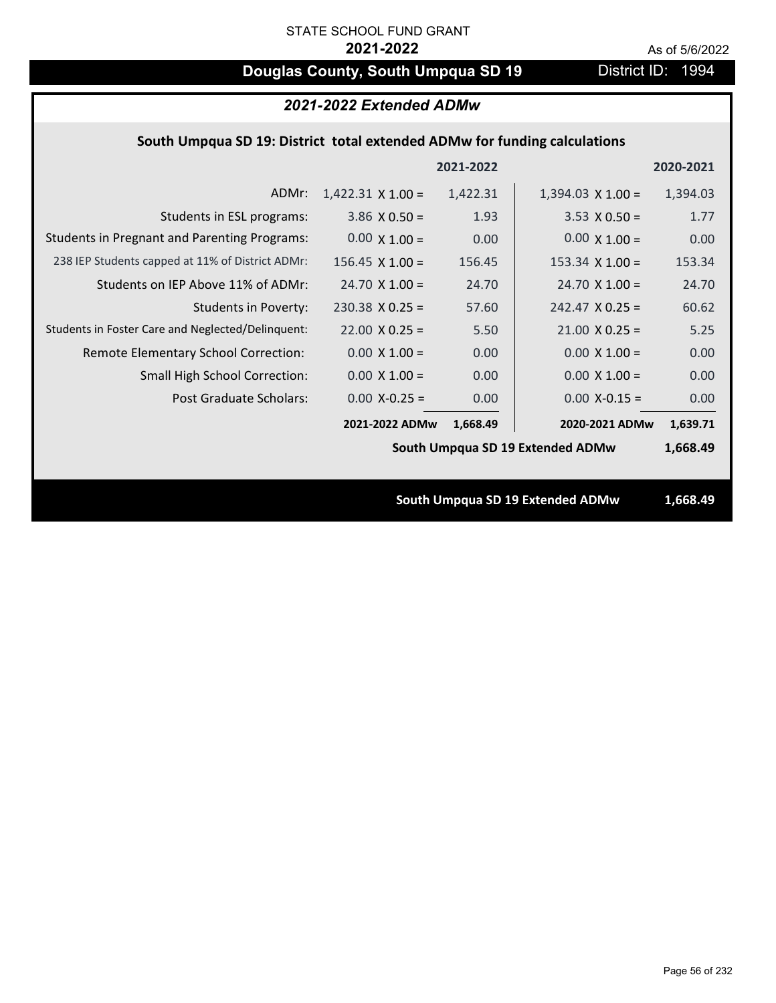# **Douglas County, South Umpqua SD 19** District ID: 1994

| 2021-2022 Extended ADMw                                                   |                          |           |                                  |           |
|---------------------------------------------------------------------------|--------------------------|-----------|----------------------------------|-----------|
| South Umpqua SD 19: District total extended ADMw for funding calculations |                          |           |                                  |           |
|                                                                           |                          | 2021-2022 |                                  | 2020-2021 |
| ADMr:                                                                     | $1,422.31 \times 1.00 =$ | 1,422.31  | $1,394.03 \times 1.00 =$         | 1,394.03  |
| Students in ESL programs:                                                 | $3.86 \times 0.50 =$     | 1.93      | $3.53 \times 0.50 =$             | 1.77      |
| <b>Students in Pregnant and Parenting Programs:</b>                       | $0.00 \times 1.00 =$     | 0.00      | $0.00 \times 1.00 =$             | 0.00      |
| 238 IEP Students capped at 11% of District ADMr:                          | $156.45 \times 1.00 =$   | 156.45    | $153.34 \times 1.00 =$           | 153.34    |
| Students on IEP Above 11% of ADMr:                                        | $24.70 \times 1.00 =$    | 24.70     | $24.70$ X $1.00 =$               | 24.70     |
| <b>Students in Poverty:</b>                                               | $230.38$ X 0.25 =        | 57.60     | $242.47$ X 0.25 =                | 60.62     |
| Students in Foster Care and Neglected/Delinquent:                         | $22.00 \times 0.25 =$    | 5.50      | $21.00 \times 0.25 =$            | 5.25      |
| Remote Elementary School Correction:                                      | $0.00 \times 1.00 =$     | 0.00      | $0.00 \times 1.00 =$             | 0.00      |
| <b>Small High School Correction:</b>                                      | $0.00 \times 1.00 =$     | 0.00      | $0.00 \times 1.00 =$             | 0.00      |
| Post Graduate Scholars:                                                   | $0.00$ X-0.25 =          | 0.00      | $0.00$ X-0.15 =                  | 0.00      |
|                                                                           | 2021-2022 ADMw           | 1,668.49  | 2020-2021 ADMw                   | 1,639.71  |
|                                                                           |                          |           | South Umpqua SD 19 Extended ADMw | 1,668.49  |
|                                                                           |                          |           |                                  |           |
|                                                                           |                          |           | South Umpqua SD 19 Extended ADMw | 1,668.49  |
|                                                                           |                          |           |                                  |           |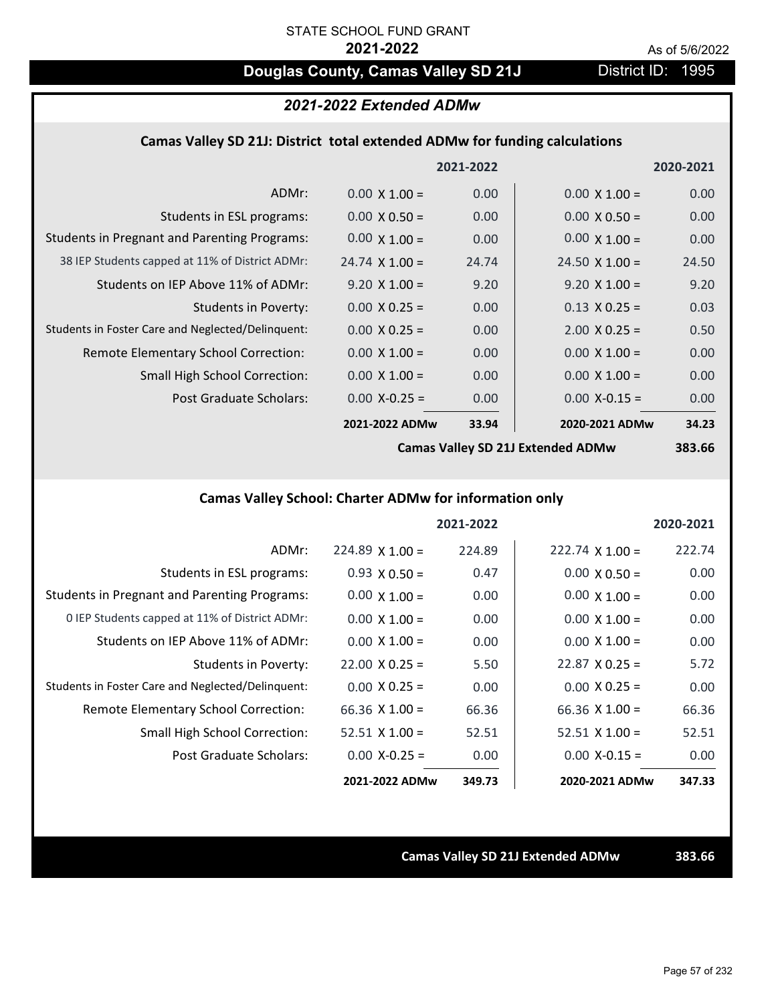# **Douglas County, Camas Valley SD 21J** District ID: 1995

# *2021-2022 Extended ADMw*

### **Camas Valley SD 21J: District total extended ADMw for funding calculations**

|                                                     |                       | 2021-2022 |                       | 2020-2021 |
|-----------------------------------------------------|-----------------------|-----------|-----------------------|-----------|
| ADMr:                                               | $0.00 \times 1.00 =$  | 0.00      | $0.00 \times 1.00 =$  | 0.00      |
| Students in ESL programs:                           | $0.00 \times 0.50 =$  | 0.00      | $0.00 \times 0.50 =$  | 0.00      |
| <b>Students in Pregnant and Parenting Programs:</b> | $0.00 \times 1.00 =$  | 0.00      | $0.00 \times 1.00 =$  | 0.00      |
| 38 IEP Students capped at 11% of District ADMr:     | $24.74 \times 1.00 =$ | 24.74     | $24.50 \times 1.00 =$ | 24.50     |
| Students on IEP Above 11% of ADMr:                  | $9.20 \times 1.00 =$  | 9.20      | $9.20 \times 1.00 =$  | 9.20      |
| <b>Students in Poverty:</b>                         | $0.00 \times 0.25 =$  | 0.00      | $0.13 \times 0.25 =$  | 0.03      |
| Students in Foster Care and Neglected/Delinquent:   | $0.00 \times 0.25 =$  | 0.00      | $2.00 \times 0.25 =$  | 0.50      |
| Remote Elementary School Correction:                | $0.00 \times 1.00 =$  | 0.00      | $0.00 \times 1.00 =$  | 0.00      |
| <b>Small High School Correction:</b>                | $0.00 \times 1.00 =$  | 0.00      | $0.00 \times 1.00 =$  | 0.00      |
| Post Graduate Scholars:                             | $0.00$ X-0.25 =       | 0.00      | $0.00$ X-0.15 =       | 0.00      |
|                                                     | 2021-2022 ADMw        | 33.94     | 2020-2021 ADMw        | 34.23     |
|                                                     |                       |           |                       |           |

**Camas Valley SD 21J Extended ADMw**

**383.66**

# **Camas Valley School: Charter ADMw for information only**

|                                                     |                       | 2021-2022 |                        | 2020-2021 |
|-----------------------------------------------------|-----------------------|-----------|------------------------|-----------|
| ADMr:                                               | $224.89$ X 1.00 =     | 224.89    | $222.74 \times 1.00 =$ | 222.74    |
| Students in ESL programs:                           | $0.93 \times 0.50 =$  | 0.47      | $0.00 \times 0.50 =$   | 0.00      |
| <b>Students in Pregnant and Parenting Programs:</b> | $0.00 \times 1.00 =$  | 0.00      | $0.00 \times 1.00 =$   | 0.00      |
| 0 IEP Students capped at 11% of District ADMr:      | $0.00 \times 1.00 =$  | 0.00      | $0.00 \times 1.00 =$   | 0.00      |
| Students on IEP Above 11% of ADMr:                  | $0.00 \times 1.00 =$  | 0.00      | $0.00 \times 1.00 =$   | 0.00      |
| Students in Poverty:                                | $22.00 \times 0.25 =$ | 5.50      | $22.87 \times 0.25 =$  | 5.72      |
| Students in Foster Care and Neglected/Delinquent:   | $0.00 \times 0.25 =$  | 0.00      | $0.00 \times 0.25 =$   | 0.00      |
| Remote Elementary School Correction:                | 66.36 $X$ 1.00 =      | 66.36     | $66.36 \times 1.00 =$  | 66.36     |
| <b>Small High School Correction:</b>                | $52.51$ X 1.00 =      | 52.51     | $52.51 \times 1.00 =$  | 52.51     |
| Post Graduate Scholars:                             | $0.00 X-0.25 =$       | 0.00      | $0.00$ X-0.15 =        | 0.00      |
|                                                     | 2021-2022 ADMw        | 349.73    | 2020-2021 ADMw         | 347.33    |

**Camas Valley SD 21J Extended ADMw 383.66**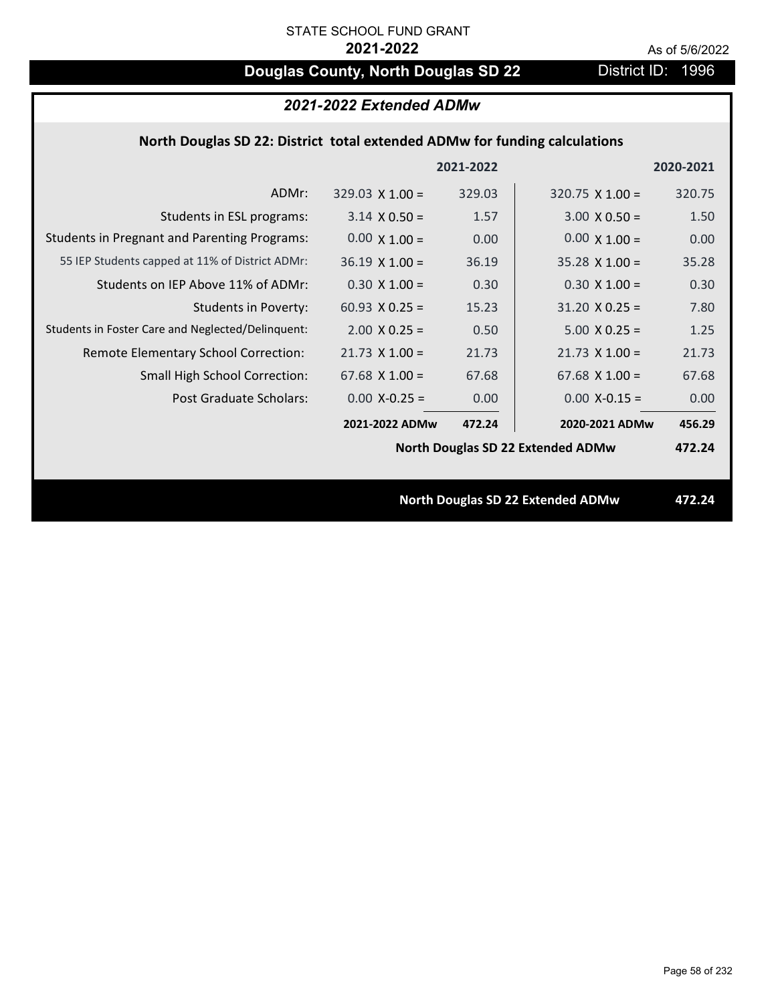# **Douglas County, North Douglas SD 22** District ID: 1996

|                                                                            | 2021-2022 Extended ADMw |           |                                          |           |
|----------------------------------------------------------------------------|-------------------------|-----------|------------------------------------------|-----------|
| North Douglas SD 22: District total extended ADMw for funding calculations |                         |           |                                          |           |
|                                                                            |                         | 2021-2022 |                                          | 2020-2021 |
| ADMr:                                                                      | $329.03 \times 1.00 =$  | 329.03    | $320.75 \times 1.00 =$                   | 320.75    |
| Students in ESL programs:                                                  | $3.14 \times 0.50 =$    | 1.57      | $3.00 \times 0.50 =$                     | 1.50      |
| <b>Students in Pregnant and Parenting Programs:</b>                        | $0.00 \times 1.00 =$    | 0.00      | $0.00 \times 1.00 =$                     | 0.00      |
| 55 IEP Students capped at 11% of District ADMr:                            | $36.19 \times 1.00 =$   | 36.19     | $35.28 \times 1.00 =$                    | 35.28     |
| Students on IEP Above 11% of ADMr:                                         | $0.30 X 1.00 =$         | 0.30      | $0.30 X 1.00 =$                          | 0.30      |
| <b>Students in Poverty:</b>                                                | 60.93 $X$ 0.25 =        | 15.23     | $31.20 \times 0.25 =$                    | 7.80      |
| Students in Foster Care and Neglected/Delinquent:                          | $2.00 \times 0.25 =$    | 0.50      | $5.00 X 0.25 =$                          | 1.25      |
| Remote Elementary School Correction:                                       | $21.73$ X $1.00 =$      | 21.73     | $21.73$ X $1.00 =$                       | 21.73     |
| <b>Small High School Correction:</b>                                       | 67.68 $X$ 1.00 =        | 67.68     | $67.68$ X 1.00 =                         | 67.68     |
| Post Graduate Scholars:                                                    | $0.00$ X-0.25 =         | 0.00      | $0.00$ X-0.15 =                          | 0.00      |
|                                                                            | 2021-2022 ADMw          | 472.24    | 2020-2021 ADMw                           | 456.29    |
|                                                                            |                         |           | <b>North Douglas SD 22 Extended ADMw</b> | 472.24    |
|                                                                            |                         |           |                                          |           |
|                                                                            |                         |           | <b>North Douglas SD 22 Extended ADMw</b> | 472.24    |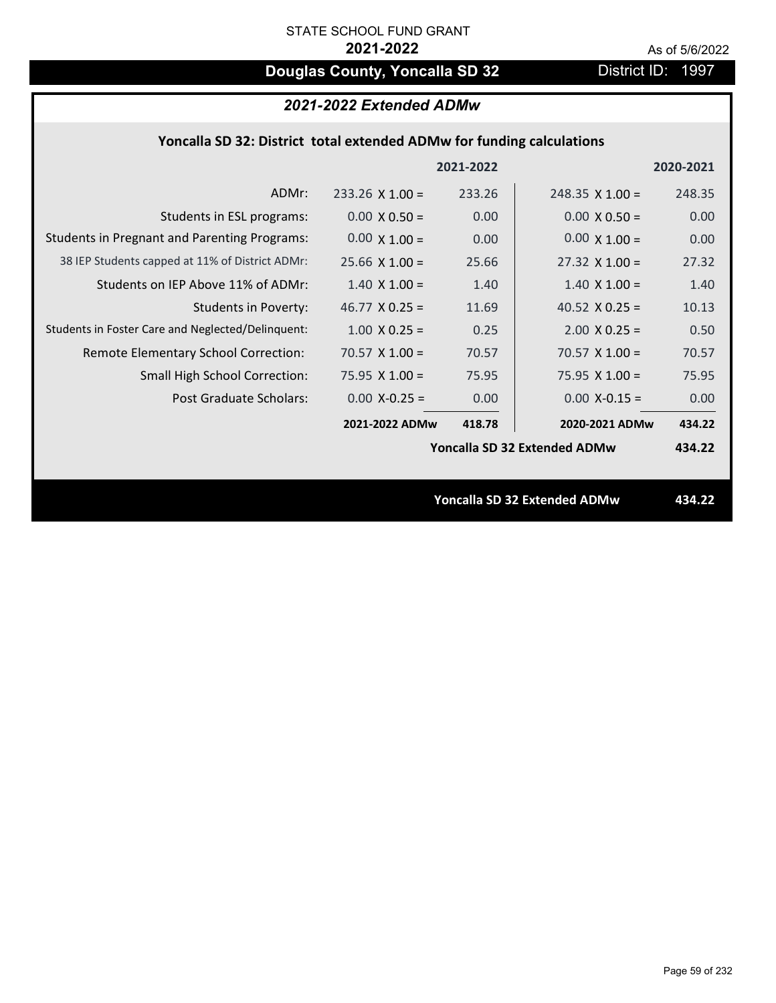# **Douglas County, Yoncalla SD 32** District ID: 1997

# *2021-2022 Extended ADMw*

## **Yoncalla SD 32: District total extended ADMw for funding calculations**

|                                                     |                       | 2021-2022 |                                     | 2020-2021 |
|-----------------------------------------------------|-----------------------|-----------|-------------------------------------|-----------|
| ADMr:                                               | $233.26$ X 1.00 =     | 233.26    | $248.35 \times 1.00 =$              | 248.35    |
| Students in ESL programs:                           | $0.00 \times 0.50 =$  | 0.00      | $0.00 \times 0.50 =$                | 0.00      |
| <b>Students in Pregnant and Parenting Programs:</b> | $0.00 \times 1.00 =$  | 0.00      | $0.00 \times 1.00 =$                | 0.00      |
| 38 IEP Students capped at 11% of District ADMr:     | $25.66 \times 1.00 =$ | 25.66     | $27.32 \times 1.00 =$               | 27.32     |
| Students on IEP Above 11% of ADMr:                  | $1.40 \times 1.00 =$  | 1.40      | $1.40 \times 1.00 =$                | 1.40      |
| <b>Students in Poverty:</b>                         | 46.77 $X$ 0.25 =      | 11.69     | 40.52 $X$ 0.25 =                    | 10.13     |
| Students in Foster Care and Neglected/Delinquent:   | $1.00 \times 0.25 =$  | 0.25      | $2.00 \times 0.25 =$                | 0.50      |
| Remote Elementary School Correction:                | $70.57$ X 1.00 =      | 70.57     | $70.57 \times 1.00 =$               | 70.57     |
| <b>Small High School Correction:</b>                | $75.95 \times 1.00 =$ | 75.95     | $75.95 \times 1.00 =$               | 75.95     |
| Post Graduate Scholars:                             | $0.00$ X-0.25 =       | 0.00      | $0.00$ X-0.15 =                     | 0.00      |
|                                                     | 2021-2022 ADMw        | 418.78    | 2020-2021 ADMw                      | 434.22    |
|                                                     |                       |           | Yoncalla SD 32 Extended ADMw        | 434.22    |
|                                                     |                       |           |                                     |           |
|                                                     |                       |           | <b>Yoncalla SD 32 Extended ADMw</b> | 434.22    |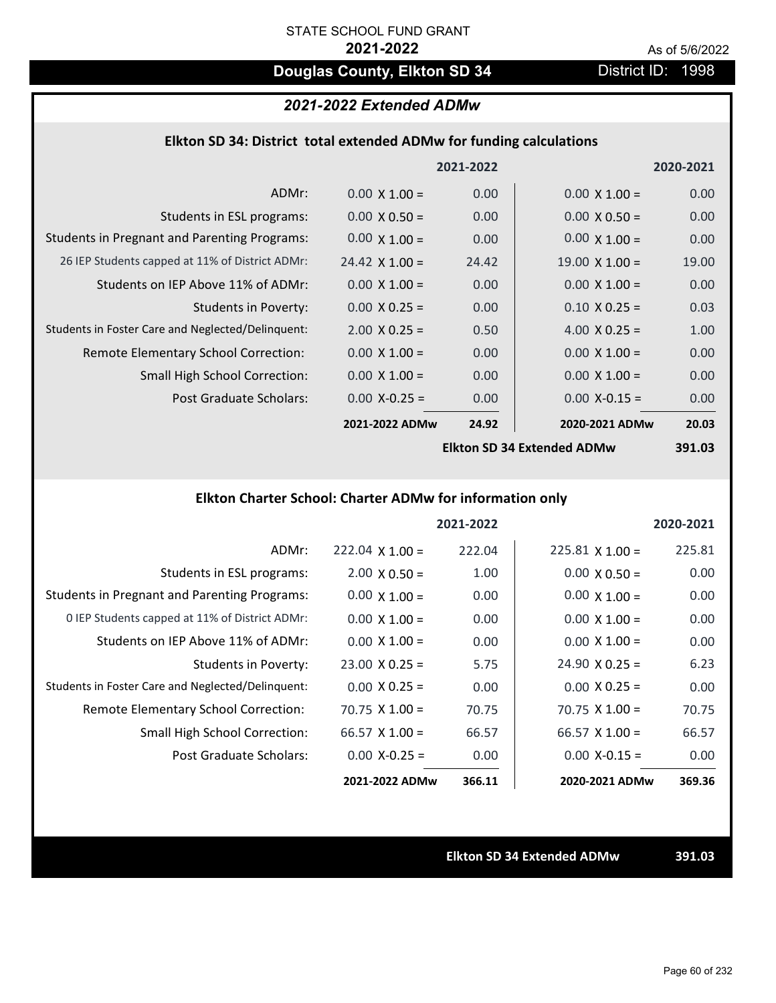# **Douglas County, Elkton SD 34** District ID: 1998

## *2021-2022 Extended ADMw*

### **Elkton SD 34: District total extended ADMw for funding calculations**

|                                                     |                       | 2021-2022 |                            | 2020-2021 |
|-----------------------------------------------------|-----------------------|-----------|----------------------------|-----------|
| ADMr:                                               | $0.00 \times 1.00 =$  | 0.00      | $0.00 \times 1.00 =$       | 0.00      |
| Students in ESL programs:                           | $0.00 \times 0.50 =$  | 0.00      | $0.00 \times 0.50 =$       | 0.00      |
| <b>Students in Pregnant and Parenting Programs:</b> | $0.00 \times 1.00 =$  | 0.00      | $0.00 \times 1.00 =$       | 0.00      |
| 26 IEP Students capped at 11% of District ADMr:     | $24.42 \times 1.00 =$ | 24.42     | $19.00 \times 1.00 =$      | 19.00     |
| Students on IEP Above 11% of ADMr:                  | $0.00 \times 1.00 =$  | 0.00      | $0.00 \times 1.00 =$       | 0.00      |
| <b>Students in Poverty:</b>                         | $0.00 \times 0.25 =$  | 0.00      | $0.10 \times 0.25 =$       | 0.03      |
| Students in Foster Care and Neglected/Delinquent:   | $2.00 \times 0.25 =$  | 0.50      | 4.00 $X$ 0.25 =            | 1.00      |
| Remote Elementary School Correction:                | $0.00 \times 1.00 =$  | 0.00      | $0.00 \times 1.00 =$       | 0.00      |
| <b>Small High School Correction:</b>                | $0.00 \times 1.00 =$  | 0.00      | $0.00 \times 1.00 =$       | 0.00      |
| Post Graduate Scholars:                             | $0.00$ X-0.25 =       | 0.00      | $0.00$ X-0.15 =            | 0.00      |
|                                                     | 2021-2022 ADMw        | 24.92     | 2020-2021 ADMw             | 20.03     |
|                                                     |                       |           | Ellton CD 24 Extended ADMW | כח ומכ    |

**Elkton SD 34 Extended ADMw**

**391.03**

# **Elkton Charter School: Charter ADMw for information only**

|                                                     |                       | 2021-2022 |                        | 2020-2021 |
|-----------------------------------------------------|-----------------------|-----------|------------------------|-----------|
| ADMr:                                               | $222.04$ X 1.00 =     | 222.04    | $225.81 \times 1.00 =$ | 225.81    |
| Students in ESL programs:                           | $2.00 \times 0.50 =$  | 1.00      | $0.00 \times 0.50 =$   | 0.00      |
| <b>Students in Pregnant and Parenting Programs:</b> | $0.00 \times 1.00 =$  | 0.00      | $0.00 \times 1.00 =$   | 0.00      |
| 0 IEP Students capped at 11% of District ADMr:      | $0.00 \times 1.00 =$  | 0.00      | $0.00 \times 1.00 =$   | 0.00      |
| Students on IEP Above 11% of ADMr:                  | $0.00 \times 1.00 =$  | 0.00      | $0.00 \times 1.00 =$   | 0.00      |
| Students in Poverty:                                | $23.00 \times 0.25 =$ | 5.75      | $24.90 \times 0.25 =$  | 6.23      |
| Students in Foster Care and Neglected/Delinquent:   | $0.00 \times 0.25 =$  | 0.00      | $0.00 \times 0.25 =$   | 0.00      |
| Remote Elementary School Correction:                | $70.75 \times 1.00 =$ | 70.75     | $70.75 \times 1.00 =$  | 70.75     |
| <b>Small High School Correction:</b>                | $66.57 \times 1.00 =$ | 66.57     | $66.57 \times 1.00 =$  | 66.57     |
| Post Graduate Scholars:                             | $0.00 X - 0.25 =$     | 0.00      | $0.00 X - 0.15 =$      | 0.00      |
|                                                     | 2021-2022 ADMw        | 366.11    | 2020-2021 ADMw         | 369.36    |

**Elkton SD 34 Extended ADMw 391.03**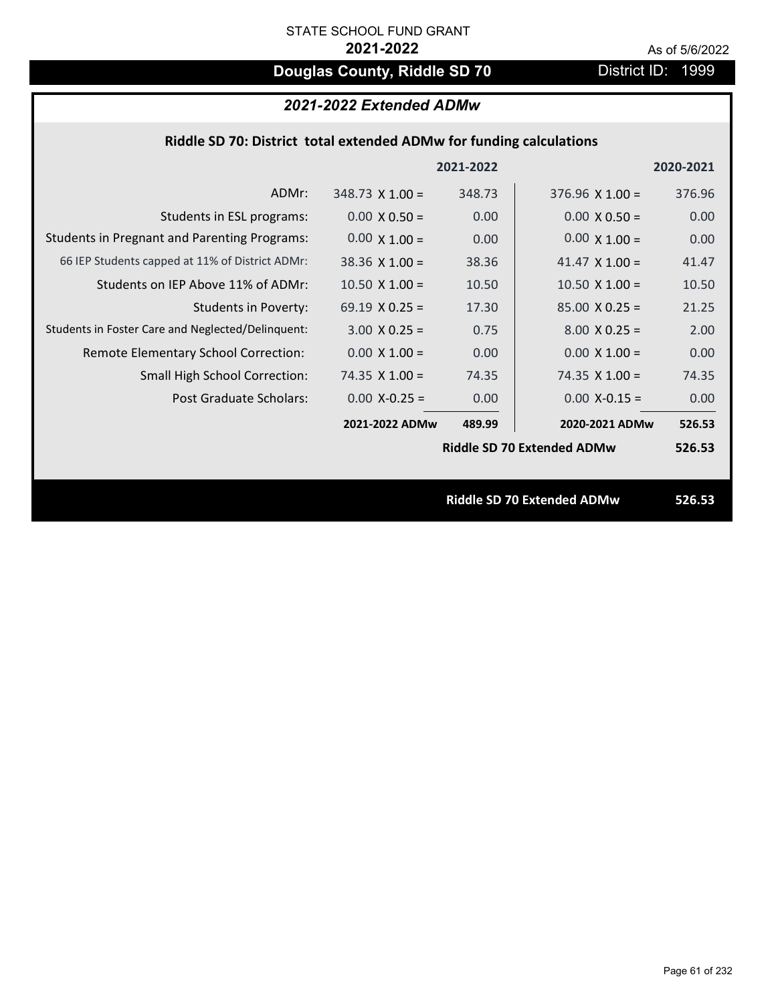# **Douglas County, Riddle SD 70** District ID: 1999

# *2021-2022 Extended ADMw*

|                                                     |                        | 2021-2022 |                                   | 2020-2021 |
|-----------------------------------------------------|------------------------|-----------|-----------------------------------|-----------|
| ADMr:                                               | $348.73 \times 1.00 =$ | 348.73    | $376.96 \times 1.00 =$            | 376.96    |
| Students in ESL programs:                           | $0.00 \times 0.50 =$   | 0.00      | $0.00 \times 0.50 =$              | 0.00      |
| <b>Students in Pregnant and Parenting Programs:</b> | $0.00 \times 1.00 =$   | 0.00      | $0.00 \times 1.00 =$              | 0.00      |
| 66 IEP Students capped at 11% of District ADMr:     | $38.36 \times 1.00 =$  | 38.36     | 41.47 $\times$ 1.00 =             | 41.47     |
| Students on IEP Above 11% of ADMr:                  | $10.50 \times 1.00 =$  | 10.50     | $10.50$ X $1.00 =$                | 10.50     |
| <b>Students in Poverty:</b>                         | 69.19 $X$ 0.25 =       | 17.30     | $85.00 \times 0.25 =$             | 21.25     |
| Students in Foster Care and Neglected/Delinquent:   | $3.00 \times 0.25 =$   | 0.75      | $8.00 \times 0.25 =$              | 2.00      |
| Remote Elementary School Correction:                | $0.00 \times 1.00 =$   | 0.00      | $0.00 \times 1.00 =$              | 0.00      |
| <b>Small High School Correction:</b>                | 74.35 $X$ 1.00 =       | 74.35     | $74.35 \times 1.00 =$             | 74.35     |
| Post Graduate Scholars:                             | $0.00 X - 0.25 =$      | 0.00      | $0.00$ X-0.15 =                   | 0.00      |
|                                                     | 2021-2022 ADMw         | 489.99    | 2020-2021 ADMw                    | 526.53    |
|                                                     |                        |           | <b>Riddle SD 70 Extended ADMw</b> | 526.53    |
|                                                     |                        |           |                                   |           |
|                                                     |                        |           | <b>Riddle SD 70 Extended ADMw</b> | 526.53    |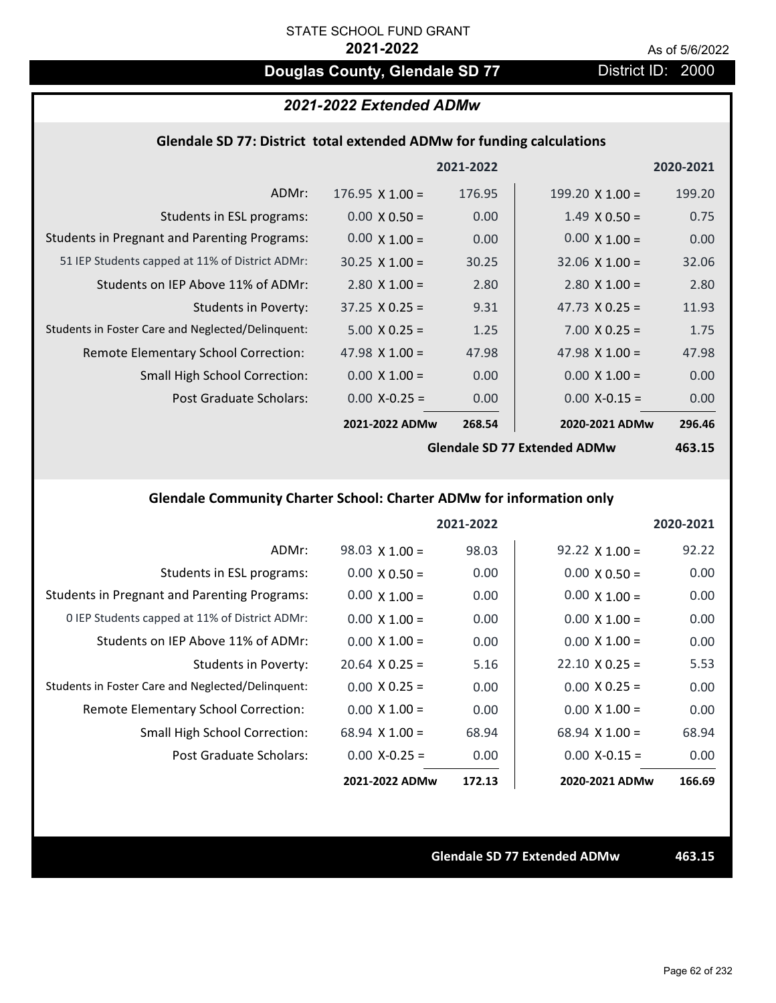# **Douglas County, Glendale SD 77** District ID: 2000

# *2021-2022 Extended ADMw*

### **Glendale SD 77: District total extended ADMw for funding calculations**

|                                                     |                        | 2021-2022 |                        | 2020-2021 |
|-----------------------------------------------------|------------------------|-----------|------------------------|-----------|
| ADMr:                                               | $176.95 \times 1.00 =$ | 176.95    | $199.20 \times 1.00 =$ | 199.20    |
| Students in ESL programs:                           | $0.00 \times 0.50 =$   | 0.00      | $1.49 \times 0.50 =$   | 0.75      |
| <b>Students in Pregnant and Parenting Programs:</b> | $0.00 \times 1.00 =$   | 0.00      | $0.00 \times 1.00 =$   | 0.00      |
| 51 IEP Students capped at 11% of District ADMr:     | $30.25 \times 1.00 =$  | 30.25     | $32.06 \times 1.00 =$  | 32.06     |
| Students on IEP Above 11% of ADMr:                  | $2.80 \times 1.00 =$   | 2.80      | $2.80$ X $1.00 =$      | 2.80      |
| <b>Students in Poverty:</b>                         | $37.25 \times 0.25 =$  | 9.31      | 47.73 $X$ 0.25 =       | 11.93     |
| Students in Foster Care and Neglected/Delinquent:   | $5.00 \times 0.25 =$   | 1.25      | $7.00 \times 0.25 =$   | 1.75      |
| Remote Elementary School Correction:                | 47.98 $\times$ 1.00 =  | 47.98     | 47.98 $X$ 1.00 =       | 47.98     |
| <b>Small High School Correction:</b>                | $0.00 \times 1.00 =$   | 0.00      | $0.00 \times 1.00 =$   | 0.00      |
| Post Graduate Scholars:                             | $0.00$ X-0.25 =        | 0.00      | $0.00$ X-0.15 =        | 0.00      |
|                                                     | 2021-2022 ADMw         | 268.54    | 2020-2021 ADMw         | 296.46    |
|                                                     |                        |           |                        |           |

**Glendale SD 77 Extended ADMw**

**463.15**

## **Glendale Community Charter School: Charter ADMw for information only**

|                                                     |                       | 2021-2022 |                       | 2020-2021 |
|-----------------------------------------------------|-----------------------|-----------|-----------------------|-----------|
| ADMr:                                               | $98.03 \times 1.00 =$ | 98.03     | $92.22 \times 1.00 =$ | 92.22     |
| Students in ESL programs:                           | $0.00 \times 0.50 =$  | 0.00      | $0.00 \times 0.50 =$  | 0.00      |
| <b>Students in Pregnant and Parenting Programs:</b> | $0.00 \times 1.00 =$  | 0.00      | $0.00 \times 1.00 =$  | 0.00      |
| 0 IEP Students capped at 11% of District ADMr:      | $0.00 \times 1.00 =$  | 0.00      | $0.00 \times 1.00 =$  | 0.00      |
| Students on IEP Above 11% of ADMr:                  | $0.00 \times 1.00 =$  | 0.00      | $0.00 \times 1.00 =$  | 0.00      |
| Students in Poverty:                                | $20.64 \times 0.25 =$ | 5.16      | $22.10 \times 0.25 =$ | 5.53      |
| Students in Foster Care and Neglected/Delinquent:   | $0.00 \times 0.25 =$  | 0.00      | $0.00 \times 0.25 =$  | 0.00      |
| Remote Elementary School Correction:                | $0.00 \times 1.00 =$  | 0.00      | $0.00 \times 1.00 =$  | 0.00      |
| <b>Small High School Correction:</b>                | $68.94 \times 1.00 =$ | 68.94     | $68.94 \times 1.00 =$ | 68.94     |
| Post Graduate Scholars:                             | $0.00 X - 0.25 =$     | 0.00      | $0.00 X - 0.15 =$     | 0.00      |
|                                                     | 2021-2022 ADMw        | 172.13    | 2020-2021 ADMw        | 166.69    |

**Glendale SD 77 Extended ADMw 463.15**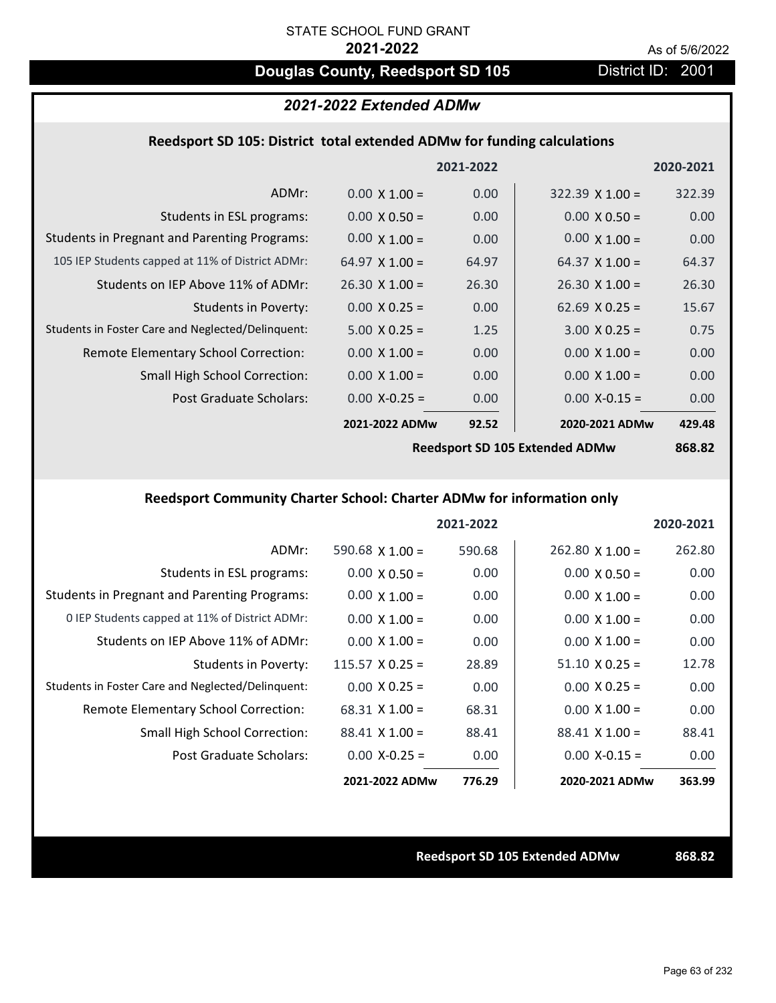# **Douglas County, Reedsport SD 105** District ID: 2001

### *2021-2022 Extended ADMw*

### **Reedsport SD 105: District total extended ADMw for funding calculations**

|                                                     |                       | 2021-2022 |                        | 2020-2021 |
|-----------------------------------------------------|-----------------------|-----------|------------------------|-----------|
| ADMr:                                               | $0.00 \times 1.00 =$  | 0.00      | $322.39 \times 1.00 =$ | 322.39    |
| Students in ESL programs:                           | $0.00 \times 0.50 =$  | 0.00      | $0.00 \times 0.50 =$   | 0.00      |
| <b>Students in Pregnant and Parenting Programs:</b> | $0.00 \times 1.00 =$  | 0.00      | $0.00 \times 1.00 =$   | 0.00      |
| 105 IEP Students capped at 11% of District ADMr:    | 64.97 $\times$ 1.00 = | 64.97     | $64.37 \times 1.00 =$  | 64.37     |
| Students on IEP Above 11% of ADMr:                  | $26.30 \times 1.00 =$ | 26.30     | $26.30 \times 1.00 =$  | 26.30     |
| <b>Students in Poverty:</b>                         | $0.00 \times 0.25 =$  | 0.00      | 62.69 $X$ 0.25 =       | 15.67     |
| Students in Foster Care and Neglected/Delinquent:   | $5.00 \times 0.25 =$  | 1.25      | $3.00 \times 0.25 =$   | 0.75      |
| Remote Elementary School Correction:                | $0.00 \times 1.00 =$  | 0.00      | $0.00 \times 1.00 =$   | 0.00      |
| <b>Small High School Correction:</b>                | $0.00 \times 1.00 =$  | 0.00      | $0.00 \times 1.00 =$   | 0.00      |
| Post Graduate Scholars:                             | $0.00$ X-0.25 =       | 0.00      | $0.00$ X-0.15 =        | 0.00      |
|                                                     | 2021-2022 ADMw        | 92.52     | 2020-2021 ADMw         | 429.48    |
|                                                     |                       |           |                        |           |

**Reedsport SD 105 Extended ADMw**

**868.82**

# **Reedsport Community Charter School: Charter ADMw for information only**

|                                                     |                        | 2021-2022 |                        | 2020-2021 |
|-----------------------------------------------------|------------------------|-----------|------------------------|-----------|
| ADMr:                                               | 590.68 $\times$ 1.00 = | 590.68    | $262.80 \times 1.00 =$ | 262.80    |
| Students in ESL programs:                           | $0.00 \times 0.50 =$   | 0.00      | $0.00 \times 0.50 =$   | 0.00      |
| <b>Students in Pregnant and Parenting Programs:</b> | $0.00 \times 1.00 =$   | 0.00      | $0.00 \times 1.00 =$   | 0.00      |
| 0 IEP Students capped at 11% of District ADMr:      | $0.00 \times 1.00 =$   | 0.00      | $0.00 \times 1.00 =$   | 0.00      |
| Students on IEP Above 11% of ADMr:                  | $0.00 \times 1.00 =$   | 0.00      | $0.00 \times 1.00 =$   | 0.00      |
| Students in Poverty:                                | $115.57 \times 0.25 =$ | 28.89     | $51.10 \times 0.25 =$  | 12.78     |
| Students in Foster Care and Neglected/Delinquent:   | $0.00 \times 0.25 =$   | 0.00      | $0.00 \times 0.25 =$   | 0.00      |
| Remote Elementary School Correction:                | $68.31 \times 1.00 =$  | 68.31     | $0.00 \times 1.00 =$   | 0.00      |
| <b>Small High School Correction:</b>                | $88.41 \times 1.00 =$  | 88.41     | $88.41 \times 1.00 =$  | 88.41     |
| Post Graduate Scholars:                             | $0.00$ X-0.25 =        | 0.00      | $0.00 X - 0.15 =$      | 0.00      |
|                                                     | 2021-2022 ADMw         | 776.29    | 2020-2021 ADMw         | 363.99    |

**Reedsport SD 105 Extended ADMw 868.82**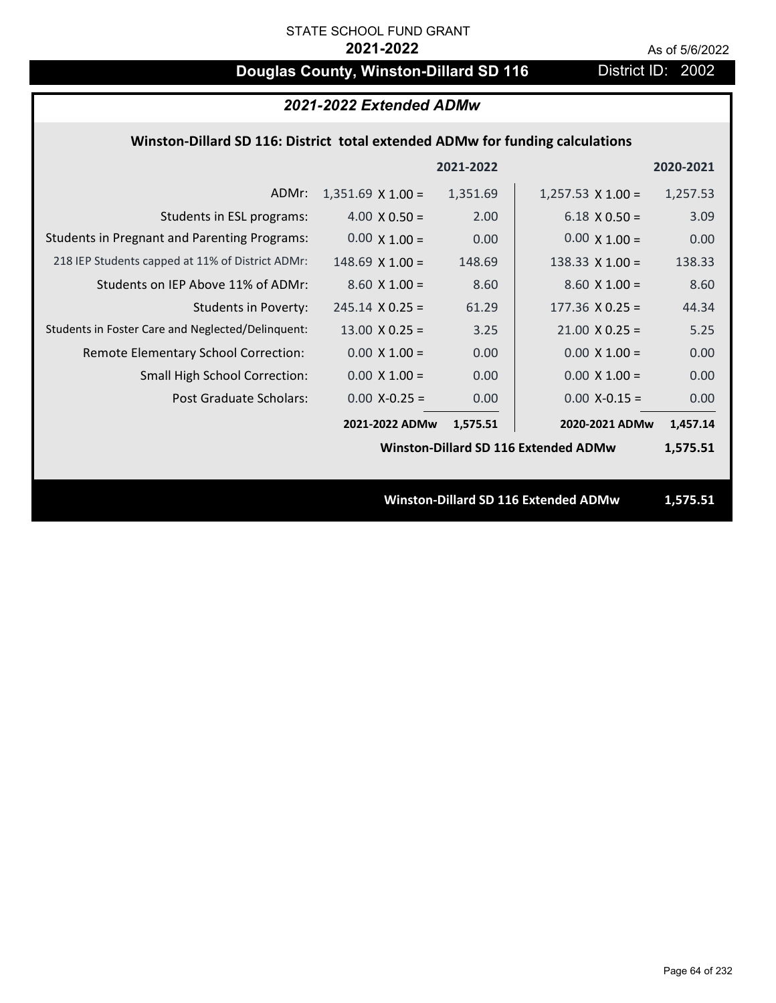# **Douglas County, Winston-Dillard SD 116** District ID: 2002

|                                                                               | 2021-2022 Extended ADMw |           |                                             |           |  |  |
|-------------------------------------------------------------------------------|-------------------------|-----------|---------------------------------------------|-----------|--|--|
| Winston-Dillard SD 116: District total extended ADMw for funding calculations |                         |           |                                             |           |  |  |
|                                                                               |                         | 2021-2022 |                                             | 2020-2021 |  |  |
| ADMr:                                                                         | $1,351.69$ X $1.00 =$   | 1,351.69  | $1,257.53 \times 1.00 =$                    | 1,257.53  |  |  |
| Students in ESL programs:                                                     | $4.00 \times 0.50 =$    | 2.00      | $6.18 \times 0.50 =$                        | 3.09      |  |  |
| <b>Students in Pregnant and Parenting Programs:</b>                           | $0.00 \times 1.00 =$    | 0.00      | $0.00 \times 1.00 =$                        | 0.00      |  |  |
| 218 IEP Students capped at 11% of District ADMr:                              | $148.69$ X $1.00 =$     | 148.69    | 138.33 $X$ 1.00 =                           | 138.33    |  |  |
| Students on IEP Above 11% of ADMr:                                            | $8.60$ X $1.00 =$       | 8.60      | $8.60 X 1.00 =$                             | 8.60      |  |  |
| <b>Students in Poverty:</b>                                                   | $245.14 \times 0.25 =$  | 61.29     | $177.36 \times 0.25 =$                      | 44.34     |  |  |
| Students in Foster Care and Neglected/Delinquent:                             | $13.00 \times 0.25 =$   | 3.25      | $21.00 \times 0.25 =$                       | 5.25      |  |  |
| Remote Elementary School Correction:                                          | $0.00 \times 1.00 =$    | 0.00      | $0.00 \times 1.00 =$                        | 0.00      |  |  |
| Small High School Correction:                                                 | $0.00 X 1.00 =$         | 0.00      | $0.00 \times 1.00 =$                        | 0.00      |  |  |
| <b>Post Graduate Scholars:</b>                                                | $0.00$ X-0.25 =         | 0.00      | $0.00$ X-0.15 =                             | 0.00      |  |  |
|                                                                               | 2021-2022 ADMw          | 1,575.51  | 2020-2021 ADMw                              | 1,457.14  |  |  |
|                                                                               |                         |           | <b>Winston-Dillard SD 116 Extended ADMw</b> | 1,575.51  |  |  |
|                                                                               |                         |           |                                             |           |  |  |
|                                                                               |                         |           | Winston-Dillard SD 116 Extended ADMw        | 1,575.51  |  |  |
|                                                                               |                         |           |                                             |           |  |  |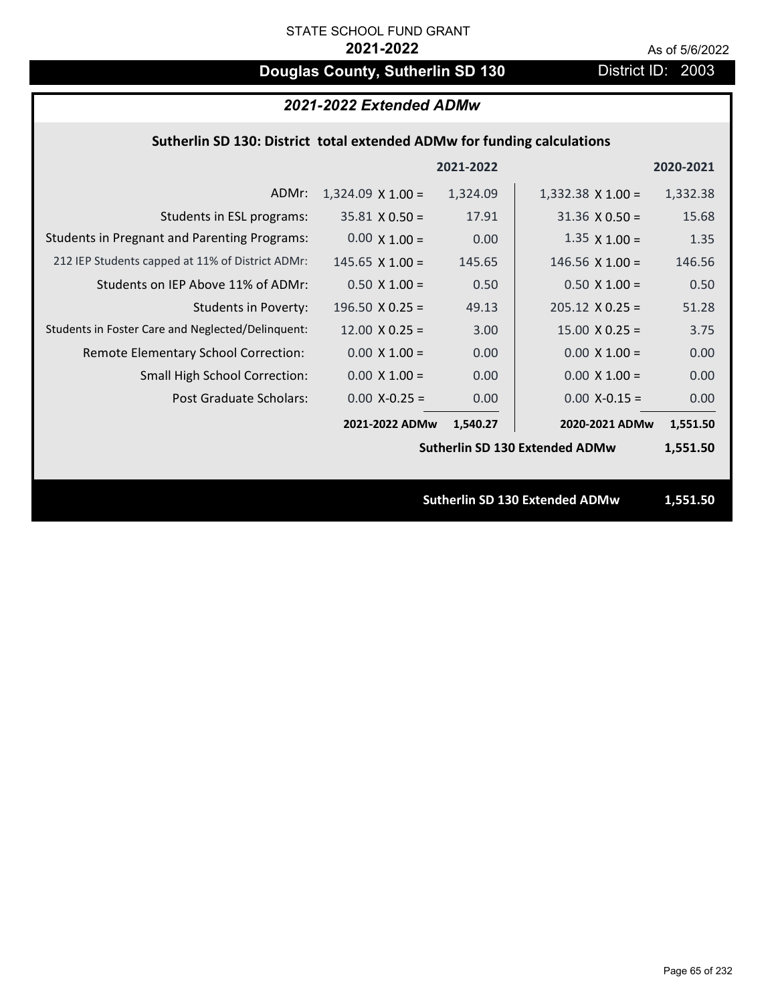# **Douglas County, Sutherlin SD 130** District ID: 2003

# *2021-2022 Extended ADMw*

## **Sutherlin SD 130: District total extended ADMw for funding calculations**

|                                                     |                          | 2021-2022 |                                       | 2020-2021 |
|-----------------------------------------------------|--------------------------|-----------|---------------------------------------|-----------|
| ADMr:                                               | $1,324.09 \times 1.00 =$ | 1,324.09  | $1,332.38 \times 1.00 =$              | 1,332.38  |
| Students in ESL programs:                           | $35.81 \times 0.50 =$    | 17.91     | $31.36 \times 0.50 =$                 | 15.68     |
| <b>Students in Pregnant and Parenting Programs:</b> | $0.00 \times 1.00 =$     | 0.00      | $1.35 \times 1.00 =$                  | 1.35      |
| 212 IEP Students capped at 11% of District ADMr:    | $145.65$ X 1.00 =        | 145.65    | 146.56 $\times$ 1.00 =                | 146.56    |
| Students on IEP Above 11% of ADMr:                  | $0.50 \times 1.00 =$     | 0.50      | $0.50 X 1.00 =$                       | 0.50      |
| <b>Students in Poverty:</b>                         | 196.50 $X$ 0.25 =        | 49.13     | $205.12 \times 0.25 =$                | 51.28     |
| Students in Foster Care and Neglected/Delinquent:   | $12.00 \times 0.25 =$    | 3.00      | $15.00 \times 0.25 =$                 | 3.75      |
| Remote Elementary School Correction:                | $0.00 \times 1.00 =$     | 0.00      | $0.00 \times 1.00 =$                  | 0.00      |
| <b>Small High School Correction:</b>                | $0.00 \times 1.00 =$     | 0.00      | $0.00 \times 1.00 =$                  | 0.00      |
| <b>Post Graduate Scholars:</b>                      | $0.00$ X-0.25 =          | 0.00      | $0.00$ X-0.15 =                       | 0.00      |
|                                                     | 2021-2022 ADMw           | 1,540.27  | 2020-2021 ADMw                        | 1,551.50  |
|                                                     |                          |           | <b>Sutherlin SD 130 Extended ADMw</b> | 1,551.50  |
|                                                     |                          |           |                                       |           |
|                                                     |                          |           | <b>Sutherlin SD 130 Extended ADMw</b> | 1,551.50  |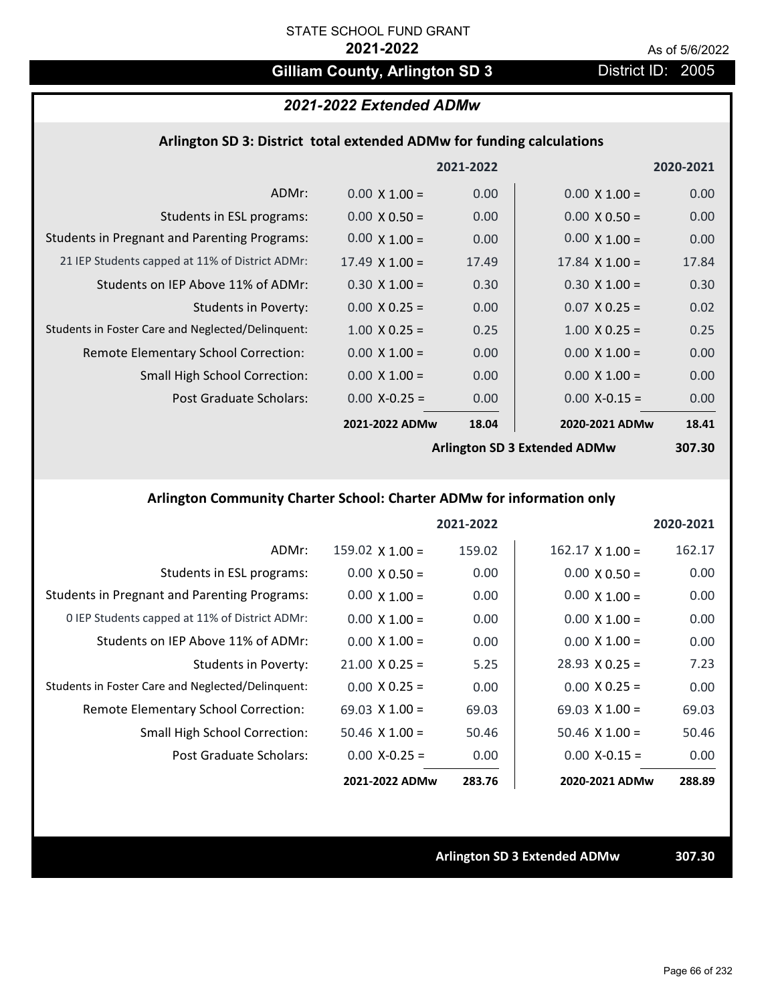# Gilliam County, Arlington SD 3 District ID: 2005

# *2021-2022 Extended ADMw*

### **Arlington SD 3: District total extended ADMw for funding calculations**

|                                                     |                       | 2021-2022 |                                     | 2020-2021 |
|-----------------------------------------------------|-----------------------|-----------|-------------------------------------|-----------|
| ADMr:                                               | $0.00 \times 1.00 =$  | 0.00      | $0.00 \times 1.00 =$                | 0.00      |
| Students in ESL programs:                           | $0.00 \times 0.50 =$  | 0.00      | $0.00 \times 0.50 =$                | 0.00      |
| <b>Students in Pregnant and Parenting Programs:</b> | $0.00 \times 1.00 =$  | 0.00      | $0.00 \times 1.00 =$                | 0.00      |
| 21 IEP Students capped at 11% of District ADMr:     | $17.49 \times 1.00 =$ | 17.49     | $17.84 \times 1.00 =$               | 17.84     |
| Students on IEP Above 11% of ADMr:                  | $0.30 \times 1.00 =$  | 0.30      | $0.30 \times 1.00 =$                | 0.30      |
| Students in Poverty:                                | $0.00 \times 0.25 =$  | 0.00      | $0.07$ X 0.25 =                     | 0.02      |
| Students in Foster Care and Neglected/Delinquent:   | $1.00 \times 0.25 =$  | 0.25      | $1.00 \times 0.25 =$                | 0.25      |
| Remote Elementary School Correction:                | $0.00 \times 1.00 =$  | 0.00      | $0.00 \times 1.00 =$                | 0.00      |
| <b>Small High School Correction:</b>                | $0.00 \times 1.00 =$  | 0.00      | $0.00 \times 1.00 =$                | 0.00      |
| Post Graduate Scholars:                             | $0.00$ X-0.25 =       | 0.00      | $0.00$ X-0.15 =                     | 0.00      |
|                                                     | 2021-2022 ADMw        | 18.04     | 2020-2021 ADMw                      | 18.41     |
|                                                     |                       |           | <b>Arlington SD 3 Extended ADMw</b> | 307.30    |

## **Arlington Community Charter School: Charter ADMw for information only**

|                                                     |                        | 2021-2022 |                        | 2020-2021 |
|-----------------------------------------------------|------------------------|-----------|------------------------|-----------|
| ADMr:                                               | $159.02 \times 1.00 =$ | 159.02    | $162.17 \times 1.00 =$ | 162.17    |
| Students in ESL programs:                           | $0.00 \times 0.50 =$   | 0.00      | $0.00 \times 0.50 =$   | 0.00      |
| <b>Students in Pregnant and Parenting Programs:</b> | $0.00 \times 1.00 =$   | 0.00      | $0.00 \times 1.00 =$   | 0.00      |
| 0 IEP Students capped at 11% of District ADMr:      | $0.00 \times 1.00 =$   | 0.00      | $0.00 \times 1.00 =$   | 0.00      |
| Students on IEP Above 11% of ADMr:                  | $0.00 \times 1.00 =$   | 0.00      | $0.00 \times 1.00 =$   | 0.00      |
| Students in Poverty:                                | $21.00 \times 0.25 =$  | 5.25      | $28.93 \times 0.25 =$  | 7.23      |
| Students in Foster Care and Neglected/Delinquent:   | $0.00 \times 0.25 =$   | 0.00      | $0.00 \times 0.25 =$   | 0.00      |
| <b>Remote Elementary School Correction:</b>         | 69.03 $\times$ 1.00 =  | 69.03     | $69.03 \times 1.00 =$  | 69.03     |
| <b>Small High School Correction:</b>                | $50.46 \times 1.00 =$  | 50.46     | $50.46 \times 1.00 =$  | 50.46     |
| Post Graduate Scholars:                             | $0.00 X - 0.25 =$      | 0.00      | $0.00 X - 0.15 =$      | 0.00      |
|                                                     | 2021-2022 ADMw         | 283.76    | 2020-2021 ADMw         | 288.89    |

**Arlington SD 3 Extended ADMw 307.30**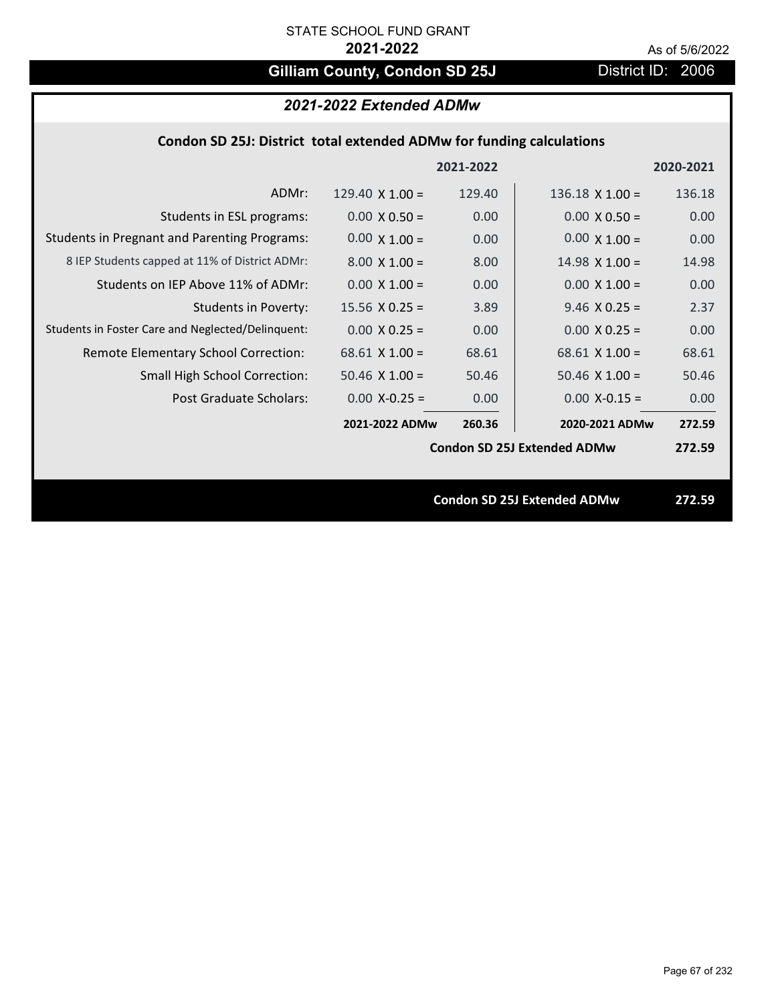# Gilliam County, Condon SD 25J District ID: 2006

# *2021-2022 Extended ADMw*

## **Condon SD 25J: District total extended ADMw for funding calculations**

|                                                     |                        | 2021-2022 |                                    | 2020-2021 |
|-----------------------------------------------------|------------------------|-----------|------------------------------------|-----------|
| ADMr:                                               | 129.40 $\times$ 1.00 = | 129.40    | $136.18 \times 1.00 =$             | 136.18    |
| Students in ESL programs:                           | $0.00 \times 0.50 =$   | 0.00      | $0.00 \times 0.50 =$               | 0.00      |
| <b>Students in Pregnant and Parenting Programs:</b> | $0.00 \times 1.00 =$   | 0.00      | $0.00 \times 1.00 =$               | 0.00      |
| 8 IEP Students capped at 11% of District ADMr:      | $8.00 \times 1.00 =$   | 8.00      | $14.98 \times 1.00 =$              | 14.98     |
| Students on IEP Above 11% of ADMr:                  | $0.00 \times 1.00 =$   | 0.00      | $0.00 \times 1.00 =$               | 0.00      |
| <b>Students in Poverty:</b>                         | $15.56 \times 0.25 =$  | 3.89      | $9.46$ X 0.25 =                    | 2.37      |
| Students in Foster Care and Neglected/Delinquent:   | $0.00 \times 0.25 =$   | 0.00      | $0.00 X 0.25 =$                    | 0.00      |
| Remote Elementary School Correction:                | $68.61$ X 1.00 =       | 68.61     | $68.61$ X $1.00 =$                 | 68.61     |
| <b>Small High School Correction:</b>                | $50.46 \times 1.00 =$  | 50.46     | $50.46 \times 1.00 =$              | 50.46     |
| Post Graduate Scholars:                             | $0.00$ X-0.25 =        | 0.00      | $0.00$ X-0.15 =                    | 0.00      |
|                                                     | 2021-2022 ADMw         | 260.36    | 2020-2021 ADMw                     | 272.59    |
|                                                     |                        |           | <b>Condon SD 25J Extended ADMw</b> | 272.59    |
|                                                     |                        |           |                                    |           |
|                                                     |                        |           | <b>Condon SD 25J Extended ADMw</b> | 272.59    |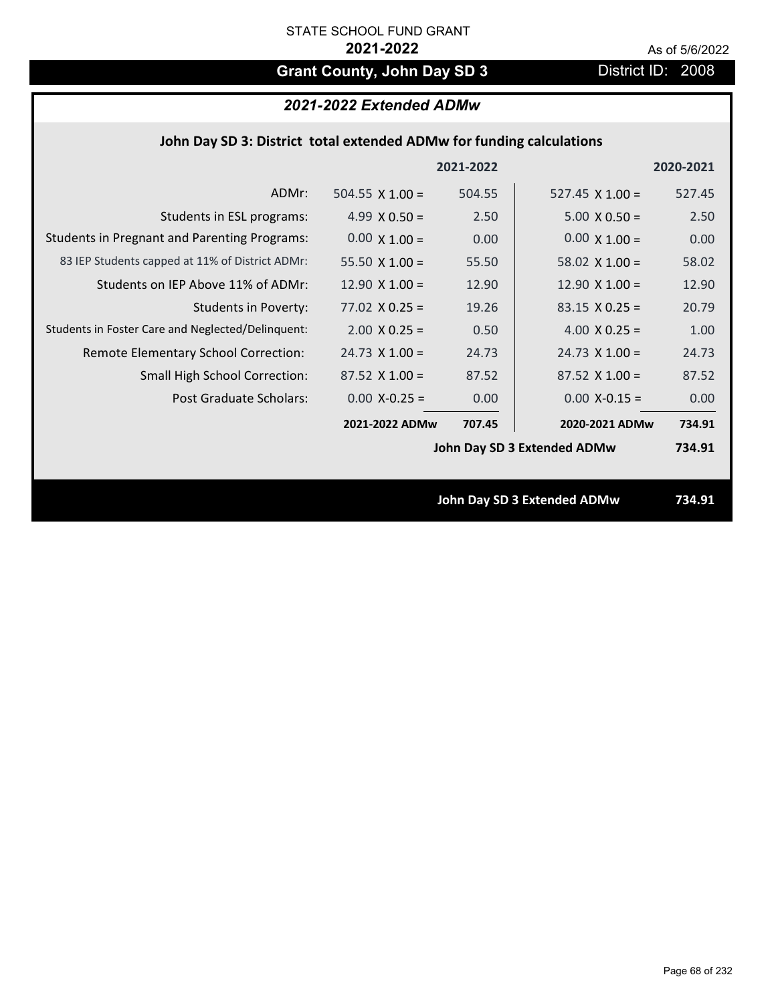# **Grant County, John Day SD 3** District ID: 2008

# *2021-2022 Extended ADMw*

## **John Day SD 3: District total extended ADMw for funding calculations**

|                                                     |                        | 2021-2022 |                             | 2020-2021 |
|-----------------------------------------------------|------------------------|-----------|-----------------------------|-----------|
| ADMr:                                               | 504.55 $\times$ 1.00 = | 504.55    | $527.45 \times 1.00 =$      | 527.45    |
| Students in ESL programs:                           | 4.99 $X$ 0.50 =        | 2.50      | $5.00 \times 0.50 =$        | 2.50      |
| <b>Students in Pregnant and Parenting Programs:</b> | $0.00 \times 1.00 =$   | 0.00      | $0.00 \times 1.00 =$        | 0.00      |
| 83 IEP Students capped at 11% of District ADMr:     | 55.50 $\times$ 1.00 =  | 55.50     | 58.02 $\times$ 1.00 =       | 58.02     |
| Students on IEP Above 11% of ADMr:                  | 12.90 $X$ 1.00 =       | 12.90     | 12.90 $X$ 1.00 =            | 12.90     |
| <b>Students in Poverty:</b>                         | $77.02$ X 0.25 =       | 19.26     | $83.15 \times 0.25 =$       | 20.79     |
| Students in Foster Care and Neglected/Delinquent:   | $2.00 \times 0.25 =$   | 0.50      | $4.00 \times 0.25 =$        | 1.00      |
| Remote Elementary School Correction:                | $24.73 \times 1.00 =$  | 24.73     | $24.73 \times 1.00 =$       | 24.73     |
| <b>Small High School Correction:</b>                | $87.52 \times 1.00 =$  | 87.52     | $87.52 \times 1.00 =$       | 87.52     |
| Post Graduate Scholars:                             | $0.00$ X-0.25 =        | 0.00      | $0.00$ X-0.15 =             | 0.00      |
|                                                     | 2021-2022 ADMw         | 707.45    | 2020-2021 ADMw              | 734.91    |
|                                                     |                        |           | John Day SD 3 Extended ADMw | 734.91    |
|                                                     |                        |           |                             |           |
|                                                     |                        |           | John Day SD 3 Extended ADMw | 734.91    |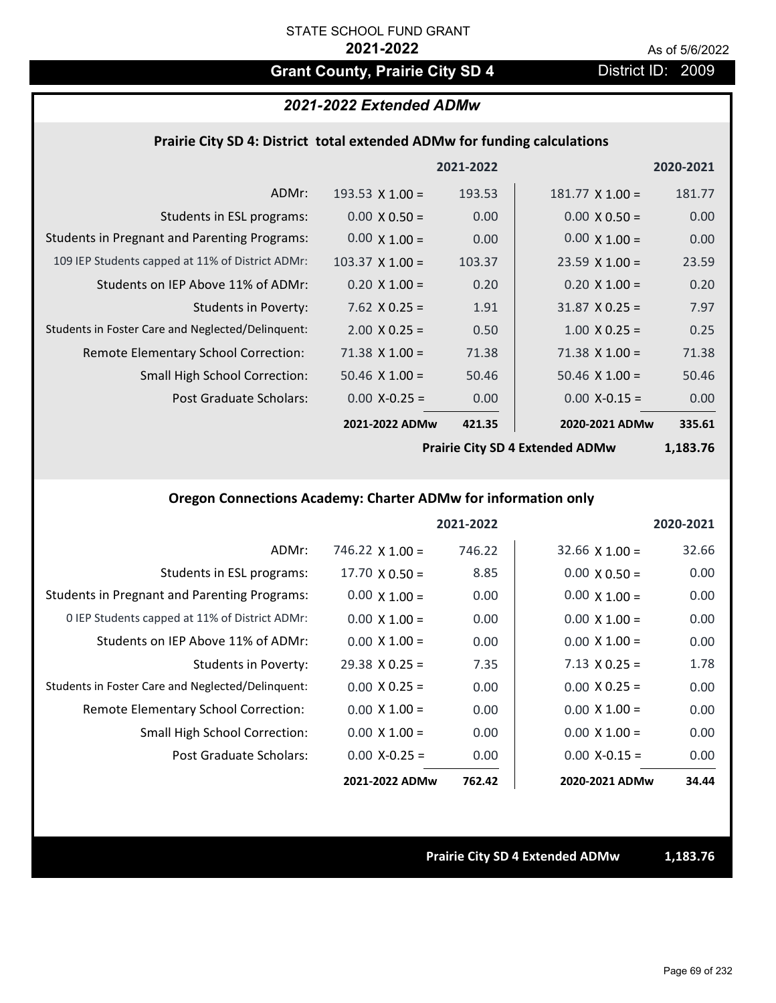# Grant County, Prairie City SD 4 District ID: 2009

# *2021-2022 Extended ADMw*

### **Prairie City SD 4: District total extended ADMw for funding calculations**

|                                                     |                        | 2021-2022 |                        | 2020-2021 |
|-----------------------------------------------------|------------------------|-----------|------------------------|-----------|
| ADMr:                                               | 193.53 $\times$ 1.00 = | 193.53    | $181.77 \times 1.00 =$ | 181.77    |
| Students in ESL programs:                           | $0.00 \times 0.50 =$   | 0.00      | $0.00 \times 0.50 =$   | 0.00      |
| <b>Students in Pregnant and Parenting Programs:</b> | $0.00 \times 1.00 =$   | 0.00      | $0.00 \times 1.00 =$   | 0.00      |
| 109 IEP Students capped at 11% of District ADMr:    | $103.37 \times 1.00 =$ | 103.37    | $23.59 \times 1.00 =$  | 23.59     |
| Students on IEP Above 11% of ADMr:                  | $0.20 \times 1.00 =$   | 0.20      | $0.20 \times 1.00 =$   | 0.20      |
| <b>Students in Poverty:</b>                         | $7.62$ $X$ 0.25 =      | 1.91      | $31.87 \times 0.25 =$  | 7.97      |
| Students in Foster Care and Neglected/Delinquent:   | $2.00 \times 0.25 =$   | 0.50      | $1.00 \times 0.25 =$   | 0.25      |
| Remote Elementary School Correction:                | $71.38 \times 1.00 =$  | 71.38     | $71.38 \times 1.00 =$  | 71.38     |
| <b>Small High School Correction:</b>                | $50.46 \times 1.00 =$  | 50.46     | $50.46 \times 1.00 =$  | 50.46     |
| Post Graduate Scholars:                             | $0.00 X - 0.25 =$      | 0.00      | $0.00$ X-0.15 =        | 0.00      |
|                                                     | 2021-2022 ADMw         | 421.35    | 2020-2021 ADMw         | 335.61    |

**Prairie City SD 4 Extended ADMw**

**1,183.76**

### **Oregon Connections Academy: Charter ADMw for information only**

|                                                     |                        | 2021-2022 |                       | 2020-2021 |
|-----------------------------------------------------|------------------------|-----------|-----------------------|-----------|
| ADMr:                                               | $746.22 \times 1.00 =$ | 746.22    | $32.66 \times 1.00 =$ | 32.66     |
| Students in ESL programs:                           | $17.70 \times 0.50 =$  | 8.85      | $0.00 \times 0.50 =$  | 0.00      |
| <b>Students in Pregnant and Parenting Programs:</b> | $0.00 \times 1.00 =$   | 0.00      | $0.00 \times 1.00 =$  | 0.00      |
| 0 IEP Students capped at 11% of District ADMr:      | $0.00 \times 1.00 =$   | 0.00      | $0.00 \times 1.00 =$  | 0.00      |
| Students on IEP Above 11% of ADMr:                  | $0.00 \times 1.00 =$   | 0.00      | $0.00 \times 1.00 =$  | 0.00      |
| Students in Poverty:                                | $29.38 \times 0.25 =$  | 7.35      | $7.13 \times 0.25 =$  | 1.78      |
| Students in Foster Care and Neglected/Delinquent:   | $0.00 \times 0.25 =$   | 0.00      | $0.00 \times 0.25 =$  | 0.00      |
| Remote Elementary School Correction:                | $0.00 \times 1.00 =$   | 0.00      | $0.00 \times 1.00 =$  | 0.00      |
| <b>Small High School Correction:</b>                | $0.00 \times 1.00 =$   | 0.00      | $0.00 \times 1.00 =$  | 0.00      |
| Post Graduate Scholars:                             | $0.00 X - 0.25 =$      | 0.00      | $0.00 X - 0.15 =$     | 0.00      |
|                                                     | 2021-2022 ADMw         | 762.42    | 2020-2021 ADMw        | 34.44     |

**Prairie City SD 4 Extended ADMw 1,183.76**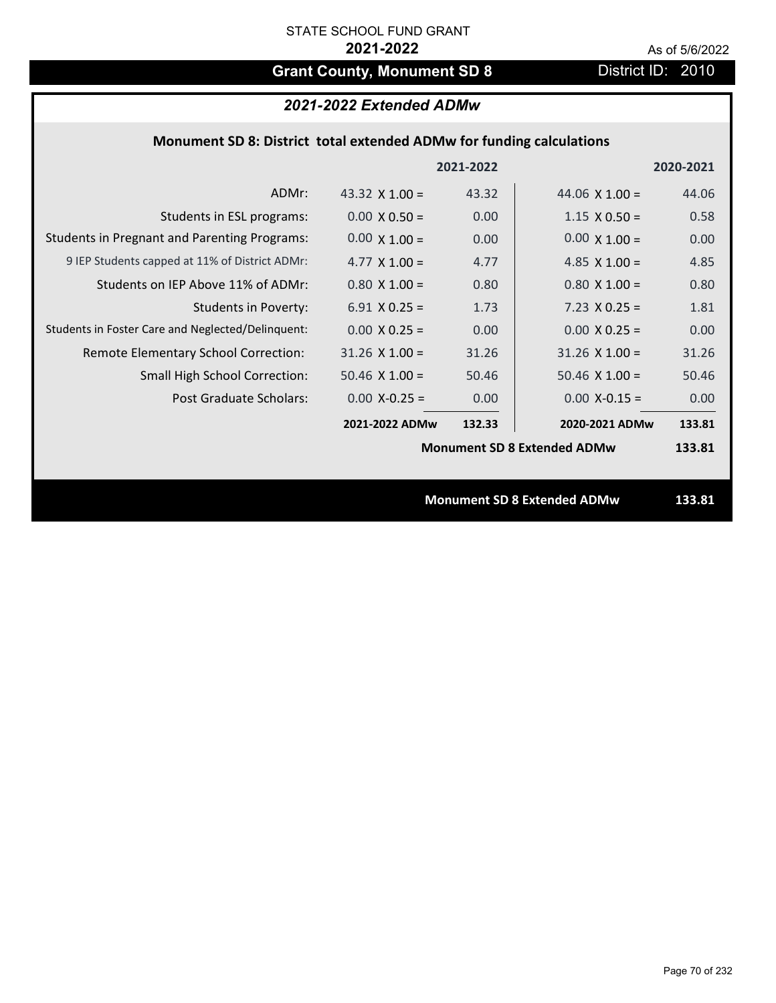# Grant County, Monument SD 8 District ID: 2010

| 2021-2022 Extended ADMw |  |  |
|-------------------------|--|--|
|-------------------------|--|--|

## **Monument SD 8: District total extended ADMw for funding calculations**

|                                                     |                                    | 2021-2022 |                                    | 2020-2021 |
|-----------------------------------------------------|------------------------------------|-----------|------------------------------------|-----------|
| ADMr:                                               | 43.32 $\times$ 1.00 =              | 43.32     | 44.06 $\times$ 1.00 =              | 44.06     |
| Students in ESL programs:                           | $0.00 \times 0.50 =$               | 0.00      | $1.15 \times 0.50 =$               | 0.58      |
| <b>Students in Pregnant and Parenting Programs:</b> | $0.00 \times 1.00 =$               | 0.00      | $0.00 \times 1.00 =$               | 0.00      |
| 9 IEP Students capped at 11% of District ADMr:      | 4.77 $\times$ 1.00 =               | 4.77      | 4.85 $\times$ 1.00 =               | 4.85      |
| Students on IEP Above 11% of ADMr:                  | $0.80 \times 1.00 =$               | 0.80      | $0.80$ X 1.00 =                    | 0.80      |
| <b>Students in Poverty:</b>                         | 6.91 $X$ 0.25 =                    | 1.73      | $7.23 \times 0.25 =$               | 1.81      |
| Students in Foster Care and Neglected/Delinquent:   | $0.00 \times 0.25 =$               | 0.00      | $0.00 \times 0.25 =$               | 0.00      |
| Remote Elementary School Correction:                | $31.26$ X $1.00 =$                 | 31.26     | $31.26$ X $1.00 =$                 | 31.26     |
| <b>Small High School Correction:</b>                | $50.46$ X $1.00 =$                 | 50.46     | $50.46$ X 1.00 =                   | 50.46     |
| Post Graduate Scholars:                             | $0.00$ X-0.25 =                    | 0.00      | $0.00$ X-0.15 =                    | 0.00      |
|                                                     | 2021-2022 ADMw                     | 132.33    | 2020-2021 ADMw                     | 133.81    |
|                                                     | <b>Monument SD 8 Extended ADMw</b> |           | 133.81                             |           |
|                                                     |                                    |           |                                    |           |
|                                                     |                                    |           | <b>Monument SD 8 Extended ADMw</b> | 133.81    |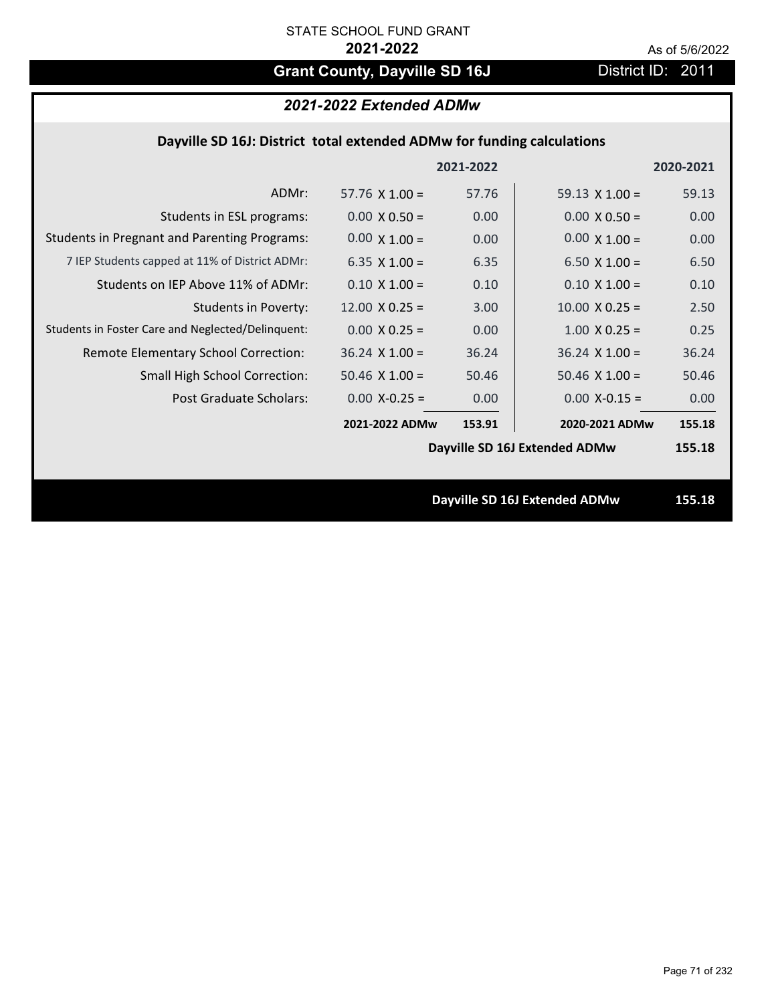# Grant County, Dayville SD 16J **District ID: 2011**

# *2021-2022 Extended ADMw*

## **Dayville SD 16J: District total extended ADMw for funding calculations**

|                                                     |                       | 2021-2022 |                               | 2020-2021 |
|-----------------------------------------------------|-----------------------|-----------|-------------------------------|-----------|
| ADMr:                                               | 57.76 $\times$ 1.00 = | 57.76     | 59.13 $\times$ 1.00 =         | 59.13     |
| Students in ESL programs:                           | $0.00 \times 0.50 =$  | 0.00      | $0.00 \times 0.50 =$          | 0.00      |
| <b>Students in Pregnant and Parenting Programs:</b> | $0.00 \times 1.00 =$  | 0.00      | $0.00 \times 1.00 =$          | 0.00      |
| 7 IEP Students capped at 11% of District ADMr:      | 6.35 $X$ 1.00 =       | 6.35      | $6.50 \times 1.00 =$          | 6.50      |
| Students on IEP Above 11% of ADMr:                  | $0.10 \times 1.00 =$  | 0.10      | $0.10 \times 1.00 =$          | 0.10      |
| <b>Students in Poverty:</b>                         | $12.00 \times 0.25 =$ | 3.00      | $10.00 \times 0.25 =$         | 2.50      |
| Students in Foster Care and Neglected/Delinquent:   | $0.00 \times 0.25 =$  | 0.00      | $1.00 \times 0.25 =$          | 0.25      |
| Remote Elementary School Correction:                | $36.24$ X $1.00 =$    | 36.24     | $36.24 \times 1.00 =$         | 36.24     |
| <b>Small High School Correction:</b>                | 50.46 $X$ 1.00 =      | 50.46     | $50.46$ X $1.00 =$            | 50.46     |
| Post Graduate Scholars:                             | $0.00$ X-0.25 =       | 0.00      | $0.00$ X-0.15 =               | 0.00      |
|                                                     | 2021-2022 ADMw        | 153.91    | 2020-2021 ADMw                | 155.18    |
|                                                     |                       |           | Dayville SD 16J Extended ADMw | 155.18    |
|                                                     |                       |           |                               |           |
|                                                     |                       |           | Dayville SD 16J Extended ADMw | 155.18    |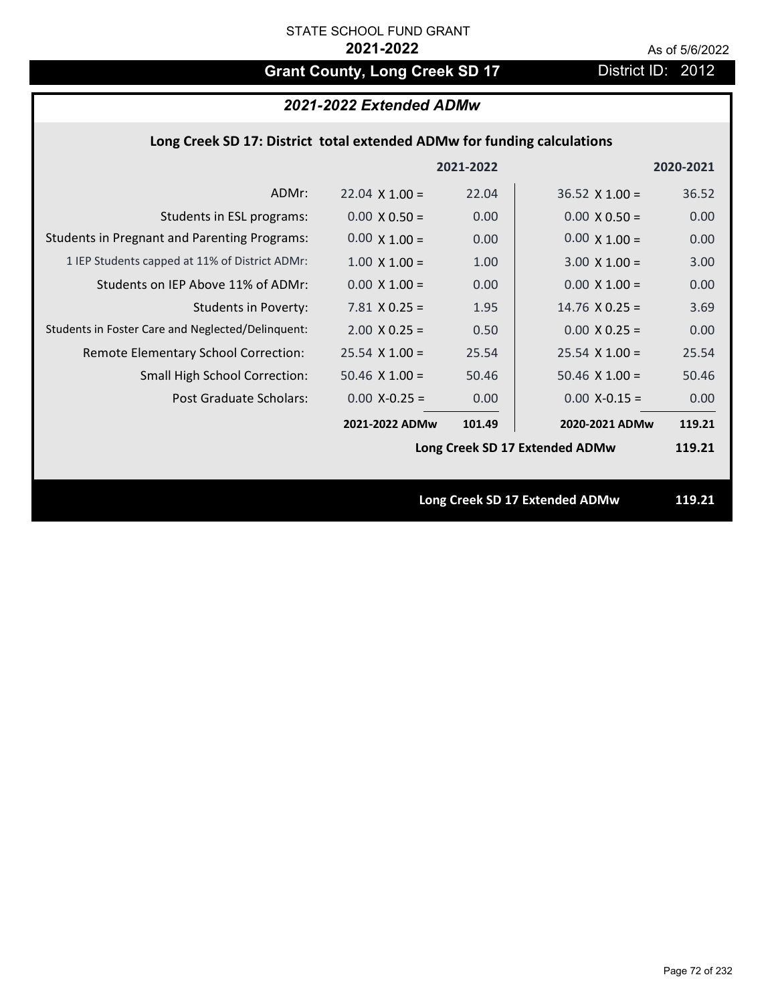# Grant County, Long Creek SD 17 District ID: 2012

# *2021-2022 Extended ADMw*

## **Long Creek SD 17: District total extended ADMw for funding calculations**

|                                                     |                       |           | Long Creek SD 17 Extended ADMw | 119.21    |
|-----------------------------------------------------|-----------------------|-----------|--------------------------------|-----------|
|                                                     |                       |           |                                |           |
|                                                     |                       |           | Long Creek SD 17 Extended ADMw | 119.21    |
|                                                     | 2021-2022 ADMw        | 101.49    | 2020-2021 ADMw                 | 119.21    |
| Post Graduate Scholars:                             | $0.00$ X-0.25 =       | 0.00      | $0.00$ X-0.15 =                | 0.00      |
| <b>Small High School Correction:</b>                | $50.46$ X $1.00 =$    | 50.46     | $50.46$ X $1.00 =$             | 50.46     |
| Remote Elementary School Correction:                | $25.54$ X 1.00 =      | 25.54     | $25.54 \times 1.00 =$          | 25.54     |
| Students in Foster Care and Neglected/Delinquent:   | $2.00 \times 0.25 =$  | 0.50      | $0.00 \times 0.25 =$           | 0.00      |
| <b>Students in Poverty:</b>                         | $7.81$ X 0.25 =       | 1.95      | $14.76$ X 0.25 =               | 3.69      |
| Students on IEP Above 11% of ADMr:                  | $0.00 \times 1.00 =$  | 0.00      | $0.00 \times 1.00 =$           | 0.00      |
| 1 IEP Students capped at 11% of District ADMr:      | $1.00 \times 1.00 =$  | 1.00      | $3.00 \times 1.00 =$           | 3.00      |
| <b>Students in Pregnant and Parenting Programs:</b> | $0.00 \times 1.00 =$  | 0.00      | $0.00 \times 1.00 =$           | 0.00      |
| Students in ESL programs:                           | $0.00 \times 0.50 =$  | 0.00      | $0.00 \times 0.50 =$           | 0.00      |
| ADMr:                                               | $22.04 \times 1.00 =$ | 22.04     | $36.52 \times 1.00 =$          | 36.52     |
|                                                     |                       | 2021-2022 |                                | 2020-2021 |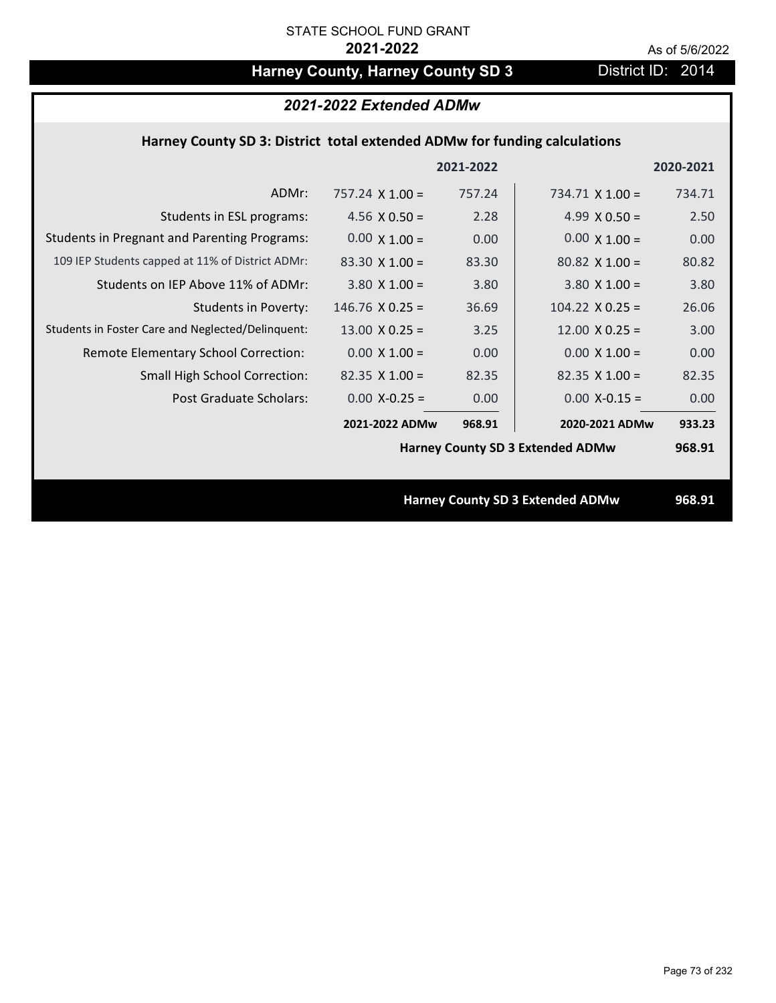# Harney County, Harney County SD 3 District ID: 2014

| 2021-2022 Extended ADMw                                                   |                        |           |                                         |           |
|---------------------------------------------------------------------------|------------------------|-----------|-----------------------------------------|-----------|
| Harney County SD 3: District total extended ADMw for funding calculations |                        |           |                                         |           |
|                                                                           |                        | 2021-2022 |                                         | 2020-2021 |
| ADMr:                                                                     | $757.24 \times 1.00 =$ | 757.24    | $734.71 \times 1.00 =$                  | 734.71    |
| Students in ESL programs:                                                 | 4.56 $X$ 0.50 =        | 2.28      | 4.99 $X$ 0.50 =                         | 2.50      |
| <b>Students in Pregnant and Parenting Programs:</b>                       | $0.00 \times 1.00 =$   | 0.00      | $0.00 \times 1.00 =$                    | 0.00      |
| 109 IEP Students capped at 11% of District ADMr:                          | $83.30 \times 1.00 =$  | 83.30     | $80.82 \times 1.00 =$                   | 80.82     |
| Students on IEP Above 11% of ADMr:                                        | $3.80$ X $1.00 =$      | 3.80      | $3.80$ X $1.00 =$                       | 3.80      |
| <b>Students in Poverty:</b>                                               | $146.76$ X 0.25 =      | 36.69     | $104.22 \times 0.25 =$                  | 26.06     |
| Students in Foster Care and Neglected/Delinquent:                         | $13.00 \times 0.25 =$  | 3.25      | $12.00 \times 0.25 =$                   | 3.00      |
| Remote Elementary School Correction:                                      | $0.00 \times 1.00 =$   | 0.00      | $0.00 \times 1.00 =$                    | 0.00      |
| <b>Small High School Correction:</b>                                      | $82.35 \times 1.00 =$  | 82.35     | $82.35$ X 1.00 =                        | 82.35     |
| Post Graduate Scholars:                                                   | $0.00$ X-0.25 =        | 0.00      | $0.00$ X-0.15 =                         | 0.00      |
|                                                                           | 2021-2022 ADMw         | 968.91    | 2020-2021 ADMw                          | 933.23    |
|                                                                           |                        |           | <b>Harney County SD 3 Extended ADMw</b> | 968.91    |
|                                                                           |                        |           |                                         |           |
|                                                                           |                        |           | <b>Harney County SD 3 Extended ADMw</b> | 968.91    |
|                                                                           |                        |           |                                         |           |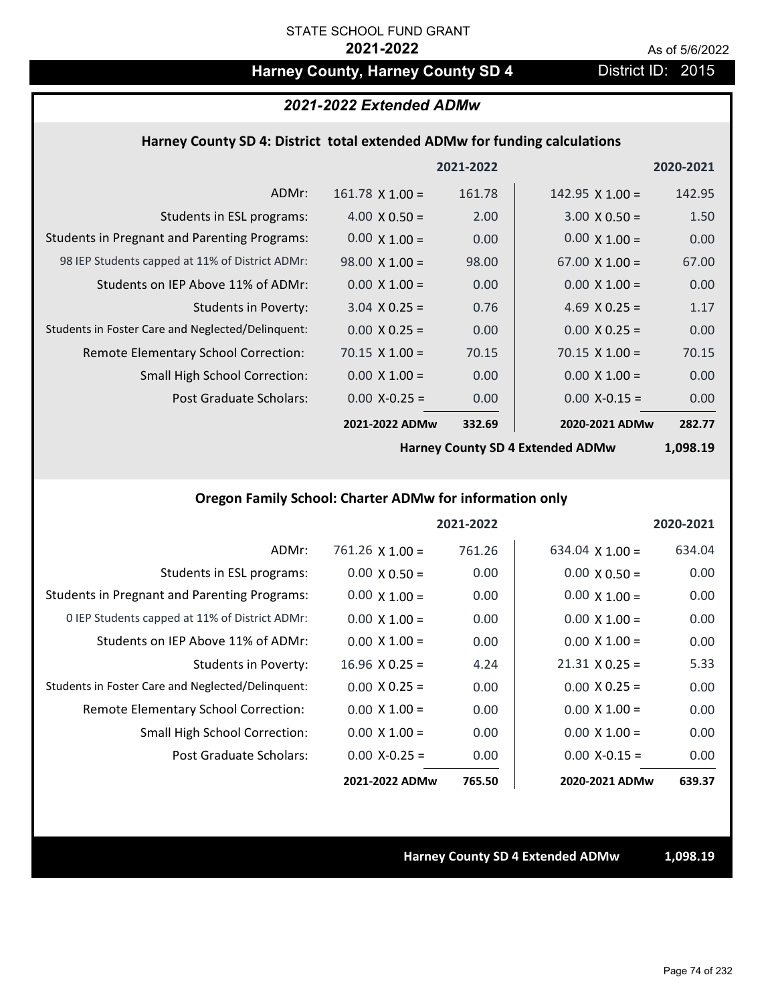# Harney County, Harney County SD 4 District ID: 2015

### *2021-2022 Extended ADMw*

### **Harney County SD 4: District total extended ADMw for funding calculations**

|                                                     |                        | 2021-2022 |                        | 2020-2021 |
|-----------------------------------------------------|------------------------|-----------|------------------------|-----------|
| ADMr:                                               | $161.78 \times 1.00 =$ | 161.78    | 142.95 $\times$ 1.00 = | 142.95    |
| Students in ESL programs:                           | $4.00 \times 0.50 =$   | 2.00      | $3.00 \times 0.50 =$   | 1.50      |
| <b>Students in Pregnant and Parenting Programs:</b> | $0.00 \times 1.00 =$   | 0.00      | $0.00 \times 1.00 =$   | 0.00      |
| 98 IEP Students capped at 11% of District ADMr:     | $98.00 \times 1.00 =$  | 98.00     | $67.00 \times 1.00 =$  | 67.00     |
| Students on IEP Above 11% of ADMr:                  | $0.00 \times 1.00 =$   | 0.00      | $0.00 \times 1.00 =$   | 0.00      |
| <b>Students in Poverty:</b>                         | $3.04 \times 0.25 =$   | 0.76      | 4.69 $X$ 0.25 =        | 1.17      |
| Students in Foster Care and Neglected/Delinquent:   | $0.00 \times 0.25 =$   | 0.00      | $0.00 \times 0.25 =$   | 0.00      |
| Remote Elementary School Correction:                | $70.15 \times 1.00 =$  | 70.15     | $70.15 \times 1.00 =$  | 70.15     |
| <b>Small High School Correction:</b>                | $0.00 \times 1.00 =$   | 0.00      | $0.00 \times 1.00 =$   | 0.00      |
| Post Graduate Scholars:                             | $0.00$ X-0.25 =        | 0.00      | $0.00$ X-0.15 =        | 0.00      |
|                                                     | 2021-2022 ADMw         | 332.69    | 2020-2021 ADMw         | 282.77    |

**Harney County SD 4 Extended ADMw**

**1,098.19**

## **Oregon Family School: Charter ADMw for information only**

|                                                     |                       | 2021-2022 |                        | 2020-2021 |
|-----------------------------------------------------|-----------------------|-----------|------------------------|-----------|
| ADMr:                                               | $761.26$ X $1.00 =$   | 761.26    | $634.04 \times 1.00 =$ | 634.04    |
| Students in ESL programs:                           | $0.00 \times 0.50 =$  | 0.00      | $0.00 \times 0.50 =$   | 0.00      |
| <b>Students in Pregnant and Parenting Programs:</b> | $0.00 \times 1.00 =$  | 0.00      | $0.00 \times 1.00 =$   | 0.00      |
| 0 IEP Students capped at 11% of District ADMr:      | $0.00 \times 1.00 =$  | 0.00      | $0.00 \times 1.00 =$   | 0.00      |
| Students on IEP Above 11% of ADMr:                  | $0.00 \times 1.00 =$  | 0.00      | $0.00 \times 1.00 =$   | 0.00      |
| Students in Poverty:                                | $16.96 \times 0.25 =$ | 4.24      | $21.31 \times 0.25 =$  | 5.33      |
| Students in Foster Care and Neglected/Delinquent:   | $0.00 \times 0.25 =$  | 0.00      | $0.00 \times 0.25 =$   | 0.00      |
| Remote Elementary School Correction:                | $0.00 \times 1.00 =$  | 0.00      | $0.00 \times 1.00 =$   | 0.00      |
| <b>Small High School Correction:</b>                | $0.00 \times 1.00 =$  | 0.00      | $0.00 \times 1.00 =$   | 0.00      |
| Post Graduate Scholars:                             | $0.00 X - 0.25 =$     | 0.00      | $0.00 X-0.15 =$        | 0.00      |
|                                                     | 2021-2022 ADMw        | 765.50    | 2020-2021 ADMw         | 639.37    |

### **Harney County SD 4 Extended ADMw 1,098.19**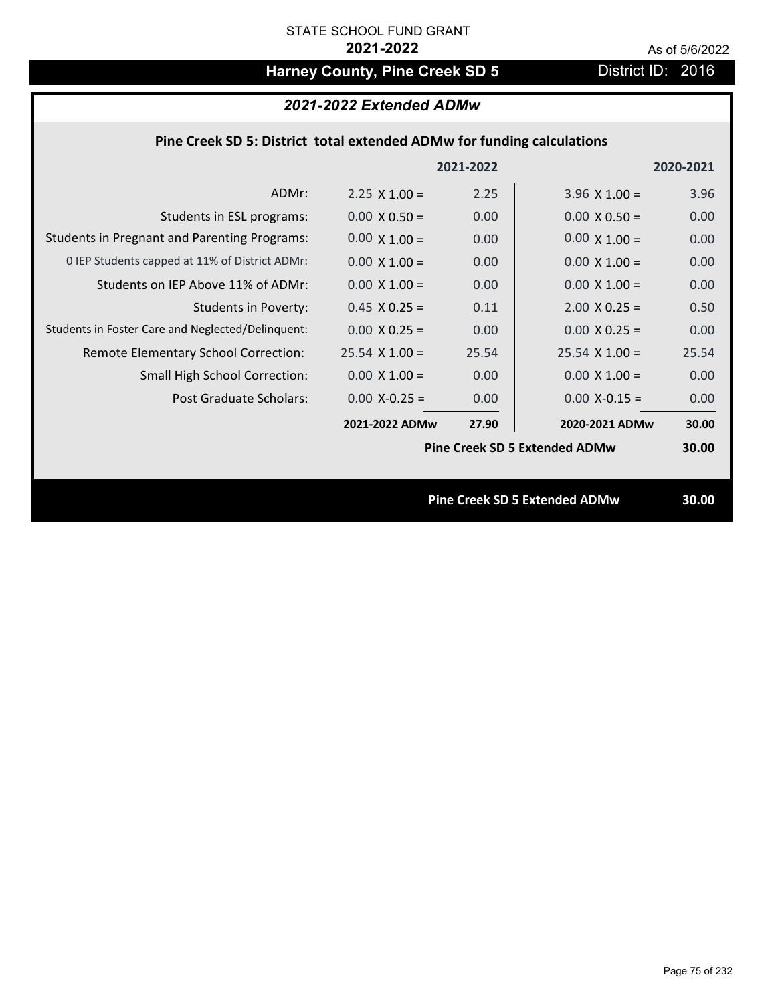# Harney County, Pine Creek SD 5 District ID: 2016

|                                                                        | 2021-2022 Extended ADMw |           |                                      |           |
|------------------------------------------------------------------------|-------------------------|-----------|--------------------------------------|-----------|
| Pine Creek SD 5: District total extended ADMw for funding calculations |                         |           |                                      |           |
|                                                                        |                         | 2021-2022 |                                      | 2020-2021 |
| ADMr:                                                                  | $2.25 \times 1.00 =$    | 2.25      | $3.96 \times 1.00 =$                 | 3.96      |
| Students in ESL programs:                                              | $0.00 \times 0.50 =$    | 0.00      | $0.00 \times 0.50 =$                 | 0.00      |
| <b>Students in Pregnant and Parenting Programs:</b>                    | $0.00 \times 1.00 =$    | 0.00      | $0.00 \times 1.00 =$                 | 0.00      |
| 0 IEP Students capped at 11% of District ADMr:                         | $0.00 \times 1.00 =$    | 0.00      | $0.00 \times 1.00 =$                 | 0.00      |
| Students on IEP Above 11% of ADMr:                                     | $0.00 X 1.00 =$         | 0.00      | $0.00 X 1.00 =$                      | 0.00      |
| <b>Students in Poverty:</b>                                            | $0.45$ X 0.25 =         | 0.11      | $2.00$ X 0.25 =                      | 0.50      |
| Students in Foster Care and Neglected/Delinquent:                      | $0.00 X 0.25 =$         | 0.00      | $0.00 \times 0.25 =$                 | 0.00      |
| Remote Elementary School Correction:                                   | $25.54$ X 1.00 =        | 25.54     | $25.54$ X 1.00 =                     | 25.54     |
| Small High School Correction:                                          | $0.00 \times 1.00 =$    | 0.00      | $0.00 X 1.00 =$                      | 0.00      |
| Post Graduate Scholars:                                                | $0.00$ X-0.25 =         | 0.00      | $0.00$ X-0.15 =                      | 0.00      |
|                                                                        | 2021-2022 ADMw          | 27.90     | 2020-2021 ADMw                       | 30.00     |
|                                                                        |                         |           | <b>Pine Creek SD 5 Extended ADMw</b> | 30.00     |
|                                                                        |                         |           | <b>Pine Creek SD 5 Extended ADMw</b> | 30.00     |
|                                                                        |                         |           |                                      |           |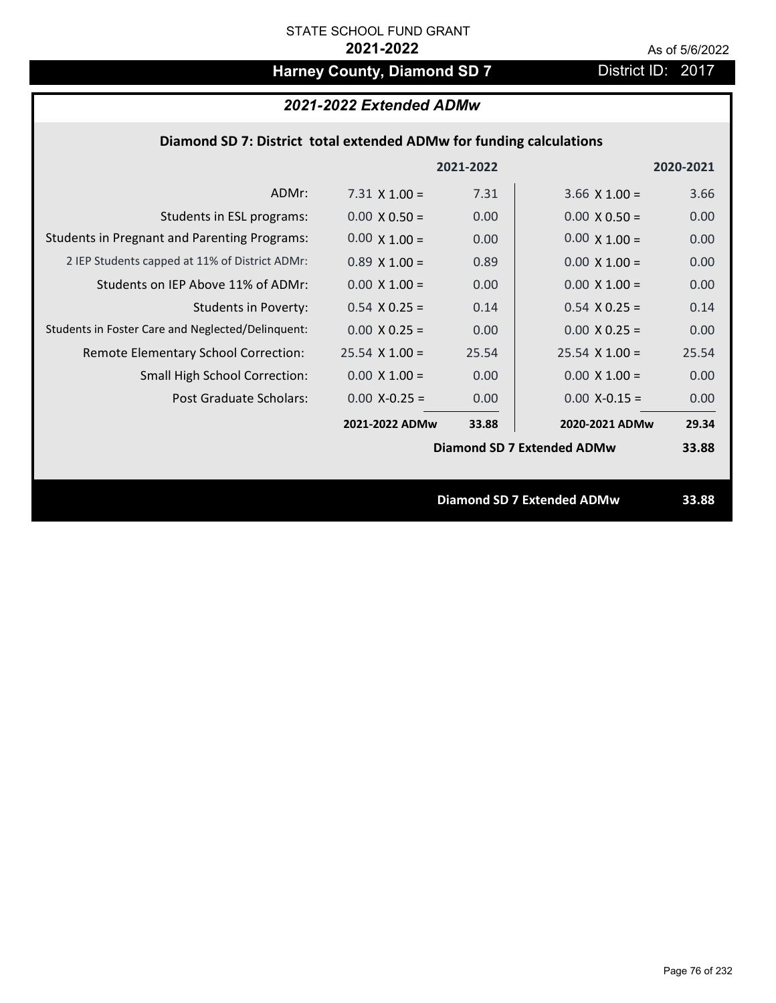# Harney County, Diamond SD 7 District ID: 2017

## *2021-2022 Extended ADMw*

## **Diamond SD 7: District total extended ADMw for funding calculations**

|                                                     |                      | 2021-2022 |                                   | 2020-2021 |
|-----------------------------------------------------|----------------------|-----------|-----------------------------------|-----------|
| ADMr:                                               | $7.31 \times 1.00 =$ | 7.31      | $3.66 \times 1.00 =$              | 3.66      |
| Students in ESL programs:                           | $0.00 \times 0.50 =$ | 0.00      | $0.00 \times 0.50 =$              | 0.00      |
| <b>Students in Pregnant and Parenting Programs:</b> | $0.00 \times 1.00 =$ | 0.00      | $0.00 \times 1.00 =$              | 0.00      |
| 2 IEP Students capped at 11% of District ADMr:      | $0.89 \times 1.00 =$ | 0.89      | $0.00 \times 1.00 =$              | 0.00      |
| Students on IEP Above 11% of ADMr:                  | $0.00 \times 1.00 =$ | 0.00      | $0.00 \times 1.00 =$              | 0.00      |
| <b>Students in Poverty:</b>                         | $0.54$ X 0.25 =      | 0.14      | $0.54$ X $0.25 =$                 | 0.14      |
| Students in Foster Care and Neglected/Delinquent:   | $0.00 \times 0.25 =$ | 0.00      | $0.00 X 0.25 =$                   | 0.00      |
| Remote Elementary School Correction:                | $25.54$ X 1.00 =     | 25.54     | $25.54 \times 1.00 =$             | 25.54     |
| <b>Small High School Correction:</b>                | $0.00 \times 1.00 =$ | 0.00      | $0.00 \times 1.00 =$              | 0.00      |
| Post Graduate Scholars:                             | $0.00$ X-0.25 =      | 0.00      | $0.00$ X-0.15 =                   | 0.00      |
|                                                     | 2021-2022 ADMw       | 33.88     | 2020-2021 ADMw                    | 29.34     |
|                                                     |                      |           | Diamond SD 7 Extended ADMw        | 33.88     |
|                                                     |                      |           |                                   |           |
|                                                     |                      |           | <b>Diamond SD 7 Extended ADMw</b> | 33.88     |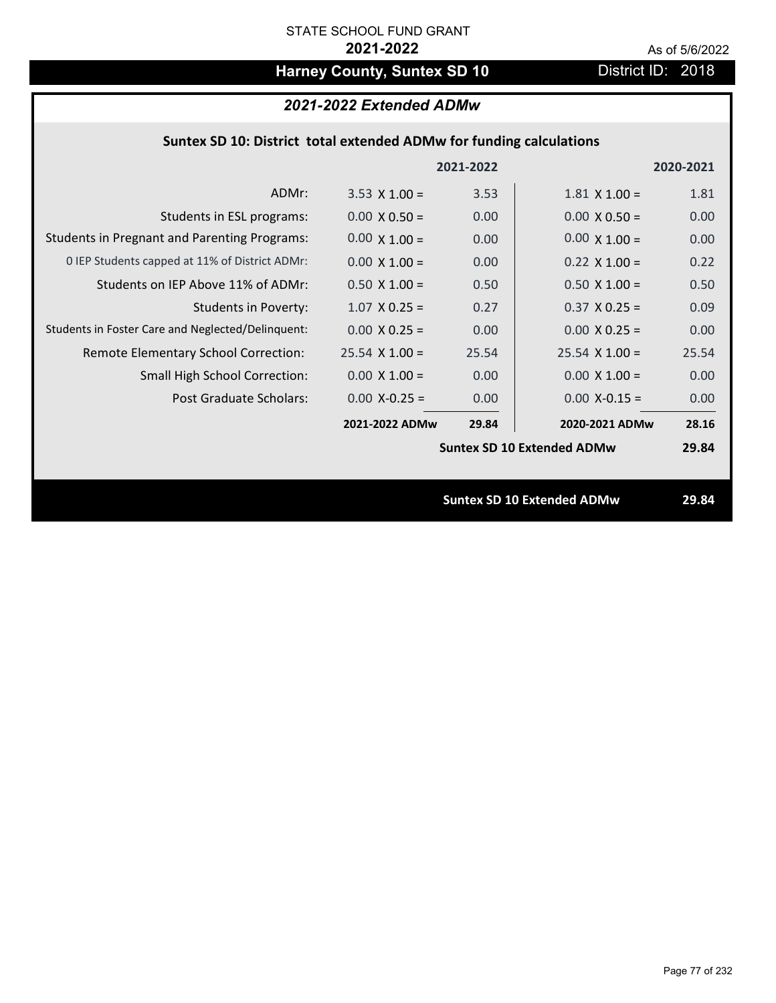# Harney County, Suntex SD 10 District ID: 2018

## *2021-2022 Extended ADMw*

## **Suntex SD 10: District total extended ADMw for funding calculations**

|                                                     |                      | 2021-2022 |                                   | 2020-2021 |
|-----------------------------------------------------|----------------------|-----------|-----------------------------------|-----------|
| ADMr:                                               | $3.53 \times 1.00 =$ | 3.53      | $1.81 \times 1.00 =$              | 1.81      |
| Students in ESL programs:                           | $0.00 \times 0.50 =$ | 0.00      | $0.00 \times 0.50 =$              | 0.00      |
| <b>Students in Pregnant and Parenting Programs:</b> | $0.00 \times 1.00 =$ | 0.00      | $0.00 \times 1.00 =$              | 0.00      |
| 0 IEP Students capped at 11% of District ADMr:      | $0.00 \times 1.00 =$ | 0.00      | $0.22 \times 1.00 =$              | 0.22      |
| Students on IEP Above 11% of ADMr:                  | $0.50 \times 1.00 =$ | 0.50      | $0.50$ X 1.00 =                   | 0.50      |
| <b>Students in Poverty:</b>                         | $1.07$ X 0.25 =      | 0.27      | $0.37$ X 0.25 =                   | 0.09      |
| Students in Foster Care and Neglected/Delinquent:   | $0.00 \times 0.25 =$ | 0.00      | $0.00 X 0.25 =$                   | 0.00      |
| Remote Elementary School Correction:                | $25.54$ X 1.00 =     | 25.54     | $25.54 \times 1.00 =$             | 25.54     |
| <b>Small High School Correction:</b>                | $0.00 \times 1.00 =$ | 0.00      | $0.00 \times 1.00 =$              | 0.00      |
| Post Graduate Scholars:                             | $0.00$ X-0.25 =      | 0.00      | $0.00$ X-0.15 =                   | 0.00      |
|                                                     | 2021-2022 ADMw       | 29.84     | 2020-2021 ADMw                    | 28.16     |
|                                                     |                      |           | <b>Suntex SD 10 Extended ADMw</b> | 29.84     |
|                                                     |                      |           |                                   |           |
|                                                     |                      |           | <b>Suntex SD 10 Extended ADMw</b> | 29.84     |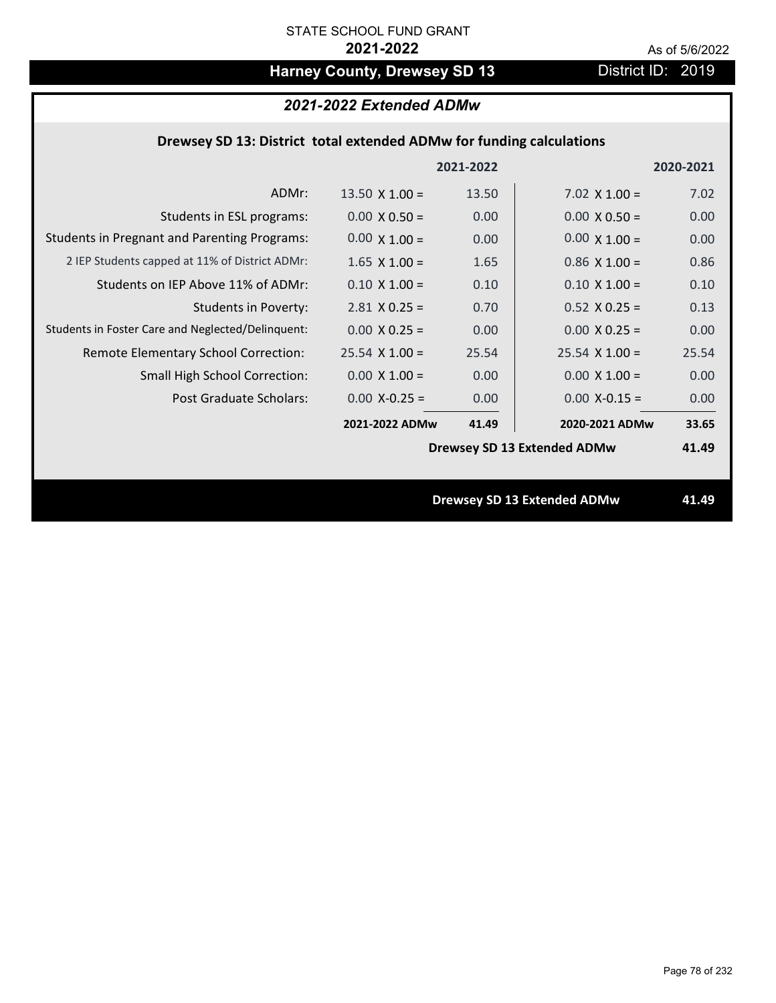# Harney County, Drewsey SD 13 District ID: 2019

## *2021-2022 Extended ADMw*

## **Drewsey SD 13: District total extended ADMw for funding calculations**

|                                                     |                       | 2021-2022 |                                    | 2020-2021 |
|-----------------------------------------------------|-----------------------|-----------|------------------------------------|-----------|
| ADMr:                                               | $13.50 \times 1.00 =$ | 13.50     | 7.02 $\times$ 1.00 =               | 7.02      |
| Students in ESL programs:                           | $0.00 \times 0.50 =$  | 0.00      | $0.00 \times 0.50 =$               | 0.00      |
| <b>Students in Pregnant and Parenting Programs:</b> | $0.00 \times 1.00 =$  | 0.00      | $0.00 \times 1.00 =$               | 0.00      |
| 2 IEP Students capped at 11% of District ADMr:      | $1.65$ X $1.00 =$     | 1.65      | $0.86$ X 1.00 =                    | 0.86      |
| Students on IEP Above 11% of ADMr:                  | $0.10 \times 1.00 =$  | 0.10      | $0.10 X 1.00 =$                    | 0.10      |
| <b>Students in Poverty:</b>                         | $2.81$ X 0.25 =       | 0.70      | $0.52$ X $0.25 =$                  | 0.13      |
| Students in Foster Care and Neglected/Delinquent:   | $0.00 \times 0.25 =$  | 0.00      | $0.00 \times 0.25 =$               | 0.00      |
| Remote Elementary School Correction:                | $25.54$ X 1.00 =      | 25.54     | $25.54 \times 1.00 =$              | 25.54     |
| <b>Small High School Correction:</b>                | $0.00 \times 1.00 =$  | 0.00      | $0.00 \times 1.00 =$               | 0.00      |
| Post Graduate Scholars:                             | $0.00 X - 0.25 =$     | 0.00      | $0.00$ X-0.15 =                    | 0.00      |
|                                                     | 2021-2022 ADMw        | 41.49     | 2020-2021 ADMw                     | 33.65     |
|                                                     |                       |           | <b>Drewsey SD 13 Extended ADMw</b> | 41.49     |
|                                                     |                       |           |                                    |           |
|                                                     |                       |           | <b>Drewsey SD 13 Extended ADMw</b> | 41.49     |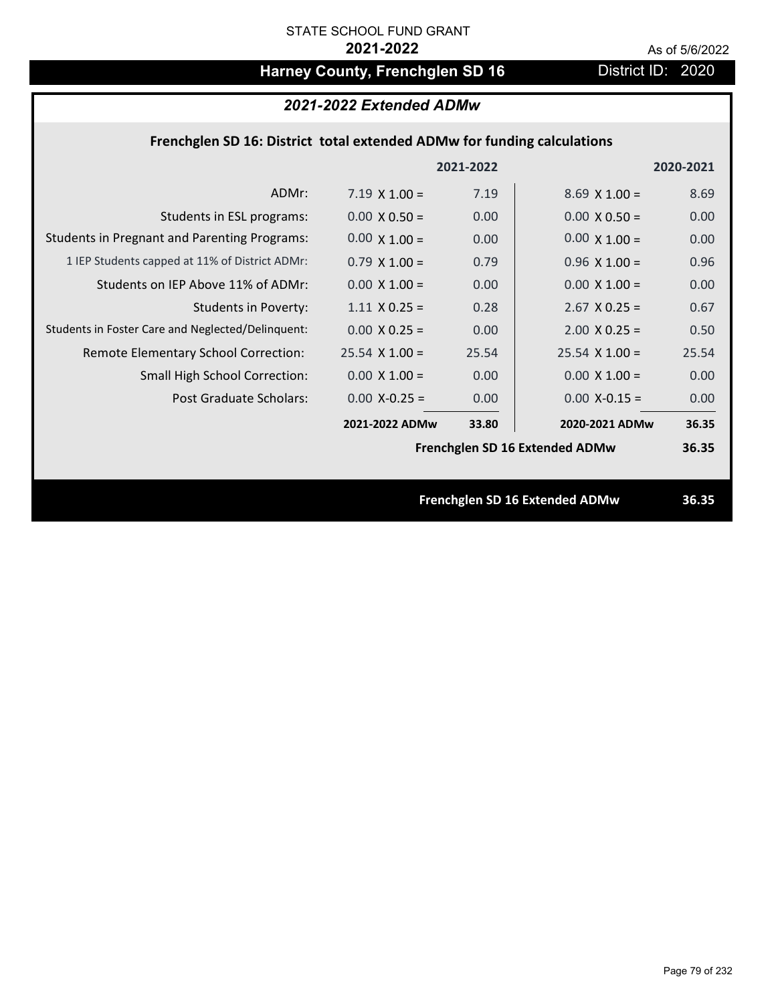# Harney County, Frenchglen SD 16 **District ID: 2020**

## *2021-2022 Extended ADMw*

## **Frenchglen SD 16: District total extended ADMw for funding calculations**

|                                                     |                       | 2021-2022 |                                | 2020-2021 |
|-----------------------------------------------------|-----------------------|-----------|--------------------------------|-----------|
| ADMr:                                               | $7.19 \times 1.00 =$  | 7.19      | $8.69 \times 1.00 =$           | 8.69      |
| Students in ESL programs:                           | $0.00 \times 0.50 =$  | 0.00      | $0.00 \times 0.50 =$           | 0.00      |
| <b>Students in Pregnant and Parenting Programs:</b> | $0.00 \times 1.00 =$  | 0.00      | $0.00 \times 1.00 =$           | 0.00      |
| 1 IEP Students capped at 11% of District ADMr:      | $0.79 \times 1.00 =$  | 0.79      | $0.96 \times 1.00 =$           | 0.96      |
| Students on IEP Above 11% of ADMr:                  | $0.00 \times 1.00 =$  | 0.00      | $0.00 \times 1.00 =$           | 0.00      |
| <b>Students in Poverty:</b>                         | $1.11 \times 0.25 =$  | 0.28      | $2.67$ X 0.25 =                | 0.67      |
| Students in Foster Care and Neglected/Delinquent:   | $0.00 \times 0.25 =$  | 0.00      | $2.00 \times 0.25 =$           | 0.50      |
| Remote Elementary School Correction:                | $25.54 \times 1.00 =$ | 25.54     | $25.54 \times 1.00 =$          | 25.54     |
| <b>Small High School Correction:</b>                | $0.00 \times 1.00 =$  | 0.00      | $0.00 \times 1.00 =$           | 0.00      |
| Post Graduate Scholars:                             | $0.00 X - 0.25 =$     | 0.00      | $0.00$ X-0.15 =                | 0.00      |
|                                                     | 2021-2022 ADMw        | 33.80     | 2020-2021 ADMw                 | 36.35     |
|                                                     |                       |           | Frenchglen SD 16 Extended ADMw | 36.35     |
|                                                     |                       |           |                                |           |
|                                                     |                       |           | Frenchglen SD 16 Extended ADMw | 36.35     |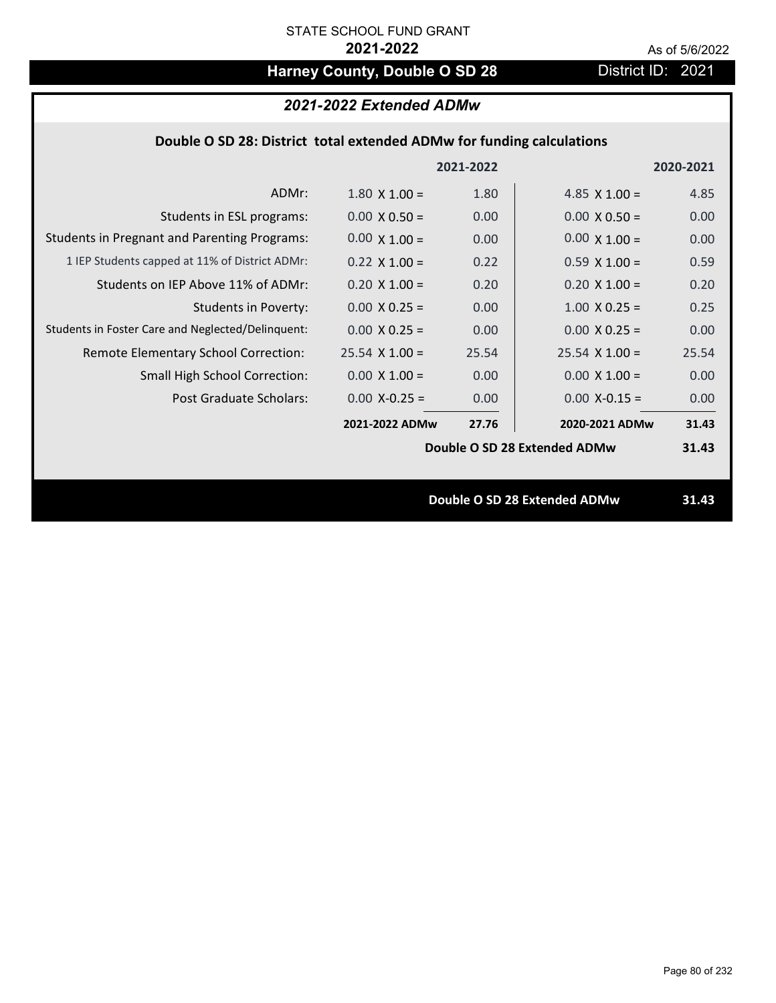# Harney County, Double O SD 28 District ID: 2021

|  | 2021-2022 Extended ADMw |
|--|-------------------------|
|--|-------------------------|

## **Double O SD 28: District total extended ADMw for funding calculations**

|                                                     |                      | 2021-2022 |                              | 2020-2021 |
|-----------------------------------------------------|----------------------|-----------|------------------------------|-----------|
| ADMr:                                               | $1.80 \times 1.00 =$ | 1.80      | 4.85 $\times$ 1.00 =         | 4.85      |
| Students in ESL programs:                           | $0.00 \times 0.50 =$ | 0.00      | $0.00 \times 0.50 =$         | 0.00      |
| <b>Students in Pregnant and Parenting Programs:</b> | $0.00 \times 1.00 =$ | 0.00      | $0.00 \times 1.00 =$         | 0.00      |
| 1 IEP Students capped at 11% of District ADMr:      | $0.22 \times 1.00 =$ | 0.22      | $0.59 \times 1.00 =$         | 0.59      |
| Students on IEP Above 11% of ADMr:                  | $0.20 \times 1.00 =$ | 0.20      | $0.20$ X $1.00 =$            | 0.20      |
| <b>Students in Poverty:</b>                         | $0.00 \times 0.25 =$ | 0.00      | $1.00 \times 0.25 =$         | 0.25      |
| Students in Foster Care and Neglected/Delinquent:   | $0.00 \times 0.25 =$ | 0.00      | $0.00 X 0.25 =$              | 0.00      |
| Remote Elementary School Correction:                | $25.54$ X 1.00 =     | 25.54     | $25.54 \times 1.00 =$        | 25.54     |
| <b>Small High School Correction:</b>                | $0.00 \times 1.00 =$ | 0.00      | $0.00 \times 1.00 =$         | 0.00      |
| Post Graduate Scholars:                             | $0.00 X - 0.25 =$    | 0.00      | $0.00$ X-0.15 =              | 0.00      |
|                                                     | 2021-2022 ADMw       | 27.76     | 2020-2021 ADMw               | 31.43     |
|                                                     |                      |           | Double O SD 28 Extended ADMw | 31.43     |
|                                                     |                      |           |                              |           |
|                                                     |                      |           | Double O SD 28 Extended ADMw | 31.43     |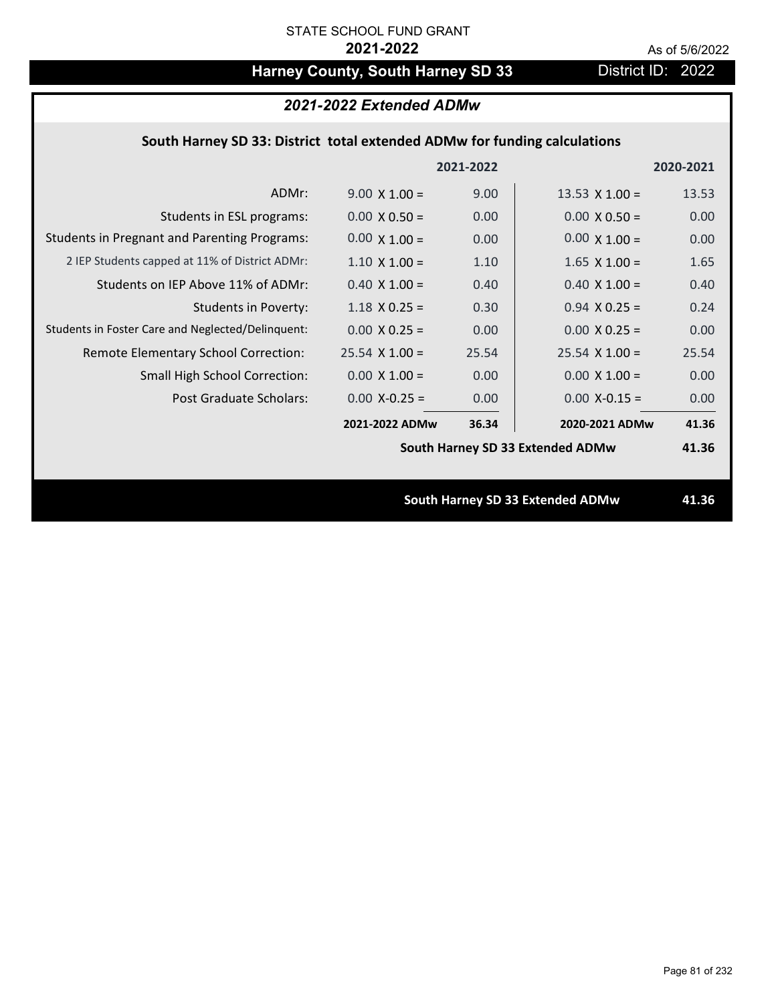# Harney County, South Harney SD 33 District ID: 2022

### *2021-2022 Extended ADMw*

## **South Harney SD 33: District total extended ADMw for funding calculations**

|                                                     |                      | 2021-2022 |                                  | 2020-2021 |
|-----------------------------------------------------|----------------------|-----------|----------------------------------|-----------|
| ADMr:                                               | $9.00 \times 1.00 =$ | 9.00      | 13.53 $\times$ 1.00 =            | 13.53     |
| Students in ESL programs:                           | $0.00 \times 0.50 =$ | 0.00      | $0.00 \times 0.50 =$             | 0.00      |
| <b>Students in Pregnant and Parenting Programs:</b> | $0.00 \times 1.00 =$ | 0.00      | $0.00 \times 1.00 =$             | 0.00      |
| 2 IEP Students capped at 11% of District ADMr:      | $1.10 \times 1.00 =$ | 1.10      | $1.65$ X $1.00 =$                | 1.65      |
| Students on IEP Above 11% of ADMr:                  | $0.40 \times 1.00 =$ | 0.40      | $0.40$ X $1.00 =$                | 0.40      |
| <b>Students in Poverty:</b>                         | $1.18$ X 0.25 =      | 0.30      | $0.94$ X 0.25 =                  | 0.24      |
| Students in Foster Care and Neglected/Delinquent:   | $0.00 \times 0.25 =$ | 0.00      | $0.00 X 0.25 =$                  | 0.00      |
| Remote Elementary School Correction:                | $25.54$ X 1.00 =     | 25.54     | $25.54$ X 1.00 =                 | 25.54     |
| <b>Small High School Correction:</b>                | $0.00 \times 1.00 =$ | 0.00      | $0.00 \times 1.00 =$             | 0.00      |
| Post Graduate Scholars:                             | $0.00 X - 0.25 =$    | 0.00      | $0.00$ X-0.15 =                  | 0.00      |
|                                                     | 2021-2022 ADMw       | 36.34     | 2020-2021 ADMw                   | 41.36     |
|                                                     |                      |           | South Harney SD 33 Extended ADMw | 41.36     |
|                                                     |                      |           |                                  |           |
|                                                     |                      |           | South Harney SD 33 Extended ADMw | 41.36     |
|                                                     |                      |           |                                  |           |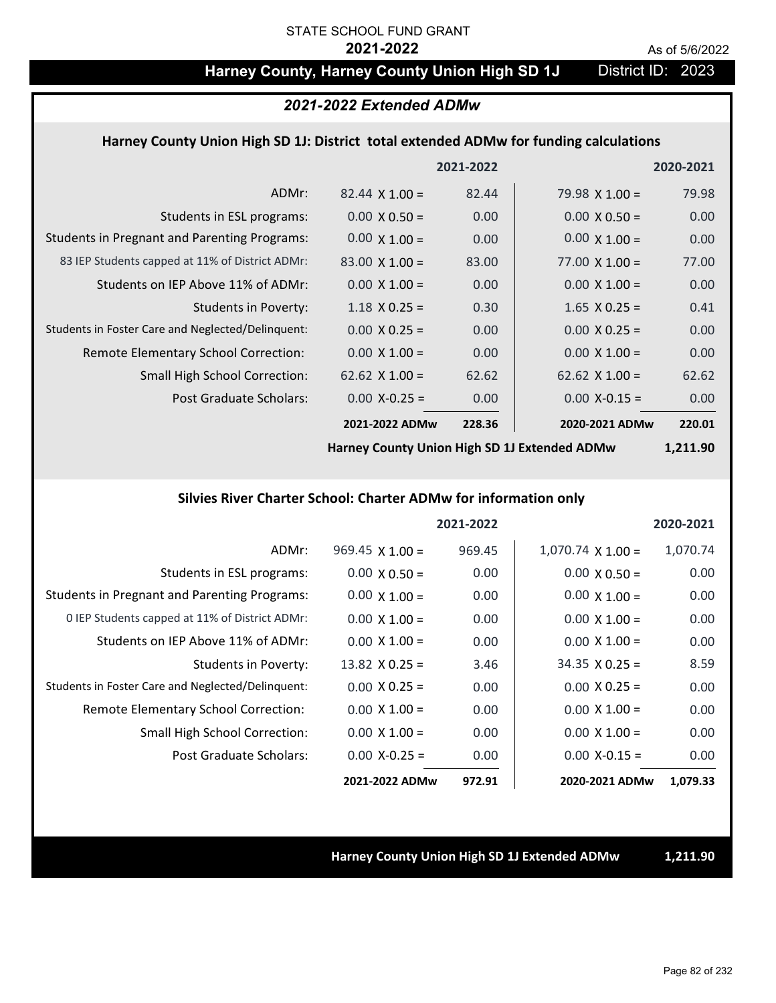## Harney County, Harney County Union High SD 1J District ID: 2023

### *2021-2022 Extended ADMw*

### **Harney County Union High SD 1J: District total extended ADMw for funding calculations**

|                                                     |                       | 2021-2022 |                       | 2020-2021 |
|-----------------------------------------------------|-----------------------|-----------|-----------------------|-----------|
| ADMr:                                               | $82.44 \times 1.00 =$ | 82.44     | 79.98 $X$ 1.00 =      | 79.98     |
| Students in ESL programs:                           | $0.00 \times 0.50 =$  | 0.00      | $0.00 \times 0.50 =$  | 0.00      |
| <b>Students in Pregnant and Parenting Programs:</b> | $0.00 \times 1.00 =$  | 0.00      | $0.00 \times 1.00 =$  | 0.00      |
| 83 IEP Students capped at 11% of District ADMr:     | $83.00 \times 1.00 =$ | 83.00     | $77.00 \times 1.00 =$ | 77.00     |
| Students on IEP Above 11% of ADMr:                  | $0.00 \times 1.00 =$  | 0.00      | $0.00 \times 1.00 =$  | 0.00      |
| <b>Students in Poverty:</b>                         | $1.18 \times 0.25 =$  | 0.30      | $1.65$ X 0.25 =       | 0.41      |
| Students in Foster Care and Neglected/Delinquent:   | $0.00 \times 0.25 =$  | 0.00      | $0.00 \times 0.25 =$  | 0.00      |
| Remote Elementary School Correction:                | $0.00 \times 1.00 =$  | 0.00      | $0.00 \times 1.00 =$  | 0.00      |
| <b>Small High School Correction:</b>                | $62.62 \times 1.00 =$ | 62.62     | $62.62 \times 1.00 =$ | 62.62     |
| Post Graduate Scholars:                             | $0.00 X - 0.25 =$     | 0.00      | $0.00$ X-0.15 =       | 0.00      |
|                                                     | 2021-2022 ADMw        | 228.36    | 2020-2021 ADMw        | 220.01    |
|                                                     |                       |           |                       |           |

**Harney County Union High SD 1J Extended ADMw**

**1,211.90**

### **Silvies River Charter School: Charter ADMw for information only**

|                                                     |                        | 2021-2022 |                          | 2020-2021 |
|-----------------------------------------------------|------------------------|-----------|--------------------------|-----------|
| ADMr:                                               | $969.45 \times 1.00 =$ | 969.45    | $1,070.74 \times 1.00 =$ | 1,070.74  |
| Students in ESL programs:                           | $0.00 \times 0.50 =$   | 0.00      | $0.00 \times 0.50 =$     | 0.00      |
| <b>Students in Pregnant and Parenting Programs:</b> | $0.00 \times 1.00 =$   | 0.00      | $0.00 \times 1.00 =$     | 0.00      |
| 0 IEP Students capped at 11% of District ADMr:      | $0.00 \times 1.00 =$   | 0.00      | $0.00 \times 1.00 =$     | 0.00      |
| Students on IEP Above 11% of ADMr:                  | $0.00 \times 1.00 =$   | 0.00      | $0.00 \times 1.00 =$     | 0.00      |
| Students in Poverty:                                | $13.82 \times 0.25 =$  | 3.46      | $34.35 \times 0.25 =$    | 8.59      |
| Students in Foster Care and Neglected/Delinquent:   | $0.00 \times 0.25 =$   | 0.00      | $0.00 \times 0.25 =$     | 0.00      |
| Remote Elementary School Correction:                | $0.00 \times 1.00 =$   | 0.00      | $0.00 \times 1.00 =$     | 0.00      |
| <b>Small High School Correction:</b>                | $0.00 \times 1.00 =$   | 0.00      | $0.00 \times 1.00 =$     | 0.00      |
| Post Graduate Scholars:                             | $0.00$ X-0.25 =        | 0.00      | $0.00 X-0.15 =$          | 0.00      |
|                                                     | 2021-2022 ADMw         | 972.91    | 2020-2021 ADMw           | 1,079.33  |

**Harney County Union High SD 1J Extended ADMw 1,211.90**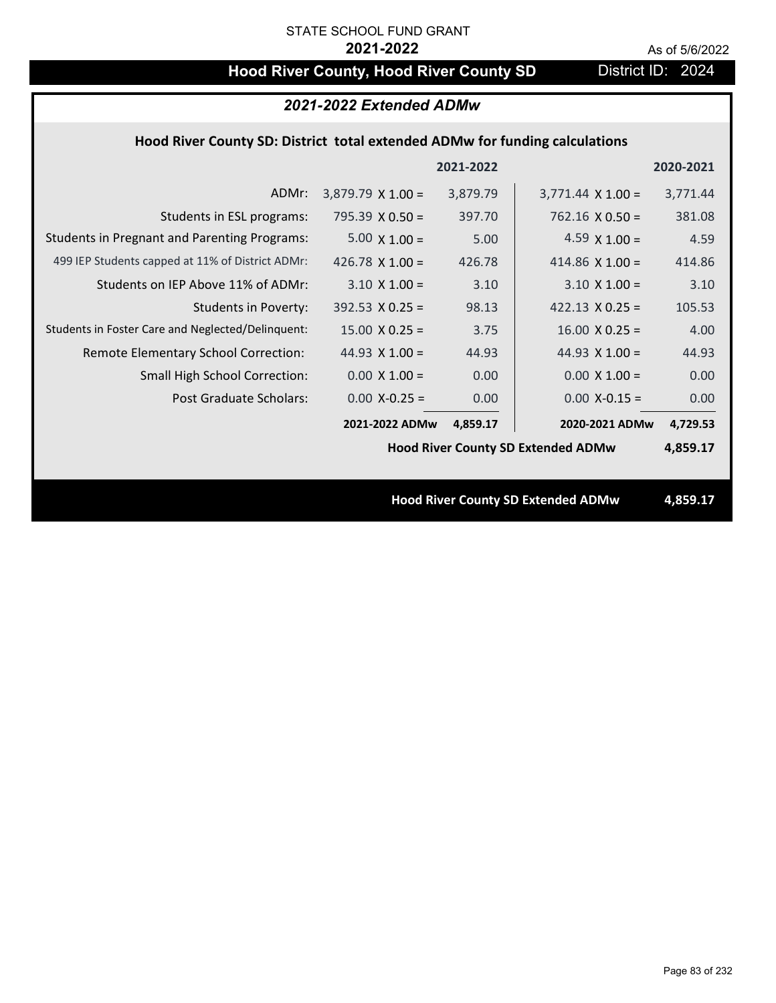# Hood River County, Hood River County SD District ID: 2024

| 2021-2022 Extended ADMw                                                     |                          |           |                                           |           |  |
|-----------------------------------------------------------------------------|--------------------------|-----------|-------------------------------------------|-----------|--|
| Hood River County SD: District total extended ADMw for funding calculations |                          |           |                                           |           |  |
|                                                                             |                          | 2021-2022 |                                           | 2020-2021 |  |
| ADMr:                                                                       | $3,879.79 \times 1.00 =$ | 3,879.79  | $3,771.44 \times 1.00 =$                  | 3,771.44  |  |
| Students in ESL programs:                                                   | 795.39 $X$ 0.50 =        | 397.70    | $762.16 \times 0.50 =$                    | 381.08    |  |
| <b>Students in Pregnant and Parenting Programs:</b>                         | $5.00 \times 1.00 =$     | 5.00      | 4.59 $\times$ 1.00 =                      | 4.59      |  |
| 499 IEP Students capped at 11% of District ADMr:                            | 426.78 $\times$ 1.00 =   | 426.78    | 414.86 $\times$ 1.00 =                    | 414.86    |  |
| Students on IEP Above 11% of ADMr:                                          | $3.10 \times 1.00 =$     | 3.10      | $3.10 \times 1.00 =$                      | 3.10      |  |
| Students in Poverty:                                                        | $392.53 \times 0.25 =$   | 98.13     | 422.13 $X$ 0.25 =                         | 105.53    |  |
| Students in Foster Care and Neglected/Delinquent:                           | $15.00 \times 0.25 =$    | 3.75      | $16.00 \times 0.25 =$                     | 4.00      |  |
| Remote Elementary School Correction:                                        | 44.93 $\times$ 1.00 =    | 44.93     | 44.93 $X$ 1.00 =                          | 44.93     |  |
| <b>Small High School Correction:</b>                                        | $0.00 \times 1.00 =$     | 0.00      | $0.00 \times 1.00 =$                      | 0.00      |  |
| Post Graduate Scholars:                                                     | $0.00$ X-0.25 =          | 0.00      | $0.00$ X- $0.15 =$                        | 0.00      |  |
|                                                                             | 2021-2022 ADMw           | 4,859.17  | 2020-2021 ADMw                            | 4,729.53  |  |
|                                                                             |                          |           | <b>Hood River County SD Extended ADMw</b> | 4,859.17  |  |
|                                                                             |                          |           |                                           |           |  |
| <b>Hood River County SD Extended ADMw</b>                                   |                          |           |                                           | 4,859.17  |  |
|                                                                             |                          |           |                                           |           |  |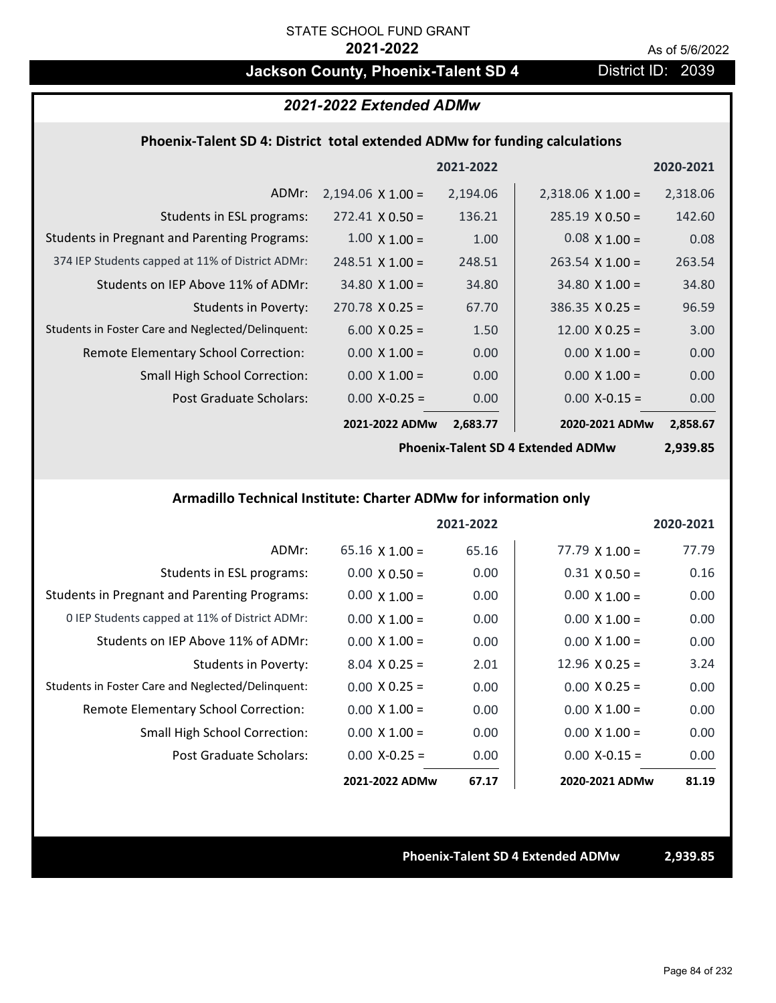# **Jackson County, Phoenix-Talent SD 4** District ID: 2039

### *2021-2022 Extended ADMw*

### **Phoenix‐Talent SD 4: District total extended ADMw for funding calculations**

|                                                     |                          | 2021-2022 |                          | 2020-2021 |
|-----------------------------------------------------|--------------------------|-----------|--------------------------|-----------|
| ADMr:                                               | $2,194.06 \times 1.00 =$ | 2,194.06  | $2,318.06 \times 1.00 =$ | 2,318.06  |
| Students in ESL programs:                           | $272.41 \times 0.50 =$   | 136.21    | $285.19 \times 0.50 =$   | 142.60    |
| <b>Students in Pregnant and Parenting Programs:</b> | $1.00 \times 1.00 =$     | 1.00      | $0.08 \times 1.00 =$     | 0.08      |
| 374 IEP Students capped at 11% of District ADMr:    | $248.51 \times 1.00 =$   | 248.51    | $263.54 \times 1.00 =$   | 263.54    |
| Students on IEP Above 11% of ADMr:                  | $34.80 \times 1.00 =$    | 34.80     | $34.80 \times 1.00 =$    | 34.80     |
| <b>Students in Poverty:</b>                         | $270.78$ X 0.25 =        | 67.70     | $386.35 \times 0.25 =$   | 96.59     |
| Students in Foster Care and Neglected/Delinquent:   | $6.00 \times 0.25 =$     | 1.50      | $12.00 \times 0.25 =$    | 3.00      |
| Remote Elementary School Correction:                | $0.00 \times 1.00 =$     | 0.00      | $0.00 \times 1.00 =$     | 0.00      |
| <b>Small High School Correction:</b>                | $0.00 \times 1.00 =$     | 0.00      | $0.00 \times 1.00 =$     | 0.00      |
| Post Graduate Scholars:                             | $0.00$ X-0.25 =          | 0.00      | $0.00$ X-0.15 =          | 0.00      |
|                                                     | 2021-2022 ADMw           | 2,683.77  | 2020-2021 ADMw           | 2,858.67  |

**Phoenix‐Talent SD 4 Extended ADMw**

**2,939.85**

### **Armadillo Technical Institute: Charter ADMw for information only**

|                                                     |                       | 2021-2022 |                       | 2020-2021 |
|-----------------------------------------------------|-----------------------|-----------|-----------------------|-----------|
| ADMr:                                               | $65.16 \times 1.00 =$ | 65.16     | $77.79 \times 1.00 =$ | 77.79     |
| Students in ESL programs:                           | $0.00 \times 0.50 =$  | 0.00      | $0.31 \times 0.50 =$  | 0.16      |
| <b>Students in Pregnant and Parenting Programs:</b> | $0.00 \times 1.00 =$  | 0.00      | $0.00 \times 1.00 =$  | 0.00      |
| 0 IEP Students capped at 11% of District ADMr:      | $0.00 \times 1.00 =$  | 0.00      | $0.00 \times 1.00 =$  | 0.00      |
| Students on IEP Above 11% of ADMr:                  | $0.00 \times 1.00 =$  | 0.00      | $0.00 \times 1.00 =$  | 0.00      |
| Students in Poverty:                                | $8.04 \times 0.25 =$  | 2.01      | $12.96 \times 0.25 =$ | 3.24      |
| Students in Foster Care and Neglected/Delinquent:   | $0.00 \times 0.25 =$  | 0.00      | $0.00 \times 0.25 =$  | 0.00      |
| Remote Elementary School Correction:                | $0.00 \times 1.00 =$  | 0.00      | $0.00 \times 1.00 =$  | 0.00      |
| <b>Small High School Correction:</b>                | $0.00 \times 1.00 =$  | 0.00      | $0.00 \times 1.00 =$  | 0.00      |
| Post Graduate Scholars:                             | $0.00$ X-0.25 =       | 0.00      | $0.00 X - 0.15 =$     | 0.00      |
|                                                     | 2021-2022 ADMw        | 67.17     | 2020-2021 ADMw        | 81.19     |

### **Phoenix‐Talent SD 4 Extended ADMw 2,939.85**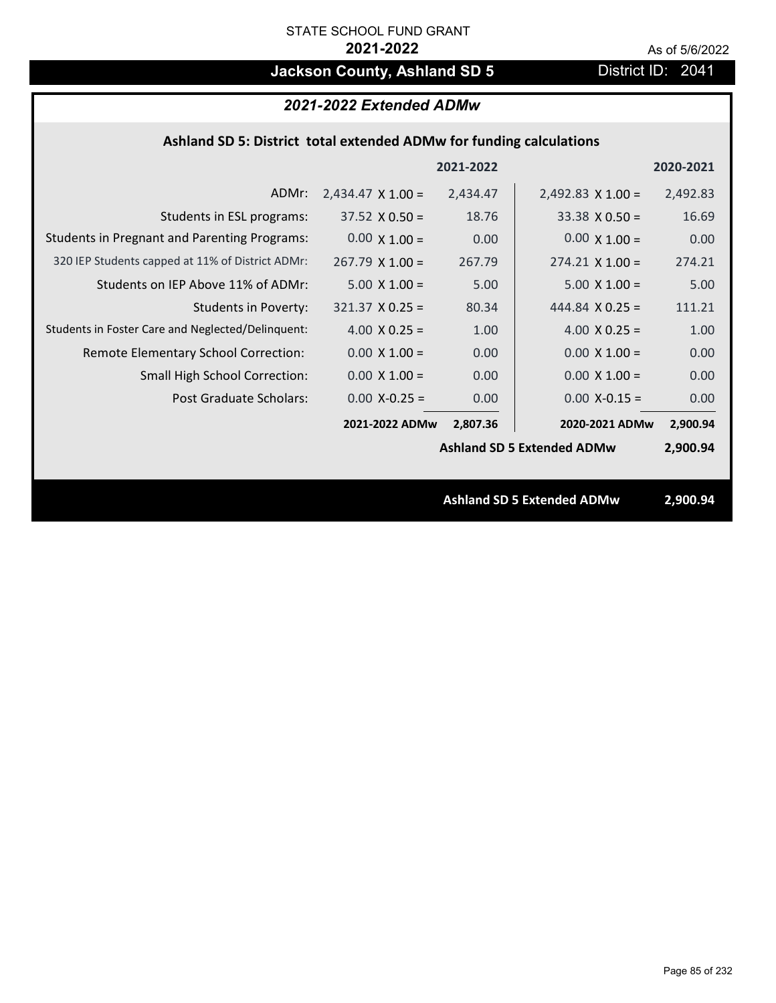## **Jackson County, Ashland SD 5** District ID: 2041

### *2021-2022 Extended ADMw* **Ashland SD 5: District total extended ADMw for funding calculations** ADMr:  $2,434.47 \times 1.00 =$ 320 IEP Students capped at 11% of District ADMr:  $267.79 \times 1.00 = 267.79$ Students in ESL programs:  $37.52 \times 0.50 = 18.76$ Students in Pregnant and Parenting Programs:  $0.00 \times 1.00 = 0.00$ Students in Foster Care and Neglected/Delinquent:  $4.00 \times 0.25 = 1.00$ Students in Poverty: 321.37 X 0.25 = 80.34 Remote Elementary School Correction: **2021‐2022 2020‐2021** Students on IEP Above 11% of ADMr: 2,434.47  $37.52 \times 0.50 =$  $0.00 \times 1.00 =$  $267.79$  X 1.00 =  $5.00 \times 1.00 = 5.00$  $321.37$  X 0.25 =  $4.00 \times 0.25 =$  $0.00 \times 1.00 = 0.00$  $2,492.83 \times 1.00 =$ 274.21  $33.38 \times 0.50 = 16.69$  $0.00 \times 1.00 = 0.00$  $4.00 \times 0.25 = 1.00$ 444.84 **X 0.25** = 111.21  $0.00 \times 1.00 = 0.00$ 5.00 X 1.00 = 5.00 2,492.83  $274.21 \times 1.00 =$

**2021‐2022 ADMw 2020‐2021 ADMw**

 $0.00 \times 1.00 = 0.00$ 

Post Graduate Scholars:  $0.00 \text{ X} - 0.25 = 0.00 \text{ X} - 0.00 \text{ X} - 0.15 = 0.00 \text{ X} - 0.00 \text{ X} - 0.00 \text{ X} - 0.00 \text{ X} - 0.00 \text{ X} - 0.00 \text{ X} - 0.00 \text{ X} - 0.00 \text{ X} - 0.00 \text{ X} - 0.00 \text{ X} - 0.00 \text{ X} - 0.00 \text{ X} - 0.00 \text{ X} - 0.00 \text{ X}$ 

Small High School Correction:

**2,900.94**

 $0.00 \times 1.00 = 0.00$ 

2,807.36 2020-2021 ADMw 2,900.94

**Ashland SD 5 Extended ADMw 2,900.94**

**Ashland SD 5 Extended ADMw**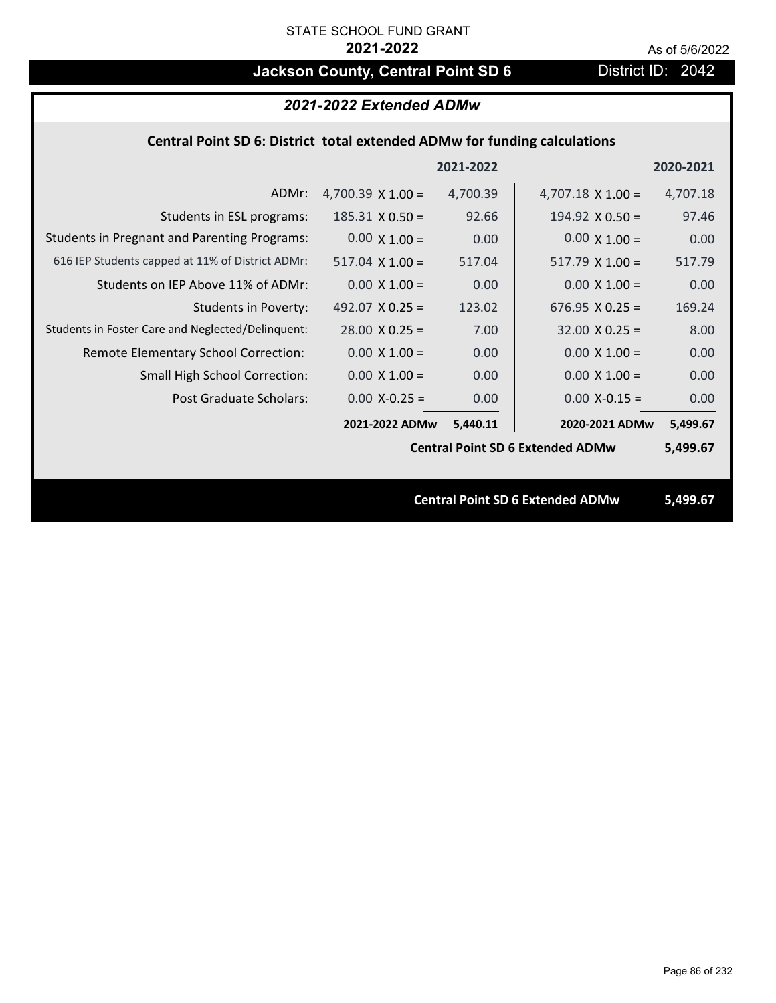# **Jackson County, Central Point SD 6** District ID: 2042

## *2021-2022 Extended ADMw*

## **Central Point SD 6: District total extended ADMw for funding calculations**

|                                                     |                                         | 2021-2022 |                                         | 2020-2021 |
|-----------------------------------------------------|-----------------------------------------|-----------|-----------------------------------------|-----------|
| ADMr:                                               | 4,700.39 $\times$ 1.00 =                | 4,700.39  | $4,707.18 \times 1.00 =$                | 4,707.18  |
| Students in ESL programs:                           | $185.31 \times 0.50 =$                  | 92.66     | 194.92 $X$ 0.50 =                       | 97.46     |
| <b>Students in Pregnant and Parenting Programs:</b> | $0.00 \times 1.00 =$                    | 0.00      | $0.00 \times 1.00 =$                    | 0.00      |
| 616 IEP Students capped at 11% of District ADMr:    | $517.04 \times 1.00 =$                  | 517.04    | $517.79 \times 1.00 =$                  | 517.79    |
| Students on IEP Above 11% of ADMr:                  | $0.00 \times 1.00 =$                    | 0.00      | $0.00 \times 1.00 =$                    | 0.00      |
| <b>Students in Poverty:</b>                         | 492.07 $X$ 0.25 =                       | 123.02    | $676.95 \times 0.25 =$                  | 169.24    |
| Students in Foster Care and Neglected/Delinquent:   | $28.00 \times 0.25 =$                   | 7.00      | $32.00 \times 0.25 =$                   | 8.00      |
| Remote Elementary School Correction:                | $0.00 \times 1.00 =$                    | 0.00      | $0.00 \times 1.00 =$                    | 0.00      |
| <b>Small High School Correction:</b>                | $0.00 \times 1.00 =$                    | 0.00      | $0.00 \times 1.00 =$                    | 0.00      |
| Post Graduate Scholars:                             | $0.00$ X-0.25 =                         | 0.00      | $0.00$ X-0.15 =                         | 0.00      |
|                                                     | 2021-2022 ADMw                          | 5,440.11  | 2020-2021 ADMw                          | 5,499.67  |
|                                                     | <b>Central Point SD 6 Extended ADMw</b> |           |                                         | 5,499.67  |
|                                                     |                                         |           |                                         |           |
|                                                     |                                         |           | <b>Central Point SD 6 Extended ADMw</b> | 5,499.67  |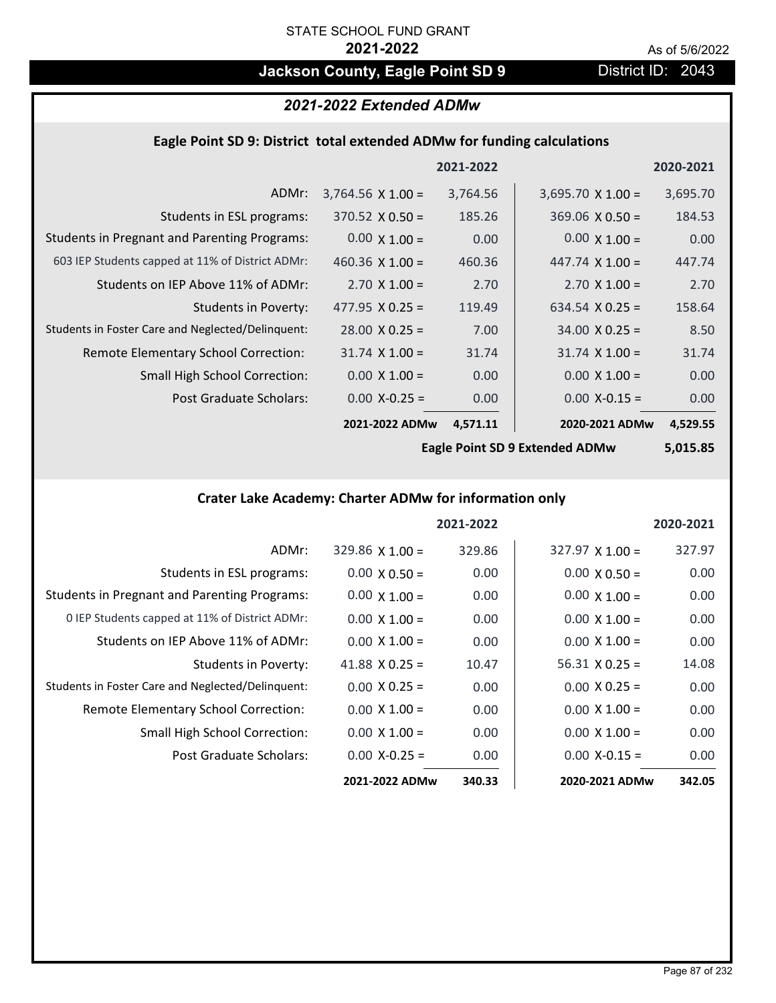# **Jackson County, Eagle Point SD 9 District ID: 2043**

# *2021-2022 Extended ADMw*

## **Eagle Point SD 9: District total extended ADMw for funding calculations**

|                                                     |                          | 2021-2022 |                          | 2020-2021 |
|-----------------------------------------------------|--------------------------|-----------|--------------------------|-----------|
| ADMr:                                               | $3,764.56 \times 1.00 =$ | 3,764.56  | $3,695.70 \times 1.00 =$ | 3,695.70  |
| Students in ESL programs:                           | $370.52 \times 0.50 =$   | 185.26    | $369.06 \times 0.50 =$   | 184.53    |
| <b>Students in Pregnant and Parenting Programs:</b> | $0.00 \times 1.00 =$     | 0.00      | $0.00 \times 1.00 =$     | 0.00      |
| 603 IEP Students capped at 11% of District ADMr:    | 460.36 $\times$ 1.00 =   | 460.36    | 447.74 $\times$ 1.00 =   | 447.74    |
| Students on IEP Above 11% of ADMr:                  | $2.70 \times 1.00 =$     | 2.70      | $2.70 \times 1.00 =$     | 2.70      |
| <b>Students in Poverty:</b>                         | 477.95 $X$ 0.25 =        | 119.49    | 634.54 $X$ 0.25 =        | 158.64    |
| Students in Foster Care and Neglected/Delinquent:   | $28.00 \times 0.25 =$    | 7.00      | $34.00 \times 0.25 =$    | 8.50      |
| Remote Elementary School Correction:                | $31.74 \times 1.00 =$    | 31.74     | $31.74 \times 1.00 =$    | 31.74     |
| <b>Small High School Correction:</b>                | $0.00 \times 1.00 =$     | 0.00      | $0.00 \times 1.00 =$     | 0.00      |
| Post Graduate Scholars:                             | $0.00$ X-0.25 =          | 0.00      | $0.00$ X-0.15 =          | 0.00      |
|                                                     | 2021-2022 ADMw           | 4,571.11  | 2020-2021 ADMw           | 4,529.55  |

**Eagle Point SD 9 Extended ADMw**

**5,015.85**

## **Crater Lake Academy: Charter ADMw for information only**

|                                                     |                       | 2021-2022 |                        | 2020-2021 |
|-----------------------------------------------------|-----------------------|-----------|------------------------|-----------|
| ADMr:                                               | $329.86$ X 1.00 =     | 329.86    | $327.97 \times 1.00 =$ | 327.97    |
| Students in ESL programs:                           | $0.00 \times 0.50 =$  | 0.00      | $0.00 \times 0.50 =$   | 0.00      |
| <b>Students in Pregnant and Parenting Programs:</b> | $0.00 \times 1.00 =$  | 0.00      | $0.00 \times 1.00 =$   | 0.00      |
| 0 IEP Students capped at 11% of District ADMr:      | $0.00 \times 1.00 =$  | 0.00      | $0.00 \times 1.00 =$   | 0.00      |
| Students on IEP Above 11% of ADMr:                  | $0.00 \times 1.00 =$  | 0.00      | $0.00 \times 1.00 =$   | 0.00      |
| Students in Poverty:                                | 41.88 $\times$ 0.25 = | 10.47     | $56.31 \times 0.25 =$  | 14.08     |
| Students in Foster Care and Neglected/Delinquent:   | $0.00 \times 0.25 =$  | 0.00      | $0.00 \times 0.25 =$   | 0.00      |
| Remote Elementary School Correction:                | $0.00 \times 1.00 =$  | 0.00      | $0.00 \times 1.00 =$   | 0.00      |
| <b>Small High School Correction:</b>                | $0.00 \times 1.00 =$  | 0.00      | $0.00 \times 1.00 =$   | 0.00      |
| Post Graduate Scholars:                             | $0.00 X - 0.25 =$     | 0.00      | $0.00 X-0.15 =$        | 0.00      |
|                                                     | 2021-2022 ADMw        | 340.33    | 2020-2021 ADMw         | 342.05    |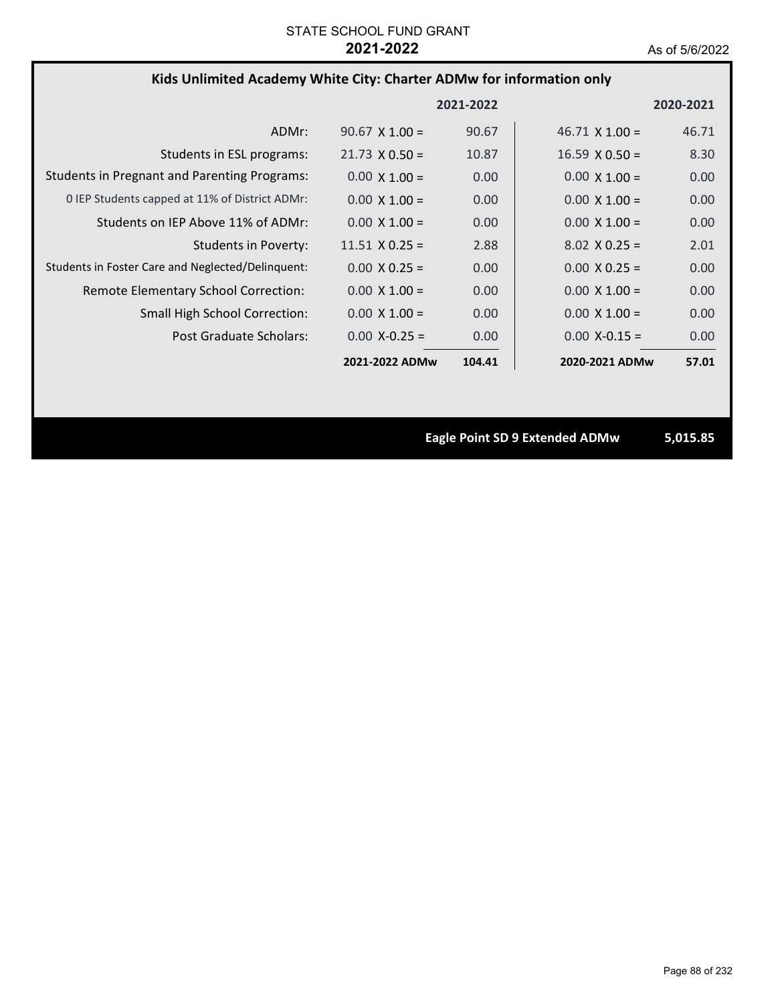### **Kids Unlimited Academy White City: Charter ADMw for information only**

|                                                     |                       | 2021-2022 |                       | 2020-2021 |
|-----------------------------------------------------|-----------------------|-----------|-----------------------|-----------|
| ADMr:                                               | $90.67 \times 1.00 =$ | 90.67     | $46.71 \times 1.00 =$ | 46.71     |
| Students in ESL programs:                           | $21.73 \times 0.50 =$ | 10.87     | $16.59 \times 0.50 =$ | 8.30      |
| <b>Students in Pregnant and Parenting Programs:</b> | $0.00 \times 1.00 =$  | 0.00      | $0.00 \times 1.00 =$  | 0.00      |
| 0 IEP Students capped at 11% of District ADMr:      | $0.00 \times 1.00 =$  | 0.00      | $0.00 \times 1.00 =$  | 0.00      |
| Students on IEP Above 11% of ADMr:                  | $0.00 \times 1.00 =$  | 0.00      | $0.00 \times 1.00 =$  | 0.00      |
| Students in Poverty:                                | $11.51 \times 0.25 =$ | 2.88      | $8.02 \times 0.25 =$  | 2.01      |
| Students in Foster Care and Neglected/Delinguent:   | $0.00 \times 0.25 =$  | 0.00      | $0.00 \times 0.25 =$  | 0.00      |
| Remote Elementary School Correction:                | $0.00 \times 1.00 =$  | 0.00      | $0.00 \times 1.00 =$  | 0.00      |
| <b>Small High School Correction:</b>                | $0.00 \times 1.00 =$  | 0.00      | $0.00 \times 1.00 =$  | 0.00      |
| Post Graduate Scholars:                             | $0.00 X - 0.25 =$     | 0.00      | $0.00 X - 0.15 =$     | 0.00      |
|                                                     | 2021-2022 ADMw        | 104.41    | 2020-2021 ADMw        | 57.01     |

**Eagle Point SD 9 Extended ADMw 5,015.85**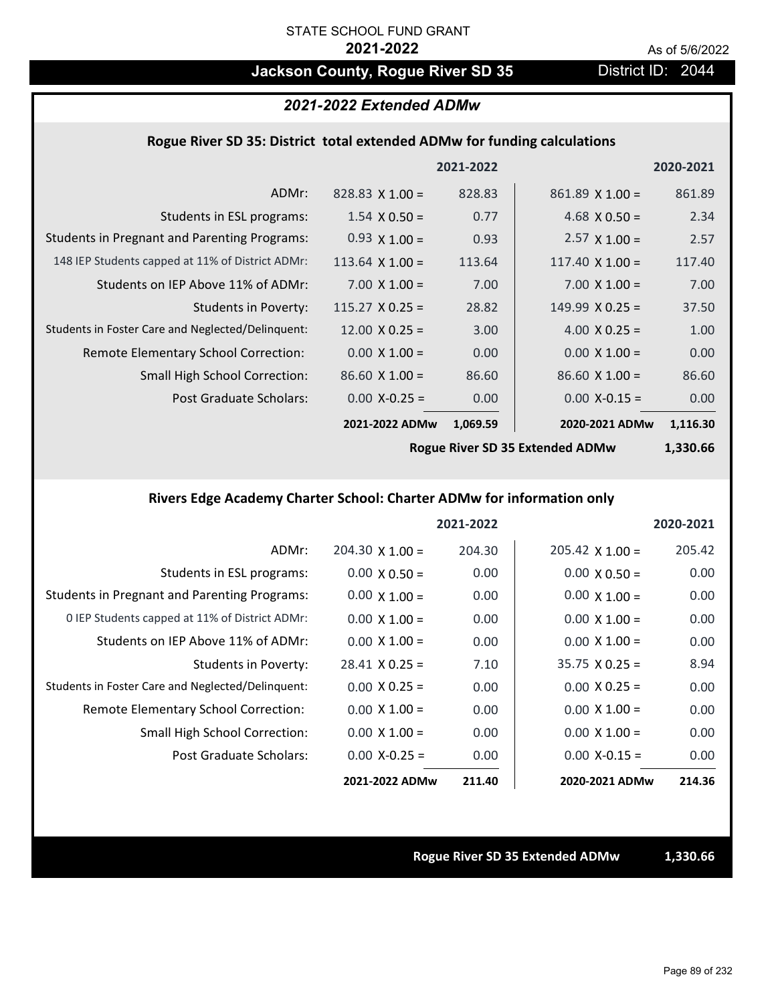## Jackson County, Rogue River SD 35 District ID: 2044

## *2021-2022 Extended ADMw*

### **Rogue River SD 35: District total extended ADMw for funding calculations**

|                                                     |                        | 2021-2022 |                        | 2020-2021 |
|-----------------------------------------------------|------------------------|-----------|------------------------|-----------|
| ADMr:                                               | $828.83 \times 1.00 =$ | 828.83    | $861.89$ X 1.00 =      | 861.89    |
| Students in ESL programs:                           | $1.54 \times 0.50 =$   | 0.77      | 4.68 $\times$ 0.50 =   | 2.34      |
| <b>Students in Pregnant and Parenting Programs:</b> | $0.93 \times 1.00 =$   | 0.93      | $2.57 \times 1.00 =$   | 2.57      |
| 148 IEP Students capped at 11% of District ADMr:    | 113.64 $\times$ 1.00 = | 113.64    | 117.40 $\times$ 1.00 = | 117.40    |
| Students on IEP Above 11% of ADMr:                  | $7.00 \times 1.00 =$   | 7.00      | $7.00 \times 1.00 =$   | 7.00      |
| <b>Students in Poverty:</b>                         | $115.27 \times 0.25 =$ | 28.82     | $149.99 \times 0.25 =$ | 37.50     |
| Students in Foster Care and Neglected/Delinquent:   | $12.00 \times 0.25 =$  | 3.00      | 4.00 $X$ 0.25 =        | 1.00      |
| Remote Elementary School Correction:                | $0.00 \times 1.00 =$   | 0.00      | $0.00 \times 1.00 =$   | 0.00      |
| <b>Small High School Correction:</b>                | $86.60 \times 1.00 =$  | 86.60     | $86.60 \times 1.00 =$  | 86.60     |
| Post Graduate Scholars:                             | $0.00$ X-0.25 =        | 0.00      | $0.00$ X-0.15 =        | 0.00      |
|                                                     | 2021-2022 ADMw         | 1,069.59  | 2020-2021 ADMw         | 1,116.30  |
|                                                     |                        |           |                        |           |

**Rogue River SD 35 Extended ADMw**

**1,330.66**

## **Rivers Edge Academy Charter School: Charter ADMw for information only**

|                                                     |                        | 2021-2022 |                        | 2020-2021 |
|-----------------------------------------------------|------------------------|-----------|------------------------|-----------|
| ADMr:                                               | $204.30 \times 1.00 =$ | 204.30    | $205.42 \times 1.00 =$ | 205.42    |
| Students in ESL programs:                           | $0.00 \times 0.50 =$   | 0.00      | $0.00 \times 0.50 =$   | 0.00      |
| <b>Students in Pregnant and Parenting Programs:</b> | $0.00 \times 1.00 =$   | 0.00      | $0.00 \times 1.00 =$   | 0.00      |
| 0 IEP Students capped at 11% of District ADMr:      | $0.00 \times 1.00 =$   | 0.00      | $0.00 \times 1.00 =$   | 0.00      |
| Students on IEP Above 11% of ADMr:                  | $0.00 \times 1.00 =$   | 0.00      | $0.00 \times 1.00 =$   | 0.00      |
| Students in Poverty:                                | $28.41 \times 0.25 =$  | 7.10      | $35.75 \times 0.25 =$  | 8.94      |
| Students in Foster Care and Neglected/Delinquent:   | $0.00 \times 0.25 =$   | 0.00      | $0.00 \times 0.25 =$   | 0.00      |
| Remote Elementary School Correction:                | $0.00 \times 1.00 =$   | 0.00      | $0.00 \times 1.00 =$   | 0.00      |
| Small High School Correction:                       | $0.00 \times 1.00 =$   | 0.00      | $0.00 \times 1.00 =$   | 0.00      |
| Post Graduate Scholars:                             | $0.00 X-0.25 =$        | 0.00      | $0.00$ X-0.15 =        | 0.00      |
|                                                     | 2021-2022 ADMw         | 211.40    | 2020-2021 ADMw         | 214.36    |

### **Rogue River SD 35 Extended ADMw 1,330.66**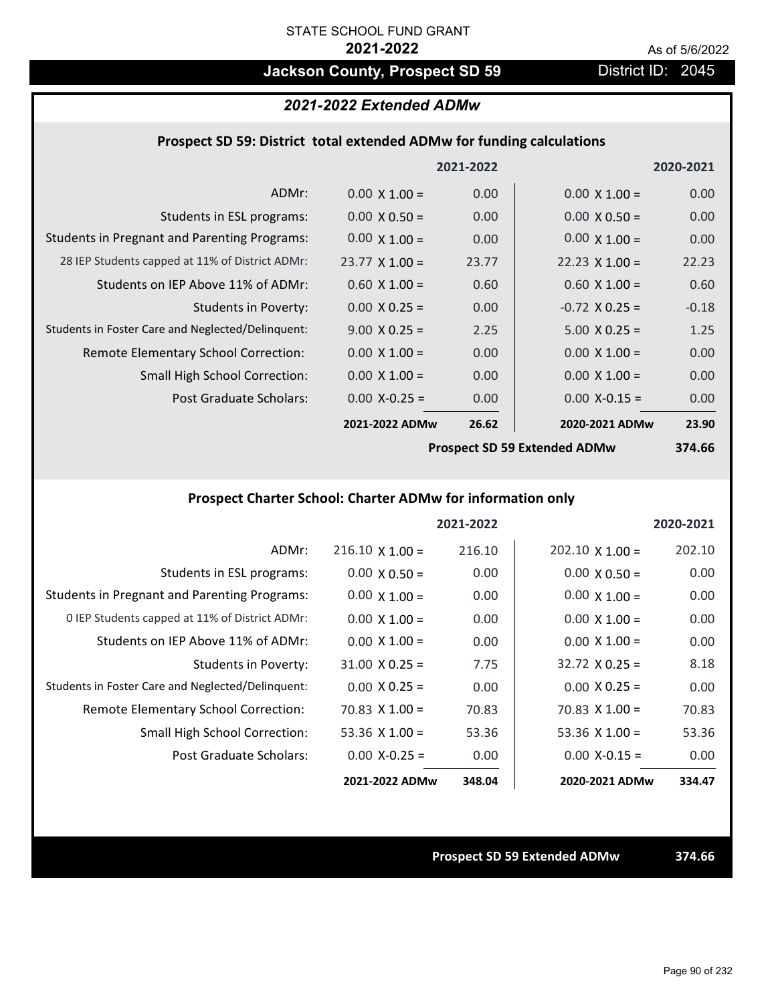## **Jackson County, Prospect SD 59** District ID: 2045

## *2021-2022 Extended ADMw*

### **Prospect SD 59: District total extended ADMw for funding calculations**

|                                                     |                       | 2021-2022 |                                     | 2020-2021 |
|-----------------------------------------------------|-----------------------|-----------|-------------------------------------|-----------|
| ADMr:                                               | $0.00 \times 1.00 =$  | 0.00      | $0.00 \times 1.00 =$                | 0.00      |
| Students in ESL programs:                           | $0.00 \times 0.50 =$  | 0.00      | $0.00 \times 0.50 =$                | 0.00      |
| <b>Students in Pregnant and Parenting Programs:</b> | $0.00 \times 1.00 =$  | 0.00      | $0.00 \times 1.00 =$                | 0.00      |
| 28 IEP Students capped at 11% of District ADMr:     | $23.77 \times 1.00 =$ | 23.77     | $22.23 \times 1.00 =$               | 22.23     |
| Students on IEP Above 11% of ADMr:                  | $0.60 \times 1.00 =$  | 0.60      | $0.60 \times 1.00 =$                | 0.60      |
| <b>Students in Poverty:</b>                         | $0.00 \times 0.25 =$  | 0.00      | $-0.72$ X 0.25 =                    | $-0.18$   |
| Students in Foster Care and Neglected/Delinquent:   | $9.00 \times 0.25 =$  | 2.25      | $5.00 \times 0.25 =$                | 1.25      |
| Remote Elementary School Correction:                | $0.00 \times 1.00 =$  | 0.00      | $0.00 \times 1.00 =$                | 0.00      |
| <b>Small High School Correction:</b>                | $0.00 \times 1.00 =$  | 0.00      | $0.00 \times 1.00 =$                | 0.00      |
| Post Graduate Scholars:                             | $0.00$ X-0.25 =       | 0.00      | $0.00$ X-0.15 =                     | 0.00      |
|                                                     | 2021-2022 ADMw        | 26.62     | 2020-2021 ADMw                      | 23.90     |
|                                                     |                       |           | $\mathbf{A}$ CD FO Factor and a DNA | 27000     |

**Prospect SD 59 Extended ADMw**

**374.66**

## **Prospect Charter School: Charter ADMw for information only**

|                                                     |                        | 2021-2022 |                        | 2020-2021 |
|-----------------------------------------------------|------------------------|-----------|------------------------|-----------|
| ADMr:                                               | $216.10 \times 1.00 =$ | 216.10    | $202.10 \times 1.00 =$ | 202.10    |
| Students in ESL programs:                           | $0.00 \times 0.50 =$   | 0.00      | $0.00 \times 0.50 =$   | 0.00      |
| <b>Students in Pregnant and Parenting Programs:</b> | $0.00 \times 1.00 =$   | 0.00      | $0.00 \times 1.00 =$   | 0.00      |
| 0 IEP Students capped at 11% of District ADMr:      | $0.00 \times 1.00 =$   | 0.00      | $0.00 \times 1.00 =$   | 0.00      |
| Students on IEP Above 11% of ADMr:                  | $0.00 \times 1.00 =$   | 0.00      | $0.00 \times 1.00 =$   | 0.00      |
| Students in Poverty:                                | $31.00 \times 0.25 =$  | 7.75      | $32.72 \times 0.25 =$  | 8.18      |
| Students in Foster Care and Neglected/Delinquent:   | $0.00 \times 0.25 =$   | 0.00      | $0.00 \times 0.25 =$   | 0.00      |
| Remote Elementary School Correction:                | $70.83 \times 1.00 =$  | 70.83     | $70.83 \times 1.00 =$  | 70.83     |
| <b>Small High School Correction:</b>                | 53.36 $X$ 1.00 =       | 53.36     | 53.36 $\times$ 1.00 =  | 53.36     |
| Post Graduate Scholars:                             | $0.00 X - 0.25 =$      | 0.00      | $0.00 X-0.15 =$        | 0.00      |
|                                                     | 2021-2022 ADMw         | 348.04    | 2020-2021 ADMw         | 334.47    |

**Prospect SD 59 Extended ADMw 374.66**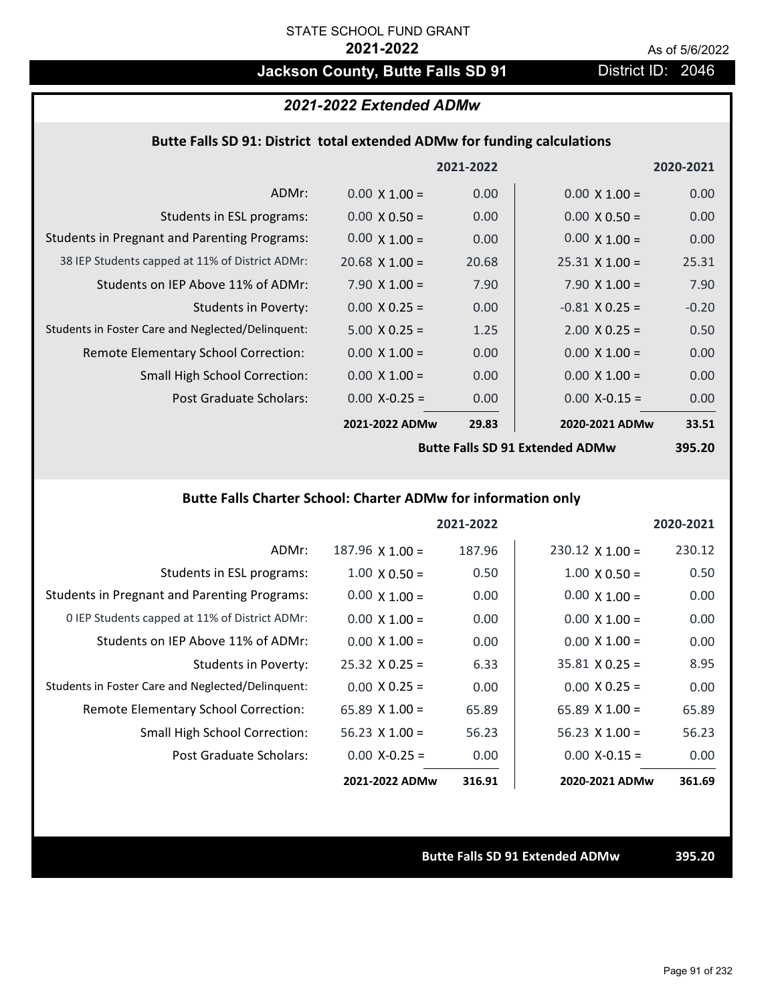# **Jackson County, Butte Falls SD 91** District ID: 2046

### *2021-2022 Extended ADMw*

### **Butte Falls SD 91: District total extended ADMw for funding calculations**

|                                                     |                       | 2021-2022 |                       | 2020-2021 |
|-----------------------------------------------------|-----------------------|-----------|-----------------------|-----------|
| ADMr:                                               | $0.00 \times 1.00 =$  | 0.00      | $0.00 \times 1.00 =$  | 0.00      |
| Students in ESL programs:                           | $0.00 \times 0.50 =$  | 0.00      | $0.00 \times 0.50 =$  | 0.00      |
| <b>Students in Pregnant and Parenting Programs:</b> | $0.00 \times 1.00 =$  | 0.00      | $0.00 \times 1.00 =$  | 0.00      |
| 38 IEP Students capped at 11% of District ADMr:     | $20.68 \times 1.00 =$ | 20.68     | $25.31 \times 1.00 =$ | 25.31     |
| Students on IEP Above 11% of ADMr:                  | $7.90 \times 1.00 =$  | 7.90      | $7.90 \times 1.00 =$  | 7.90      |
| <b>Students in Poverty:</b>                         | $0.00 \times 0.25 =$  | 0.00      | $-0.81$ X 0.25 =      | $-0.20$   |
| Students in Foster Care and Neglected/Delinquent:   | $5.00 \times 0.25 =$  | 1.25      | $2.00 \times 0.25 =$  | 0.50      |
| Remote Elementary School Correction:                | $0.00 \times 1.00 =$  | 0.00      | $0.00 \times 1.00 =$  | 0.00      |
| <b>Small High School Correction:</b>                | $0.00 \times 1.00 =$  | 0.00      | $0.00 \times 1.00 =$  | 0.00      |
| Post Graduate Scholars:                             | $0.00$ X-0.25 =       | 0.00      | $0.00$ X-0.15 =       | 0.00      |
|                                                     | 2021-2022 ADMw        | 29.83     | 2020-2021 ADMw        | 33.51     |
|                                                     |                       |           |                       |           |

**Butte Falls SD 91 Extended ADMw**

**395.20**

## **Butte Falls Charter School: Charter ADMw for information only**

|                                                     |                        | 2021-2022 |                        | 2020-2021 |
|-----------------------------------------------------|------------------------|-----------|------------------------|-----------|
| ADMr:                                               | $187.96 \times 1.00 =$ | 187.96    | $230.12 \times 1.00 =$ | 230.12    |
| Students in ESL programs:                           | $1.00 \times 0.50 =$   | 0.50      | $1.00 \times 0.50 =$   | 0.50      |
| <b>Students in Pregnant and Parenting Programs:</b> | $0.00 \times 1.00 =$   | 0.00      | $0.00 \times 1.00 =$   | 0.00      |
| 0 IEP Students capped at 11% of District ADMr:      | $0.00 \times 1.00 =$   | 0.00      | $0.00 \times 1.00 =$   | 0.00      |
| Students on IEP Above 11% of ADMr:                  | $0.00 \times 1.00 =$   | 0.00      | $0.00 \times 1.00 =$   | 0.00      |
| Students in Poverty:                                | $25.32 \times 0.25 =$  | 6.33      | $35.81 \times 0.25 =$  | 8.95      |
| Students in Foster Care and Neglected/Delinquent:   | $0.00 \times 0.25 =$   | 0.00      | $0.00 \times 0.25 =$   | 0.00      |
| Remote Elementary School Correction:                | 65.89 $X$ 1.00 =       | 65.89     | $65.89 \times 1.00 =$  | 65.89     |
| <b>Small High School Correction:</b>                | $56.23$ X 1.00 =       | 56.23     | $56.23 \times 1.00 =$  | 56.23     |
| Post Graduate Scholars:                             | $0.00 X-0.25 =$        | 0.00      | $0.00$ X-0.15 =        | 0.00      |
|                                                     | 2021-2022 ADMw         | 316.91    | 2020-2021 ADMw         | 361.69    |

**Butte Falls SD 91 Extended ADMw 395.20**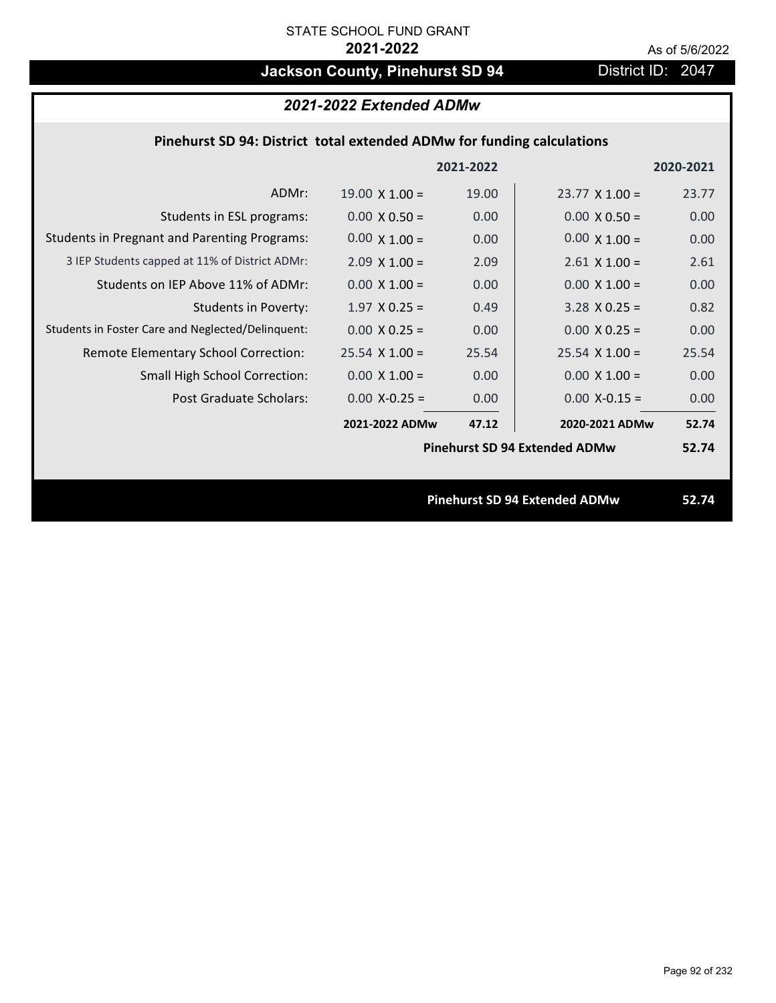# **Jackson County, Pinehurst SD 94** District ID: 2047

## *2021-2022 Extended ADMw*

## **Pinehurst SD 94: District total extended ADMw for funding calculations**

|                                                     |                       | 2021-2022 |                                      | 2020-2021 |
|-----------------------------------------------------|-----------------------|-----------|--------------------------------------|-----------|
| ADMr:                                               | $19.00 \times 1.00 =$ | 19.00     | $23.77 \times 1.00 =$                | 23.77     |
| Students in ESL programs:                           | $0.00 \times 0.50 =$  | 0.00      | $0.00 \times 0.50 =$                 | 0.00      |
| <b>Students in Pregnant and Parenting Programs:</b> | $0.00 \times 1.00 =$  | 0.00      | $0.00 \times 1.00 =$                 | 0.00      |
| 3 IEP Students capped at 11% of District ADMr:      | $2.09 \times 1.00 =$  | 2.09      | $2.61$ X $1.00 =$                    | 2.61      |
| Students on IEP Above 11% of ADMr:                  | $0.00 \times 1.00 =$  | 0.00      | $0.00 \times 1.00 =$                 | 0.00      |
| <b>Students in Poverty:</b>                         | $1.97$ X 0.25 =       | 0.49      | $3.28$ X 0.25 =                      | 0.82      |
| Students in Foster Care and Neglected/Delinquent:   | $0.00 \times 0.25 =$  | 0.00      | $0.00 \times 0.25 =$                 | 0.00      |
| Remote Elementary School Correction:                | $25.54$ X 1.00 =      | 25.54     | $25.54$ X 1.00 =                     | 25.54     |
| <b>Small High School Correction:</b>                | $0.00 \times 1.00 =$  | 0.00      | $0.00 \times 1.00 =$                 | 0.00      |
| Post Graduate Scholars:                             | $0.00$ X-0.25 =       | 0.00      | $0.00$ X-0.15 =                      | 0.00      |
|                                                     | 2021-2022 ADMw        | 47.12     | 2020-2021 ADMw                       | 52.74     |
|                                                     |                       |           | <b>Pinehurst SD 94 Extended ADMw</b> | 52.74     |
|                                                     |                       |           |                                      |           |
|                                                     |                       |           | <b>Pinehurst SD 94 Extended ADMw</b> | 52.74     |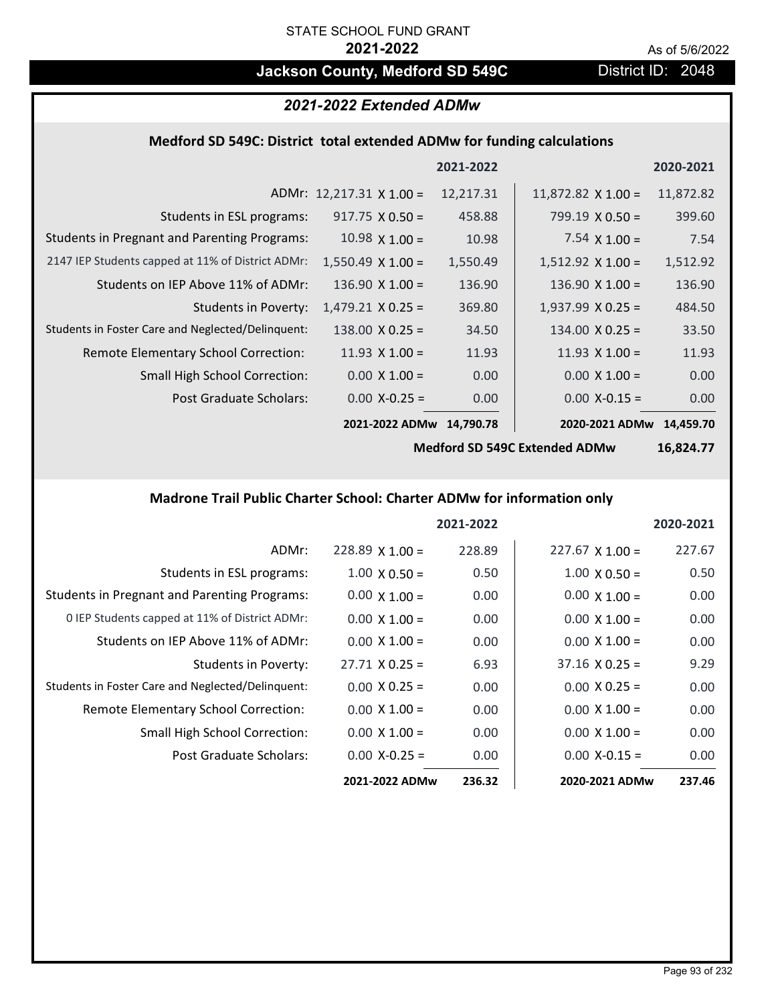## **Jackson County, Medford SD 549C** District ID: 2048

## *2021-2022 Extended ADMw*

### **Medford SD 549C: District total extended ADMw for funding calculations**

|                                                     |                                 | 2021-2022 |                           | 2020-2021 |
|-----------------------------------------------------|---------------------------------|-----------|---------------------------|-----------|
|                                                     | ADMr: $12,217.31 \times 1.00 =$ | 12,217.31 | $11,872.82 \times 1.00 =$ | 11,872.82 |
| Students in ESL programs:                           | $917.75 \times 0.50 =$          | 458.88    | $799.19 \times 0.50 =$    | 399.60    |
| <b>Students in Pregnant and Parenting Programs:</b> | 10.98 $\times$ 1.00 =           | 10.98     | 7.54 $\times$ 1.00 =      | 7.54      |
| 2147 IEP Students capped at 11% of District ADMr:   | $1,550.49 \times 1.00 =$        | 1,550.49  | $1,512.92 \times 1.00 =$  | 1,512.92  |
| Students on IEP Above 11% of ADMr:                  | $136.90 \times 1.00 =$          | 136.90    | $136.90 \times 1.00 =$    | 136.90    |
| <b>Students in Poverty:</b>                         | $1,479.21 \times 0.25 =$        | 369.80    | $1,937.99$ X 0.25 =       | 484.50    |
| Students in Foster Care and Neglected/Delinquent:   | $138.00 \times 0.25 =$          | 34.50     | $134.00 \times 0.25 =$    | 33.50     |
| Remote Elementary School Correction:                | 11.93 $X$ 1.00 =                | 11.93     | 11.93 $X$ 1.00 =          | 11.93     |
| <b>Small High School Correction:</b>                | $0.00 \times 1.00 =$            | 0.00      | $0.00 \times 1.00 =$      | 0.00      |
| Post Graduate Scholars:                             | $0.00$ X-0.25 =                 | 0.00      | $0.00$ X-0.15 =           | 0.00      |
|                                                     | 2021-2022 ADMw                  | 14,790.78 | 2020-2021 ADMw 14,459.70  |           |

**Medford SD 549C Extended ADMw**

**16,824.77**

## **Madrone Trail Public Charter School: Charter ADMw for information only**

|                                                     |                        | 2021-2022 |                        | 2020-2021 |
|-----------------------------------------------------|------------------------|-----------|------------------------|-----------|
| ADMr:                                               | $228.89 \times 1.00 =$ | 228.89    | $227.67 \times 1.00 =$ | 227.67    |
| Students in ESL programs:                           | $1.00 \times 0.50 =$   | 0.50      | $1.00 \times 0.50 =$   | 0.50      |
| <b>Students in Pregnant and Parenting Programs:</b> | $0.00 \times 1.00 =$   | 0.00      | $0.00 \times 1.00 =$   | 0.00      |
| 0 IEP Students capped at 11% of District ADMr:      | $0.00 \times 1.00 =$   | 0.00      | $0.00 \times 1.00 =$   | 0.00      |
| Students on IEP Above 11% of ADMr:                  | $0.00 \times 1.00 =$   | 0.00      | $0.00 \times 1.00 =$   | 0.00      |
| Students in Poverty:                                | $27.71 \times 0.25 =$  | 6.93      | $37.16 \times 0.25 =$  | 9.29      |
| Students in Foster Care and Neglected/Delinquent:   | $0.00 \times 0.25 =$   | 0.00      | $0.00 \times 0.25 =$   | 0.00      |
| Remote Elementary School Correction:                | $0.00 \times 1.00 =$   | 0.00      | $0.00 \times 1.00 =$   | 0.00      |
| <b>Small High School Correction:</b>                | $0.00 \times 1.00 =$   | 0.00      | $0.00 \times 1.00 =$   | 0.00      |
| Post Graduate Scholars:                             | $0.00$ X-0.25 =        | 0.00      | $0.00 X - 0.15 =$      | 0.00      |
|                                                     | 2021-2022 ADMw         | 236.32    | 2020-2021 ADMw         | 237.46    |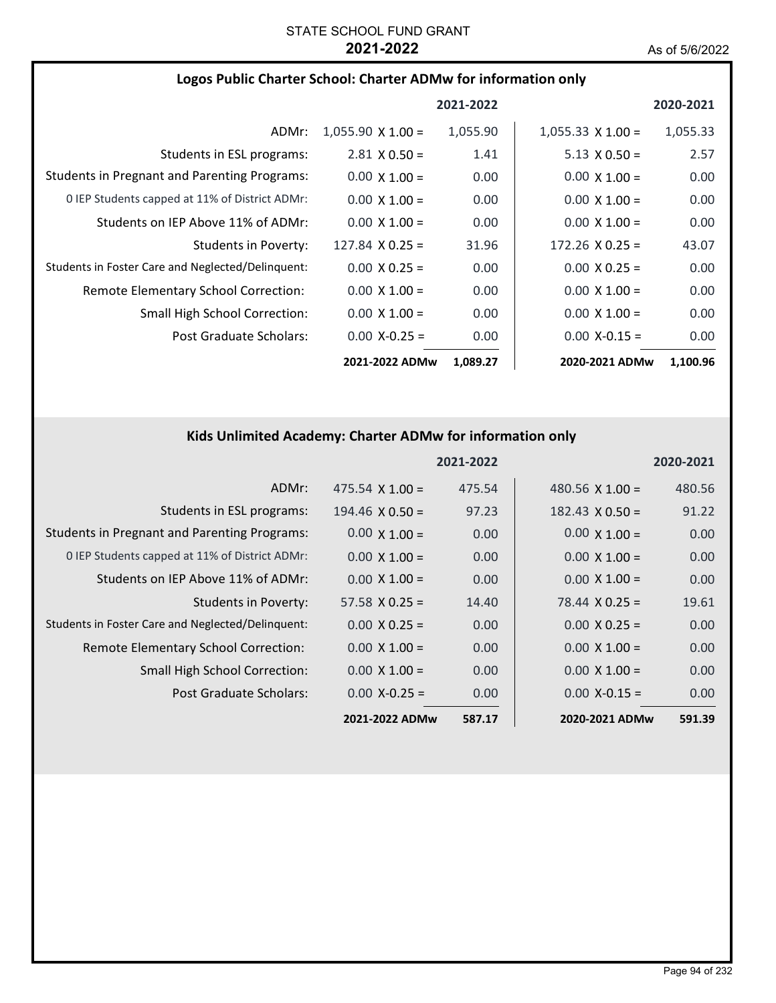|                                                     |                          | 2021-2022 |                          | 2020-2021 |
|-----------------------------------------------------|--------------------------|-----------|--------------------------|-----------|
| ADMr:                                               | $1,055.90 \times 1.00 =$ | 1,055.90  | $1,055.33 \times 1.00 =$ | 1,055.33  |
| Students in ESL programs:                           | $2.81 \times 0.50 =$     | 1.41      | $5.13 \times 0.50 =$     | 2.57      |
| <b>Students in Pregnant and Parenting Programs:</b> | $0.00 \times 1.00 =$     | 0.00      | $0.00 \times 1.00 =$     | 0.00      |
| 0 IEP Students capped at 11% of District ADMr:      | $0.00 \times 1.00 =$     | 0.00      | $0.00 \times 1.00 =$     | 0.00      |
| Students on IEP Above 11% of ADMr:                  | $0.00 \times 1.00 =$     | 0.00      | $0.00 \times 1.00 =$     | 0.00      |
| Students in Poverty:                                | $127.84 \times 0.25 =$   | 31.96     | $172.26 \times 0.25 =$   | 43.07     |
| Students in Foster Care and Neglected/Delinquent:   | $0.00 \times 0.25 =$     | 0.00      | $0.00 \times 0.25 =$     | 0.00      |
| Remote Elementary School Correction:                | $0.00 \times 1.00 =$     | 0.00      | $0.00 \times 1.00 =$     | 0.00      |
| <b>Small High School Correction:</b>                | $0.00 \times 1.00 =$     | 0.00      | $0.00 \times 1.00 =$     | 0.00      |
| Post Graduate Scholars:                             | $0.00 X - 0.25 =$        | 0.00      | $0.00 X - 0.15 =$        | 0.00      |
|                                                     | 2021-2022 ADMw           | 1,089.27  | 2020-2021 ADMw           | 1,100.96  |

## **Kids Unlimited Academy: Charter ADMw for information only**

|                                                     |                        | 2021-2022 |                        | 2020-2021 |
|-----------------------------------------------------|------------------------|-----------|------------------------|-----------|
| ADMr:                                               | $475.54 \times 1.00 =$ | 475.54    | 480.56 $X$ 1.00 =      | 480.56    |
| Students in ESL programs:                           | $194.46 \times 0.50 =$ | 97.23     | $182.43 \times 0.50 =$ | 91.22     |
| <b>Students in Pregnant and Parenting Programs:</b> | $0.00 \times 1.00 =$   | 0.00      | $0.00 \times 1.00 =$   | 0.00      |
| 0 IEP Students capped at 11% of District ADMr:      | $0.00 \times 1.00 =$   | 0.00      | $0.00 \times 1.00 =$   | 0.00      |
| Students on IEP Above 11% of ADMr:                  | $0.00 \times 1.00 =$   | 0.00      | $0.00 \times 1.00 =$   | 0.00      |
| Students in Poverty:                                | $57.58 \times 0.25 =$  | 14.40     | $78.44 \times 0.25 =$  | 19.61     |
| Students in Foster Care and Neglected/Delinquent:   | $0.00 \times 0.25 =$   | 0.00      | $0.00 \times 0.25 =$   | 0.00      |
| Remote Elementary School Correction:                | $0.00 \times 1.00 =$   | 0.00      | $0.00 \times 1.00 =$   | 0.00      |
| <b>Small High School Correction:</b>                | $0.00 \times 1.00 =$   | 0.00      | $0.00 \times 1.00 =$   | 0.00      |
| Post Graduate Scholars:                             | $0.00 X - 0.25 =$      | 0.00      | $0.00$ X-0.15 =        | 0.00      |
|                                                     | 2021-2022 ADMw         | 587.17    | 2020-2021 ADMw         | 591.39    |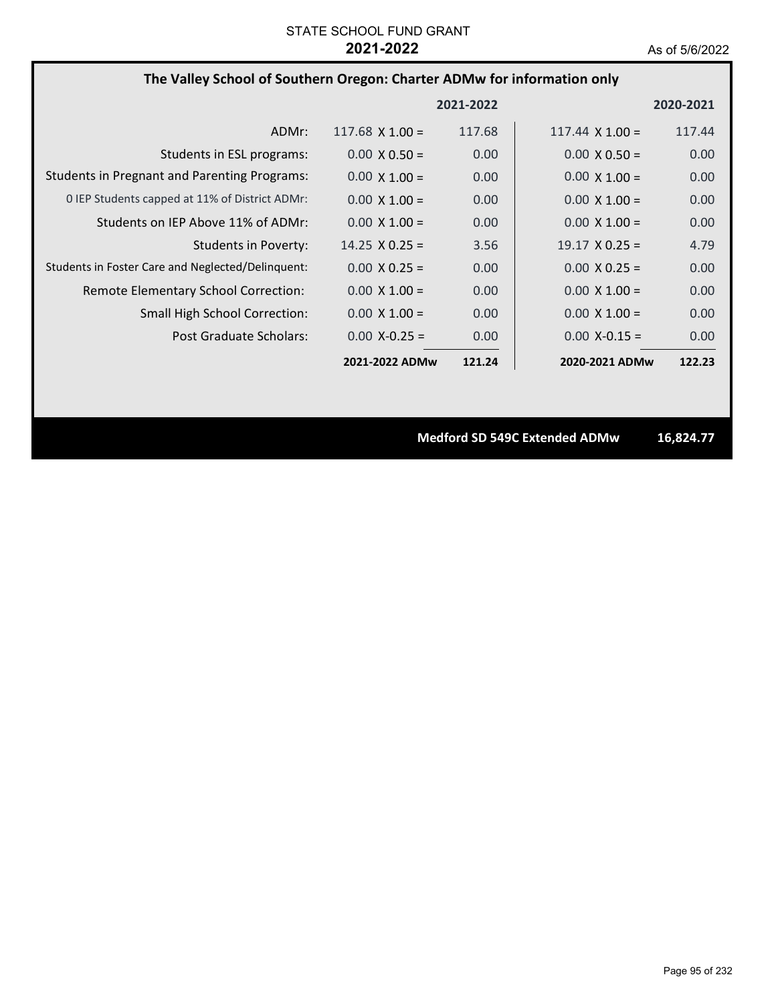### **The Valley School of Southern Oregon: Charter ADMw for information only**

|                                                     |                        | 2021-2022         |                        | 2020-2021 |
|-----------------------------------------------------|------------------------|-------------------|------------------------|-----------|
| ADMr:                                               | $117.68 \times 1.00 =$ | 117.68            | $117.44 \times 1.00 =$ | 117.44    |
| Students in ESL programs:                           | $0.00 \times 0.50 =$   | 0.00 <sub>1</sub> | $0.00 \times 0.50 =$   | 0.00      |
| <b>Students in Pregnant and Parenting Programs:</b> | $0.00 \times 1.00 =$   | 0.00              | $0.00 \times 1.00 =$   | 0.00      |
| 0 IEP Students capped at 11% of District ADMr:      | $0.00 \times 1.00 =$   | 0.00              | $0.00 \times 1.00 =$   | 0.00      |
| Students on IEP Above 11% of ADMr:                  | $0.00 \times 1.00 =$   | 0.00              | $0.00 \times 1.00 =$   | 0.00      |
| Students in Poverty:                                | $14.25 \times 0.25 =$  | 3.56              | $19.17 \times 0.25 =$  | 4.79      |
| Students in Foster Care and Neglected/Delinquent:   | $0.00 \times 0.25 =$   | 0.00 <sub>1</sub> | $0.00 \times 0.25 =$   | 0.00      |
| Remote Elementary School Correction:                | $0.00 \times 1.00 =$   | 0.00              | $0.00 \times 1.00 =$   | 0.00      |
| <b>Small High School Correction:</b>                | $0.00 \times 1.00 =$   | 0.00              | $0.00 \times 1.00 =$   | 0.00      |
| Post Graduate Scholars:                             | $0.00 X - 0.25 =$      | 0.00 <sub>1</sub> | $0.00 X - 0.15 =$      | 0.00      |
|                                                     | 2021-2022 ADMw         | 121.24            | 2020-2021 ADMw         | 122.23    |

**Medford SD 549C Extended ADMw 16,824.77**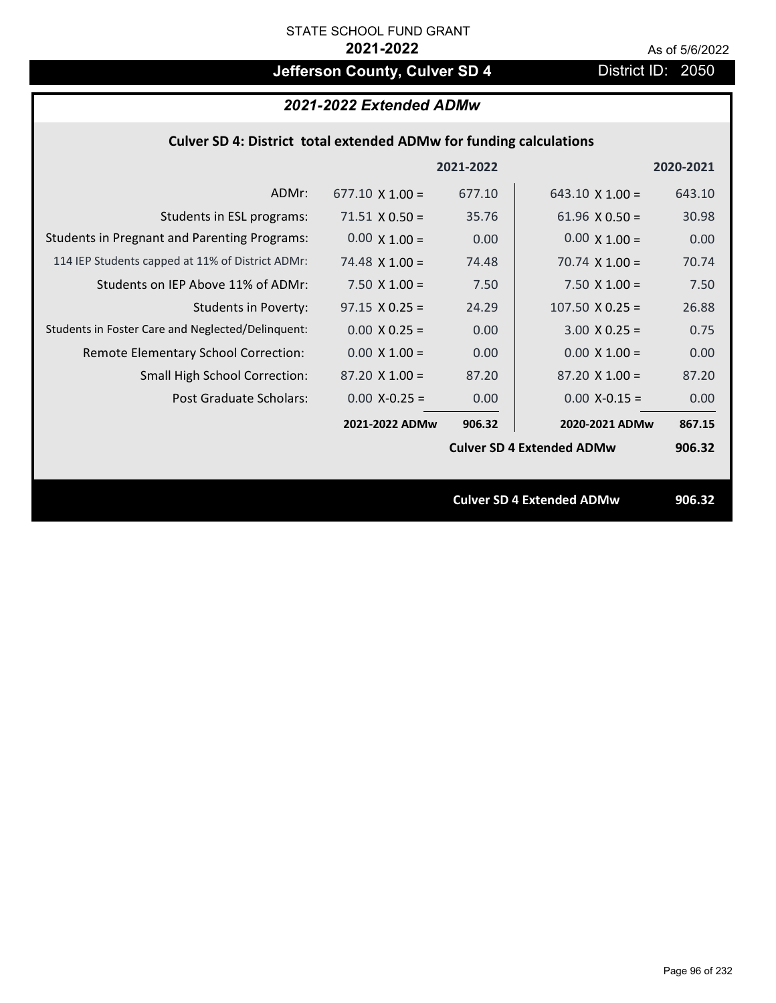# **Jefferson County, Culver SD 4** District ID: 2050

## *2021-2022 Extended ADMw*

| Culver SD 4: District total extended ADMw for funding calculations |  |  |  |
|--------------------------------------------------------------------|--|--|--|
|--------------------------------------------------------------------|--|--|--|

|                                                     |                        | 2021-2022 |                                  | 2020-2021 |
|-----------------------------------------------------|------------------------|-----------|----------------------------------|-----------|
| ADMr:                                               | $677.10 \times 1.00 =$ | 677.10    | $643.10 \times 1.00 =$           | 643.10    |
| Students in ESL programs:                           | $71.51 \times 0.50 =$  | 35.76     | 61.96 $\times$ 0.50 =            | 30.98     |
| <b>Students in Pregnant and Parenting Programs:</b> | $0.00 \times 1.00 =$   | 0.00      | $0.00 \times 1.00 =$             | 0.00      |
| 114 IEP Students capped at 11% of District ADMr:    | 74.48 $\times$ 1.00 =  | 74.48     | 70.74 $\times$ 1.00 =            | 70.74     |
| Students on IEP Above 11% of ADMr:                  | 7.50 $X$ 1.00 =        | 7.50      | 7.50 $X$ 1.00 =                  | 7.50      |
| <b>Students in Poverty:</b>                         | $97.15 \times 0.25 =$  | 24.29     | $107.50 \times 0.25 =$           | 26.88     |
| Students in Foster Care and Neglected/Delinquent:   | $0.00 \times 0.25 =$   | 0.00      | $3.00 X 0.25 =$                  | 0.75      |
| Remote Elementary School Correction:                | $0.00 \times 1.00 =$   | 0.00      | $0.00 \times 1.00 =$             | 0.00      |
| <b>Small High School Correction:</b>                | $87.20 \times 1.00 =$  | 87.20     | $87.20 \times 1.00 =$            | 87.20     |
| Post Graduate Scholars:                             | $0.00$ X-0.25 =        | 0.00      | $0.00$ X-0.15 =                  | 0.00      |
|                                                     | 2021-2022 ADMw         | 906.32    | 2020-2021 ADMw                   | 867.15    |
|                                                     |                        |           | <b>Culver SD 4 Extended ADMw</b> | 906.32    |
|                                                     |                        |           |                                  |           |
|                                                     |                        |           | <b>Culver SD 4 Extended ADMw</b> | 906.32    |
|                                                     |                        |           |                                  |           |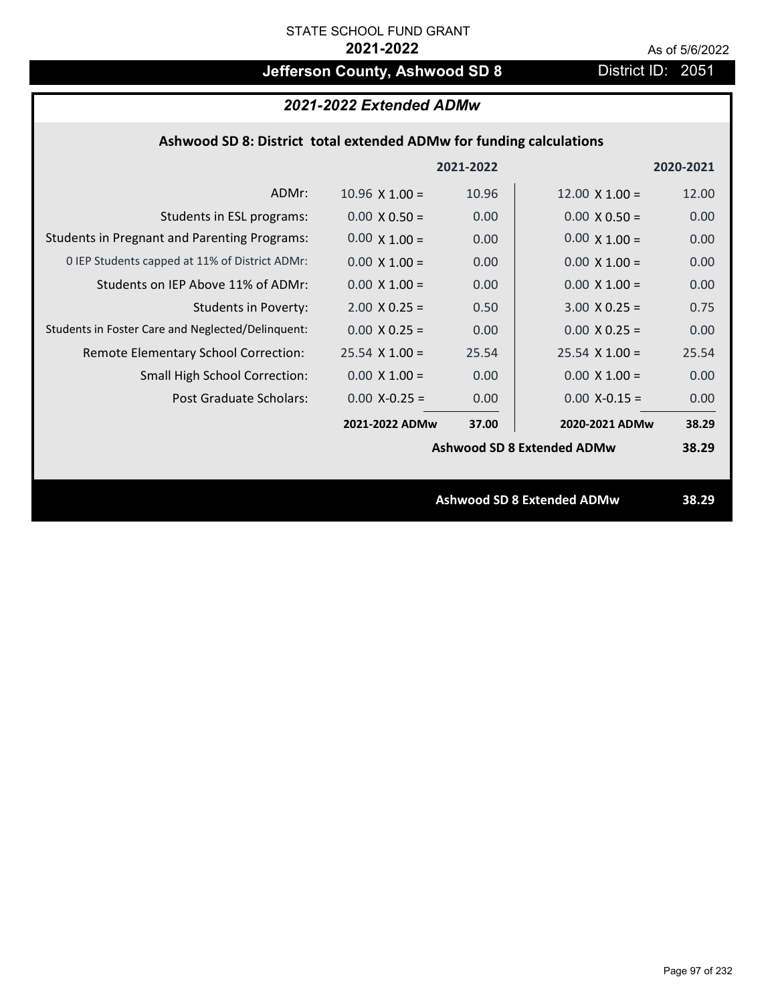# **Jefferson County, Ashwood SD 8** District ID: 2051

## *2021-2022 Extended ADMw*

## **Ashwood SD 8: District total extended ADMw for funding calculations**

|                       |       |                       | 2020-2021                                                              |
|-----------------------|-------|-----------------------|------------------------------------------------------------------------|
| $10.96 \times 1.00 =$ | 10.96 | $12.00 \times 1.00 =$ | 12.00                                                                  |
| $0.00 \times 0.50 =$  | 0.00  | $0.00 \times 0.50 =$  | 0.00                                                                   |
| $0.00 \times 1.00 =$  | 0.00  | $0.00 \times 1.00 =$  | 0.00                                                                   |
| $0.00 \times 1.00 =$  | 0.00  | $0.00 \times 1.00 =$  | 0.00                                                                   |
| $0.00 \times 1.00 =$  | 0.00  | $0.00 \times 1.00 =$  | 0.00                                                                   |
| $2.00 \times 0.25 =$  | 0.50  | $3.00 X 0.25 =$       | 0.75                                                                   |
| $0.00 \times 0.25 =$  | 0.00  | $0.00 \times 0.25 =$  | 0.00                                                                   |
| $25.54$ X 1.00 =      | 25.54 | $25.54 \times 1.00 =$ | 25.54                                                                  |
| $0.00 \times 1.00 =$  | 0.00  | $0.00 \times 1.00 =$  | 0.00                                                                   |
| $0.00$ X-0.25 =       | 0.00  | $0.00$ X-0.15 =       | 0.00                                                                   |
| 2021-2022 ADMw        | 37.00 | 2020-2021 ADMw        | 38.29                                                                  |
|                       |       |                       | 38.29                                                                  |
|                       |       |                       |                                                                        |
|                       |       |                       | 38.29                                                                  |
|                       |       | 2021-2022             | <b>Ashwood SD 8 Extended ADMw</b><br><b>Ashwood SD 8 Extended ADMw</b> |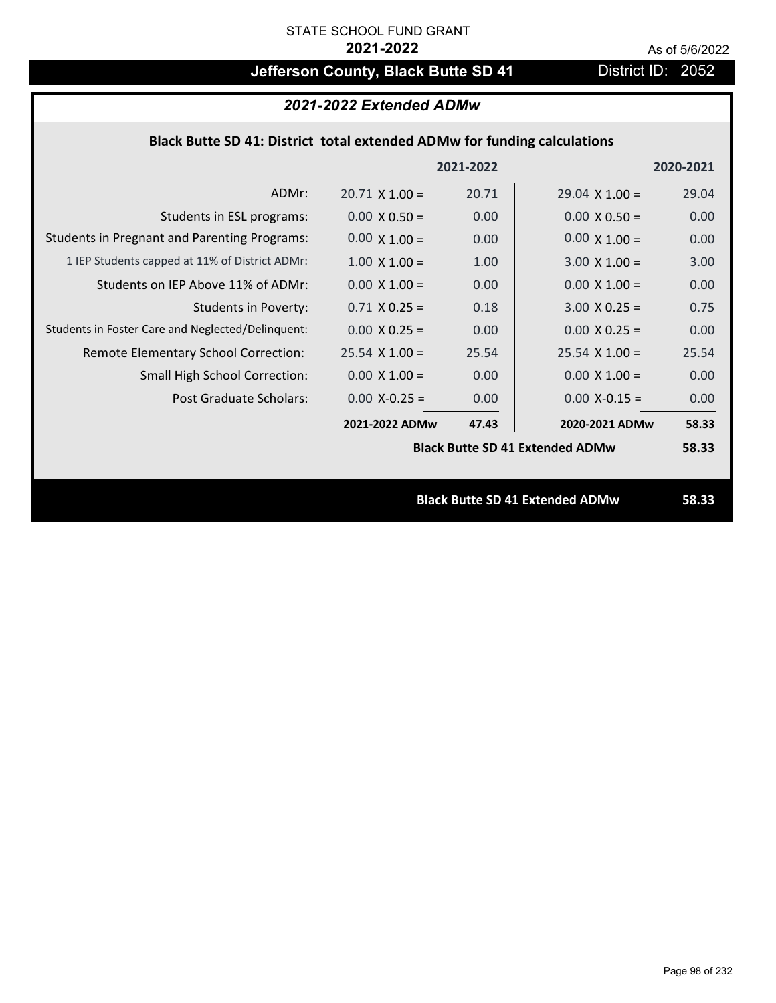# **Jefferson County, Black Butte SD 41** District ID: 2052

# *2021-2022 Extended ADMw*

## **Black Butte SD 41: District total extended ADMw for funding calculations**

|                                                     |                                        | 2021-2022 |                                        | 2020-2021 |
|-----------------------------------------------------|----------------------------------------|-----------|----------------------------------------|-----------|
| ADMr:                                               | $20.71 \times 1.00 =$                  | 20.71     | $29.04 \times 1.00 =$                  | 29.04     |
| Students in ESL programs:                           | $0.00 \times 0.50 =$                   | 0.00      | $0.00 \times 0.50 =$                   | 0.00      |
| <b>Students in Pregnant and Parenting Programs:</b> | $0.00 \times 1.00 =$                   | 0.00      | $0.00 \times 1.00 =$                   | 0.00      |
| 1 IEP Students capped at 11% of District ADMr:      | $1.00 \times 1.00 =$                   | 1.00      | $3.00 \times 1.00 =$                   | 3.00      |
| Students on IEP Above 11% of ADMr:                  | $0.00 \times 1.00 =$                   | 0.00      | $0.00 \times 1.00 =$                   | 0.00      |
| <b>Students in Poverty:</b>                         | $0.71$ X $0.25 =$                      | 0.18      | $3.00 \times 0.25 =$                   | 0.75      |
| Students in Foster Care and Neglected/Delinquent:   | $0.00 \times 0.25 =$                   | 0.00      | $0.00 \times 0.25 =$                   | 0.00      |
| Remote Elementary School Correction:                | $25.54$ X 1.00 =                       | 25.54     | $25.54 \times 1.00 =$                  | 25.54     |
| <b>Small High School Correction:</b>                | $0.00 \times 1.00 =$                   | 0.00      | $0.00 \times 1.00 =$                   | 0.00      |
| Post Graduate Scholars:                             | $0.00$ X-0.25 =                        | 0.00      | $0.00$ X-0.15 =                        | 0.00      |
|                                                     | 2021-2022 ADMw                         | 47.43     | 2020-2021 ADMw                         | 58.33     |
|                                                     | <b>Black Butte SD 41 Extended ADMw</b> |           |                                        | 58.33     |
|                                                     |                                        |           |                                        |           |
|                                                     |                                        |           | <b>Black Butte SD 41 Extended ADMw</b> | 58.33     |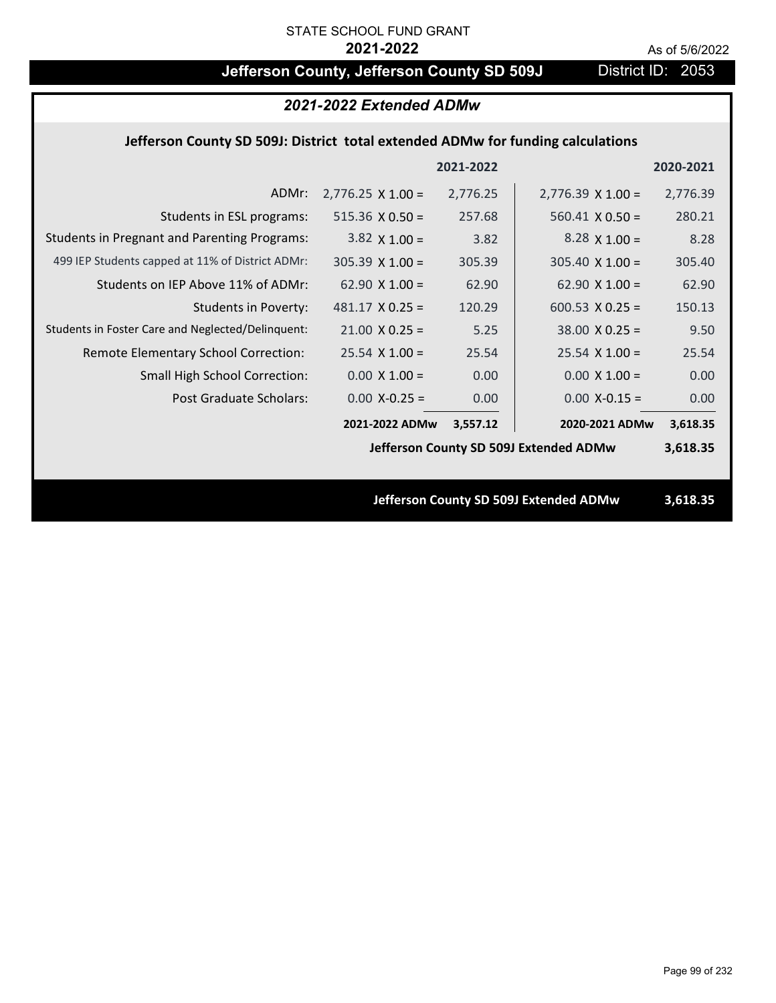# **Jefferson County, Jefferson County SD 509J** District ID: 2053

| 2021-2022 Extended ADMw                                                         |                          |           |                                        |           |
|---------------------------------------------------------------------------------|--------------------------|-----------|----------------------------------------|-----------|
| Jefferson County SD 509J: District total extended ADMw for funding calculations |                          |           |                                        |           |
|                                                                                 |                          | 2021-2022 |                                        | 2020-2021 |
| ADMr:                                                                           | $2,776.25 \times 1.00 =$ | 2,776.25  | $2,776.39 \times 1.00 =$               | 2,776.39  |
| Students in ESL programs:                                                       | $515.36 \times 0.50 =$   | 257.68    | $560.41 \times 0.50 =$                 | 280.21    |
| <b>Students in Pregnant and Parenting Programs:</b>                             | $3.82 \times 1.00 =$     | 3.82      | $8.28 \times 1.00 =$                   | 8.28      |
| 499 IEP Students capped at 11% of District ADMr:                                | $305.39 \times 1.00 =$   | 305.39    | $305.40 \times 1.00 =$                 | 305.40    |
| Students on IEP Above 11% of ADMr:                                              | $62.90 \times 1.00 =$    | 62.90     | 62.90 $X$ 1.00 =                       | 62.90     |
| <b>Students in Poverty:</b>                                                     | $481.17 \times 0.25 =$   | 120.29    | 600.53 $X$ 0.25 =                      | 150.13    |
| Students in Foster Care and Neglected/Delinquent:                               | $21.00 \times 0.25 =$    | 5.25      | $38.00 \times 0.25 =$                  | 9.50      |
| Remote Elementary School Correction:                                            | $25.54$ X 1.00 =         | 25.54     | $25.54$ X 1.00 =                       | 25.54     |
| Small High School Correction:                                                   | $0.00 \times 1.00 =$     | 0.00      | $0.00 \times 1.00 =$                   | 0.00      |
| <b>Post Graduate Scholars:</b>                                                  | $0.00$ X-0.25 =          | 0.00      | $0.00$ X-0.15 =                        | 0.00      |
|                                                                                 | 2021-2022 ADMw           | 3,557.12  | 2020-2021 ADMw                         | 3,618.35  |
|                                                                                 |                          |           | Jefferson County SD 509J Extended ADMw | 3,618.35  |
|                                                                                 |                          |           |                                        |           |
|                                                                                 |                          |           | Jefferson County SD 509J Extended ADMw | 3,618.35  |
|                                                                                 |                          |           |                                        |           |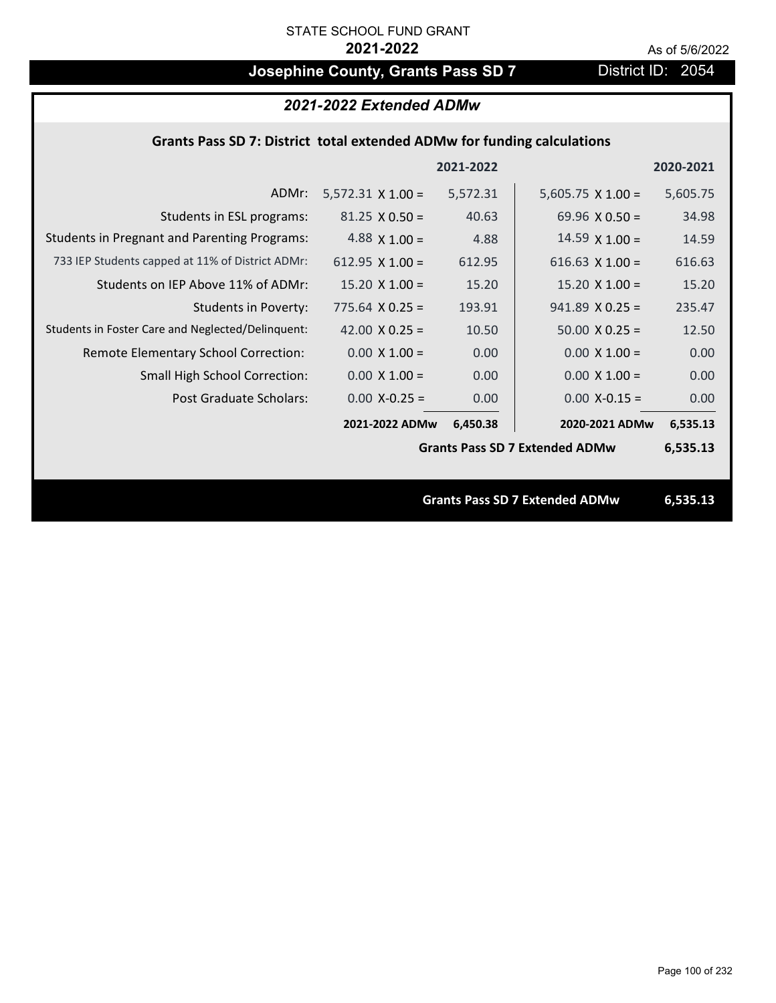# **Josephine County, Grants Pass SD 7** District ID: 2054

## *2021-2022 Extended ADMw*

## **Grants Pass SD 7: District total extended ADMw for funding calculations**

|                                                     |                                       | 2021-2022 |                                | 2020-2021 |
|-----------------------------------------------------|---------------------------------------|-----------|--------------------------------|-----------|
| ADMr:                                               | $5,572.31 \times 1.00 =$              | 5,572.31  | $5,605.75 \times 1.00 =$       | 5,605.75  |
| Students in ESL programs:                           | $81.25 \times 0.50 =$                 | 40.63     | 69.96 $\times$ 0.50 =          | 34.98     |
| <b>Students in Pregnant and Parenting Programs:</b> | 4.88 $\times$ 1.00 =                  | 4.88      | $14.59 \times 1.00 =$          | 14.59     |
| 733 IEP Students capped at 11% of District ADMr:    | 612.95 $X$ 1.00 =                     | 612.95    | 616.63 $X$ 1.00 =              | 616.63    |
| Students on IEP Above 11% of ADMr:                  | $15.20 \times 1.00 =$                 | 15.20     | $15.20$ X $1.00 =$             | 15.20     |
| <b>Students in Poverty:</b>                         | $775.64$ X 0.25 =                     | 193.91    | $941.89$ X 0.25 =              | 235.47    |
| Students in Foster Care and Neglected/Delinquent:   | 42.00 $X$ 0.25 =                      | 10.50     | $50.00 \times 0.25 =$          | 12.50     |
| Remote Elementary School Correction:                | $0.00 \times 1.00 =$                  | 0.00      | $0.00 \times 1.00 =$           | 0.00      |
| <b>Small High School Correction:</b>                | $0.00 \times 1.00 =$                  | 0.00      | $0.00 \times 1.00 =$           | 0.00      |
| Post Graduate Scholars:                             | $0.00$ X-0.25 =                       | 0.00      | $0.00$ X-0.15 =                | 0.00      |
|                                                     | 2021-2022 ADMw                        | 6,450.38  | 2020-2021 ADMw                 | 6,535.13  |
|                                                     | <b>Grants Pass SD 7 Extended ADMw</b> |           |                                | 6,535.13  |
|                                                     |                                       |           |                                |           |
|                                                     |                                       |           | Grante Dace CD 7 Extended ADMW | G E2E 12  |

**Grants Pass SD 7 Extended ADMw 6,535.13**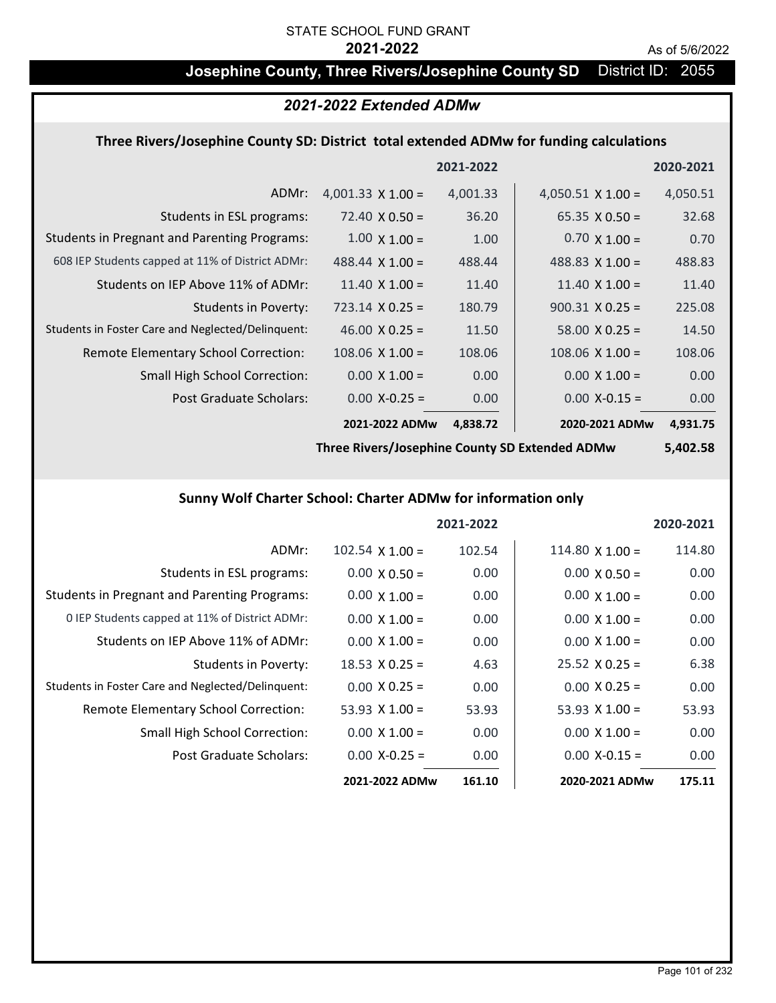## **Josephine County, Three Rivers/Josephine County SD** District ID: 2055

## *2021-2022 Extended ADMw*

### **Three Rivers/Josephine County SD: District total extended ADMw for funding calculations**

|                                                     |                          | 2021-2022 |                          | 2020-2021 |
|-----------------------------------------------------|--------------------------|-----------|--------------------------|-----------|
| ADMr:                                               | 4,001.33 $\times$ 1.00 = | 4,001.33  | $4,050.51 \times 1.00 =$ | 4,050.51  |
| Students in ESL programs:                           | $72.40 \times 0.50 =$    | 36.20     | $65.35 \times 0.50 =$    | 32.68     |
| <b>Students in Pregnant and Parenting Programs:</b> | $1.00 \times 1.00 =$     | 1.00      | $0.70 \times 1.00 =$     | 0.70      |
| 608 IEP Students capped at 11% of District ADMr:    | $488.44 \times 1.00 =$   | 488.44    | 488.83 $\times$ 1.00 =   | 488.83    |
| Students on IEP Above 11% of ADMr:                  | 11.40 $\times$ 1.00 =    | 11.40     | 11.40 $\times$ 1.00 =    | 11.40     |
| Students in Poverty:                                | $723.14 \times 0.25 =$   | 180.79    | $900.31 \times 0.25 =$   | 225.08    |
| Students in Foster Care and Neglected/Delinquent:   | $46.00 \times 0.25 =$    | 11.50     | $58.00 \times 0.25 =$    | 14.50     |
| Remote Elementary School Correction:                | $108.06 \times 1.00 =$   | 108.06    | $108.06 \times 1.00 =$   | 108.06    |
| <b>Small High School Correction:</b>                | $0.00 \times 1.00 =$     | 0.00      | $0.00 \times 1.00 =$     | 0.00      |
| Post Graduate Scholars:                             | $0.00$ X-0.25 =          | 0.00      | $0.00$ X-0.15 =          | 0.00      |
|                                                     | 2021-2022 ADMw           | 4,838.72  | 2020-2021 ADMw           | 4,931.75  |

**Three Rivers/Josephine County SD Extended ADMw**

**5,402.58**

## **Sunny Wolf Charter School: Charter ADMw for information only**

|                                                     |                       | 2021-2022 |                        | 2020-2021 |
|-----------------------------------------------------|-----------------------|-----------|------------------------|-----------|
| ADMr:                                               | $102.54$ X $1.00 =$   | 102.54    | $114.80 \times 1.00 =$ | 114.80    |
| Students in ESL programs:                           | $0.00 \times 0.50 =$  | 0.00      | $0.00 \times 0.50 =$   | 0.00      |
| <b>Students in Pregnant and Parenting Programs:</b> | $0.00 \times 1.00 =$  | 0.00      | $0.00 \times 1.00 =$   | 0.00      |
| 0 IEP Students capped at 11% of District ADMr:      | $0.00 \times 1.00 =$  | 0.00      | $0.00 \times 1.00 =$   | 0.00      |
| Students on IEP Above 11% of ADMr:                  | $0.00 \times 1.00 =$  | 0.00      | $0.00 \times 1.00 =$   | 0.00      |
| Students in Poverty:                                | $18.53 \times 0.25 =$ | 4.63      | $25.52 \times 0.25 =$  | 6.38      |
| Students in Foster Care and Neglected/Delinquent:   | $0.00 \times 0.25 =$  | 0.00      | $0.00 \times 0.25 =$   | 0.00      |
| Remote Elementary School Correction:                | 53.93 $\times$ 1.00 = | 53.93     | 53.93 $\times$ 1.00 =  | 53.93     |
| <b>Small High School Correction:</b>                | $0.00 \times 1.00 =$  | 0.00      | $0.00 \times 1.00 =$   | 0.00      |
| Post Graduate Scholars:                             | $0.00 X - 0.25 =$     | 0.00      | $0.00 X - 0.15 =$      | 0.00      |
|                                                     | 2021-2022 ADMw        | 161.10    | 2020-2021 ADMw         | 175.11    |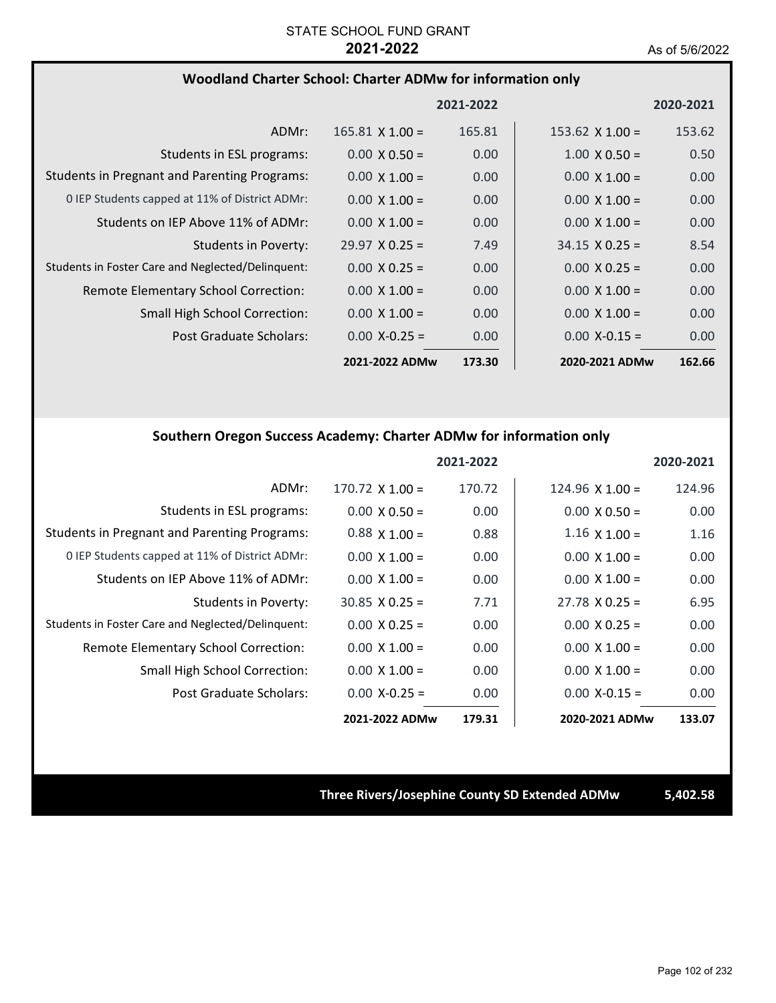### **Woodland Charter School: Charter ADMw for information only**

|                                                     |                        | 2021-2022 |                        | 2020-2021         |
|-----------------------------------------------------|------------------------|-----------|------------------------|-------------------|
| ADMr:                                               | $165.81 \times 1.00 =$ | 165.81    | $153.62 \times 1.00 =$ | 153.62            |
| Students in ESL programs:                           | $0.00 \times 0.50 =$   | 0.00      | $1.00 \times 0.50 =$   | 0.50              |
| <b>Students in Pregnant and Parenting Programs:</b> | $0.00 \times 1.00 =$   | 0.00      | $0.00 \times 1.00 =$   | 0.00              |
| 0 IEP Students capped at 11% of District ADMr:      | $0.00 \times 1.00 =$   | 0.00      | $0.00 \times 1.00 =$   | 0.00              |
| Students on IEP Above 11% of ADMr:                  | $0.00 \times 1.00 =$   | 0.00      | $0.00 \times 1.00 =$   | 0.00 <sub>1</sub> |
| Students in Poverty:                                | $29.97 \times 0.25 =$  | 7.49      | $34.15 \times 0.25 =$  | 8.54              |
| Students in Foster Care and Neglected/Delinquent:   | $0.00 \times 0.25 =$   | 0.00      | $0.00 \times 0.25 =$   | 0.00              |
| Remote Elementary School Correction:                | $0.00 \times 1.00 =$   | 0.00      | $0.00 \times 1.00 =$   | 0.00              |
| <b>Small High School Correction:</b>                | $0.00 \times 1.00 =$   | 0.00      | $0.00 \times 1.00 =$   | 0.00 <sub>1</sub> |
| Post Graduate Scholars:                             | $0.00 X - 0.25 =$      | 0.00      | $0.00 X - 0.15 =$      | 0.00              |
|                                                     | 2021-2022 ADMw         | 173.30    | 2020-2021 ADMw         | 162.66            |

### **Southern Oregon Success Academy: Charter ADMw for information only**

|                                                     |                       | 2021-2022 |                        | 2020-2021 |
|-----------------------------------------------------|-----------------------|-----------|------------------------|-----------|
| ADMr:                                               | $170.72$ X $1.00 =$   | 170.72    | $124.96 \times 1.00 =$ | 124.96    |
| Students in ESL programs:                           | $0.00 \times 0.50 =$  | 0.00      | $0.00 \times 0.50 =$   | 0.00      |
| <b>Students in Pregnant and Parenting Programs:</b> | $0.88 \times 1.00 =$  | 0.88      | $1.16 \times 1.00 =$   | 1.16      |
| 0 IEP Students capped at 11% of District ADMr:      | $0.00 \times 1.00 =$  | 0.00      | $0.00 \times 1.00 =$   | 0.00      |
| Students on IEP Above 11% of ADMr:                  | $0.00 \times 1.00 =$  | 0.00      | $0.00 \times 1.00 =$   | 0.00      |
| Students in Poverty:                                | $30.85 \times 0.25 =$ | 7.71      | $27.78 \times 0.25 =$  | 6.95      |
| Students in Foster Care and Neglected/Delinquent:   | $0.00 \times 0.25 =$  | 0.00      | $0.00 \times 0.25 =$   | 0.00      |
| Remote Elementary School Correction:                | $0.00 \times 1.00 =$  | 0.00      | $0.00 \times 1.00 =$   | 0.00      |
| <b>Small High School Correction:</b>                | $0.00 \times 1.00 =$  | 0.00      | $0.00 \times 1.00 =$   | 0.00      |
| Post Graduate Scholars:                             | $0.00 X - 0.25 =$     | 0.00      | $0.00 X - 0.15 =$      | 0.00      |
|                                                     | 2021-2022 ADMw        | 179.31    | 2020-2021 ADMw         | 133.07    |

### **Three Rivers/Josephine County SD Extended ADMw 5,402.58**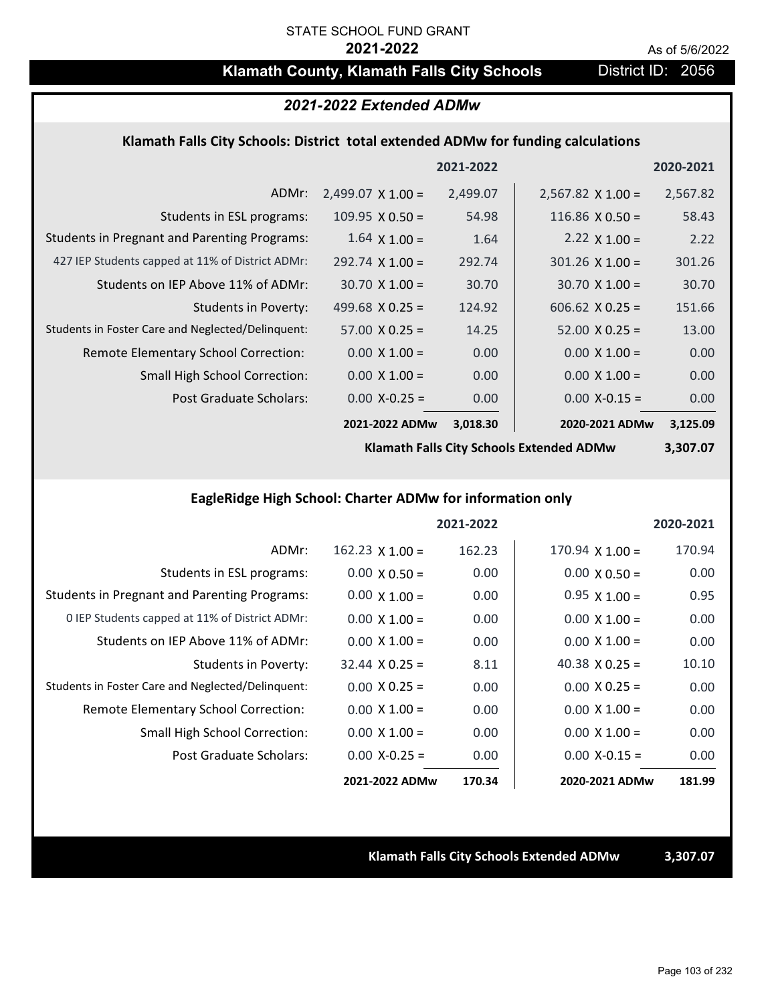## **Klamath County, Klamath Falls City Schools District ID: 2056**

## *2021-2022 Extended ADMw*

### **Klamath Falls City Schools: District total extended ADMw for funding calculations**

|                                                     |                          | 2021-2022 |                          | 2020-2021 |
|-----------------------------------------------------|--------------------------|-----------|--------------------------|-----------|
| ADMr:                                               | $2,499.07 \times 1.00 =$ | 2,499.07  | $2,567.82 \times 1.00 =$ | 2,567.82  |
| Students in ESL programs:                           | $109.95 \times 0.50 =$   | 54.98     | 116.86 $X$ 0.50 =        | 58.43     |
| <b>Students in Pregnant and Parenting Programs:</b> | $1.64 \times 1.00 =$     | 1.64      | 2.22 $\times$ 1.00 =     | 2.22      |
| 427 IEP Students capped at 11% of District ADMr:    | $292.74 \times 1.00 =$   | 292.74    | $301.26$ X 1.00 =        | 301.26    |
| Students on IEP Above 11% of ADMr:                  | $30.70 \times 1.00 =$    | 30.70     | $30.70 \times 1.00 =$    | 30.70     |
| <b>Students in Poverty:</b>                         | 499.68 $X$ 0.25 =        | 124.92    | $606.62$ X 0.25 =        | 151.66    |
| Students in Foster Care and Neglected/Delinquent:   | $57.00 \times 0.25 =$    | 14.25     | $52.00 \times 0.25 =$    | 13.00     |
| Remote Elementary School Correction:                | $0.00 \times 1.00 =$     | 0.00      | $0.00 \times 1.00 =$     | 0.00      |
| <b>Small High School Correction:</b>                | $0.00 \times 1.00 =$     | 0.00      | $0.00 \times 1.00 =$     | 0.00      |
| Post Graduate Scholars:                             | $0.00 X - 0.25 =$        | 0.00      | $0.00$ X-0.15 =          | 0.00      |
|                                                     | 2021-2022 ADMw           | 3,018.30  | 2020-2021 ADMw           | 3,125.09  |

**Klamath Falls City Schools Extended ADMw**

**3,307.07**

## **EagleRidge High School: Charter ADMw for information only**

|                                                     |                        | 2021-2022 |                        | 2020-2021 |
|-----------------------------------------------------|------------------------|-----------|------------------------|-----------|
| ADMr:                                               | $162.23 \times 1.00 =$ | 162.23    | $170.94 \times 1.00 =$ | 170.94    |
| Students in ESL programs:                           | $0.00 \times 0.50 =$   | 0.00      | $0.00 \times 0.50 =$   | 0.00      |
| <b>Students in Pregnant and Parenting Programs:</b> | $0.00 \times 1.00 =$   | 0.00      | $0.95 \times 1.00 =$   | 0.95      |
| 0 IEP Students capped at 11% of District ADMr:      | $0.00 \times 1.00 =$   | 0.00      | $0.00 \times 1.00 =$   | 0.00      |
| Students on IEP Above 11% of ADMr:                  | $0.00 \times 1.00 =$   | 0.00      | $0.00 \times 1.00 =$   | 0.00      |
| Students in Poverty:                                | $32.44 \times 0.25 =$  | 8.11      | 40.38 $\times$ 0.25 =  | 10.10     |
| Students in Foster Care and Neglected/Delinquent:   | $0.00 \times 0.25 =$   | 0.00      | $0.00 \times 0.25 =$   | 0.00      |
| Remote Elementary School Correction:                | $0.00 \times 1.00 =$   | 0.00      | $0.00 \times 1.00 =$   | 0.00      |
| <b>Small High School Correction:</b>                | $0.00 \times 1.00 =$   | 0.00      | $0.00 \times 1.00 =$   | 0.00      |
| Post Graduate Scholars:                             | $0.00 X - 0.25 =$      | 0.00      | $0.00 X - 0.15 =$      | 0.00      |
|                                                     | 2021-2022 ADMw         | 170.34    | 2020-2021 ADMw         | 181.99    |

**Klamath Falls City Schools Extended ADMw 3,307.07**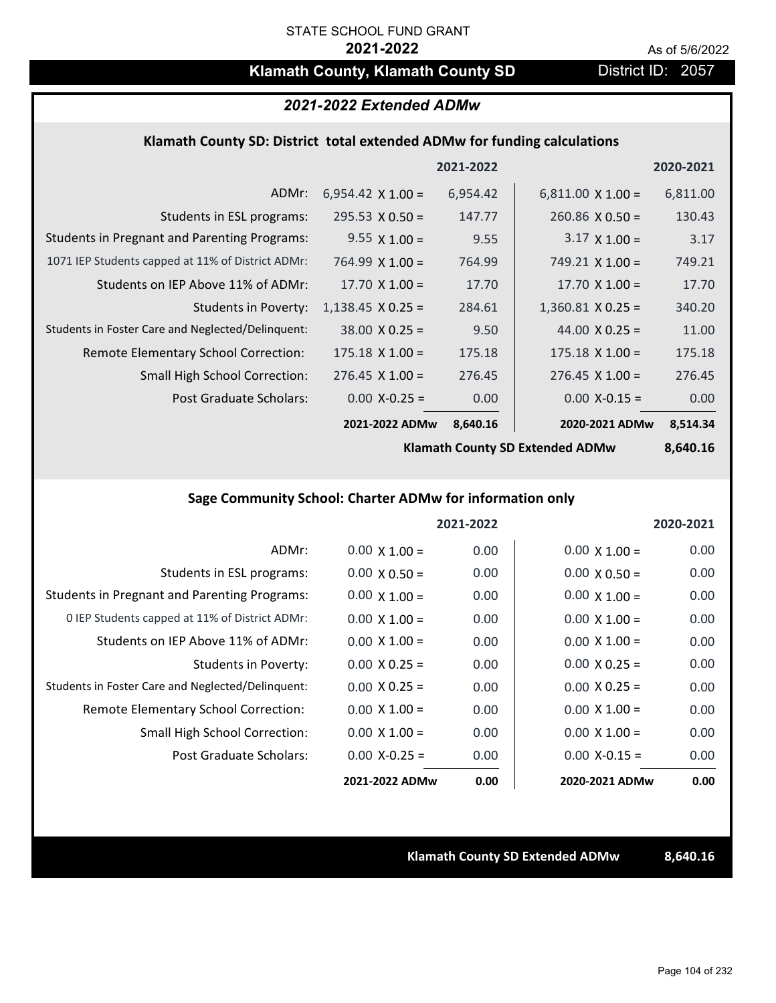## **Klamath County, Klamath County SD** District ID: 2057

## *2021-2022 Extended ADMw*

### **Klamath County SD: District total extended ADMw for funding calculations**

|                                                     |                          | 2021-2022 |                          | 2020-2021 |
|-----------------------------------------------------|--------------------------|-----------|--------------------------|-----------|
| ADMr:                                               | $6,954.42 \times 1.00 =$ | 6,954.42  | $6,811.00 \times 1.00 =$ | 6,811.00  |
| Students in ESL programs:                           | $295.53 \times 0.50 =$   | 147.77    | $260.86 \times 0.50 =$   | 130.43    |
| <b>Students in Pregnant and Parenting Programs:</b> | $9.55 \times 1.00 =$     | 9.55      | $3.17 \times 1.00 =$     | 3.17      |
| 1071 IEP Students capped at 11% of District ADMr:   | $764.99 \times 1.00 =$   | 764.99    | 749.21 $\times$ 1.00 =   | 749.21    |
| Students on IEP Above 11% of ADMr:                  | 17.70 $X$ 1.00 =         | 17.70     | 17.70 $X$ 1.00 =         | 17.70     |
| <b>Students in Poverty:</b>                         | $1,138.45 \times 0.25 =$ | 284.61    | $1,360.81$ X 0.25 =      | 340.20    |
| Students in Foster Care and Neglected/Delinquent:   | $38.00 \times 0.25 =$    | 9.50      | 44.00 $X$ 0.25 =         | 11.00     |
| Remote Elementary School Correction:                | $175.18 \times 1.00 =$   | 175.18    | $175.18 \times 1.00 =$   | 175.18    |
| <b>Small High School Correction:</b>                | $276.45 \times 1.00 =$   | 276.45    | $276.45 \times 1.00 =$   | 276.45    |
| Post Graduate Scholars:                             | $0.00 X - 0.25 =$        | 0.00      | $0.00$ X-0.15 =          | 0.00      |
|                                                     | 2021-2022 ADMw           | 8,640.16  | 2020-2021 ADMw           | 8.514.34  |

**Klamath County SD Extended ADMw**

**8,640.16**

### **Sage Community School: Charter ADMw for information only**

|                                                     |                      | 2021-2022 |                      | 2020-2021 |
|-----------------------------------------------------|----------------------|-----------|----------------------|-----------|
| ADMr:                                               | $0.00 \times 1.00 =$ | 0.00      | $0.00 \times 1.00 =$ | 0.00      |
| Students in ESL programs:                           | $0.00 \times 0.50 =$ | 0.00      | $0.00 \times 0.50 =$ | 0.00      |
| <b>Students in Pregnant and Parenting Programs:</b> | $0.00 \times 1.00 =$ | 0.00      | $0.00 \times 1.00 =$ | 0.00      |
| 0 IEP Students capped at 11% of District ADMr:      | $0.00 \times 1.00 =$ | 0.00      | $0.00 \times 1.00 =$ | 0.00      |
| Students on IEP Above 11% of ADMr:                  | $0.00 \times 1.00 =$ | 0.00      | $0.00 \times 1.00 =$ | 0.00      |
| Students in Poverty:                                | $0.00 \times 0.25 =$ | 0.00      | $0.00 \times 0.25 =$ | 0.00      |
| Students in Foster Care and Neglected/Delinquent:   | $0.00 \times 0.25 =$ | 0.00      | $0.00 \times 0.25 =$ | 0.00      |
| Remote Elementary School Correction:                | $0.00 \times 1.00 =$ | 0.00      | $0.00 \times 1.00 =$ | 0.00      |
| <b>Small High School Correction:</b>                | $0.00 \times 1.00 =$ | 0.00      | $0.00 \times 1.00 =$ | 0.00      |
| Post Graduate Scholars:                             | $0.00 X - 0.25 =$    | 0.00      | $0.00 X - 0.15 =$    | 0.00      |
|                                                     | 2021-2022 ADMw       | 0.00      | 2020-2021 ADMw       | 0.00      |

**Klamath County SD Extended ADMw 8,640.16**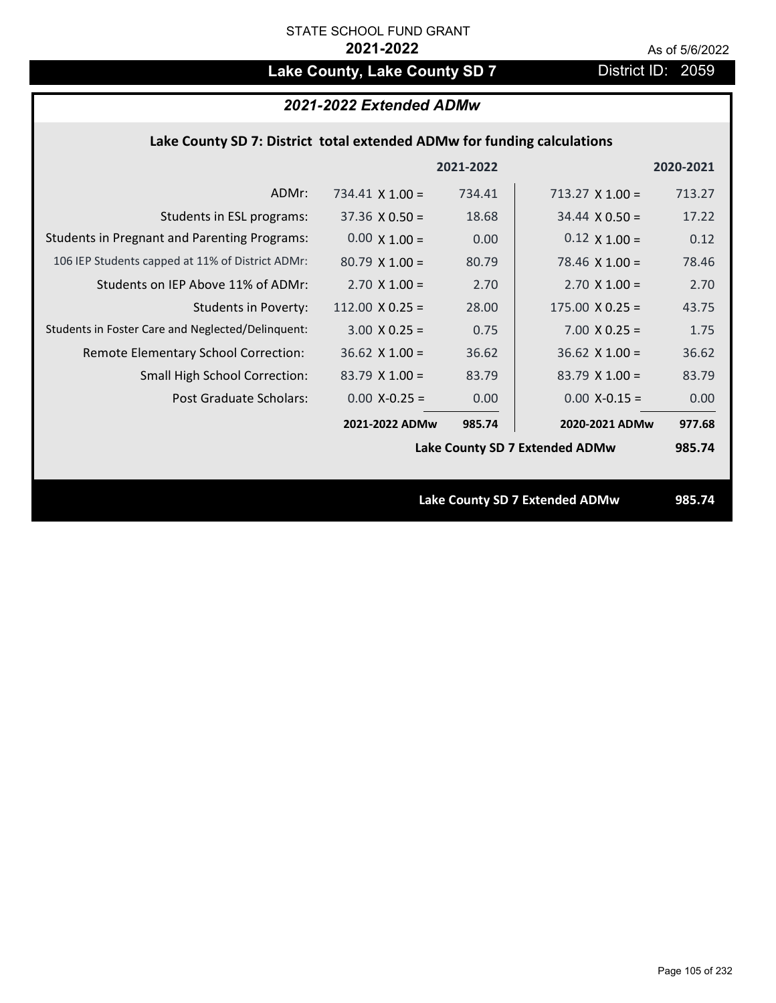# Lake County, Lake County SD 7 **District ID: 2059**

## *2021-2022 Extended ADMw*

## **Lake County SD 7: District total extended ADMw for funding calculations**

|                                                     |                                | 2021-2022 |                                       | 2020-2021 |
|-----------------------------------------------------|--------------------------------|-----------|---------------------------------------|-----------|
| ADMr:                                               | 734.41 $\times$ 1.00 =         | 734.41    | $713.27 \times 1.00 =$                | 713.27    |
| Students in ESL programs:                           | $37.36 \times 0.50 =$          | 18.68     | $34.44 \times 0.50 =$                 | 17.22     |
| <b>Students in Pregnant and Parenting Programs:</b> | $0.00 \times 1.00 =$           | 0.00      | $0.12 \times 1.00 =$                  | 0.12      |
| 106 IEP Students capped at 11% of District ADMr:    | $80.79 \times 1.00 =$          | 80.79     | 78.46 $\times$ 1.00 =                 | 78.46     |
| Students on IEP Above 11% of ADMr:                  | $2.70$ X $1.00 =$              | 2.70      | $2.70$ X $1.00 =$                     | 2.70      |
| <b>Students in Poverty:</b>                         | 112.00 $X$ 0.25 =              | 28.00     | $175.00 \times 0.25 =$                | 43.75     |
| Students in Foster Care and Neglected/Delinquent:   | $3.00 \times 0.25 =$           | 0.75      | $7.00 \times 0.25 =$                  | 1.75      |
| Remote Elementary School Correction:                | $36.62$ X 1.00 =               | 36.62     | $36.62$ X 1.00 =                      | 36.62     |
| <b>Small High School Correction:</b>                | $83.79$ X 1.00 =               | 83.79     | $83.79$ X $1.00 =$                    | 83.79     |
| Post Graduate Scholars:                             | $0.00$ X-0.25 =                | 0.00      | $0.00$ X-0.15 =                       | 0.00      |
|                                                     | 2021-2022 ADMw                 | 985.74    | 2020-2021 ADMw                        | 977.68    |
|                                                     | Lake County SD 7 Extended ADMw |           |                                       | 985.74    |
|                                                     |                                |           |                                       |           |
|                                                     |                                |           | <b>Lake County SD 7 Extended ADMw</b> | 985.74    |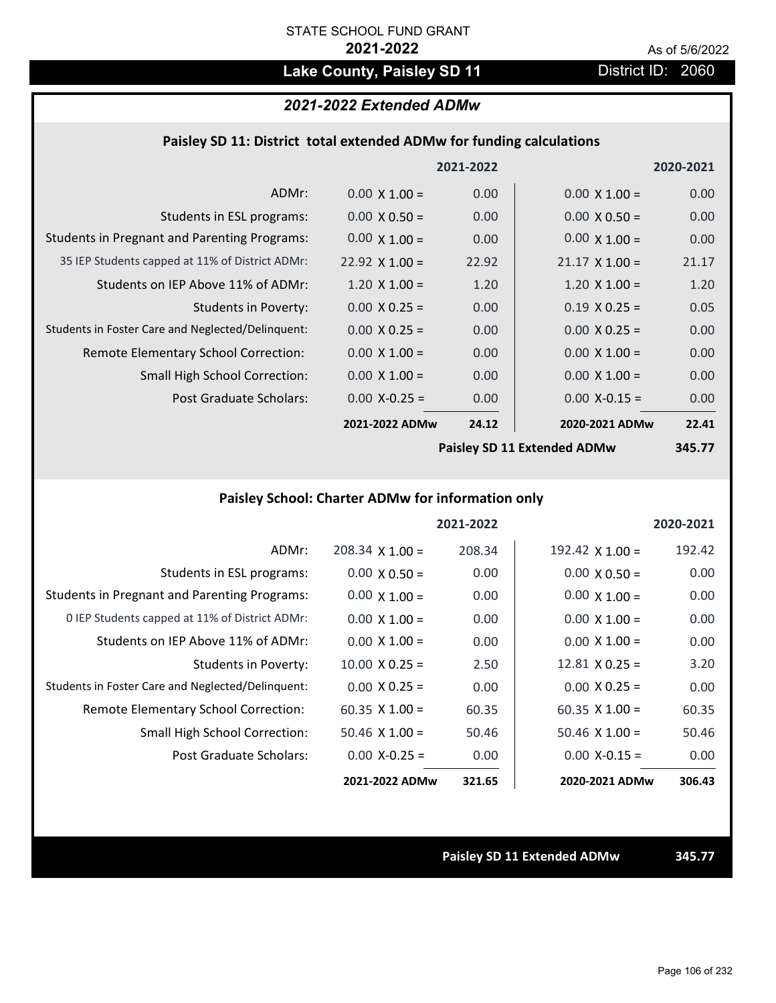# Lake County, Paisley SD 11 District ID: 2060

## *2021-2022 Extended ADMw*

### **Paisley SD 11: District total extended ADMw for funding calculations**

|                                                     |                            | 2021-2022 |                       | 2020-2021 |
|-----------------------------------------------------|----------------------------|-----------|-----------------------|-----------|
| ADMr:                                               | $0.00 \times 1.00 =$       | 0.00      | $0.00 \times 1.00 =$  | 0.00      |
| Students in ESL programs:                           | $0.00 \times 0.50 =$       | 0.00      | $0.00 \times 0.50 =$  | 0.00      |
| <b>Students in Pregnant and Parenting Programs:</b> | $0.00 \times 1.00 =$       | 0.00      | $0.00 \times 1.00 =$  | 0.00      |
| 35 IEP Students capped at 11% of District ADMr:     | $22.92 \times 1.00 =$      | 22.92     | $21.17 \times 1.00 =$ | 21.17     |
| Students on IEP Above 11% of ADMr:                  | $1.20 \times 1.00 =$       | 1.20      | $1.20 \times 1.00 =$  | 1.20      |
| <b>Students in Poverty:</b>                         | $0.00 \times 0.25 =$       | 0.00      | $0.19 \times 0.25 =$  | 0.05      |
| Students in Foster Care and Neglected/Delinquent:   | $0.00 \times 0.25 =$       | 0.00      | $0.00 \times 0.25 =$  | 0.00      |
| Remote Elementary School Correction:                | $0.00 \times 1.00 =$       | 0.00      | $0.00 \times 1.00 =$  | 0.00      |
| <b>Small High School Correction:</b>                | $0.00 \times 1.00 =$       | 0.00      | $0.00 \times 1.00 =$  | 0.00      |
| Post Graduate Scholars:                             | $0.00$ X-0.25 =            | 0.00      | $0.00$ X-0.15 =       | 0.00      |
|                                                     | 2021-2022 ADMw             | 24.12     | 2020-2021 ADMw        | 22.41     |
|                                                     | Daicley CD 11 Extended ADM |           |                       | $24E 77$  |

**Paisley SD 11 Extended ADMw**

**345.77**

## **Paisley School: Charter ADMw for information only**

|                                                     |                       | 2021-2022 |                       | 2020-2021 |
|-----------------------------------------------------|-----------------------|-----------|-----------------------|-----------|
| ADMr:                                               | $208.34$ X 1.00 =     | 208.34    | 192.42 $X$ 1.00 =     | 192.42    |
| Students in ESL programs:                           | $0.00 \times 0.50 =$  | 0.00      | $0.00 \times 0.50 =$  | 0.00      |
| <b>Students in Pregnant and Parenting Programs:</b> | $0.00 \times 1.00 =$  | 0.00      | $0.00 \times 1.00 =$  | 0.00      |
| 0 IEP Students capped at 11% of District ADMr:      | $0.00 \times 1.00 =$  | 0.00      | $0.00 \times 1.00 =$  | 0.00      |
| Students on IEP Above 11% of ADMr:                  | $0.00 \times 1.00 =$  | 0.00      | $0.00 \times 1.00 =$  | 0.00      |
| Students in Poverty:                                | $10.00 \times 0.25 =$ | 2.50      | $12.81 \times 0.25 =$ | 3.20      |
| Students in Foster Care and Neglected/Delinquent:   | $0.00 \times 0.25 =$  | 0.00      | $0.00 \times 0.25 =$  | 0.00      |
| Remote Elementary School Correction:                | $60.35 \times 1.00 =$ | 60.35     | $60.35 \times 1.00 =$ | 60.35     |
| <b>Small High School Correction:</b>                | $50.46 \times 1.00 =$ | 50.46     | $50.46 \times 1.00 =$ | 50.46     |
| Post Graduate Scholars:                             | $0.00 X - 0.25 =$     | 0.00      | $0.00 X - 0.15 =$     | 0.00      |
|                                                     | 2021-2022 ADMw        | 321.65    | 2020-2021 ADMw        | 306.43    |

**Paisley SD 11 Extended ADMw 345.77**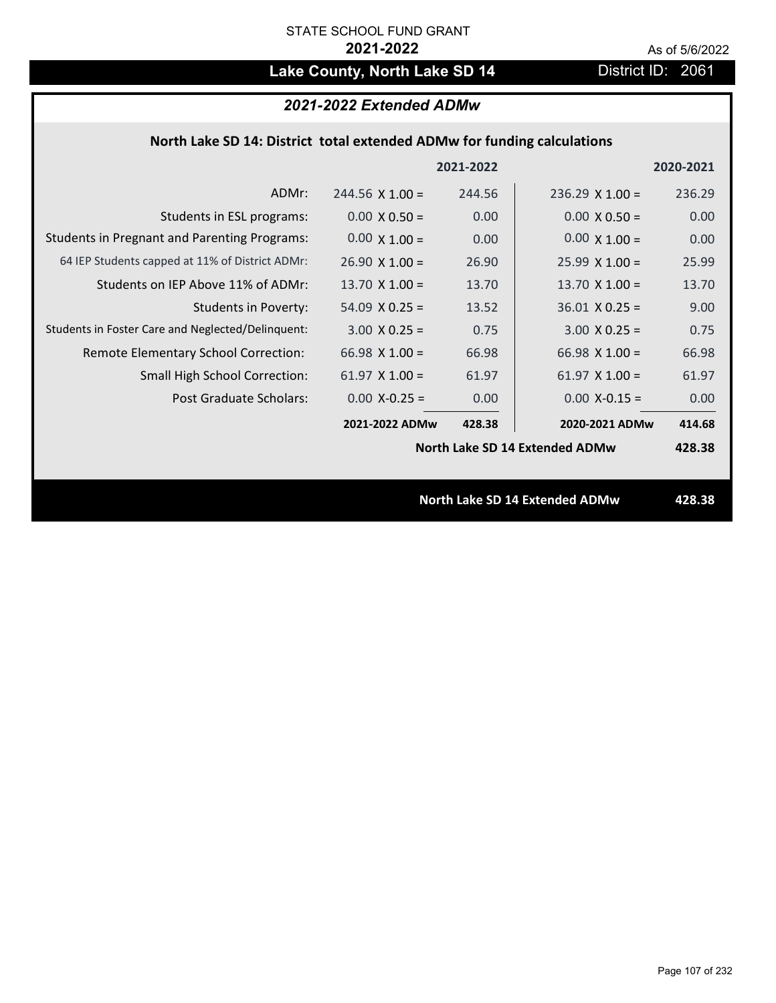# Lake County, North Lake SD 14 District ID: 2061

## *2021-2022 Extended ADMw*

## **North Lake SD 14: District total extended ADMw for funding calculations**

|                                                     |                                       | 2021-2022 |                        | 2020-2021 |
|-----------------------------------------------------|---------------------------------------|-----------|------------------------|-----------|
| ADMr:                                               | $244.56 \times 1.00 =$                | 244.56    | $236.29 \times 1.00 =$ | 236.29    |
| Students in ESL programs:                           | $0.00 \times 0.50 =$                  | 0.00      | $0.00 \times 0.50 =$   | 0.00      |
| <b>Students in Pregnant and Parenting Programs:</b> | $0.00 \times 1.00 =$                  | 0.00      | $0.00 \times 1.00 =$   | 0.00      |
| 64 IEP Students capped at 11% of District ADMr:     | $26.90 \times 1.00 =$                 | 26.90     | $25.99 \times 1.00 =$  | 25.99     |
| Students on IEP Above 11% of ADMr:                  | 13.70 $X$ 1.00 =                      | 13.70     | 13.70 $X$ 1.00 =       | 13.70     |
| <b>Students in Poverty:</b>                         | $54.09 \times 0.25 =$                 | 13.52     | $36.01$ X 0.25 =       | 9.00      |
| Students in Foster Care and Neglected/Delinquent:   | $3.00 \times 0.25 =$                  | 0.75      | $3.00 \times 0.25 =$   | 0.75      |
| Remote Elementary School Correction:                | 66.98 $X$ 1.00 =                      | 66.98     | $66.98 \times 1.00 =$  | 66.98     |
| <b>Small High School Correction:</b>                | $61.97 \times 1.00 =$                 | 61.97     | $61.97 \times 1.00 =$  | 61.97     |
| Post Graduate Scholars:                             | $0.00$ X-0.25 =                       | 0.00      | $0.00$ X-0.15 =        | 0.00      |
|                                                     | 2021-2022 ADMw                        | 428.38    | 2020-2021 ADMw         | 414.68    |
|                                                     | North Lake SD 14 Extended ADMw        |           |                        | 428.38    |
|                                                     |                                       |           |                        |           |
|                                                     | <b>North Lake SD 14 Extended ADMw</b> |           |                        | 428.38    |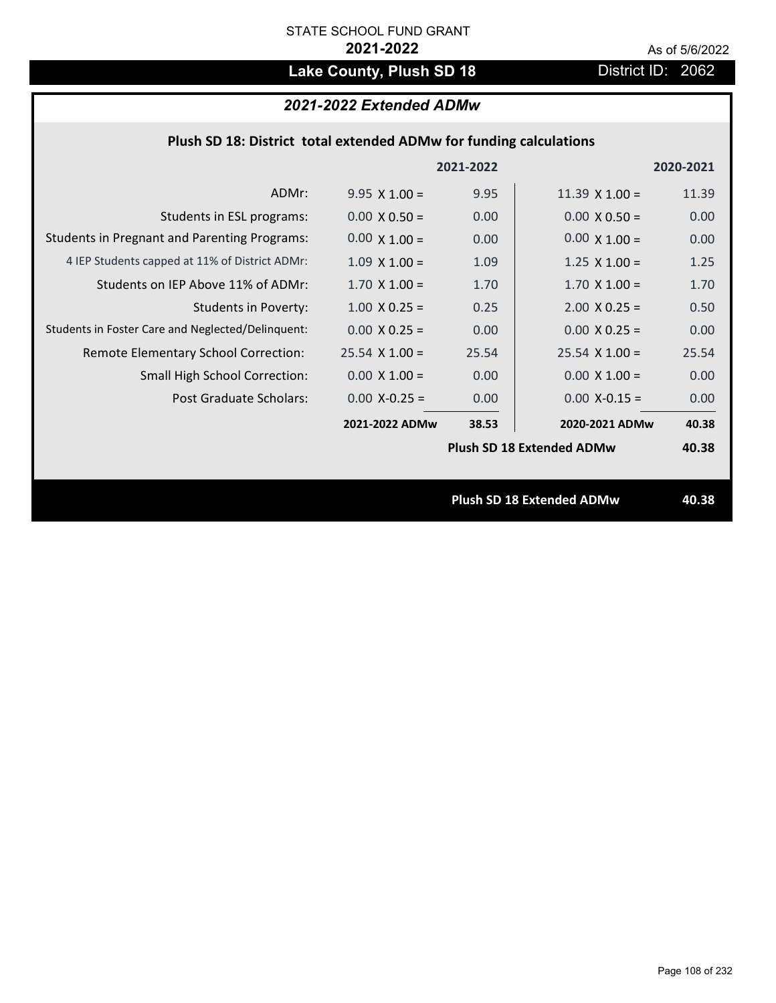# Lake County, Plush SD 18 **District ID: 2062**

## *2021-2022 Extended ADMw*

| Plush SD 18: District total extended ADMw for funding calculations |  |  |  |
|--------------------------------------------------------------------|--|--|--|
|--------------------------------------------------------------------|--|--|--|

|                                                     |                       | 2021-2022 |                                  | 2020-2021 |
|-----------------------------------------------------|-----------------------|-----------|----------------------------------|-----------|
| ADMr:                                               | $9.95 \times 1.00 =$  | 9.95      | $11.39 \times 1.00 =$            | 11.39     |
| Students in ESL programs:                           | $0.00 \times 0.50 =$  | 0.00      | $0.00 \times 0.50 =$             | 0.00      |
| <b>Students in Pregnant and Parenting Programs:</b> | $0.00 \times 1.00 =$  | 0.00      | $0.00 \times 1.00 =$             | 0.00      |
| 4 IEP Students capped at 11% of District ADMr:      | $1.09 \times 1.00 =$  | 1.09      | $1.25 \times 1.00 =$             | 1.25      |
| Students on IEP Above 11% of ADMr:                  | $1.70 \times 1.00 =$  | 1.70      | $1.70$ X $1.00 =$                | 1.70      |
| Students in Poverty:                                | $1.00 \times 0.25 =$  | 0.25      | $2.00 \times 0.25 =$             | 0.50      |
| Students in Foster Care and Neglected/Delinquent:   | $0.00 \times 0.25 =$  | 0.00      | $0.00 X 0.25 =$                  | 0.00      |
| Remote Elementary School Correction:                | $25.54 \times 1.00 =$ | 25.54     | $25.54 \times 1.00 =$            | 25.54     |
| <b>Small High School Correction:</b>                | $0.00 \times 1.00 =$  | 0.00      | $0.00 \times 1.00 =$             | 0.00      |
| Post Graduate Scholars:                             | $0.00$ X-0.25 =       | 0.00      | $0.00$ X-0.15 =                  | 0.00      |
|                                                     | 2021-2022 ADMw        | 38.53     | 2020-2021 ADMw                   | 40.38     |
|                                                     |                       |           | <b>Plush SD 18 Extended ADMw</b> | 40.38     |
|                                                     |                       |           |                                  |           |
|                                                     |                       |           | <b>Plush SD 18 Extended ADMw</b> | 40.38     |
|                                                     |                       |           |                                  |           |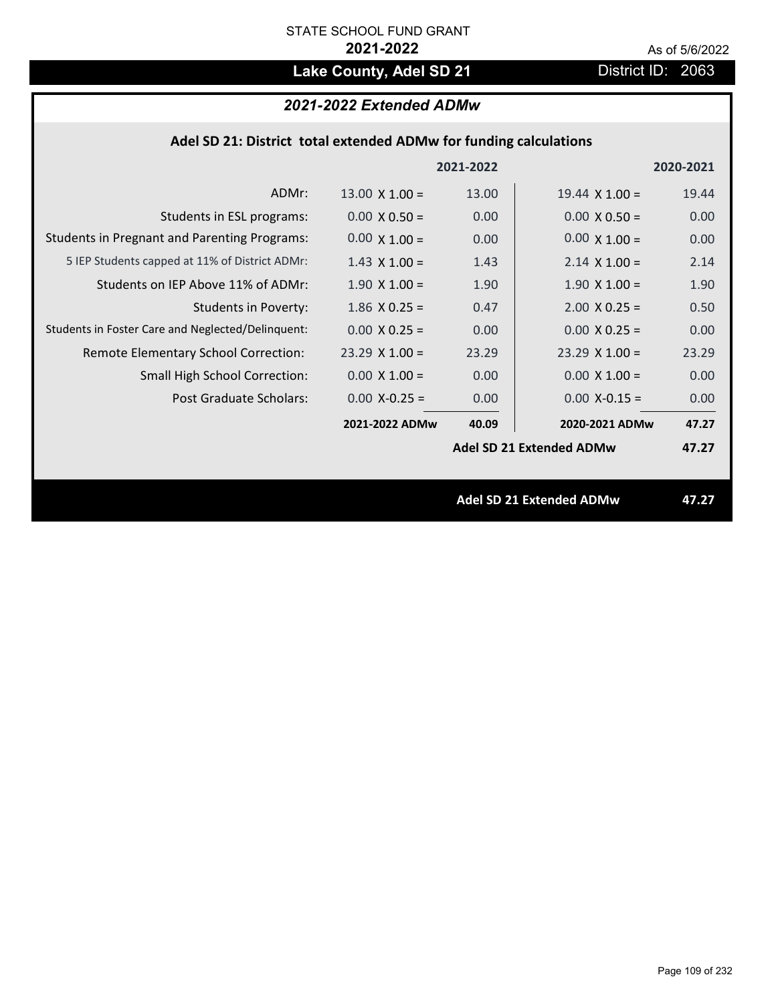# Lake County, Adel SD 21 District ID: 2063

# *2021-2022 Extended ADMw*

| Adel SD 21: District total extended ADMw for funding calculations |  |  |  |
|-------------------------------------------------------------------|--|--|--|
|-------------------------------------------------------------------|--|--|--|

|                                                     |                       | 2021-2022         |                                 | 2020-2021 |
|-----------------------------------------------------|-----------------------|-------------------|---------------------------------|-----------|
| ADMr:                                               | $13.00 \times 1.00 =$ | 13.00             | $19.44 \times 1.00 =$           | 19.44     |
| Students in ESL programs:                           | $0.00 \times 0.50 =$  | 0.00 <sub>1</sub> | $0.00 \times 0.50 =$            | 0.00      |
| <b>Students in Pregnant and Parenting Programs:</b> | $0.00 \times 1.00 =$  | 0.00              | $0.00 \times 1.00 =$            | 0.00      |
| 5 IEP Students capped at 11% of District ADMr:      | $1.43 \times 1.00 =$  | 1.43              | $2.14 \times 1.00 =$            | 2.14      |
| Students on IEP Above 11% of ADMr:                  | $1.90 \times 1.00 =$  | 1.90              | $1.90 \times 1.00 =$            | 1.90      |
| <b>Students in Poverty:</b>                         | $1.86$ X 0.25 =       | 0.47              | $2.00$ X 0.25 =                 | 0.50      |
| Students in Foster Care and Neglected/Delinquent:   | $0.00 \times 0.25 =$  | 0.00 <sub>1</sub> | $0.00 \times 0.25 =$            | 0.00      |
| Remote Elementary School Correction:                | $23.29 \times 1.00 =$ | 23.29             | $23.29$ X 1.00 =                | 23.29     |
| <b>Small High School Correction:</b>                | $0.00 \times 1.00 =$  | 0.00 <sub>1</sub> | $0.00 \times 1.00 =$            | 0.00      |
| Post Graduate Scholars:                             | $0.00$ X-0.25 =       | 0.00 <sub>1</sub> | $0.00$ X-0.15 =                 | 0.00      |
|                                                     | 2021-2022 ADMw        | 40.09             | 2020-2021 ADMw                  | 47.27     |
|                                                     |                       |                   | <b>Adel SD 21 Extended ADMw</b> | 47.27     |
|                                                     |                       |                   |                                 |           |
|                                                     |                       |                   | <b>Adel SD 21 Extended ADMw</b> | 47.27     |
|                                                     |                       |                   |                                 |           |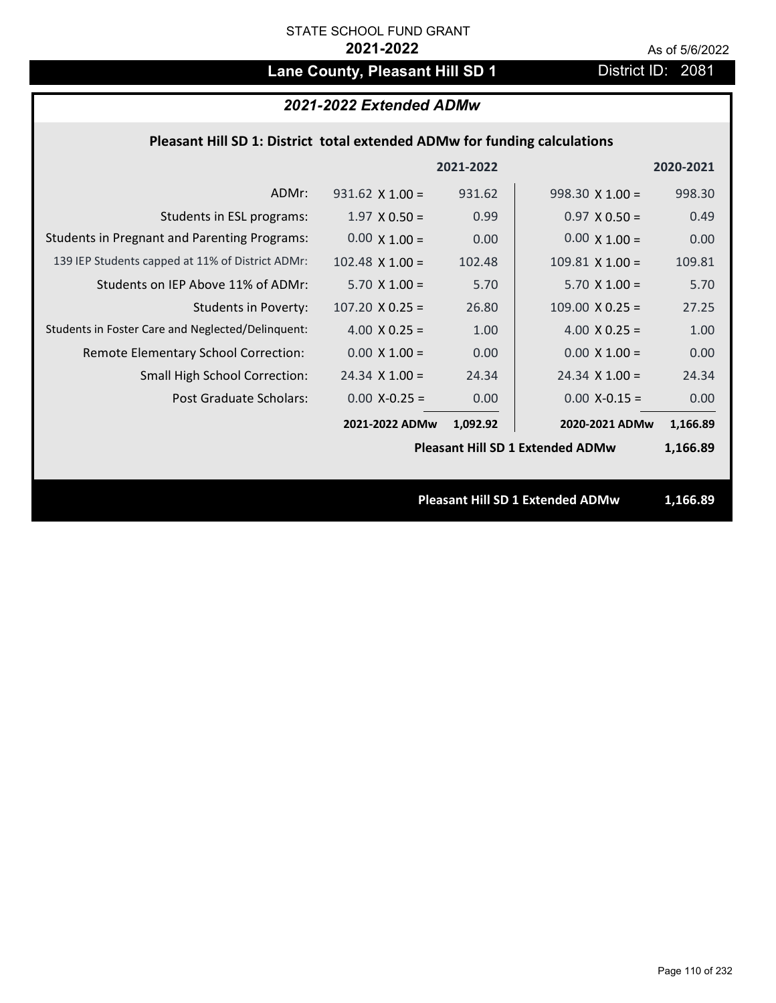# Lane County, Pleasant Hill SD 1 District ID: 2081

# *2021-2022 Extended ADMw*

## **Pleasant Hill SD 1: District total extended ADMw for funding calculations**

|                                                     |                                         | 2021-2022 |                                         | 2020-2021 |
|-----------------------------------------------------|-----------------------------------------|-----------|-----------------------------------------|-----------|
| ADMr:                                               | $931.62 \times 1.00 =$                  | 931.62    | $998.30 \times 1.00 =$                  | 998.30    |
| Students in ESL programs:                           | $1.97 \times 0.50 =$                    | 0.99      | $0.97 \times 0.50 =$                    | 0.49      |
| <b>Students in Pregnant and Parenting Programs:</b> | $0.00 \times 1.00 =$                    | 0.00      | $0.00 \times 1.00 =$                    | 0.00      |
| 139 IEP Students capped at 11% of District ADMr:    | $102.48 \times 1.00 =$                  | 102.48    | $109.81$ X $1.00 =$                     | 109.81    |
| Students on IEP Above 11% of ADMr:                  | $5.70$ X $1.00 =$                       | 5.70      | $5.70$ X $1.00 =$                       | 5.70      |
| <b>Students in Poverty:</b>                         | $107.20 \times 0.25 =$                  | 26.80     | $109.00 \times 0.25 =$                  | 27.25     |
| Students in Foster Care and Neglected/Delinquent:   | 4.00 $X$ 0.25 =                         | 1.00      | 4.00 $X$ 0.25 =                         | 1.00      |
| Remote Elementary School Correction:                | $0.00 \times 1.00 =$                    | 0.00      | $0.00 \times 1.00 =$                    | 0.00      |
| <b>Small High School Correction:</b>                | $24.34 \times 1.00 =$                   | 24.34     | $24.34 \times 1.00 =$                   | 24.34     |
| Post Graduate Scholars:                             | $0.00$ X-0.25 =                         | 0.00      | $0.00$ X-0.15 =                         | 0.00      |
|                                                     | 2021-2022 ADMw                          | 1,092.92  | 2020-2021 ADMw                          | 1,166.89  |
|                                                     | <b>Pleasant Hill SD 1 Extended ADMw</b> |           |                                         | 1,166.89  |
|                                                     |                                         |           |                                         |           |
|                                                     |                                         |           | <b>Pleasant Hill SD 1 Extended ADMw</b> | 1,166.89  |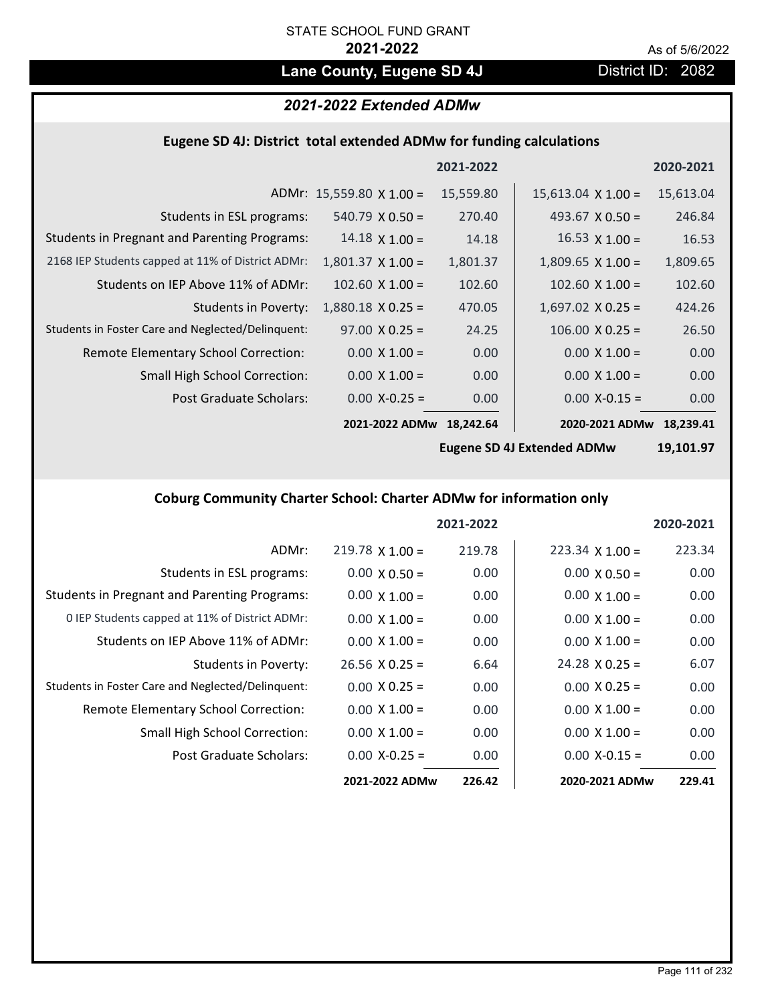# Lane County, Eugene SD 4J **District ID: 2082**

# *2021-2022 Extended ADMw*

# **Eugene SD 4J: District total extended ADMw for funding calculations**

|                                                     |                                 | 2021-2022 |                           | 2020-2021 |
|-----------------------------------------------------|---------------------------------|-----------|---------------------------|-----------|
|                                                     | ADMr: $15,559.80 \times 1.00 =$ | 15,559.80 | $15,613.04 \times 1.00 =$ | 15,613.04 |
| Students in ESL programs:                           | $540.79 \times 0.50 =$          | 270.40    | 493.67 $X$ 0.50 =         | 246.84    |
| <b>Students in Pregnant and Parenting Programs:</b> | $14.18 \times 1.00 =$           | 14.18     | 16.53 $\times$ 1.00 =     | 16.53     |
| 2168 IEP Students capped at 11% of District ADMr:   | $1,801.37 \times 1.00 =$        | 1,801.37  | $1,809.65 \times 1.00 =$  | 1,809.65  |
| Students on IEP Above 11% of ADMr:                  | $102.60 \times 1.00 =$          | 102.60    | $102.60 \times 1.00 =$    | 102.60    |
| <b>Students in Poverty:</b>                         | $1,880.18 \times 0.25 =$        | 470.05    | $1,697.02$ X 0.25 =       | 424.26    |
| Students in Foster Care and Neglected/Delinquent:   | $97.00 \times 0.25 =$           | 24.25     | $106.00 \times 0.25 =$    | 26.50     |
| Remote Elementary School Correction:                | $0.00 \times 1.00 =$            | 0.00      | $0.00 \times 1.00 =$      | 0.00      |
| <b>Small High School Correction:</b>                | $0.00 \times 1.00 =$            | 0.00      | $0.00 \times 1.00 =$      | 0.00      |
| Post Graduate Scholars:                             | $0.00$ X-0.25 =                 | 0.00      | $0.00$ X-0.15 =           | 0.00      |
|                                                     | 2021-2022 ADMw                  | 18,242.64 | 2020-2021 ADMw            | 18,239.41 |

**Eugene SD 4J Extended ADMw**

**19,101.97**

# **Coburg Community Charter School: Charter ADMw for information only**

|                                                     |                       | 2021-2022 |                        | 2020-2021 |
|-----------------------------------------------------|-----------------------|-----------|------------------------|-----------|
| ADMr:                                               | $219.78$ X 1.00 =     | 219.78    | $223.34 \times 1.00 =$ | 223.34    |
| Students in ESL programs:                           | $0.00 \times 0.50 =$  | 0.00      | $0.00 \times 0.50 =$   | 0.00      |
| <b>Students in Pregnant and Parenting Programs:</b> | $0.00 \times 1.00 =$  | 0.00      | $0.00 \times 1.00 =$   | 0.00      |
| 0 IEP Students capped at 11% of District ADMr:      | $0.00 \times 1.00 =$  | 0.00      | $0.00 \times 1.00 =$   | 0.00      |
| Students on IEP Above 11% of ADMr:                  | $0.00 \times 1.00 =$  | 0.00      | $0.00 \times 1.00 =$   | 0.00      |
| Students in Poverty:                                | $26.56 \times 0.25 =$ | 6.64      | $24.28 \times 0.25 =$  | 6.07      |
| Students in Foster Care and Neglected/Delinquent:   | $0.00 \times 0.25 =$  | 0.00      | $0.00 \times 0.25 =$   | 0.00      |
| Remote Elementary School Correction:                | $0.00 \times 1.00 =$  | 0.00      | $0.00 \times 1.00 =$   | 0.00      |
| <b>Small High School Correction:</b>                | $0.00 \times 1.00 =$  | 0.00      | $0.00 \times 1.00 =$   | 0.00      |
| Post Graduate Scholars:                             | $0.00 X - 0.25 =$     | 0.00      | $0.00 X - 0.15 =$      | 0.00      |
|                                                     | 2021-2022 ADMw        | 226.42    | 2020-2021 ADMw         | 229.41    |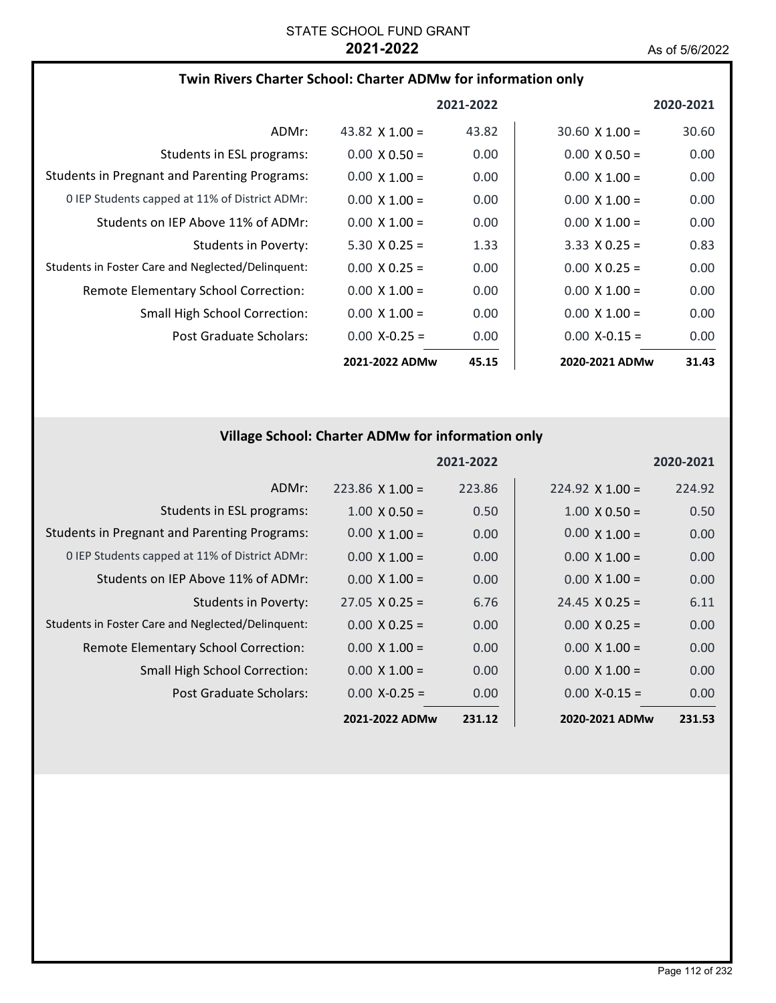## **Twin Rivers Charter School: Charter ADMw for information only**

|                                                     |                       | 2021-2022 |                       | 2020-2021 |
|-----------------------------------------------------|-----------------------|-----------|-----------------------|-----------|
| ADMr:                                               | 43.82 $\times$ 1.00 = | 43.82     | $30.60 \times 1.00 =$ | 30.60     |
| Students in ESL programs:                           | $0.00 \times 0.50 =$  | 0.00      | $0.00 \times 0.50 =$  | 0.00      |
| <b>Students in Pregnant and Parenting Programs:</b> | $0.00 \times 1.00 =$  | 0.00      | $0.00 \times 1.00 =$  | 0.00      |
| 0 IEP Students capped at 11% of District ADMr:      | $0.00 \times 1.00 =$  | 0.00      | $0.00 \times 1.00 =$  | 0.00      |
| Students on IEP Above 11% of ADMr:                  | $0.00 \times 1.00 =$  | 0.00      | $0.00 \times 1.00 =$  | 0.00      |
| Students in Poverty:                                | $5.30 \times 0.25 =$  | 1.33      | $3.33 \times 0.25 =$  | 0.83      |
| Students in Foster Care and Neglected/Delinguent:   | $0.00 \times 0.25 =$  | 0.00      | $0.00 \times 0.25 =$  | 0.00      |
| Remote Elementary School Correction:                | $0.00 \times 1.00 =$  | 0.00      | $0.00 \times 1.00 =$  | 0.00      |
| <b>Small High School Correction:</b>                | $0.00 \times 1.00 =$  | 0.00      | $0.00 \times 1.00 =$  | 0.00      |
| Post Graduate Scholars:                             | $0.00 X - 0.25 =$     | 0.00      | $0.00 X - 0.15 =$     | 0.00      |
|                                                     | 2021-2022 ADMw        | 45.15     | 2020-2021 ADMw        | 31.43     |

# **Village School: Charter ADMw for information only**

|                                                     |                       | 2021-2022 |                       | 2020-2021 |
|-----------------------------------------------------|-----------------------|-----------|-----------------------|-----------|
| ADMr:                                               | $223.86$ X 1.00 =     | 223.86    | $224.92$ X 1.00 =     | 224.92    |
| Students in ESL programs:                           | $1.00 \times 0.50 =$  | 0.50      | $1.00 \times 0.50 =$  | 0.50      |
| <b>Students in Pregnant and Parenting Programs:</b> | $0.00 \times 1.00 =$  | 0.00      | $0.00 \times 1.00 =$  | 0.00      |
| 0 IEP Students capped at 11% of District ADMr:      | $0.00 \times 1.00 =$  | 0.00      | $0.00 \times 1.00 =$  | 0.00      |
| Students on IEP Above 11% of ADMr:                  | $0.00 \times 1.00 =$  | 0.00      | $0.00 \times 1.00 =$  | 0.00      |
| <b>Students in Poverty:</b>                         | $27.05 \times 0.25 =$ | 6.76      | $24.45 \times 0.25 =$ | 6.11      |
| Students in Foster Care and Neglected/Delinquent:   | $0.00 \times 0.25 =$  | 0.00      | $0.00 \times 0.25 =$  | 0.00      |
| Remote Elementary School Correction:                | $0.00 \times 1.00 =$  | 0.00      | $0.00 \times 1.00 =$  | 0.00      |
| <b>Small High School Correction:</b>                | $0.00 \times 1.00 =$  | 0.00      | $0.00 \times 1.00 =$  | 0.00      |
| Post Graduate Scholars:                             | $0.00 X - 0.25 =$     | 0.00      | $0.00 X - 0.15 =$     | 0.00      |
|                                                     | 2021-2022 ADMw        | 231.12    | 2020-2021 ADMw        | 231.53    |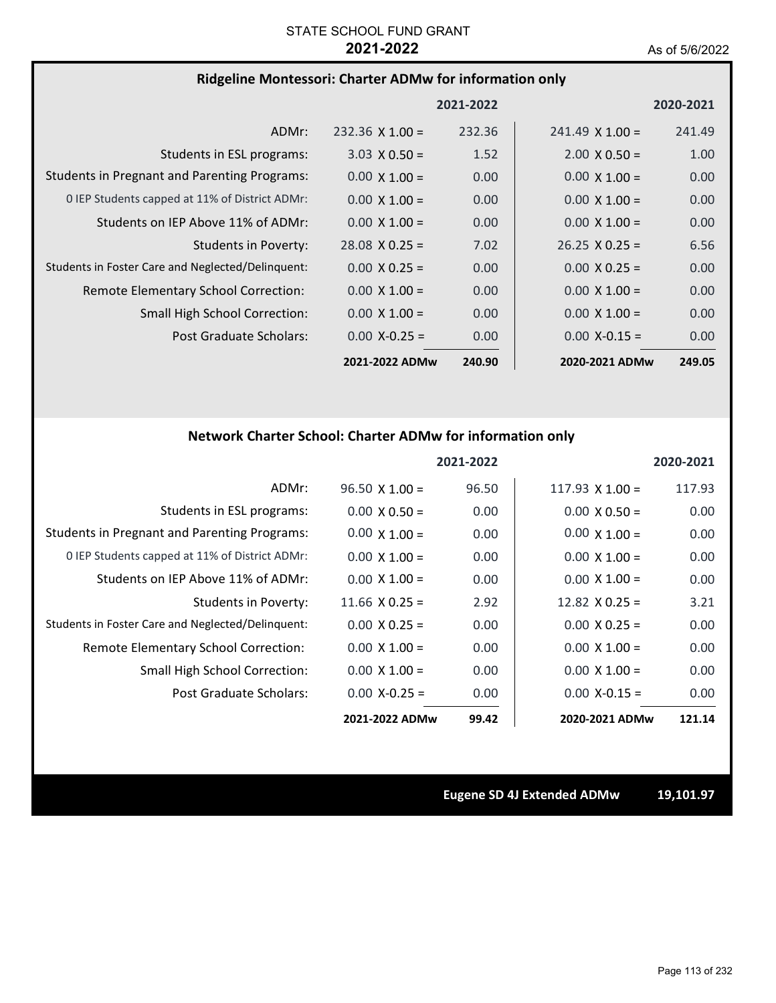### **Ridgeline Montessori: Charter ADMw for information only**

|                                                     |                        | 2021-2022 |                        | 2020-2021         |
|-----------------------------------------------------|------------------------|-----------|------------------------|-------------------|
| ADMr:                                               | $232.36 \times 1.00 =$ | 232.36    | $241.49 \times 1.00 =$ | 241.49            |
| Students in ESL programs:                           | $3.03 \times 0.50 =$   | 1.52      | $2.00 \times 0.50 =$   | 1.00              |
| <b>Students in Pregnant and Parenting Programs:</b> | $0.00 \times 1.00 =$   | 0.00      | $0.00 \times 1.00 =$   | 0.00              |
| 0 IEP Students capped at 11% of District ADMr:      | $0.00 \times 1.00 =$   | 0.00      | $0.00 \times 1.00 =$   | 0.00              |
| Students on IEP Above 11% of ADMr:                  | $0.00 \times 1.00 =$   | 0.00      | $0.00 \times 1.00 =$   | 0.00              |
| <b>Students in Poverty:</b>                         | $28.08 \times 0.25 =$  | 7.02      | $26.25 \times 0.25 =$  | 6.56              |
| Students in Foster Care and Neglected/Delinquent:   | $0.00 \times 0.25 =$   | 0.00      | $0.00 \times 0.25 =$   | 0.00              |
| Remote Elementary School Correction:                | $0.00 \times 1.00 =$   | 0.00      | $0.00 \times 1.00 =$   | 0.00              |
| <b>Small High School Correction:</b>                | $0.00 \times 1.00 =$   | 0.00      | $0.00 \times 1.00 =$   | 0.00              |
| Post Graduate Scholars:                             | $0.00 X - 0.25 =$      | 0.00      | $0.00 X - 0.15 =$      | 0.00 <sub>1</sub> |
|                                                     | 2021-2022 ADMw         | 240.90    | 2020-2021 ADMw         | 249.05            |

# **Network Charter School: Charter ADMw for information only**

|                                                     |                       | 2021-2022 |                        | 2020-2021 |
|-----------------------------------------------------|-----------------------|-----------|------------------------|-----------|
| ADMr:                                               | $96.50 \times 1.00 =$ | 96.50     | $117.93 \times 1.00 =$ | 117.93    |
| Students in ESL programs:                           | $0.00 \times 0.50 =$  | 0.00      | $0.00 \times 0.50 =$   | 0.00      |
| <b>Students in Pregnant and Parenting Programs:</b> | $0.00 \times 1.00 =$  | 0.00      | $0.00 \times 1.00 =$   | 0.00      |
| 0 IEP Students capped at 11% of District ADMr:      | $0.00 \times 1.00 =$  | 0.00      | $0.00 \times 1.00 =$   | 0.00      |
| Students on IEP Above 11% of ADMr:                  | $0.00 \times 1.00 =$  | 0.00      | $0.00 \times 1.00 =$   | 0.00      |
| <b>Students in Poverty:</b>                         | $11.66 \times 0.25 =$ | 2.92      | $12.82 \times 0.25 =$  | 3.21      |
| Students in Foster Care and Neglected/Delinquent:   | $0.00 \times 0.25 =$  | 0.00      | $0.00 \times 0.25 =$   | 0.00      |
| Remote Elementary School Correction:                | $0.00 \times 1.00 =$  | 0.00      | $0.00 \times 1.00 =$   | 0.00      |
| <b>Small High School Correction:</b>                | $0.00 \times 1.00 =$  | 0.00      | $0.00 \times 1.00 =$   | 0.00      |
| Post Graduate Scholars:                             | $0.00 X - 0.25 =$     | 0.00      | $0.00 X - 0.15 =$      | 0.00      |
|                                                     | 2021-2022 ADMw        | 99.42     | 2020-2021 ADMw         | 121.14    |

**Eugene SD 4J Extended ADMw 19,101.97**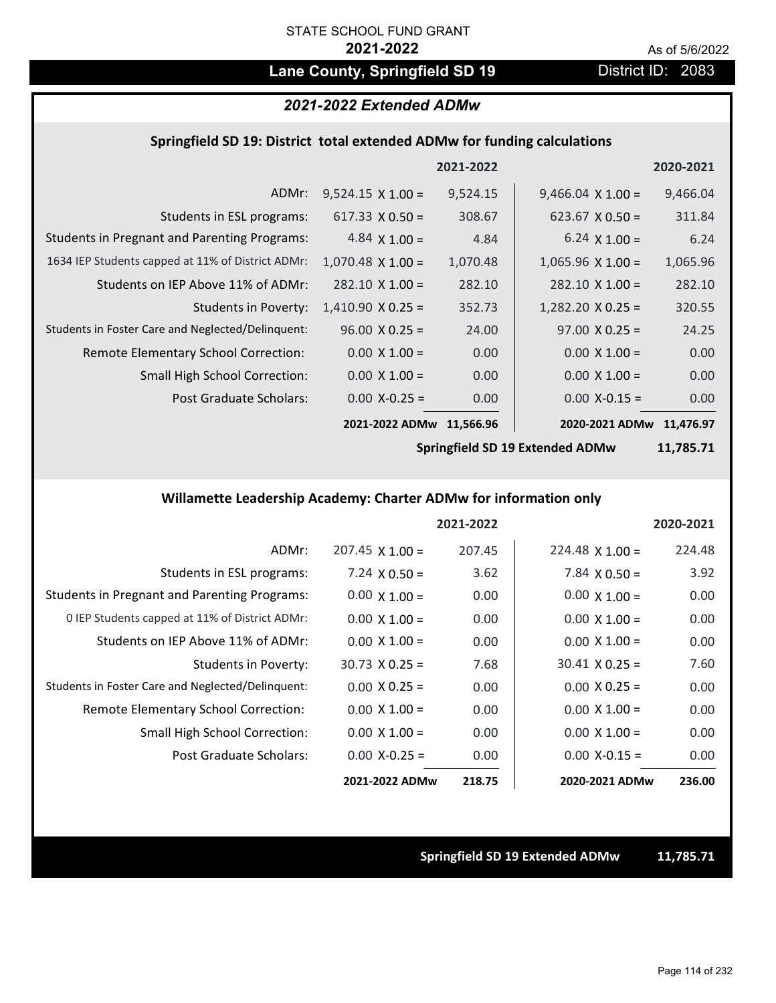# Lane County, Springfield SD 19 **District ID: 2083**

# *2021-2022 Extended ADMw*

### **Springfield SD 19: District total extended ADMw for funding calculations**

|                                                     |                          | 2021-2022 |                          | 2020-2021 |
|-----------------------------------------------------|--------------------------|-----------|--------------------------|-----------|
| ADMr:                                               | $9,524.15 \times 1.00 =$ | 9,524.15  | $9,466.04 \times 1.00 =$ | 9,466.04  |
| Students in ESL programs:                           | $617.33 \times 0.50 =$   | 308.67    | $623.67 \times 0.50 =$   | 311.84    |
| <b>Students in Pregnant and Parenting Programs:</b> | 4.84 $\times$ 1.00 =     | 4.84      | $6.24 \times 1.00 =$     | 6.24      |
| 1634 IEP Students capped at 11% of District ADMr:   | $1,070.48 \times 1.00 =$ | 1,070.48  | $1,065.96 \times 1.00 =$ | 1,065.96  |
| Students on IEP Above 11% of ADMr:                  | $282.10 \times 1.00 =$   | 282.10    | $282.10 \times 1.00 =$   | 282.10    |
| Students in Poverty:                                | $1,410.90 \times 0.25 =$ | 352.73    | $1,282.20 \times 0.25 =$ | 320.55    |
| Students in Foster Care and Neglected/Delinquent:   | $96.00 \times 0.25 =$    | 24.00     | $97.00 \times 0.25 =$    | 24.25     |
| Remote Elementary School Correction:                | $0.00 \times 1.00 =$     | 0.00      | $0.00 \times 1.00 =$     | 0.00      |
| <b>Small High School Correction:</b>                | $0.00 \times 1.00 =$     | 0.00      | $0.00 \times 1.00 =$     | 0.00      |
| Post Graduate Scholars:                             | $0.00$ X-0.25 =          | 0.00      | $0.00$ X-0.15 =          | 0.00      |
|                                                     | 2021-2022 ADMw           | 11,566.96 | 2020-2021 ADMw           | 11,476.97 |

**Springfield SD 19 Extended ADMw**

**11,785.71**

# **Willamette Leadership Academy: Charter ADMw for information only**

|                                                     |                        | 2021-2022 |                       | 2020-2021 |
|-----------------------------------------------------|------------------------|-----------|-----------------------|-----------|
| ADMr:                                               | $207.45 \times 1.00 =$ | 207.45    | $224.48$ X 1.00 =     | 224.48    |
| Students in ESL programs:                           | 7.24 $\times$ 0.50 =   | 3.62      | 7.84 $\times$ 0.50 =  | 3.92      |
| <b>Students in Pregnant and Parenting Programs:</b> | $0.00 \times 1.00 =$   | 0.00      | $0.00 \times 1.00 =$  | 0.00      |
| 0 IEP Students capped at 11% of District ADMr:      | $0.00 \times 1.00 =$   | 0.00      | $0.00 \times 1.00 =$  | 0.00      |
| Students on IEP Above 11% of ADMr:                  | $0.00 \times 1.00 =$   | 0.00      | $0.00 \times 1.00 =$  | 0.00      |
| Students in Poverty:                                | $30.73 \times 0.25 =$  | 7.68      | $30.41 \times 0.25 =$ | 7.60      |
| Students in Foster Care and Neglected/Delinquent:   | $0.00 \times 0.25 =$   | 0.00      | $0.00 \times 0.25 =$  | 0.00      |
| Remote Elementary School Correction:                | $0.00 \times 1.00 =$   | 0.00      | $0.00 \times 1.00 =$  | 0.00      |
| <b>Small High School Correction:</b>                | $0.00 \times 1.00 =$   | 0.00      | $0.00 \times 1.00 =$  | 0.00      |
| Post Graduate Scholars:                             | $0.00 X - 0.25 =$      | 0.00      | $0.00 X - 0.15 =$     | 0.00      |
|                                                     | 2021-2022 ADMw         | 218.75    | 2020-2021 ADMw        | 236.00    |

**Springfield SD 19 Extended ADMw 11,785.71**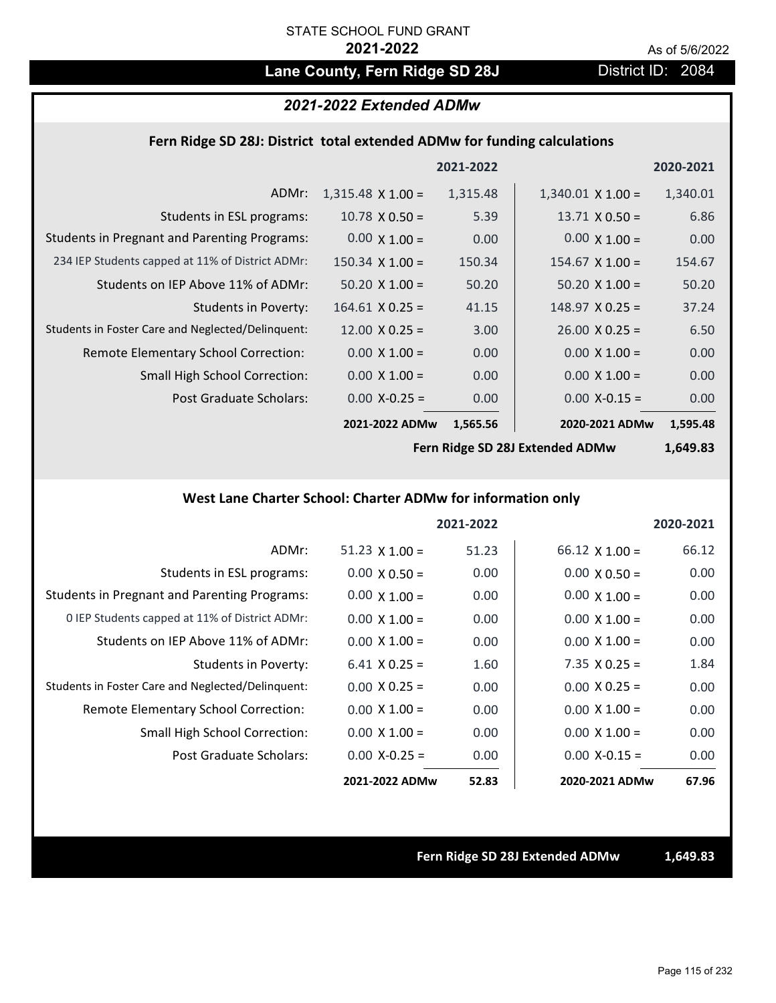# Lane County, Fern Ridge SD 28J **District ID: 2084**

### *2021-2022 Extended ADMw*

### **Fern Ridge SD 28J: District total extended ADMw for funding calculations**

|                                                     |                          | 2021-2022 |                          | 2020-2021 |
|-----------------------------------------------------|--------------------------|-----------|--------------------------|-----------|
| ADMr:                                               | $1,315.48 \times 1.00 =$ | 1,315.48  | $1,340.01 \times 1.00 =$ | 1,340.01  |
| Students in ESL programs:                           | $10.78 \times 0.50 =$    | 5.39      | $13.71 \times 0.50 =$    | 6.86      |
| <b>Students in Pregnant and Parenting Programs:</b> | $0.00 \times 1.00 =$     | 0.00      | $0.00 \times 1.00 =$     | 0.00      |
| 234 IEP Students capped at 11% of District ADMr:    | $150.34 \times 1.00 =$   | 150.34    | $154.67 \times 1.00 =$   | 154.67    |
| Students on IEP Above 11% of ADMr:                  | $50.20 \times 1.00 =$    | 50.20     | $50.20 \times 1.00 =$    | 50.20     |
| Students in Poverty:                                | $164.61$ X 0.25 =        | 41.15     | $148.97 \times 0.25 =$   | 37.24     |
| Students in Foster Care and Neglected/Delinquent:   | $12.00 \times 0.25 =$    | 3.00      | $26.00 \times 0.25 =$    | 6.50      |
| Remote Elementary School Correction:                | $0.00 \times 1.00 =$     | 0.00      | $0.00 \times 1.00 =$     | 0.00      |
| <b>Small High School Correction:</b>                | $0.00 \times 1.00 =$     | 0.00      | $0.00 \times 1.00 =$     | 0.00      |
| Post Graduate Scholars:                             | $0.00$ X-0.25 =          | 0.00      | $0.00$ X-0.15 =          | 0.00      |
|                                                     | 2021-2022 ADMw           | 1,565.56  | 2020-2021 ADMw           | 1,595.48  |

**Fern Ridge SD 28J Extended ADMw**

**1,649.83**

## **West Lane Charter School: Charter ADMw for information only**

|                                                     |                       | 2021-2022 |                       | 2020-2021 |
|-----------------------------------------------------|-----------------------|-----------|-----------------------|-----------|
| ADMr:                                               | $51.23 \times 1.00 =$ | 51.23     | $66.12 \times 1.00 =$ | 66.12     |
| Students in ESL programs:                           | $0.00 \times 0.50 =$  | 0.00      | $0.00 \times 0.50 =$  | 0.00      |
| <b>Students in Pregnant and Parenting Programs:</b> | $0.00 \times 1.00 =$  | 0.00      | $0.00 \times 1.00 =$  | 0.00      |
| 0 IEP Students capped at 11% of District ADMr:      | $0.00 \times 1.00 =$  | 0.00      | $0.00 \times 1.00 =$  | 0.00      |
| Students on IEP Above 11% of ADMr:                  | $0.00 \times 1.00 =$  | 0.00      | $0.00 \times 1.00 =$  | 0.00      |
| Students in Poverty:                                | $6.41 \times 0.25 =$  | 1.60      | $7.35 \times 0.25 =$  | 1.84      |
| Students in Foster Care and Neglected/Delinquent:   | $0.00 \times 0.25 =$  | 0.00      | $0.00 \times 0.25 =$  | 0.00      |
| Remote Elementary School Correction:                | $0.00 \times 1.00 =$  | 0.00      | $0.00 \times 1.00 =$  | 0.00      |
| <b>Small High School Correction:</b>                | $0.00 \times 1.00 =$  | 0.00      | $0.00 \times 1.00 =$  | 0.00      |
| Post Graduate Scholars:                             | $0.00$ X-0.25 =       | 0.00      | $0.00 X - 0.15 =$     | 0.00      |
|                                                     | 2021-2022 ADMw        | 52.83     | 2020-2021 ADMw        | 67.96     |

**Fern Ridge SD 28J Extended ADMw 1,649.83**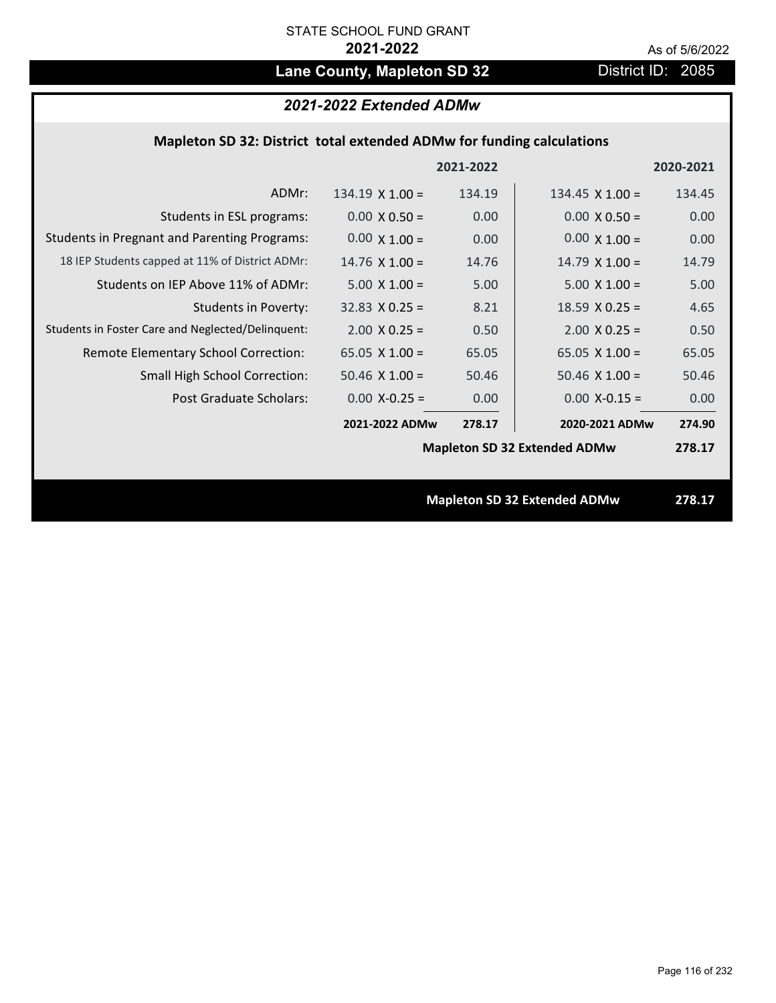# Lane County, Mapleton SD 32 District ID: 2085

# *2021-2022 Extended ADMw*

## **Mapleton SD 32: District total extended ADMw for funding calculations**

|                                                     |                        | 2021-2022 |                                     | 2020-2021 |
|-----------------------------------------------------|------------------------|-----------|-------------------------------------|-----------|
| ADMr:                                               | $134.19 \times 1.00 =$ | 134.19    | 134.45 $\times$ 1.00 =              | 134.45    |
| Students in ESL programs:                           | $0.00 \times 0.50 =$   | 0.00      | $0.00 \times 0.50 =$                | 0.00      |
| <b>Students in Pregnant and Parenting Programs:</b> | $0.00 \times 1.00 =$   | 0.00      | $0.00 \times 1.00 =$                | 0.00      |
| 18 IEP Students capped at 11% of District ADMr:     | $14.76 \times 1.00 =$  | 14.76     | $14.79 \times 1.00 =$               | 14.79     |
| Students on IEP Above 11% of ADMr:                  | $5.00 \times 1.00 =$   | 5.00      | $5.00 X 1.00 =$                     | 5.00      |
| <b>Students in Poverty:</b>                         | $32.83 \times 0.25 =$  | 8.21      | $18.59$ X 0.25 =                    | 4.65      |
| Students in Foster Care and Neglected/Delinquent:   | $2.00 \times 0.25 =$   | 0.50      | $2.00 X 0.25 =$                     | 0.50      |
| Remote Elementary School Correction:                | 65.05 $X$ 1.00 =       | 65.05     | 65.05 $X$ 1.00 =                    | 65.05     |
| <b>Small High School Correction:</b>                | $50.46$ X $1.00 =$     | 50.46     | $50.46$ X $1.00 =$                  | 50.46     |
| Post Graduate Scholars:                             | $0.00$ X-0.25 =        | 0.00      | $0.00$ X-0.15 =                     | 0.00      |
|                                                     | 2021-2022 ADMw         | 278.17    | 2020-2021 ADMw                      | 274.90    |
|                                                     |                        |           | <b>Mapleton SD 32 Extended ADMw</b> | 278.17    |
|                                                     |                        |           |                                     |           |
|                                                     |                        |           | <b>Mapleton SD 32 Extended ADMw</b> | 278.17    |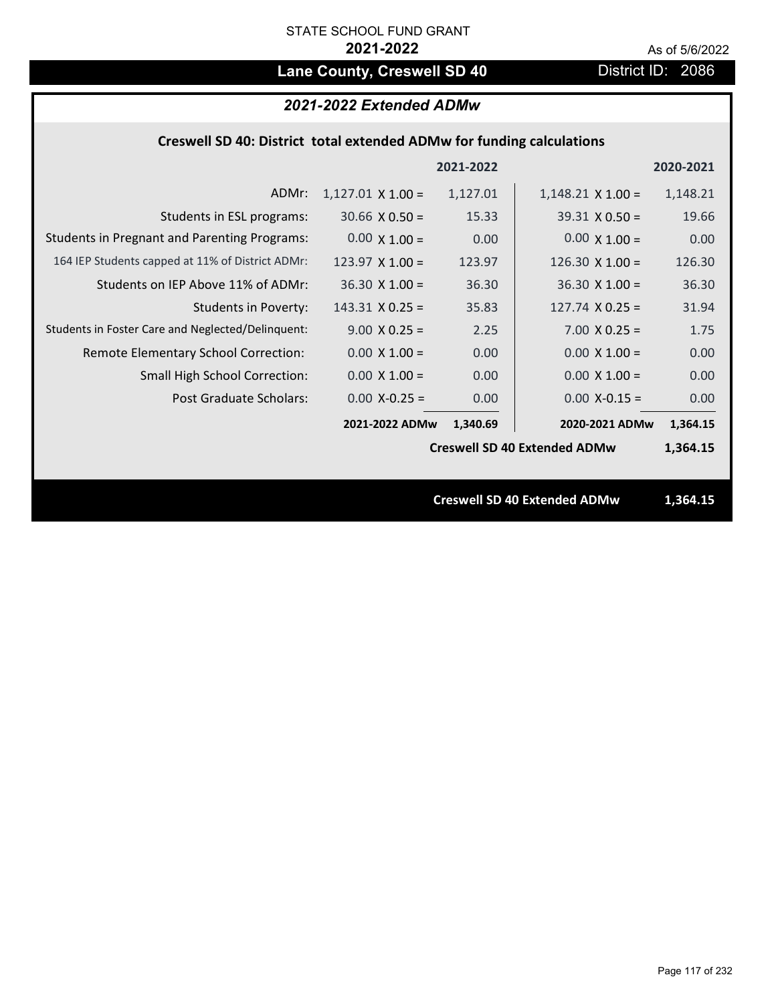# Lane County, Creswell SD 40 District ID: 2086

# *2021-2022 Extended ADMw*

## **Creswell SD 40: District total extended ADMw for funding calculations**

|                                                     |                          | 2021-2022 |                                     | 2020-2021 |
|-----------------------------------------------------|--------------------------|-----------|-------------------------------------|-----------|
| ADMr:                                               | $1,127.01 \times 1.00 =$ | 1,127.01  | $1,148.21 \times 1.00 =$            | 1,148.21  |
| Students in ESL programs:                           | $30.66 \times 0.50 =$    | 15.33     | $39.31 \times 0.50 =$               | 19.66     |
| <b>Students in Pregnant and Parenting Programs:</b> | $0.00 \times 1.00 =$     | 0.00      | $0.00 \times 1.00 =$                | 0.00      |
| 164 IEP Students capped at 11% of District ADMr:    | $123.97 \times 1.00 =$   | 123.97    | $126.30 \times 1.00 =$              | 126.30    |
| Students on IEP Above 11% of ADMr:                  | $36.30 \times 1.00 =$    | 36.30     | $36.30 \times 1.00 =$               | 36.30     |
| <b>Students in Poverty:</b>                         | $143.31$ X 0.25 =        | 35.83     | $127.74$ X 0.25 =                   | 31.94     |
| Students in Foster Care and Neglected/Delinquent:   | $9.00 \times 0.25 =$     | 2.25      | $7.00 \times 0.25 =$                | 1.75      |
| Remote Elementary School Correction:                | $0.00 \times 1.00 =$     | 0.00      | $0.00 \times 1.00 =$                | 0.00      |
| <b>Small High School Correction:</b>                | $0.00 \times 1.00 =$     | 0.00      | $0.00 \times 1.00 =$                | 0.00      |
| Post Graduate Scholars:                             | $0.00$ X-0.25 =          | 0.00      | $0.00$ X-0.15 =                     | 0.00      |
|                                                     | 2021-2022 ADMw           | 1,340.69  | 2020-2021 ADMw                      | 1,364.15  |
|                                                     |                          |           | <b>Creswell SD 40 Extended ADMw</b> | 1,364.15  |
|                                                     |                          |           |                                     |           |
|                                                     |                          |           | <b>Creswell SD 40 Extended ADMw</b> | 1,364.15  |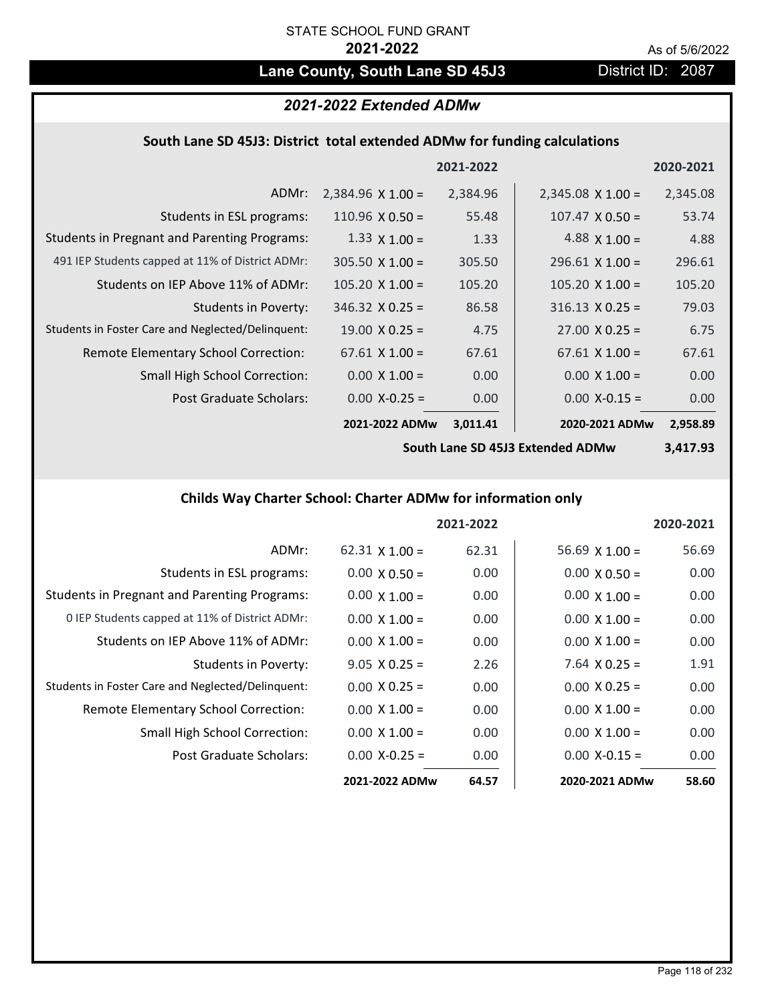# Lane County, South Lane SD 45J3 District ID: 2087

# *2021-2022 Extended ADMw*

## **South Lane SD 45J3: District total extended ADMw for funding calculations**

|                                                     |                          | 2021-2022 |                          | 2020-2021 |
|-----------------------------------------------------|--------------------------|-----------|--------------------------|-----------|
| ADMr:                                               | $2,384.96 \times 1.00 =$ | 2,384.96  | $2,345.08 \times 1.00 =$ | 2,345.08  |
| Students in ESL programs:                           | 110.96 $X$ 0.50 =        | 55.48     | $107.47 \times 0.50 =$   | 53.74     |
| <b>Students in Pregnant and Parenting Programs:</b> | $1.33 \times 1.00 =$     | 1.33      | 4.88 $\times$ 1.00 =     | 4.88      |
| 491 IEP Students capped at 11% of District ADMr:    | $305.50 \times 1.00 =$   | 305.50    | $296.61$ X 1.00 =        | 296.61    |
| Students on IEP Above 11% of ADMr:                  | $105.20 \times 1.00 =$   | 105.20    | $105.20 \times 1.00 =$   | 105.20    |
| Students in Poverty:                                | $346.32 \times 0.25 =$   | 86.58     | $316.13 \times 0.25 =$   | 79.03     |
| Students in Foster Care and Neglected/Delinquent:   | $19.00 \times 0.25 =$    | 4.75      | $27.00 \times 0.25 =$    | 6.75      |
| Remote Elementary School Correction:                | $67.61 \times 1.00 =$    | 67.61     | $67.61 \times 1.00 =$    | 67.61     |
| <b>Small High School Correction:</b>                | $0.00 \times 1.00 =$     | 0.00      | $0.00 \times 1.00 =$     | 0.00      |
| Post Graduate Scholars:                             | $0.00$ X-0.25 =          | 0.00      | $0.00$ X-0.15 =          | 0.00      |
|                                                     | 2021-2022 ADMw           | 3,011.41  | 2020-2021 ADMw           | 2,958.89  |

**South Lane SD 45J3 Extended ADMw**

**3,417.93**

# **Childs Way Charter School: Charter ADMw for information only**

|                                                     |                       | 2021-2022 |                       | 2020-2021 |
|-----------------------------------------------------|-----------------------|-----------|-----------------------|-----------|
| ADMr:                                               | $62.31 \times 1.00 =$ | 62.31     | $56.69 \times 1.00 =$ | 56.69     |
| Students in ESL programs:                           | $0.00 \times 0.50 =$  | 0.00      | $0.00 \times 0.50 =$  | 0.00      |
| <b>Students in Pregnant and Parenting Programs:</b> | $0.00 \times 1.00 =$  | 0.00      | $0.00 \times 1.00 =$  | 0.00      |
| 0 IEP Students capped at 11% of District ADMr:      | $0.00 \times 1.00 =$  | 0.00      | $0.00 \times 1.00 =$  | 0.00      |
| Students on IEP Above 11% of ADMr:                  | $0.00 \times 1.00 =$  | 0.00      | $0.00 \times 1.00 =$  | 0.00      |
| Students in Poverty:                                | $9.05 \times 0.25 =$  | 2.26      | $7.64$ X 0.25 =       | 1.91      |
| Students in Foster Care and Neglected/Delinquent:   | $0.00 \times 0.25 =$  | 0.00      | $0.00 \times 0.25 =$  | 0.00      |
| Remote Elementary School Correction:                | $0.00 \times 1.00 =$  | 0.00      | $0.00 \times 1.00 =$  | 0.00      |
| <b>Small High School Correction:</b>                | $0.00 \times 1.00 =$  | 0.00      | $0.00 \times 1.00 =$  | 0.00      |
| Post Graduate Scholars:                             | $0.00 X - 0.25 =$     | 0.00      | $0.00 X-0.15 =$       | 0.00      |
|                                                     | 2021-2022 ADMw        | 64.57     | 2020-2021 ADMw        | 58.60     |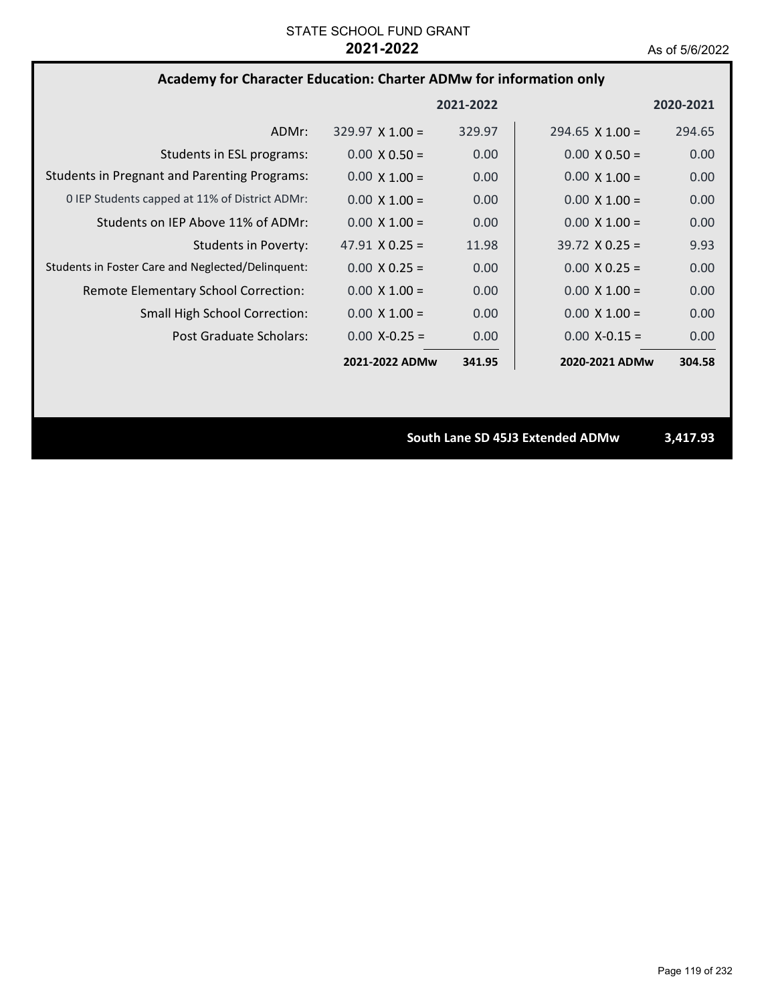# **Academy for Character Education: Charter ADMw for information only**

|                                                     |                        | 2021-2022         |                        | 2020-2021 |
|-----------------------------------------------------|------------------------|-------------------|------------------------|-----------|
| ADMr:                                               | $329.97 \times 1.00 =$ | 329.97            | $294.65 \times 1.00 =$ | 294.65    |
| Students in ESL programs:                           | $0.00 \times 0.50 =$   | 0.00              | $0.00 \times 0.50 =$   | 0.00      |
| <b>Students in Pregnant and Parenting Programs:</b> | $0.00 \times 1.00 =$   | 0.00              | $0.00 \times 1.00 =$   | 0.00      |
| 0 IEP Students capped at 11% of District ADMr:      | $0.00 \times 1.00 =$   | 0.00              | $0.00 \times 1.00 =$   | 0.00      |
| Students on IEP Above 11% of ADMr:                  | $0.00 \times 1.00 =$   | 0.00              | $0.00 \times 1.00 =$   | 0.00      |
| Students in Poverty:                                | $47.91 \times 0.25 =$  | 11.98             | $39.72 \times 0.25 =$  | 9.93      |
| Students in Foster Care and Neglected/Delinquent:   | $0.00 \times 0.25 =$   | 0.00              | $0.00 \times 0.25 =$   | 0.00      |
| Remote Elementary School Correction:                | $0.00 \times 1.00 =$   | 0.00              | $0.00 \times 1.00 =$   | 0.00      |
| <b>Small High School Correction:</b>                | $0.00 \times 1.00 =$   | 0.00              | $0.00 \times 1.00 =$   | 0.00      |
| Post Graduate Scholars:                             | $0.00 X - 0.25 =$      | 0.00 <sub>1</sub> | $0.00$ X-0.15 =        | 0.00      |
|                                                     | 2021-2022 ADMw         | 341.95            | 2020-2021 ADMw         | 304.58    |

**South Lane SD 45J3 Extended ADMw 3,417.93**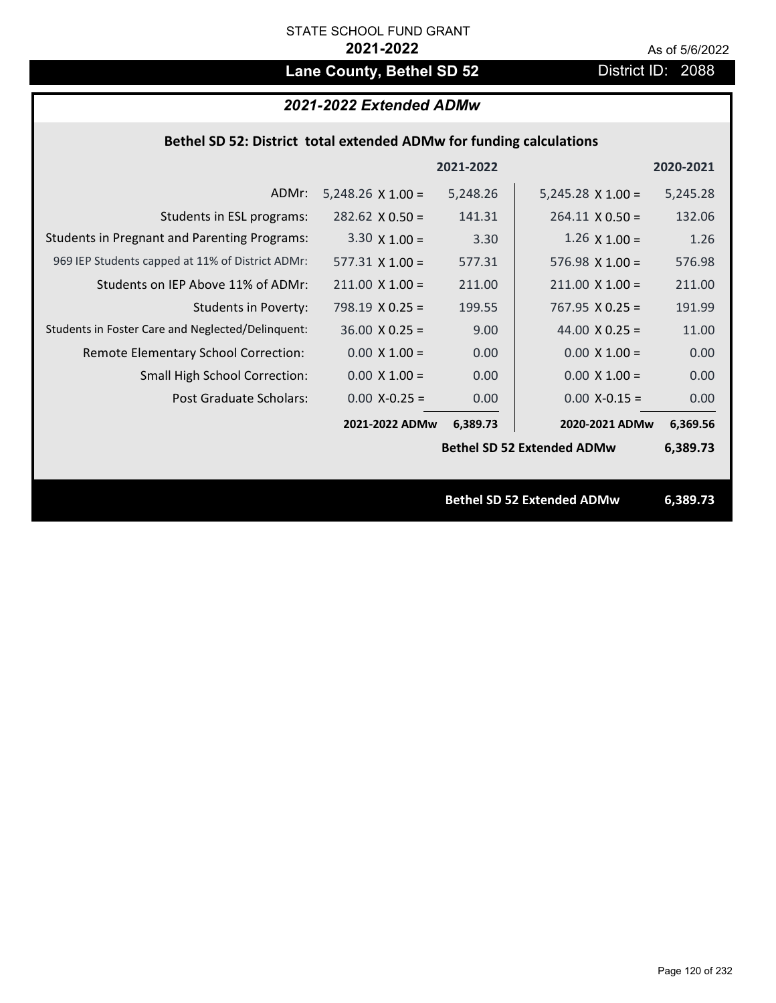# Lane County, Bethel SD 52 District ID: 2088

# *2021-2022 Extended ADMw*

## **Bethel SD 52: District total extended ADMw for funding calculations**

| 2021-2022<br>2020-2021                                                                                                   |
|--------------------------------------------------------------------------------------------------------------------------|
| ADMr:<br>$5,248.26 \times 1.00 =$<br>5,248.26<br>$5,245.28 \times 1.00 =$<br>5,245.28                                    |
| 141.31<br>132.06<br>Students in ESL programs:<br>$282.62 \times 0.50 =$<br>$264.11 \times 0.50 =$                        |
| <b>Students in Pregnant and Parenting Programs:</b><br>$3.30 \times 1.00 =$<br>3.30<br>$1.26 \times 1.00 =$<br>1.26      |
| 969 IEP Students capped at 11% of District ADMr:<br>$577.31 \times 1.00 =$<br>577.31<br>$576.98 \times 1.00 =$<br>576.98 |
| Students on IEP Above 11% of ADMr:<br>$211.00 \times 1.00 =$<br>$211.00$ X $1.00 =$<br>211.00<br>211.00                  |
| <b>Students in Poverty:</b><br>$798.19 \times 0.25 =$<br>$767.95 \times 0.25 =$<br>199.55<br>191.99                      |
| Students in Foster Care and Neglected/Delinquent:<br>$36.00 \times 0.25 =$<br>44.00 $X$ 0.25 =<br>9.00<br>11.00          |
| Remote Elementary School Correction:<br>$0.00 \times 1.00 =$<br>0.00<br>$0.00 \times 1.00 =$<br>0.00                     |
| $0.00 \times 1.00 =$<br><b>Small High School Correction:</b><br>$0.00 \times 1.00 =$<br>0.00<br>0.00                     |
| Post Graduate Scholars:<br>$0.00$ X-0.25 =<br>0.00<br>$0.00$ X-0.15 =<br>0.00                                            |
| 2021-2022 ADMw<br>2020-2021 ADMw<br>6,389.73<br>6,369.56                                                                 |
| <b>Bethel SD 52 Extended ADMw</b><br>6,389.73                                                                            |
|                                                                                                                          |
| <b>Bethel SD 52 Extended ADMw</b><br>6,389.73                                                                            |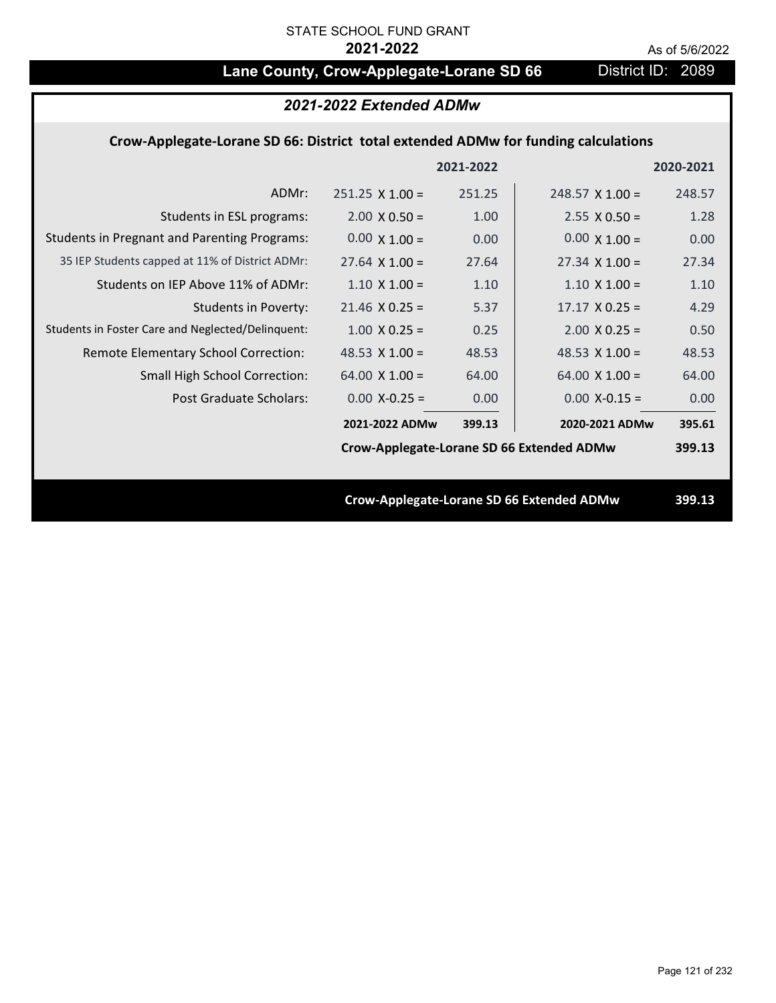# Lane County, Crow-Applegate-Lorane SD 66 District ID: 2089

|                                                                                    | 2021-2022 Extended ADMw                   |           |                                                  |           |
|------------------------------------------------------------------------------------|-------------------------------------------|-----------|--------------------------------------------------|-----------|
| Crow-Applegate-Lorane SD 66: District total extended ADMw for funding calculations |                                           |           |                                                  |           |
|                                                                                    |                                           | 2021-2022 |                                                  | 2020-2021 |
| ADMr:                                                                              | $251.25 \times 1.00 =$                    | 251.25    | $248.57 \times 1.00 =$                           | 248.57    |
| Students in ESL programs:                                                          | $2.00 \times 0.50 =$                      | 1.00      | $2.55 \times 0.50 =$                             | 1.28      |
| <b>Students in Pregnant and Parenting Programs:</b>                                | $0.00 \times 1.00 =$                      | 0.00      | $0.00 \times 1.00 =$                             | 0.00      |
| 35 IEP Students capped at 11% of District ADMr:                                    | $27.64 \times 1.00 =$                     | 27.64     | $27.34 \times 1.00 =$                            | 27.34     |
| Students on IEP Above 11% of ADMr:                                                 | $1.10 \times 1.00 =$                      | 1.10      | $1.10 \times 1.00 =$                             | 1.10      |
| <b>Students in Poverty:</b>                                                        | $21.46$ X 0.25 =                          | 5.37      | $17.17 \times 0.25 =$                            | 4.29      |
| Students in Foster Care and Neglected/Delinquent:                                  | $1.00 \times 0.25 =$                      | 0.25      | $2.00 \times 0.25 =$                             | 0.50      |
| Remote Elementary School Correction:                                               | 48.53 $X$ 1.00 =                          | 48.53     | 48.53 $X$ 1.00 =                                 | 48.53     |
| <b>Small High School Correction:</b>                                               | 64.00 $X$ 1.00 =                          | 64.00     | $64.00 \times 1.00 =$                            | 64.00     |
| Post Graduate Scholars:                                                            | $0.00$ X-0.25 =                           | 0.00      | $0.00$ X-0.15 =                                  | 0.00      |
|                                                                                    | 2021-2022 ADMw                            | 399.13    | 2020-2021 ADMw                                   | 395.61    |
|                                                                                    | Crow-Applegate-Lorane SD 66 Extended ADMw |           |                                                  | 399.13    |
|                                                                                    |                                           |           |                                                  |           |
|                                                                                    |                                           |           | <b>Crow-Applegate-Lorane SD 66 Extended ADMw</b> | 399.13    |
|                                                                                    |                                           |           |                                                  |           |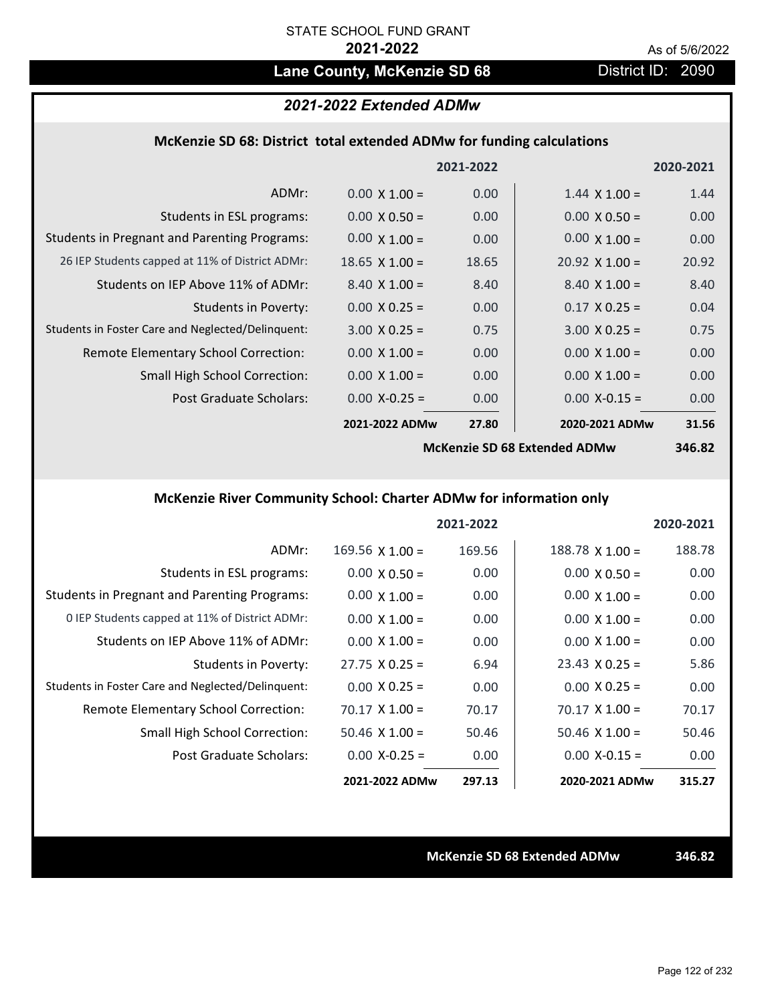# Lane County, McKenzie SD 68 **District ID: 2090**

## *2021-2022 Extended ADMw*

### **McKenzie SD 68: District total extended ADMw for funding calculations**

|                                                     |                      | 2021-2022 |                              | 2020-2021     |
|-----------------------------------------------------|----------------------|-----------|------------------------------|---------------|
| ADMr:                                               | $0.00 \times 1.00 =$ | 0.00      | $1.44 \times 1.00 =$         | 1.44          |
| Students in ESL programs:                           | $0.00 \times 0.50 =$ | 0.00      | $0.00 \times 0.50 =$         | 0.00          |
| <b>Students in Pregnant and Parenting Programs:</b> | $0.00 \times 1.00 =$ | 0.00      | $0.00 \times 1.00 =$         | 0.00          |
| 26 IEP Students capped at 11% of District ADMr:     | $18.65$ X $1.00 =$   | 18.65     | $20.92 \times 1.00 =$        | 20.92         |
| Students on IEP Above 11% of ADMr:                  | $8.40 \times 1.00 =$ | 8.40      | $8.40 \times 1.00 =$         | 8.40          |
| <b>Students in Poverty:</b>                         | $0.00 \times 0.25 =$ | 0.00      | $0.17 \times 0.25 =$         | 0.04          |
| Students in Foster Care and Neglected/Delinquent:   | $3.00 \times 0.25 =$ | 0.75      | $3.00 \times 0.25 =$         | 0.75          |
| Remote Elementary School Correction:                | $0.00 \times 1.00 =$ | 0.00      | $0.00 \times 1.00 =$         | 0.00          |
| <b>Small High School Correction:</b>                | $0.00 \times 1.00 =$ | 0.00      | $0.00 \times 1.00 =$         | 0.00          |
| Post Graduate Scholars:                             | $0.00$ X-0.25 =      | 0.00      | $0.00$ X-0.15 =              | 0.00          |
|                                                     | 2021-2022 ADMw       | 27.80     | 2020-2021 ADMw               | 31.56         |
|                                                     |                      |           | McKonzie CD CO Extended ADMu | <b>SAC OT</b> |

**McKenzie SD 68 Extended ADMw**

**346.82**

# **McKenzie River Community School: Charter ADMw for information only**

|                                                     |                        | 2021-2022 |                        | 2020-2021 |
|-----------------------------------------------------|------------------------|-----------|------------------------|-----------|
| ADMr:                                               | $169.56 \times 1.00 =$ | 169.56    | $188.78 \times 1.00 =$ | 188.78    |
| Students in ESL programs:                           | $0.00 \times 0.50 =$   | 0.00      | $0.00 \times 0.50 =$   | 0.00      |
| <b>Students in Pregnant and Parenting Programs:</b> | $0.00 \times 1.00 =$   | 0.00      | $0.00 \times 1.00 =$   | 0.00      |
| 0 IEP Students capped at 11% of District ADMr:      | $0.00 \times 1.00 =$   | 0.00      | $0.00 \times 1.00 =$   | 0.00      |
| Students on IEP Above 11% of ADMr:                  | $0.00 \times 1.00 =$   | 0.00      | $0.00 \times 1.00 =$   | 0.00      |
| Students in Poverty:                                | $27.75 \times 0.25 =$  | 6.94      | $23.43 \times 0.25 =$  | 5.86      |
| Students in Foster Care and Neglected/Delinquent:   | $0.00 \times 0.25 =$   | 0.00      | $0.00 \times 0.25 =$   | 0.00      |
| Remote Elementary School Correction:                | $70.17 \times 1.00 =$  | 70.17     | $70.17 \times 1.00 =$  | 70.17     |
| <b>Small High School Correction:</b>                | $50.46 \times 1.00 =$  | 50.46     | $50.46 \times 1.00 =$  | 50.46     |
| Post Graduate Scholars:                             | $0.00$ X-0.25 =        | 0.00      | $0.00 X - 0.15 =$      | 0.00      |
|                                                     | 2021-2022 ADMw         | 297.13    | 2020-2021 ADMw         | 315.27    |

**McKenzie SD 68 Extended ADMw 346.82**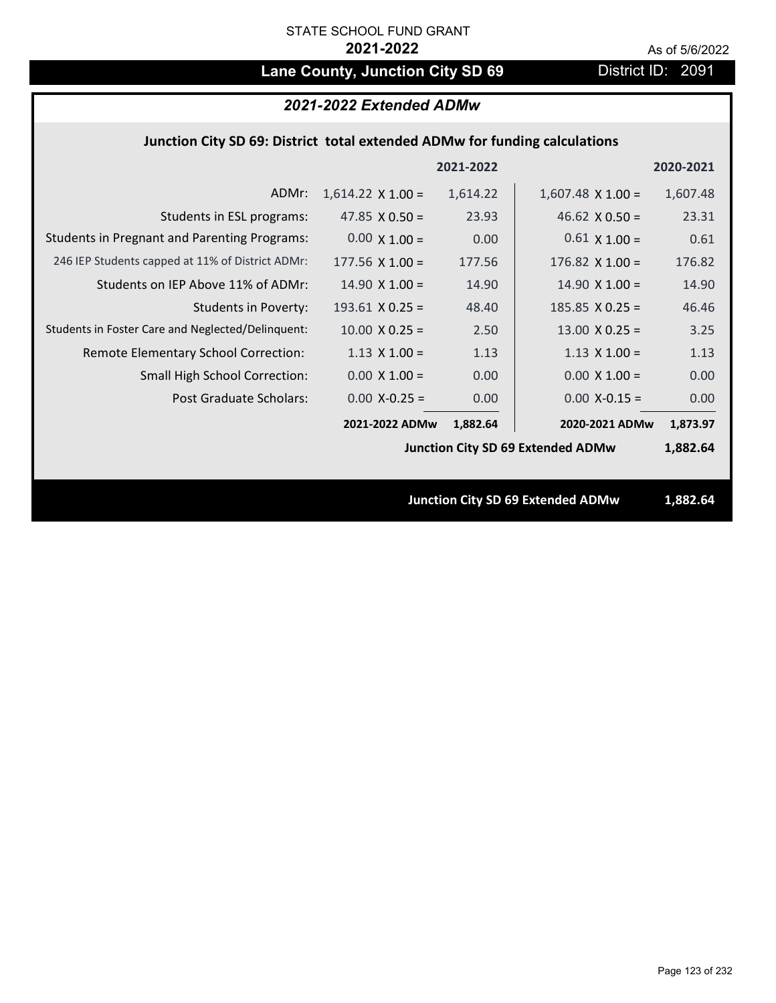# Lane County, Junction City SD 69 District ID: 2091

# *2021-2022 Extended ADMw*

## **Junction City SD 69: District total extended ADMw for funding calculations**

|                                                     |                          | 2021-2022 |                                          | 2020-2021 |
|-----------------------------------------------------|--------------------------|-----------|------------------------------------------|-----------|
| ADMr:                                               | $1,614.22 \times 1.00 =$ | 1,614.22  | $1,607.48 \times 1.00 =$                 | 1,607.48  |
| Students in ESL programs:                           | 47.85 $\times$ 0.50 =    | 23.93     | 46.62 $\times$ 0.50 =                    | 23.31     |
| <b>Students in Pregnant and Parenting Programs:</b> | $0.00 \times 1.00 =$     | 0.00      | $0.61 \times 1.00 =$                     | 0.61      |
| 246 IEP Students capped at 11% of District ADMr:    | $177.56 \times 1.00 =$   | 177.56    | $176.82 \times 1.00 =$                   | 176.82    |
| Students on IEP Above 11% of ADMr:                  | $14.90 \times 1.00 =$    | 14.90     | $14.90 \times 1.00 =$                    | 14.90     |
| <b>Students in Poverty:</b>                         | $193.61$ X 0.25 =        | 48.40     | $185.85$ X 0.25 =                        | 46.46     |
| Students in Foster Care and Neglected/Delinquent:   | $10.00 \times 0.25 =$    | 2.50      | $13.00$ X 0.25 =                         | 3.25      |
| Remote Elementary School Correction:                | $1.13 \times 1.00 =$     | 1.13      | $1.13 \times 1.00 =$                     | 1.13      |
| <b>Small High School Correction:</b>                | $0.00 X 1.00 =$          | 0.00      | $0.00 \times 1.00 =$                     | 0.00      |
| Post Graduate Scholars:                             | $0.00$ X-0.25 =          | 0.00      | $0.00$ X-0.15 =                          | 0.00      |
|                                                     | 2021-2022 ADMw           | 1,882.64  | 2020-2021 ADMw                           | 1,873.97  |
|                                                     |                          |           | <b>Junction City SD 69 Extended ADMw</b> | 1,882.64  |
|                                                     |                          |           |                                          |           |
|                                                     |                          |           | <b>Junction City SD 69 Extended ADMw</b> | 1,882.64  |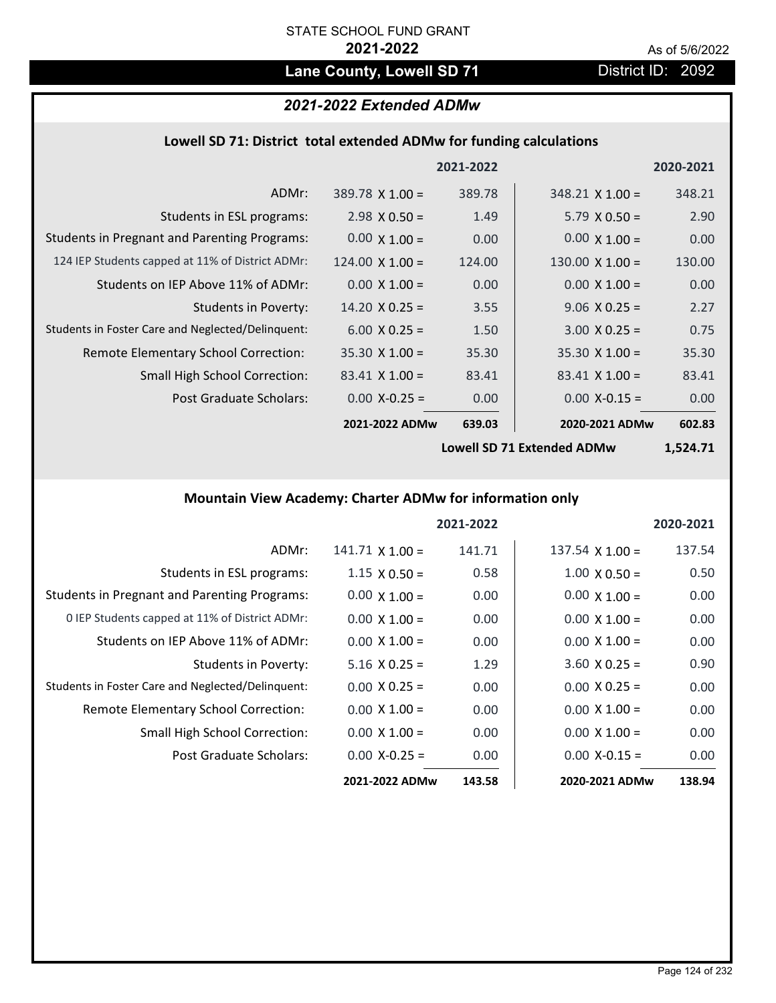# Lane County, Lowell SD 71 District ID: 2092

# *2021-2022 Extended ADMw*

# **Lowell SD 71: District total extended ADMw for funding calculations**

|                                                     |                        | 2021-2022 |                        | 2020-2021 |
|-----------------------------------------------------|------------------------|-----------|------------------------|-----------|
| ADMr:                                               | $389.78 \times 1.00 =$ | 389.78    | $348.21 \times 1.00 =$ | 348.21    |
| Students in ESL programs:                           | $2.98 \times 0.50 =$   | 1.49      | $5.79 \times 0.50 =$   | 2.90      |
| <b>Students in Pregnant and Parenting Programs:</b> | $0.00 \times 1.00 =$   | 0.00      | $0.00 \times 1.00 =$   | 0.00      |
| 124 IEP Students capped at 11% of District ADMr:    | $124.00 \times 1.00 =$ | 124.00    | $130.00 \times 1.00 =$ | 130.00    |
| Students on IEP Above 11% of ADMr:                  | $0.00 \times 1.00 =$   | 0.00      | $0.00 \times 1.00 =$   | 0.00      |
| <b>Students in Poverty:</b>                         | $14.20 \times 0.25 =$  | 3.55      | $9.06 \times 0.25 =$   | 2.27      |
| Students in Foster Care and Neglected/Delinquent:   | $6.00 \times 0.25 =$   | 1.50      | $3.00 \times 0.25 =$   | 0.75      |
| Remote Elementary School Correction:                | $35.30 \times 1.00 =$  | 35.30     | $35.30 \times 1.00 =$  | 35.30     |
| <b>Small High School Correction:</b>                | $83.41 \times 1.00 =$  | 83.41     | $83.41 \times 1.00 =$  | 83.41     |
| Post Graduate Scholars:                             | $0.00 X - 0.25 =$      | 0.00      | $0.00$ X-0.15 =        | 0.00      |
|                                                     | 2021-2022 ADMw         | 639.03    | 2020-2021 ADMw         | 602.83    |

**Lowell SD 71 Extended ADMw**

**1,524.71**

# **Mountain View Academy: Charter ADMw for information only**

|                                                     |                      | 2021-2022 |                        | 2020-2021 |
|-----------------------------------------------------|----------------------|-----------|------------------------|-----------|
| ADMr:                                               | $141.71$ X $1.00 =$  | 141.71    | $137.54 \times 1.00 =$ | 137.54    |
| Students in ESL programs:                           | $1.15 \times 0.50 =$ | 0.58      | $1.00 \times 0.50 =$   | 0.50      |
| <b>Students in Pregnant and Parenting Programs:</b> | $0.00 \times 1.00 =$ | 0.00      | $0.00 \times 1.00 =$   | 0.00      |
| 0 IEP Students capped at 11% of District ADMr:      | $0.00 \times 1.00 =$ | 0.00      | $0.00 \times 1.00 =$   | 0.00      |
| Students on IEP Above 11% of ADMr:                  | $0.00 \times 1.00 =$ | 0.00      | $0.00 \times 1.00 =$   | 0.00      |
| Students in Poverty:                                | $5.16 \times 0.25 =$ | 1.29      | $3.60$ X 0.25 =        | 0.90      |
| Students in Foster Care and Neglected/Delinquent:   | $0.00 \times 0.25 =$ | 0.00      | $0.00 \times 0.25 =$   | 0.00      |
| Remote Elementary School Correction:                | $0.00 \times 1.00 =$ | 0.00      | $0.00 \times 1.00 =$   | 0.00      |
| <b>Small High School Correction:</b>                | $0.00 \times 1.00 =$ | 0.00      | $0.00 \times 1.00 =$   | 0.00      |
| Post Graduate Scholars:                             | $0.00 X - 0.25 =$    | 0.00      | $0.00 X-0.15 =$        | 0.00      |
|                                                     | 2021-2022 ADMw       | 143.58    | 2020-2021 ADMw         | 138.94    |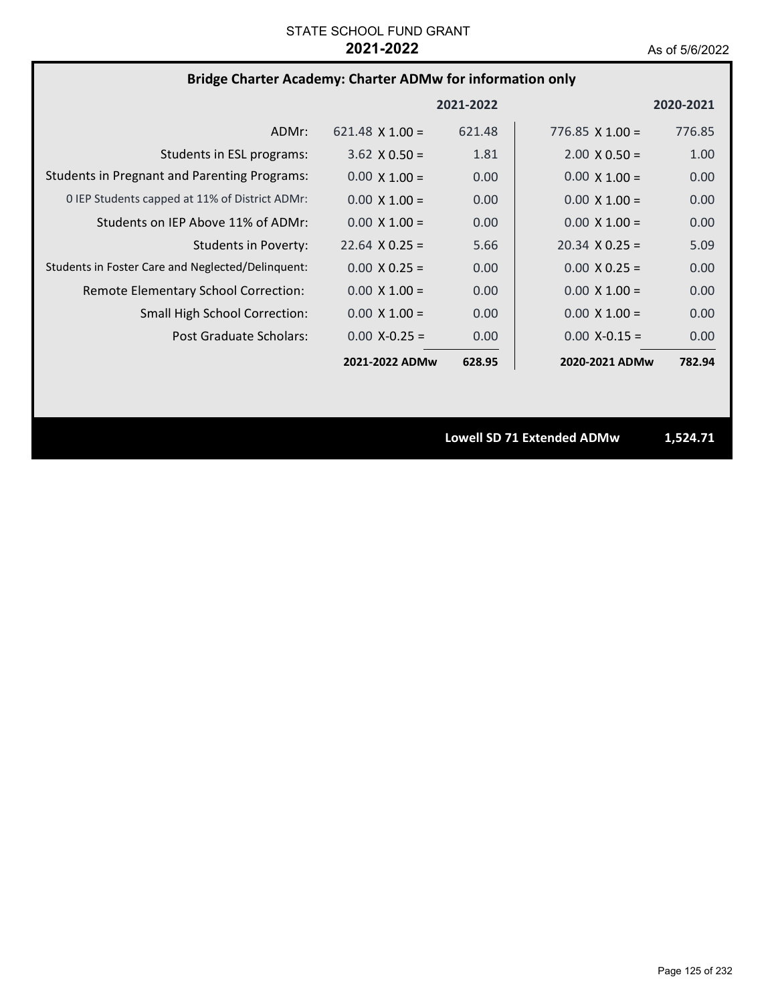# **Bridge Charter Academy: Charter ADMw for information only**

|                                                     |                        | 2021-2022 |                        | 2020-2021 |
|-----------------------------------------------------|------------------------|-----------|------------------------|-----------|
| ADMr:                                               | $621.48 \times 1.00 =$ | 621.48    | 776.85 $\times$ 1.00 = | 776.85    |
| Students in ESL programs:                           | $3.62 \times 0.50 =$   | 1.81      | $2.00 \times 0.50 =$   | 1.00      |
| <b>Students in Pregnant and Parenting Programs:</b> | $0.00 \times 1.00 =$   | 0.00      | $0.00 \times 1.00 =$   | 0.00      |
| 0 IEP Students capped at 11% of District ADMr:      | $0.00 \times 1.00 =$   | 0.00      | $0.00 \times 1.00 =$   | 0.00      |
| Students on IEP Above 11% of ADMr:                  | $0.00 \times 1.00 =$   | 0.00      | $0.00 \times 1.00 =$   | 0.00      |
| <b>Students in Poverty:</b>                         | $22.64 \times 0.25 =$  | 5.66      | $20.34 \times 0.25 =$  | 5.09      |
| Students in Foster Care and Neglected/Delinquent:   | $0.00 \times 0.25 =$   | 0.00      | $0.00 \times 0.25 =$   | 0.00      |
| Remote Elementary School Correction:                | $0.00 \times 1.00 =$   | 0.00      | $0.00 \times 1.00 =$   | 0.00      |
| <b>Small High School Correction:</b>                | $0.00 \times 1.00 =$   | 0.00      | $0.00 \times 1.00 =$   | 0.00      |
| Post Graduate Scholars:                             | $0.00 X - 0.25 =$      | 0.00      | $0.00 X - 0.15 =$      | 0.00      |
|                                                     | 2021-2022 ADMw         | 628.95    | 2020-2021 ADMw         | 782.94    |

**Lowell SD 71 Extended ADMw 1,524.71**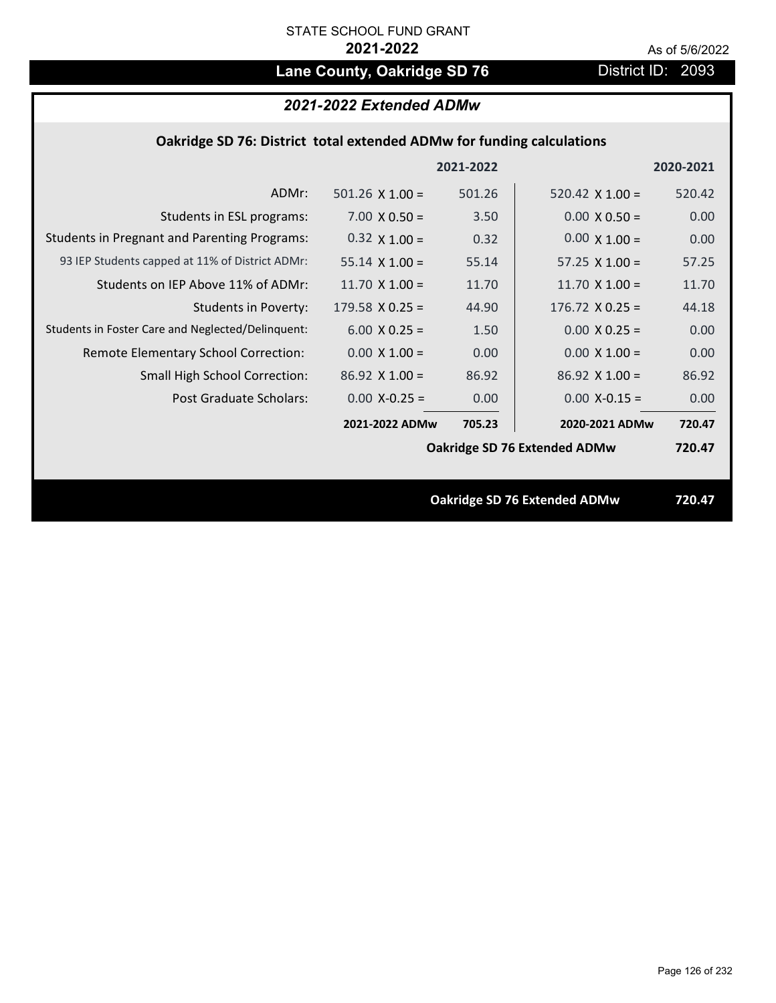# Lane County, Oakridge SD 76 **District ID: 2093**

|  | Oakridge SD 76: District total extended ADMw for funding calculations |
|--|-----------------------------------------------------------------------|
|--|-----------------------------------------------------------------------|

|                                                     |                        | 2021-2022 |                                     | 2020-2021 |
|-----------------------------------------------------|------------------------|-----------|-------------------------------------|-----------|
| ADMr:                                               | $501.26 \times 1.00 =$ | 501.26    | 520.42 $\times$ 1.00 =              | 520.42    |
| Students in ESL programs:                           | $7.00 \times 0.50 =$   | 3.50      | $0.00 \times 0.50 =$                | 0.00      |
| <b>Students in Pregnant and Parenting Programs:</b> | $0.32 \times 1.00 =$   | 0.32      | $0.00 \times 1.00 =$                | 0.00      |
| 93 IEP Students capped at 11% of District ADMr:     | $55.14 \times 1.00 =$  | 55.14     | 57.25 $\times$ 1.00 =               | 57.25     |
| Students on IEP Above 11% of ADMr:                  | 11.70 $X$ 1.00 =       | 11.70     | 11.70 $X$ 1.00 =                    | 11.70     |
| <b>Students in Poverty:</b>                         | $179.58 \times 0.25 =$ | 44.90     | $176.72 \times 0.25 =$              | 44.18     |
| Students in Foster Care and Neglected/Delinquent:   | $6.00 \times 0.25 =$   | 1.50      | $0.00 \times 0.25 =$                | 0.00      |
| Remote Elementary School Correction:                | $0.00 \times 1.00 =$   | 0.00      | $0.00 \times 1.00 =$                | 0.00      |
| <b>Small High School Correction:</b>                | $86.92$ X 1.00 =       | 86.92     | $86.92$ X 1.00 =                    | 86.92     |
| Post Graduate Scholars:                             | $0.00$ X-0.25 =        | 0.00      | $0.00$ X-0.15 =                     | 0.00      |
|                                                     | 2021-2022 ADMw         | 705.23    | 2020-2021 ADMw                      | 720.47    |
|                                                     |                        |           | Oakridge SD 76 Extended ADMw        | 720.47    |
|                                                     |                        |           |                                     |           |
|                                                     |                        |           | <b>Oakridge SD 76 Extended ADMw</b> | 720.47    |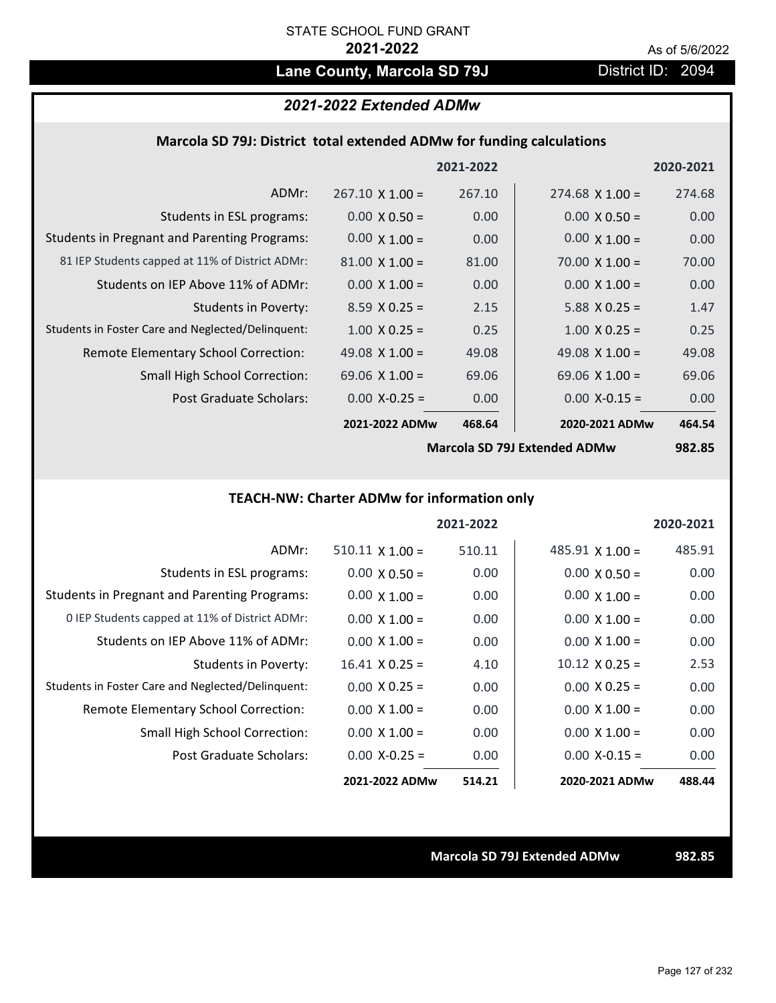# Lane County, Marcola SD 79J District ID: 2094

## *2021-2022 Extended ADMw*

### **Marcola SD 79J: District total extended ADMw for funding calculations**

|                                                     |                        | 2021-2022 |                       | 2020-2021 |
|-----------------------------------------------------|------------------------|-----------|-----------------------|-----------|
| ADMr:                                               | $267.10 \times 1.00 =$ | 267.10    | $274.68$ X 1.00 =     | 274.68    |
| Students in ESL programs:                           | $0.00 \times 0.50 =$   | 0.00      | $0.00 \times 0.50 =$  | 0.00      |
| <b>Students in Pregnant and Parenting Programs:</b> | $0.00 \times 1.00 =$   | 0.00      | $0.00 \times 1.00 =$  | 0.00      |
| 81 IEP Students capped at 11% of District ADMr:     | $81.00 \times 1.00 =$  | 81.00     | $70.00 \times 1.00 =$ | 70.00     |
| Students on IEP Above 11% of ADMr:                  | $0.00 \times 1.00 =$   | 0.00      | $0.00 \times 1.00 =$  | 0.00      |
| <b>Students in Poverty:</b>                         | $8.59 \times 0.25 =$   | 2.15      | $5.88$ X 0.25 =       | 1.47      |
| Students in Foster Care and Neglected/Delinquent:   | $1.00 \times 0.25 =$   | 0.25      | $1.00 \times 0.25 =$  | 0.25      |
| Remote Elementary School Correction:                | 49.08 $\times$ 1.00 =  | 49.08     | 49.08 $\times$ 1.00 = | 49.08     |
| <b>Small High School Correction:</b>                | 69.06 $\times$ 1.00 =  | 69.06     | 69.06 $X$ 1.00 =      | 69.06     |
| Post Graduate Scholars:                             | $0.00$ X-0.25 =        | 0.00      | $0.00$ X-0.15 =       | 0.00      |
|                                                     | 2021-2022 ADMw         | 468.64    | 2020-2021 ADMw        | 464.54    |
|                                                     |                        |           |                       |           |

**Marcola SD 79J Extended ADMw**

**982.85**

# **TEACH‐NW: Charter ADMw for information only**

|                                                     |                        | 2021-2022 |                        | 2020-2021 |
|-----------------------------------------------------|------------------------|-----------|------------------------|-----------|
| ADMr:                                               | $510.11 \times 1.00 =$ | 510.11    | $485.91 \times 1.00 =$ | 485.91    |
| Students in ESL programs:                           | $0.00 \times 0.50 =$   | 0.00      | $0.00 \times 0.50 =$   | 0.00      |
| <b>Students in Pregnant and Parenting Programs:</b> | $0.00 \times 1.00 =$   | 0.00      | $0.00 \times 1.00 =$   | 0.00      |
| 0 IEP Students capped at 11% of District ADMr:      | $0.00 \times 1.00 =$   | 0.00      | $0.00 \times 1.00 =$   | 0.00      |
| Students on IEP Above 11% of ADMr:                  | $0.00 \times 1.00 =$   | 0.00      | $0.00 \times 1.00 =$   | 0.00      |
| Students in Poverty:                                | $16.41 \times 0.25 =$  | 4.10      | $10.12 \times 0.25 =$  | 2.53      |
| Students in Foster Care and Neglected/Delinquent:   | $0.00 \times 0.25 =$   | 0.00      | $0.00 \times 0.25 =$   | 0.00      |
| Remote Elementary School Correction:                | $0.00 \times 1.00 =$   | 0.00      | $0.00 \times 1.00 =$   | 0.00      |
| <b>Small High School Correction:</b>                | $0.00 \times 1.00 =$   | 0.00      | $0.00 \times 1.00 =$   | 0.00      |
| Post Graduate Scholars:                             | $0.00 X - 0.25 =$      | 0.00      | $0.00 X-0.15 =$        | 0.00      |
|                                                     | 2021-2022 ADMw         | 514.21    | 2020-2021 ADMw         | 488.44    |

**Marcola SD 79J Extended ADMw 982.85**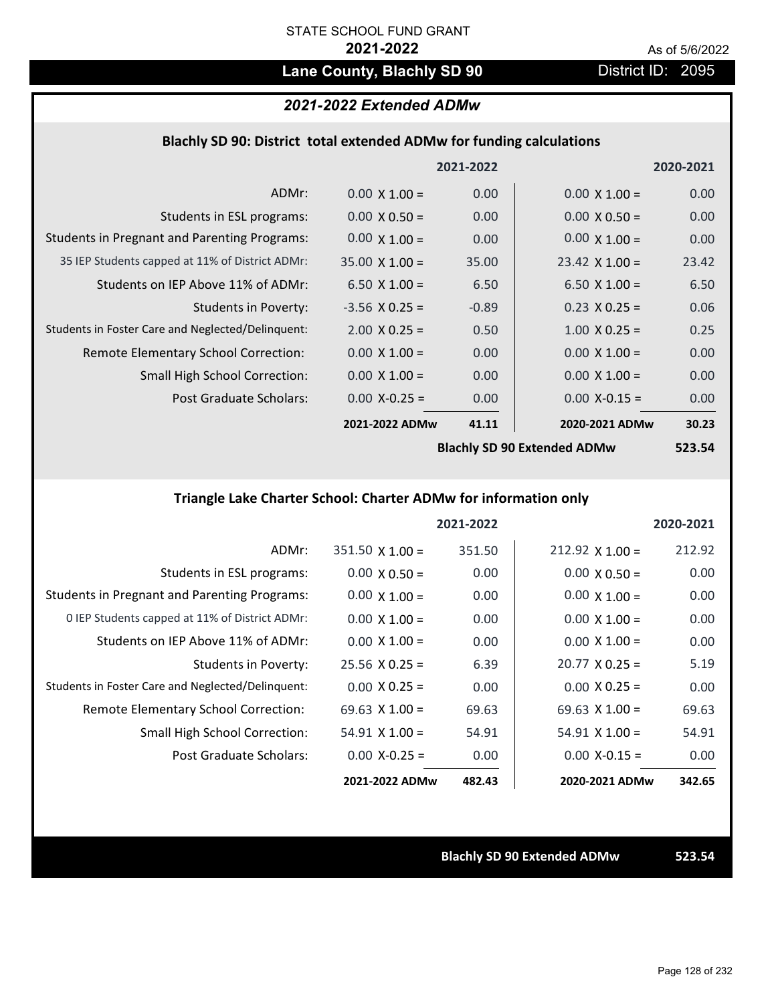# Lane County, Blachly SD 90 **District ID: 2095**

# *2021-2022 Extended ADMw*

### **Blachly SD 90: District total extended ADMw for funding calculations**

|                                                     |                       | 2021-2022 |                                     | 2020-2021 |
|-----------------------------------------------------|-----------------------|-----------|-------------------------------------|-----------|
| ADMr:                                               | $0.00 \times 1.00 =$  | 0.00      | $0.00 \times 1.00 =$                | 0.00      |
| Students in ESL programs:                           | $0.00 \times 0.50 =$  | 0.00      | $0.00 \times 0.50 =$                | 0.00      |
| <b>Students in Pregnant and Parenting Programs:</b> | $0.00 \times 1.00 =$  | 0.00      | $0.00 \times 1.00 =$                | 0.00      |
| 35 IEP Students capped at 11% of District ADMr:     | $35.00 \times 1.00 =$ | 35.00     | $23.42 \times 1.00 =$               | 23.42     |
| Students on IEP Above 11% of ADMr:                  | 6.50 $X$ 1.00 =       | 6.50      | 6.50 $X$ 1.00 =                     | 6.50      |
| <b>Students in Poverty:</b>                         | $-3.56$ X 0.25 =      | $-0.89$   | $0.23 \times 0.25 =$                | 0.06      |
| Students in Foster Care and Neglected/Delinquent:   | $2.00 \times 0.25 =$  | 0.50      | $1.00 \times 0.25 =$                | 0.25      |
| Remote Elementary School Correction:                | $0.00 \times 1.00 =$  | 0.00      | $0.00 \times 1.00 =$                | 0.00      |
| <b>Small High School Correction:</b>                | $0.00 \times 1.00 =$  | 0.00      | $0.00 \times 1.00 =$                | 0.00      |
| Post Graduate Scholars:                             | $0.00$ X-0.25 =       | 0.00      | $0.00$ X-0.15 =                     | 0.00      |
|                                                     | 2021-2022 ADMw        | 41.11     | 2020-2021 ADMw                      | 30.23     |
|                                                     |                       |           | <b>Rlachly SD ON Extended ADMur</b> | E72 EA    |

**Blachly SD 90 Extended ADMw**

**523.54**

# **Triangle Lake Charter School: Charter ADMw for information only**

|                                                     |                        | 2021-2022 |                       | 2020-2021 |
|-----------------------------------------------------|------------------------|-----------|-----------------------|-----------|
| ADMr:                                               | $351.50 \times 1.00 =$ | 351.50    | $212.92$ X 1.00 =     | 212.92    |
| Students in ESL programs:                           | $0.00 \times 0.50 =$   | 0.00      | $0.00 \times 0.50 =$  | 0.00      |
| <b>Students in Pregnant and Parenting Programs:</b> | $0.00 \times 1.00 =$   | 0.00      | $0.00 \times 1.00 =$  | 0.00      |
| 0 IEP Students capped at 11% of District ADMr:      | $0.00 \times 1.00 =$   | 0.00      | $0.00 \times 1.00 =$  | 0.00      |
| Students on IEP Above 11% of ADMr:                  | $0.00 \times 1.00 =$   | 0.00      | $0.00 \times 1.00 =$  | 0.00      |
| Students in Poverty:                                | $25.56 \times 0.25 =$  | 6.39      | $20.77 \times 0.25 =$ | 5.19      |
| Students in Foster Care and Neglected/Delinquent:   | $0.00 \times 0.25 =$   | 0.00      | $0.00 \times 0.25 =$  | 0.00      |
| Remote Elementary School Correction:                | 69.63 $\times$ 1.00 =  | 69.63     | $69.63 \times 1.00 =$ | 69.63     |
| <b>Small High School Correction:</b>                | $54.91$ X 1.00 =       | 54.91     | $54.91 \times 1.00 =$ | 54.91     |
| Post Graduate Scholars:                             | $0.00 X - 0.25 =$      | 0.00      | $0.00$ X-0.15 =       | 0.00      |
|                                                     | 2021-2022 ADMw         | 482.43    | 2020-2021 ADMw        | 342.65    |

**Blachly SD 90 Extended ADMw 523.54**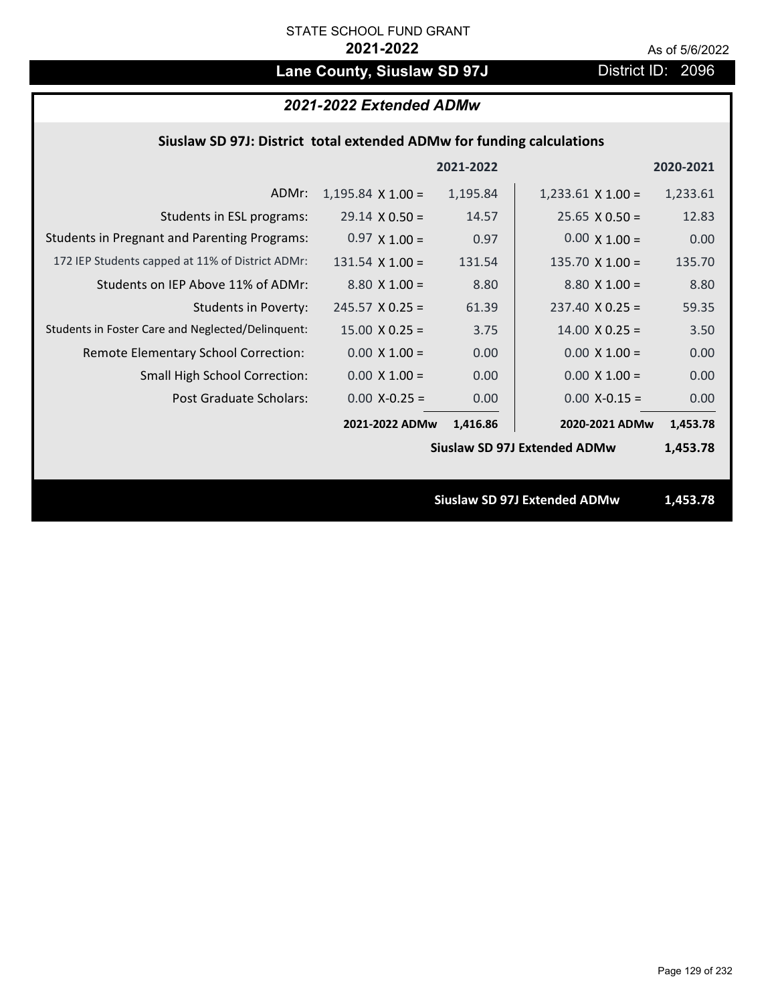# Lane County, Siuslaw SD 97J District ID: 2096

|  | 2021-2022 Extended ADMw |
|--|-------------------------|
|--|-------------------------|

|  | Siuslaw SD 97J: District total extended ADMw for funding calculations |  |
|--|-----------------------------------------------------------------------|--|
|--|-----------------------------------------------------------------------|--|

|                                                     |                          | 2021-2022 |                                     | 2020-2021 |
|-----------------------------------------------------|--------------------------|-----------|-------------------------------------|-----------|
| ADMr:                                               | $1,195.84 \times 1.00 =$ | 1,195.84  | $1,233.61 \times 1.00 =$            | 1,233.61  |
| Students in ESL programs:                           | $29.14 \times 0.50 =$    | 14.57     | $25.65 \times 0.50 =$               | 12.83     |
| <b>Students in Pregnant and Parenting Programs:</b> | $0.97 \times 1.00 =$     | 0.97      | $0.00 \times 1.00 =$                | 0.00      |
| 172 IEP Students capped at 11% of District ADMr:    | $131.54 \times 1.00 =$   | 131.54    | $135.70 \times 1.00 =$              | 135.70    |
| Students on IEP Above 11% of ADMr:                  | $8.80 \times 1.00 =$     | 8.80      | $8.80 X 1.00 =$                     | 8.80      |
| <b>Students in Poverty:</b>                         | $245.57 \times 0.25 =$   | 61.39     | $237.40 \times 0.25 =$              | 59.35     |
| Students in Foster Care and Neglected/Delinquent:   | $15.00 \times 0.25 =$    | 3.75      | $14.00 \times 0.25 =$               | 3.50      |
| Remote Elementary School Correction:                | $0.00 \times 1.00 =$     | 0.00      | $0.00 \times 1.00 =$                | 0.00      |
| <b>Small High School Correction:</b>                | $0.00 \times 1.00 =$     | 0.00      | $0.00 \times 1.00 =$                | 0.00      |
| Post Graduate Scholars:                             | $0.00$ X-0.25 =          | 0.00      | $0.00$ X-0.15 =                     | 0.00      |
|                                                     | 2021-2022 ADMw           | 1,416.86  | 2020-2021 ADMw                      | 1,453.78  |
|                                                     |                          |           | <b>Siuslaw SD 97J Extended ADMw</b> | 1,453.78  |
|                                                     |                          |           |                                     |           |
|                                                     |                          |           | <b>Siuslaw SD 97J Extended ADMw</b> | 1,453.78  |
|                                                     |                          |           |                                     |           |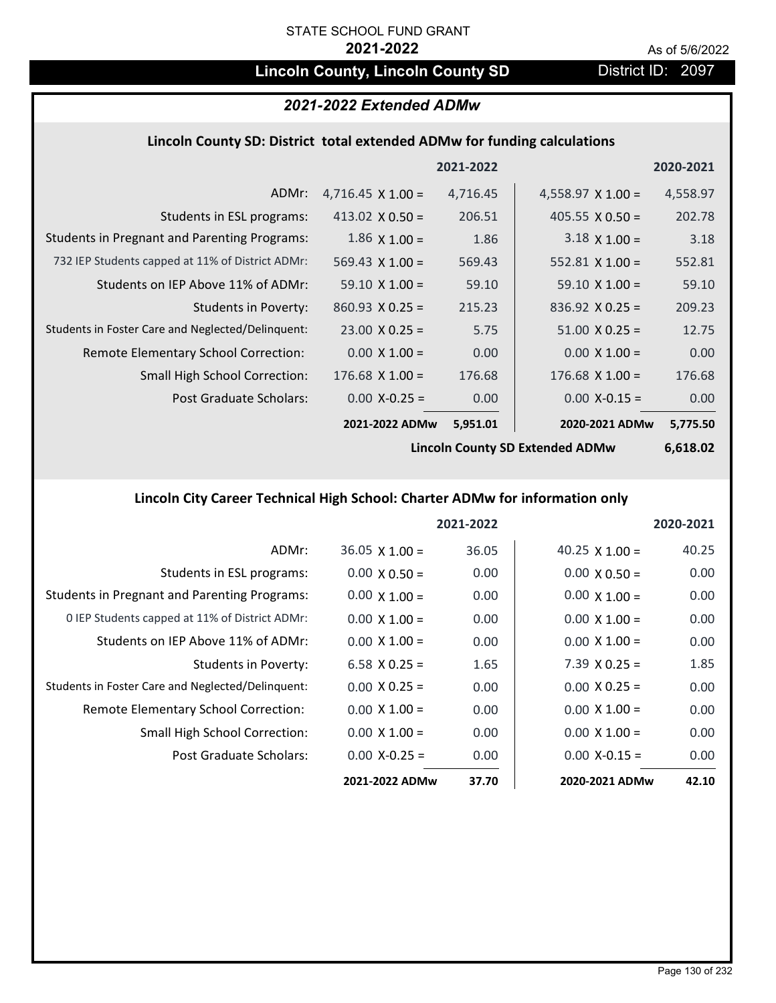# **Lincoln County, Lincoln County SD** District ID: 2097

# *2021-2022 Extended ADMw*

### **Lincoln County SD: District total extended ADMw for funding calculations**

|                                                     |                          | 2021-2022 |                          | 2020-2021 |
|-----------------------------------------------------|--------------------------|-----------|--------------------------|-----------|
| ADMr:                                               | $4,716.45 \times 1.00 =$ | 4,716.45  | 4,558.97 $\times$ 1.00 = | 4,558.97  |
| Students in ESL programs:                           | 413.02 $X$ 0.50 =        | 206.51    | $405.55 \times 0.50 =$   | 202.78    |
| <b>Students in Pregnant and Parenting Programs:</b> | $1.86 \times 1.00 =$     | 1.86      | $3.18 \times 1.00 =$     | 3.18      |
| 732 IEP Students capped at 11% of District ADMr:    | $569.43 \times 1.00 =$   | 569.43    | 552.81 $\times$ 1.00 =   | 552.81    |
| Students on IEP Above 11% of ADMr:                  | $59.10 \times 1.00 =$    | 59.10     | $59.10 \times 1.00 =$    | 59.10     |
| <b>Students in Poverty:</b>                         | $860.93 \times 0.25 =$   | 215.23    | $836.92 \times 0.25 =$   | 209.23    |
| Students in Foster Care and Neglected/Delinquent:   | $23.00 \times 0.25 =$    | 5.75      | $51.00 \times 0.25 =$    | 12.75     |
| Remote Elementary School Correction:                | $0.00 \times 1.00 =$     | 0.00      | $0.00 \times 1.00 =$     | 0.00      |
| <b>Small High School Correction:</b>                | $176.68$ X $1.00 =$      | 176.68    | $176.68$ X $1.00 =$      | 176.68    |
| Post Graduate Scholars:                             | $0.00$ X-0.25 =          | 0.00      | $0.00$ X-0.15 =          | 0.00      |
|                                                     | 2021-2022 ADMw           | 5,951.01  | 2020-2021 ADMw           | 5,775.50  |

**Lincoln County SD Extended ADMw**

**6,618.02**

# **Lincoln City Career Technical High School: Charter ADMw for information only**

|                                                     |                       | 2021-2022 |                       | 2020-2021 |
|-----------------------------------------------------|-----------------------|-----------|-----------------------|-----------|
| ADMr:                                               | $36.05 \times 1.00 =$ | 36.05     | 40.25 $\times$ 1.00 = | 40.25     |
| Students in ESL programs:                           | $0.00 \times 0.50 =$  | 0.00      | $0.00 \times 0.50 =$  | 0.00      |
| <b>Students in Pregnant and Parenting Programs:</b> | $0.00 \times 1.00 =$  | 0.00      | $0.00 \times 1.00 =$  | 0.00      |
| 0 IEP Students capped at 11% of District ADMr:      | $0.00 \times 1.00 =$  | 0.00      | $0.00 \times 1.00 =$  | 0.00      |
| Students on IEP Above 11% of ADMr:                  | $0.00 \times 1.00 =$  | 0.00      | $0.00 \times 1.00 =$  | 0.00      |
| Students in Poverty:                                | $6.58$ X 0.25 =       | 1.65      | $7.39 \times 0.25 =$  | 1.85      |
| Students in Foster Care and Neglected/Delinquent:   | $0.00 \times 0.25 =$  | 0.00      | $0.00 \times 0.25 =$  | 0.00      |
| Remote Elementary School Correction:                | $0.00 \times 1.00 =$  | 0.00      | $0.00 \times 1.00 =$  | 0.00      |
| <b>Small High School Correction:</b>                | $0.00 \times 1.00 =$  | 0.00      | $0.00 \times 1.00 =$  | 0.00      |
| Post Graduate Scholars:                             | $0.00$ X-0.25 =       | 0.00      | $0.00 X - 0.15 =$     | 0.00      |
|                                                     | 2021-2022 ADMw        | 37.70     | 2020-2021 ADMw        | 42.10     |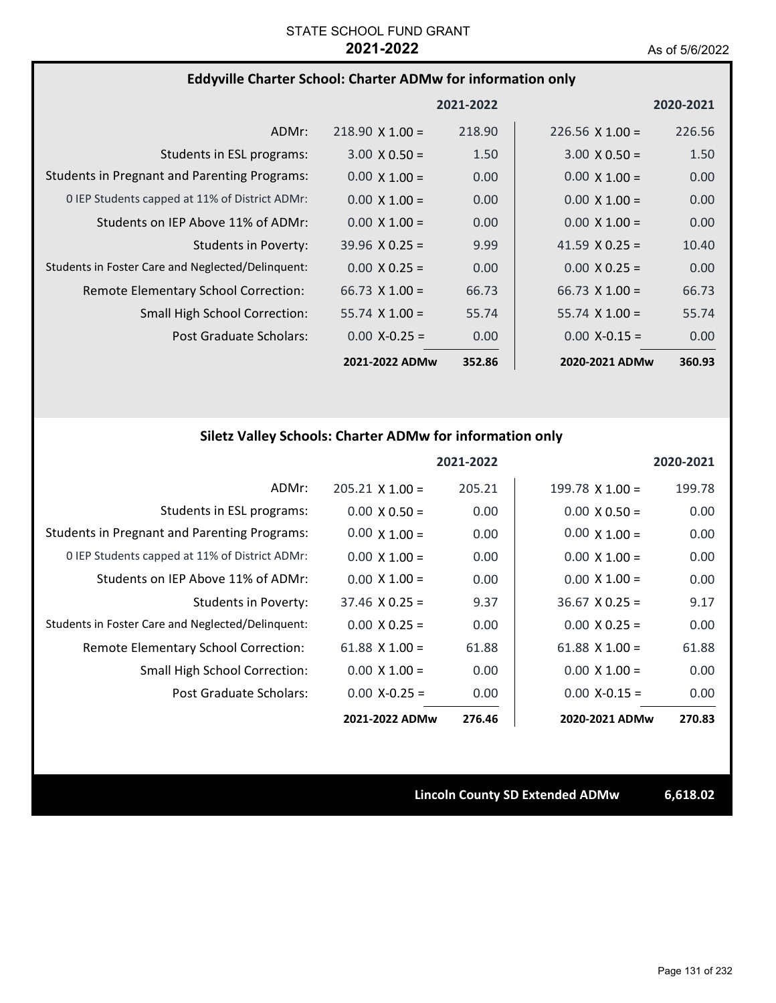### **Eddyville Charter School: Charter ADMw for information only**

|                                                     |                        | 2021-2022 |                        | 2020-2021 |
|-----------------------------------------------------|------------------------|-----------|------------------------|-----------|
| ADMr:                                               | $218.90 \times 1.00 =$ | 218.90    | $226.56 \times 1.00 =$ | 226.56    |
| Students in ESL programs:                           | $3.00 \times 0.50 =$   | 1.50      | $3.00 \times 0.50 =$   | 1.50      |
| <b>Students in Pregnant and Parenting Programs:</b> | $0.00 \times 1.00 =$   | 0.00      | $0.00 \times 1.00 =$   | 0.00      |
| 0 IEP Students capped at 11% of District ADMr:      | $0.00 \times 1.00 =$   | 0.00      | $0.00 \times 1.00 =$   | 0.00      |
| Students on IEP Above 11% of ADMr:                  | $0.00 \times 1.00 =$   | 0.00      | $0.00 \times 1.00 =$   | 0.00      |
| Students in Poverty:                                | $39.96 \times 0.25 =$  | 9.99      | 41.59 $\times$ 0.25 =  | 10.40     |
| Students in Foster Care and Neglected/Delinquent:   | $0.00 \times 0.25 =$   | 0.00      | $0.00 \times 0.25 =$   | 0.00      |
| Remote Elementary School Correction:                | 66.73 $\times$ 1.00 =  | 66.73     | $66.73 \times 1.00 =$  | 66.73     |
| <b>Small High School Correction:</b>                | $55.74 \times 1.00 =$  | 55.74     | $55.74 \times 1.00 =$  | 55.74     |
| Post Graduate Scholars:                             | $0.00$ X-0.25 =        | 0.00      | $0.00$ X-0.15 =        | 0.00      |
|                                                     | 2021-2022 ADMw         | 352.86    | 2020-2021 ADMw         | 360.93    |

# **Siletz Valley Schools: Charter ADMw for information only**

|                                                     |                       | 2021-2022 |                        | 2020-2021 |
|-----------------------------------------------------|-----------------------|-----------|------------------------|-----------|
| ADMr:                                               | $205.21$ X 1.00 =     | 205.21    | $199.78 \times 1.00 =$ | 199.78    |
| Students in ESL programs:                           | $0.00 \times 0.50 =$  | 0.00      | $0.00 \times 0.50 =$   | 0.00      |
| <b>Students in Pregnant and Parenting Programs:</b> | $0.00 \times 1.00 =$  | 0.00      | $0.00 \times 1.00 =$   | 0.00      |
| 0 IEP Students capped at 11% of District ADMr:      | $0.00 \times 1.00 =$  | 0.00      | $0.00 \times 1.00 =$   | 0.00      |
| Students on IEP Above 11% of ADMr:                  | $0.00 \times 1.00 =$  | 0.00      | $0.00 \times 1.00 =$   | 0.00      |
| Students in Poverty:                                | $37.46 \times 0.25 =$ | 9.37      | $36.67 \times 0.25 =$  | 9.17      |
| Students in Foster Care and Neglected/Delinquent:   | $0.00 \times 0.25 =$  | 0.00      | $0.00 \times 0.25 =$   | 0.00      |
| Remote Elementary School Correction:                | 61.88 $X$ 1.00 =      | 61.88     | 61.88 $X$ 1.00 =       | 61.88     |
| <b>Small High School Correction:</b>                | $0.00 \times 1.00 =$  | 0.00      | $0.00 \times 1.00 =$   | 0.00      |
| Post Graduate Scholars:                             | $0.00$ X-0.25 =       | 0.00      | $0.00 X - 0.15 =$      | 0.00      |
|                                                     | 2021-2022 ADMw        | 276.46    | 2020-2021 ADMw         | 270.83    |

**Lincoln County SD Extended ADMw 6,618.02**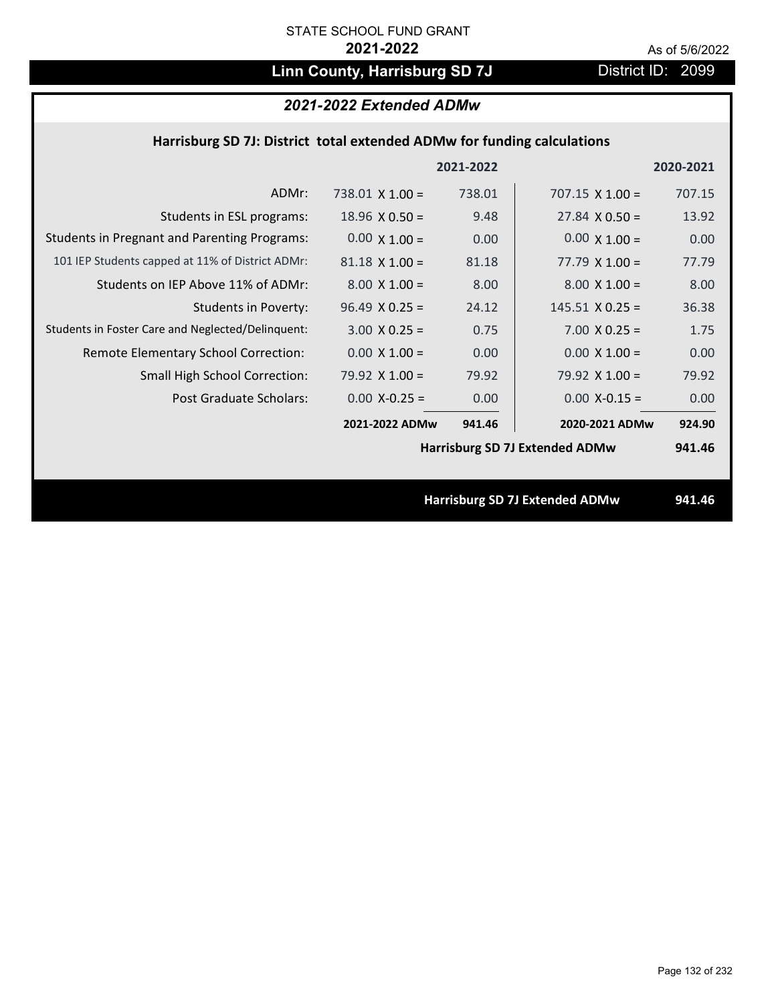# Linn County, Harrisburg SD 7J District ID: 2099

# *2021-2022 Extended ADMw*

## **Harrisburg SD 7J: District total extended ADMw for funding calculations**

|                                                     |                       | 2021-2022 |                                       | 2020-2021 |
|-----------------------------------------------------|-----------------------|-----------|---------------------------------------|-----------|
| ADMr:                                               | $738.01$ X 1.00 =     | 738.01    | $707.15 \times 1.00 =$                | 707.15    |
| Students in ESL programs:                           | $18.96 \times 0.50 =$ | 9.48      | $27.84 \times 0.50 =$                 | 13.92     |
| <b>Students in Pregnant and Parenting Programs:</b> | $0.00 \times 1.00 =$  | 0.00      | $0.00 \times 1.00 =$                  | 0.00      |
| 101 IEP Students capped at 11% of District ADMr:    | $81.18 \times 1.00 =$ | 81.18     | $77.79 \times 1.00 =$                 | 77.79     |
| Students on IEP Above 11% of ADMr:                  | $8.00 \times 1.00 =$  | 8.00      | $8.00 \times 1.00 =$                  | 8.00      |
| Students in Poverty:                                | $96.49 \times 0.25 =$ | 24.12     | $145.51$ X 0.25 =                     | 36.38     |
| Students in Foster Care and Neglected/Delinquent:   | $3.00 \times 0.25 =$  | 0.75      | $7.00 \times 0.25 =$                  | 1.75      |
| Remote Elementary School Correction:                | $0.00 \times 1.00 =$  | 0.00      | $0.00 \times 1.00 =$                  | 0.00      |
| <b>Small High School Correction:</b>                | 79.92 $\times$ 1.00 = | 79.92     | 79.92 $X$ 1.00 =                      | 79.92     |
| Post Graduate Scholars:                             | $0.00$ X-0.25 =       | 0.00      | $0.00$ X-0.15 =                       | 0.00      |
|                                                     | 2021-2022 ADMw        | 941.46    | 2020-2021 ADMw                        | 924.90    |
|                                                     |                       |           | <b>Harrisburg SD 7J Extended ADMw</b> | 941.46    |
|                                                     |                       |           |                                       |           |
|                                                     |                       |           | <b>Harrisburg SD 7J Extended ADMw</b> | 941.46    |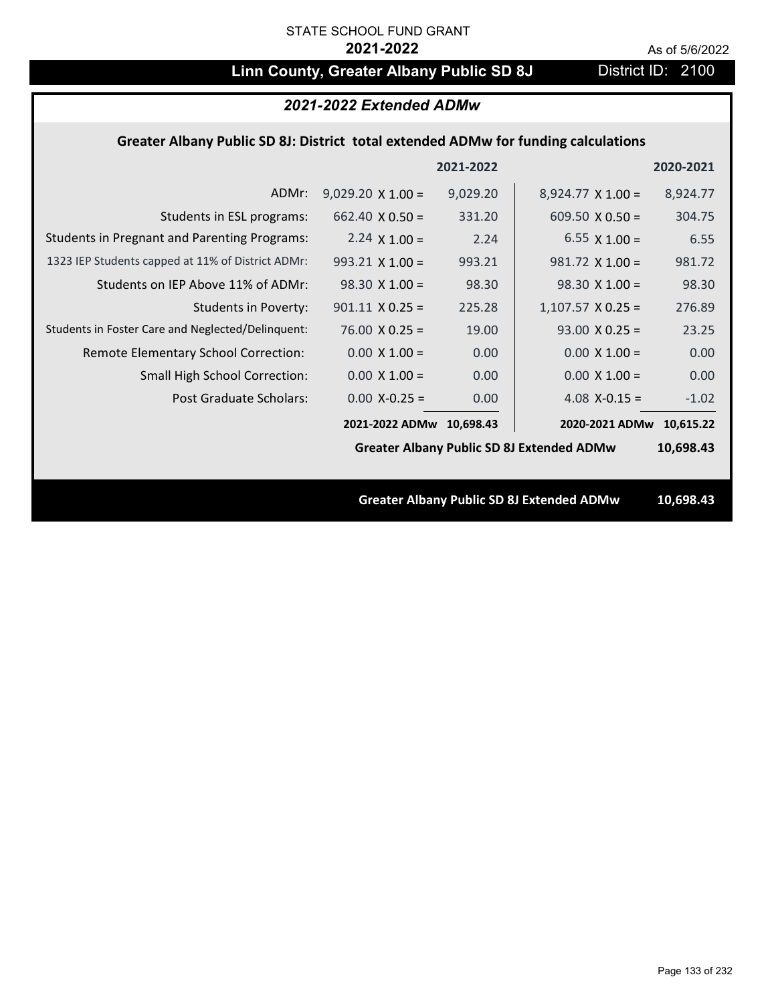# **Linn County, Greater Albany Public SD 8J** District ID: 2100

|                                                                                    | 2021-2022 Extended ADMw  |           |                                                  |           |
|------------------------------------------------------------------------------------|--------------------------|-----------|--------------------------------------------------|-----------|
| Greater Albany Public SD 8J: District total extended ADMw for funding calculations |                          |           |                                                  |           |
|                                                                                    |                          | 2021-2022 |                                                  | 2020-2021 |
| ADMr:                                                                              | $9,029.20 \times 1.00 =$ | 9,029.20  | $8,924.77 \times 1.00 =$                         | 8,924.77  |
| Students in ESL programs:                                                          | $662.40 \times 0.50 =$   | 331.20    | 609.50 $\times$ 0.50 =                           | 304.75    |
| <b>Students in Pregnant and Parenting Programs:</b>                                | $2.24 \times 1.00 =$     | 2.24      | 6.55 $\times$ 1.00 =                             | 6.55      |
| 1323 IEP Students capped at 11% of District ADMr:                                  | $993.21 \times 1.00 =$   | 993.21    | $981.72 \times 1.00 =$                           | 981.72    |
| Students on IEP Above 11% of ADMr:                                                 | $98.30 X 1.00 =$         | 98.30     | $98.30 \times 1.00 =$                            | 98.30     |
| <b>Students in Poverty:</b>                                                        | $901.11 \times 0.25 =$   | 225.28    | $1,107.57$ X 0.25 =                              | 276.89    |
| Students in Foster Care and Neglected/Delinquent:                                  | $76.00 \times 0.25 =$    | 19.00     | $93.00 \times 0.25 =$                            | 23.25     |
| Remote Elementary School Correction:                                               | $0.00 \times 1.00 =$     | 0.00      | $0.00 \times 1.00 =$                             | 0.00      |
| Small High School Correction:                                                      | $0.00 \times 1.00 =$     | 0.00      | $0.00 \times 1.00 =$                             | 0.00      |
| <b>Post Graduate Scholars:</b>                                                     | $0.00$ X-0.25 =          | 0.00      | $4.08$ X-0.15 =                                  | $-1.02$   |
|                                                                                    | 2021-2022 ADMw 10,698.43 |           | 2020-2021 ADMw                                   | 10,615.22 |
|                                                                                    |                          |           | <b>Greater Albany Public SD 8J Extended ADMw</b> | 10,698.43 |
|                                                                                    |                          |           |                                                  |           |
|                                                                                    |                          |           | <b>Greater Albany Public SD 8J Extended ADMw</b> | 10,698.43 |
|                                                                                    |                          |           |                                                  |           |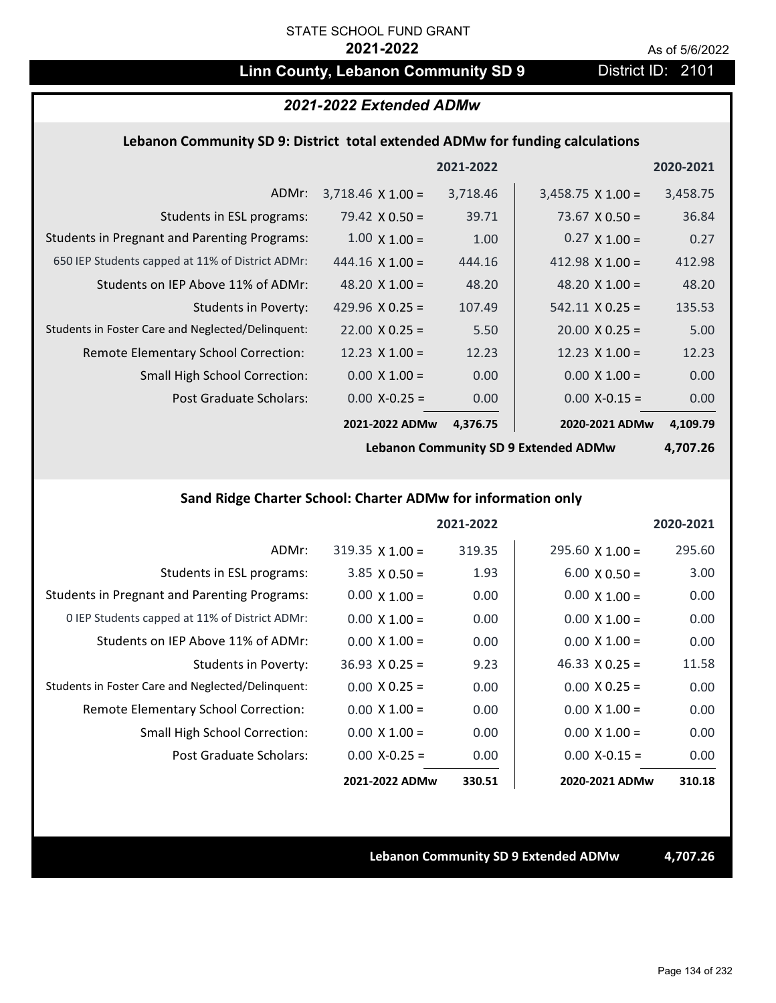# Linn County, Lebanon Community SD 9 District ID: 2101

# *2021-2022 Extended ADMw*

### **Lebanon Community SD 9: District total extended ADMw for funding calculations**

|                                                     |                          | 2021-2022 |                          | 2020-2021 |
|-----------------------------------------------------|--------------------------|-----------|--------------------------|-----------|
| ADMr:                                               | $3,718.46 \times 1.00 =$ | 3,718.46  | $3,458.75 \times 1.00 =$ | 3,458.75  |
| Students in ESL programs:                           | 79.42 $\times$ 0.50 =    | 39.71     | 73.67 $\times$ 0.50 =    | 36.84     |
| <b>Students in Pregnant and Parenting Programs:</b> | $1.00 \times 1.00 =$     | 1.00      | $0.27 \times 1.00 =$     | 0.27      |
| 650 IEP Students capped at 11% of District ADMr:    | $444.16 \times 1.00 =$   | 444.16    | 412.98 $\times$ 1.00 =   | 412.98    |
| Students on IEP Above 11% of ADMr:                  | 48.20 $X$ 1.00 =         | 48.20     | 48.20 $\times$ 1.00 =    | 48.20     |
| <b>Students in Poverty:</b>                         | 429.96 $X$ 0.25 =        | 107.49    | $542.11 \times 0.25 =$   | 135.53    |
| Students in Foster Care and Neglected/Delinquent:   | $22.00 \times 0.25 =$    | 5.50      | $20.00 \times 0.25 =$    | 5.00      |
| Remote Elementary School Correction:                | 12.23 $\times$ 1.00 =    | 12.23     | $12.23 \times 1.00 =$    | 12.23     |
| <b>Small High School Correction:</b>                | $0.00 \times 1.00 =$     | 0.00      | $0.00 \times 1.00 =$     | 0.00      |
| Post Graduate Scholars:                             | $0.00 X - 0.25 =$        | 0.00      | $0.00$ X-0.15 =          | 0.00      |
|                                                     | 2021-2022 ADMw           | 4,376.75  | 2020-2021 ADMw           | 4,109.79  |

**Lebanon Community SD 9 Extended ADMw**

**4,707.26**

# **Sand Ridge Charter School: Charter ADMw for information only**

|                                                     |                        | 2021-2022 |                       | 2020-2021 |
|-----------------------------------------------------|------------------------|-----------|-----------------------|-----------|
| ADMr:                                               | $319.35 \times 1.00 =$ | 319.35    | $295.60$ X 1.00 =     | 295.60    |
| Students in ESL programs:                           | $3.85 \times 0.50 =$   | 1.93      | $6.00 \times 0.50 =$  | 3.00      |
| <b>Students in Pregnant and Parenting Programs:</b> | $0.00 \times 1.00 =$   | 0.00      | $0.00 \times 1.00 =$  | 0.00      |
| 0 IEP Students capped at 11% of District ADMr:      | $0.00 \times 1.00 =$   | 0.00      | $0.00 \times 1.00 =$  | 0.00      |
| Students on IEP Above 11% of ADMr:                  | $0.00 \times 1.00 =$   | 0.00      | $0.00 \times 1.00 =$  | 0.00      |
| Students in Poverty:                                | $36.93 \times 0.25 =$  | 9.23      | 46.33 $\times$ 0.25 = | 11.58     |
| Students in Foster Care and Neglected/Delinquent:   | $0.00 \times 0.25 =$   | 0.00      | $0.00 \times 0.25 =$  | 0.00      |
| Remote Elementary School Correction:                | $0.00 \times 1.00 =$   | 0.00      | $0.00 \times 1.00 =$  | 0.00      |
| <b>Small High School Correction:</b>                | $0.00 X 1.00 =$        | 0.00      | $0.00 \times 1.00 =$  | 0.00      |
| Post Graduate Scholars:                             | $0.00$ X-0.25 =        | 0.00      | $0.00 X-0.15 =$       | 0.00      |
|                                                     | 2021-2022 ADMw         | 330.51    | 2020-2021 ADMw        | 310.18    |

**Lebanon Community SD 9 Extended ADMw 4,707.26**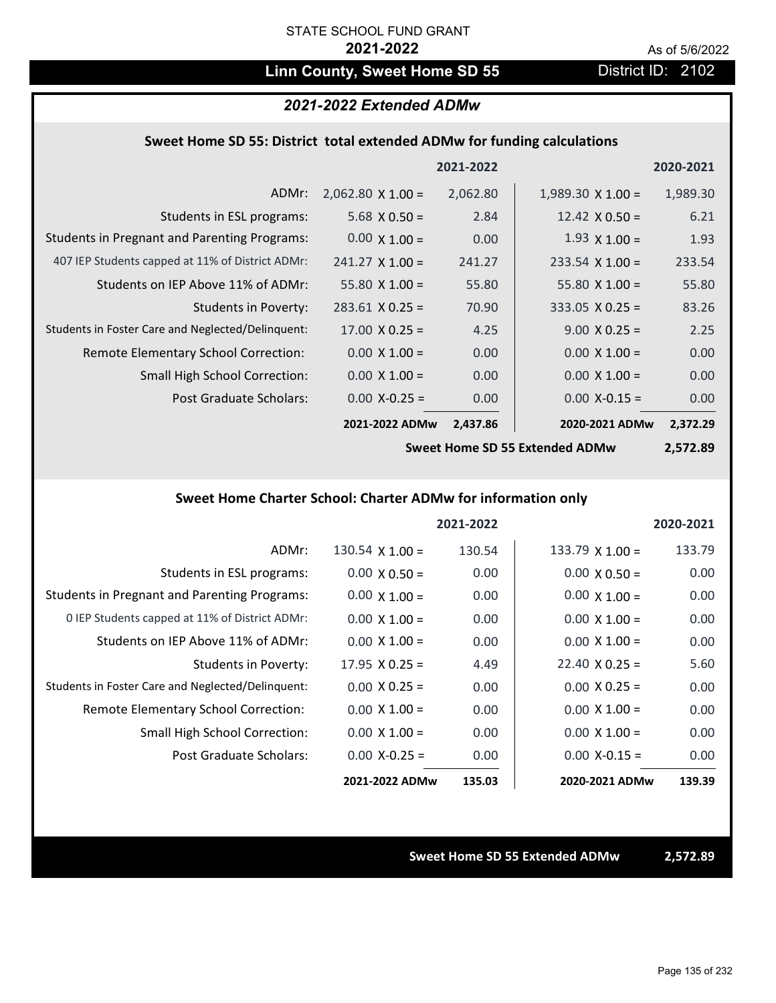# Linn County, Sweet Home SD 55 District ID: 2102

### *2021-2022 Extended ADMw*

### **Sweet Home SD 55: District total extended ADMw for funding calculations**

|                                                     |                          | 2021-2022 |                          | 2020-2021 |
|-----------------------------------------------------|--------------------------|-----------|--------------------------|-----------|
| ADMr:                                               | $2,062.80 \times 1.00 =$ | 2,062.80  | $1,989.30 \times 1.00 =$ | 1,989.30  |
| Students in ESL programs:                           | $5.68 \times 0.50 =$     | 2.84      | 12.42 $\times$ 0.50 =    | 6.21      |
| <b>Students in Pregnant and Parenting Programs:</b> | $0.00 \times 1.00 =$     | 0.00      | $1.93 \times 1.00 =$     | 1.93      |
| 407 IEP Students capped at 11% of District ADMr:    | $241.27 \times 1.00 =$   | 241.27    | $233.54 \times 1.00 =$   | 233.54    |
| Students on IEP Above 11% of ADMr:                  | $55.80 \times 1.00 =$    | 55.80     | 55.80 $X$ 1.00 =         | 55.80     |
| <b>Students in Poverty:</b>                         | $283.61$ X 0.25 =        | 70.90     | $333.05$ X 0.25 =        | 83.26     |
| Students in Foster Care and Neglected/Delinquent:   | $17.00 \times 0.25 =$    | 4.25      | $9.00 \times 0.25 =$     | 2.25      |
| Remote Elementary School Correction:                | $0.00 \times 1.00 =$     | 0.00      | $0.00 \times 1.00 =$     | 0.00      |
| <b>Small High School Correction:</b>                | $0.00 \times 1.00 =$     | 0.00      | $0.00 \times 1.00 =$     | 0.00      |
| Post Graduate Scholars:                             | $0.00 X - 0.25 =$        | 0.00      | $0.00$ X-0.15 =          | 0.00      |
|                                                     | 2021-2022 ADMw           | 2,437.86  | 2020-2021 ADMw           | 2,372.29  |

**Sweet Home SD 55 Extended ADMw**

**2,572.89**

# **Sweet Home Charter School: Charter ADMw for information only**

|                                                     |                        | 2021-2022 |                       | 2020-2021 |
|-----------------------------------------------------|------------------------|-----------|-----------------------|-----------|
| ADMr:                                               | $130.54 \times 1.00 =$ | 130.54    | $133.79$ X 1.00 =     | 133.79    |
| Students in ESL programs:                           | $0.00 \times 0.50 =$   | 0.00      | $0.00 \times 0.50 =$  | 0.00      |
| <b>Students in Pregnant and Parenting Programs:</b> | $0.00 \times 1.00 =$   | 0.00      | $0.00 \times 1.00 =$  | 0.00      |
| 0 IEP Students capped at 11% of District ADMr:      | $0.00 \times 1.00 =$   | 0.00      | $0.00 \times 1.00 =$  | 0.00      |
| Students on IEP Above 11% of ADMr:                  | $0.00 \times 1.00 =$   | 0.00      | $0.00 \times 1.00 =$  | 0.00      |
| Students in Poverty:                                | $17.95 \times 0.25 =$  | 4.49      | $22.40 \times 0.25 =$ | 5.60      |
| Students in Foster Care and Neglected/Delinquent:   | $0.00 \times 0.25 =$   | 0.00      | $0.00 \times 0.25 =$  | 0.00      |
| Remote Elementary School Correction:                | $0.00 \times 1.00 =$   | 0.00      | $0.00 \times 1.00 =$  | 0.00      |
| <b>Small High School Correction:</b>                | $0.00 \times 1.00 =$   | 0.00      | $0.00 \times 1.00 =$  | 0.00      |
| Post Graduate Scholars:                             | $0.00 X - 0.25 =$      | 0.00      | $0.00 X-0.15 =$       | 0.00      |
|                                                     | 2021-2022 ADMw         | 135.03    | 2020-2021 ADMw        | 139.39    |

**Sweet Home SD 55 Extended ADMw 2,572.89**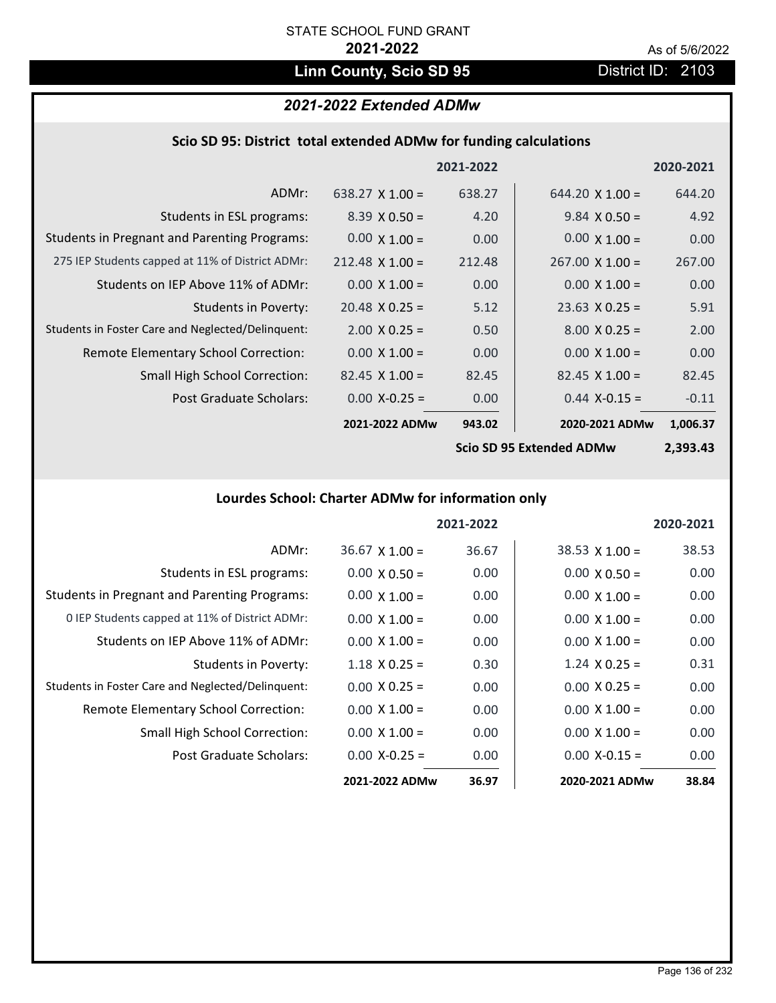# Linn County, Scio SD 95 **District ID: 2103**

# *2021-2022 Extended ADMw*

|  |  | Scio SD 95: District total extended ADMw for funding calculations |  |
|--|--|-------------------------------------------------------------------|--|
|--|--|-------------------------------------------------------------------|--|

|                                                     |                        | 2021-2022 |                         | 2020-2021 |
|-----------------------------------------------------|------------------------|-----------|-------------------------|-----------|
| ADMr:                                               | $638.27 \times 1.00 =$ | 638.27    | $644.20 \times 1.00 =$  | 644.20    |
| Students in ESL programs:                           | $8.39 \times 0.50 =$   | 4.20      | $9.84 \times 0.50 =$    | 4.92      |
| <b>Students in Pregnant and Parenting Programs:</b> | $0.00 \times 1.00 =$   | 0.00      | $0.00 \times 1.00 =$    | 0.00      |
| 275 IEP Students capped at 11% of District ADMr:    | $212.48 \times 1.00 =$ | 212.48    | $267.00 \times 1.00 =$  | 267.00    |
| Students on IEP Above 11% of ADMr:                  | $0.00 \times 1.00 =$   | 0.00      | $0.00 \times 1.00 =$    | 0.00      |
| <b>Students in Poverty:</b>                         | $20.48 \times 0.25 =$  | 5.12      | $23.63 \times 0.25 =$   | 5.91      |
| Students in Foster Care and Neglected/Delinquent:   | $2.00 \times 0.25 =$   | 0.50      | $8.00 \times 0.25 =$    | 2.00      |
| Remote Elementary School Correction:                | $0.00 \times 1.00 =$   | 0.00      | $0.00 \times 1.00 =$    | 0.00      |
| <b>Small High School Correction:</b>                | $82.45$ X 1.00 =       | 82.45     | $82.45$ X 1.00 =        | 82.45     |
| Post Graduate Scholars:                             | $0.00 X-0.25 =$        | 0.00      | $0.44$ X-0.15 =         | $-0.11$   |
|                                                     | 2021-2022 ADMw         | 943.02    | 2020-2021 ADMw          | 1,006.37  |
|                                                     |                        |           | Cain CD OF Futnaded ADM | רו רחר ר  |

**Scio SD 95 Extended ADMw**

**2,393.43**

# **Lourdes School: Charter ADMw for information only**

|                                                     |                       | 2021-2022 |                      | 2020-2021 |
|-----------------------------------------------------|-----------------------|-----------|----------------------|-----------|
| ADMr:                                               | $36.67 \times 1.00 =$ | 36.67     | $38.53$ X 1.00 =     | 38.53     |
| Students in ESL programs:                           | $0.00 \times 0.50 =$  | 0.00      | $0.00 \times 0.50 =$ | 0.00      |
| <b>Students in Pregnant and Parenting Programs:</b> | $0.00 \times 1.00 =$  | 0.00      | $0.00 \times 1.00 =$ | 0.00      |
| 0 IEP Students capped at 11% of District ADMr:      | $0.00 \times 1.00 =$  | 0.00      | $0.00 \times 1.00 =$ | 0.00      |
| Students on IEP Above 11% of ADMr:                  | $0.00 \times 1.00 =$  | 0.00      | $0.00 \times 1.00 =$ | 0.00      |
| Students in Poverty:                                | $1.18 \times 0.25 =$  | 0.30      | $1.24 \times 0.25 =$ | 0.31      |
| Students in Foster Care and Neglected/Delinquent:   | $0.00 \times 0.25 =$  | 0.00      | $0.00 \times 0.25 =$ | 0.00      |
| Remote Elementary School Correction:                | $0.00 \times 1.00 =$  | 0.00      | $0.00 \times 1.00 =$ | 0.00      |
| <b>Small High School Correction:</b>                | $0.00 \times 1.00 =$  | 0.00      | $0.00 \times 1.00 =$ | 0.00      |
| Post Graduate Scholars:                             | $0.00 X - 0.25 =$     | 0.00      | $0.00 X-0.15 =$      | 0.00      |
|                                                     | 2021-2022 ADMw        | 36.97     | 2020-2021 ADMw       | 38.84     |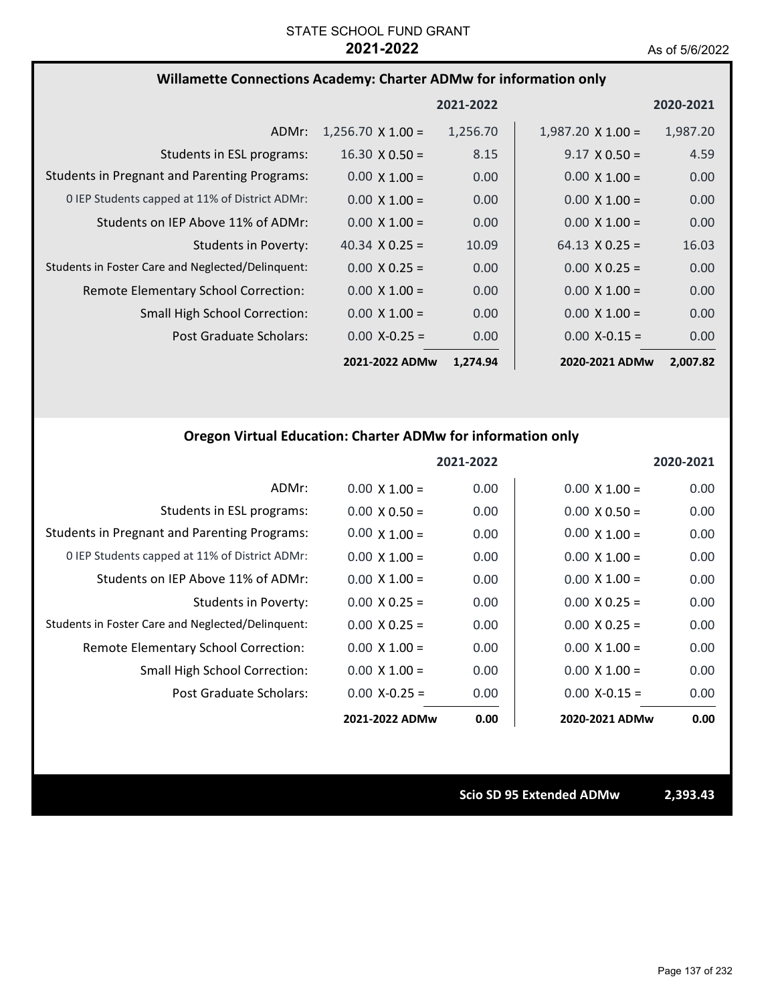## **Willamette Connections Academy: Charter ADMw for information only**

|                                                     |                          | 2021-2022 |                          | 2020-2021 |
|-----------------------------------------------------|--------------------------|-----------|--------------------------|-----------|
| ADMr:                                               | $1,256.70 \times 1.00 =$ | 1,256.70  | $1,987.20 \times 1.00 =$ | 1,987.20  |
| Students in ESL programs:                           | $16.30 \times 0.50 =$    | 8.15      | $9.17 \times 0.50 =$     | 4.59      |
| <b>Students in Pregnant and Parenting Programs:</b> | $0.00 \times 1.00 =$     | 0.00      | $0.00 \times 1.00 =$     | 0.00      |
| 0 IEP Students capped at 11% of District ADMr:      | $0.00 \times 1.00 =$     | 0.00      | $0.00 \times 1.00 =$     | 0.00      |
| Students on IEP Above 11% of ADMr:                  | $0.00 \times 1.00 =$     | 0.00      | $0.00 \times 1.00 =$     | 0.00      |
| Students in Poverty:                                | 40.34 $\times$ 0.25 =    | 10.09     | $64.13 \times 0.25 =$    | 16.03     |
| Students in Foster Care and Neglected/Delinquent:   | $0.00 \times 0.25 =$     | 0.00      | $0.00 \times 0.25 =$     | 0.00      |
| Remote Elementary School Correction:                | $0.00 \times 1.00 =$     | 0.00      | $0.00 \times 1.00 =$     | 0.00      |
| <b>Small High School Correction:</b>                | $0.00 \times 1.00 =$     | 0.00      | $0.00 \times 1.00 =$     | 0.00      |
| Post Graduate Scholars:                             | $0.00 X - 0.25 =$        | 0.00      | $0.00 X - 0.15 =$        | 0.00      |
|                                                     | 2021-2022 ADMw           | 1,274.94  | 2020-2021 ADMw           | 2,007.82  |

## **Oregon Virtual Education: Charter ADMw for information only**

|                                                     |                      | 2021-2022 |                      | 2020-2021 |
|-----------------------------------------------------|----------------------|-----------|----------------------|-----------|
| ADMr:                                               | $0.00 \times 1.00 =$ | 0.00      | $0.00 \times 1.00 =$ | 0.00      |
| Students in ESL programs:                           | $0.00 \times 0.50 =$ | 0.00      | $0.00 \times 0.50 =$ | 0.00      |
| <b>Students in Pregnant and Parenting Programs:</b> | $0.00 \times 1.00 =$ | 0.00      | $0.00 \times 1.00 =$ | 0.00      |
| 0 IEP Students capped at 11% of District ADMr:      | $0.00 \times 1.00 =$ | 0.00      | $0.00 \times 1.00 =$ | 0.00      |
| Students on IEP Above 11% of ADMr:                  | $0.00 \times 1.00 =$ | 0.00      | $0.00 \times 1.00 =$ | 0.00      |
| Students in Poverty:                                | $0.00 \times 0.25 =$ | 0.00      | $0.00 \times 0.25 =$ | 0.00      |
| Students in Foster Care and Neglected/Delinquent:   | $0.00 \times 0.25 =$ | 0.00      | $0.00 \times 0.25 =$ | 0.00      |
| Remote Elementary School Correction:                | $0.00 \times 1.00 =$ | 0.00      | $0.00 \times 1.00 =$ | 0.00      |
| Small High School Correction:                       | $0.00 \times 1.00 =$ | 0.00      | $0.00 \times 1.00 =$ | 0.00      |
| Post Graduate Scholars:                             | $0.00$ X-0.25 =      | 0.00      | $0.00 X - 0.15 =$    | 0.00      |
|                                                     | 2021-2022 ADMw       | 0.00      | 2020-2021 ADMw       | 0.00      |

**Scio SD 95 Extended ADMw 2,393.43**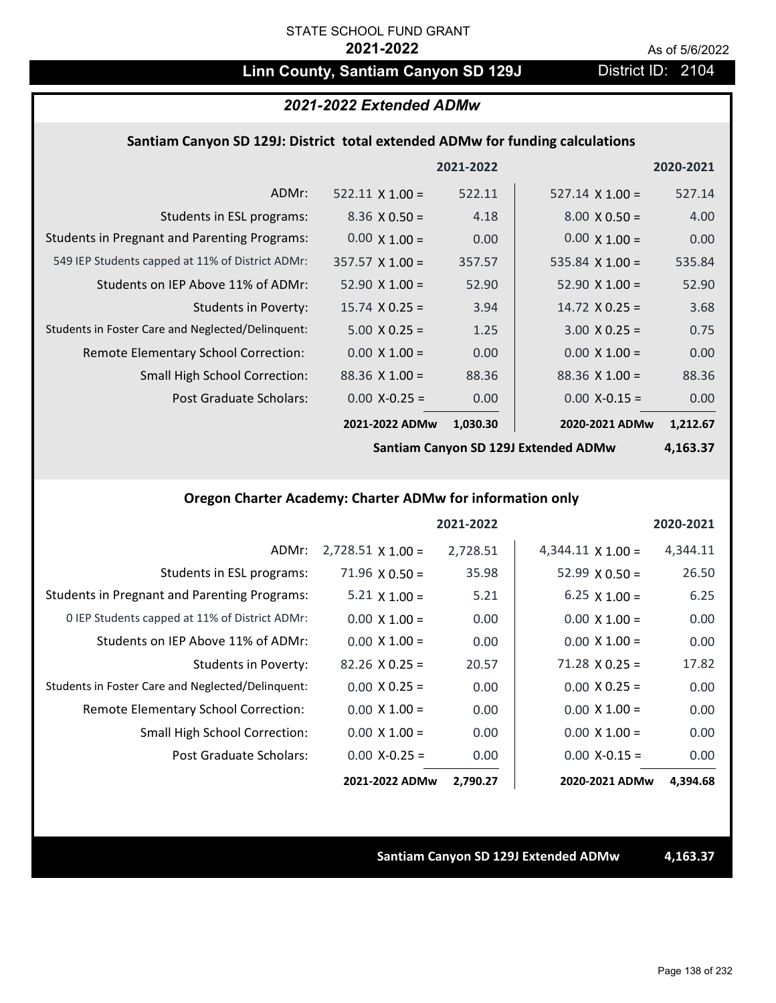# Linn County, Santiam Canyon SD 129J District ID: 2104

### *2021-2022 Extended ADMw*

### **Santiam Canyon SD 129J: District total extended ADMw for funding calculations**

|                                                     |                        | 2021-2022 |                        | 2020-2021 |
|-----------------------------------------------------|------------------------|-----------|------------------------|-----------|
| ADMr:                                               | $522.11 \times 1.00 =$ | 522.11    | $527.14 \times 1.00 =$ | 527.14    |
| Students in ESL programs:                           | $8.36 \times 0.50 =$   | 4.18      | $8.00 \times 0.50 =$   | 4.00      |
| <b>Students in Pregnant and Parenting Programs:</b> | $0.00 \times 1.00 =$   | 0.00      | $0.00 \times 1.00 =$   | 0.00      |
| 549 IEP Students capped at 11% of District ADMr:    | $357.57 \times 1.00 =$ | 357.57    | $535.84 \times 1.00 =$ | 535.84    |
| Students on IEP Above 11% of ADMr:                  | $52.90 \times 1.00 =$  | 52.90     | $52.90 \times 1.00 =$  | 52.90     |
| <b>Students in Poverty:</b>                         | $15.74 \times 0.25 =$  | 3.94      | $14.72$ X 0.25 =       | 3.68      |
| Students in Foster Care and Neglected/Delinquent:   | $5.00 \times 0.25 =$   | 1.25      | $3.00 \times 0.25 =$   | 0.75      |
| Remote Elementary School Correction:                | $0.00 \times 1.00 =$   | 0.00      | $0.00 \times 1.00 =$   | 0.00      |
| <b>Small High School Correction:</b>                | $88.36 \times 1.00 =$  | 88.36     | $88.36 \times 1.00 =$  | 88.36     |
| Post Graduate Scholars:                             | $0.00 X - 0.25 =$      | 0.00      | $0.00$ X-0.15 =        | 0.00      |
|                                                     | 2021-2022 ADMw         | 1,030.30  | 2020-2021 ADMw         | 1,212.67  |

**Santiam Canyon SD 129J Extended ADMw**

**4,163.37**

## **Oregon Charter Academy: Charter ADMw for information only**

|                                                     |                          | 2021-2022 |                          | 2020-2021 |
|-----------------------------------------------------|--------------------------|-----------|--------------------------|-----------|
| ADMr:                                               | $2,728.51 \times 1.00 =$ | 2,728.51  | $4,344.11 \times 1.00 =$ | 4,344.11  |
| Students in ESL programs:                           | $71.96 \times 0.50 =$    | 35.98     | $52.99 \times 0.50 =$    | 26.50     |
| <b>Students in Pregnant and Parenting Programs:</b> | 5.21 $\times$ 1.00 =     | 5.21      | 6.25 $\times$ 1.00 =     | 6.25      |
| 0 IEP Students capped at 11% of District ADMr:      | $0.00 \times 1.00 =$     | 0.00      | $0.00 \times 1.00 =$     | 0.00      |
| Students on IEP Above 11% of ADMr:                  | $0.00 \times 1.00 =$     | 0.00      | $0.00 \times 1.00 =$     | 0.00      |
| Students in Poverty:                                | $82.26 \times 0.25 =$    | 20.57     | $71.28 \times 0.25 =$    | 17.82     |
| Students in Foster Care and Neglected/Delinquent:   | $0.00 \times 0.25 =$     | 0.00      | $0.00 \times 0.25 =$     | 0.00      |
| Remote Elementary School Correction:                | $0.00 \times 1.00 =$     | 0.00      | $0.00 \times 1.00 =$     | 0.00      |
| <b>Small High School Correction:</b>                | $0.00 \times 1.00 =$     | 0.00      | $0.00 \times 1.00 =$     | 0.00      |
| Post Graduate Scholars:                             | $0.00$ X-0.25 =          | 0.00      | $0.00$ X-0.15 =          | 0.00      |
|                                                     | 2021-2022 ADMw           | 2,790.27  | 2020-2021 ADMw           | 4,394.68  |

### **Santiam Canyon SD 129J Extended ADMw 4,163.37**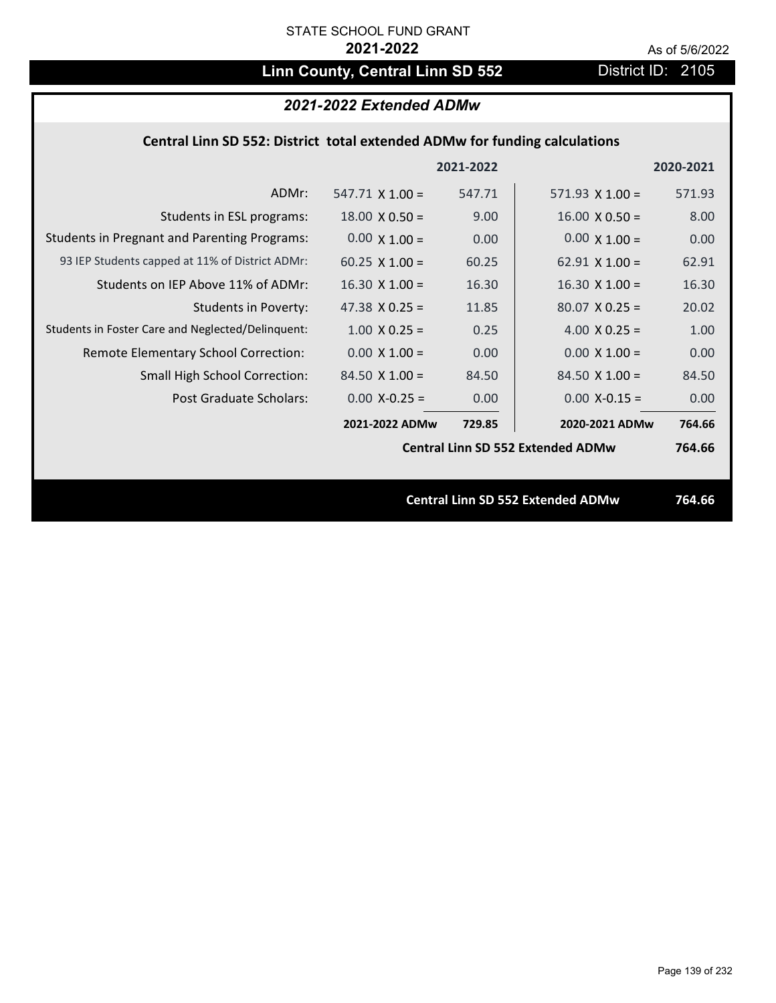# Linn County, Central Linn SD 552 District ID: 2105

# *2021-2022 Extended ADMw*

## **Central Linn SD 552: District total extended ADMw for funding calculations**

|                                                     |                        | 2021-2022 |                                          | 2020-2021 |
|-----------------------------------------------------|------------------------|-----------|------------------------------------------|-----------|
| ADMr:                                               | $547.71 \times 1.00 =$ | 547.71    | $571.93 \times 1.00 =$                   | 571.93    |
| Students in ESL programs:                           | $18.00 \times 0.50 =$  | 9.00      | $16.00 \times 0.50 =$                    | 8.00      |
| <b>Students in Pregnant and Parenting Programs:</b> | $0.00 \times 1.00 =$   | 0.00      | $0.00 \times 1.00 =$                     | 0.00      |
| 93 IEP Students capped at 11% of District ADMr:     | $60.25 \times 1.00 =$  | 60.25     | $62.91 \times 1.00 =$                    | 62.91     |
| Students on IEP Above 11% of ADMr:                  | $16.30 \times 1.00 =$  | 16.30     | $16.30 \times 1.00 =$                    | 16.30     |
| <b>Students in Poverty:</b>                         | 47.38 $X$ 0.25 =       | 11.85     | $80.07$ X 0.25 =                         | 20.02     |
| Students in Foster Care and Neglected/Delinquent:   | $1.00 \times 0.25 =$   | 0.25      | 4.00 $X$ 0.25 =                          | 1.00      |
| Remote Elementary School Correction:                | $0.00 \times 1.00 =$   | 0.00      | $0.00 \times 1.00 =$                     | 0.00      |
| <b>Small High School Correction:</b>                | $84.50 \times 1.00 =$  | 84.50     | $84.50$ X $1.00 =$                       | 84.50     |
| Post Graduate Scholars:                             | $0.00$ X-0.25 =        | 0.00      | $0.00$ X-0.15 =                          | 0.00      |
|                                                     | 2021-2022 ADMw         | 729.85    | 2020-2021 ADMw                           | 764.66    |
|                                                     |                        |           | <b>Central Linn SD 552 Extended ADMw</b> | 764.66    |
|                                                     |                        |           |                                          |           |
|                                                     |                        |           | <b>Central Linn SD 552 Extended ADMw</b> | 764.66    |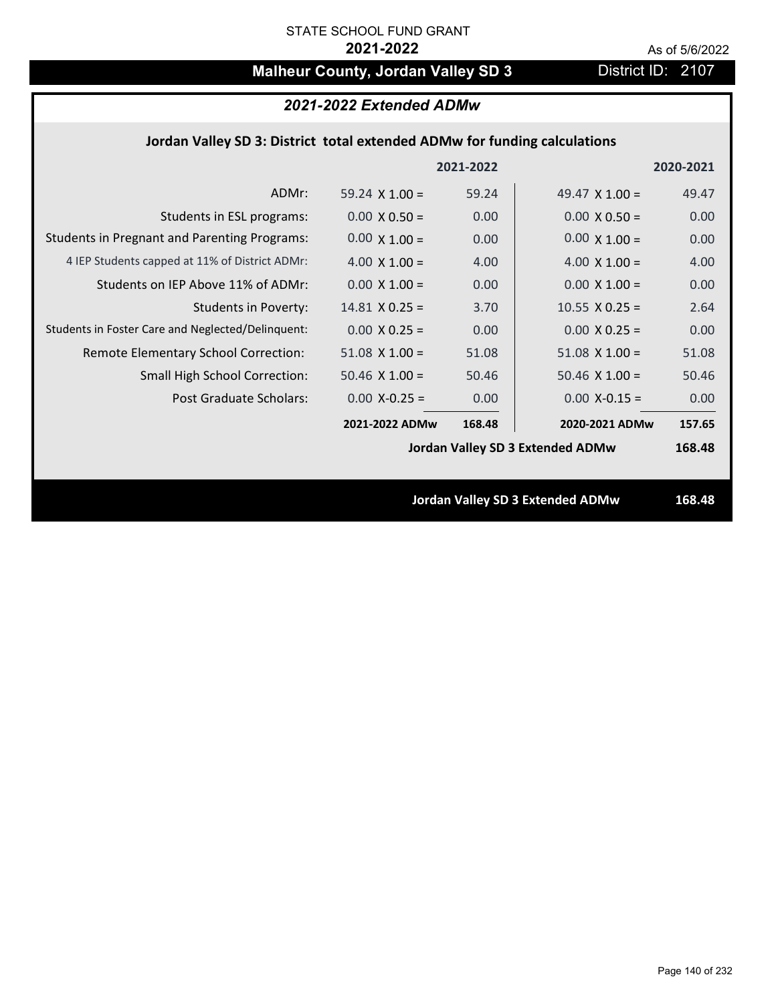# **Malheur County, Jordan Valley SD 3** District ID: 2107

| 2021-2022 Extended ADMw |  |  |
|-------------------------|--|--|
|-------------------------|--|--|

## **Jordan Valley SD 3: District total extended ADMw for funding calculations**

|                                                     |                       | 2021-2022 |                                  | 2020-2021 |
|-----------------------------------------------------|-----------------------|-----------|----------------------------------|-----------|
| ADMr:                                               | 59.24 $\times$ 1.00 = | 59.24     | 49.47 $\times$ 1.00 =            | 49.47     |
| Students in ESL programs:                           | $0.00 \times 0.50 =$  | 0.00      | $0.00 \times 0.50 =$             | 0.00      |
| <b>Students in Pregnant and Parenting Programs:</b> | $0.00 \times 1.00 =$  | 0.00      | $0.00 \times 1.00 =$             | 0.00      |
| 4 IEP Students capped at 11% of District ADMr:      | 4.00 $\times$ 1.00 =  | 4.00      | $4.00 \times 1.00 =$             | 4.00      |
| Students on IEP Above 11% of ADMr:                  | $0.00 \times 1.00 =$  | 0.00      | $0.00 X 1.00 =$                  | 0.00      |
| <b>Students in Poverty:</b>                         | $14.81$ X 0.25 =      | 3.70      | $10.55 \times 0.25 =$            | 2.64      |
| Students in Foster Care and Neglected/Delinquent:   | $0.00 \times 0.25 =$  | 0.00      | $0.00 X 0.25 =$                  | 0.00      |
| Remote Elementary School Correction:                | $51.08$ X $1.00 =$    | 51.08     | $51.08$ X $1.00 =$               | 51.08     |
| <b>Small High School Correction:</b>                | $50.46$ X $1.00 =$    | 50.46     | $50.46$ X $1.00 =$               | 50.46     |
| Post Graduate Scholars:                             | $0.00$ X-0.25 =       | 0.00      | $0.00$ X-0.15 =                  | 0.00      |
|                                                     | 2021-2022 ADMw        | 168.48    | 2020-2021 ADMw                   | 157.65    |
|                                                     |                       |           | Jordan Valley SD 3 Extended ADMw | 168.48    |
|                                                     |                       |           |                                  |           |
|                                                     |                       |           | Jordan Valley SD 3 Extended ADMw | 168.48    |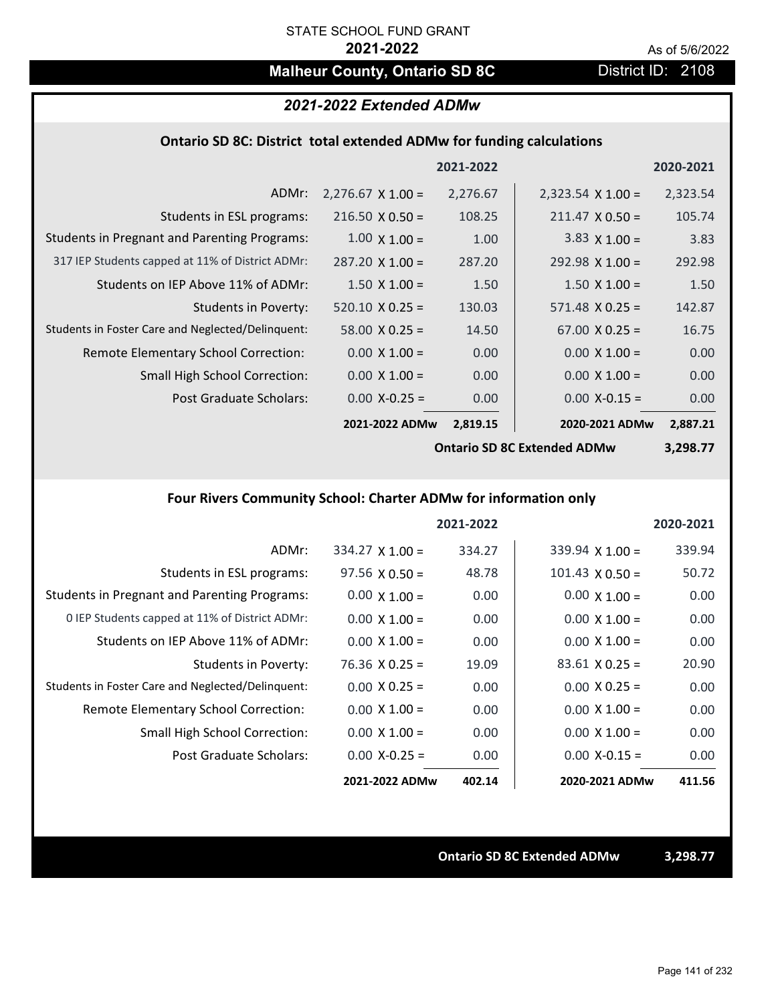# **Malheur County, Ontario SD 8C** District ID: 2108

### *2021-2022 Extended ADMw*

### **Ontario SD 8C: District total extended ADMw for funding calculations**

|                                                     |                          | 2021-2022 |                          | 2020-2021 |
|-----------------------------------------------------|--------------------------|-----------|--------------------------|-----------|
| ADMr:                                               | $2,276.67 \times 1.00 =$ | 2,276.67  | $2,323.54 \times 1.00 =$ | 2,323.54  |
| Students in ESL programs:                           | $216.50 \times 0.50 =$   | 108.25    | $211.47 \times 0.50 =$   | 105.74    |
| <b>Students in Pregnant and Parenting Programs:</b> | $1.00 \times 1.00 =$     | 1.00      | $3.83 \times 1.00 =$     | 3.83      |
| 317 IEP Students capped at 11% of District ADMr:    | $287.20 \times 1.00 =$   | 287.20    | $292.98 \times 1.00 =$   | 292.98    |
| Students on IEP Above 11% of ADMr:                  | $1.50 \times 1.00 =$     | 1.50      | $1.50 \times 1.00 =$     | 1.50      |
| <b>Students in Poverty:</b>                         | $520.10 \times 0.25 =$   | 130.03    | $571.48 \times 0.25 =$   | 142.87    |
| Students in Foster Care and Neglected/Delinquent:   | $58.00 \times 0.25 =$    | 14.50     | $67.00 \times 0.25 =$    | 16.75     |
| Remote Elementary School Correction:                | $0.00 \times 1.00 =$     | 0.00      | $0.00 \times 1.00 =$     | 0.00      |
| <b>Small High School Correction:</b>                | $0.00 \times 1.00 =$     | 0.00      | $0.00 \times 1.00 =$     | 0.00      |
| Post Graduate Scholars:                             | $0.00$ X-0.25 =          | 0.00      | $0.00$ X-0.15 =          | 0.00      |
|                                                     | 2021-2022 ADMw           | 2,819.15  | 2020-2021 ADMw           | 2,887.21  |

**Ontario SD 8C Extended ADMw**

**3,298.77**

# **Four Rivers Community School: Charter ADMw for information only**

|                                                     |                        | 2021-2022 |                        | 2020-2021 |
|-----------------------------------------------------|------------------------|-----------|------------------------|-----------|
| ADMr:                                               | $334.27 \times 1.00 =$ | 334.27    | $339.94 \times 1.00 =$ | 339.94    |
| Students in ESL programs:                           | $97.56 \times 0.50 =$  | 48.78     | $101.43 \times 0.50 =$ | 50.72     |
| <b>Students in Pregnant and Parenting Programs:</b> | $0.00 \times 1.00 =$   | 0.00      | $0.00 \times 1.00 =$   | 0.00      |
| 0 IEP Students capped at 11% of District ADMr:      | $0.00 \times 1.00 =$   | 0.00      | $0.00 \times 1.00 =$   | 0.00      |
| Students on IEP Above 11% of ADMr:                  | $0.00 \times 1.00 =$   | 0.00      | $0.00 \times 1.00 =$   | 0.00      |
| Students in Poverty:                                | $76.36 \times 0.25 =$  | 19.09     | $83.61$ X 0.25 =       | 20.90     |
| Students in Foster Care and Neglected/Delinquent:   | $0.00 \times 0.25 =$   | 0.00      | $0.00 \times 0.25 =$   | 0.00      |
| Remote Elementary School Correction:                | $0.00 \times 1.00 =$   | 0.00      | $0.00 \times 1.00 =$   | 0.00      |
| Small High School Correction:                       | $0.00 \times 1.00 =$   | 0.00      | $0.00 \times 1.00 =$   | 0.00      |
| Post Graduate Scholars:                             | $0.00$ X-0.25 =        | 0.00      | $0.00 X-0.15 =$        | 0.00      |
|                                                     | 2021-2022 ADMw         | 402.14    | 2020-2021 ADMw         | 411.56    |

**Ontario SD 8C Extended ADMw 3,298.77**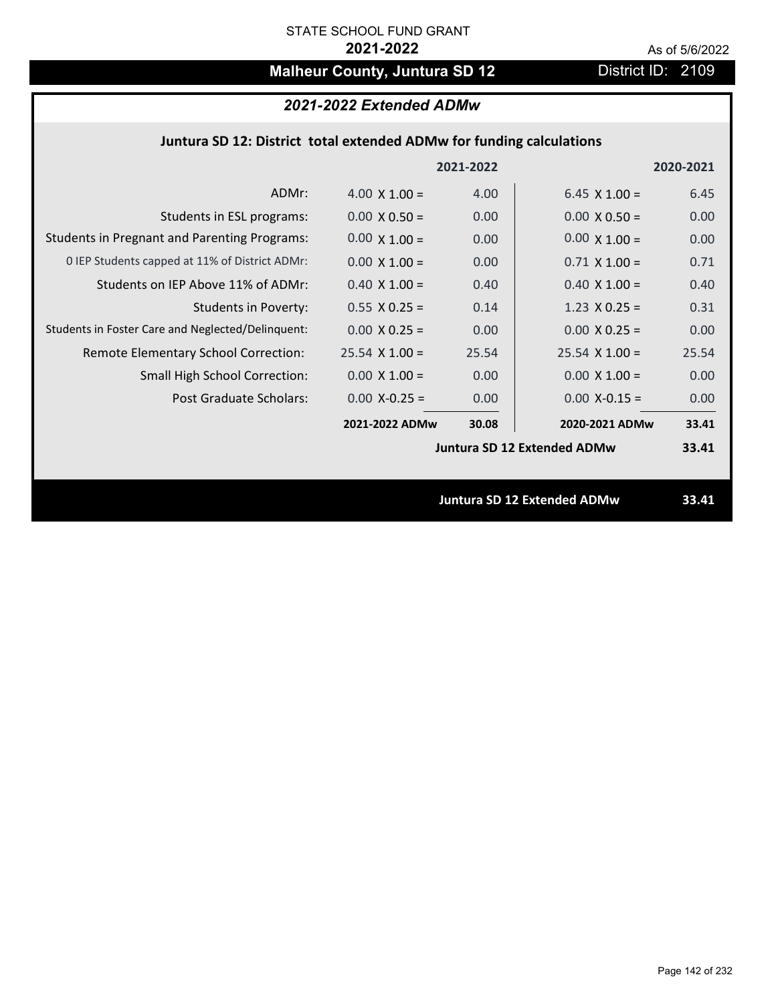# **Malheur County, Juntura SD 12** District ID: 2109

# *2021-2022 Extended ADMw*

## **Juntura SD 12: District total extended ADMw for funding calculations**

|                                                     |                      | 2021-2022 |                                    | 2020-2021 |
|-----------------------------------------------------|----------------------|-----------|------------------------------------|-----------|
| ADMr:                                               | 4.00 $\times$ 1.00 = | 4.00      | $6.45 \times 1.00 =$               | 6.45      |
| Students in ESL programs:                           | $0.00 \times 0.50 =$ | 0.00      | $0.00 \times 0.50 =$               | 0.00      |
| <b>Students in Pregnant and Parenting Programs:</b> | $0.00 \times 1.00 =$ | 0.00      | $0.00 \times 1.00 =$               | 0.00      |
| 0 IEP Students capped at 11% of District ADMr:      | $0.00 \times 1.00 =$ | 0.00      | $0.71 \times 1.00 =$               | 0.71      |
| Students on IEP Above 11% of ADMr:                  | $0.40$ X $1.00 =$    | 0.40      | $0.40$ X $1.00 =$                  | 0.40      |
| <b>Students in Poverty:</b>                         | $0.55 \times 0.25 =$ | 0.14      | $1.23 \times 0.25 =$               | 0.31      |
| Students in Foster Care and Neglected/Delinquent:   | $0.00 \times 0.25 =$ | 0.00      | $0.00 \times 0.25 =$               | 0.00      |
| Remote Elementary School Correction:                | $25.54$ X 1.00 =     | 25.54     | $25.54 \times 1.00 =$              | 25.54     |
| <b>Small High School Correction:</b>                | $0.00 \times 1.00 =$ | 0.00      | $0.00 \times 1.00 =$               | 0.00      |
| Post Graduate Scholars:                             | $0.00$ X-0.25 =      | 0.00      | $0.00$ X-0.15 =                    | 0.00      |
|                                                     | 2021-2022 ADMw       | 30.08     | 2020-2021 ADMw                     | 33.41     |
|                                                     |                      |           | <b>Juntura SD 12 Extended ADMw</b> | 33.41     |
|                                                     |                      |           |                                    |           |
|                                                     |                      |           | <b>Juntura SD 12 Extended ADMw</b> | 33.41     |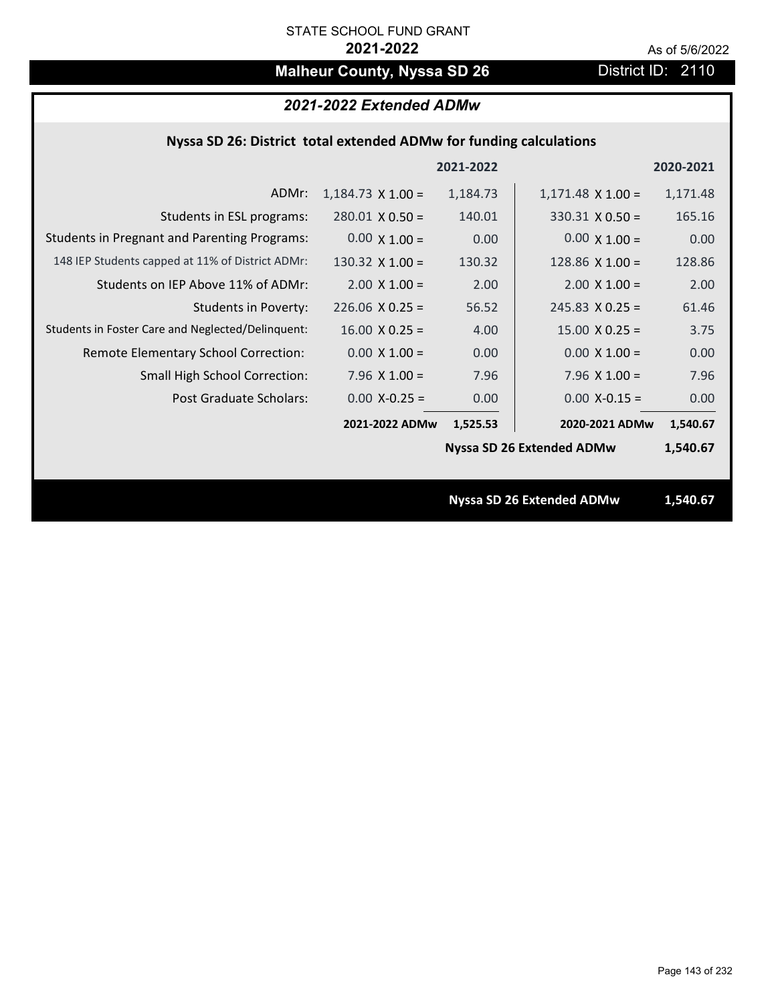# **Malheur County, Nyssa SD 26** District ID: 2110

## **Nyssa SD 26: District total extended ADMw for funding calculations**

|                                                     |                          | 2021-2022 |                                  | 2020-2021 |  |
|-----------------------------------------------------|--------------------------|-----------|----------------------------------|-----------|--|
| ADMr:                                               | $1,184.73 \times 1.00 =$ | 1,184.73  | $1,171.48 \times 1.00 =$         | 1,171.48  |  |
| Students in ESL programs:                           | $280.01 \times 0.50 =$   | 140.01    | $330.31$ X 0.50 =                | 165.16    |  |
| <b>Students in Pregnant and Parenting Programs:</b> | $0.00 \times 1.00 =$     | 0.00      | $0.00 \times 1.00 =$             | 0.00      |  |
| 148 IEP Students capped at 11% of District ADMr:    | 130.32 $X$ 1.00 =        | 130.32    | 128.86 $X$ 1.00 =                | 128.86    |  |
| Students on IEP Above 11% of ADMr:                  | $2.00 \times 1.00 =$     | 2.00      | $2.00 \times 1.00 =$             | 2.00      |  |
| <b>Students in Poverty:</b>                         | $226.06$ X 0.25 =        | 56.52     | $245.83 \times 0.25 =$           | 61.46     |  |
| Students in Foster Care and Neglected/Delinquent:   | $16.00 \times 0.25 =$    | 4.00      | $15.00 \times 0.25 =$            | 3.75      |  |
| Remote Elementary School Correction:                | $0.00 \times 1.00 =$     | 0.00      | $0.00 \times 1.00 =$             | 0.00      |  |
| <b>Small High School Correction:</b>                | 7.96 $X$ 1.00 =          | 7.96      | 7.96 $X$ 1.00 =                  | 7.96      |  |
| <b>Post Graduate Scholars:</b>                      | $0.00$ X-0.25 =          | 0.00      | $0.00$ X-0.15 =                  | 0.00      |  |
|                                                     | 2021-2022 ADMw           | 1,525.53  | 2020-2021 ADMw                   | 1,540.67  |  |
|                                                     |                          |           | <b>Nyssa SD 26 Extended ADMw</b> | 1,540.67  |  |
|                                                     |                          |           |                                  |           |  |
|                                                     |                          |           | <b>Nyssa SD 26 Extended ADMw</b> | 1,540.67  |  |
|                                                     |                          |           |                                  |           |  |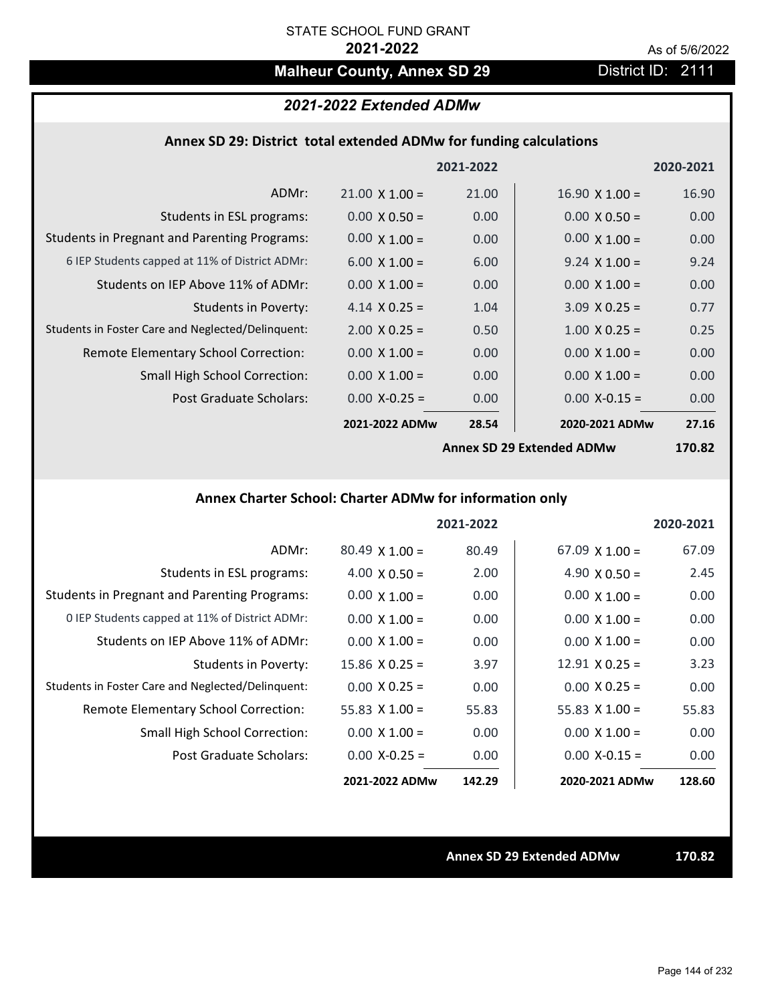# **Malheur County, Annex SD 29** District ID: 2111

# *2021-2022 Extended ADMw*

### **Annex SD 29: District total extended ADMw for funding calculations**

|                                                     |                           | 2021-2022 |                       | 2020-2021          |
|-----------------------------------------------------|---------------------------|-----------|-----------------------|--------------------|
| ADMr:                                               | $21.00 \times 1.00 =$     | 21.00     | $16.90 \times 1.00 =$ | 16.90              |
| Students in ESL programs:                           | $0.00 \times 0.50 =$      | 0.00      | $0.00 \times 0.50 =$  | 0.00               |
| <b>Students in Pregnant and Parenting Programs:</b> | $0.00 \times 1.00 =$      | 0.00      | $0.00 \times 1.00 =$  | 0.00               |
| 6 IEP Students capped at 11% of District ADMr:      | $6.00 \times 1.00 =$      | 6.00      | $9.24 \times 1.00 =$  | 9.24               |
| Students on IEP Above 11% of ADMr:                  | $0.00 \times 1.00 =$      | 0.00      | $0.00 \times 1.00 =$  | 0.00               |
| <b>Students in Poverty:</b>                         | 4.14 $X$ 0.25 =           | 1.04      | $3.09 \times 0.25 =$  | 0.77               |
| Students in Foster Care and Neglected/Delinquent:   | $2.00 \times 0.25 =$      | 0.50      | $1.00 \times 0.25 =$  | 0.25               |
| Remote Elementary School Correction:                | $0.00 \times 1.00 =$      | 0.00      | $0.00 \times 1.00 =$  | 0.00               |
| <b>Small High School Correction:</b>                | $0.00 \times 1.00 =$      | 0.00      | $0.00 \times 1.00 =$  | 0.00               |
| Post Graduate Scholars:                             | $0.00$ X-0.25 =           | 0.00      | $0.00$ X-0.15 =       | 0.00               |
|                                                     | 2021-2022 ADMw            | 28.54     | 2020-2021 ADMw        | 27.16              |
|                                                     | Annov SD 20 Extanded ADMW |           |                       | 170 R <sub>2</sub> |

**Annex SD 29 Extended ADMw**

**170.82**

# **Annex Charter School: Charter ADMw for information only**

|                                                     |                       | 2021-2022 |                       | 2020-2021 |
|-----------------------------------------------------|-----------------------|-----------|-----------------------|-----------|
| ADMr:                                               | $80.49 \times 1.00 =$ | 80.49     | $67.09 \times 1.00 =$ | 67.09     |
| Students in ESL programs:                           | $4.00 \times 0.50 =$  | 2.00      | 4.90 $\times$ 0.50 =  | 2.45      |
| <b>Students in Pregnant and Parenting Programs:</b> | $0.00 \times 1.00 =$  | 0.00      | $0.00 \times 1.00 =$  | 0.00      |
| 0 IEP Students capped at 11% of District ADMr:      | $0.00 \times 1.00 =$  | 0.00      | $0.00 \times 1.00 =$  | 0.00      |
| Students on IEP Above 11% of ADMr:                  | $0.00 \times 1.00 =$  | 0.00      | $0.00 \times 1.00 =$  | 0.00      |
| Students in Poverty:                                | $15.86 \times 0.25 =$ | 3.97      | $12.91 \times 0.25 =$ | 3.23      |
| Students in Foster Care and Neglected/Delinquent:   | $0.00 \times 0.25 =$  | 0.00      | $0.00 \times 0.25 =$  | 0.00      |
| Remote Elementary School Correction:                | 55.83 $\times$ 1.00 = | 55.83     | $55.83 \times 1.00 =$ | 55.83     |
| <b>Small High School Correction:</b>                | $0.00 \times 1.00 =$  | 0.00      | $0.00 \times 1.00 =$  | 0.00      |
| Post Graduate Scholars:                             | $0.00 X - 0.25 =$     | 0.00      | $0.00$ X-0.15 =       | 0.00      |
|                                                     | 2021-2022 ADMw        | 142.29    | 2020-2021 ADMw        | 128.60    |

**Annex SD 29 Extended ADMw 170.82**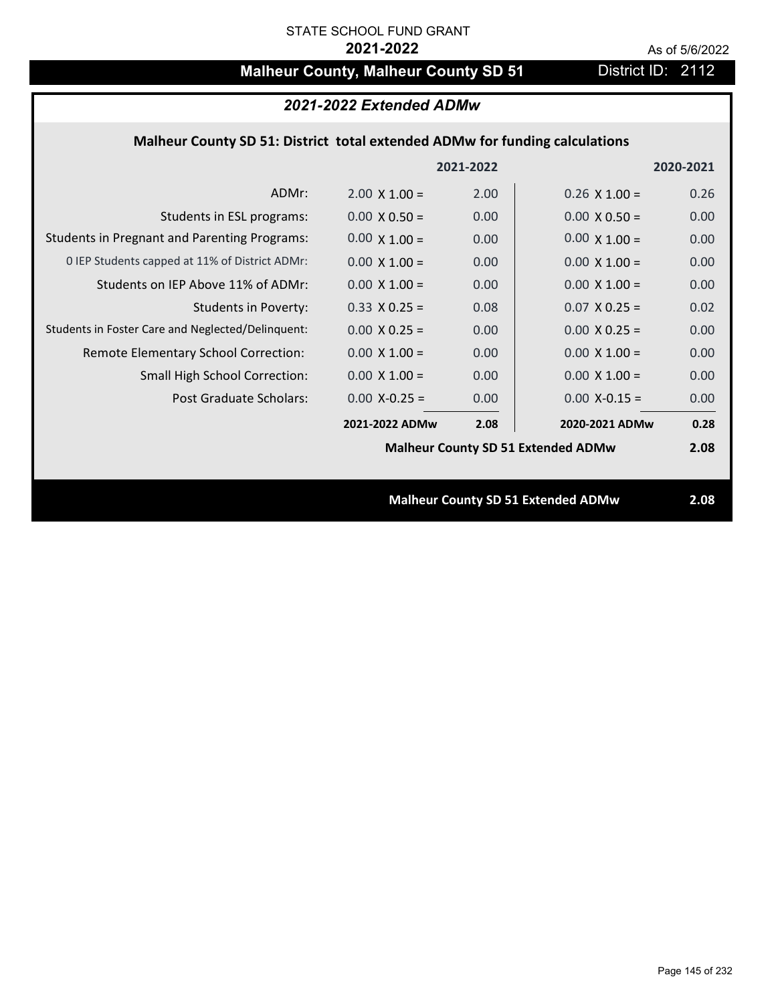# **Malheur County, Malheur County SD 51** District ID: 2112

| 2021-2022 Extended ADMw                                                     |                      |           |                                           |           |
|-----------------------------------------------------------------------------|----------------------|-----------|-------------------------------------------|-----------|
| Malheur County SD 51: District total extended ADMw for funding calculations |                      |           |                                           |           |
|                                                                             |                      | 2021-2022 |                                           | 2020-2021 |
| ADMr:                                                                       | $2.00 \times 1.00 =$ | 2.00      | $0.26 \times 1.00 =$                      | 0.26      |
| Students in ESL programs:                                                   | $0.00 \times 0.50 =$ | 0.00      | $0.00 \times 0.50 =$                      | 0.00      |
| <b>Students in Pregnant and Parenting Programs:</b>                         | $0.00 \times 1.00 =$ | 0.00      | $0.00 \times 1.00 =$                      | 0.00      |
| 0 IEP Students capped at 11% of District ADMr:                              | $0.00 \times 1.00 =$ | 0.00      | $0.00 \times 1.00 =$                      | 0.00      |
| Students on IEP Above 11% of ADMr:                                          | $0.00 \times 1.00 =$ | 0.00      | $0.00 \times 1.00 =$                      | 0.00      |
| <b>Students in Poverty:</b>                                                 | $0.33 \times 0.25 =$ | 0.08      | $0.07$ X 0.25 =                           | 0.02      |
| Students in Foster Care and Neglected/Delinquent:                           | $0.00 \times 0.25 =$ | 0.00      | $0.00 \times 0.25 =$                      | 0.00      |
| Remote Elementary School Correction:                                        | $0.00 \times 1.00 =$ | 0.00      | $0.00 \times 1.00 =$                      | 0.00      |
| Small High School Correction:                                               | $0.00 \times 1.00 =$ | 0.00      | $0.00 \times 1.00 =$                      | 0.00      |
| <b>Post Graduate Scholars:</b>                                              | $0.00$ X-0.25 =      | 0.00      | $0.00$ X-0.15 =                           | 0.00      |
|                                                                             | 2021-2022 ADMw       | 2.08      | 2020-2021 ADMw                            | 0.28      |
|                                                                             |                      |           | <b>Malheur County SD 51 Extended ADMw</b> | 2.08      |
|                                                                             |                      |           |                                           |           |
|                                                                             |                      |           | <b>Malheur County SD 51 Extended ADMw</b> | 2.08      |
|                                                                             |                      |           |                                           |           |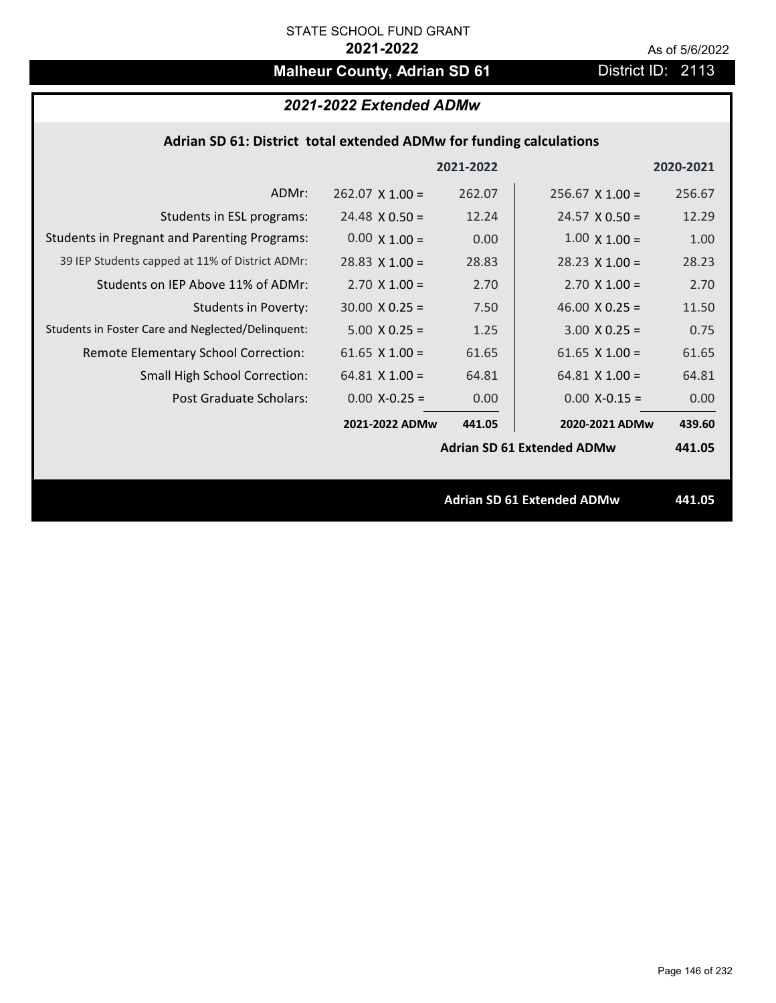# **Malheur County, Adrian SD 61** District ID: 2113

# *2021-2022 Extended ADMw*

### **Adrian SD 61: District total extended ADMw for funding calculations**

|                                                     |                        | 2021-2022 |                                   | 2020-2021 |
|-----------------------------------------------------|------------------------|-----------|-----------------------------------|-----------|
| ADMr:                                               | $262.07 \times 1.00 =$ | 262.07    | $256.67 \times 1.00 =$            | 256.67    |
| Students in ESL programs:                           | $24.48 \times 0.50 =$  | 12.24     | $24.57 \times 0.50 =$             | 12.29     |
| <b>Students in Pregnant and Parenting Programs:</b> | $0.00 \times 1.00 =$   | 0.00      | $1.00 \times 1.00 =$              | 1.00      |
| 39 IEP Students capped at 11% of District ADMr:     | $28.83 \times 1.00 =$  | 28.83     | $28.23 \times 1.00 =$             | 28.23     |
| Students on IEP Above 11% of ADMr:                  | $2.70 \times 1.00 =$   | 2.70      | $2.70 \times 1.00 =$              | 2.70      |
| <b>Students in Poverty:</b>                         | $30.00 \times 0.25 =$  | 7.50      | 46.00 $X$ 0.25 =                  | 11.50     |
| Students in Foster Care and Neglected/Delinquent:   | $5.00 \times 0.25 =$   | 1.25      | $3.00 \times 0.25 =$              | 0.75      |
| Remote Elementary School Correction:                | 61.65 $X$ 1.00 =       | 61.65     | 61.65 $\times$ 1.00 =             | 61.65     |
| <b>Small High School Correction:</b>                | $64.81 \times 1.00 =$  | 64.81     | $64.81 \times 1.00 =$             | 64.81     |
| Post Graduate Scholars:                             | $0.00$ X-0.25 =        | 0.00      | $0.00$ X-0.15 =                   | 0.00      |
|                                                     | 2021-2022 ADMw         | 441.05    | 2020-2021 ADMw                    | 439.60    |
|                                                     |                        |           | <b>Adrian SD 61 Extended ADMw</b> | 441.05    |
|                                                     |                        |           |                                   |           |
|                                                     |                        |           | <b>Adrian SD 61 Extended ADMw</b> | 441.05    |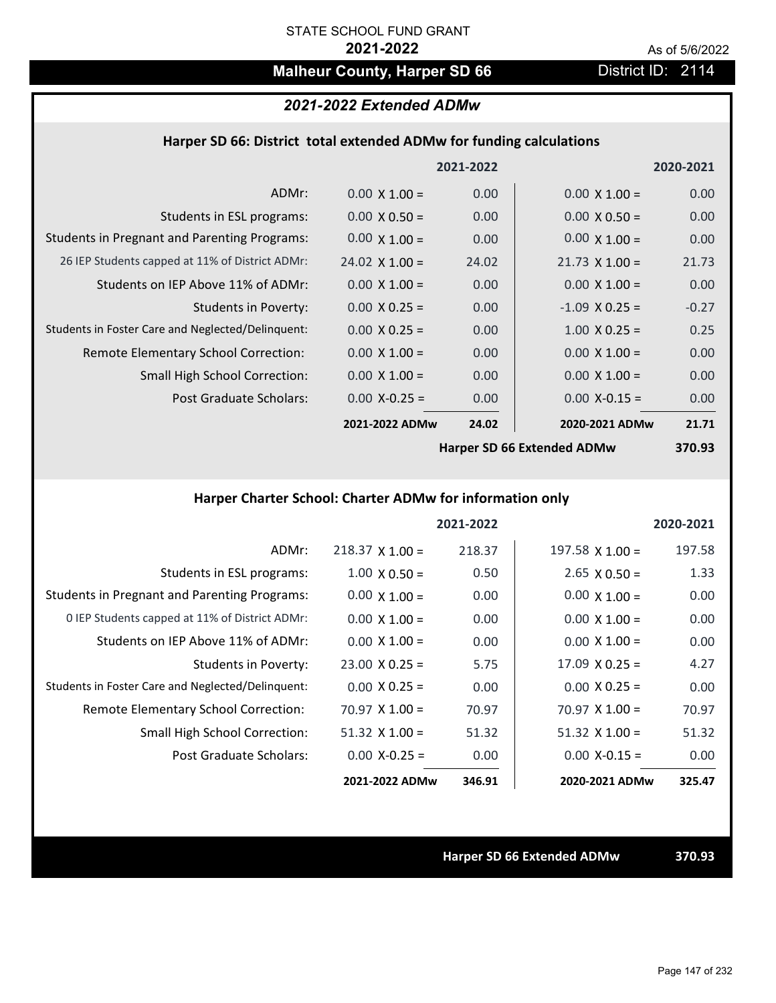# **Malheur County, Harper SD 66** District ID: 2114

# *2021-2022 Extended ADMw*

#### **Harper SD 66: District total extended ADMw for funding calculations**

|                                                     |                       | 2021-2022 |                            | 2020-2021 |
|-----------------------------------------------------|-----------------------|-----------|----------------------------|-----------|
| ADMr:                                               | $0.00 \times 1.00 =$  | 0.00      | $0.00 \times 1.00 =$       | 0.00      |
| Students in ESL programs:                           | $0.00 \times 0.50 =$  | 0.00      | $0.00 \times 0.50 =$       | 0.00      |
| <b>Students in Pregnant and Parenting Programs:</b> | $0.00 \times 1.00 =$  | 0.00      | $0.00 \times 1.00 =$       | 0.00      |
| 26 IEP Students capped at 11% of District ADMr:     | $24.02 \times 1.00 =$ | 24.02     | $21.73 \times 1.00 =$      | 21.73     |
| Students on IEP Above 11% of ADMr:                  | $0.00 \times 1.00 =$  | 0.00      | $0.00 \times 1.00 =$       | 0.00      |
| <b>Students in Poverty:</b>                         | $0.00 \times 0.25 =$  | 0.00      | $-1.09$ X 0.25 =           | $-0.27$   |
| Students in Foster Care and Neglected/Delinquent:   | $0.00 \times 0.25 =$  | 0.00      | $1.00 \times 0.25 =$       | 0.25      |
| Remote Elementary School Correction:                | $0.00 \times 1.00 =$  | 0.00      | $0.00 \times 1.00 =$       | 0.00      |
| <b>Small High School Correction:</b>                | $0.00 \times 1.00 =$  | 0.00      | $0.00 \times 1.00 =$       | 0.00      |
| Post Graduate Scholars:                             | $0.00$ X-0.25 =       | 0.00      | $0.00$ X-0.15 =            | 0.00      |
|                                                     | 2021-2022 ADMw        | 24.02     | 2020-2021 ADMw             | 21.71     |
|                                                     |                       |           | Harner CD CC Evtended ADMu | כם חדכ    |

**Harper SD 66 Extended ADMw**

**370.93**

# **Harper Charter School: Charter ADMw for information only**

|                                                     |                        | 2021-2022 |                        | 2020-2021 |
|-----------------------------------------------------|------------------------|-----------|------------------------|-----------|
| ADMr:                                               | $218.37 \times 1.00 =$ | 218.37    | $197.58 \times 1.00 =$ | 197.58    |
| Students in ESL programs:                           | $1.00 \times 0.50 =$   | 0.50      | $2.65 \times 0.50 =$   | 1.33      |
| <b>Students in Pregnant and Parenting Programs:</b> | $0.00 \times 1.00 =$   | 0.00      | $0.00 \times 1.00 =$   | 0.00      |
| 0 IEP Students capped at 11% of District ADMr:      | $0.00 \times 1.00 =$   | 0.00      | $0.00 \times 1.00 =$   | 0.00      |
| Students on IEP Above 11% of ADMr:                  | $0.00 \times 1.00 =$   | 0.00      | $0.00 \times 1.00 =$   | 0.00      |
| Students in Poverty:                                | $23.00 \times 0.25 =$  | 5.75      | $17.09 \times 0.25 =$  | 4.27      |
| Students in Foster Care and Neglected/Delinquent:   | $0.00 \times 0.25 =$   | 0.00      | $0.00 \times 0.25 =$   | 0.00      |
| Remote Elementary School Correction:                | $70.97 \times 1.00 =$  | 70.97     | $70.97 \times 1.00 =$  | 70.97     |
| <b>Small High School Correction:</b>                | $51.32$ X $1.00 =$     | 51.32     | $51.32 \times 1.00 =$  | 51.32     |
| Post Graduate Scholars:                             | $0.00 X - 0.25 =$      | 0.00      | $0.00$ X-0.15 =        | 0.00      |
|                                                     | 2021-2022 ADMw         | 346.91    | 2020-2021 ADMw         | 325.47    |

**Harper SD 66 Extended ADMw 370.93**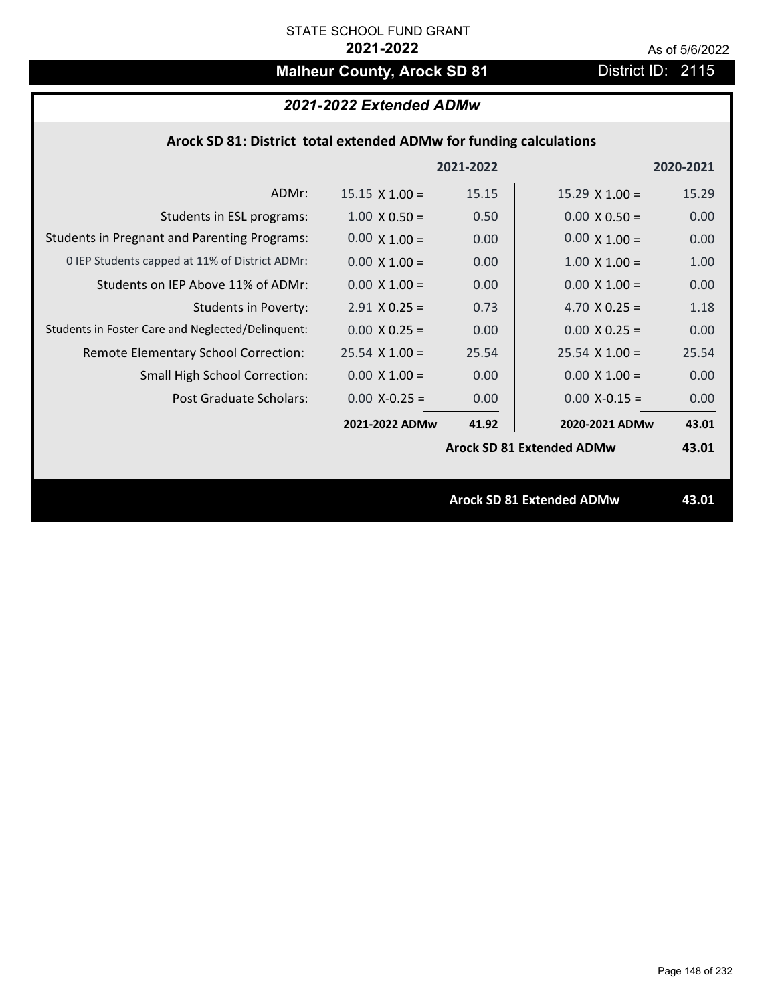# **Malheur County, Arock SD 81** District ID: 2115

# *2021-2022 Extended ADMw*

## **Arock SD 81: District total extended ADMw for funding calculations**

|                                                     |                       | 2021-2022 |                                  | 2020-2021 |
|-----------------------------------------------------|-----------------------|-----------|----------------------------------|-----------|
| ADMr:                                               | $15.15 \times 1.00 =$ | 15.15     | $15.29 \times 1.00 =$            | 15.29     |
| Students in ESL programs:                           | $1.00 \times 0.50 =$  | 0.50      | $0.00 \times 0.50 =$             | 0.00      |
| <b>Students in Pregnant and Parenting Programs:</b> | $0.00 \times 1.00 =$  | 0.00      | $0.00 \times 1.00 =$             | 0.00      |
| 0 IEP Students capped at 11% of District ADMr:      | $0.00 \times 1.00 =$  | 0.00      | $1.00 \times 1.00 =$             | 1.00      |
| Students on IEP Above 11% of ADMr:                  | $0.00 \times 1.00 =$  | 0.00      | $0.00 \times 1.00 =$             | 0.00      |
| <b>Students in Poverty:</b>                         | $2.91$ X 0.25 =       | 0.73      | 4.70 $X$ 0.25 =                  | 1.18      |
| Students in Foster Care and Neglected/Delinquent:   | $0.00 \times 0.25 =$  | 0.00      | $0.00 \times 0.25 =$             | 0.00      |
| Remote Elementary School Correction:                | $25.54$ X 1.00 =      | 25.54     | $25.54$ X 1.00 =                 | 25.54     |
| <b>Small High School Correction:</b>                | $0.00 \times 1.00 =$  | 0.00      | $0.00 \times 1.00 =$             | 0.00      |
| Post Graduate Scholars:                             | $0.00$ X-0.25 =       | 0.00      | $0.00$ X-0.15 =                  | 0.00      |
|                                                     | 2021-2022 ADMw        | 41.92     | 2020-2021 ADMw                   | 43.01     |
|                                                     |                       |           | <b>Arock SD 81 Extended ADMw</b> | 43.01     |
|                                                     |                       |           |                                  |           |
|                                                     |                       |           | <b>Arock SD 81 Extended ADMw</b> | 43.01     |
|                                                     |                       |           |                                  |           |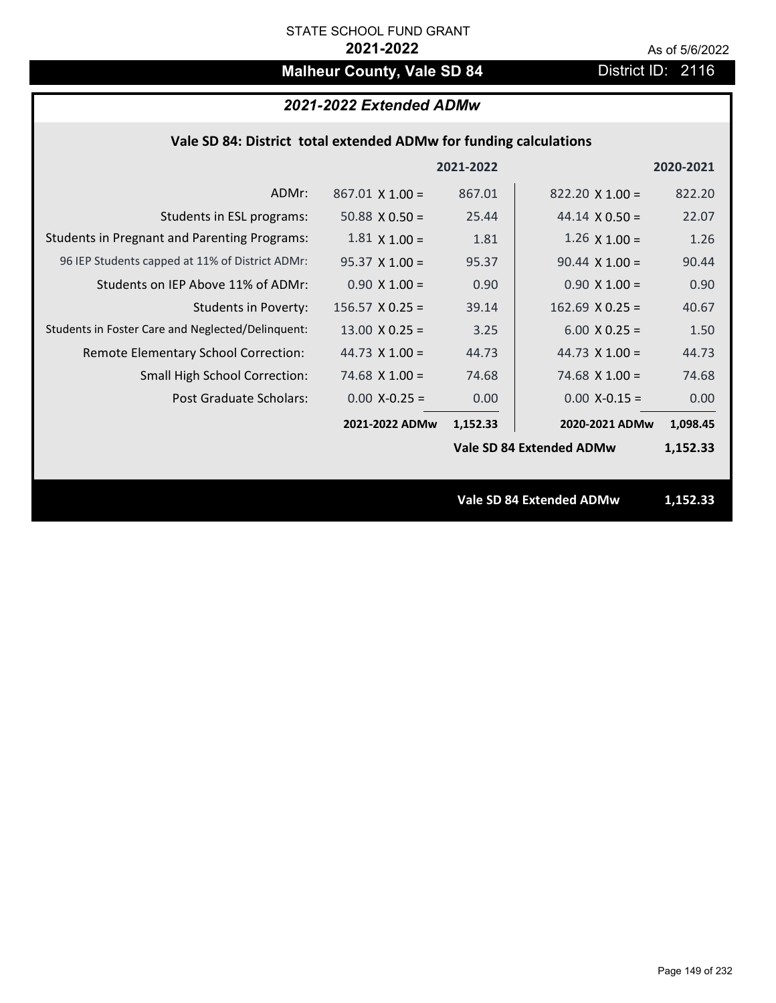# **Malheur County, Vale SD 84** District ID: 2116

# *2021-2022 Extended ADMw*

|  | Vale SD 84: District total extended ADMw for funding calculations |  |
|--|-------------------------------------------------------------------|--|
|--|-------------------------------------------------------------------|--|

|                                                     |                        | 2021-2022 |                                 | 2020-2021 |
|-----------------------------------------------------|------------------------|-----------|---------------------------------|-----------|
| ADMr:                                               | $867.01 \times 1.00 =$ | 867.01    | $822.20 \times 1.00 =$          | 822.20    |
| Students in ESL programs:                           | $50.88 \times 0.50 =$  | 25.44     | $44.14 \times 0.50 =$           | 22.07     |
| <b>Students in Pregnant and Parenting Programs:</b> | $1.81 \times 1.00 =$   | 1.81      | $1.26 \times 1.00 =$            | 1.26      |
| 96 IEP Students capped at 11% of District ADMr:     | $95.37 \times 1.00 =$  | 95.37     | $90.44 \times 1.00 =$           | 90.44     |
| Students on IEP Above 11% of ADMr:                  | $0.90 X 1.00 =$        | 0.90      | $0.90 X 1.00 =$                 | 0.90      |
| <b>Students in Poverty:</b>                         | $156.57$ X 0.25 =      | 39.14     | $162.69$ X 0.25 =               | 40.67     |
| Students in Foster Care and Neglected/Delinquent:   | $13.00 \times 0.25 =$  | 3.25      | $6.00 \times 0.25 =$            | 1.50      |
| Remote Elementary School Correction:                | 44.73 $X$ 1.00 =       | 44.73     | 44.73 $\times$ 1.00 =           | 44.73     |
| <b>Small High School Correction:</b>                | 74.68 $X$ 1.00 =       | 74.68     | $74.68 \times 1.00 =$           | 74.68     |
| Post Graduate Scholars:                             | $0.00$ X-0.25 =        | 0.00      | $0.00$ X-0.15 =                 | 0.00      |
|                                                     | 2021-2022 ADMw         | 1,152.33  | 2020-2021 ADMw                  | 1,098.45  |
|                                                     |                        |           | Vale SD 84 Extended ADMw        | 1,152.33  |
|                                                     |                        |           |                                 |           |
|                                                     |                        |           | <b>Vale SD 84 Extended ADMw</b> | 1,152.33  |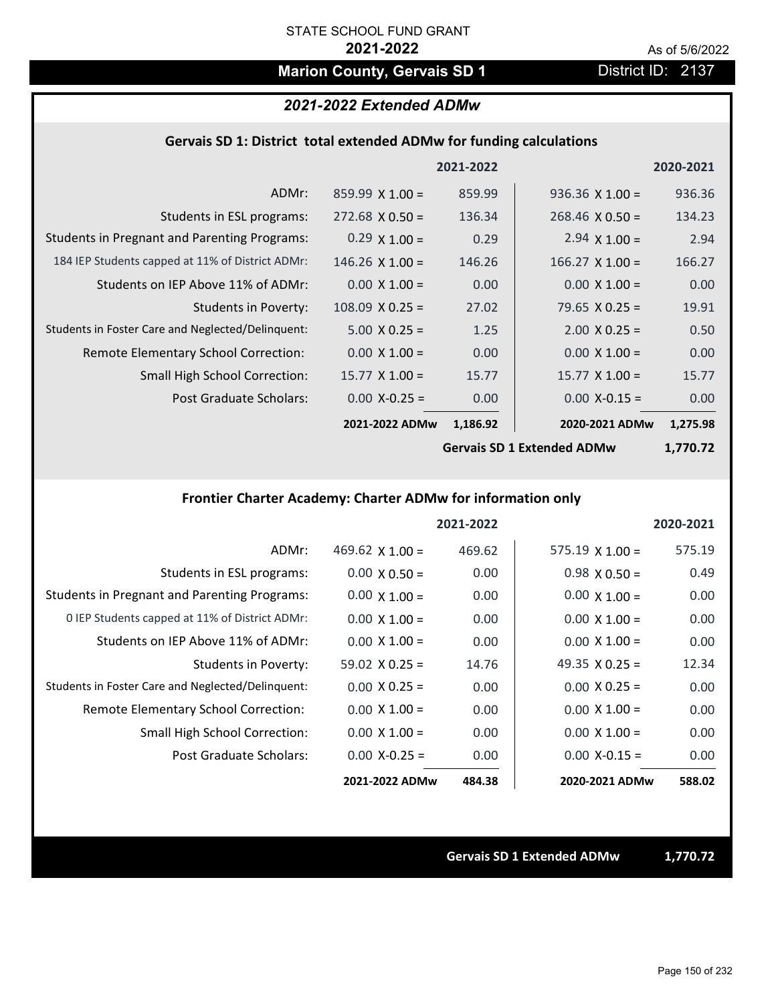# **Marion County, Gervais SD 1** District ID: 2137

## *2021-2022 Extended ADMw*

#### **Gervais SD 1: District total extended ADMw for funding calculations**

|                                                     |                        | 2021-2022 |                        | 2020-2021        |
|-----------------------------------------------------|------------------------|-----------|------------------------|------------------|
| ADMr:                                               | $859.99 \times 1.00 =$ | 859.99    | $936.36 \times 1.00 =$ | 936.36           |
| Students in ESL programs:                           | $272.68 \times 0.50 =$ | 136.34    | $268.46 \times 0.50 =$ | 134.23           |
| <b>Students in Pregnant and Parenting Programs:</b> | $0.29 \times 1.00 =$   | 0.29      | 2.94 $\times$ 1.00 =   | 2.94             |
| 184 IEP Students capped at 11% of District ADMr:    | $146.26 \times 1.00 =$ | 146.26    | $166.27 \times 1.00 =$ | 166.27           |
| Students on IEP Above 11% of ADMr:                  | $0.00 \times 1.00 =$   | 0.00      | $0.00 \times 1.00 =$   | 0.00             |
| <b>Students in Poverty:</b>                         | $108.09 \times 0.25 =$ | 27.02     | 79.65 $X$ 0.25 =       | 19.91            |
| Students in Foster Care and Neglected/Delinquent:   | $5.00 \times 0.25 =$   | 1.25      | $2.00 \times 0.25 =$   | 0.50             |
| Remote Elementary School Correction:                | $0.00 \times 1.00 =$   | 0.00      | $0.00 \times 1.00 =$   | 0.00             |
| <b>Small High School Correction:</b>                | $15.77 \times 1.00 =$  | 15.77     | $15.77 \times 1.00 =$  | 15.77            |
| Post Graduate Scholars:                             | $0.00$ X-0.25 =        | 0.00      | $0.00$ X-0.15 =        | 0.00             |
|                                                     | 2021-2022 ADMw         | 1,186.92  | 2020-2021 ADMw         | 1,275.98         |
|                                                     |                        |           |                        | , <b>--</b> ^ -^ |

**Gervais SD 1 Extended ADMw**

**1,770.72**

# **Frontier Charter Academy: Charter ADMw for information only**

|                                                     |                        | 2021-2022 |                        | 2020-2021 |
|-----------------------------------------------------|------------------------|-----------|------------------------|-----------|
| ADMr:                                               | 469.62 $\times$ 1.00 = | 469.62    | $575.19 \times 1.00 =$ | 575.19    |
| Students in ESL programs:                           | $0.00 \times 0.50 =$   | 0.00      | $0.98 \times 0.50 =$   | 0.49      |
| <b>Students in Pregnant and Parenting Programs:</b> | $0.00 \times 1.00 =$   | 0.00      | $0.00 \times 1.00 =$   | 0.00      |
| 0 IEP Students capped at 11% of District ADMr:      | $0.00 \times 1.00 =$   | 0.00      | $0.00 \times 1.00 =$   | 0.00      |
| Students on IEP Above 11% of ADMr:                  | $0.00 \times 1.00 =$   | 0.00      | $0.00 \times 1.00 =$   | 0.00      |
| Students in Poverty:                                | $59.02 \times 0.25 =$  | 14.76     | 49.35 $X$ 0.25 =       | 12.34     |
| Students in Foster Care and Neglected/Delinquent:   | $0.00 \times 0.25 =$   | 0.00      | $0.00 \times 0.25 =$   | 0.00      |
| Remote Elementary School Correction:                | $0.00 \times 1.00 =$   | 0.00      | $0.00 \times 1.00 =$   | 0.00      |
| <b>Small High School Correction:</b>                | $0.00 \times 1.00 =$   | 0.00      | $0.00 \times 1.00 =$   | 0.00      |
| Post Graduate Scholars:                             | $0.00 X-0.25 =$        | 0.00      | $0.00$ X-0.15 =        | 0.00      |
|                                                     | 2021-2022 ADMw         | 484.38    | 2020-2021 ADMw         | 588.02    |

**Gervais SD 1 Extended ADMw 1,770.72**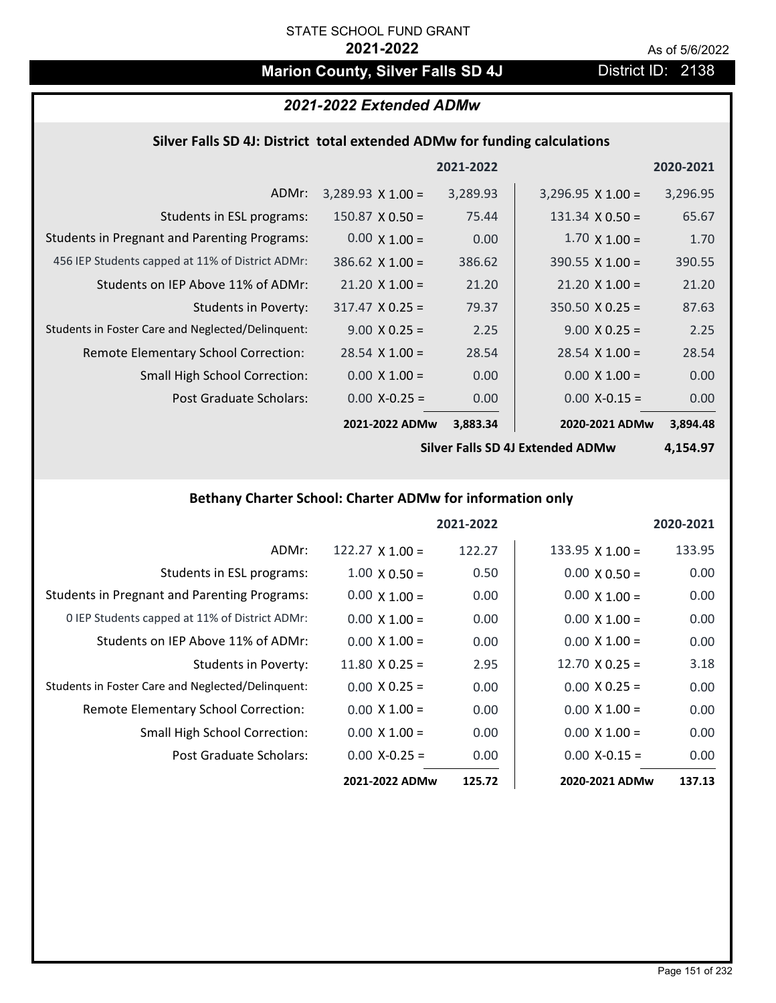# **Marion County, Silver Falls SD 4J** District ID: 2138

# *2021-2022 Extended ADMw*

#### **Silver Falls SD 4J: District total extended ADMw for funding calculations**

|                                                     |                          | 2021-2022 |                          | 2020-2021 |
|-----------------------------------------------------|--------------------------|-----------|--------------------------|-----------|
| ADMr:                                               | $3,289.93 \times 1.00 =$ | 3,289.93  | $3,296.95 \times 1.00 =$ | 3,296.95  |
| Students in ESL programs:                           | $150.87 \times 0.50 =$   | 75.44     | $131.34 \times 0.50 =$   | 65.67     |
| <b>Students in Pregnant and Parenting Programs:</b> | $0.00 \times 1.00 =$     | 0.00      | $1.70 \times 1.00 =$     | 1.70      |
| 456 IEP Students capped at 11% of District ADMr:    | $386.62 \times 1.00 =$   | 386.62    | $390.55 \times 1.00 =$   | 390.55    |
| Students on IEP Above 11% of ADMr:                  | $21.20 \times 1.00 =$    | 21.20     | $21.20 \times 1.00 =$    | 21.20     |
| Students in Poverty:                                | $317.47 \times 0.25 =$   | 79.37     | $350.50 \times 0.25 =$   | 87.63     |
| Students in Foster Care and Neglected/Delinquent:   | $9.00 \times 0.25 =$     | 2.25      | $9.00 \times 0.25 =$     | 2.25      |
| Remote Elementary School Correction:                | $28.54 \times 1.00 =$    | 28.54     | $28.54 \times 1.00 =$    | 28.54     |
| <b>Small High School Correction:</b>                | $0.00 \times 1.00 =$     | 0.00      | $0.00 \times 1.00 =$     | 0.00      |
| Post Graduate Scholars:                             | $0.00$ X-0.25 =          | 0.00      | $0.00$ X-0.15 =          | 0.00      |
|                                                     | 2021-2022 ADMw           | 3,883.34  | 2020-2021 ADMw           | 3,894.48  |

**Silver Falls SD 4J Extended ADMw**

**4,154.97**

## **Bethany Charter School: Charter ADMw for information only**

|                                                     |                       | 2021-2022 |                        | 2020-2021 |
|-----------------------------------------------------|-----------------------|-----------|------------------------|-----------|
| ADMr:                                               | $122.27$ X 1.00 =     | 122.27    | $133.95 \times 1.00 =$ | 133.95    |
| Students in ESL programs:                           | $1.00 \times 0.50 =$  | 0.50      | $0.00 \times 0.50 =$   | 0.00      |
| <b>Students in Pregnant and Parenting Programs:</b> | $0.00 \times 1.00 =$  | 0.00      | $0.00 \times 1.00 =$   | 0.00      |
| 0 IEP Students capped at 11% of District ADMr:      | $0.00 \times 1.00 =$  | 0.00      | $0.00 \times 1.00 =$   | 0.00      |
| Students on IEP Above 11% of ADMr:                  | $0.00 \times 1.00 =$  | 0.00      | $0.00 \times 1.00 =$   | 0.00      |
| <b>Students in Poverty:</b>                         | $11.80 \times 0.25 =$ | 2.95      | $12.70 \times 0.25 =$  | 3.18      |
| Students in Foster Care and Neglected/Delinquent:   | $0.00 \times 0.25 =$  | 0.00      | $0.00 \times 0.25 =$   | 0.00      |
| Remote Elementary School Correction:                | $0.00 \times 1.00 =$  | 0.00      | $0.00 \times 1.00 =$   | 0.00      |
| <b>Small High School Correction:</b>                | $0.00 \times 1.00 =$  | 0.00      | $0.00 \times 1.00 =$   | 0.00      |
| Post Graduate Scholars:                             | $0.00$ X-0.25 =       | 0.00      | $0.00 X - 0.15 =$      | 0.00      |
|                                                     | 2021-2022 ADMw        | 125.72    | 2020-2021 ADMw         | 137.13    |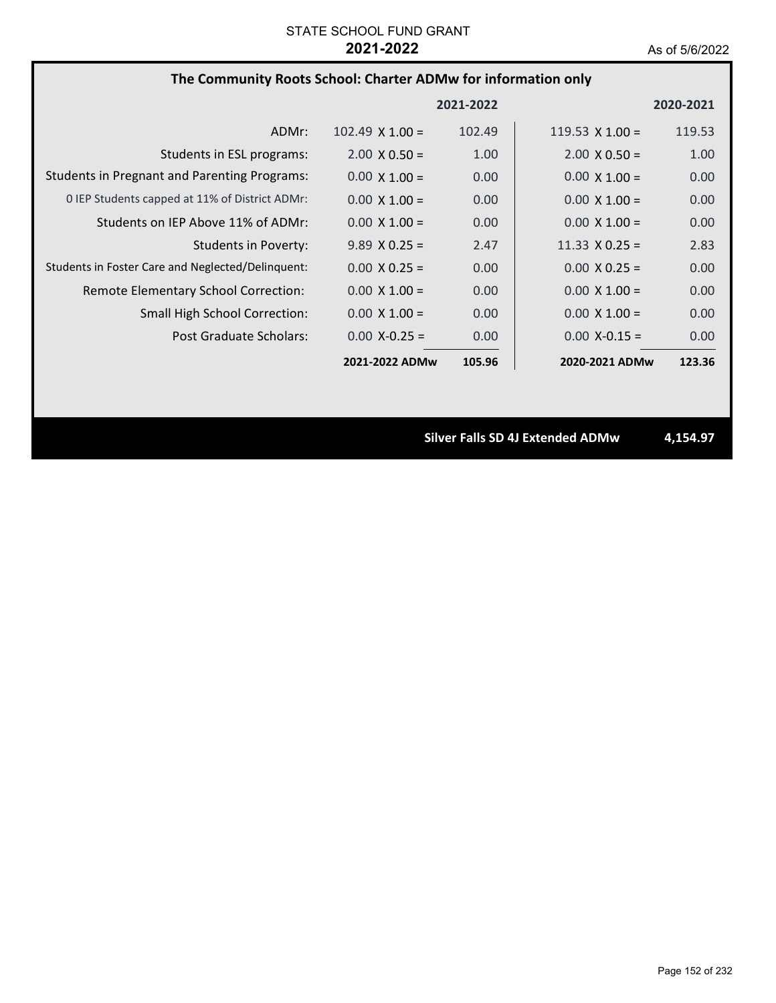| The Community Roots School: Charter ADMw for information only |  |  |  |
|---------------------------------------------------------------|--|--|--|
|---------------------------------------------------------------|--|--|--|

|                                                     |                        | 2021-2022 |                        | 2020-2021 |
|-----------------------------------------------------|------------------------|-----------|------------------------|-----------|
| ADMr:                                               | $102.49 \times 1.00 =$ | 102.49    | 119.53 $\times$ 1.00 = | 119.53    |
| Students in ESL programs:                           | $2.00 \times 0.50 =$   | 1.00      | $2.00 \times 0.50 =$   | 1.00      |
| <b>Students in Pregnant and Parenting Programs:</b> | $0.00 \times 1.00 =$   | 0.00      | $0.00 \times 1.00 =$   | 0.00      |
| 0 IEP Students capped at 11% of District ADMr:      | $0.00 \times 1.00 =$   | 0.00      | $0.00 \times 1.00 =$   | 0.00      |
| Students on IEP Above 11% of ADMr:                  | $0.00 \times 1.00 =$   | 0.00      | $0.00 \times 1.00 =$   | 0.00      |
| Students in Poverty:                                | $9.89 \times 0.25 =$   | 2.47      | 11.33 $\times$ 0.25 =  | 2.83      |
| Students in Foster Care and Neglected/Delinquent:   | $0.00 \times 0.25 =$   | 0.00      | $0.00 \times 0.25 =$   | 0.00      |
| Remote Elementary School Correction:                | $0.00 \times 1.00 =$   | 0.00      | $0.00 \times 1.00 =$   | 0.00      |
| <b>Small High School Correction:</b>                | $0.00 \times 1.00 =$   | 0.00      | $0.00 \times 1.00 =$   | 0.00      |
| Post Graduate Scholars:                             | $0.00 X - 0.25 =$      | 0.00      | $0.00 X - 0.15 =$      | 0.00      |
|                                                     | 2021-2022 ADMw         | 105.96    | 2020-2021 ADMw         | 123.36    |

**Silver Falls SD 4J Extended ADMw 4,154.97**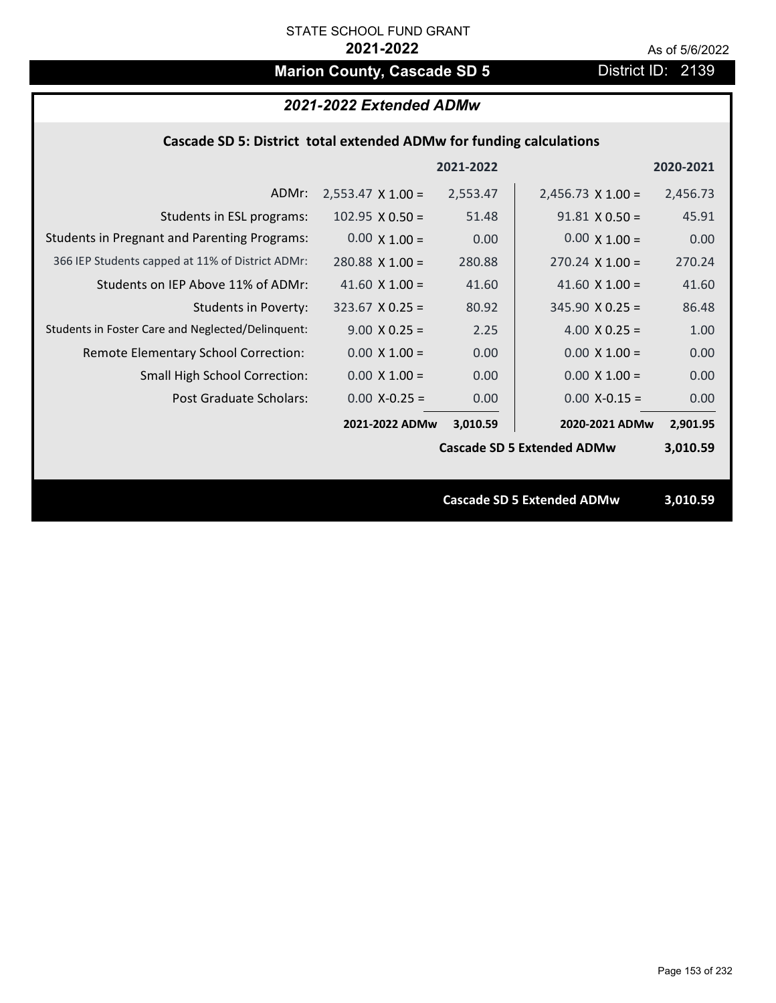# **Marion County, Cascade SD 5** District ID: 2139

|  | 2021-2022 Extended ADMw |
|--|-------------------------|
|--|-------------------------|

### **Cascade SD 5: District total extended ADMw for funding calculations**

|                                                     |                          | 2021-2022 |                                   | 2020-2021 |
|-----------------------------------------------------|--------------------------|-----------|-----------------------------------|-----------|
| ADMr:                                               | $2,553.47 \times 1.00 =$ | 2,553.47  | $2,456.73 \times 1.00 =$          | 2,456.73  |
| Students in ESL programs:                           | $102.95 \times 0.50 =$   | 51.48     | $91.81 \times 0.50 =$             | 45.91     |
| <b>Students in Pregnant and Parenting Programs:</b> | $0.00 \times 1.00 =$     | 0.00      | $0.00 \times 1.00 =$              | 0.00      |
| 366 IEP Students capped at 11% of District ADMr:    | $280.88$ X 1.00 =        | 280.88    | $270.24$ X $1.00 =$               | 270.24    |
| Students on IEP Above 11% of ADMr:                  | 41.60 $\times$ 1.00 =    | 41.60     | 41.60 $X$ 1.00 =                  | 41.60     |
| <b>Students in Poverty:</b>                         | $323.67$ X 0.25 =        | 80.92     | $345.90 \times 0.25 =$            | 86.48     |
| Students in Foster Care and Neglected/Delinquent:   | $9.00 \times 0.25 =$     | 2.25      | 4.00 $X$ 0.25 =                   | 1.00      |
| Remote Elementary School Correction:                | $0.00 \times 1.00 =$     | 0.00      | $0.00 \times 1.00 =$              | 0.00      |
| <b>Small High School Correction:</b>                | $0.00 \times 1.00 =$     | 0.00      | $0.00 \times 1.00 =$              | 0.00      |
| Post Graduate Scholars:                             | $0.00$ X-0.25 =          | 0.00      | $0.00$ X-0.15 =                   | 0.00      |
|                                                     | 2021-2022 ADMw           | 3,010.59  | 2020-2021 ADMw                    | 2,901.95  |
|                                                     |                          |           | <b>Cascade SD 5 Extended ADMw</b> | 3,010.59  |
|                                                     |                          |           |                                   |           |
|                                                     |                          |           | <b>Cascade SD 5 Extended ADMw</b> | 3,010.59  |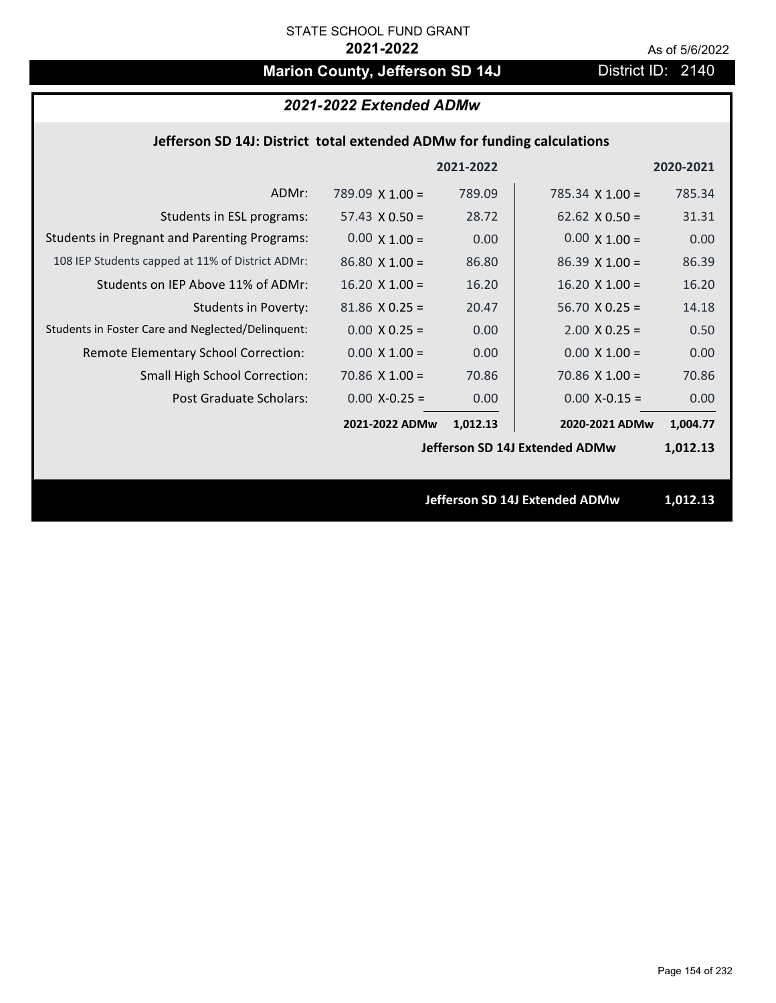# **Marion County, Jefferson SD 14J** District ID: 2140

# *2021-2022 Extended ADMw*

## **Jefferson SD 14J: District total extended ADMw for funding calculations**

|                                                     |                        | 2021-2022 |                                | 2020-2021  |
|-----------------------------------------------------|------------------------|-----------|--------------------------------|------------|
| ADMr:                                               | 789.09 $\times$ 1.00 = | 789.09    | 785.34 $X$ 1.00 =              | 785.34     |
| Students in ESL programs:                           | $57.43 \times 0.50 =$  | 28.72     | $62.62 \times 0.50 =$          | 31.31      |
| <b>Students in Pregnant and Parenting Programs:</b> | $0.00 \times 1.00 =$   | 0.00      | $0.00 \times 1.00 =$           | 0.00       |
| 108 IEP Students capped at 11% of District ADMr:    | $86.80 \times 1.00 =$  | 86.80     | $86.39 \times 1.00 =$          | 86.39      |
| Students on IEP Above 11% of ADMr:                  | $16.20 \times 1.00 =$  | 16.20     | $16.20$ X $1.00 =$             | 16.20      |
| <b>Students in Poverty:</b>                         | $81.86$ X 0.25 =       | 20.47     | $56.70 X 0.25 =$               | 14.18      |
| Students in Foster Care and Neglected/Delinquent:   | $0.00 \times 0.25 =$   | 0.00      | $2.00 \times 0.25 =$           | 0.50       |
| Remote Elementary School Correction:                | $0.00 \times 1.00 =$   | 0.00      | $0.00 \times 1.00 =$           | 0.00       |
| <b>Small High School Correction:</b>                | $70.86$ X $1.00 =$     | 70.86     | $70.86$ X $1.00 =$             | 70.86      |
| Post Graduate Scholars:                             | $0.00$ X-0.25 =        | 0.00      | $0.00$ X-0.15 =                | 0.00       |
|                                                     | 2021-2022 ADMw         | 1,012.13  | 2020-2021 ADMw                 | 1,004.77   |
|                                                     |                        |           | Jefferson SD 14J Extended ADMw | 1,012.13   |
|                                                     |                        |           |                                |            |
|                                                     |                        |           | Infferson CD 141 Extended ADMu | 1 01 7 1 2 |

**Jefferson SD 14J Extended ADMw 1,012.13**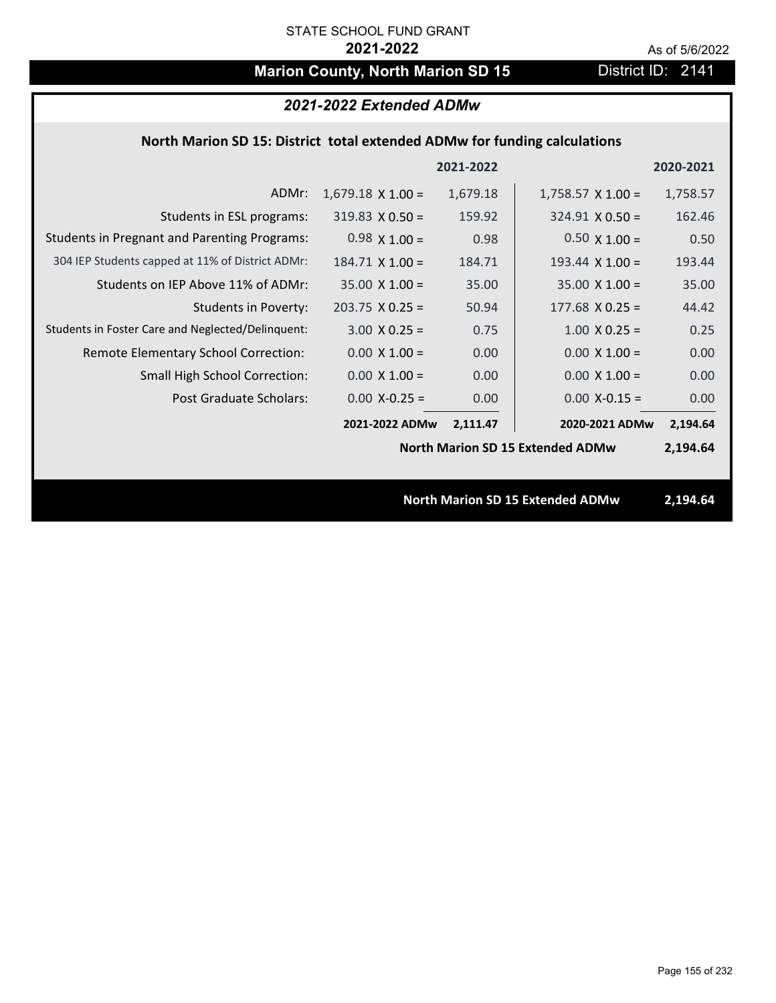# **Marion County, North Marion SD 15** District ID: 2141

## *2021-2022 Extended ADMw*

### **North Marion SD 15: District total extended ADMw for funding calculations**

|                                                     |                          | 2021-2022 |                                         | 2020-2021 |
|-----------------------------------------------------|--------------------------|-----------|-----------------------------------------|-----------|
| ADMr:                                               | $1,679.18 \times 1.00 =$ | 1,679.18  | $1,758.57 \times 1.00 =$                | 1,758.57  |
| Students in ESL programs:                           | $319.83 \times 0.50 =$   | 159.92    | $324.91 \times 0.50 =$                  | 162.46    |
| <b>Students in Pregnant and Parenting Programs:</b> | $0.98 \times 1.00 =$     | 0.98      | $0.50 \times 1.00 =$                    | 0.50      |
| 304 IEP Students capped at 11% of District ADMr:    | $184.71$ X $1.00 =$      | 184.71    | 193.44 $X$ 1.00 =                       | 193.44    |
| Students on IEP Above 11% of ADMr:                  | $35.00 \times 1.00 =$    | 35.00     | $35.00 \times 1.00 =$                   | 35.00     |
| <b>Students in Poverty:</b>                         | $203.75 \times 0.25 =$   | 50.94     | $177.68$ X 0.25 =                       | 44.42     |
| Students in Foster Care and Neglected/Delinquent:   | $3.00 \times 0.25 =$     | 0.75      | $1.00 \times 0.25 =$                    | 0.25      |
| Remote Elementary School Correction:                | $0.00 \times 1.00 =$     | 0.00      | $0.00 \times 1.00 =$                    | 0.00      |
| <b>Small High School Correction:</b>                | $0.00 \times 1.00 =$     | 0.00      | $0.00 \times 1.00 =$                    | 0.00      |
| Post Graduate Scholars:                             | $0.00$ X-0.25 =          | 0.00      | $0.00$ X-0.15 =                         | 0.00      |
|                                                     | 2021-2022 ADMw           | 2,111.47  | 2020-2021 ADMw                          | 2,194.64  |
|                                                     |                          |           | <b>North Marion SD 15 Extended ADMw</b> | 2,194.64  |
|                                                     |                          |           |                                         |           |
|                                                     |                          |           | <b>North Marion SD 15 Extended ADMw</b> | 2,194.64  |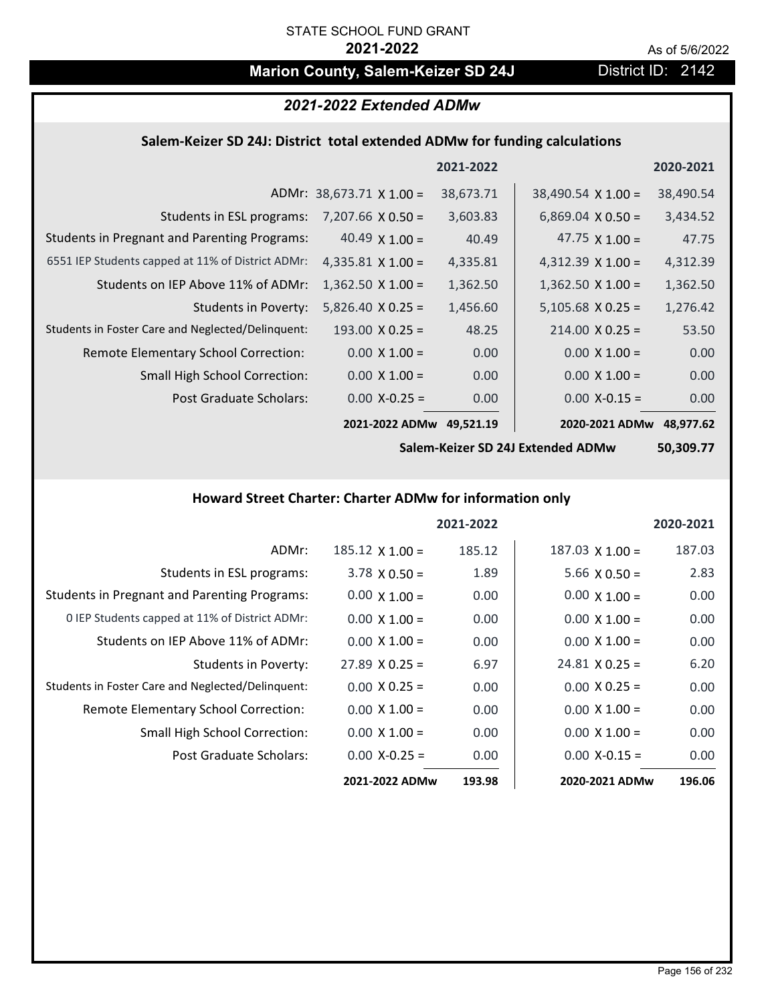# **Marion County, Salem-Keizer SD 24J District ID: 2142**

# *2021-2022 Extended ADMw*

### **Salem‐Keizer SD 24J: District total extended ADMw for funding calculations**

|                                                     |                                 | 2021-2022 |                           | 2020-2021 |
|-----------------------------------------------------|---------------------------------|-----------|---------------------------|-----------|
|                                                     | ADMr: $38,673.71 \times 1.00 =$ | 38,673.71 | $38,490.54 \times 1.00 =$ | 38,490.54 |
| Students in ESL programs:                           | $7,207.66 \times 0.50 =$        | 3,603.83  | $6,869.04 \times 0.50 =$  | 3,434.52  |
| <b>Students in Pregnant and Parenting Programs:</b> | 40.49 $\times$ 1.00 =           | 40.49     | 47.75 $\times$ 1.00 =     | 47.75     |
| 6551 IEP Students capped at 11% of District ADMr:   | 4,335.81 $\times$ 1.00 =        | 4,335.81  | $4,312.39 \times 1.00 =$  | 4,312.39  |
| Students on IEP Above 11% of ADMr:                  | $1,362.50 \times 1.00 =$        | 1,362.50  | $1,362.50 \times 1.00 =$  | 1,362.50  |
| <b>Students in Poverty:</b>                         | $5,826.40 \times 0.25 =$        | 1,456.60  | $5,105.68$ X 0.25 =       | 1,276.42  |
| Students in Foster Care and Neglected/Delinquent:   | $193.00 \times 0.25 =$          | 48.25     | $214.00 \times 0.25 =$    | 53.50     |
| <b>Remote Elementary School Correction:</b>         | $0.00 \times 1.00 =$            | 0.00      | $0.00 \times 1.00 =$      | 0.00      |
| <b>Small High School Correction:</b>                | $0.00 \times 1.00 =$            | 0.00      | $0.00 \times 1.00 =$      | 0.00      |
| <b>Post Graduate Scholars:</b>                      | $0.00 X - 0.25 =$               | 0.00      | $0.00$ X-0.15 =           | 0.00      |
|                                                     | 2021-2022 ADMw                  | 49,521.19 | 2020-2021 ADMw            | 48,977.62 |

**Salem‐Keizer SD 24J Extended ADMw**

**50,309.77**

#### **Howard Street Charter: Charter ADMw for information only**

|                                                     |                       | 2021-2022 |                        | 2020-2021 |
|-----------------------------------------------------|-----------------------|-----------|------------------------|-----------|
| ADMr:                                               | $185.12$ X $1.00 =$   | 185.12    | $187.03 \times 1.00 =$ | 187.03    |
| Students in ESL programs:                           | $3.78 \times 0.50 =$  | 1.89      | $5.66 \times 0.50 =$   | 2.83      |
| <b>Students in Pregnant and Parenting Programs:</b> | $0.00 \times 1.00 =$  | 0.00      | $0.00 \times 1.00 =$   | 0.00      |
| 0 IEP Students capped at 11% of District ADMr:      | $0.00 \times 1.00 =$  | 0.00      | $0.00 \times 1.00 =$   | 0.00      |
| Students on IEP Above 11% of ADMr:                  | $0.00 \times 1.00 =$  | 0.00      | $0.00 \times 1.00 =$   | 0.00      |
| <b>Students in Poverty:</b>                         | $27.89 \times 0.25 =$ | 6.97      | $24.81 \times 0.25 =$  | 6.20      |
| Students in Foster Care and Neglected/Delinquent:   | $0.00 \times 0.25 =$  | 0.00      | $0.00 \times 0.25 =$   | 0.00      |
| Remote Elementary School Correction:                | $0.00 \times 1.00 =$  | 0.00      | $0.00 \times 1.00 =$   | 0.00      |
| Small High School Correction:                       | $0.00 \times 1.00 =$  | 0.00      | $0.00 \times 1.00 =$   | 0.00      |
| Post Graduate Scholars:                             | $0.00$ X-0.25 =       | 0.00      | $0.00$ X-0.15 =        | 0.00      |
|                                                     | 2021-2022 ADMw        | 193.98    | 2020-2021 ADMw         | 196.06    |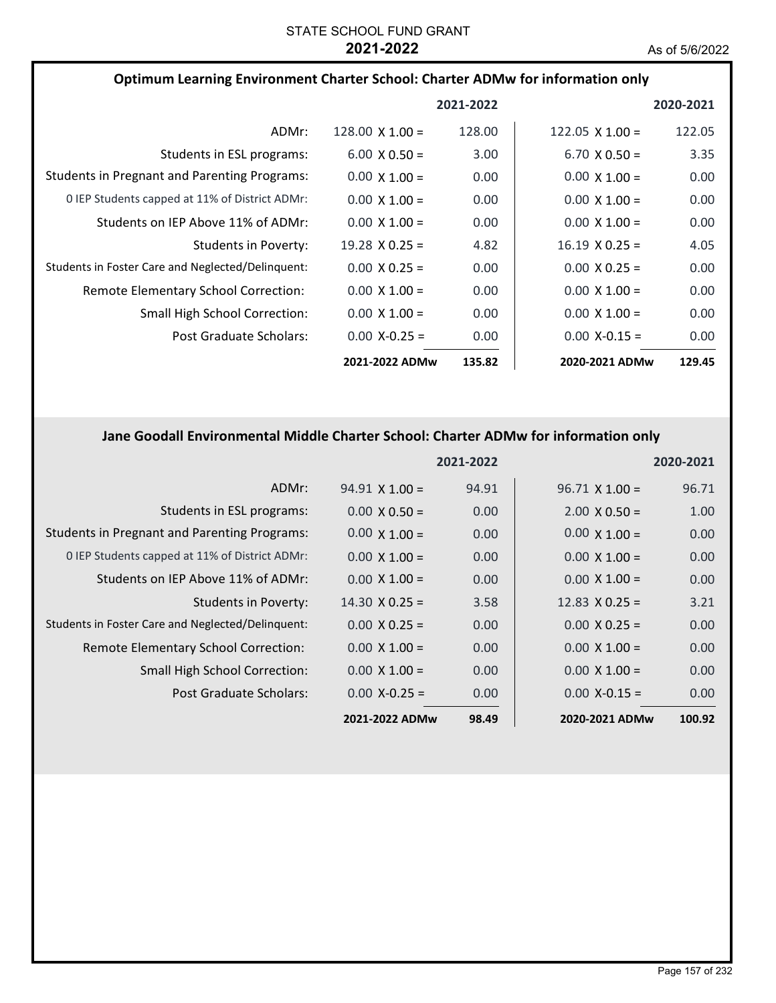| Optimum Learning Environment Charter School: Charter ADMw for information only |                        |           |                        |                   |
|--------------------------------------------------------------------------------|------------------------|-----------|------------------------|-------------------|
|                                                                                |                        | 2021-2022 |                        | 2020-2021         |
| ADMr:                                                                          | $128.00 \times 1.00 =$ | 128.00    | $122.05 \times 1.00 =$ | 122.05            |
| Students in ESL programs:                                                      | $6.00 \times 0.50 =$   | 3.00      | $6.70 \times 0.50 =$   | 3.35              |
| <b>Students in Pregnant and Parenting Programs:</b>                            | $0.00 \times 1.00 =$   | 0.00      | $0.00 \times 1.00 =$   | 0.00              |
| 0 IEP Students capped at 11% of District ADMr:                                 | $0.00 \times 1.00 =$   | 0.00      | $0.00 \times 1.00 =$   | 0.00              |
| Students on IEP Above 11% of ADMr:                                             | $0.00 \times 1.00 =$   | 0.00      | $0.00 \times 1.00 =$   | 0.00              |
| Students in Poverty:                                                           | $19.28 \times 0.25 =$  | 4.82      | $16.19 \times 0.25 =$  | 4.05              |
| Students in Foster Care and Neglected/Delinguent:                              | $0.00 \times 0.25 =$   | 0.00      | $0.00 \times 0.25 =$   | 0.00              |
| Remote Elementary School Correction:                                           | $0.00 \times 1.00 =$   | 0.00      | $0.00 \times 1.00 =$   | 0.00              |
| Small High School Correction:                                                  | $0.00 \times 1.00 =$   | 0.00      | $0.00 \times 1.00 =$   | 0.00              |
| Post Graduate Scholars:                                                        | $0.00 X - 0.25 =$      | 0.00      | $0.00$ X-0.15 =        | 0.00 <sub>1</sub> |
|                                                                                | 2021-2022 ADMw         | 135.82    | 2020-2021 ADMw         | 129.45            |

# **Jane Goodall Environmental Middle Charter School: Charter ADMw for information only**

|                                                     |                       | 2021-2022 |                       | 2020-2021 |
|-----------------------------------------------------|-----------------------|-----------|-----------------------|-----------|
| ADMr:                                               | $94.91 \times 1.00 =$ | 94.91     | $96.71 \times 1.00 =$ | 96.71     |
| Students in ESL programs:                           | $0.00 \times 0.50 =$  | 0.00      | $2.00 \times 0.50 =$  | 1.00      |
| <b>Students in Pregnant and Parenting Programs:</b> | $0.00 \times 1.00 =$  | 0.00      | $0.00 \times 1.00 =$  | 0.00      |
| 0 IEP Students capped at 11% of District ADMr:      | $0.00 \times 1.00 =$  | 0.00      | $0.00 \times 1.00 =$  | 0.00      |
| Students on IEP Above 11% of ADMr:                  | $0.00 \times 1.00 =$  | 0.00      | $0.00 \times 1.00 =$  | 0.00      |
| <b>Students in Poverty:</b>                         | $14.30 \times 0.25 =$ | 3.58      | 12.83 $\times$ 0.25 = | 3.21      |
| Students in Foster Care and Neglected/Delinquent:   | $0.00 \times 0.25 =$  | 0.00      | $0.00 \times 0.25 =$  | 0.00      |
| Remote Elementary School Correction:                | $0.00 \times 1.00 =$  | 0.00      | $0.00 \times 1.00 =$  | 0.00      |
| <b>Small High School Correction:</b>                | $0.00 \times 1.00 =$  | 0.00      | $0.00 \times 1.00 =$  | 0.00      |
| Post Graduate Scholars:                             | $0.00 X - 0.25 =$     | 0.00      | $0.00$ X-0.15 =       | 0.00      |
|                                                     | 2021-2022 ADMw        | 98.49     | 2020-2021 ADMw        | 100.92    |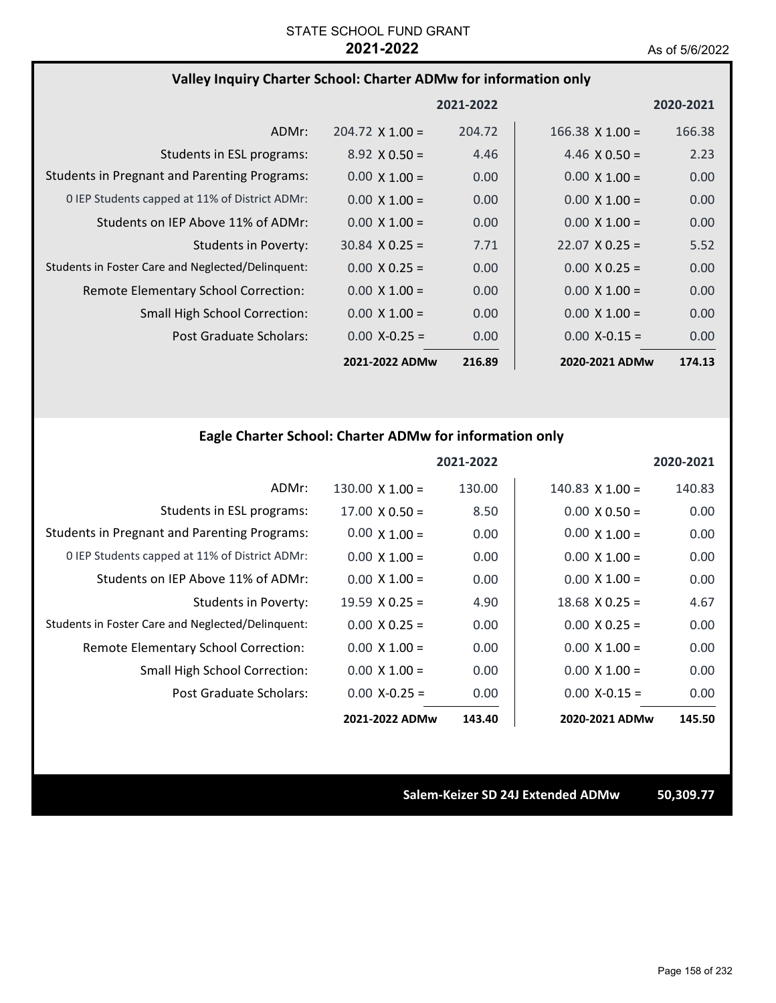### **Valley Inquiry Charter School: Charter ADMw for information only**

|                                                     |                        | 2021-2022 |                        | 2020-2021 |
|-----------------------------------------------------|------------------------|-----------|------------------------|-----------|
| ADMr:                                               | $204.72 \times 1.00 =$ | 204.72    | $166.38 \times 1.00 =$ | 166.38    |
| Students in ESL programs:                           | $8.92 \times 0.50 =$   | 4.46      | 4.46 $\times$ 0.50 =   | 2.23      |
| <b>Students in Pregnant and Parenting Programs:</b> | $0.00 \times 1.00 =$   | 0.00      | $0.00 \times 1.00 =$   | 0.00      |
| 0 IEP Students capped at 11% of District ADMr:      | $0.00 \times 1.00 =$   | 0.00      | $0.00 \times 1.00 =$   | 0.00      |
| Students on IEP Above 11% of ADMr:                  | $0.00 \times 1.00 =$   | 0.00      | $0.00 \times 1.00 =$   | 0.00      |
| Students in Poverty:                                | $30.84 \times 0.25 =$  | 7.71      | $22.07 \times 0.25 =$  | 5.52      |
| Students in Foster Care and Neglected/Delinquent:   | $0.00 \times 0.25 =$   | 0.00      | $0.00 \times 0.25 =$   | 0.00      |
| Remote Elementary School Correction:                | $0.00 \times 1.00 =$   | 0.00      | $0.00 \times 1.00 =$   | 0.00      |
| <b>Small High School Correction:</b>                | $0.00 \times 1.00 =$   | 0.00      | $0.00 \times 1.00 =$   | 0.00      |
| Post Graduate Scholars:                             | $0.00$ X-0.25 =        | 0.00      | $0.00$ X-0.15 =        | 0.00      |
|                                                     | 2021-2022 ADMw         | 216.89    | 2020-2021 ADMw         | 174.13    |

# **Eagle Charter School: Charter ADMw for information only**

|                                                     |                        | 2021-2022 |                        | 2020-2021 |
|-----------------------------------------------------|------------------------|-----------|------------------------|-----------|
| ADMr:                                               | $130.00 \times 1.00 =$ | 130.00    | $140.83 \times 1.00 =$ | 140.83    |
| Students in ESL programs:                           | $17.00 \times 0.50 =$  | 8.50      | $0.00 \times 0.50 =$   | 0.00      |
| <b>Students in Pregnant and Parenting Programs:</b> | $0.00 \times 1.00 =$   | 0.00      | $0.00 \times 1.00 =$   | 0.00      |
| 0 IEP Students capped at 11% of District ADMr:      | $0.00 \times 1.00 =$   | 0.00      | $0.00 \times 1.00 =$   | 0.00      |
| Students on IEP Above 11% of ADMr:                  | $0.00 \times 1.00 =$   | 0.00      | $0.00 \times 1.00 =$   | 0.00      |
| Students in Poverty:                                | $19.59 \times 0.25 =$  | 4.90      | $18.68 \times 0.25 =$  | 4.67      |
| Students in Foster Care and Neglected/Delinquent:   | $0.00 \times 0.25 =$   | 0.00      | $0.00 \times 0.25 =$   | 0.00      |
| Remote Elementary School Correction:                | $0.00 \times 1.00 =$   | 0.00      | $0.00 \times 1.00 =$   | 0.00      |
| Small High School Correction:                       | $0.00 \times 1.00 =$   | 0.00      | $0.00 \times 1.00 =$   | 0.00      |
| Post Graduate Scholars:                             | $0.00 X - 0.25 =$      | 0.00      | $0.00 X - 0.15 =$      | 0.00      |
|                                                     | 2021-2022 ADMw         | 143.40    | 2020-2021 ADMw         | 145.50    |

**Salem‐Keizer SD 24J Extended ADMw 50,309.77**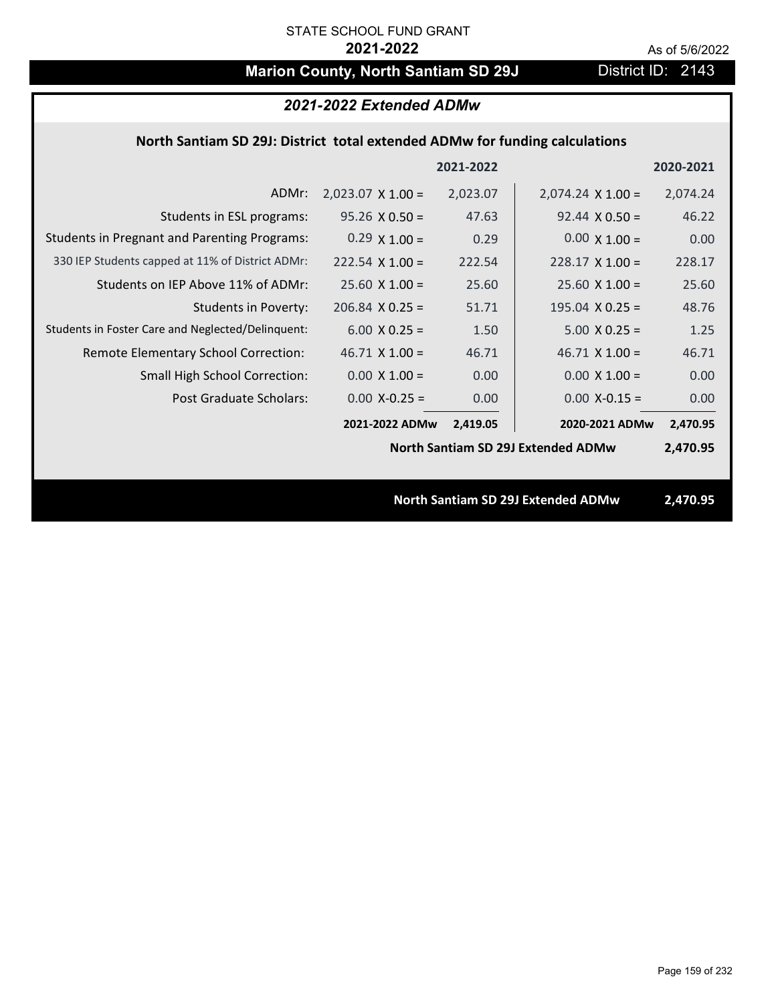# **Marion County, North Santiam SD 29J District ID: 2143**

|                                                                             | 2021-2022 Extended ADMw  |           |                                           |           |
|-----------------------------------------------------------------------------|--------------------------|-----------|-------------------------------------------|-----------|
| North Santiam SD 29J: District total extended ADMw for funding calculations |                          |           |                                           |           |
|                                                                             |                          | 2021-2022 |                                           | 2020-2021 |
| ADMr:                                                                       | $2,023.07 \times 1.00 =$ | 2,023.07  | $2,074.24 \times 1.00 =$                  | 2,074.24  |
| Students in ESL programs:                                                   | $95.26 \times 0.50 =$    | 47.63     | $92.44 \times 0.50 =$                     | 46.22     |
| <b>Students in Pregnant and Parenting Programs:</b>                         | $0.29 \times 1.00 =$     | 0.29      | $0.00 \times 1.00 =$                      | 0.00      |
| 330 IEP Students capped at 11% of District ADMr:                            | $222.54 \times 1.00 =$   | 222.54    | $228.17 \times 1.00 =$                    | 228.17    |
| Students on IEP Above 11% of ADMr:                                          | $25.60$ X 1.00 =         | 25.60     | $25.60 X 1.00 =$                          | 25.60     |
| <b>Students in Poverty:</b>                                                 | $206.84$ X 0.25 =        | 51.71     | 195.04 $X$ 0.25 =                         | 48.76     |
| Students in Foster Care and Neglected/Delinquent:                           | $6.00 \times 0.25 =$     | 1.50      | $5.00 X 0.25 =$                           | 1.25      |
| Remote Elementary School Correction:                                        | $46.71$ X $1.00 =$       | 46.71     | $46.71$ X $1.00 =$                        | 46.71     |
| <b>Small High School Correction:</b>                                        | $0.00 \times 1.00 =$     | 0.00      | $0.00 \times 1.00 =$                      | 0.00      |
| Post Graduate Scholars:                                                     | $0.00$ X-0.25 =          | 0.00      | $0.00$ X-0.15 =                           | 0.00      |
|                                                                             | 2021-2022 ADMw           | 2,419.05  | 2020-2021 ADMw                            | 2,470.95  |
|                                                                             |                          |           | <b>North Santiam SD 29J Extended ADMw</b> | 2,470.95  |
|                                                                             |                          |           |                                           |           |
|                                                                             |                          |           | <b>North Santiam SD 29J Extended ADMw</b> | 2,470.95  |
|                                                                             |                          |           |                                           |           |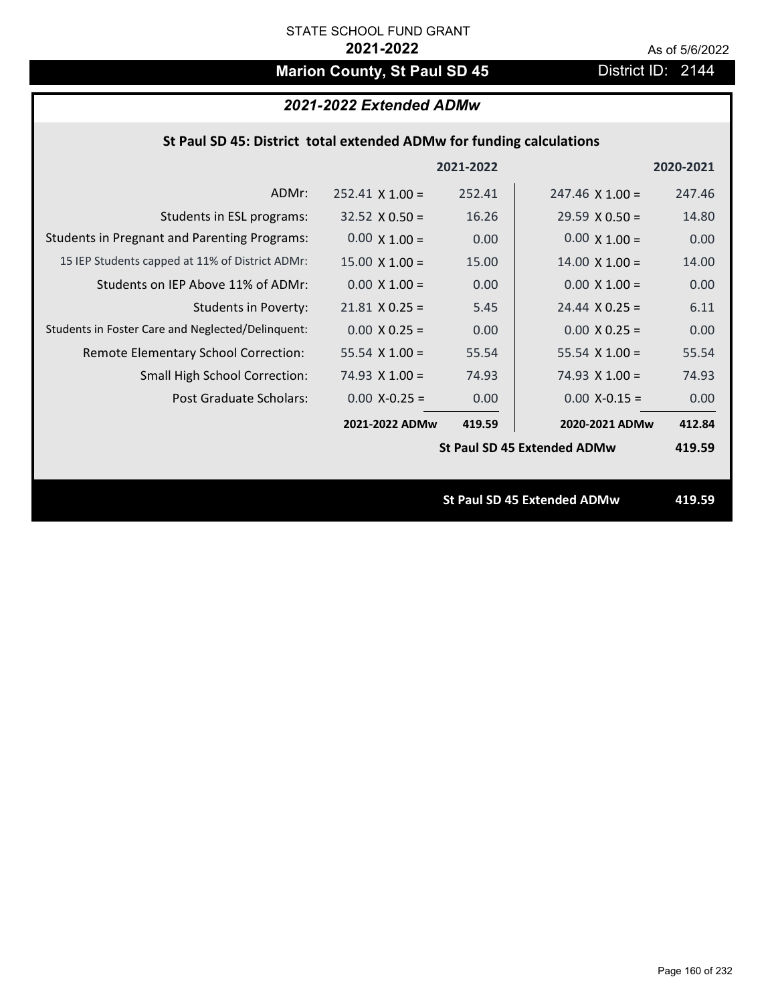# **Marion County, St Paul SD 45** District ID: 2144

# *2021-2022 Extended ADMw*

### **St Paul SD 45: District total extended ADMw for funding calculations**

|                                                     |                        | 2021-2022 |                                    | 2020-2021 |
|-----------------------------------------------------|------------------------|-----------|------------------------------------|-----------|
| ADMr:                                               | $252.41 \times 1.00 =$ | 252.41    | $247.46 \times 1.00 =$             | 247.46    |
| Students in ESL programs:                           | $32.52 \times 0.50 =$  | 16.26     | $29.59 \times 0.50 =$              | 14.80     |
| <b>Students in Pregnant and Parenting Programs:</b> | $0.00 \times 1.00 =$   | 0.00      | $0.00 \times 1.00 =$               | 0.00      |
| 15 IEP Students capped at 11% of District ADMr:     | $15.00 \times 1.00 =$  | 15.00     | $14.00 \times 1.00 =$              | 14.00     |
| Students on IEP Above 11% of ADMr:                  | $0.00 \times 1.00 =$   | 0.00      | $0.00 \times 1.00 =$               | 0.00      |
| <b>Students in Poverty:</b>                         | $21.81$ X 0.25 =       | 5.45      | $24.44 \times 0.25 =$              | 6.11      |
| Students in Foster Care and Neglected/Delinquent:   | $0.00 X 0.25 =$        | 0.00      | $0.00 X 0.25 =$                    | 0.00      |
| Remote Elementary School Correction:                | 55.54 $X$ 1.00 =       | 55.54     | 55.54 $X$ 1.00 =                   | 55.54     |
| <b>Small High School Correction:</b>                | 74.93 $X$ 1.00 =       | 74.93     | $74.93 \times 1.00 =$              | 74.93     |
| Post Graduate Scholars:                             | $0.00$ X-0.25 =        | 0.00      | $0.00$ X-0.15 =                    | 0.00      |
|                                                     | 2021-2022 ADMw         | 419.59    | 2020-2021 ADMw                     | 412.84    |
|                                                     |                        |           | <b>St Paul SD 45 Extended ADMw</b> | 419.59    |
|                                                     |                        |           |                                    |           |
|                                                     |                        |           | <b>St Paul SD 45 Extended ADMw</b> | 419.59    |
|                                                     |                        |           |                                    |           |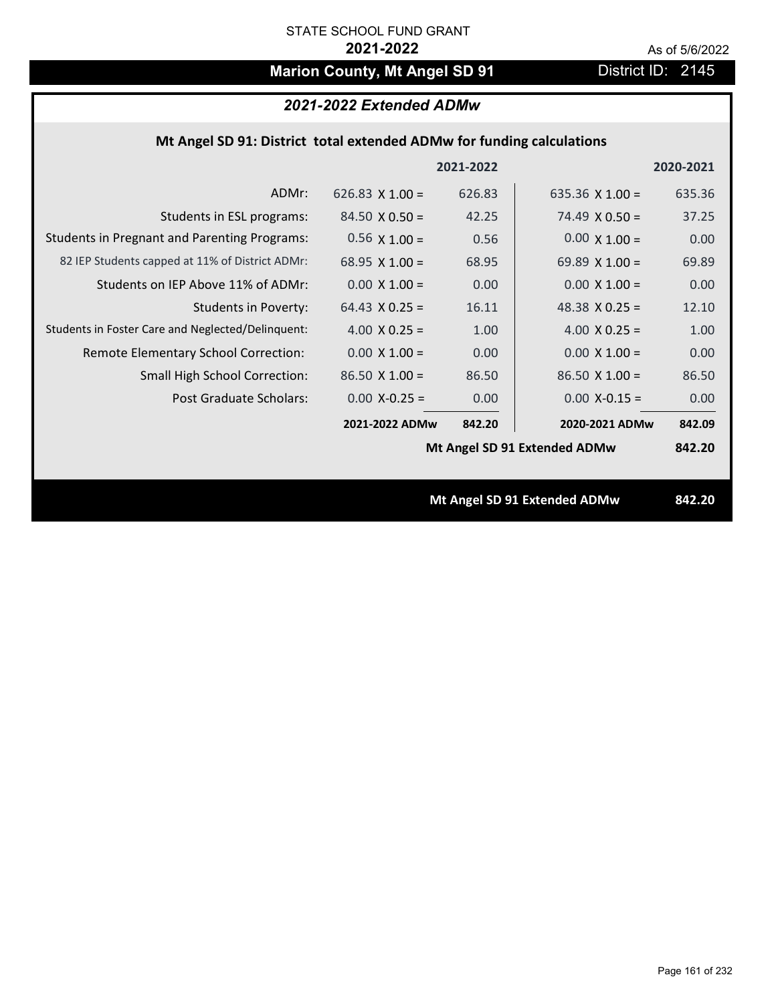# **Marion County, Mt Angel SD 91** District ID: 2145

## *2021-2022 Extended ADMw*

## **Mt Angel SD 91: District total extended ADMw for funding calculations**

|                                                     |                        | 2021-2022 |                              | 2020-2021 |
|-----------------------------------------------------|------------------------|-----------|------------------------------|-----------|
| ADMr:                                               | 626.83 $\times$ 1.00 = | 626.83    | 635.36 $X$ 1.00 =            | 635.36    |
| Students in ESL programs:                           | $84.50 \times 0.50 =$  | 42.25     | $74.49 \times 0.50 =$        | 37.25     |
| <b>Students in Pregnant and Parenting Programs:</b> | $0.56 \times 1.00 =$   | 0.56      | $0.00 \times 1.00 =$         | 0.00      |
| 82 IEP Students capped at 11% of District ADMr:     | 68.95 $\times$ 1.00 =  | 68.95     | 69.89 $\times$ 1.00 =        | 69.89     |
| Students on IEP Above 11% of ADMr:                  | $0.00 \times 1.00 =$   | 0.00      | $0.00 \times 1.00 =$         | 0.00      |
| <b>Students in Poverty:</b>                         | $64.43 \times 0.25 =$  | 16.11     | 48.38 $X$ 0.25 =             | 12.10     |
| Students in Foster Care and Neglected/Delinquent:   | 4.00 $X$ 0.25 =        | 1.00      | 4.00 $X$ 0.25 =              | 1.00      |
| Remote Elementary School Correction:                | $0.00 \times 1.00 =$   | 0.00      | $0.00 \times 1.00 =$         | 0.00      |
| <b>Small High School Correction:</b>                | $86.50 \times 1.00 =$  | 86.50     | $86.50 \times 1.00 =$        | 86.50     |
| Post Graduate Scholars:                             | $0.00$ X-0.25 =        | 0.00      | $0.00$ X-0.15 =              | 0.00      |
|                                                     | 2021-2022 ADMw         | 842.20    | 2020-2021 ADMw               | 842.09    |
|                                                     |                        |           | Mt Angel SD 91 Extended ADMw | 842.20    |
|                                                     |                        |           |                              |           |
|                                                     |                        |           | Mt Angel SD 91 Extended ADMw | 842.20    |
|                                                     |                        |           |                              |           |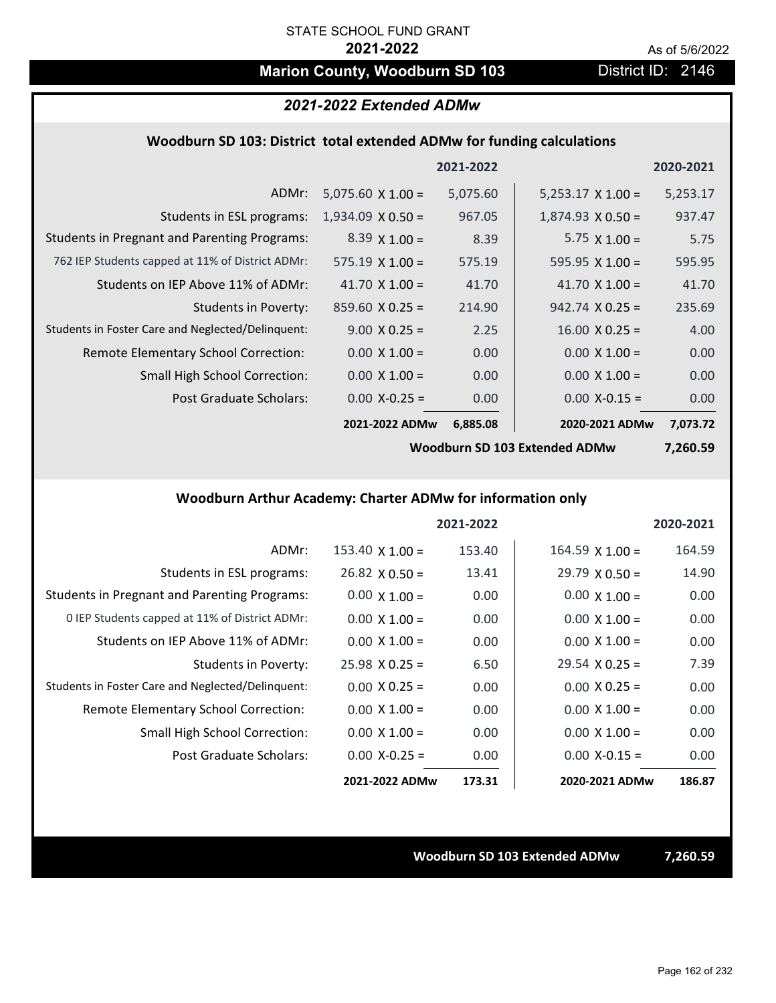# **Marion County, Woodburn SD 103** District ID: 2146

### *2021-2022 Extended ADMw*

#### **Woodburn SD 103: District total extended ADMw for funding calculations**

|                                                     |                          | 2021-2022 |                          | 2020-2021 |
|-----------------------------------------------------|--------------------------|-----------|--------------------------|-----------|
| ADMr:                                               | $5,075.60 \times 1.00 =$ | 5,075.60  | $5,253.17 \times 1.00 =$ | 5,253.17  |
| Students in ESL programs:                           | $1,934.09 \times 0.50 =$ | 967.05    | $1,874.93 \times 0.50 =$ | 937.47    |
| <b>Students in Pregnant and Parenting Programs:</b> | $8.39 \times 1.00 =$     | 8.39      | 5.75 $\times$ 1.00 =     | 5.75      |
| 762 IEP Students capped at 11% of District ADMr:    | $575.19 \times 1.00 =$   | 575.19    | 595.95 $\times$ 1.00 =   | 595.95    |
| Students on IEP Above 11% of ADMr:                  | 41.70 $\times$ 1.00 =    | 41.70     | 41.70 $\times$ 1.00 =    | 41.70     |
| Students in Poverty:                                | $859.60 \times 0.25 =$   | 214.90    | $942.74 \times 0.25 =$   | 235.69    |
| Students in Foster Care and Neglected/Delinquent:   | $9.00 \times 0.25 =$     | 2.25      | $16.00 \times 0.25 =$    | 4.00      |
| Remote Elementary School Correction:                | $0.00 \times 1.00 =$     | 0.00      | $0.00 \times 1.00 =$     | 0.00      |
| <b>Small High School Correction:</b>                | $0.00 \times 1.00 =$     | 0.00      | $0.00 \times 1.00 =$     | 0.00      |
| Post Graduate Scholars:                             | $0.00$ X-0.25 =          | 0.00      | $0.00$ X-0.15 =          | 0.00      |
|                                                     | 2021-2022 ADMw           | 6,885.08  | 2020-2021 ADMw           | 7,073.72  |

**Woodburn SD 103 Extended ADMw**

**7,260.59**

## **Woodburn Arthur Academy: Charter ADMw for information only**

|                                                     |                        | 2021-2022 |                       | 2020-2021 |
|-----------------------------------------------------|------------------------|-----------|-----------------------|-----------|
| ADMr:                                               | $153.40 \times 1.00 =$ | 153.40    | $164.59$ X $1.00 =$   | 164.59    |
| Students in ESL programs:                           | $26.82 \times 0.50 =$  | 13.41     | $29.79 \times 0.50 =$ | 14.90     |
| <b>Students in Pregnant and Parenting Programs:</b> | $0.00 \times 1.00 =$   | 0.00      | $0.00 \times 1.00 =$  | 0.00      |
| 0 IEP Students capped at 11% of District ADMr:      | $0.00 \times 1.00 =$   | 0.00      | $0.00 \times 1.00 =$  | 0.00      |
| Students on IEP Above 11% of ADMr:                  | $0.00 \times 1.00 =$   | 0.00      | $0.00 \times 1.00 =$  | 0.00      |
| Students in Poverty:                                | $25.98 \times 0.25 =$  | 6.50      | $29.54 \times 0.25 =$ | 7.39      |
| Students in Foster Care and Neglected/Delinquent:   | $0.00 \times 0.25 =$   | 0.00      | $0.00 \times 0.25 =$  | 0.00      |
| Remote Elementary School Correction:                | $0.00 \times 1.00 =$   | 0.00      | $0.00 \times 1.00 =$  | 0.00      |
| <b>Small High School Correction:</b>                | $0.00 \times 1.00 =$   | 0.00      | $0.00 \times 1.00 =$  | 0.00      |
| Post Graduate Scholars:                             | $0.00 X - 0.25 =$      | 0.00      | $0.00 X - 0.15 =$     | 0.00      |
|                                                     | 2021-2022 ADMw         | 173.31    | 2020-2021 ADMw        | 186.87    |

**Woodburn SD 103 Extended ADMw 7,260.59**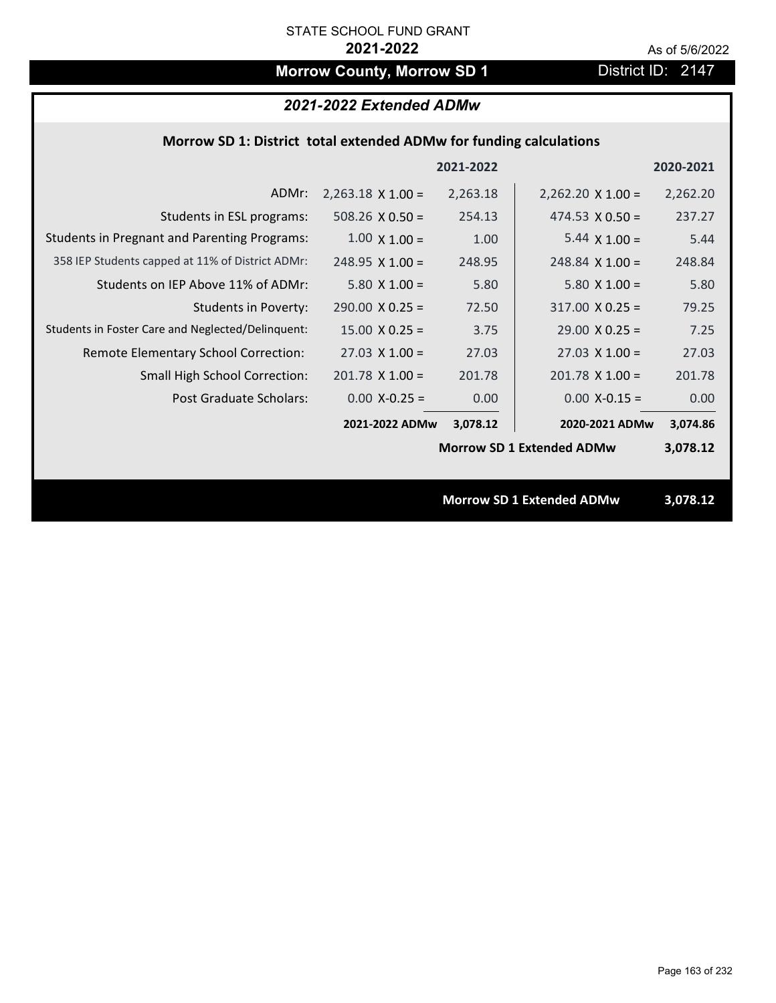# **Morrow County, Morrow SD 1** District ID: 2147

## *2021-2022 Extended ADMw*

### **Morrow SD 1: District total extended ADMw for funding calculations**

|                                                     |                          | 2021-2022 |                                  | 2020-2021 |
|-----------------------------------------------------|--------------------------|-----------|----------------------------------|-----------|
| ADMr:                                               | $2,263.18 \times 1.00 =$ | 2,263.18  | $2,262.20 \times 1.00 =$         | 2,262.20  |
| Students in ESL programs:                           | 508.26 $\times$ 0.50 =   | 254.13    | $474.53 \times 0.50 =$           | 237.27    |
| <b>Students in Pregnant and Parenting Programs:</b> | $1.00 \times 1.00 =$     | 1.00      | 5.44 $\times$ 1.00 =             | 5.44      |
| 358 IEP Students capped at 11% of District ADMr:    | $248.95 \times 1.00 =$   | 248.95    | $248.84 \times 1.00 =$           | 248.84    |
| Students on IEP Above 11% of ADMr:                  | $5.80 X 1.00 =$          | 5.80      | $5.80$ X $1.00 =$                | 5.80      |
| <b>Students in Poverty:</b>                         | $290.00 \times 0.25 =$   | 72.50     | $317.00 \times 0.25 =$           | 79.25     |
| Students in Foster Care and Neglected/Delinquent:   | $15.00 \times 0.25 =$    | 3.75      | $29.00 \times 0.25 =$            | 7.25      |
| Remote Elementary School Correction:                | $27.03 \times 1.00 =$    | 27.03     | $27.03 \times 1.00 =$            | 27.03     |
| <b>Small High School Correction:</b>                | $201.78$ X 1.00 =        | 201.78    | $201.78$ X $1.00 =$              | 201.78    |
| Post Graduate Scholars:                             | $0.00$ X-0.25 =          | 0.00      | $0.00$ X-0.15 =                  | 0.00      |
|                                                     | 2021-2022 ADMw           | 3,078.12  | 2020-2021 ADMw                   | 3,074.86  |
|                                                     |                          |           | <b>Morrow SD 1 Extended ADMw</b> | 3,078.12  |
|                                                     |                          |           |                                  |           |
|                                                     |                          |           | <b>Morrow SD 1 Extended ADMw</b> | 3,078.12  |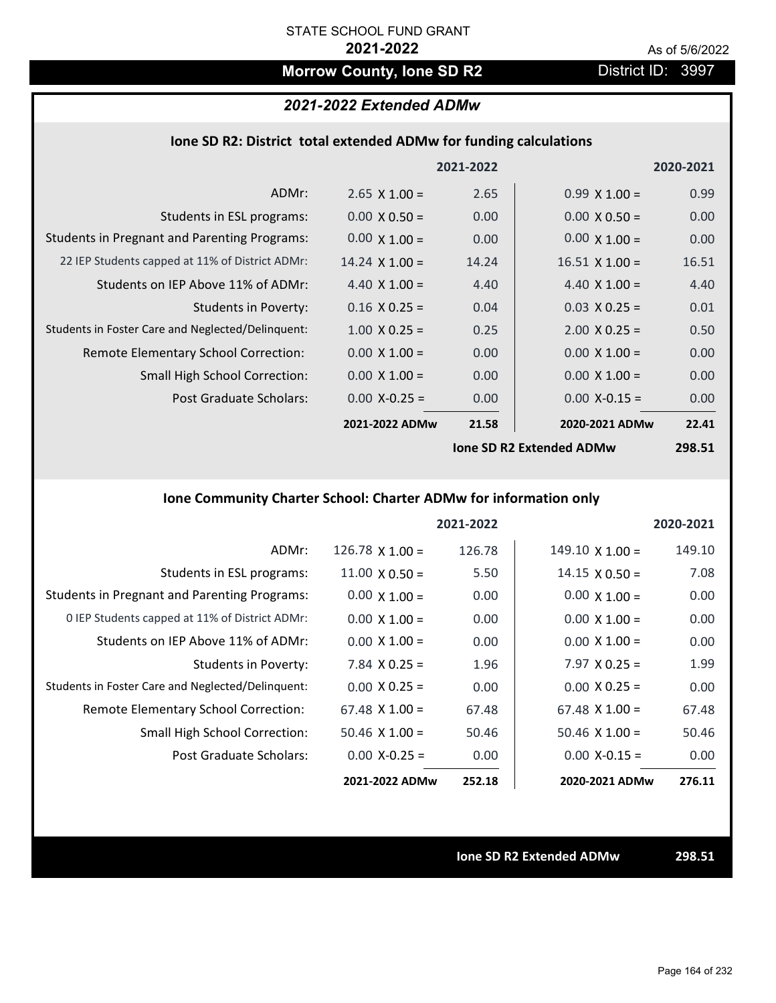# **Morrow County, Ione SD R2** District ID: 3997

# *2021-2022 Extended ADMw*

### **Ione SD R2: District total extended ADMw for funding calculations**

|                                                     |                       | 2021-2022 |                                 | 2020-2021 |
|-----------------------------------------------------|-----------------------|-----------|---------------------------------|-----------|
| ADMr:                                               | $2.65 \times 1.00 =$  | 2.65      | $0.99 \times 1.00 =$            | 0.99      |
| Students in ESL programs:                           | $0.00 \times 0.50 =$  | 0.00      | $0.00 \times 0.50 =$            | 0.00      |
| <b>Students in Pregnant and Parenting Programs:</b> | $0.00 \times 1.00 =$  | 0.00      | $0.00 \times 1.00 =$            | 0.00      |
| 22 IEP Students capped at 11% of District ADMr:     | $14.24 \times 1.00 =$ | 14.24     | $16.51 \times 1.00 =$           | 16.51     |
| Students on IEP Above 11% of ADMr:                  | 4.40 $X$ 1.00 =       | 4.40      | 4.40 $X$ 1.00 =                 | 4.40      |
| Students in Poverty:                                | $0.16 \times 0.25 =$  | 0.04      | $0.03 \times 0.25 =$            | 0.01      |
| Students in Foster Care and Neglected/Delinquent:   | $1.00 \times 0.25 =$  | 0.25      | $2.00 \times 0.25 =$            | 0.50      |
| Remote Elementary School Correction:                | $0.00 \times 1.00 =$  | 0.00      | $0.00 \times 1.00 =$            | 0.00      |
| <b>Small High School Correction:</b>                | $0.00 \times 1.00 =$  | 0.00      | $0.00 \times 1.00 =$            | 0.00      |
| Post Graduate Scholars:                             | $0.00$ X-0.25 =       | 0.00      | $0.00$ X-0.15 =                 | 0.00      |
|                                                     | 2021-2022 ADMw        | 21.58     | 2020-2021 ADMw                  | 22.41     |
|                                                     |                       |           | <b>Ione SD R2 Extended ADMw</b> | 298.51    |

### **Ione Community Charter School: Charter ADMw for information only**

|                                                     |                        | 2021-2022 |                        | 2020-2021 |
|-----------------------------------------------------|------------------------|-----------|------------------------|-----------|
| ADMr:                                               | $126.78 \times 1.00 =$ | 126.78    | $149.10 \times 1.00 =$ | 149.10    |
| Students in ESL programs:                           | $11.00 \times 0.50 =$  | 5.50      | $14.15 \times 0.50 =$  | 7.08      |
| <b>Students in Pregnant and Parenting Programs:</b> | $0.00 \times 1.00 =$   | 0.00      | $0.00 \times 1.00 =$   | 0.00      |
| 0 IEP Students capped at 11% of District ADMr:      | $0.00 \times 1.00 =$   | 0.00      | $0.00 \times 1.00 =$   | 0.00      |
| Students on IEP Above 11% of ADMr:                  | $0.00 \times 1.00 =$   | 0.00      | $0.00 \times 1.00 =$   | 0.00      |
| Students in Poverty:                                | 7.84 $X$ 0.25 =        | 1.96      | $7.97 \times 0.25 =$   | 1.99      |
| Students in Foster Care and Neglected/Delinquent:   | $0.00 \times 0.25 =$   | 0.00      | $0.00 \times 0.25 =$   | 0.00      |
| Remote Elementary School Correction:                | $67.48 \times 1.00 =$  | 67.48     | $67.48 \times 1.00 =$  | 67.48     |
| <b>Small High School Correction:</b>                | $50.46 \times 1.00 =$  | 50.46     | $50.46 \times 1.00 =$  | 50.46     |
| Post Graduate Scholars:                             | $0.00 X - 0.25 =$      | 0.00      | $0.00 X - 0.15 =$      | 0.00      |
|                                                     | 2021-2022 ADMw         | 252.18    | 2020-2021 ADMw         | 276.11    |

**Ione SD R2 Extended ADMw 298.51**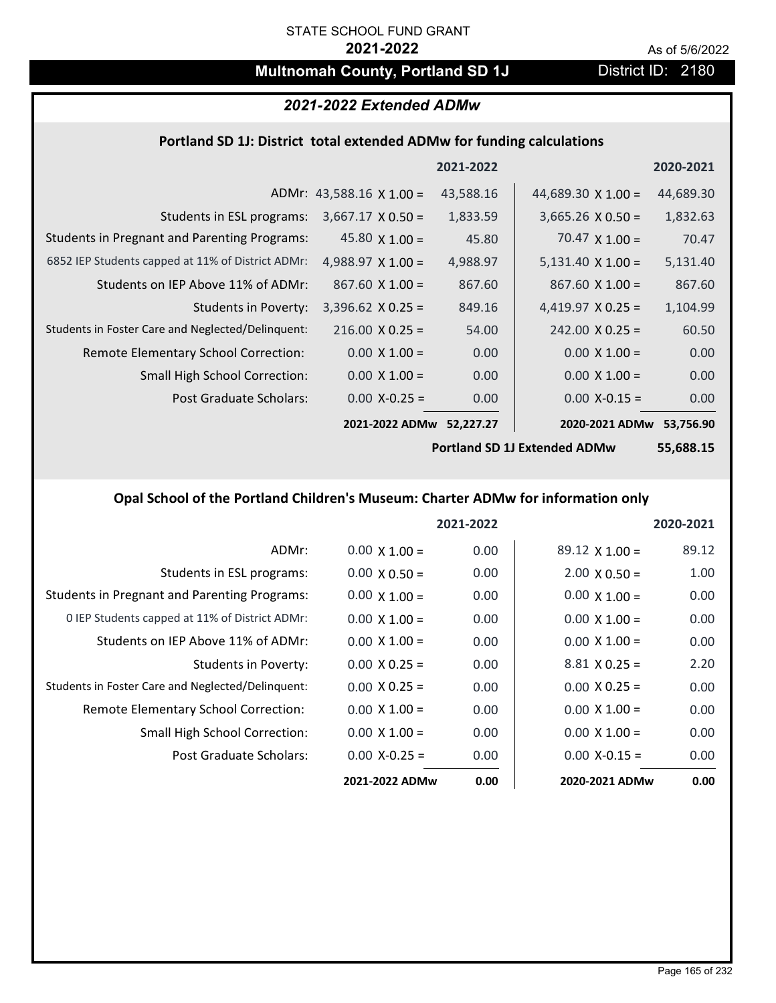# **Multnomah County, Portland SD 1J** District ID: 2180

# *2021-2022 Extended ADMw*

#### **Portland SD 1J: District total extended ADMw for funding calculations**

|                                                     |                                 | 2021-2022 |                           | 2020-2021 |
|-----------------------------------------------------|---------------------------------|-----------|---------------------------|-----------|
|                                                     | ADMr: 43,588.16 $\times$ 1.00 = | 43,588.16 | 44,689.30 $\times$ 1.00 = | 44,689.30 |
| Students in ESL programs:                           | $3,667.17 \times 0.50 =$        | 1,833.59  | $3,665.26 \times 0.50 =$  | 1,832.63  |
| <b>Students in Pregnant and Parenting Programs:</b> | 45.80 $\times$ 1.00 =           | 45.80     | $70.47 \times 1.00 =$     | 70.47     |
| 6852 IEP Students capped at 11% of District ADMr:   | 4,988.97 $\times$ 1.00 =        | 4,988.97  | $5,131.40 \times 1.00 =$  | 5,131.40  |
| Students on IEP Above 11% of ADMr:                  | $867.60 \times 1.00 =$          | 867.60    | $867.60 \times 1.00 =$    | 867.60    |
| <b>Students in Poverty:</b>                         | $3,396.62$ X 0.25 =             | 849.16    | 4,419.97 $X$ 0.25 =       | 1,104.99  |
| Students in Foster Care and Neglected/Delinquent:   | $216.00 \times 0.25 =$          | 54.00     | $242.00 \times 0.25 =$    | 60.50     |
| Remote Elementary School Correction:                | $0.00 \times 1.00 =$            | 0.00      | $0.00 \times 1.00 =$      | 0.00      |
| <b>Small High School Correction:</b>                | $0.00 \times 1.00 =$            | 0.00      | $0.00 \times 1.00 =$      | 0.00      |
| Post Graduate Scholars:                             | $0.00 X - 0.25 =$               | 0.00      | $0.00$ X-0.15 =           | 0.00      |
|                                                     | 2021-2022 ADMw                  | 52,227.27 | 2020-2021 ADMw            | 53,756.90 |

**Portland SD 1J Extended ADMw**

**55,688.15**

## **Opal School of the Portland Children's Museum: Charter ADMw for information only**

|                                                     |                      | 2021-2022 |                       | 2020-2021 |
|-----------------------------------------------------|----------------------|-----------|-----------------------|-----------|
| ADMr:                                               | $0.00 \times 1.00 =$ | 0.00      | $89.12 \times 1.00 =$ | 89.12     |
| Students in ESL programs:                           | $0.00 \times 0.50 =$ | 0.00      | $2.00 \times 0.50 =$  | 1.00      |
| <b>Students in Pregnant and Parenting Programs:</b> | $0.00 \times 1.00 =$ | 0.00      | $0.00 \times 1.00 =$  | 0.00      |
| 0 IEP Students capped at 11% of District ADMr:      | $0.00 \times 1.00 =$ | 0.00      | $0.00 \times 1.00 =$  | 0.00      |
| Students on IEP Above 11% of ADMr:                  | $0.00 \times 1.00 =$ | 0.00      | $0.00 \times 1.00 =$  | 0.00      |
| Students in Poverty:                                | $0.00 \times 0.25 =$ | 0.00      | $8.81 \times 0.25 =$  | 2.20      |
| Students in Foster Care and Neglected/Delinquent:   | $0.00 \times 0.25 =$ | 0.00      | $0.00 \times 0.25 =$  | 0.00      |
| Remote Elementary School Correction:                | $0.00 \times 1.00 =$ | 0.00      | $0.00 \times 1.00 =$  | 0.00      |
| Small High School Correction:                       | $0.00 \times 1.00 =$ | 0.00      | $0.00 \times 1.00 =$  | 0.00      |
| Post Graduate Scholars:                             | $0.00$ X-0.25 =      | 0.00      | $0.00 X - 0.15 =$     | 0.00      |
|                                                     | 2021-2022 ADMw       | 0.00      | 2020-2021 ADMw        | 0.00      |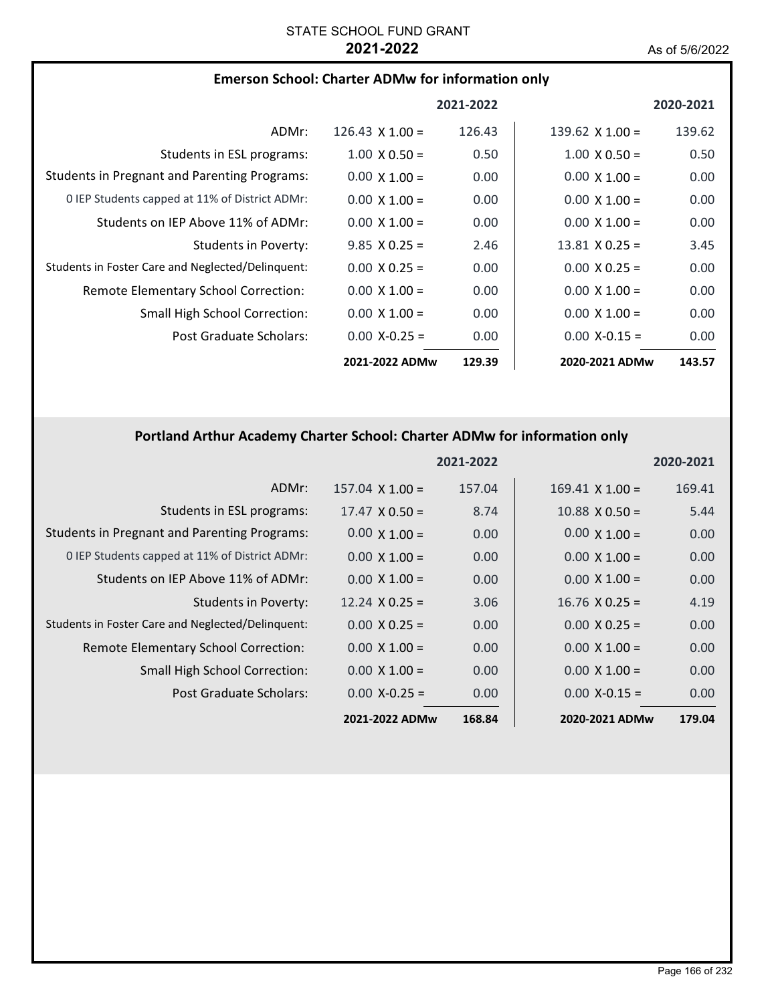| <b>Emerson School: Charter ADMw for information only</b> |  |
|----------------------------------------------------------|--|
|----------------------------------------------------------|--|

|                                                     |                        | 2021-2022 |                        | 2020-2021 |
|-----------------------------------------------------|------------------------|-----------|------------------------|-----------|
| ADMr:                                               | 126.43 $\times$ 1.00 = | 126.43    | 139.62 $\times$ 1.00 = | 139.62    |
| Students in ESL programs:                           | $1.00 \times 0.50 =$   | 0.50      | $1.00 \times 0.50 =$   | 0.50      |
| <b>Students in Pregnant and Parenting Programs:</b> | $0.00 \times 1.00 =$   | 0.00      | $0.00 \times 1.00 =$   | 0.00      |
| 0 IEP Students capped at 11% of District ADMr:      | $0.00 \times 1.00 =$   | 0.00      | $0.00 \times 1.00 =$   | 0.00      |
| Students on IEP Above 11% of ADMr:                  | $0.00 \times 1.00 =$   | 0.00      | $0.00 \times 1.00 =$   | 0.00      |
| Students in Poverty:                                | $9.85 \times 0.25 =$   | 2.46      | $13.81 \times 0.25 =$  | 3.45      |
| Students in Foster Care and Neglected/Delinquent:   | $0.00 \times 0.25 =$   | 0.00      | $0.00 \times 0.25 =$   | 0.00      |
| Remote Elementary School Correction:                | $0.00 \times 1.00 =$   | 0.00      | $0.00 \times 1.00 =$   | 0.00      |
| Small High School Correction:                       | $0.00 \times 1.00 =$   | 0.00      | $0.00 \times 1.00 =$   | 0.00      |
| Post Graduate Scholars:                             | $0.00 X - 0.25 =$      | 0.00      | $0.00 X - 0.15 =$      | 0.00      |
|                                                     | 2021-2022 ADMw         | 129.39    | 2020-2021 ADMw         | 143.57    |

# **Portland Arthur Academy Charter School: Charter ADMw for information only**

|                                                     |                        | 2021-2022 |                        | 2020-2021 |
|-----------------------------------------------------|------------------------|-----------|------------------------|-----------|
| ADMr:                                               | $157.04 \times 1.00 =$ | 157.04    | $169.41 \times 1.00 =$ | 169.41    |
| Students in ESL programs:                           | $17.47 \times 0.50 =$  | 8.74      | $10.88 \times 0.50 =$  | 5.44      |
| <b>Students in Pregnant and Parenting Programs:</b> | $0.00 \times 1.00 =$   | 0.00      | $0.00 \times 1.00 =$   | 0.00      |
| 0 IEP Students capped at 11% of District ADMr:      | $0.00 \times 1.00 =$   | 0.00      | $0.00 \times 1.00 =$   | 0.00      |
| Students on IEP Above 11% of ADMr:                  | $0.00 \times 1.00 =$   | 0.00      | $0.00 \times 1.00 =$   | 0.00      |
| Students in Poverty:                                | $12.24 \times 0.25 =$  | 3.06      | $16.76 \times 0.25 =$  | 4.19      |
| Students in Foster Care and Neglected/Delinquent:   | $0.00 \times 0.25 =$   | 0.00      | $0.00 \times 0.25 =$   | 0.00      |
| Remote Elementary School Correction:                | $0.00 \times 1.00 =$   | 0.00      | $0.00 \times 1.00 =$   | 0.00      |
| <b>Small High School Correction:</b>                | $0.00 \times 1.00 =$   | 0.00      | $0.00 \times 1.00 =$   | 0.00      |
| Post Graduate Scholars:                             | $0.00$ X-0.25 =        | 0.00      | $0.00$ X-0.15 =        | 0.00      |
|                                                     | 2021-2022 ADMw         | 168.84    | 2020-2021 ADMw         | 179.04    |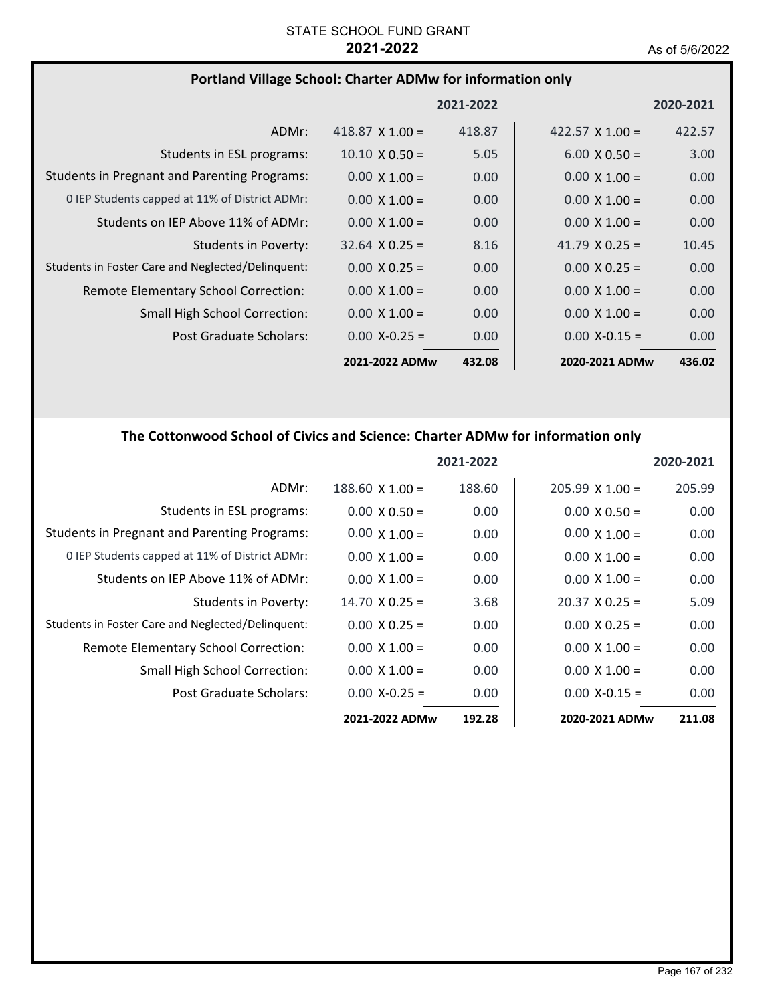## **Portland Village School: Charter ADMw for information only**

|                                                     |                        | 2021-2022 |                        | 2020-2021 |
|-----------------------------------------------------|------------------------|-----------|------------------------|-----------|
| ADMr:                                               | 418.87 $\times$ 1.00 = | 418.87    | 422.57 $\times$ 1.00 = | 422.57    |
| Students in ESL programs:                           | $10.10 \times 0.50 =$  | 5.05      | $6.00 \times 0.50 =$   | 3.00      |
| <b>Students in Pregnant and Parenting Programs:</b> | $0.00 \times 1.00 =$   | 0.00      | $0.00 \times 1.00 =$   | 0.00      |
| 0 IEP Students capped at 11% of District ADMr:      | $0.00 \times 1.00 =$   | 0.00      | $0.00 \times 1.00 =$   | 0.00      |
| Students on IEP Above 11% of ADMr:                  | $0.00 \times 1.00 =$   | 0.00      | $0.00 \times 1.00 =$   | 0.00      |
| Students in Poverty:                                | $32.64 \times 0.25 =$  | 8.16      | 41.79 $\times$ 0.25 =  | 10.45     |
| Students in Foster Care and Neglected/Delinguent:   | $0.00 \times 0.25 =$   | 0.00      | $0.00 \times 0.25 =$   | 0.00      |
| Remote Elementary School Correction:                | $0.00 \times 1.00 =$   | 0.00      | $0.00 \times 1.00 =$   | 0.00      |
| <b>Small High School Correction:</b>                | $0.00 \times 1.00 =$   | 0.00      | $0.00 \times 1.00 =$   | 0.00      |
| Post Graduate Scholars:                             | $0.00 X - 0.25 =$      | 0.00      | $0.00 X - 0.15 =$      | 0.00      |
|                                                     | 2021-2022 ADMw         | 432.08    | 2020-2021 ADMw         | 436.02    |

# **The Cottonwood School of Civics and Science: Charter ADMw for information only**

|                                                     |                       | 2021-2022 |                       | 2020-2021 |
|-----------------------------------------------------|-----------------------|-----------|-----------------------|-----------|
| ADMr:                                               | $188.60$ X $1.00 =$   | 188.60    | $205.99$ X 1.00 =     | 205.99    |
| Students in ESL programs:                           | $0.00 \times 0.50 =$  | 0.00      | $0.00 \times 0.50 =$  | 0.00      |
| <b>Students in Pregnant and Parenting Programs:</b> | $0.00 \times 1.00 =$  | 0.00      | $0.00 \times 1.00 =$  | 0.00      |
| 0 IEP Students capped at 11% of District ADMr:      | $0.00 \times 1.00 =$  | 0.00      | $0.00 \times 1.00 =$  | 0.00      |
| Students on IEP Above 11% of ADMr:                  | $0.00 \times 1.00 =$  | 0.00      | $0.00 \times 1.00 =$  | 0.00      |
| Students in Poverty:                                | $14.70 \times 0.25 =$ | 3.68      | $20.37 \times 0.25 =$ | 5.09      |
| Students in Foster Care and Neglected/Delinquent:   | $0.00 \times 0.25 =$  | 0.00      | $0.00 \times 0.25 =$  | 0.00      |
| <b>Remote Elementary School Correction:</b>         | $0.00 \times 1.00 =$  | 0.00      | $0.00 \times 1.00 =$  | 0.00      |
| <b>Small High School Correction:</b>                | $0.00 \times 1.00 =$  | 0.00      | $0.00 \times 1.00 =$  | 0.00      |
| Post Graduate Scholars:                             | $0.00 X - 0.25 =$     | 0.00      | $0.00$ X-0.15 =       | 0.00      |
|                                                     | 2021-2022 ADMw        | 192.28    | 2020-2021 ADMw        | 211.08    |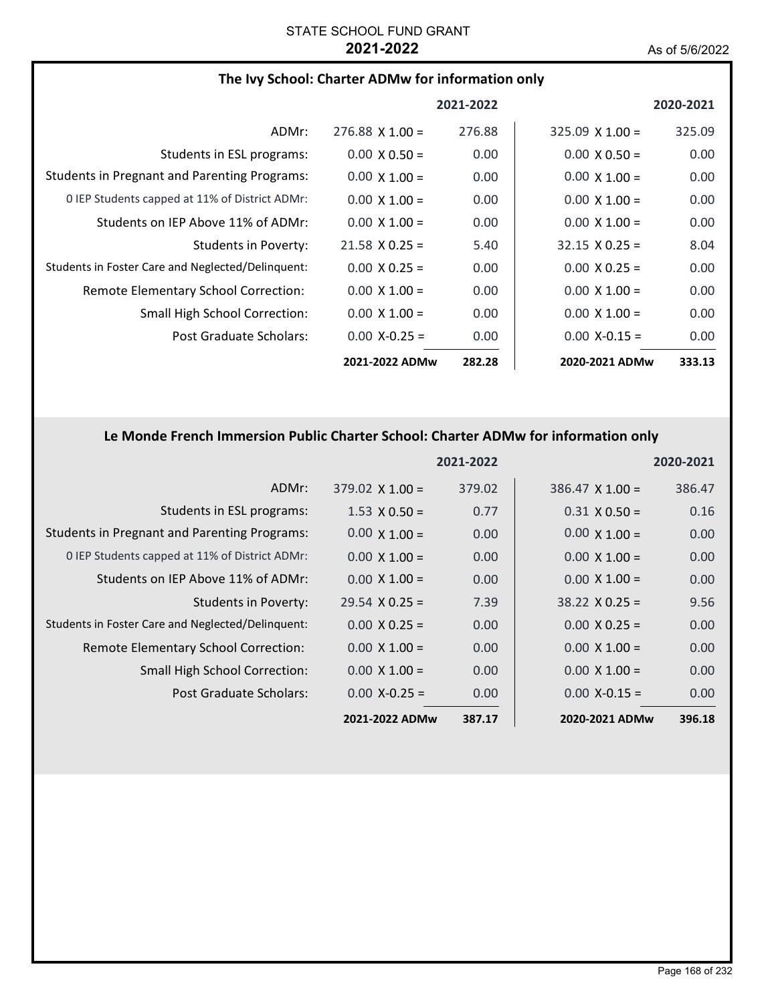## **The Ivy School: Charter ADMw for information only**

|                                                     |                        | 2021-2022 |                        | 2020-2021 |
|-----------------------------------------------------|------------------------|-----------|------------------------|-----------|
| ADMr:                                               | $276.88 \times 1.00 =$ | 276.88    | $325.09 \times 1.00 =$ | 325.09    |
| Students in ESL programs:                           | $0.00 \times 0.50 =$   | 0.00      | $0.00 \times 0.50 =$   | 0.00      |
| <b>Students in Pregnant and Parenting Programs:</b> | $0.00 \times 1.00 =$   | 0.00      | $0.00 \times 1.00 =$   | 0.00      |
| 0 IEP Students capped at 11% of District ADMr:      | $0.00 \times 1.00 =$   | 0.00      | $0.00 \times 1.00 =$   | 0.00      |
| Students on IEP Above 11% of ADMr:                  | $0.00 \times 1.00 =$   | 0.00      | $0.00 \times 1.00 =$   | 0.00      |
| Students in Poverty:                                | $21.58 \times 0.25 =$  | 5.40      | $32.15 \times 0.25 =$  | 8.04      |
| Students in Foster Care and Neglected/Delinquent:   | $0.00 \times 0.25 =$   | 0.00      | $0.00 \times 0.25 =$   | 0.00      |
| Remote Elementary School Correction:                | $0.00 \times 1.00 =$   | 0.00      | $0.00 \times 1.00 =$   | 0.00      |
| <b>Small High School Correction:</b>                | $0.00 \times 1.00 =$   | 0.00      | $0.00 \times 1.00 =$   | 0.00      |
| Post Graduate Scholars:                             | $0.00 X - 0.25 =$      | 0.00      | $0.00 X - 0.15 =$      | 0.00      |
|                                                     | 2021-2022 ADMw         | 282.28    | 2020-2021 ADMw         | 333.13    |

### **Le Monde French Immersion Public Charter School: Charter ADMw for information only**

|                                                     |                        | 2021-2022 |                        | 2020-2021 |
|-----------------------------------------------------|------------------------|-----------|------------------------|-----------|
| ADMr:                                               | $379.02 \times 1.00 =$ | 379.02    | $386.47 \times 1.00 =$ | 386.47    |
| Students in ESL programs:                           | $1.53 \times 0.50 =$   | 0.77      | $0.31 \times 0.50 =$   | 0.16      |
| <b>Students in Pregnant and Parenting Programs:</b> | $0.00 \times 1.00 =$   | 0.00      | $0.00 \times 1.00 =$   | 0.00      |
| 0 IEP Students capped at 11% of District ADMr:      | $0.00 \times 1.00 =$   | 0.00      | $0.00 \times 1.00 =$   | 0.00      |
| Students on IEP Above 11% of ADMr:                  | $0.00 \times 1.00 =$   | 0.00      | $0.00 \times 1.00 =$   | 0.00      |
| <b>Students in Poverty:</b>                         | $29.54 \times 0.25 =$  | 7.39      | $38.22 \times 0.25 =$  | 9.56      |
| Students in Foster Care and Neglected/Delinquent:   | $0.00 \times 0.25 =$   | 0.00      | $0.00 \times 0.25 =$   | 0.00      |
| Remote Elementary School Correction:                | $0.00 \times 1.00 =$   | 0.00      | $0.00 \times 1.00 =$   | 0.00      |
| <b>Small High School Correction:</b>                | $0.00 \times 1.00 =$   | 0.00      | $0.00 \times 1.00 =$   | 0.00      |
| Post Graduate Scholars:                             | $0.00$ X-0.25 =        | 0.00      | $0.00$ X-0.15 =        | 0.00      |
|                                                     | 2021-2022 ADMw         | 387.17    | 2020-2021 ADMw         | 396.18    |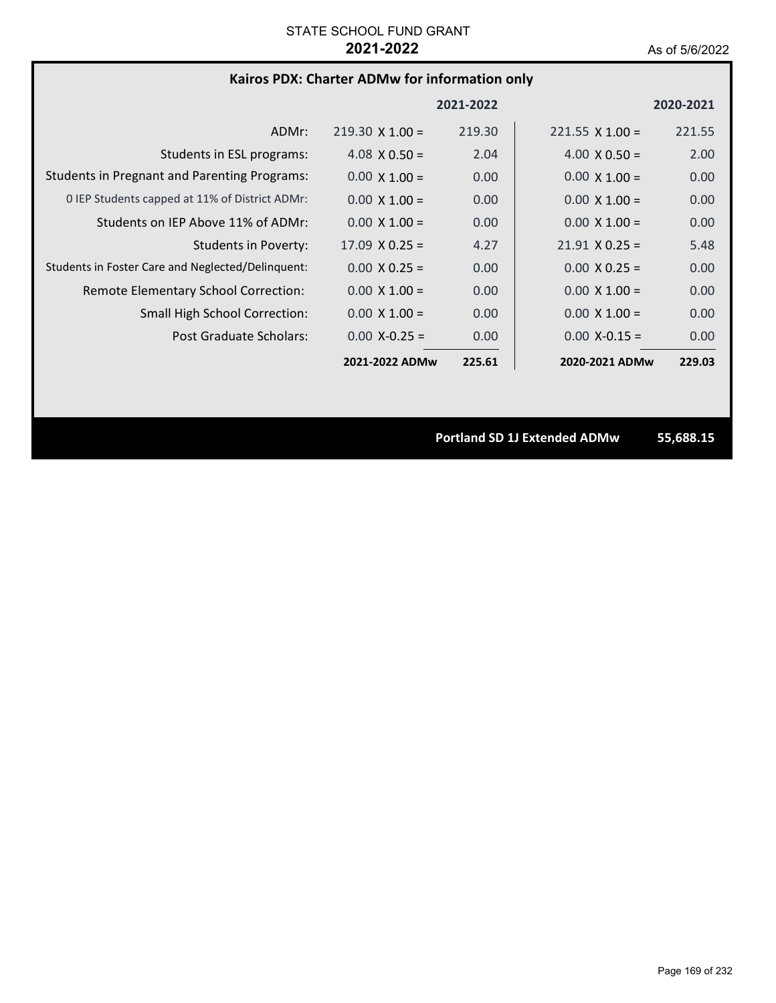### **Kairos PDX: Charter ADMw for information only**

|                                                     |                        | 2021-2022 |                        | 2020-2021 |
|-----------------------------------------------------|------------------------|-----------|------------------------|-----------|
| ADMr:                                               | $219.30 \times 1.00 =$ | 219.30    | $221.55 \times 1.00 =$ | 221.55    |
| Students in ESL programs:                           | $4.08 \times 0.50 =$   | 2.04      | 4.00 $\times$ 0.50 =   | 2.00      |
| <b>Students in Pregnant and Parenting Programs:</b> | $0.00 \times 1.00 =$   | 0.00      | $0.00 \times 1.00 =$   | 0.00      |
| 0 IEP Students capped at 11% of District ADMr:      | $0.00 \times 1.00 =$   | 0.00      | $0.00 \times 1.00 =$   | 0.00      |
| Students on IEP Above 11% of ADMr:                  | $0.00 \times 1.00 =$   | 0.00      | $0.00 \times 1.00 =$   | 0.00      |
| Students in Poverty:                                | $17.09 \times 0.25 =$  | 4.27      | $21.91 \times 0.25 =$  | 5.48      |
| Students in Foster Care and Neglected/Delinguent:   | $0.00 \times 0.25 =$   | 0.00      | $0.00 \times 0.25 =$   | 0.00      |
| Remote Elementary School Correction:                | $0.00 \times 1.00 =$   | 0.00      | $0.00 \times 1.00 =$   | 0.00      |
| <b>Small High School Correction:</b>                | $0.00 \times 1.00 =$   | 0.00      | $0.00 \times 1.00 =$   | 0.00      |
| <b>Post Graduate Scholars:</b>                      | $0.00 X - 0.25 =$      | 0.00      | $0.00$ X-0.15 =        | 0.00      |
|                                                     | 2021-2022 ADMw         | 225.61    | 2020-2021 ADMw         | 229.03    |

**Portland SD 1J Extended ADMw 55,688.15**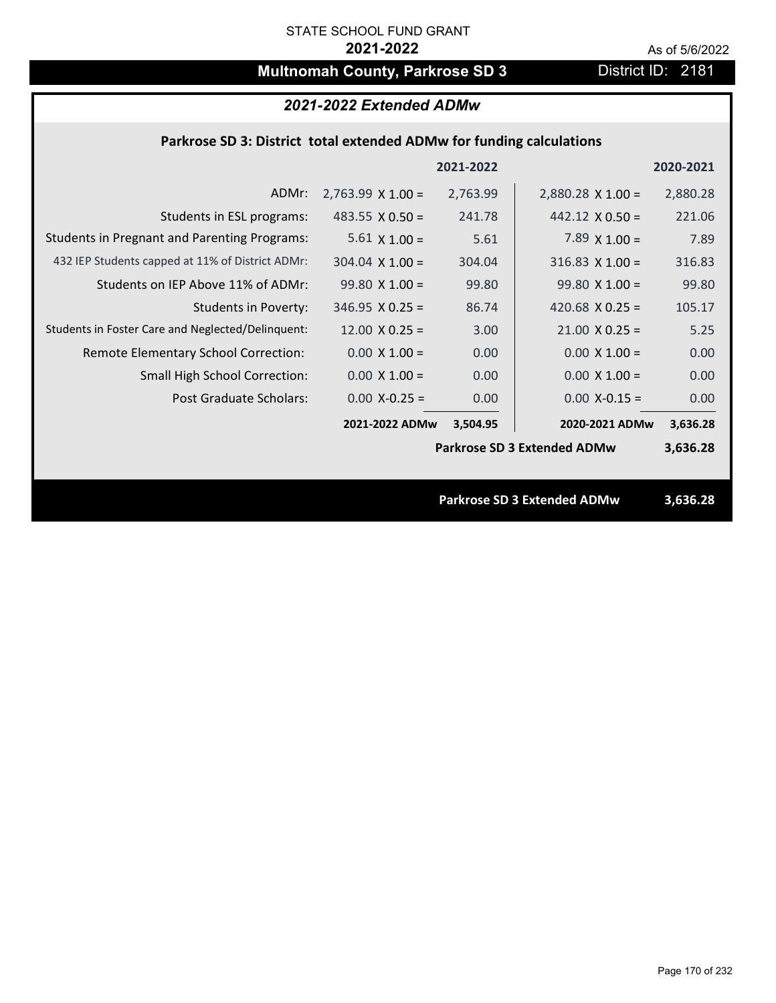# **Multnomah County, Parkrose SD 3** District ID: 2181

## *2021-2022 Extended ADMw*

#### **Parkrose SD 3: District total extended ADMw for funding calculations**

|                                                     |                          | 2021-2022 |                                    | 2020-2021 |
|-----------------------------------------------------|--------------------------|-----------|------------------------------------|-----------|
| ADMr:                                               | $2,763.99 \times 1.00 =$ | 2,763.99  | $2,880.28$ X 1.00 =                | 2,880.28  |
| Students in ESL programs:                           | 483.55 $\times$ 0.50 =   | 241.78    | $442.12 \times 0.50 =$             | 221.06    |
| <b>Students in Pregnant and Parenting Programs:</b> | 5.61 $\times$ 1.00 =     | 5.61      | 7.89 $\times$ 1.00 =               | 7.89      |
| 432 IEP Students capped at 11% of District ADMr:    | $304.04 \times 1.00 =$   | 304.04    | $316.83$ X 1.00 =                  | 316.83    |
| Students on IEP Above 11% of ADMr:                  | $99.80 X 1.00 =$         | 99.80     | $99.80 X 1.00 =$                   | 99.80     |
| <b>Students in Poverty:</b>                         | $346.95 \times 0.25 =$   | 86.74     | 420.68 $X$ 0.25 =                  | 105.17    |
| Students in Foster Care and Neglected/Delinquent:   | $12.00 \times 0.25 =$    | 3.00      | $21.00 \times 0.25 =$              | 5.25      |
| Remote Elementary School Correction:                | $0.00 \times 1.00 =$     | 0.00      | $0.00 \times 1.00 =$               | 0.00      |
| <b>Small High School Correction:</b>                | $0.00 \times 1.00 =$     | 0.00      | $0.00 \times 1.00 =$               | 0.00      |
| Post Graduate Scholars:                             | $0.00$ X-0.25 =          | 0.00      | $0.00$ X-0.15 =                    | 0.00      |
|                                                     | 2021-2022 ADMw           | 3,504.95  | 2020-2021 ADMw                     | 3,636.28  |
|                                                     |                          |           | <b>Parkrose SD 3 Extended ADMw</b> | 3,636.28  |
|                                                     |                          |           |                                    |           |
|                                                     |                          |           | <b>Parkrose SD 3 Extended ADMw</b> | 3,636.28  |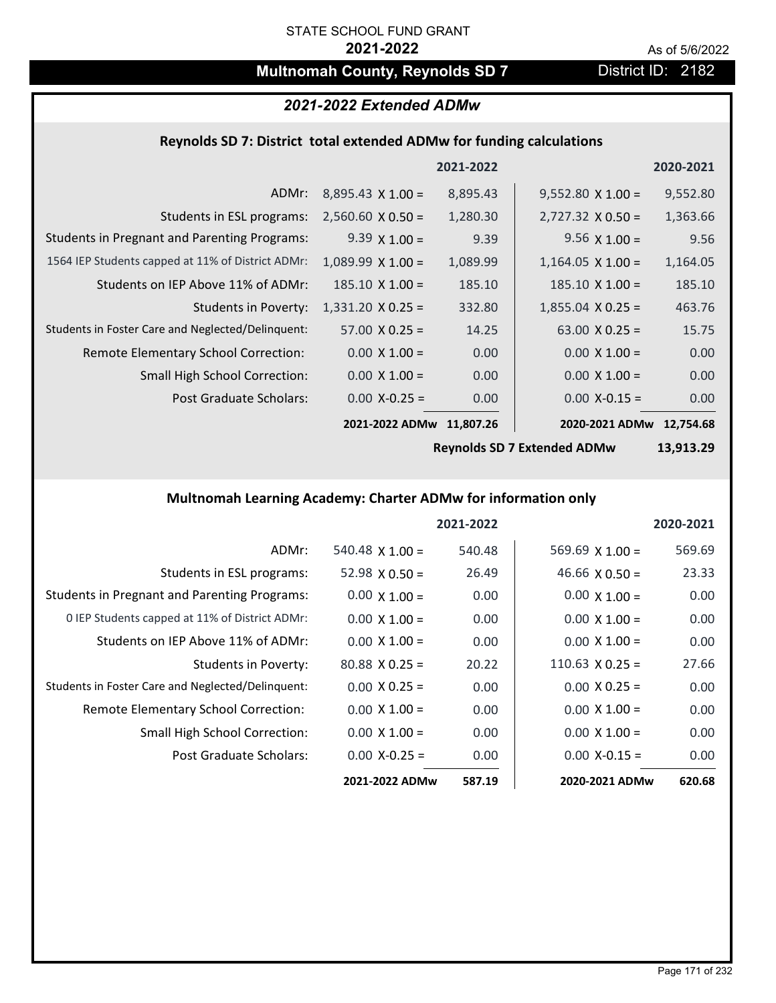# **Multnomah County, Reynolds SD 7** District ID: 2182

## *2021-2022 Extended ADMw*

# **Reynolds SD 7: District total extended ADMw for funding calculations**

|                                                     |                          | 2021-2022 |                          | 2020-2021 |
|-----------------------------------------------------|--------------------------|-----------|--------------------------|-----------|
| ADMr:                                               | $8,895.43 \times 1.00 =$ | 8,895.43  | $9,552.80 \times 1.00 =$ | 9,552.80  |
| Students in ESL programs:                           | $2,560.60 \times 0.50 =$ | 1,280.30  | $2,727.32 \times 0.50 =$ | 1,363.66  |
| <b>Students in Pregnant and Parenting Programs:</b> | $9.39 \times 1.00 =$     | 9.39      | 9.56 $\times$ 1.00 =     | 9.56      |
| 1564 IEP Students capped at 11% of District ADMr:   | $1,089.99 \times 1.00 =$ | 1,089.99  | $1,164.05 \times 1.00 =$ | 1,164.05  |
| Students on IEP Above 11% of ADMr:                  | $185.10 \times 1.00 =$   | 185.10    | $185.10 \times 1.00 =$   | 185.10    |
| <b>Students in Poverty:</b>                         | $1,331.20 \times 0.25 =$ | 332.80    | $1,855.04$ X 0.25 =      | 463.76    |
| Students in Foster Care and Neglected/Delinquent:   | $57.00 \times 0.25 =$    | 14.25     | 63.00 $X$ 0.25 =         | 15.75     |
| Remote Elementary School Correction:                | $0.00 \times 1.00 =$     | 0.00      | $0.00 \times 1.00 =$     | 0.00      |
| <b>Small High School Correction:</b>                | $0.00 \times 1.00 =$     | 0.00      | $0.00 \times 1.00 =$     | 0.00      |
| Post Graduate Scholars:                             | $0.00$ X-0.25 =          | 0.00      | $0.00$ X-0.15 =          | 0.00      |
|                                                     | 2021-2022 ADMw           | 11,807.26 | 2020-2021 ADMw           | 12.754.68 |

**Reynolds SD 7 Extended ADMw**

**13,913.29**

## **Multnomah Learning Academy: Charter ADMw for information only**

|                                                     |                       | 2021-2022 |                        | 2020-2021 |
|-----------------------------------------------------|-----------------------|-----------|------------------------|-----------|
| ADMr:                                               | $540.48$ X 1.00 =     | 540.48    | $569.69$ X 1.00 =      | 569.69    |
| Students in ESL programs:                           | $52.98 \times 0.50 =$ | 26.49     | 46.66 $\times$ 0.50 =  | 23.33     |
| <b>Students in Pregnant and Parenting Programs:</b> | $0.00 \times 1.00 =$  | 0.00      | $0.00 \times 1.00 =$   | 0.00      |
| 0 IEP Students capped at 11% of District ADMr:      | $0.00 \times 1.00 =$  | 0.00      | $0.00 \times 1.00 =$   | 0.00      |
| Students on IEP Above 11% of ADMr:                  | $0.00 \times 1.00 =$  | 0.00      | $0.00 \times 1.00 =$   | 0.00      |
| Students in Poverty:                                | $80.88 \times 0.25 =$ | 20.22     | $110.63 \times 0.25 =$ | 27.66     |
| Students in Foster Care and Neglected/Delinquent:   | $0.00 \times 0.25 =$  | 0.00      | $0.00 \times 0.25 =$   | 0.00      |
| Remote Elementary School Correction:                | $0.00 \times 1.00 =$  | 0.00      | $0.00 \times 1.00 =$   | 0.00      |
| <b>Small High School Correction:</b>                | $0.00 \times 1.00 =$  | 0.00      | $0.00 \times 1.00 =$   | 0.00      |
| Post Graduate Scholars:                             | $0.00 X - 0.25 =$     | 0.00      | $0.00 X-0.15 =$        | 0.00      |
|                                                     | 2021-2022 ADMw        | 587.19    | 2020-2021 ADMw         | 620.68    |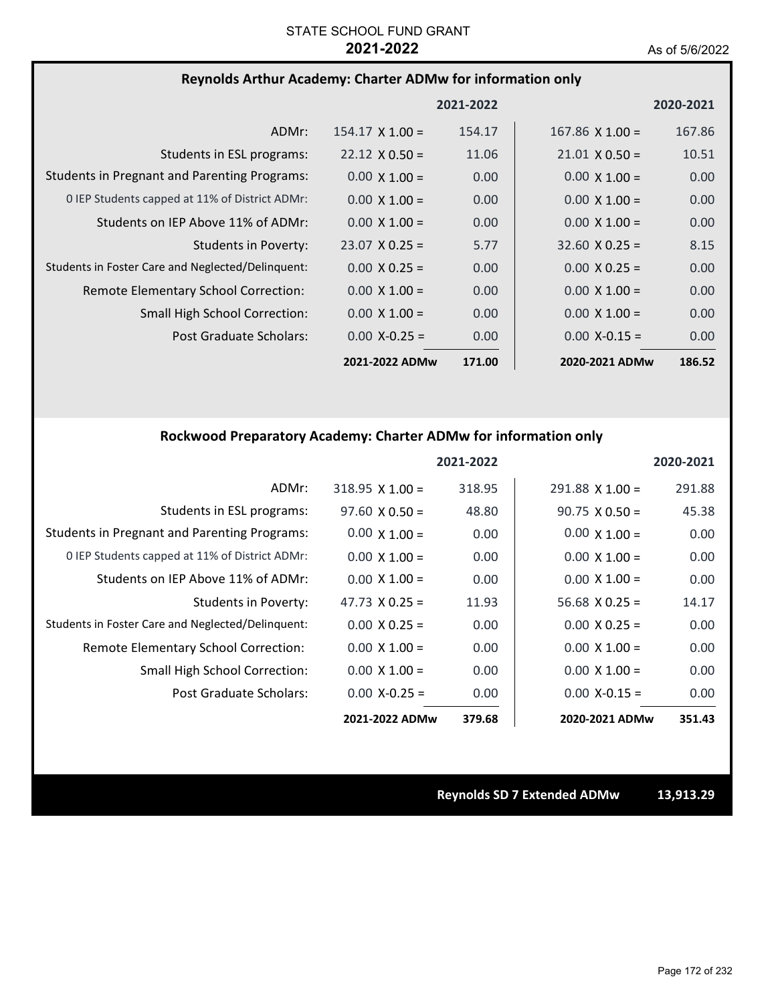## **Reynolds Arthur Academy: Charter ADMw for information only**

|                                                     |                        | 2021-2022 |                        | 2020-2021 |
|-----------------------------------------------------|------------------------|-----------|------------------------|-----------|
| ADMr:                                               | $154.17 \times 1.00 =$ | 154.17    | $167.86 \times 1.00 =$ | 167.86    |
| Students in ESL programs:                           | $22.12 \times 0.50 =$  | 11.06     | $21.01 \times 0.50 =$  | 10.51     |
| <b>Students in Pregnant and Parenting Programs:</b> | $0.00 \times 1.00 =$   | 0.00      | $0.00 \times 1.00 =$   | 0.00      |
| 0 IEP Students capped at 11% of District ADMr:      | $0.00 \times 1.00 =$   | 0.00      | $0.00 \times 1.00 =$   | 0.00      |
| Students on IEP Above 11% of ADMr:                  | $0.00 \times 1.00 =$   | 0.00      | $0.00 \times 1.00 =$   | 0.00      |
| Students in Poverty:                                | $23.07 \times 0.25 =$  | 5.77      | $32.60 \times 0.25 =$  | 8.15      |
| Students in Foster Care and Neglected/Delinquent:   | $0.00 \times 0.25 =$   | 0.00      | $0.00 \times 0.25 =$   | 0.00      |
| Remote Elementary School Correction:                | $0.00 \times 1.00 =$   | 0.00      | $0.00 \times 1.00 =$   | 0.00      |
| <b>Small High School Correction:</b>                | $0.00 \times 1.00 =$   | 0.00      | $0.00 \times 1.00 =$   | 0.00      |
| Post Graduate Scholars:                             | $0.00 X - 0.25 =$      | 0.00      | $0.00 X - 0.15 =$      | 0.00      |
|                                                     | 2021-2022 ADMw         | 171.00    | 2020-2021 ADMw         | 186.52    |

### **Rockwood Preparatory Academy: Charter ADMw for information only**

|                                                     |                        | 2021-2022 |                       | 2020-2021 |
|-----------------------------------------------------|------------------------|-----------|-----------------------|-----------|
| ADMr:                                               | $318.95 \times 1.00 =$ | 318.95    | $291.88$ X 1.00 =     | 291.88    |
| Students in ESL programs:                           | $97.60 \times 0.50 =$  | 48.80     | $90.75 \times 0.50 =$ | 45.38     |
| <b>Students in Pregnant and Parenting Programs:</b> | $0.00 \times 1.00 =$   | 0.00      | $0.00 \times 1.00 =$  | 0.00      |
| 0 IEP Students capped at 11% of District ADMr:      | $0.00 \times 1.00 =$   | 0.00      | $0.00 \times 1.00 =$  | 0.00      |
| Students on IEP Above 11% of ADMr:                  | $0.00 \times 1.00 =$   | 0.00      | $0.00 \times 1.00 =$  | 0.00      |
| Students in Poverty:                                | 47.73 $\times$ 0.25 =  | 11.93     | $56.68$ X 0.25 =      | 14.17     |
| Students in Foster Care and Neglected/Delinquent:   | $0.00 \times 0.25 =$   | 0.00      | $0.00 \times 0.25 =$  | 0.00      |
| Remote Elementary School Correction:                | $0.00 \times 1.00 =$   | 0.00      | $0.00 \times 1.00 =$  | 0.00      |
| Small High School Correction:                       | $0.00 \times 1.00 =$   | 0.00      | $0.00 \times 1.00 =$  | 0.00      |
| Post Graduate Scholars:                             | $0.00$ X-0.25 =        | 0.00      | $0.00 X - 0.15 =$     | 0.00      |
|                                                     | 2021-2022 ADMw         | 379.68    | 2020-2021 ADMw        | 351.43    |

**Reynolds SD 7 Extended ADMw 13,913.29**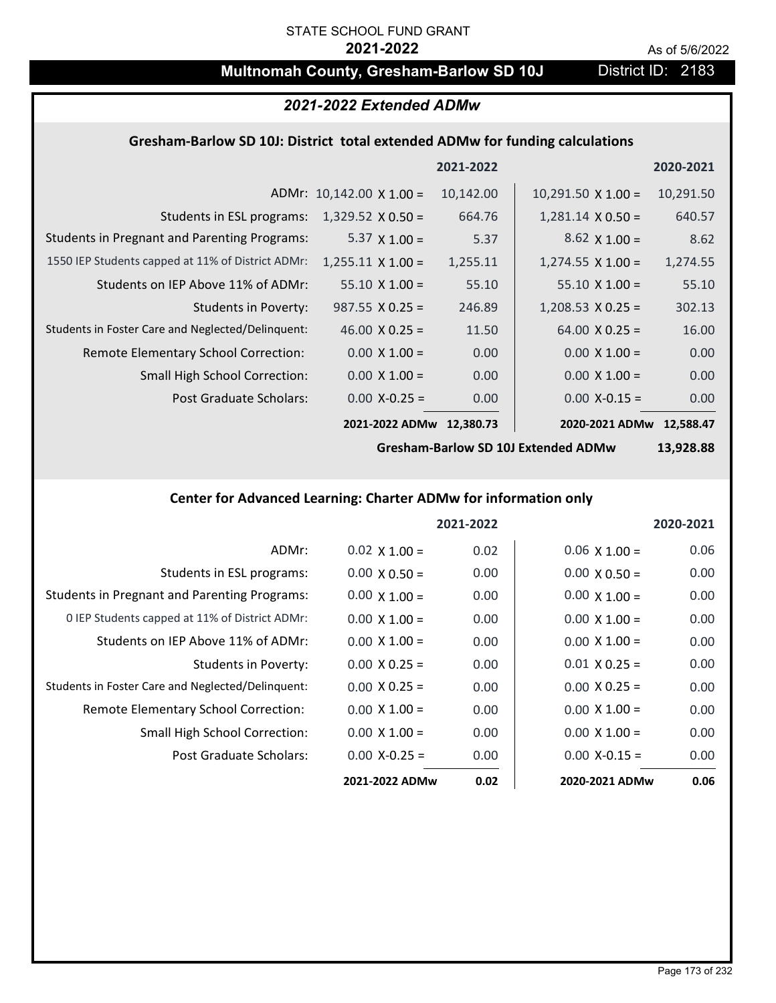# **Multnomah County, Gresham-Barlow SD 10J** District ID: 2183

# *2021-2022 Extended ADMw*

## **Gresham‐Barlow SD 10J: District total extended ADMw for funding calculations**

|                                                     |                                 | 2021-2022 |                           | 2020-2021 |
|-----------------------------------------------------|---------------------------------|-----------|---------------------------|-----------|
|                                                     | ADMr: $10,142.00 \times 1.00 =$ | 10,142.00 | $10,291.50 \times 1.00 =$ | 10,291.50 |
| Students in ESL programs:                           | $1,329.52 \times 0.50 =$        | 664.76    | $1,281.14 \times 0.50 =$  | 640.57    |
| <b>Students in Pregnant and Parenting Programs:</b> | 5.37 $\times$ 1.00 =            | 5.37      | $8.62 \times 1.00 =$      | 8.62      |
| 1550 IEP Students capped at 11% of District ADMr:   | $1,255.11 \times 1.00 =$        | 1,255.11  | $1,274.55 \times 1.00 =$  | 1,274.55  |
| Students on IEP Above 11% of ADMr:                  | $55.10 \times 1.00 =$           | 55.10     | $55.10 \times 1.00 =$     | 55.10     |
| <b>Students in Poverty:</b>                         | $987.55 \times 0.25 =$          | 246.89    | $1,208.53 \times 0.25 =$  | 302.13    |
| Students in Foster Care and Neglected/Delinquent:   | 46.00 $X$ 0.25 =                | 11.50     | $64.00 \times 0.25 =$     | 16.00     |
| Remote Elementary School Correction:                | $0.00 \times 1.00 =$            | 0.00      | $0.00 \times 1.00 =$      | 0.00      |
| <b>Small High School Correction:</b>                | $0.00 \times 1.00 =$            | 0.00      | $0.00 \times 1.00 =$      | 0.00      |
| Post Graduate Scholars:                             | $0.00$ X-0.25 =                 | 0.00      | $0.00$ X-0.15 =           | 0.00      |
|                                                     | 2021-2022 ADMw                  | 12,380.73 | 2020-2021 ADMw            | 12.588.47 |

**Gresham‐Barlow SD 10J Extended ADMw**

**13,928.88**

# **Center for Advanced Learning: Charter ADMw for information only**

|                                                     |                      | 2021-2022 |                      | 2020-2021         |
|-----------------------------------------------------|----------------------|-----------|----------------------|-------------------|
| ADMr:                                               | $0.02 \times 1.00 =$ | 0.02      | $0.06 \times 1.00 =$ | 0.06              |
| Students in ESL programs:                           | $0.00 \times 0.50 =$ | 0.00      | $0.00 \times 0.50 =$ | 0.00              |
| <b>Students in Pregnant and Parenting Programs:</b> | $0.00 \times 1.00 =$ | 0.00      | $0.00 \times 1.00 =$ | 0.00              |
| 0 IEP Students capped at 11% of District ADMr:      | $0.00 \times 1.00 =$ | 0.00      | $0.00 \times 1.00 =$ | 0.00              |
| Students on IEP Above 11% of ADMr:                  | $0.00 \times 1.00 =$ | 0.00      | $0.00 \times 1.00 =$ | 0.00              |
| Students in Poverty:                                | $0.00 \times 0.25 =$ | 0.00      | $0.01 X 0.25 =$      | 0.00 <sub>1</sub> |
| Students in Foster Care and Neglected/Delinquent:   | $0.00 \times 0.25 =$ | 0.00      | $0.00 \times 0.25 =$ | 0.00              |
| Remote Elementary School Correction:                | $0.00 \times 1.00 =$ | 0.00      | $0.00 \times 1.00 =$ | 0.00              |
| <b>Small High School Correction:</b>                | $0.00 \times 1.00 =$ | 0.00      | $0.00 \times 1.00 =$ | 0.00              |
| Post Graduate Scholars:                             | $0.00 X - 0.25 =$    | 0.00      | $0.00 X - 0.15 =$    | 0.00              |
|                                                     | 2021-2022 ADMw       | 0.02      | 2020-2021 ADMw       | 0.06              |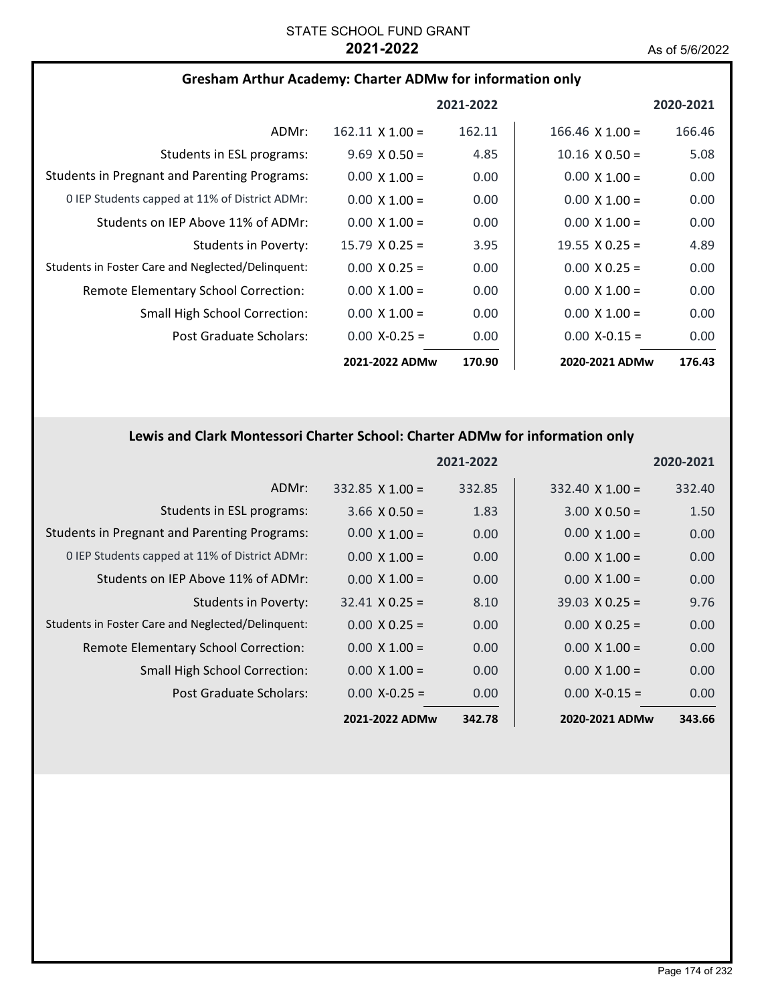| <b>Gresham Arthur Academy: Charter ADMw for information only</b> |  |
|------------------------------------------------------------------|--|
|------------------------------------------------------------------|--|

|                                                     |                        | 2021-2022 |                        | 2020-2021 |
|-----------------------------------------------------|------------------------|-----------|------------------------|-----------|
| ADMr:                                               | $162.11 \times 1.00 =$ | 162.11    | $166.46 \times 1.00 =$ | 166.46    |
| Students in ESL programs:                           | $9.69 \times 0.50 =$   | 4.85      | $10.16 \times 0.50 =$  | 5.08      |
| <b>Students in Pregnant and Parenting Programs:</b> | $0.00 \times 1.00 =$   | 0.00      | $0.00 \times 1.00 =$   | 0.00      |
| 0 IEP Students capped at 11% of District ADMr:      | $0.00 \times 1.00 =$   | 0.00      | $0.00 \times 1.00 =$   | 0.00      |
| Students on IEP Above 11% of ADMr:                  | $0.00 \times 1.00 =$   | 0.00      | $0.00 \times 1.00 =$   | 0.00      |
| Students in Poverty:                                | $15.79 \times 0.25 =$  | 3.95      | 19.55 $\times$ 0.25 =  | 4.89      |
| Students in Foster Care and Neglected/Delinguent:   | $0.00 \times 0.25 =$   | 0.00      | $0.00 \times 0.25 =$   | 0.00      |
| Remote Elementary School Correction:                | $0.00 \times 1.00 =$   | 0.00      | $0.00 \times 1.00 =$   | 0.00      |
| <b>Small High School Correction:</b>                | $0.00 \times 1.00 =$   | 0.00      | $0.00 \times 1.00 =$   | 0.00      |
| Post Graduate Scholars:                             | $0.00 X - 0.25 =$      | 0.00      | $0.00 X - 0.15 =$      | 0.00      |
|                                                     | 2021-2022 ADMw         | 170.90    | 2020-2021 ADMw         | 176.43    |

# **Lewis and Clark Montessori Charter School: Charter ADMw for information only**

|                                                     |                        | 2021-2022 |                        | 2020-2021 |
|-----------------------------------------------------|------------------------|-----------|------------------------|-----------|
| ADMr:                                               | $332.85 \times 1.00 =$ | 332.85    | $332.40 \times 1.00 =$ | 332.40    |
| Students in ESL programs:                           | $3.66 \times 0.50 =$   | 1.83      | $3.00 \times 0.50 =$   | 1.50      |
| <b>Students in Pregnant and Parenting Programs:</b> | $0.00 \times 1.00 =$   | 0.00      | $0.00 \times 1.00 =$   | 0.00      |
| 0 IEP Students capped at 11% of District ADMr:      | $0.00 \times 1.00 =$   | 0.00      | $0.00 \times 1.00 =$   | 0.00      |
| Students on IEP Above 11% of ADMr:                  | $0.00 \times 1.00 =$   | 0.00      | $0.00 \times 1.00 =$   | 0.00      |
| Students in Poverty:                                | $32.41 \times 0.25 =$  | 8.10      | $39.03 \times 0.25 =$  | 9.76      |
| Students in Foster Care and Neglected/Delinquent:   | $0.00 \times 0.25 =$   | 0.00      | $0.00 \times 0.25 =$   | 0.00      |
| Remote Elementary School Correction:                | $0.00 \times 1.00 =$   | 0.00      | $0.00 \times 1.00 =$   | 0.00      |
| <b>Small High School Correction:</b>                | $0.00 \times 1.00 =$   | 0.00      | $0.00 \times 1.00 =$   | 0.00      |
| Post Graduate Scholars:                             | $0.00 X - 0.25 =$      | 0.00      | $0.00$ X-0.15 =        | 0.00      |
|                                                     | 2021-2022 ADMw         | 342.78    | 2020-2021 ADMw         | 343.66    |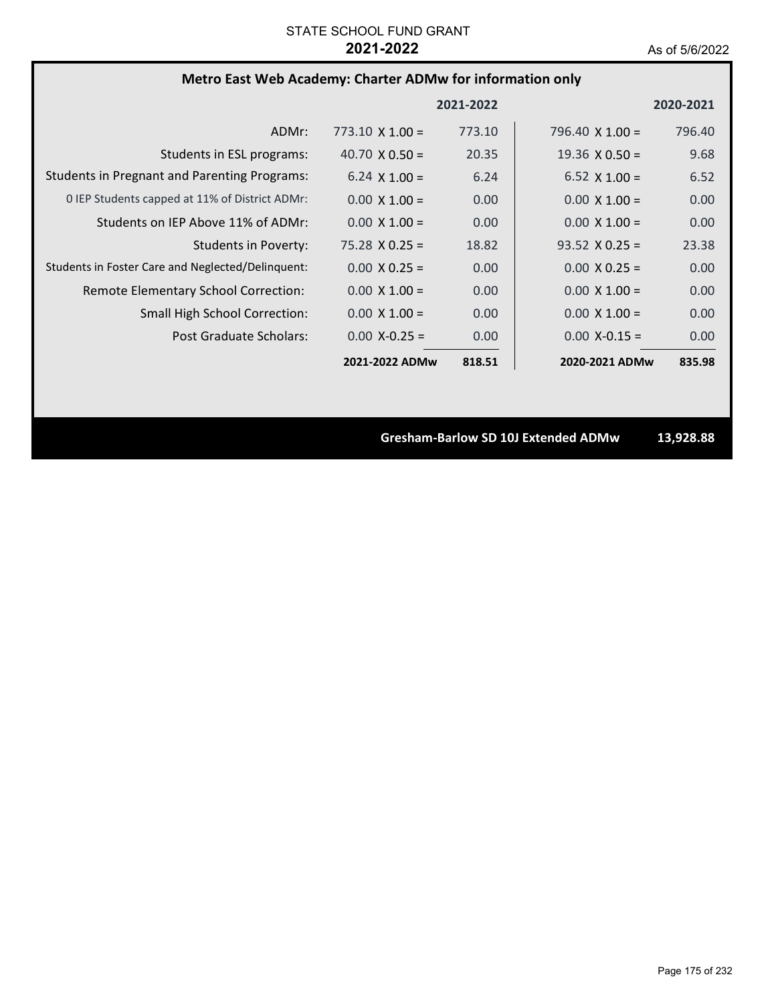# **Metro East Web Academy: Charter ADMw for information only**

|                                                     |                        | 2021-2022 |                        | 2020-2021 |
|-----------------------------------------------------|------------------------|-----------|------------------------|-----------|
| ADMr:                                               | $773.10 \times 1.00 =$ | 773.10    | 796.40 $\times$ 1.00 = | 796.40    |
| Students in ESL programs:                           | 40.70 $\times$ 0.50 =  | 20.35     | $19.36 \times 0.50 =$  | 9.68      |
| <b>Students in Pregnant and Parenting Programs:</b> | 6.24 $\times$ 1.00 =   | 6.24      | 6.52 $\times$ 1.00 =   | 6.52      |
| 0 IEP Students capped at 11% of District ADMr:      | $0.00 \times 1.00 =$   | 0.00      | $0.00 \times 1.00 =$   | 0.00      |
| Students on IEP Above 11% of ADMr:                  | $0.00 \times 1.00 =$   | 0.00      | $0.00 \times 1.00 =$   | 0.00      |
| Students in Poverty:                                | $75.28 \times 0.25 =$  | 18.82     | $93.52 \times 0.25 =$  | 23.38     |
| Students in Foster Care and Neglected/Delinquent:   | $0.00 \times 0.25 =$   | 0.00      | $0.00 \times 0.25 =$   | 0.00      |
| Remote Elementary School Correction:                | $0.00 \times 1.00 =$   | 0.00      | $0.00 \times 1.00 =$   | 0.00      |
| <b>Small High School Correction:</b>                | $0.00 \times 1.00 =$   | 0.00      | $0.00 \times 1.00 =$   | 0.00      |
| Post Graduate Scholars:                             | $0.00 X - 0.25 =$      | 0.00      | $0.00$ X-0.15 =        | 0.00      |
|                                                     | 2021-2022 ADMw         | 818.51    | 2020-2021 ADMw         | 835.98    |

**Gresham‐Barlow SD 10J Extended ADMw 13,928.88**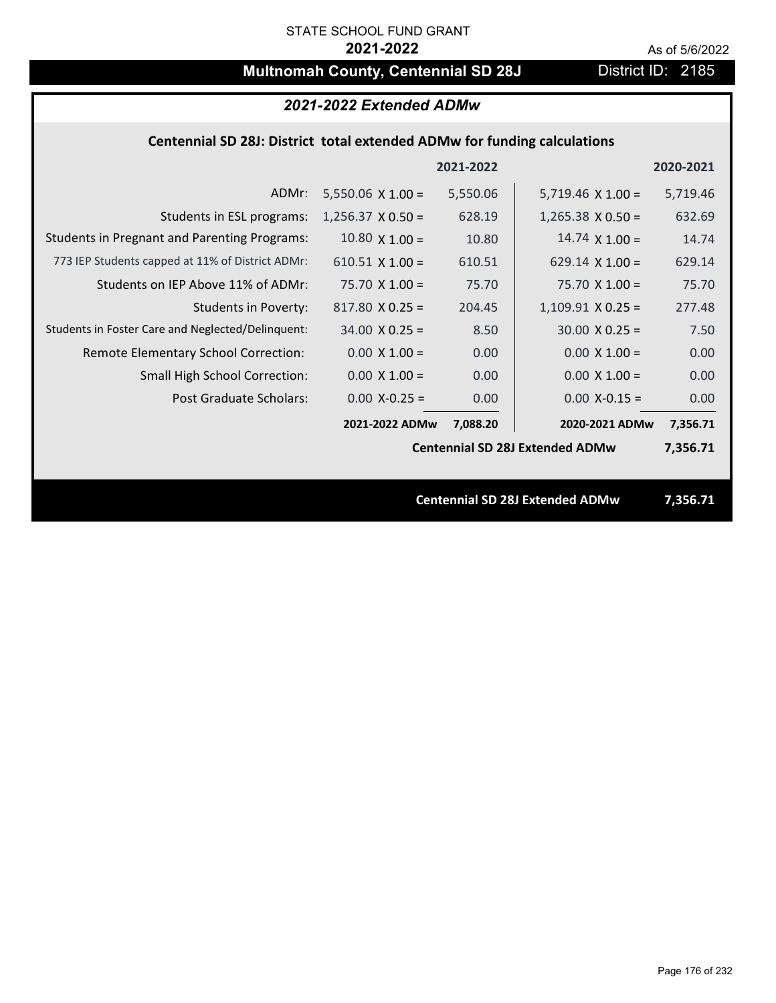# **Multnomah County, Centennial SD 28J** District ID: 2185

### *2021-2022 Extended ADMw*

## **Centennial SD 28J: District total extended ADMw for funding calculations**

|                                                     |                          | 2021-2022 |                                        | 2020-2021 |
|-----------------------------------------------------|--------------------------|-----------|----------------------------------------|-----------|
| ADMr:                                               | $5,550.06 \times 1.00 =$ | 5,550.06  | $5,719.46 \times 1.00 =$               | 5,719.46  |
| Students in ESL programs:                           | $1,256.37 \times 0.50 =$ | 628.19    | $1,265.38 \times 0.50 =$               | 632.69    |
| <b>Students in Pregnant and Parenting Programs:</b> | $10.80 \times 1.00 =$    | 10.80     | $14.74 \times 1.00 =$                  | 14.74     |
| 773 IEP Students capped at 11% of District ADMr:    | $610.51$ X 1.00 =        | 610.51    | 629.14 $\times$ 1.00 =                 | 629.14    |
| Students on IEP Above 11% of ADMr:                  | $75.70 \times 1.00 =$    | 75.70     | $75.70$ X 1.00 =                       | 75.70     |
| <b>Students in Poverty:</b>                         | $817.80 \times 0.25 =$   | 204.45    | $1,109.91$ X 0.25 =                    | 277.48    |
| Students in Foster Care and Neglected/Delinquent:   | $34.00 \times 0.25 =$    | 8.50      | $30.00 \times 0.25 =$                  | 7.50      |
| Remote Elementary School Correction:                | $0.00 \times 1.00 =$     | 0.00      | $0.00 \times 1.00 =$                   | 0.00      |
| <b>Small High School Correction:</b>                | $0.00 \times 1.00 =$     | 0.00      | $0.00 \times 1.00 =$                   | 0.00      |
| Post Graduate Scholars:                             | $0.00$ X-0.25 =          | 0.00      | $0.00$ X-0.15 =                        | 0.00      |
|                                                     | 2021-2022 ADMw           | 7,088.20  | 2020-2021 ADMw                         | 7,356.71  |
|                                                     |                          |           | <b>Centennial SD 28J Extended ADMw</b> | 7,356.71  |
|                                                     |                          |           |                                        |           |
|                                                     |                          |           | <b>Centennial SD 28J Extended ADMw</b> | 7,356.71  |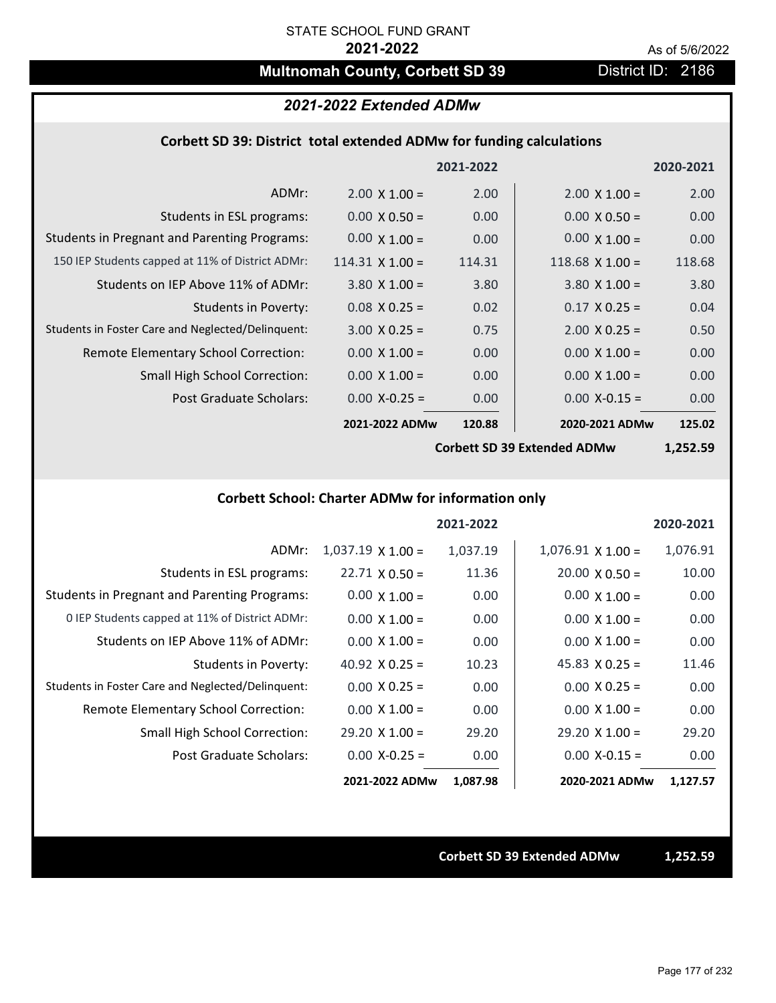# **Multnomah County, Corbett SD 39 District ID: 2186**

## *2021-2022 Extended ADMw*

#### **Corbett SD 39: District total extended ADMw for funding calculations**

|                                                     |                        | 2021-2022 |                        | 2020-2021 |
|-----------------------------------------------------|------------------------|-----------|------------------------|-----------|
| ADMr:                                               | $2.00 \times 1.00 =$   | 2.00      | $2.00 \times 1.00 =$   | 2.00      |
| Students in ESL programs:                           | $0.00 \times 0.50 =$   | 0.00      | $0.00 \times 0.50 =$   | 0.00      |
| <b>Students in Pregnant and Parenting Programs:</b> | $0.00 \times 1.00 =$   | 0.00      | $0.00 \times 1.00 =$   | 0.00      |
| 150 IEP Students capped at 11% of District ADMr:    | 114.31 $\times$ 1.00 = | 114.31    | $118.68 \times 1.00 =$ | 118.68    |
| Students on IEP Above 11% of ADMr:                  | $3.80 \times 1.00 =$   | 3.80      | $3.80 \times 1.00 =$   | 3.80      |
| <b>Students in Poverty:</b>                         | $0.08$ X 0.25 =        | 0.02      | $0.17 \times 0.25 =$   | 0.04      |
| Students in Foster Care and Neglected/Delinquent:   | $3.00 \times 0.25 =$   | 0.75      | $2.00 \times 0.25 =$   | 0.50      |
| Remote Elementary School Correction:                | $0.00 \times 1.00 =$   | 0.00      | $0.00 \times 1.00 =$   | 0.00      |
| <b>Small High School Correction:</b>                | $0.00 \times 1.00 =$   | 0.00      | $0.00 \times 1.00 =$   | 0.00      |
| Post Graduate Scholars:                             | $0.00$ X-0.25 =        | 0.00      | $0.00$ X-0.15 =        | 0.00      |
|                                                     | 2021-2022 ADMw         | 120.88    | 2020-2021 ADMw         | 125.02    |
|                                                     |                        |           |                        |           |

**Corbett SD 39 Extended ADMw**

**1,252.59**

# **Corbett School: Charter ADMw for information only**

|                                                     |                          | 2021-2022 |                       | 2020-2021 |
|-----------------------------------------------------|--------------------------|-----------|-----------------------|-----------|
| ADMr:                                               | $1,037.19 \times 1.00 =$ | 1,037.19  | $1,076.91$ X $1.00 =$ | 1,076.91  |
| Students in ESL programs:                           | $22.71 \times 0.50 =$    | 11.36     | $20.00 \times 0.50 =$ | 10.00     |
| <b>Students in Pregnant and Parenting Programs:</b> | $0.00 \times 1.00 =$     | 0.00      | $0.00 \times 1.00 =$  | 0.00      |
| 0 IEP Students capped at 11% of District ADMr:      | $0.00 \times 1.00 =$     | 0.00      | $0.00 \times 1.00 =$  | 0.00      |
| Students on IEP Above 11% of ADMr:                  | $0.00 \times 1.00 =$     | 0.00      | $0.00 \times 1.00 =$  | 0.00      |
| Students in Poverty:                                | 40.92 $\times$ 0.25 =    | 10.23     | 45.83 $X$ 0.25 =      | 11.46     |
| Students in Foster Care and Neglected/Delinquent:   | $0.00 \times 0.25 =$     | 0.00      | $0.00 \times 0.25 =$  | 0.00      |
| Remote Elementary School Correction:                | $0.00 \times 1.00 =$     | 0.00      | $0.00 \times 1.00 =$  | 0.00      |
| <b>Small High School Correction:</b>                | $29.20 \times 1.00 =$    | 29.20     | $29.20 \times 1.00 =$ | 29.20     |
| Post Graduate Scholars:                             | $0.00$ X-0.25 =          | 0.00      | $0.00$ X-0.15 =       | 0.00      |
|                                                     | 2021-2022 ADMw           | 1,087.98  | 2020-2021 ADMw        | 1,127.57  |

**Corbett SD 39 Extended ADMw 1,252.59**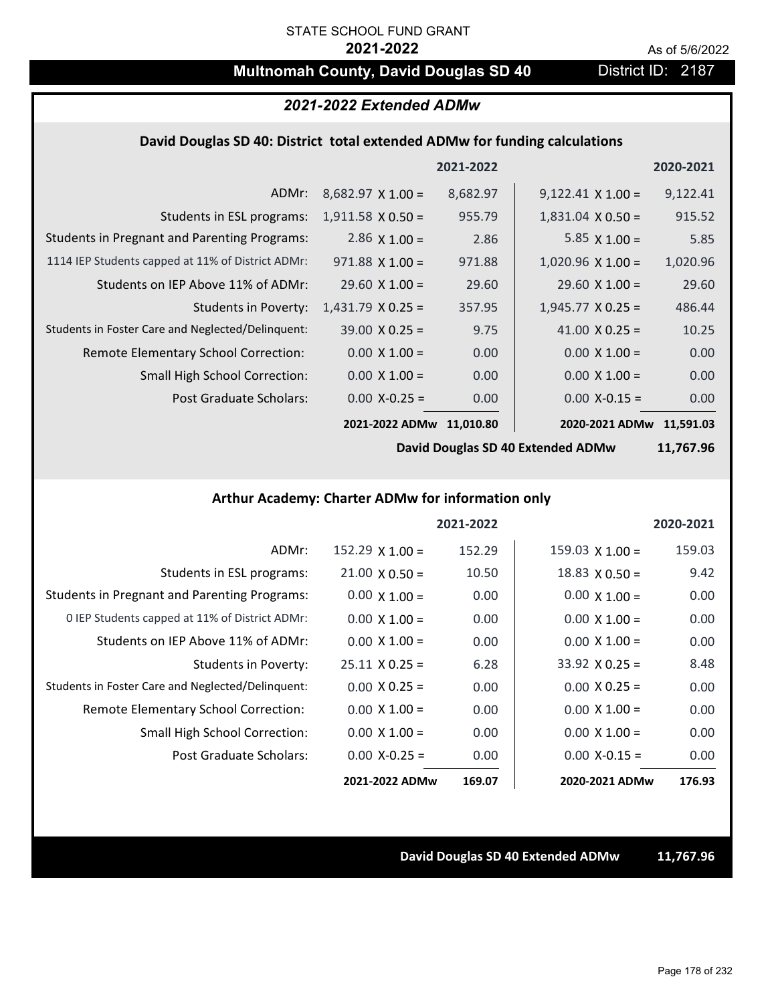# **Multnomah County, David Douglas SD 40** District ID: 2187

## *2021-2022 Extended ADMw*

#### **David Douglas SD 40: District total extended ADMw for funding calculations**

|                                                     |                          | 2021-2022 |                          | 2020-2021 |
|-----------------------------------------------------|--------------------------|-----------|--------------------------|-----------|
| ADMr:                                               | $8,682.97 \times 1.00 =$ | 8,682.97  | $9,122.41 \times 1.00 =$ | 9,122.41  |
| Students in ESL programs:                           | $1,911.58 \times 0.50 =$ | 955.79    | $1,831.04 \times 0.50 =$ | 915.52    |
| <b>Students in Pregnant and Parenting Programs:</b> | 2.86 $\times$ 1.00 =     | 2.86      | 5.85 $\times$ 1.00 =     | 5.85      |
| 1114 IEP Students capped at 11% of District ADMr:   | $971.88 \times 1.00 =$   | 971.88    | $1,020.96 \times 1.00 =$ | 1,020.96  |
| Students on IEP Above 11% of ADMr:                  | $29.60 \times 1.00 =$    | 29.60     | $29.60 \times 1.00 =$    | 29.60     |
| <b>Students in Poverty:</b>                         | $1,431.79$ X 0.25 =      | 357.95    | $1,945.77 \times 0.25 =$ | 486.44    |
| Students in Foster Care and Neglected/Delinquent:   | $39.00 \times 0.25 =$    | 9.75      | 41.00 $X$ 0.25 =         | 10.25     |
| Remote Elementary School Correction:                | $0.00 \times 1.00 =$     | 0.00      | $0.00 \times 1.00 =$     | 0.00      |
| <b>Small High School Correction:</b>                | $0.00 \times 1.00 =$     | 0.00      | $0.00 \times 1.00 =$     | 0.00      |
| Post Graduate Scholars:                             | $0.00$ X-0.25 =          | 0.00      | $0.00$ X-0.15 =          | 0.00      |
|                                                     | 2021-2022 ADMw           | 11,010.80 | 2020-2021 ADMw           | 11.591.03 |

**David Douglas SD 40 Extended ADMw**

**11,767.96**

# **Arthur Academy: Charter ADMw for information only**

|                                                     |                       | 2021-2022 |                        | 2020-2021 |
|-----------------------------------------------------|-----------------------|-----------|------------------------|-----------|
| ADMr:                                               | $152.29$ X $1.00 =$   | 152.29    | $159.03 \times 1.00 =$ | 159.03    |
| Students in ESL programs:                           | $21.00 \times 0.50 =$ | 10.50     | $18.83 \times 0.50 =$  | 9.42      |
| <b>Students in Pregnant and Parenting Programs:</b> | $0.00 \times 1.00 =$  | 0.00      | $0.00 \times 1.00 =$   | 0.00      |
| 0 IEP Students capped at 11% of District ADMr:      | $0.00 \times 1.00 =$  | 0.00      | $0.00 \times 1.00 =$   | 0.00      |
| Students on IEP Above 11% of ADMr:                  | $0.00 \times 1.00 =$  | 0.00      | $0.00 \times 1.00 =$   | 0.00      |
| <b>Students in Poverty:</b>                         | $25.11 \times 0.25 =$ | 6.28      | $33.92 \times 0.25 =$  | 8.48      |
| Students in Foster Care and Neglected/Delinquent:   | $0.00 \times 0.25 =$  | 0.00      | $0.00 \times 0.25 =$   | 0.00      |
| Remote Elementary School Correction:                | $0.00 \times 1.00 =$  | 0.00      | $0.00 \times 1.00 =$   | 0.00      |
| <b>Small High School Correction:</b>                | $0.00 \times 1.00 =$  | 0.00      | $0.00 \times 1.00 =$   | 0.00      |
| Post Graduate Scholars:                             | $0.00$ X-0.25 =       | 0.00      | $0.00 X - 0.15 =$      | 0.00      |
|                                                     | 2021-2022 ADMw        | 169.07    | 2020-2021 ADMw         | 176.93    |

#### **David Douglas SD 40 Extended ADMw 11,767.96**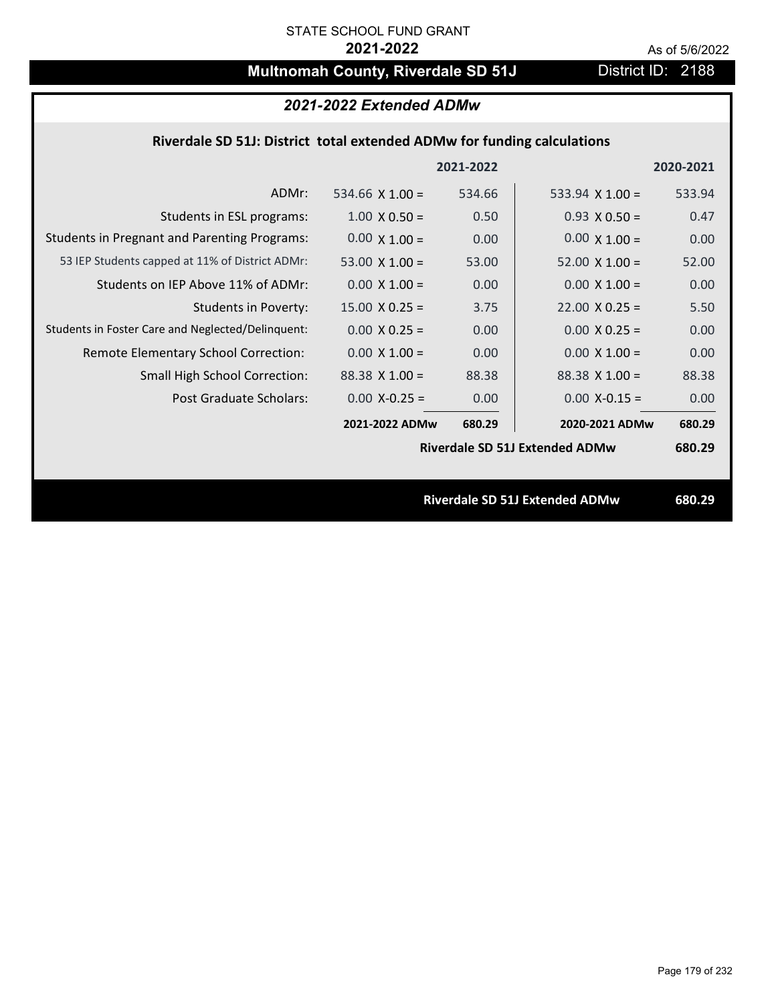# **Multnomah County, Riverdale SD 51J** District ID: 2188

### *2021-2022 Extended ADMw*

## **Riverdale SD 51J: District total extended ADMw for funding calculations**

|                                                     |                       | 2021-2022 |                                       | 2020-2021 |
|-----------------------------------------------------|-----------------------|-----------|---------------------------------------|-----------|
| ADMr:                                               | 534.66 $X$ 1.00 =     | 534.66    | 533.94 $X$ 1.00 =                     | 533.94    |
| Students in ESL programs:                           | $1.00 \times 0.50 =$  | 0.50      | $0.93 \times 0.50 =$                  | 0.47      |
| <b>Students in Pregnant and Parenting Programs:</b> | $0.00 \times 1.00 =$  | 0.00      | $0.00 \times 1.00 =$                  | 0.00      |
| 53 IEP Students capped at 11% of District ADMr:     | 53.00 $\times$ 1.00 = | 53.00     | $52.00 \times 1.00 =$                 | 52.00     |
| Students on IEP Above 11% of ADMr:                  | $0.00 \times 1.00 =$  | 0.00      | $0.00 \times 1.00 =$                  | 0.00      |
| <b>Students in Poverty:</b>                         | $15.00 \times 0.25 =$ | 3.75      | $22.00 \times 0.25 =$                 | 5.50      |
| Students in Foster Care and Neglected/Delinquent:   | $0.00 \times 0.25 =$  | 0.00      | $0.00 \times 0.25 =$                  | 0.00      |
| Remote Elementary School Correction:                | $0.00 \times 1.00 =$  | 0.00      | $0.00 \times 1.00 =$                  | 0.00      |
| <b>Small High School Correction:</b>                | $88.38 \times 1.00 =$ | 88.38     | $88.38 \times 1.00 =$                 | 88.38     |
| Post Graduate Scholars:                             | $0.00$ X-0.25 =       | 0.00      | $0.00$ X-0.15 =                       | 0.00      |
|                                                     | 2021-2022 ADMw        | 680.29    | 2020-2021 ADMw                        | 680.29    |
|                                                     |                       |           | <b>Riverdale SD 51J Extended ADMw</b> | 680.29    |
|                                                     |                       |           |                                       |           |
|                                                     |                       |           | <b>Riverdale SD 51J Extended ADMw</b> | 680.29    |
|                                                     |                       |           |                                       |           |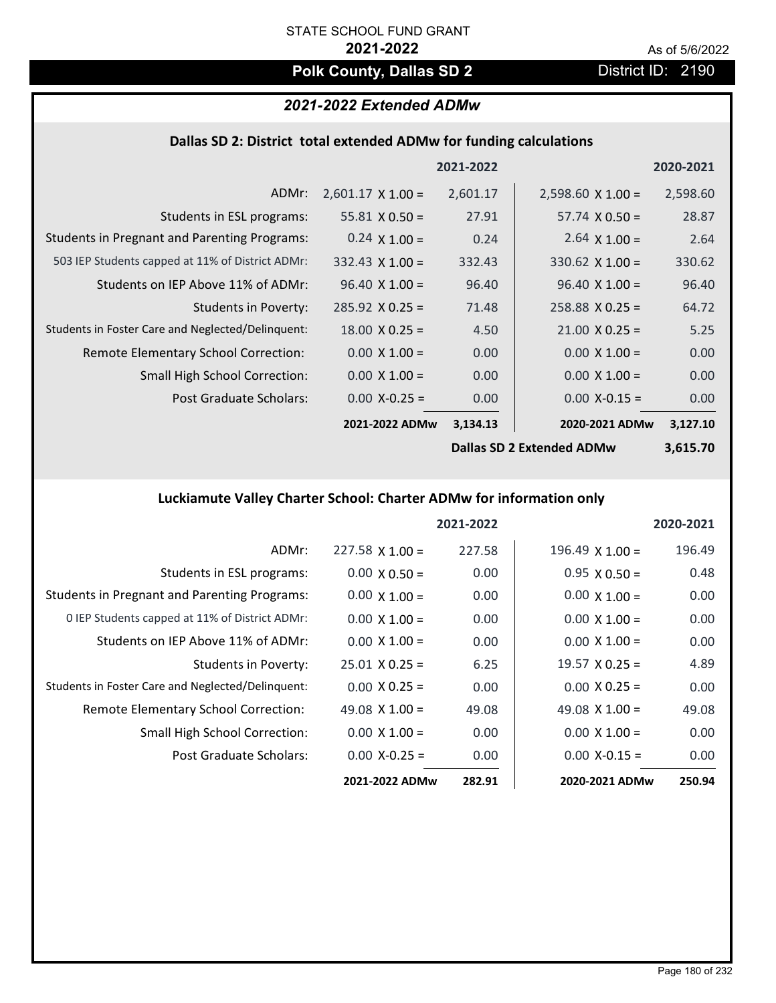# **Polk County, Dallas SD 2** District ID: 2190

## *2021-2022 Extended ADMw*

### **Dallas SD 2: District total extended ADMw for funding calculations**

|                                                     |                          | 2021-2022 |                                  | 2020-2021 |
|-----------------------------------------------------|--------------------------|-----------|----------------------------------|-----------|
| ADMr:                                               | $2,601.17 \times 1.00 =$ | 2,601.17  | $2,598.60 \times 1.00 =$         | 2,598.60  |
| Students in ESL programs:                           | 55.81 $\times$ 0.50 =    | 27.91     | $57.74 \times 0.50 =$            | 28.87     |
| <b>Students in Pregnant and Parenting Programs:</b> | $0.24 \times 1.00 =$     | 0.24      | 2.64 $\times$ 1.00 =             | 2.64      |
| 503 IEP Students capped at 11% of District ADMr:    | $332.43 \times 1.00 =$   | 332.43    | $330.62$ X 1.00 =                | 330.62    |
| Students on IEP Above 11% of ADMr:                  | $96.40 \times 1.00 =$    | 96.40     | $96.40 \times 1.00 =$            | 96.40     |
| Students in Poverty:                                | $285.92 \times 0.25 =$   | 71.48     | $258.88 \times 0.25 =$           | 64.72     |
| Students in Foster Care and Neglected/Delinquent:   | $18.00 \times 0.25 =$    | 4.50      | $21.00 \times 0.25 =$            | 5.25      |
| Remote Elementary School Correction:                | $0.00 \times 1.00 =$     | 0.00      | $0.00 \times 1.00 =$             | 0.00      |
| <b>Small High School Correction:</b>                | $0.00 \times 1.00 =$     | 0.00      | $0.00 \times 1.00 =$             | 0.00      |
| Post Graduate Scholars:                             | $0.00$ X-0.25 =          | 0.00      | $0.00$ X-0.15 =                  | 0.00      |
|                                                     | 2021-2022 ADMw           | 3,134.13  | 2020-2021 ADMw                   | 3,127.10  |
|                                                     |                          |           | <b>Dallas SD 2 Extended ADMw</b> | 3,615.70  |

**Luckiamute Valley Charter School: Charter ADMw for information only**

|                                                     |                        | 2021-2022 |                        | 2020-2021 |
|-----------------------------------------------------|------------------------|-----------|------------------------|-----------|
| ADMr:                                               | $227.58 \times 1.00 =$ | 227.58    | $196.49 \times 1.00 =$ | 196.49    |
| Students in ESL programs:                           | $0.00 \times 0.50 =$   | 0.00      | $0.95 \times 0.50 =$   | 0.48      |
| <b>Students in Pregnant and Parenting Programs:</b> | $0.00 \times 1.00 =$   | 0.00      | $0.00 \times 1.00 =$   | 0.00      |
| 0 IEP Students capped at 11% of District ADMr:      | $0.00 \times 1.00 =$   | 0.00      | $0.00 \times 1.00 =$   | 0.00      |
| Students on IEP Above 11% of ADMr:                  | $0.00 \times 1.00 =$   | 0.00      | $0.00 \times 1.00 =$   | 0.00      |
| Students in Poverty:                                | $25.01 \times 0.25 =$  | 6.25      | $19.57 \times 0.25 =$  | 4.89      |
| Students in Foster Care and Neglected/Delinquent:   | $0.00 \times 0.25 =$   | 0.00      | $0.00 \times 0.25 =$   | 0.00      |
| Remote Elementary School Correction:                | 49.08 $\times$ 1.00 =  | 49.08     | 49.08 $\times$ 1.00 =  | 49.08     |
| <b>Small High School Correction:</b>                | $0.00 \times 1.00 =$   | 0.00      | $0.00 \times 1.00 =$   | 0.00      |
| Post Graduate Scholars:                             | $0.00$ X-0.25 =        | 0.00      | $0.00$ X-0.15 =        | 0.00      |
|                                                     | 2021-2022 ADMw         | 282.91    | 2020-2021 ADMw         | 250.94    |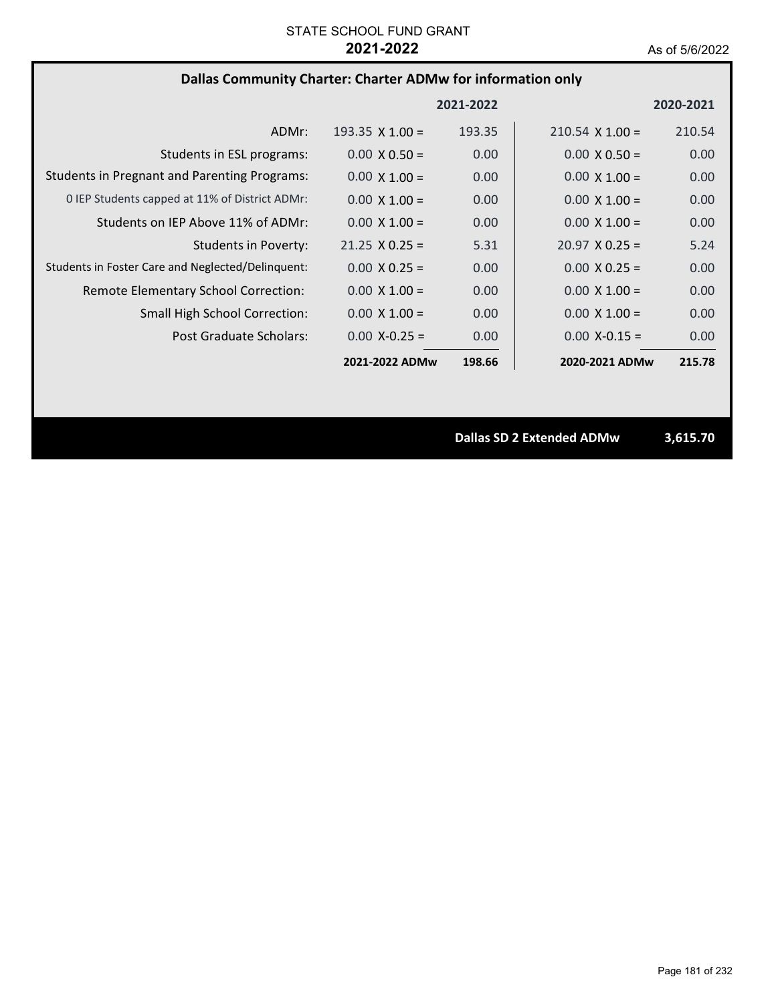# **Dallas Community Charter: Charter ADMw for information only**

|                                                     |                        | 2021-2022         |                        | 2020-2021 |
|-----------------------------------------------------|------------------------|-------------------|------------------------|-----------|
| ADMr:                                               | $193.35 \times 1.00 =$ | 193.35            | $210.54 \times 1.00 =$ | 210.54    |
| Students in ESL programs:                           | $0.00 \times 0.50 =$   | 0.00              | $0.00 \times 0.50 =$   | 0.00      |
| <b>Students in Pregnant and Parenting Programs:</b> | $0.00 \times 1.00 =$   | 0.00              | $0.00 \times 1.00 =$   | 0.00      |
| 0 IEP Students capped at 11% of District ADMr:      | $0.00 \times 1.00 =$   | 0.00              | $0.00 \times 1.00 =$   | 0.00      |
| Students on IEP Above 11% of ADMr:                  | $0.00 \times 1.00 =$   | 0.00              | $0.00 \times 1.00 =$   | 0.00      |
| Students in Poverty:                                | $21.25 \times 0.25 =$  | 5.31              | $20.97 \times 0.25 =$  | 5.24      |
| Students in Foster Care and Neglected/Delinquent:   | $0.00 \times 0.25 =$   | 0.00              | $0.00 \times 0.25 =$   | 0.00      |
| Remote Elementary School Correction:                | $0.00 \times 1.00 =$   | 0.00 <sub>1</sub> | $0.00 \times 1.00 =$   | 0.00      |
| <b>Small High School Correction:</b>                | $0.00 \times 1.00 =$   | 0.00              | $0.00 \times 1.00 =$   | 0.00      |
| Post Graduate Scholars:                             | $0.00 X - 0.25 =$      | 0.00              | $0.00$ X-0.15 =        | 0.00      |
|                                                     | 2021-2022 ADMw         | 198.66            | 2020-2021 ADMw         | 215.78    |

**Dallas SD 2 Extended ADMw 3,615.70**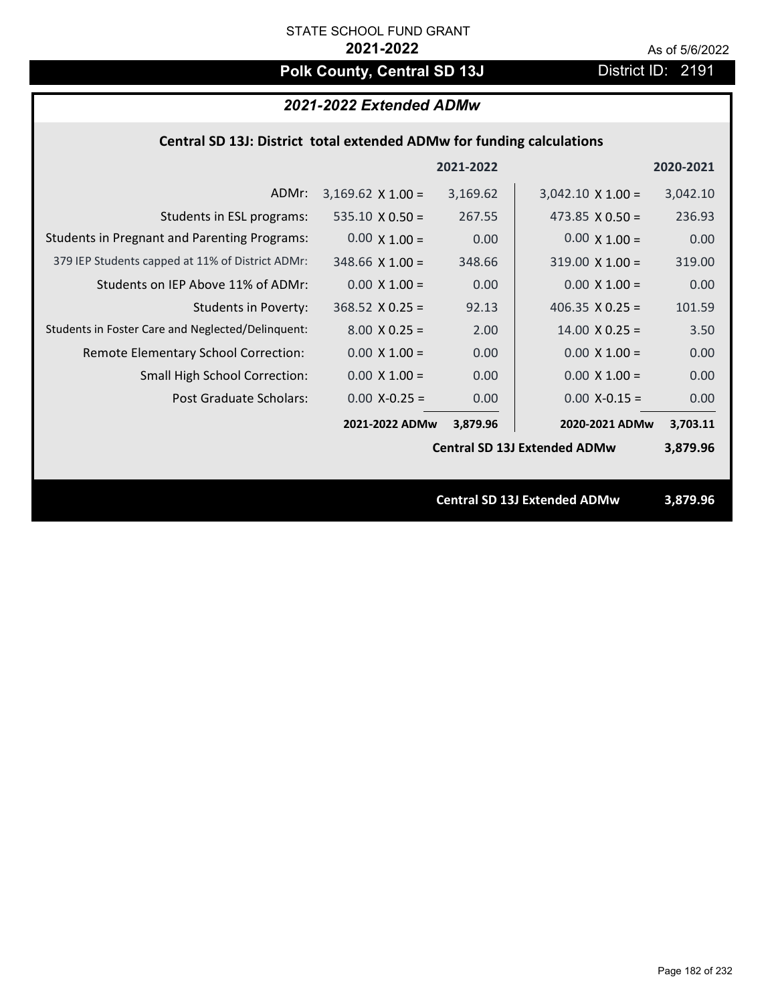# Polk County, Central SD 13J District ID: 2191

# *2021-2022 Extended ADMw*

## **Central SD 13J: District total extended ADMw for funding calculations**

|                                                     |                        | 2021-2022 |                                     | 2020-2021 |  |
|-----------------------------------------------------|------------------------|-----------|-------------------------------------|-----------|--|
| ADMr:                                               | $3,169.62$ X 1.00 =    | 3,169.62  | $3,042.10 \times 1.00 =$            | 3,042.10  |  |
| Students in ESL programs:                           | $535.10 \times 0.50 =$ | 267.55    | 473.85 $X$ 0.50 =                   | 236.93    |  |
| <b>Students in Pregnant and Parenting Programs:</b> | $0.00 \times 1.00 =$   | 0.00      | $0.00 \times 1.00 =$                | 0.00      |  |
| 379 IEP Students capped at 11% of District ADMr:    | $348.66$ X 1.00 =      | 348.66    | $319.00 \times 1.00 =$              | 319.00    |  |
| Students on IEP Above 11% of ADMr:                  | $0.00$ X $1.00 =$      | 0.00      | $0.00 \times 1.00 =$                | 0.00      |  |
| <b>Students in Poverty:</b>                         | $368.52$ X 0.25 =      | 92.13     | 406.35 $X$ 0.25 =                   | 101.59    |  |
| Students in Foster Care and Neglected/Delinquent:   | $8.00 \times 0.25 =$   | 2.00      | $14.00 \times 0.25 =$               | 3.50      |  |
| Remote Elementary School Correction:                | $0.00 \times 1.00 =$   | 0.00      | $0.00 \times 1.00 =$                | 0.00      |  |
| <b>Small High School Correction:</b>                | $0.00 \times 1.00 =$   | 0.00      | $0.00 \times 1.00 =$                | 0.00      |  |
| Post Graduate Scholars:                             | $0.00$ X-0.25 =        | 0.00      | $0.00$ X-0.15 =                     | 0.00      |  |
|                                                     | 2021-2022 ADMw         | 3,879.96  | 2020-2021 ADMw                      | 3,703.11  |  |
|                                                     |                        |           | <b>Central SD 13J Extended ADMw</b> | 3,879.96  |  |
|                                                     |                        |           |                                     |           |  |
|                                                     |                        |           | <b>Central SD 13J Extended ADMw</b> | 3,879.96  |  |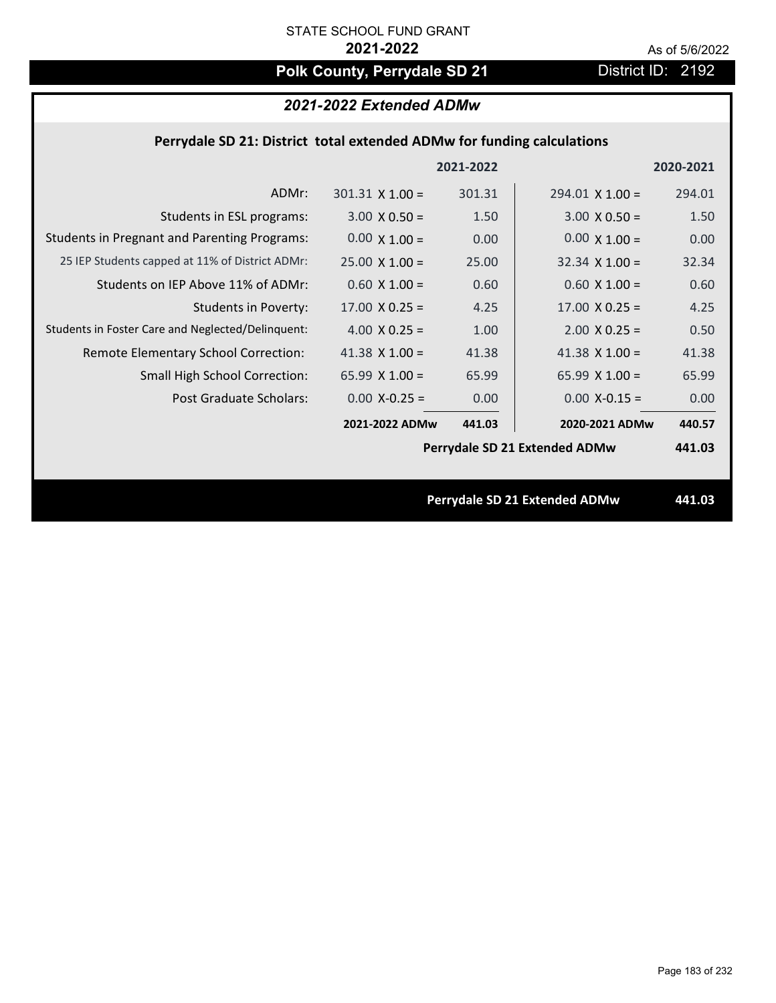# Polk County, Perrydale SD 21 **District ID: 2192**

# *2021-2022 Extended ADMw*

### **Perrydale SD 21: District total extended ADMw for funding calculations**

|                                                     |                       | 2021-2022 |                               | 2020-2021 |
|-----------------------------------------------------|-----------------------|-----------|-------------------------------|-----------|
| ADMr:                                               | $301.31$ X $1.00 =$   | 301.31    | $294.01$ X 1.00 =             | 294.01    |
| Students in ESL programs:                           | $3.00 \times 0.50 =$  | 1.50      | $3.00 \times 0.50 =$          | 1.50      |
| <b>Students in Pregnant and Parenting Programs:</b> | $0.00 \times 1.00 =$  | 0.00      | $0.00 \times 1.00 =$          | 0.00      |
| 25 IEP Students capped at 11% of District ADMr:     | $25.00 \times 1.00 =$ | 25.00     | $32.34 \times 1.00 =$         | 32.34     |
| Students on IEP Above 11% of ADMr:                  | $0.60$ X $1.00 =$     | 0.60      | $0.60$ X $1.00 =$             | 0.60      |
| <b>Students in Poverty:</b>                         | $17.00 \times 0.25 =$ | 4.25      | $17.00 \times 0.25 =$         | 4.25      |
| Students in Foster Care and Neglected/Delinquent:   | 4.00 $X$ 0.25 =       | 1.00      | $2.00$ X 0.25 =               | 0.50      |
| Remote Elementary School Correction:                | 41.38 $X$ 1.00 =      | 41.38     | 41.38 $X$ 1.00 =              | 41.38     |
| <b>Small High School Correction:</b>                | 65.99 $X$ 1.00 =      | 65.99     | 65.99 $X$ 1.00 =              | 65.99     |
| <b>Post Graduate Scholars:</b>                      | $0.00$ X-0.25 =       | 0.00      | $0.00$ X-0.15 =               | 0.00      |
|                                                     | 2021-2022 ADMw        | 441.03    | 2020-2021 ADMw                | 440.57    |
|                                                     |                       |           | Perrydale SD 21 Extended ADMw | 441.03    |
|                                                     |                       |           |                               |           |
|                                                     |                       |           | Perrydale SD 21 Extended ADMw | 441.03    |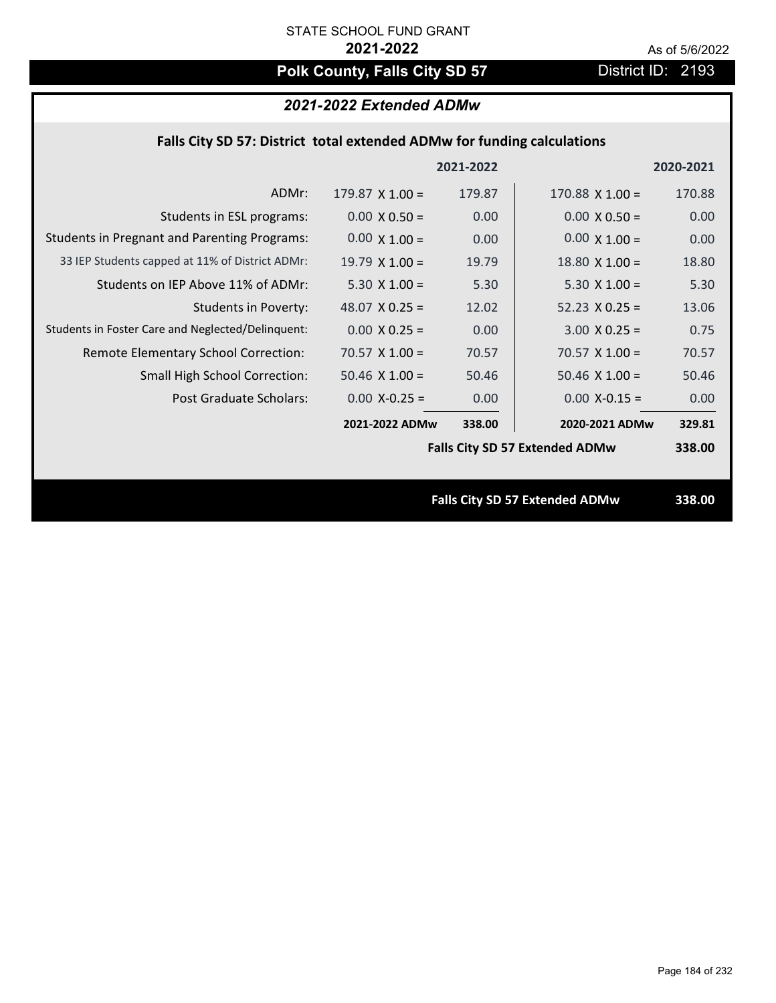# **Polk County, Falls City SD 57** District ID: 2193

# *2021-2022 Extended ADMw*

## **Falls City SD 57: District total extended ADMw for funding calculations**

|                                                     |                        | 2021-2022 |                                       | 2020-2021 |
|-----------------------------------------------------|------------------------|-----------|---------------------------------------|-----------|
| ADMr:                                               | $179.87 \times 1.00 =$ | 179.87    | $170.88$ X 1.00 =                     | 170.88    |
| Students in ESL programs:                           | $0.00 \times 0.50 =$   | 0.00      | $0.00 \times 0.50 =$                  | 0.00      |
| <b>Students in Pregnant and Parenting Programs:</b> | $0.00 \times 1.00 =$   | 0.00      | $0.00 \times 1.00 =$                  | 0.00      |
| 33 IEP Students capped at 11% of District ADMr:     | $19.79 \times 1.00 =$  | 19.79     | $18.80 \times 1.00 =$                 | 18.80     |
| Students on IEP Above 11% of ADMr:                  | $5.30 X 1.00 =$        | 5.30      | $5.30 X 1.00 =$                       | 5.30      |
| <b>Students in Poverty:</b>                         | 48.07 $X$ 0.25 =       | 12.02     | $52.23 \times 0.25 =$                 | 13.06     |
| Students in Foster Care and Neglected/Delinquent:   | $0.00 \times 0.25 =$   | 0.00      | $3.00 X 0.25 =$                       | 0.75      |
| Remote Elementary School Correction:                | $70.57 \times 1.00 =$  | 70.57     | $70.57 \times 1.00 =$                 | 70.57     |
| <b>Small High School Correction:</b>                | $50.46$ X 1.00 =       | 50.46     | $50.46 \times 1.00 =$                 | 50.46     |
| Post Graduate Scholars:                             | $0.00$ X-0.25 =        | 0.00      | $0.00$ X-0.15 =                       | 0.00      |
|                                                     | 2021-2022 ADMw         | 338.00    | 2020-2021 ADMw                        | 329.81    |
|                                                     |                        |           | <b>Falls City SD 57 Extended ADMw</b> | 338.00    |
|                                                     |                        |           |                                       |           |
|                                                     |                        |           | <b>Falls City SD 57 Extended ADMw</b> | 338.00    |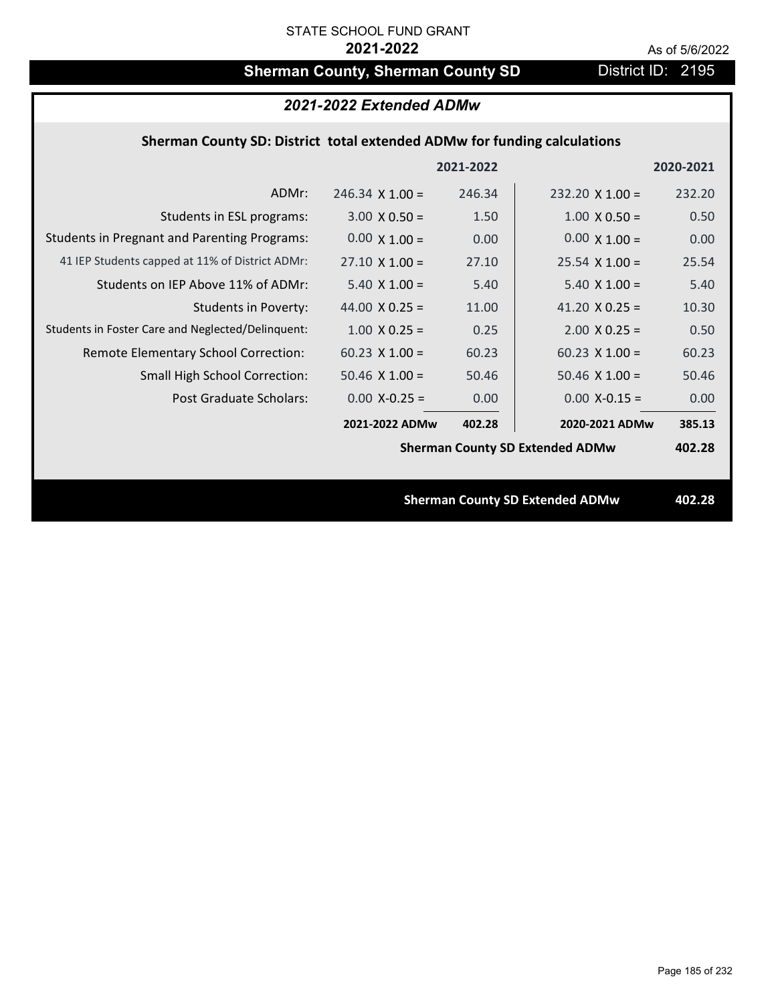# **Sherman County, Sherman County SD** District ID: 2195

| 2021-2022 Extended ADMw                                                  |                        |           |                                        |           |  |
|--------------------------------------------------------------------------|------------------------|-----------|----------------------------------------|-----------|--|
| Sherman County SD: District total extended ADMw for funding calculations |                        |           |                                        |           |  |
|                                                                          |                        | 2021-2022 |                                        | 2020-2021 |  |
| ADMr:                                                                    | $246.34 \times 1.00 =$ | 246.34    | $232.20 \times 1.00 =$                 | 232.20    |  |
| Students in ESL programs:                                                | $3.00 \times 0.50 =$   | 1.50      | $1.00 \times 0.50 =$                   | 0.50      |  |
| <b>Students in Pregnant and Parenting Programs:</b>                      | $0.00 \times 1.00 =$   | 0.00      | $0.00 \times 1.00 =$                   | 0.00      |  |
| 41 IEP Students capped at 11% of District ADMr:                          | $27.10 \times 1.00 =$  | 27.10     | $25.54 \times 1.00 =$                  | 25.54     |  |
| Students on IEP Above 11% of ADMr:                                       | $5.40 \times 1.00 =$   | 5.40      | $5.40$ X $1.00 =$                      | 5.40      |  |
| <b>Students in Poverty:</b>                                              | 44.00 $X$ 0.25 =       | 11.00     | 41.20 $X$ 0.25 =                       | 10.30     |  |
| Students in Foster Care and Neglected/Delinquent:                        | $1.00 \times 0.25 =$   | 0.25      | $2.00$ X 0.25 =                        | 0.50      |  |
| Remote Elementary School Correction:                                     | $60.23$ X 1.00 =       | 60.23     | $60.23$ X 1.00 =                       | 60.23     |  |
| <b>Small High School Correction:</b>                                     | $50.46$ X 1.00 =       | 50.46     | $50.46$ X 1.00 =                       | 50.46     |  |
| Post Graduate Scholars:                                                  | $0.00$ X-0.25 =        | 0.00      | $0.00$ X-0.15 =                        | 0.00      |  |
|                                                                          | 2021-2022 ADMw         | 402.28    | 2020-2021 ADMw                         | 385.13    |  |
|                                                                          |                        |           | <b>Sherman County SD Extended ADMw</b> | 402.28    |  |
|                                                                          |                        |           |                                        |           |  |
|                                                                          |                        |           | <b>Sherman County SD Extended ADMw</b> | 402.28    |  |
|                                                                          |                        |           |                                        |           |  |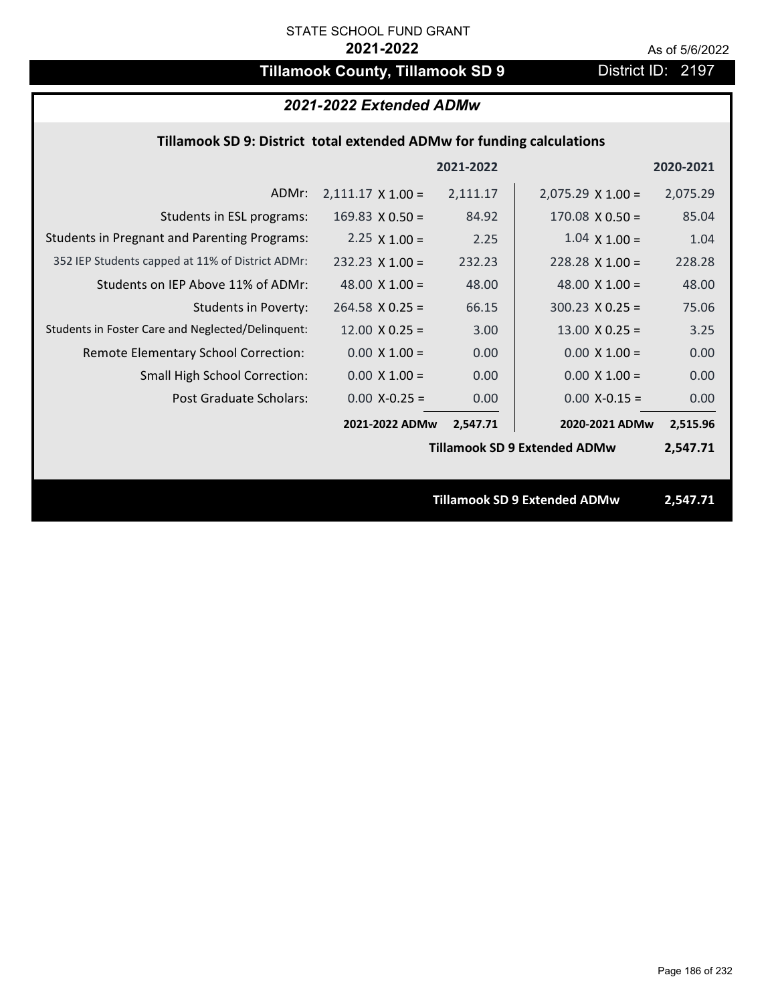# **Tillamook County, Tillamook SD 9** District ID: 2197

# *2021-2022 Extended ADMw*

## **Tillamook SD 9: District total extended ADMw for funding calculations**

|                                                     |                          | 2021-2022 |                                     | 2020-2021 |
|-----------------------------------------------------|--------------------------|-----------|-------------------------------------|-----------|
| ADMr:                                               | $2,111.17 \times 1.00 =$ | 2,111.17  | $2,075.29 \times 1.00 =$            | 2,075.29  |
| Students in ESL programs:                           | $169.83 \times 0.50 =$   | 84.92     | $170.08 \times 0.50 =$              | 85.04     |
| <b>Students in Pregnant and Parenting Programs:</b> | 2.25 $\times$ 1.00 =     | 2.25      | $1.04 \times 1.00 =$                | 1.04      |
| 352 IEP Students capped at 11% of District ADMr:    | $232.23 \times 1.00 =$   | 232.23    | $228.28 \times 1.00 =$              | 228.28    |
| Students on IEP Above 11% of ADMr:                  | 48.00 $X$ 1.00 =         | 48.00     | 48.00 $X$ 1.00 =                    | 48.00     |
| <b>Students in Poverty:</b>                         | $264.58$ X 0.25 =        | 66.15     | $300.23$ X 0.25 =                   | 75.06     |
| Students in Foster Care and Neglected/Delinquent:   | $12.00 \times 0.25 =$    | 3.00      | $13.00 \times 0.25 =$               | 3.25      |
| Remote Elementary School Correction:                | $0.00 \times 1.00 =$     | 0.00      | $0.00 \times 1.00 =$                | 0.00      |
| <b>Small High School Correction:</b>                | $0.00 \times 1.00 =$     | 0.00      | $0.00 \times 1.00 =$                | 0.00      |
| Post Graduate Scholars:                             | $0.00$ X-0.25 =          | 0.00      | $0.00$ X-0.15 =                     | 0.00      |
|                                                     | 2021-2022 ADMw           | 2,547.71  | 2020-2021 ADMw                      | 2,515.96  |
|                                                     |                          |           | <b>Tillamook SD 9 Extended ADMw</b> | 2,547.71  |
|                                                     |                          |           |                                     |           |
|                                                     |                          |           | <b>Tillamook SD 9 Extended ADMw</b> | 2,547.71  |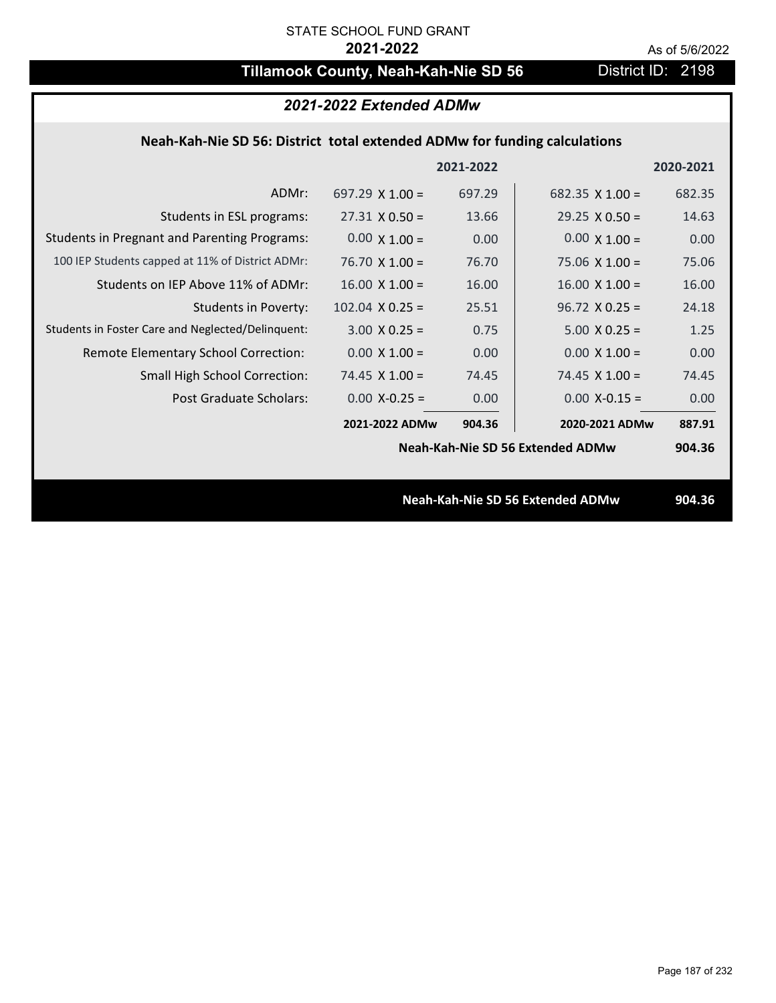# **Tillamook County, Neah-Kah-Nie SD 56** District ID: 2198

| 2021-2022 Extended ADMw                                                   |                        |           |                                         |           |
|---------------------------------------------------------------------------|------------------------|-----------|-----------------------------------------|-----------|
| Neah-Kah-Nie SD 56: District total extended ADMw for funding calculations |                        |           |                                         |           |
|                                                                           |                        | 2021-2022 |                                         | 2020-2021 |
| ADMr:                                                                     | $697.29 \times 1.00 =$ | 697.29    | $682.35 \times 1.00 =$                  | 682.35    |
| Students in ESL programs:                                                 | $27.31 \times 0.50 =$  | 13.66     | $29.25 \times 0.50 =$                   | 14.63     |
| <b>Students in Pregnant and Parenting Programs:</b>                       | $0.00 \times 1.00 =$   | 0.00      | $0.00 \times 1.00 =$                    | 0.00      |
| 100 IEP Students capped at 11% of District ADMr:                          | $76.70 \times 1.00 =$  | 76.70     | $75.06 \times 1.00 =$                   | 75.06     |
| Students on IEP Above 11% of ADMr:                                        | $16.00 \times 1.00 =$  | 16.00     | $16.00 \times 1.00 =$                   | 16.00     |
| Students in Poverty:                                                      | $102.04$ X 0.25 =      | 25.51     | $96.72 \times 0.25 =$                   | 24.18     |
| Students in Foster Care and Neglected/Delinquent:                         | $3.00 \times 0.25 =$   | 0.75      | $5.00 \times 0.25 =$                    | 1.25      |
| Remote Elementary School Correction:                                      | $0.00 \times 1.00 =$   | 0.00      | $0.00 \times 1.00 =$                    | 0.00      |
| <b>Small High School Correction:</b>                                      | $74.45$ X 1.00 =       | 74.45     | $74.45 \times 1.00 =$                   | 74.45     |
| <b>Post Graduate Scholars:</b>                                            | $0.00$ X-0.25 =        | 0.00      | $0.00$ X-0.15 =                         | 0.00      |
|                                                                           | 2021-2022 ADMw         | 904.36    | 2020-2021 ADMw                          | 887.91    |
|                                                                           |                        |           | <b>Neah-Kah-Nie SD 56 Extended ADMw</b> | 904.36    |
|                                                                           |                        |           |                                         |           |
|                                                                           |                        |           | <b>Neah-Kah-Nie SD 56 Extended ADMw</b> | 904.36    |
|                                                                           |                        |           |                                         |           |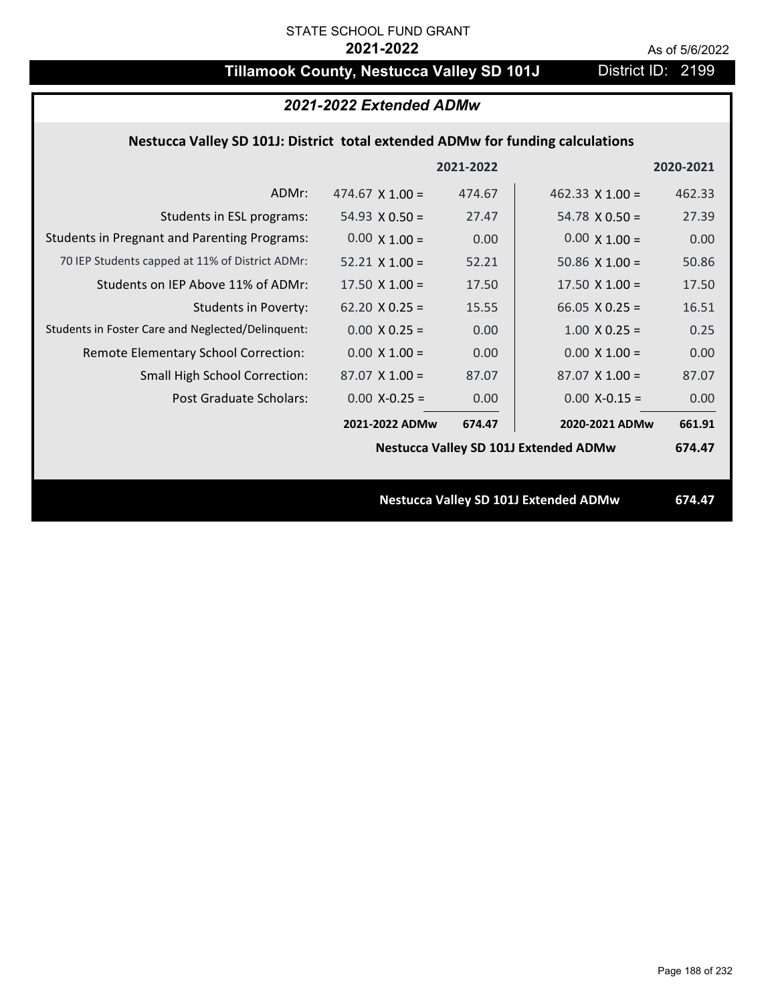# **Tillamook County, Nestucca Valley SD 101J** District ID: 2199

|                                                                                | 2021-2022 Extended ADMw |           |                                              |           |  |
|--------------------------------------------------------------------------------|-------------------------|-----------|----------------------------------------------|-----------|--|
| Nestucca Valley SD 101J: District total extended ADMw for funding calculations |                         |           |                                              |           |  |
|                                                                                |                         | 2021-2022 |                                              | 2020-2021 |  |
| ADMr:                                                                          | 474.67 $\times$ 1.00 =  | 474.67    | 462.33 $\times$ 1.00 =                       | 462.33    |  |
| Students in ESL programs:                                                      | 54.93 $X$ 0.50 =        | 27.47     | $54.78 \times 0.50 =$                        | 27.39     |  |
| <b>Students in Pregnant and Parenting Programs:</b>                            | $0.00 \times 1.00 =$    | 0.00      | $0.00 \times 1.00 =$                         | 0.00      |  |
| 70 IEP Students capped at 11% of District ADMr:                                | $52.21 \times 1.00 =$   | 52.21     | 50.86 $\times$ 1.00 =                        | 50.86     |  |
| Students on IEP Above 11% of ADMr:                                             | $17.50 \times 1.00 =$   | 17.50     | $17.50 \times 1.00 =$                        | 17.50     |  |
| <b>Students in Poverty:</b>                                                    | $62.20$ X 0.25 =        | 15.55     | 66.05 $X$ 0.25 =                             | 16.51     |  |
| Students in Foster Care and Neglected/Delinquent:                              | $0.00 \times 0.25 =$    | 0.00      | $1.00$ X 0.25 =                              | 0.25      |  |
| Remote Elementary School Correction:                                           | $0.00 \times 1.00 =$    | 0.00      | $0.00 \times 1.00 =$                         | 0.00      |  |
| <b>Small High School Correction:</b>                                           | $87.07$ X 1.00 =        | 87.07     | $87.07$ X 1.00 =                             | 87.07     |  |
| Post Graduate Scholars:                                                        | $0.00$ X-0.25 =         | 0.00      | $0.00$ X-0.15 =                              | 0.00      |  |
|                                                                                | 2021-2022 ADMw          | 674.47    | 2020-2021 ADMw                               | 661.91    |  |
|                                                                                |                         |           | <b>Nestucca Valley SD 101J Extended ADMw</b> | 674.47    |  |
|                                                                                |                         |           |                                              |           |  |
|                                                                                |                         |           | <b>Nestucca Valley SD 101J Extended ADMw</b> | 674.47    |  |
|                                                                                |                         |           |                                              |           |  |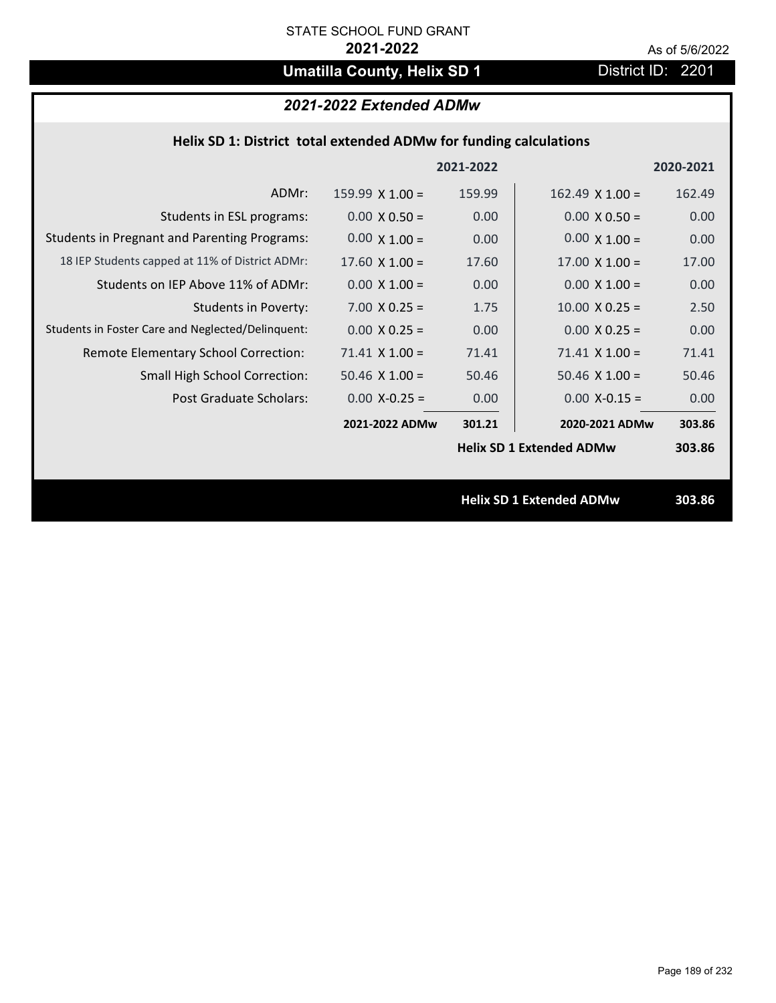# **Umatilla County, Helix SD 1** District ID: 2201

# *2021-2022 Extended ADMw*

| Helix SD 1: District total extended ADMw for funding calculations |  |
|-------------------------------------------------------------------|--|
|-------------------------------------------------------------------|--|

|                                                     |                       | 2021-2022         |                                 | 2020-2021 |
|-----------------------------------------------------|-----------------------|-------------------|---------------------------------|-----------|
| ADMr:                                               | 159.99 $X$ 1.00 =     | 159.99            | $162.49 \times 1.00 =$          | 162.49    |
| Students in ESL programs:                           | $0.00 \times 0.50 =$  | 0.00 <sub>1</sub> | $0.00 \times 0.50 =$            | 0.00      |
| <b>Students in Pregnant and Parenting Programs:</b> | $0.00 \times 1.00 =$  | 0.00 <sub>1</sub> | $0.00 \times 1.00 =$            | 0.00      |
| 18 IEP Students capped at 11% of District ADMr:     | $17.60 \times 1.00 =$ | 17.60             | $17.00 \times 1.00 =$           | 17.00     |
| Students on IEP Above 11% of ADMr:                  | $0.00 \times 1.00 =$  | 0.00              | $0.00 \times 1.00 =$            | 0.00      |
| <b>Students in Poverty:</b>                         | $7.00 \times 0.25 =$  | 1.75              | $10.00 \times 0.25 =$           | 2.50      |
| Students in Foster Care and Neglected/Delinquent:   | $0.00 \times 0.25 =$  | 0.00 <sub>1</sub> | $0.00 \times 0.25 =$            | 0.00      |
| Remote Elementary School Correction:                | $71.41$ X $1.00 =$    | 71.41             | $71.41$ X $1.00 =$              | 71.41     |
| <b>Small High School Correction:</b>                | $50.46$ X $1.00 =$    | 50.46             | $50.46 \times 1.00 =$           | 50.46     |
| Post Graduate Scholars:                             | $0.00$ X-0.25 =       | 0.00 <sub>1</sub> | $0.00$ X-0.15 =                 | 0.00      |
|                                                     | 2021-2022 ADMw        | 301.21            | 2020-2021 ADMw                  | 303.86    |
|                                                     |                       |                   | <b>Helix SD 1 Extended ADMw</b> | 303.86    |
|                                                     |                       |                   |                                 |           |
|                                                     |                       |                   | <b>Helix SD 1 Extended ADMw</b> | 303.86    |
|                                                     |                       |                   |                                 |           |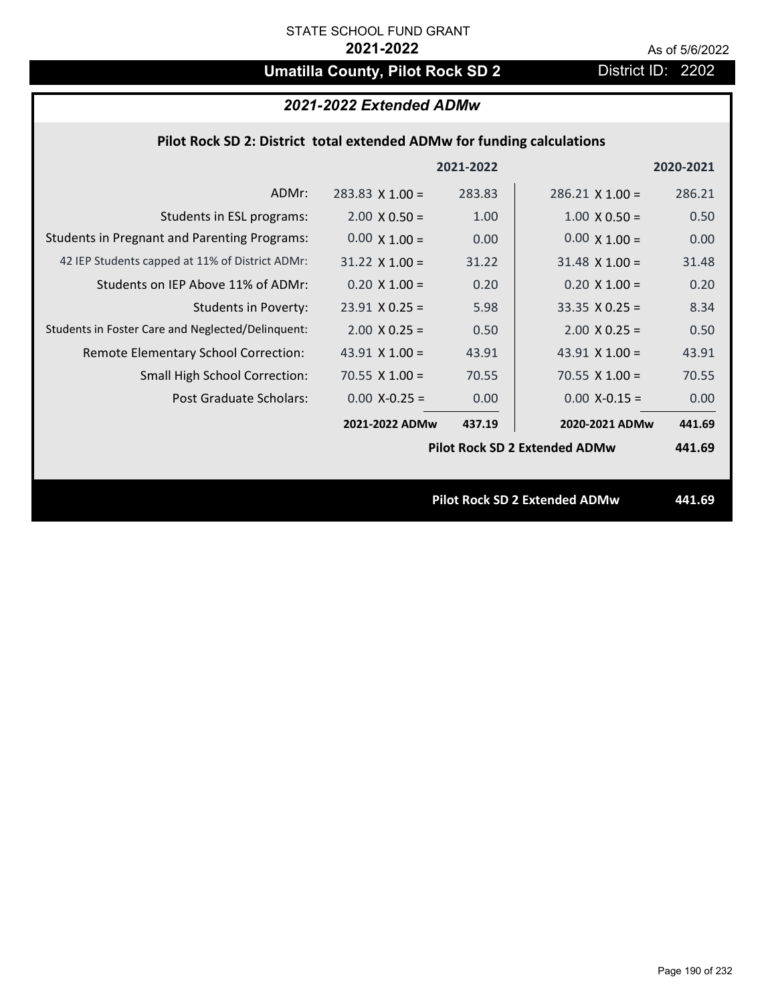# **Umatilla County, Pilot Rock SD 2** District ID: 2202

# *2021-2022 Extended ADMw*

### **Pilot Rock SD 2: District total extended ADMw for funding calculations**

|                                                     |                        | 2021-2022 |                                      | 2020-2021 |
|-----------------------------------------------------|------------------------|-----------|--------------------------------------|-----------|
| ADMr:                                               | $283.83 \times 1.00 =$ | 283.83    | $286.21$ X 1.00 =                    | 286.21    |
| Students in ESL programs:                           | $2.00 \times 0.50 =$   | 1.00      | $1.00 \times 0.50 =$                 | 0.50      |
| <b>Students in Pregnant and Parenting Programs:</b> | $0.00 \times 1.00 =$   | 0.00      | $0.00 \times 1.00 =$                 | 0.00      |
| 42 IEP Students capped at 11% of District ADMr:     | $31.22 \times 1.00 =$  | 31.22     | $31.48 \times 1.00 =$                | 31.48     |
| Students on IEP Above 11% of ADMr:                  | $0.20 X 1.00 =$        | 0.20      | $0.20 X 1.00 =$                      | 0.20      |
| <b>Students in Poverty:</b>                         | $23.91$ X 0.25 =       | 5.98      | $33.35 \times 0.25 =$                | 8.34      |
| Students in Foster Care and Neglected/Delinquent:   | $2.00 \times 0.25 =$   | 0.50      | $2.00 \times 0.25 =$                 | 0.50      |
| Remote Elementary School Correction:                | 43.91 $X$ 1.00 =       | 43.91     | 43.91 $X$ 1.00 =                     | 43.91     |
| <b>Small High School Correction:</b>                | $70.55 \times 1.00 =$  | 70.55     | $70.55 \times 1.00 =$                | 70.55     |
| Post Graduate Scholars:                             | $0.00 X - 0.25 =$      | 0.00      | $0.00$ X-0.15 =                      | 0.00      |
|                                                     | 2021-2022 ADMw         | 437.19    | 2020-2021 ADMw                       | 441.69    |
|                                                     |                        |           | <b>Pilot Rock SD 2 Extended ADMw</b> | 441.69    |
|                                                     |                        |           |                                      |           |
|                                                     |                        |           | <b>Pilot Rock SD 2 Extended ADMw</b> | 441.69    |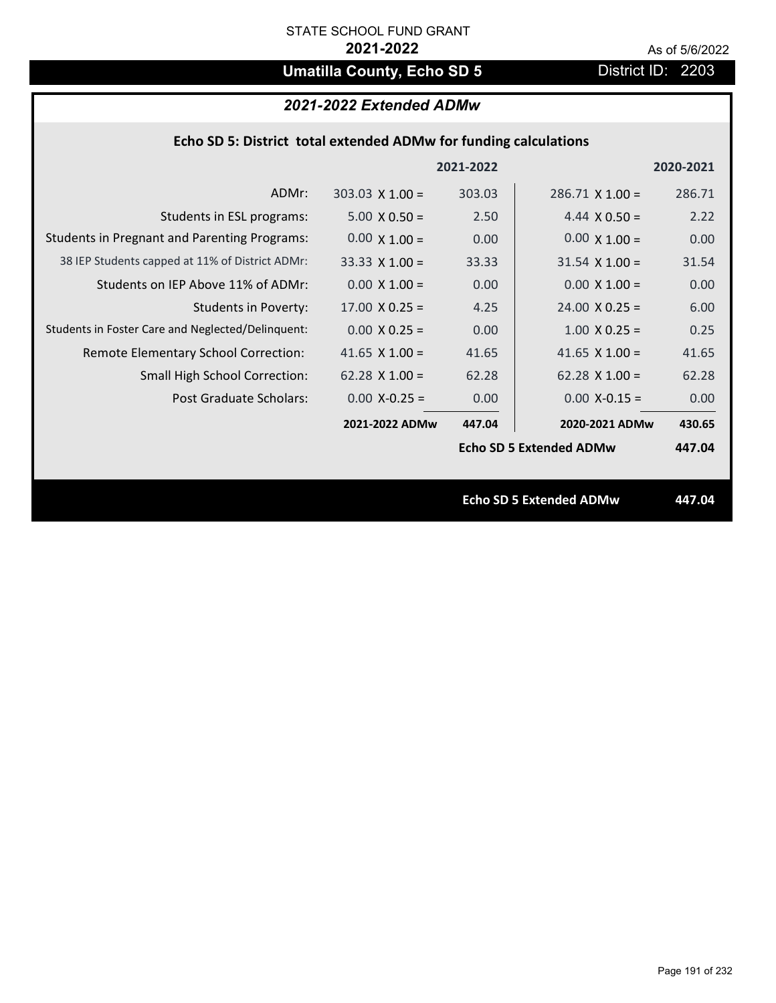# **Umatilla County, Echo SD 5** District ID: 2203

# *2021-2022 Extended ADMw*

### **Echo SD 5: District total extended ADMw for funding calculations**

|                                                     |                        | 2021-2022 |                                | 2020-2021 |
|-----------------------------------------------------|------------------------|-----------|--------------------------------|-----------|
| ADMr:                                               | $303.03 \times 1.00 =$ | 303.03    | $286.71 \times 1.00 =$         | 286.71    |
| Students in ESL programs:                           | $5.00 \times 0.50 =$   | 2.50      | 4.44 $\times$ 0.50 =           | 2.22      |
| <b>Students in Pregnant and Parenting Programs:</b> | $0.00 \times 1.00 =$   | 0.00      | $0.00 \times 1.00 =$           | 0.00      |
| 38 IEP Students capped at 11% of District ADMr:     | $33.33 \times 1.00 =$  | 33.33     | $31.54 \times 1.00 =$          | 31.54     |
| Students on IEP Above 11% of ADMr:                  | $0.00 \times 1.00 =$   | 0.00      | $0.00 \times 1.00 =$           | 0.00      |
| <b>Students in Poverty:</b>                         | $17.00 \times 0.25 =$  | 4.25      | $24.00 \times 0.25 =$          | 6.00      |
| Students in Foster Care and Neglected/Delinquent:   | $0.00 \times 0.25 =$   | 0.00      | $1.00 \times 0.25 =$           | 0.25      |
| Remote Elementary School Correction:                | 41.65 $X$ 1.00 =       | 41.65     | 41.65 $\times$ 1.00 =          | 41.65     |
| <b>Small High School Correction:</b>                | $62.28$ X 1.00 =       | 62.28     | $62.28$ X 1.00 =               | 62.28     |
| Post Graduate Scholars:                             | $0.00$ X-0.25 =        | 0.00      | $0.00$ X-0.15 =                | 0.00      |
|                                                     | 2021-2022 ADMw         | 447.04    | 2020-2021 ADMw                 | 430.65    |
|                                                     |                        |           | <b>Echo SD 5 Extended ADMw</b> | 447.04    |
|                                                     |                        |           |                                |           |
|                                                     |                        |           | <b>Echo SD 5 Extended ADMw</b> | 447.04    |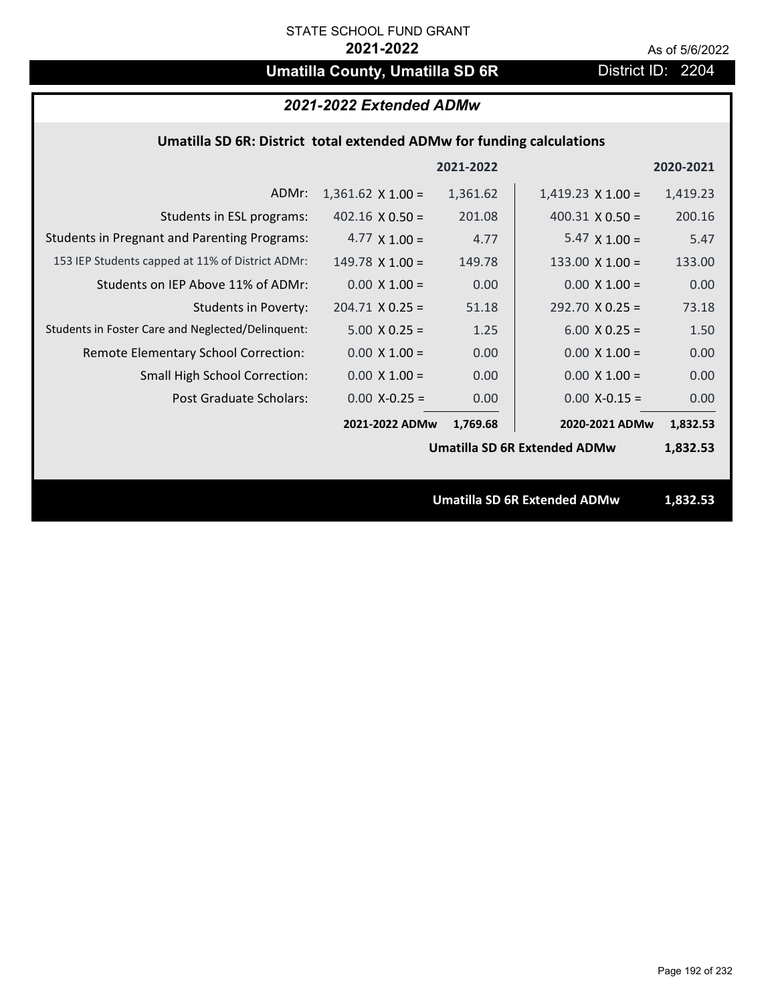# **Umatilla County, Umatilla SD 6R** District ID: 2204

### *2021-2022 Extended ADMw*

## **Umatilla SD 6R: District total extended ADMw for funding calculations**

|                                                     |                          | 2021-2022 |                                     | 2020-2021 |
|-----------------------------------------------------|--------------------------|-----------|-------------------------------------|-----------|
| ADMr:                                               | $1,361.62 \times 1.00 =$ | 1,361.62  | $1,419.23 \times 1.00 =$            | 1,419.23  |
| Students in ESL programs:                           | $402.16 \times 0.50 =$   | 201.08    | $400.31 \times 0.50 =$              | 200.16    |
| <b>Students in Pregnant and Parenting Programs:</b> | 4.77 $\times$ 1.00 =     | 4.77      | $5.47 \times 1.00 =$                | 5.47      |
| 153 IEP Students capped at 11% of District ADMr:    | $149.78 \times 1.00 =$   | 149.78    | $133.00 \times 1.00 =$              | 133.00    |
| Students on IEP Above 11% of ADMr:                  | $0.00 \times 1.00 =$     | 0.00      | $0.00 \times 1.00 =$                | 0.00      |
| Students in Poverty:                                | $204.71 \times 0.25 =$   | 51.18     | $292.70 \times 0.25 =$              | 73.18     |
| Students in Foster Care and Neglected/Delinquent:   | $5.00 \times 0.25 =$     | 1.25      | $6.00 \times 0.25 =$                | 1.50      |
| Remote Elementary School Correction:                | $0.00 \times 1.00 =$     | 0.00      | $0.00 \times 1.00 =$                | 0.00      |
| <b>Small High School Correction:</b>                | $0.00 \times 1.00 =$     | 0.00      | $0.00 \times 1.00 =$                | 0.00      |
| <b>Post Graduate Scholars:</b>                      | $0.00$ X-0.25 =          | 0.00      | $0.00$ X-0.15 =                     | 0.00      |
|                                                     | 2021-2022 ADMw           | 1,769.68  | 2020-2021 ADMw                      | 1,832.53  |
|                                                     |                          |           | <b>Umatilla SD 6R Extended ADMw</b> | 1,832.53  |
|                                                     |                          |           |                                     |           |
|                                                     |                          |           | <b>Umatilla SD 6R Extended ADMw</b> | 1,832.53  |
|                                                     |                          |           |                                     |           |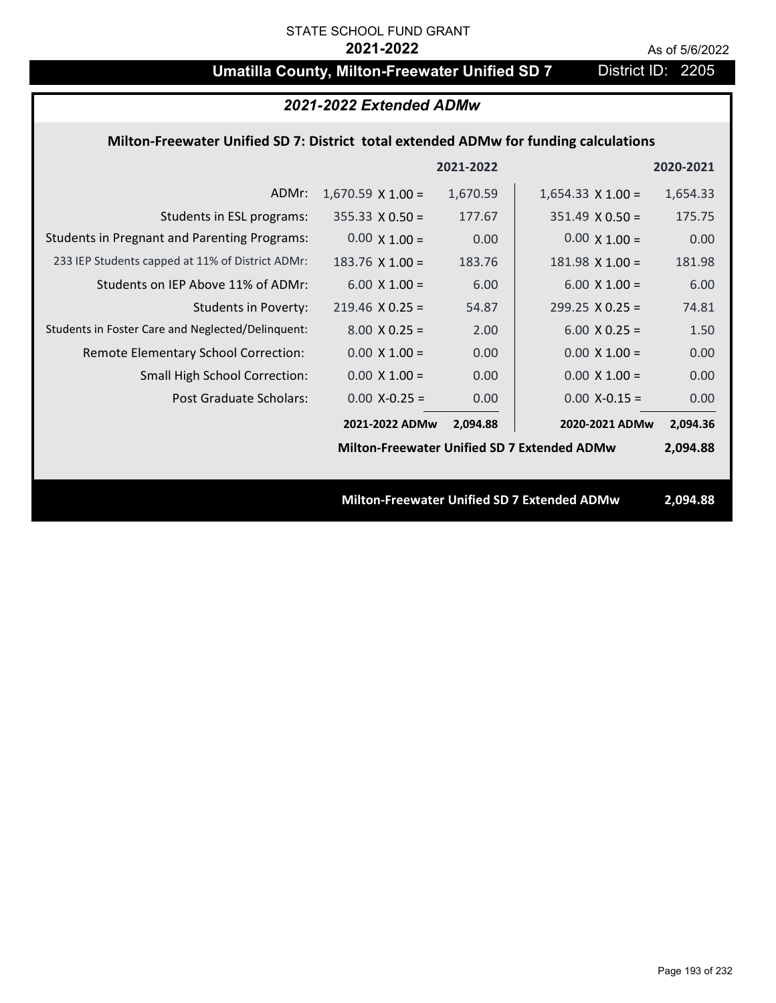# **Umatilla County, Milton-Freewater Unified SD 7** District ID: 2205

| 2021-2022 Extended ADMw                                                              |                                                    |           |                                             |           |
|--------------------------------------------------------------------------------------|----------------------------------------------------|-----------|---------------------------------------------|-----------|
| Milton-Freewater Unified SD 7: District total extended ADMw for funding calculations |                                                    |           |                                             |           |
|                                                                                      |                                                    | 2021-2022 |                                             | 2020-2021 |
| ADMr:                                                                                | $1,670.59 \times 1.00 =$                           | 1,670.59  | $1,654.33 \times 1.00 =$                    | 1,654.33  |
| Students in ESL programs:                                                            | $355.33 \times 0.50 =$                             | 177.67    | $351.49 \times 0.50 =$                      | 175.75    |
| <b>Students in Pregnant and Parenting Programs:</b>                                  | $0.00 \times 1.00 =$                               | 0.00      | $0.00 \times 1.00 =$                        | 0.00      |
| 233 IEP Students capped at 11% of District ADMr:                                     | $183.76 \times 1.00 =$                             | 183.76    | $181.98 \times 1.00 =$                      | 181.98    |
| Students on IEP Above 11% of ADMr:                                                   | $6.00 X 1.00 =$                                    | 6.00      | $6.00 X 1.00 =$                             | 6.00      |
| <b>Students in Poverty:</b>                                                          | $219.46$ X 0.25 =                                  | 54.87     | $299.25 \times 0.25 =$                      | 74.81     |
| Students in Foster Care and Neglected/Delinquent:                                    | $8.00 \times 0.25 =$                               | 2.00      | $6.00 X 0.25 =$                             | 1.50      |
| Remote Elementary School Correction:                                                 | $0.00 \times 1.00 =$                               | 0.00      | $0.00 \times 1.00 =$                        | 0.00      |
| Small High School Correction:                                                        | $0.00 \times 1.00 =$                               | 0.00      | $0.00 \times 1.00 =$                        | 0.00      |
| <b>Post Graduate Scholars:</b>                                                       | $0.00$ X-0.25 =                                    | 0.00      | $0.00$ X-0.15 =                             | 0.00      |
|                                                                                      | 2021-2022 ADMw                                     | 2,094.88  | 2020-2021 ADMw                              | 2,094.36  |
|                                                                                      | <b>Milton-Freewater Unified SD 7 Extended ADMw</b> |           |                                             | 2,094.88  |
|                                                                                      |                                                    |           |                                             |           |
|                                                                                      |                                                    |           | Milton-Freewater Unified SD 7 Extended ADMw | 2,094.88  |
|                                                                                      |                                                    |           |                                             |           |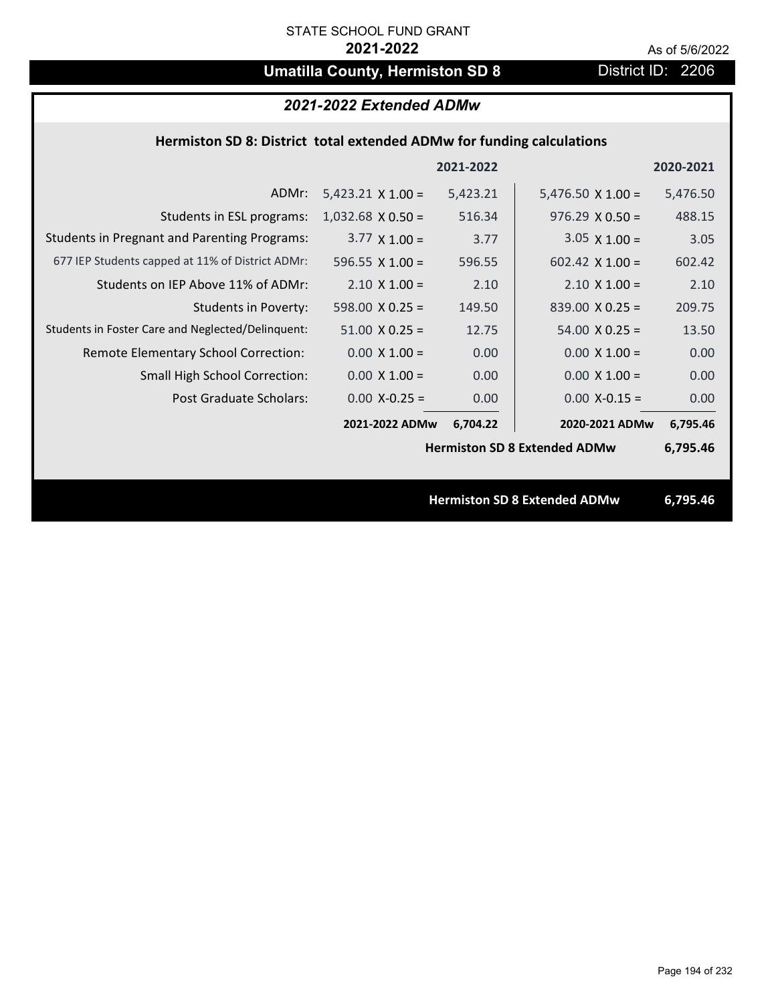# **Umatilla County, Hermiston SD 8** District ID: 2206

# *2021-2022 Extended ADMw*

### **Hermiston SD 8: District total extended ADMw for funding calculations**

|                                                     |                                     | 2021-2022 |                                     | 2020-2021 |
|-----------------------------------------------------|-------------------------------------|-----------|-------------------------------------|-----------|
| ADMr:                                               | $5,423.21 \times 1.00 =$            | 5,423.21  | $5,476.50 \times 1.00 =$            | 5,476.50  |
| Students in ESL programs:                           | $1,032.68 \times 0.50 =$            | 516.34    | $976.29 \times 0.50 =$              | 488.15    |
| <b>Students in Pregnant and Parenting Programs:</b> | $3.77 \times 1.00 =$                | 3.77      | $3.05 \times 1.00 =$                | 3.05      |
| 677 IEP Students capped at 11% of District ADMr:    | 596.55 $X$ 1.00 =                   | 596.55    | 602.42 $\times$ 1.00 =              | 602.42    |
| Students on IEP Above 11% of ADMr:                  | $2.10 \times 1.00 =$                | 2.10      | $2.10 \times 1.00 =$                | 2.10      |
| <b>Students in Poverty:</b>                         | $598.00 \times 0.25 =$              | 149.50    | $839.00 \times 0.25 =$              | 209.75    |
| Students in Foster Care and Neglected/Delinquent:   | $51.00 \times 0.25 =$               | 12.75     | $54.00 \times 0.25 =$               | 13.50     |
| Remote Elementary School Correction:                | $0.00 \times 1.00 =$                | 0.00      | $0.00 \times 1.00 =$                | 0.00      |
| <b>Small High School Correction:</b>                | $0.00 \times 1.00 =$                | 0.00      | $0.00 \times 1.00 =$                | 0.00      |
| Post Graduate Scholars:                             | $0.00$ X-0.25 =                     | 0.00      | $0.00$ X-0.15 =                     | 0.00      |
|                                                     | 2021-2022 ADMw                      | 6,704.22  | 2020-2021 ADMw                      | 6,795.46  |
|                                                     | <b>Hermiston SD 8 Extended ADMw</b> |           |                                     | 6,795.46  |
|                                                     |                                     |           |                                     |           |
|                                                     |                                     |           | <b>Hermiston SD 8 Extended ADMw</b> | 6,795.46  |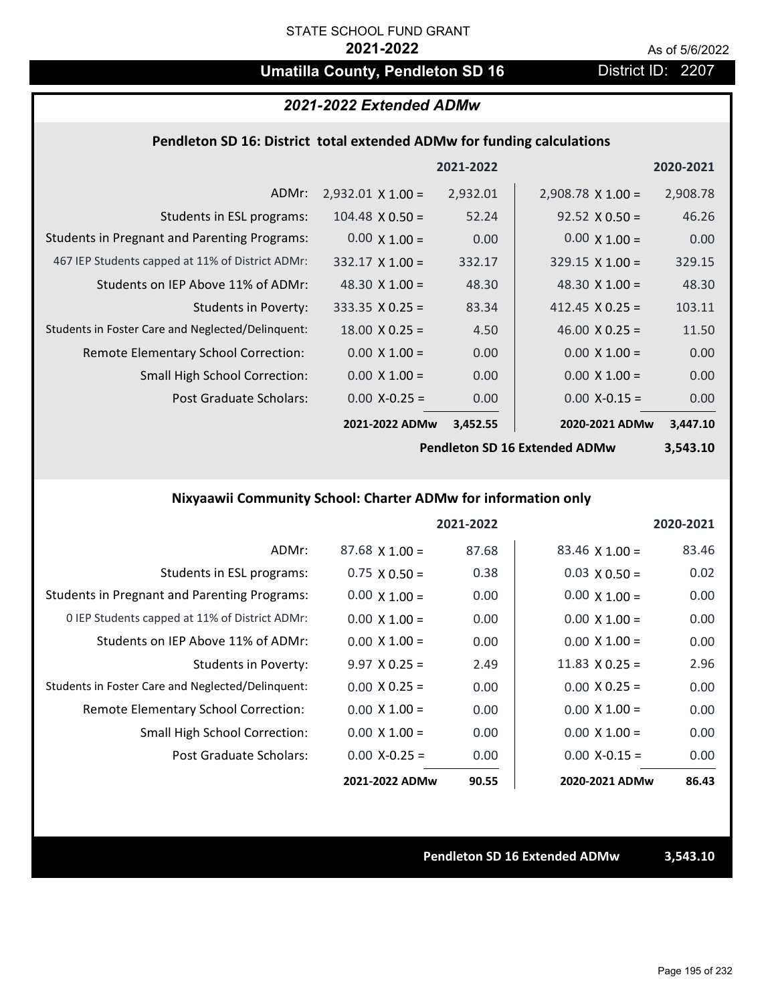# **Umatilla County, Pendleton SD 16** District ID: 2207

## *2021-2022 Extended ADMw*

#### **Pendleton SD 16: District total extended ADMw for funding calculations**

|                                                     |                          | 2021-2022 |                          | 2020-2021 |
|-----------------------------------------------------|--------------------------|-----------|--------------------------|-----------|
| ADMr:                                               | $2,932.01 \times 1.00 =$ | 2,932.01  | $2,908.78 \times 1.00 =$ | 2,908.78  |
| Students in ESL programs:                           | $104.48 \times 0.50 =$   | 52.24     | $92.52 \times 0.50 =$    | 46.26     |
| <b>Students in Pregnant and Parenting Programs:</b> | $0.00 \times 1.00 =$     | 0.00      | $0.00 \times 1.00 =$     | 0.00      |
| 467 IEP Students capped at 11% of District ADMr:    | $332.17 \times 1.00 =$   | 332.17    | $329.15 \times 1.00 =$   | 329.15    |
| Students on IEP Above 11% of ADMr:                  | 48.30 $\times$ 1.00 =    | 48.30     | 48.30 $\times$ 1.00 =    | 48.30     |
| <b>Students in Poverty:</b>                         | $333.35 \times 0.25 =$   | 83.34     | 412.45 $X$ 0.25 =        | 103.11    |
| Students in Foster Care and Neglected/Delinquent:   | $18.00 \times 0.25 =$    | 4.50      | 46.00 $X$ 0.25 =         | 11.50     |
| Remote Elementary School Correction:                | $0.00 \times 1.00 =$     | 0.00      | $0.00 \times 1.00 =$     | 0.00      |
| <b>Small High School Correction:</b>                | $0.00 \times 1.00 =$     | 0.00      | $0.00 \times 1.00 =$     | 0.00      |
| Post Graduate Scholars:                             | $0.00 X - 0.25 =$        | 0.00      | $0.00 X - 0.15 =$        | 0.00      |
|                                                     | 2021-2022 ADMw           | 3,452.55  | 2020-2021 ADMw           | 3,447.10  |

**Pendleton SD 16 Extended ADMw**

**3,543.10**

# **Nixyaawii Community School: Charter ADMw for information only**

|                                                     |                       | 2021-2022 |                       | 2020-2021 |
|-----------------------------------------------------|-----------------------|-----------|-----------------------|-----------|
| ADMr:                                               | $87.68 \times 1.00 =$ | 87.68     | $83.46 \times 1.00 =$ | 83.46     |
| Students in ESL programs:                           | $0.75 \times 0.50 =$  | 0.38      | $0.03 \times 0.50 =$  | 0.02      |
| <b>Students in Pregnant and Parenting Programs:</b> | $0.00 \times 1.00 =$  | 0.00      | $0.00 \times 1.00 =$  | 0.00      |
| 0 IEP Students capped at 11% of District ADMr:      | $0.00 \times 1.00 =$  | 0.00      | $0.00 \times 1.00 =$  | 0.00      |
| Students on IEP Above 11% of ADMr:                  | $0.00 \times 1.00 =$  | 0.00      | $0.00 \times 1.00 =$  | 0.00      |
| Students in Poverty:                                | $9.97 \times 0.25 =$  | 2.49      | $11.83 \times 0.25 =$ | 2.96      |
| Students in Foster Care and Neglected/Delinquent:   | $0.00 \times 0.25 =$  | 0.00      | $0.00 \times 0.25 =$  | 0.00      |
| Remote Elementary School Correction:                | $0.00 \times 1.00 =$  | 0.00      | $0.00 \times 1.00 =$  | 0.00      |
| <b>Small High School Correction:</b>                | $0.00 \times 1.00 =$  | 0.00      | $0.00 \times 1.00 =$  | 0.00      |
| Post Graduate Scholars:                             | $0.00$ X-0.25 =       | 0.00      | $0.00 X - 0.15 =$     | 0.00      |
|                                                     | 2021-2022 ADMw        | 90.55     | 2020-2021 ADMw        | 86.43     |

**Pendleton SD 16 Extended ADMw 3,543.10**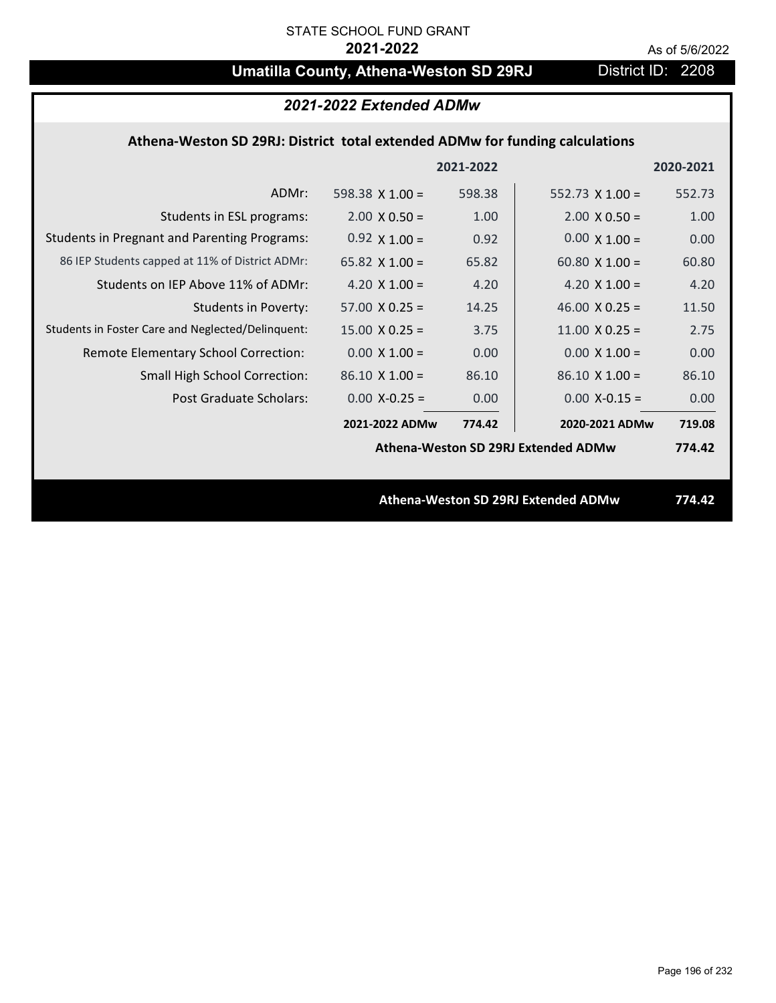# **Umatilla County, Athena-Weston SD 29RJ** District ID: 2208

| 2021-2022 Extended ADMw                                                      |                       |           |                                     |           |
|------------------------------------------------------------------------------|-----------------------|-----------|-------------------------------------|-----------|
| Athena-Weston SD 29RJ: District total extended ADMw for funding calculations |                       |           |                                     |           |
|                                                                              |                       | 2021-2022 |                                     | 2020-2021 |
| ADMr:                                                                        | 598.38 $X$ 1.00 =     | 598.38    | 552.73 $X$ 1.00 =                   | 552.73    |
| Students in ESL programs:                                                    | $2.00 \times 0.50 =$  | 1.00      | $2.00 \times 0.50 =$                | 1.00      |
| <b>Students in Pregnant and Parenting Programs:</b>                          | $0.92 \times 1.00 =$  | 0.92      | $0.00 \times 1.00 =$                | 0.00      |
| 86 IEP Students capped at 11% of District ADMr:                              | 65.82 $\times$ 1.00 = | 65.82     | 60.80 $\times$ 1.00 =               | 60.80     |
| Students on IEP Above 11% of ADMr:                                           | 4.20 $X$ 1.00 =       | 4.20      | 4.20 $X$ 1.00 =                     | 4.20      |
| <b>Students in Poverty:</b>                                                  | $57.00 \times 0.25 =$ | 14.25     | 46.00 $X$ 0.25 =                    | 11.50     |
| Students in Foster Care and Neglected/Delinquent:                            | $15.00 \times 0.25 =$ | 3.75      | $11.00 \times 0.25 =$               | 2.75      |
| Remote Elementary School Correction:                                         | $0.00 \times 1.00 =$  | 0.00      | $0.00 \times 1.00 =$                | 0.00      |
| <b>Small High School Correction:</b>                                         | $86.10 \times 1.00 =$ | 86.10     | $86.10 \times 1.00 =$               | 86.10     |
| Post Graduate Scholars:                                                      | $0.00$ X-0.25 =       | 0.00      | $0.00$ X-0.15 =                     | 0.00      |
|                                                                              | 2021-2022 ADMw        | 774.42    | 2020-2021 ADMw                      | 719.08    |
|                                                                              |                       |           | Athena-Weston SD 29RJ Extended ADMw | 774.42    |
|                                                                              |                       |           |                                     |           |
|                                                                              |                       |           | Athena-Weston SD 29RJ Extended ADMw | 774.42    |
|                                                                              |                       |           |                                     |           |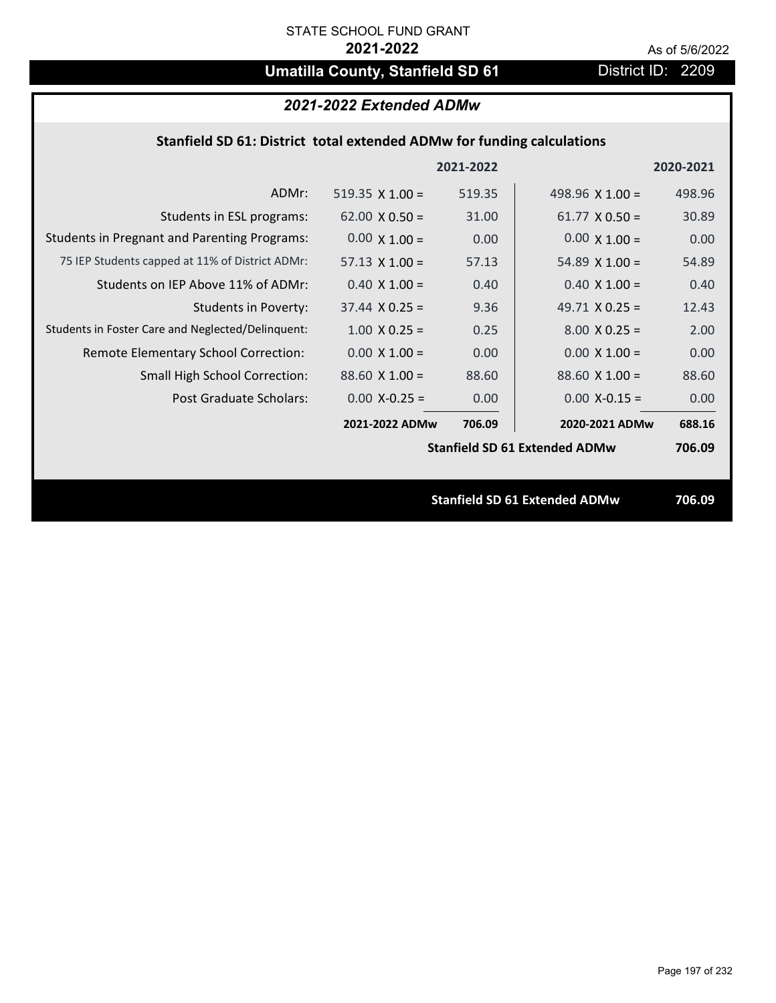# **Umatilla County, Stanfield SD 61** District ID: 2209

| 2021-2022 Extended ADMw                                                |                        |           |                                      |           |  |
|------------------------------------------------------------------------|------------------------|-----------|--------------------------------------|-----------|--|
| Stanfield SD 61: District total extended ADMw for funding calculations |                        |           |                                      |           |  |
|                                                                        |                        | 2021-2022 |                                      | 2020-2021 |  |
| ADMr:                                                                  | $519.35 \times 1.00 =$ | 519.35    | 498.96 $\times$ 1.00 =               | 498.96    |  |
| Students in ESL programs:                                              | $62.00 \times 0.50 =$  | 31.00     | $61.77 \times 0.50 =$                | 30.89     |  |
| <b>Students in Pregnant and Parenting Programs:</b>                    | $0.00 \times 1.00 =$   | 0.00      | $0.00 \times 1.00 =$                 | 0.00      |  |
| 75 IEP Students capped at 11% of District ADMr:                        | $57.13 \times 1.00 =$  | 57.13     | 54.89 $\times$ 1.00 =                | 54.89     |  |
| Students on IEP Above 11% of ADMr:                                     | $0.40 \times 1.00 =$   | 0.40      | $0.40 \times 1.00 =$                 | 0.40      |  |
| <b>Students in Poverty:</b>                                            | $37.44 \times 0.25 =$  | 9.36      | 49.71 $X$ 0.25 =                     | 12.43     |  |
| Students in Foster Care and Neglected/Delinquent:                      | $1.00 \times 0.25 =$   | 0.25      | $8.00 \times 0.25 =$                 | 2.00      |  |
| Remote Elementary School Correction:                                   | $0.00 \times 1.00 =$   | 0.00      | $0.00 \times 1.00 =$                 | 0.00      |  |
| <b>Small High School Correction:</b>                                   | $88.60$ X 1.00 =       | 88.60     | $88.60$ X 1.00 =                     | 88.60     |  |
| <b>Post Graduate Scholars:</b>                                         | $0.00$ X-0.25 =        | 0.00      | $0.00$ X-0.15 =                      | 0.00      |  |
|                                                                        | 2021-2022 ADMw         | 706.09    | 2020-2021 ADMw                       | 688.16    |  |
|                                                                        |                        |           | <b>Stanfield SD 61 Extended ADMw</b> | 706.09    |  |
|                                                                        |                        |           |                                      |           |  |
|                                                                        |                        |           | <b>Stanfield SD 61 Extended ADMw</b> | 706.09    |  |
|                                                                        |                        |           |                                      |           |  |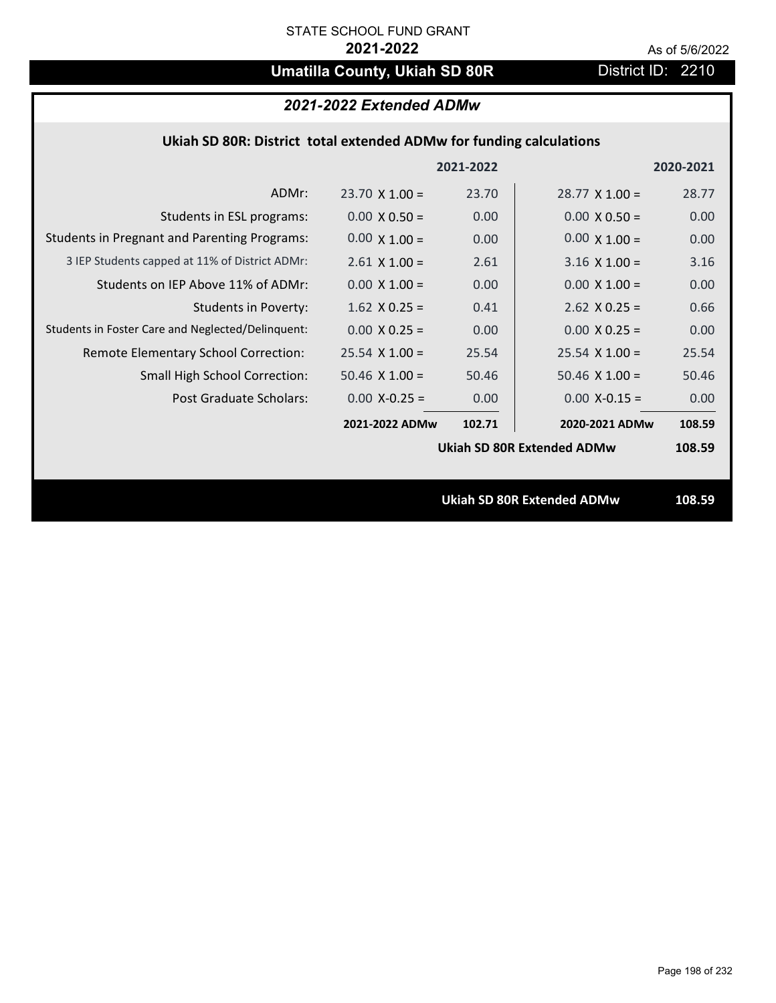# **Umatilla County, Ukiah SD 80R** District ID: 2210

# *2021-2022 Extended ADMw*

## **Ukiah SD 80R: District total extended ADMw for funding calculations**

|                                                     |                       | 2021-2022 |                                   | 2020-2021 |
|-----------------------------------------------------|-----------------------|-----------|-----------------------------------|-----------|
| ADMr:                                               | $23.70 \times 1.00 =$ | 23.70     | $28.77 \times 1.00 =$             | 28.77     |
| Students in ESL programs:                           | $0.00 \times 0.50 =$  | 0.00      | $0.00 \times 0.50 =$              | 0.00      |
| <b>Students in Pregnant and Parenting Programs:</b> | $0.00 \times 1.00 =$  | 0.00      | $0.00 \times 1.00 =$              | 0.00      |
| 3 IEP Students capped at 11% of District ADMr:      | $2.61$ X $1.00 =$     | 2.61      | $3.16 \times 1.00 =$              | 3.16      |
| Students on IEP Above 11% of ADMr:                  | $0.00 \times 1.00 =$  | 0.00      | $0.00 \times 1.00 =$              | 0.00      |
| <b>Students in Poverty:</b>                         | $1.62$ X 0.25 =       | 0.41      | $2.62$ X 0.25 =                   | 0.66      |
| Students in Foster Care and Neglected/Delinquent:   | $0.00 \times 0.25 =$  | 0.00      | $0.00 \times 0.25 =$              | 0.00      |
| Remote Elementary School Correction:                | $25.54$ X 1.00 =      | 25.54     | $25.54$ X 1.00 =                  | 25.54     |
| <b>Small High School Correction:</b>                | $50.46$ X $1.00 =$    | 50.46     | $50.46 \times 1.00 =$             | 50.46     |
| Post Graduate Scholars:                             | $0.00 X - 0.25 =$     | 0.00      | $0.00$ X-0.15 =                   | 0.00      |
|                                                     | 2021-2022 ADMw        | 102.71    | 2020-2021 ADMw                    | 108.59    |
|                                                     |                       |           | <b>Ukiah SD 80R Extended ADMw</b> | 108.59    |
|                                                     |                       |           |                                   |           |
|                                                     |                       |           | <b>Ukiah SD 80R Extended ADMw</b> | 108.59    |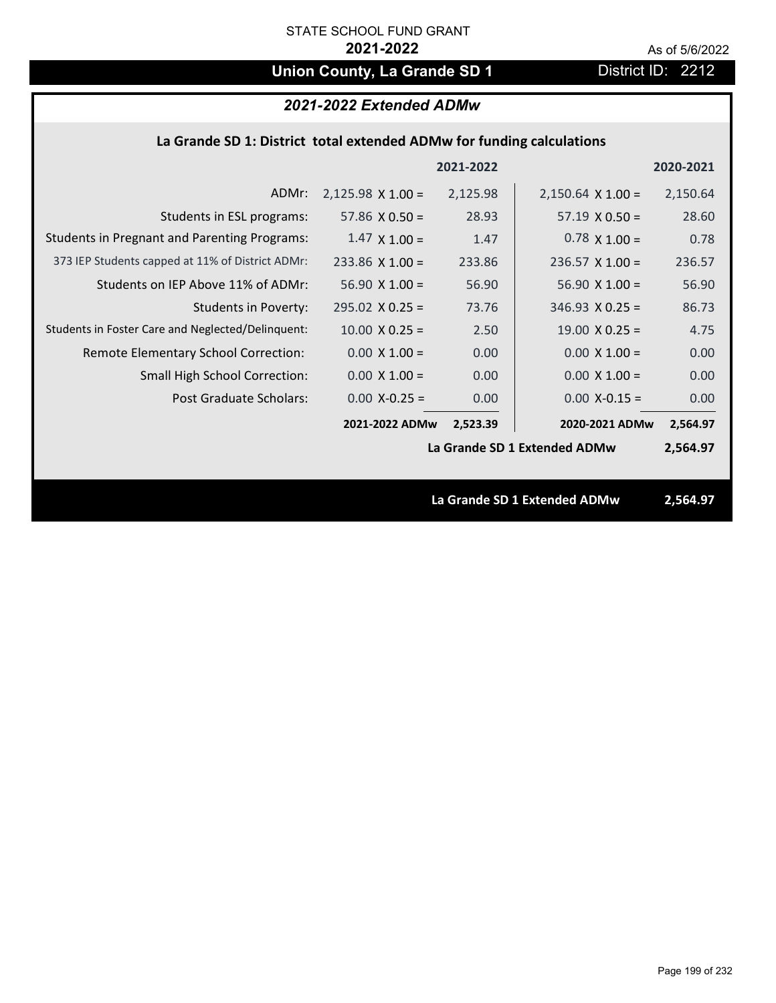# **Union County, La Grande SD 1** District ID: 2212

# *2021-2022 Extended ADMw*

### **La Grande SD 1: District total extended ADMw for funding calculations**

|                                                     |                          | 2021-2022 |                              | 2020-2021 |
|-----------------------------------------------------|--------------------------|-----------|------------------------------|-----------|
| ADMr:                                               | $2,125.98 \times 1.00 =$ | 2,125.98  | $2,150.64 \times 1.00 =$     | 2,150.64  |
| Students in ESL programs:                           | 57.86 $\times$ 0.50 =    | 28.93     | $57.19 \times 0.50 =$        | 28.60     |
| <b>Students in Pregnant and Parenting Programs:</b> | $1.47 \times 1.00 =$     | 1.47      | $0.78 \times 1.00 =$         | 0.78      |
| 373 IEP Students capped at 11% of District ADMr:    | $233.86$ X 1.00 =        | 233.86    | $236.57 \times 1.00 =$       | 236.57    |
| Students on IEP Above 11% of ADMr:                  | $56.90 \times 1.00 =$    | 56.90     | $56.90 X 1.00 =$             | 56.90     |
| <b>Students in Poverty:</b>                         | $295.02 \times 0.25 =$   | 73.76     | $346.93 \times 0.25 =$       | 86.73     |
| Students in Foster Care and Neglected/Delinquent:   | $10.00 \times 0.25 =$    | 2.50      | $19.00 \times 0.25 =$        | 4.75      |
| Remote Elementary School Correction:                | $0.00 \times 1.00 =$     | 0.00      | $0.00 \times 1.00 =$         | 0.00      |
| <b>Small High School Correction:</b>                | $0.00 \times 1.00 =$     | 0.00      | $0.00 \times 1.00 =$         | 0.00      |
| Post Graduate Scholars:                             | $0.00$ X-0.25 =          | 0.00      | $0.00$ X-0.15 =              | 0.00      |
|                                                     | 2021-2022 ADMw           | 2,523.39  | 2020-2021 ADMw               | 2,564.97  |
|                                                     |                          |           | La Grande SD 1 Extended ADMw | 2,564.97  |
|                                                     |                          |           |                              |           |
|                                                     |                          |           | La Grande SD 1 Extended ADMw | 2,564.97  |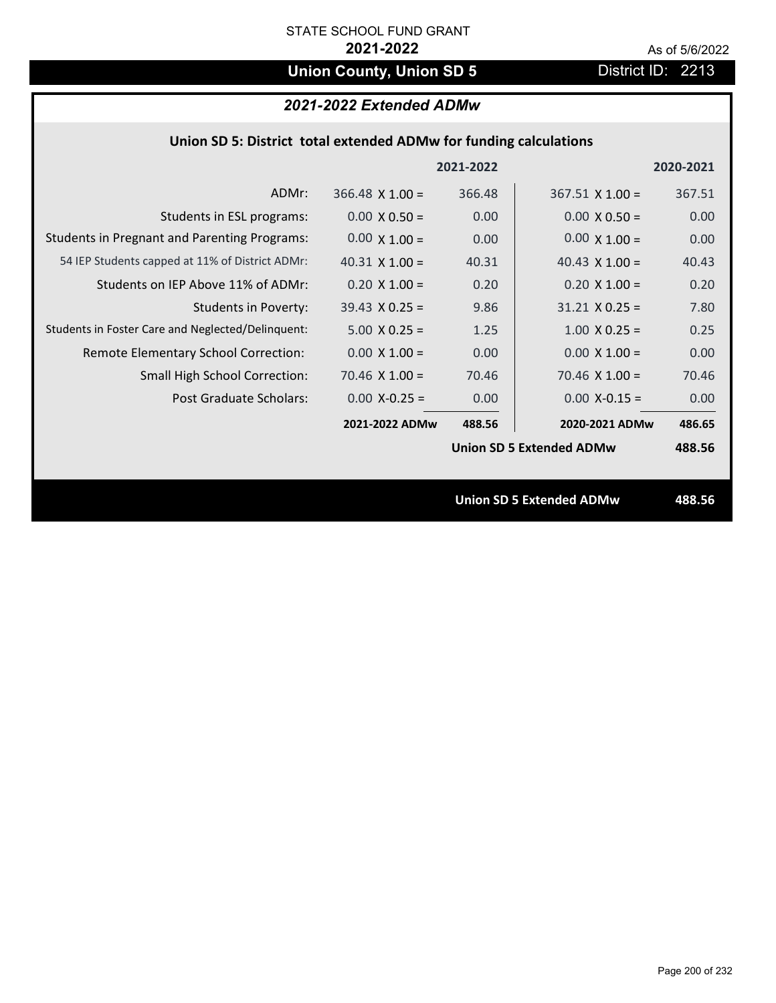# **Union County, Union SD 5** District ID: 2213

# *2021-2022 Extended ADMw*

### **Union SD 5: District total extended ADMw for funding calculations**

|                                                     |                        | 2021-2022 |                                 | 2020-2021 |
|-----------------------------------------------------|------------------------|-----------|---------------------------------|-----------|
| ADMr:                                               | $366.48 \times 1.00 =$ | 366.48    | $367.51$ X 1.00 =               | 367.51    |
| Students in ESL programs:                           | $0.00 \times 0.50 =$   | 0.00      | $0.00 \times 0.50 =$            | 0.00      |
| <b>Students in Pregnant and Parenting Programs:</b> | $0.00 \times 1.00 =$   | 0.00      | $0.00 \times 1.00 =$            | 0.00      |
| 54 IEP Students capped at 11% of District ADMr:     | 40.31 $\times$ 1.00 =  | 40.31     | 40.43 $\times$ 1.00 =           | 40.43     |
| Students on IEP Above 11% of ADMr:                  | $0.20 \times 1.00 =$   | 0.20      | $0.20 \times 1.00 =$            | 0.20      |
| <b>Students in Poverty:</b>                         | $39.43 \times 0.25 =$  | 9.86      | $31.21$ X 0.25 =                | 7.80      |
| Students in Foster Care and Neglected/Delinquent:   | $5.00 \times 0.25 =$   | 1.25      | $1.00 \times 0.25 =$            | 0.25      |
| Remote Elementary School Correction:                | $0.00 \times 1.00 =$   | 0.00      | $0.00 \times 1.00 =$            | 0.00      |
| <b>Small High School Correction:</b>                | $70.46 \times 1.00 =$  | 70.46     | $70.46 \times 1.00 =$           | 70.46     |
| Post Graduate Scholars:                             | $0.00$ X-0.25 =        | 0.00      | $0.00$ X-0.15 =                 | 0.00      |
|                                                     | 2021-2022 ADMw         | 488.56    | 2020-2021 ADMw                  | 486.65    |
|                                                     |                        |           | <b>Union SD 5 Extended ADMw</b> | 488.56    |
|                                                     |                        |           |                                 |           |
|                                                     |                        |           | <b>Union SD 5 Extended ADMw</b> | 488.56    |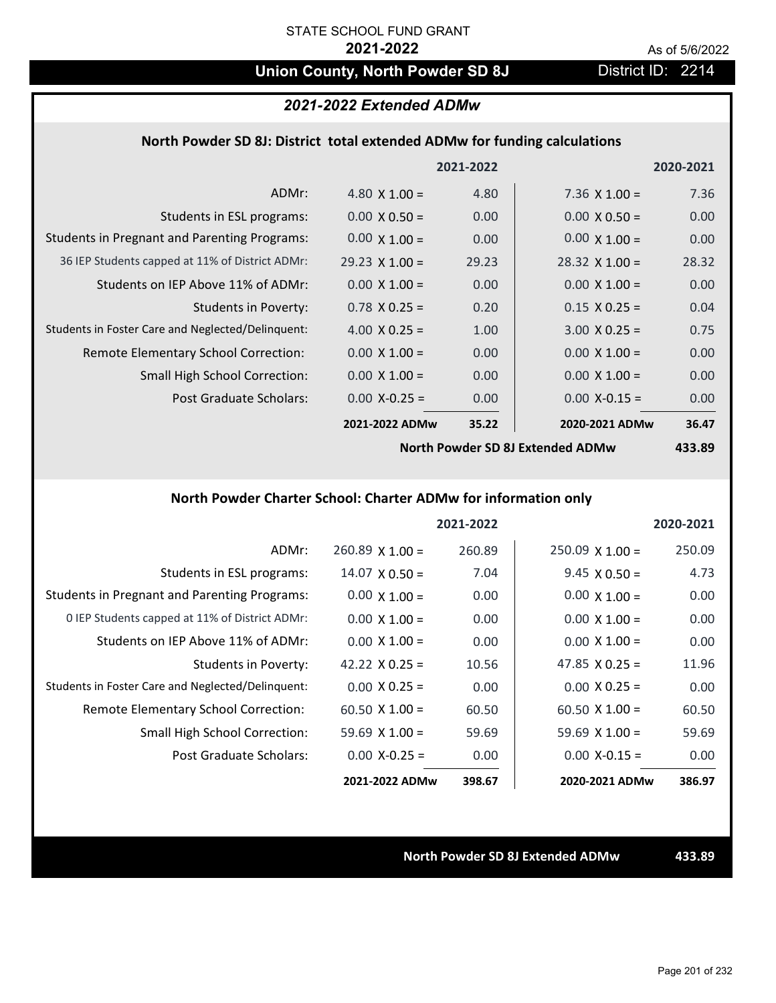# **Union County, North Powder SD 8J** District ID: 2214

### *2021-2022 Extended ADMw*

### **North Powder SD 8J: District total extended ADMw for funding calculations**

|                                                     |                       | 2021-2022      |                       | 2020-2021 |
|-----------------------------------------------------|-----------------------|----------------|-----------------------|-----------|
| ADMr:                                               | 4.80 $\times$ 1.00 =  | 4.80           | $7.36 \times 1.00 =$  | 7.36      |
| Students in ESL programs:                           | $0.00 \times 0.50 =$  | 0.00           | $0.00 \times 0.50 =$  | 0.00      |
| <b>Students in Pregnant and Parenting Programs:</b> | $0.00 \times 1.00 =$  | 0.00           | $0.00 \times 1.00 =$  | 0.00      |
| 36 IEP Students capped at 11% of District ADMr:     | $29.23 \times 1.00 =$ | 29.23          | $28.32 \times 1.00 =$ | 28.32     |
| Students on IEP Above 11% of ADMr:                  | $0.00 \times 1.00 =$  | 0.00           | $0.00 \times 1.00 =$  | 0.00      |
| <b>Students in Poverty:</b>                         | $0.78$ X 0.25 =       | 0.20           | $0.15 \times 0.25 =$  | 0.04      |
| Students in Foster Care and Neglected/Delinquent:   | 4.00 $X$ 0.25 =       | 1.00           | $3.00 \times 0.25 =$  | 0.75      |
| Remote Elementary School Correction:                | $0.00 \times 1.00 =$  | 0.00           | $0.00 \times 1.00 =$  | 0.00      |
| <b>Small High School Correction:</b>                | $0.00 \times 1.00 =$  | 0.00           | $0.00 \times 1.00 =$  | 0.00      |
| Post Graduate Scholars:                             | $0.00$ X-0.25 =       | 0.00           | $0.00$ X-0.15 =       | 0.00      |
|                                                     | 2021-2022 ADMw        | 35.22          | 2020-2021 ADMw        | 36.47     |
|                                                     | $\cdots$ $\cdots$     | $\blacksquare$ |                       | .         |

**North Powder SD 8J Extended ADMw**

**433.89**

## **North Powder Charter School: Charter ADMw for information only**

|                                                     |                        | 2021-2022 |                        | 2020-2021 |
|-----------------------------------------------------|------------------------|-----------|------------------------|-----------|
| ADMr:                                               | $260.89 \times 1.00 =$ | 260.89    | $250.09 \times 1.00 =$ | 250.09    |
| Students in ESL programs:                           | $14.07 \times 0.50 =$  | 7.04      | $9.45 \times 0.50 =$   | 4.73      |
| <b>Students in Pregnant and Parenting Programs:</b> | $0.00 \times 1.00 =$   | 0.00      | $0.00 \times 1.00 =$   | 0.00      |
| 0 IEP Students capped at 11% of District ADMr:      | $0.00 \times 1.00 =$   | 0.00      | $0.00 \times 1.00 =$   | 0.00      |
| Students on IEP Above 11% of ADMr:                  | $0.00 \times 1.00 =$   | 0.00      | $0.00 \times 1.00 =$   | 0.00      |
| Students in Poverty:                                | 42.22 $\times$ 0.25 =  | 10.56     | $47.85 \times 0.25 =$  | 11.96     |
| Students in Foster Care and Neglected/Delinquent:   | $0.00 \times 0.25 =$   | 0.00      | $0.00 \times 0.25 =$   | 0.00      |
| Remote Elementary School Correction:                | $60.50 \times 1.00 =$  | 60.50     | $60.50 \times 1.00 =$  | 60.50     |
| <b>Small High School Correction:</b>                | $59.69 \times 1.00 =$  | 59.69     | $59.69 \times 1.00 =$  | 59.69     |
| Post Graduate Scholars:                             | $0.00$ X-0.25 =        | 0.00      | $0.00$ X-0.15 =        | 0.00      |
|                                                     | 2021-2022 ADMw         | 398.67    | 2020-2021 ADMw         | 386.97    |

**North Powder SD 8J Extended ADMw 433.89**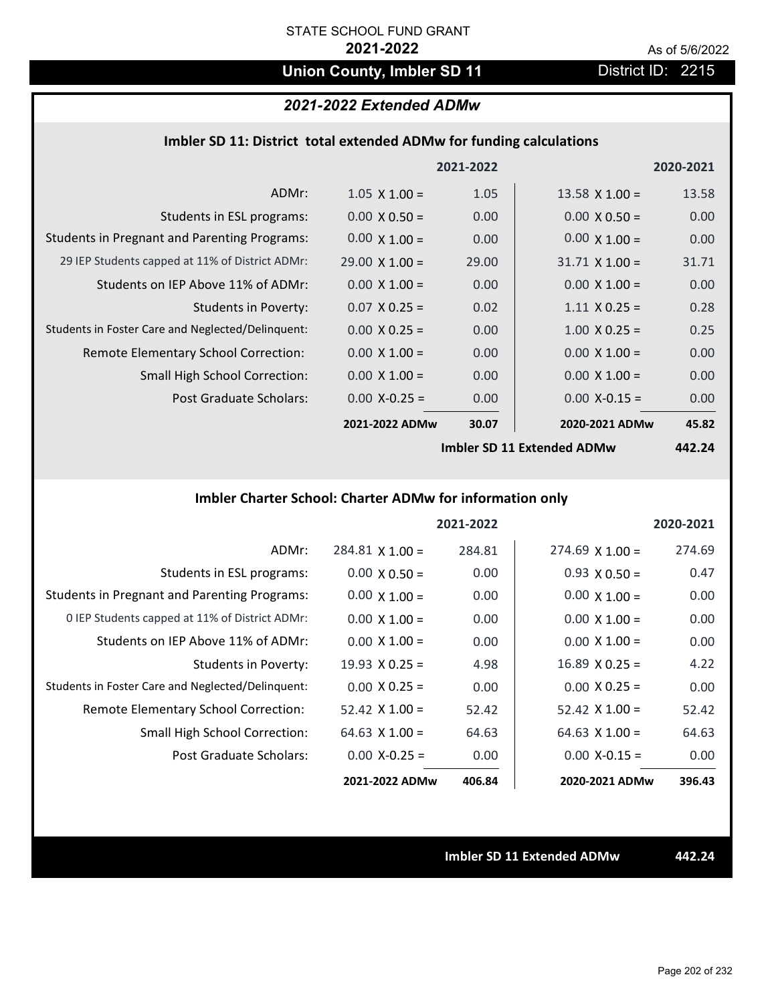# **Union County, Imbler SD 11** District ID: 2215

## *2021-2022 Extended ADMw*

| Imbler SD 11: District total extended ADMw for funding calculations |  |  |  |
|---------------------------------------------------------------------|--|--|--|
|---------------------------------------------------------------------|--|--|--|

|                                                     |                       | 2021-2022 |                       | 2020-2021                |
|-----------------------------------------------------|-----------------------|-----------|-----------------------|--------------------------|
| ADMr:                                               | $1.05 \times 1.00 =$  | 1.05      | $13.58 \times 1.00 =$ | 13.58                    |
| Students in ESL programs:                           | $0.00 \times 0.50 =$  | 0.00      | $0.00 \times 0.50 =$  | 0.00                     |
| <b>Students in Pregnant and Parenting Programs:</b> | $0.00 \times 1.00 =$  | 0.00      | $0.00 \times 1.00 =$  | 0.00                     |
| 29 IEP Students capped at 11% of District ADMr:     | $29.00 \times 1.00 =$ | 29.00     | $31.71 \times 1.00 =$ | 31.71                    |
| Students on IEP Above 11% of ADMr:                  | $0.00 \times 1.00 =$  | 0.00      | $0.00 \times 1.00 =$  | 0.00                     |
| <b>Students in Poverty:</b>                         | $0.07$ X 0.25 =       | 0.02      | $1.11 \times 0.25 =$  | 0.28                     |
| Students in Foster Care and Neglected/Delinquent:   | $0.00 \times 0.25 =$  | 0.00      | $1.00 \times 0.25 =$  | 0.25                     |
| Remote Elementary School Correction:                | $0.00 \times 1.00 =$  | 0.00      | $0.00 \times 1.00 =$  | 0.00                     |
| <b>Small High School Correction:</b>                | $0.00 \times 1.00 =$  | 0.00      | $0.00 \times 1.00 =$  | 0.00                     |
| Post Graduate Scholars:                             | $0.00$ X-0.25 =       | 0.00      | $0.00$ X-0.15 =       | 0.00                     |
|                                                     | 2021-2022 ADMw        | 30.07     | 2020-2021 ADMw        | 45.82                    |
|                                                     |                       |           | 1.11.200445.1111404   | $\overline{\phantom{a}}$ |

**Imbler SD 11 Extended ADMw**

**442.24**

# **Imbler Charter School: Charter ADMw for information only**

|                                                     |                        | 2021-2022 |                        | 2020-2021 |
|-----------------------------------------------------|------------------------|-----------|------------------------|-----------|
| ADMr:                                               | $284.81 \times 1.00 =$ | 284.81    | $274.69 \times 1.00 =$ | 274.69    |
| Students in ESL programs:                           | $0.00 \times 0.50 =$   | 0.00      | $0.93 \times 0.50 =$   | 0.47      |
| <b>Students in Pregnant and Parenting Programs:</b> | $0.00 \times 1.00 =$   | 0.00      | $0.00 \times 1.00 =$   | 0.00      |
| 0 IEP Students capped at 11% of District ADMr:      | $0.00 \times 1.00 =$   | 0.00      | $0.00 \times 1.00 =$   | 0.00      |
| Students on IEP Above 11% of ADMr:                  | $0.00 \times 1.00 =$   | 0.00      | $0.00 \times 1.00 =$   | 0.00      |
| Students in Poverty:                                | $19.93 \times 0.25 =$  | 4.98      | $16.89 \times 0.25 =$  | 4.22      |
| Students in Foster Care and Neglected/Delinquent:   | $0.00 \times 0.25 =$   | 0.00      | $0.00 \times 0.25 =$   | 0.00      |
| Remote Elementary School Correction:                | $52.42 \times 1.00 =$  | 52.42     | $52.42 \times 1.00 =$  | 52.42     |
| <b>Small High School Correction:</b>                | 64.63 $X$ 1.00 =       | 64.63     | $64.63 \times 1.00 =$  | 64.63     |
| Post Graduate Scholars:                             | $0.00 X - 0.25 =$      | 0.00      | $0.00 X - 0.15 =$      | 0.00      |
|                                                     | 2021-2022 ADMw         | 406.84    | 2020-2021 ADMw         | 396.43    |

**Imbler SD 11 Extended ADMw 442.24**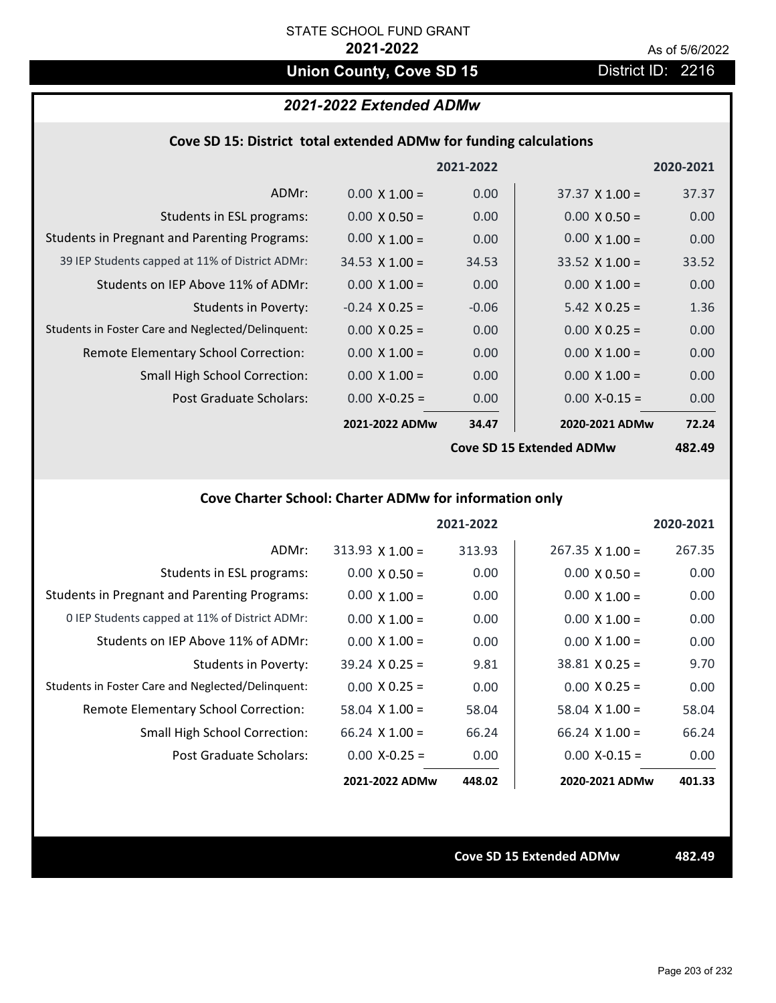# **Union County, Cove SD 15** District ID: 2216

### *2021-2022 Extended ADMw*

#### **Cove SD 15: District total extended ADMw for funding calculations**

|                                                     |                       | 2021-2022         |                          | 2020-2021     |
|-----------------------------------------------------|-----------------------|-------------------|--------------------------|---------------|
| ADMr:                                               | $0.00 \times 1.00 =$  | 0.00              | $37.37 \times 1.00 =$    | 37.37         |
| Students in ESL programs:                           | $0.00 \times 0.50 =$  | 0.00              | $0.00 \times 0.50 =$     | 0.00          |
| <b>Students in Pregnant and Parenting Programs:</b> | $0.00 \times 1.00 =$  | 0.00              | $0.00 \times 1.00 =$     | 0.00          |
| 39 IEP Students capped at 11% of District ADMr:     | $34.53 \times 1.00 =$ | 34.53             | $33.52 \times 1.00 =$    | 33.52         |
| Students on IEP Above 11% of ADMr:                  | $0.00 \times 1.00 =$  | 0.00              | $0.00 \times 1.00 =$     | 0.00          |
| <b>Students in Poverty:</b>                         | $-0.24$ X 0.25 =      | $-0.06$           | $5.42 \times 0.25 =$     | 1.36          |
| Students in Foster Care and Neglected/Delinquent:   | $0.00 \times 0.25 =$  | 0.00              | $0.00 \times 0.25 =$     | 0.00          |
| Remote Elementary School Correction:                | $0.00 \times 1.00 =$  | 0.00              | $0.00 \times 1.00 =$     | 0.00          |
| <b>Small High School Correction:</b>                | $0.00 \times 1.00 =$  | 0.00              | $0.00 \times 1.00 =$     | 0.00          |
| Post Graduate Scholars:                             | $0.00$ X-0.25 =       | 0.00 <sub>1</sub> | $0.00$ X-0.15 =          | 0.00          |
|                                                     | 2021-2022 ADMw        | 34.47             | 2020-2021 ADMw           | 72.24         |
|                                                     |                       |                   | Cove SD 15 Extended ADMw | <b>482.49</b> |

**Cove SD 15 Extended ADMw**

**482.49**

# **Cove Charter School: Charter ADMw for information only**

|                                                     |                       | 2021-2022 |                        | 2020-2021 |
|-----------------------------------------------------|-----------------------|-----------|------------------------|-----------|
| ADMr:                                               | $313.93$ X 1.00 =     | 313.93    | $267.35 \times 1.00 =$ | 267.35    |
| Students in ESL programs:                           | $0.00 \times 0.50 =$  | 0.00      | $0.00 \times 0.50 =$   | 0.00      |
| <b>Students in Pregnant and Parenting Programs:</b> | $0.00 \times 1.00 =$  | 0.00      | $0.00 \times 1.00 =$   | 0.00      |
| 0 IEP Students capped at 11% of District ADMr:      | $0.00 \times 1.00 =$  | 0.00      | $0.00 \times 1.00 =$   | 0.00      |
| Students on IEP Above 11% of ADMr:                  | $0.00 \times 1.00 =$  | 0.00      | $0.00 \times 1.00 =$   | 0.00      |
| Students in Poverty:                                | $39.24 \times 0.25 =$ | 9.81      | $38.81 \times 0.25 =$  | 9.70      |
| Students in Foster Care and Neglected/Delinquent:   | $0.00 \times 0.25 =$  | 0.00      | $0.00 \times 0.25 =$   | 0.00      |
| <b>Remote Elementary School Correction:</b>         | $58.04 \times 1.00 =$ | 58.04     | $58.04 \times 1.00 =$  | 58.04     |
| <b>Small High School Correction:</b>                | $66.24$ X 1.00 =      | 66.24     | $66.24$ X 1.00 =       | 66.24     |
| Post Graduate Scholars:                             | $0.00 X - 0.25 =$     | 0.00      | $0.00$ X-0.15 =        | 0.00      |
|                                                     | 2021-2022 ADMw        | 448.02    | 2020-2021 ADMw         | 401.33    |

**Cove SD 15 Extended ADMw 482.49**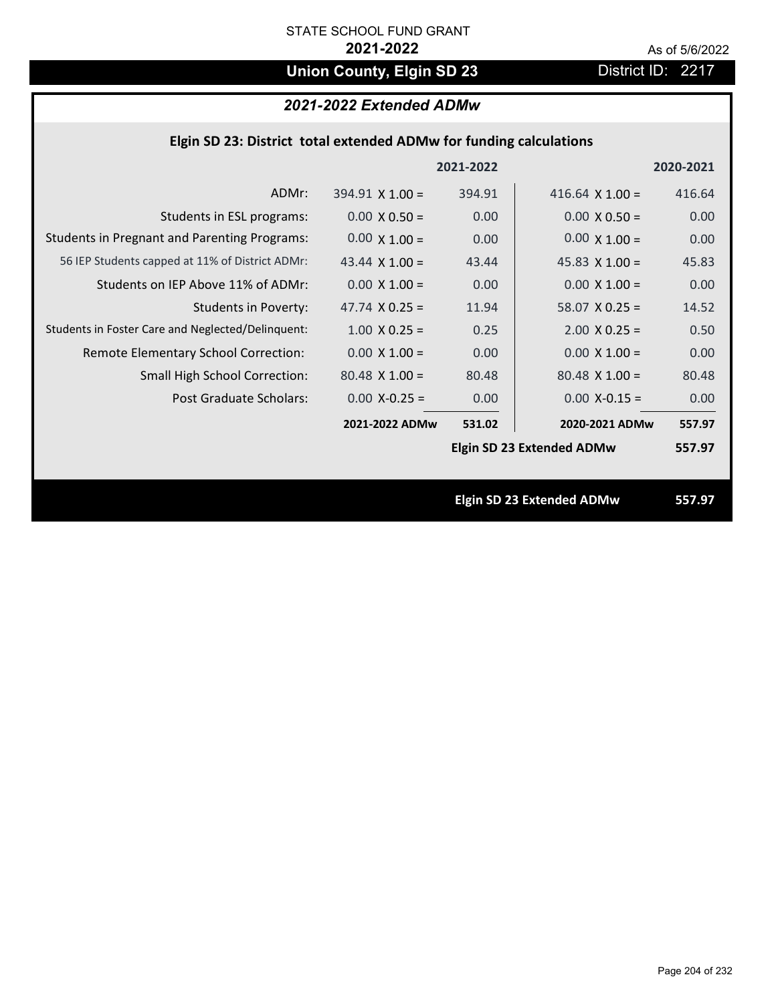# **Union County, Elgin SD 23** District ID: 2217

# *2021-2022 Extended ADMw*

### **Elgin SD 23: District total extended ADMw for funding calculations**

|                                                     |                        | 2021-2022 |                                  | 2020-2021 |
|-----------------------------------------------------|------------------------|-----------|----------------------------------|-----------|
| ADMr:                                               | $394.91 \times 1.00 =$ | 394.91    | 416.64 $\times$ 1.00 =           | 416.64    |
| Students in ESL programs:                           | $0.00 \times 0.50 =$   | 0.00      | $0.00 \times 0.50 =$             | 0.00      |
| <b>Students in Pregnant and Parenting Programs:</b> | $0.00 \times 1.00 =$   | 0.00      | $0.00 \times 1.00 =$             | 0.00      |
| 56 IEP Students capped at 11% of District ADMr:     | 43.44 $\times$ 1.00 =  | 43.44     | 45.83 $\times$ 1.00 =            | 45.83     |
| Students on IEP Above 11% of ADMr:                  | $0.00 \times 1.00 =$   | 0.00      | $0.00 \times 1.00 =$             | 0.00      |
| <b>Students in Poverty:</b>                         | 47.74 $X$ 0.25 =       | 11.94     | $58.07$ X 0.25 =                 | 14.52     |
| Students in Foster Care and Neglected/Delinquent:   | $1.00 \times 0.25 =$   | 0.25      | $2.00 \times 0.25 =$             | 0.50      |
| Remote Elementary School Correction:                | $0.00 \times 1.00 =$   | 0.00      | $0.00 \times 1.00 =$             | 0.00      |
| <b>Small High School Correction:</b>                | $80.48 \times 1.00 =$  | 80.48     | $80.48$ X 1.00 =                 | 80.48     |
| Post Graduate Scholars:                             | $0.00$ X-0.25 =        | 0.00      | $0.00$ X-0.15 =                  | 0.00      |
|                                                     | 2021-2022 ADMw         | 531.02    | 2020-2021 ADMw                   | 557.97    |
|                                                     |                        |           | <b>Elgin SD 23 Extended ADMw</b> | 557.97    |
|                                                     |                        |           |                                  |           |
|                                                     |                        |           | <b>Elgin SD 23 Extended ADMw</b> | 557.97    |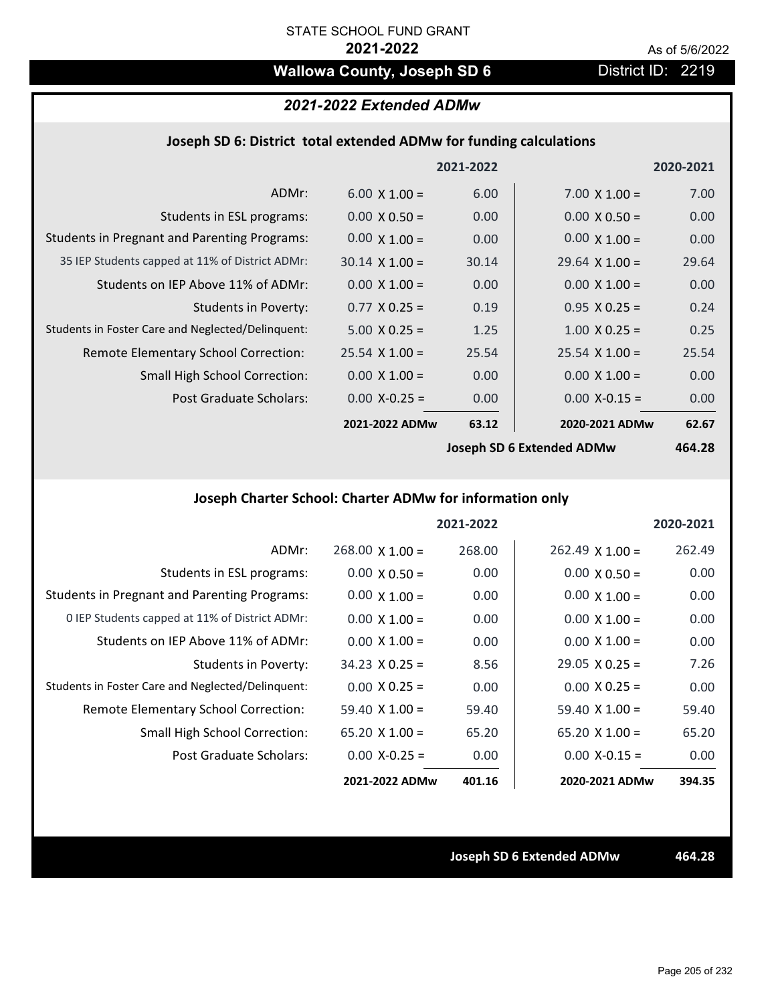# **Wallowa County, Joseph SD 6** District ID: 2219

# *2021-2022 Extended ADMw*

#### **Joseph SD 6: District total extended ADMw for funding calculations**

|                                                     |                       | 2021-2022 |                                                                                                                                                                                                                                                                                                                                           | 2020-2021      |
|-----------------------------------------------------|-----------------------|-----------|-------------------------------------------------------------------------------------------------------------------------------------------------------------------------------------------------------------------------------------------------------------------------------------------------------------------------------------------|----------------|
| ADMr:                                               | $6.00 \times 1.00 =$  | 6.00      | $7.00 \times 1.00 =$                                                                                                                                                                                                                                                                                                                      | 7.00           |
| Students in ESL programs:                           | $0.00 \times 0.50 =$  | 0.00      | $0.00 \times 0.50 =$                                                                                                                                                                                                                                                                                                                      | 0.00           |
| <b>Students in Pregnant and Parenting Programs:</b> | $0.00 \times 1.00 =$  | 0.00      | $0.00 \times 1.00 =$                                                                                                                                                                                                                                                                                                                      | 0.00           |
| 35 IEP Students capped at 11% of District ADMr:     | $30.14 \times 1.00 =$ | 30.14     | $29.64 \times 1.00 =$                                                                                                                                                                                                                                                                                                                     | 29.64          |
| Students on IEP Above 11% of ADMr:                  | $0.00 \times 1.00 =$  | 0.00      | $0.00 \times 1.00 =$                                                                                                                                                                                                                                                                                                                      | 0.00           |
| <b>Students in Poverty:</b>                         | $0.77 \times 0.25 =$  | 0.19      | $0.95$ X 0.25 =                                                                                                                                                                                                                                                                                                                           | 0.24           |
| Students in Foster Care and Neglected/Delinquent:   | $5.00 \times 0.25 =$  | 1.25      | $1.00 \times 0.25 =$                                                                                                                                                                                                                                                                                                                      | 0.25           |
| Remote Elementary School Correction:                | $25.54 \times 1.00 =$ | 25.54     | $25.54 \times 1.00 =$                                                                                                                                                                                                                                                                                                                     | 25.54          |
| <b>Small High School Correction:</b>                | $0.00 \times 1.00 =$  | 0.00      | $0.00 \times 1.00 =$                                                                                                                                                                                                                                                                                                                      | 0.00           |
| Post Graduate Scholars:                             | $0.00$ X-0.25 =       | 0.00      | $0.00$ X-0.15 =                                                                                                                                                                                                                                                                                                                           | 0.00           |
|                                                     | 2021-2022 ADMw        | 63.12     | 2020-2021 ADMw                                                                                                                                                                                                                                                                                                                            | 62.67          |
|                                                     |                       |           | $\mathbf{1}$ . $\mathbf{1}$ . $\mathbf{2}$ . $\mathbf{3}$ . $\mathbf{4}$ . $\mathbf{5}$ . $\mathbf{5}$ . $\mathbf{4}$ . $\mathbf{5}$ . $\mathbf{5}$ . $\mathbf{6}$ . $\mathbf{7}$ . $\mathbf{8}$ . $\mathbf{8}$ . $\mathbf{8}$ . $\mathbf{8}$ . $\mathbf{8}$ . $\mathbf{8}$ . $\mathbf{8}$ . $\mathbf{8}$ . $\mathbf{8}$ . $\mathbf{8}$ . | $\overline{a}$ |

**Joseph SD 6 Extended ADMw**

**464.28**

# **Joseph Charter School: Charter ADMw for information only**

|                                                     |                        | 2021-2022 |                       | 2020-2021 |
|-----------------------------------------------------|------------------------|-----------|-----------------------|-----------|
| ADMr:                                               | $268.00 \times 1.00 =$ | 268.00    | $262.49$ X 1.00 =     | 262.49    |
| Students in ESL programs:                           | $0.00 \times 0.50 =$   | 0.00      | $0.00 \times 0.50 =$  | 0.00      |
| <b>Students in Pregnant and Parenting Programs:</b> | $0.00 \times 1.00 =$   | 0.00      | $0.00 \times 1.00 =$  | 0.00      |
| 0 IEP Students capped at 11% of District ADMr:      | $0.00 \times 1.00 =$   | 0.00      | $0.00 \times 1.00 =$  | 0.00      |
| Students on IEP Above 11% of ADMr:                  | $0.00 \times 1.00 =$   | 0.00      | $0.00 \times 1.00 =$  | 0.00      |
| Students in Poverty:                                | $34.23 \times 0.25 =$  | 8.56      | $29.05 \times 0.25 =$ | 7.26      |
| Students in Foster Care and Neglected/Delinquent:   | $0.00 \times 0.25 =$   | 0.00      | $0.00 \times 0.25 =$  | 0.00      |
| Remote Elementary School Correction:                | $59.40 \times 1.00 =$  | 59.40     | $59.40 \times 1.00 =$ | 59.40     |
| <b>Small High School Correction:</b>                | $65.20 \times 1.00 =$  | 65.20     | $65.20 \times 1.00 =$ | 65.20     |
| Post Graduate Scholars:                             | $0.00 X - 0.25 =$      | 0.00      | $0.00 X - 0.15 =$     | 0.00      |
|                                                     | 2021-2022 ADMw         | 401.16    | 2020-2021 ADMw        | 394.35    |

**Joseph SD 6 Extended ADMw 464.28**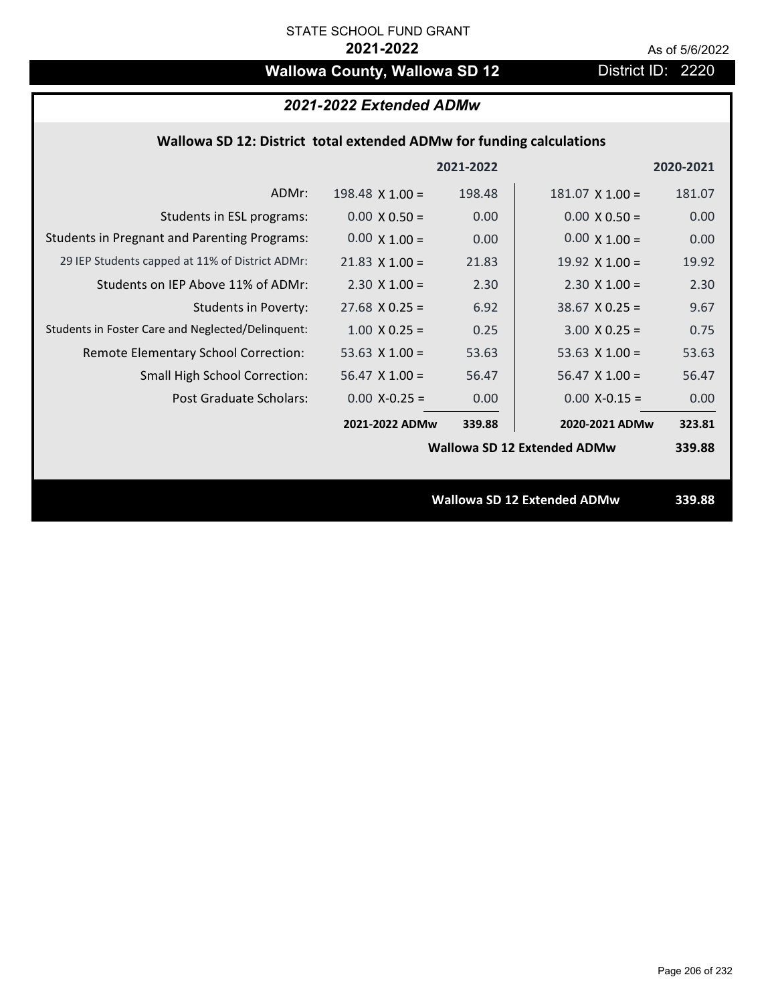# **Wallowa County, Wallowa SD 12** District ID: 2220

## *2021-2022 Extended ADMw*

### **Wallowa SD 12: District total extended ADMw for funding calculations**

|                                                     |                        | 2021-2022 |                                    | 2020-2021 |
|-----------------------------------------------------|------------------------|-----------|------------------------------------|-----------|
| ADMr:                                               | $198.48 \times 1.00 =$ | 198.48    | $181.07$ X $1.00 =$                | 181.07    |
| Students in ESL programs:                           | $0.00 \times 0.50 =$   | 0.00      | $0.00 \times 0.50 =$               | 0.00      |
| <b>Students in Pregnant and Parenting Programs:</b> | $0.00 \times 1.00 =$   | 0.00      | $0.00 \times 1.00 =$               | 0.00      |
| 29 IEP Students capped at 11% of District ADMr:     | $21.83 \times 1.00 =$  | 21.83     | 19.92 $\times$ 1.00 =              | 19.92     |
| Students on IEP Above 11% of ADMr:                  | $2.30 \times 1.00 =$   | 2.30      | $2.30 \times 1.00 =$               | 2.30      |
| <b>Students in Poverty:</b>                         | $27.68$ X 0.25 =       | 6.92      | $38.67$ X 0.25 =                   | 9.67      |
| Students in Foster Care and Neglected/Delinquent:   | $1.00 \times 0.25 =$   | 0.25      | $3.00 \times 0.25 =$               | 0.75      |
| Remote Elementary School Correction:                | 53.63 $X$ 1.00 =       | 53.63     | 53.63 $X$ 1.00 =                   | 53.63     |
| Small High School Correction:                       | $56.47$ X 1.00 =       | 56.47     | $56.47$ X 1.00 =                   | 56.47     |
| Post Graduate Scholars:                             | $0.00$ X-0.25 =        | 0.00      | $0.00$ X-0.15 =                    | 0.00      |
|                                                     | 2021-2022 ADMw         | 339.88    | 2020-2021 ADMw                     | 323.81    |
|                                                     |                        |           | <b>Wallowa SD 12 Extended ADMw</b> | 339.88    |
|                                                     |                        |           |                                    |           |
|                                                     |                        |           | <b>Wallowa SD 12 Extended ADMw</b> | 339.88    |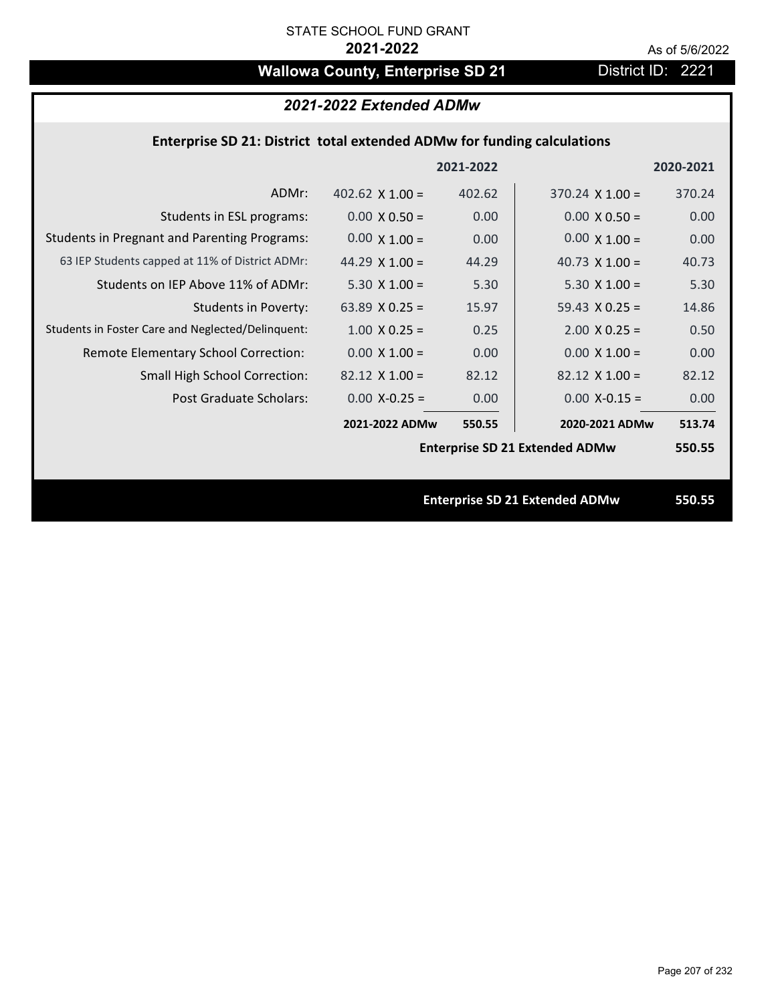# Wallowa County, Enterprise SD 21 District ID: 2221

# *2021-2022 Extended ADMw*

### **Enterprise SD 21: District total extended ADMw for funding calculations**

|                                                     |                        | 2021-2022 |                                       | 2020-2021 |
|-----------------------------------------------------|------------------------|-----------|---------------------------------------|-----------|
| ADMr:                                               | 402.62 $\times$ 1.00 = | 402.62    | $370.24 \times 1.00 =$                | 370.24    |
| Students in ESL programs:                           | $0.00 \times 0.50 =$   | 0.00      | $0.00 \times 0.50 =$                  | 0.00      |
| <b>Students in Pregnant and Parenting Programs:</b> | $0.00 \times 1.00 =$   | 0.00      | $0.00 \times 1.00 =$                  | 0.00      |
| 63 IEP Students capped at 11% of District ADMr:     | 44.29 $\times$ 1.00 =  | 44.29     | 40.73 $\times$ 1.00 =                 | 40.73     |
| Students on IEP Above 11% of ADMr:                  | 5.30 $X$ 1.00 =        | 5.30      | $5.30 \times 1.00 =$                  | 5.30      |
| <b>Students in Poverty:</b>                         | 63.89 $X$ 0.25 =       | 15.97     | 59.43 $X$ 0.25 =                      | 14.86     |
| Students in Foster Care and Neglected/Delinquent:   | $1.00 \times 0.25 =$   | 0.25      | $2.00 \times 0.25 =$                  | 0.50      |
| Remote Elementary School Correction:                | $0.00 \times 1.00 =$   | 0.00      | $0.00 \times 1.00 =$                  | 0.00      |
| <b>Small High School Correction:</b>                | $82.12 \times 1.00 =$  | 82.12     | $82.12 \times 1.00 =$                 | 82.12     |
| Post Graduate Scholars:                             | $0.00 X - 0.25 =$      | 0.00      | $0.00$ X-0.15 =                       | 0.00      |
|                                                     | 2021-2022 ADMw         | 550.55    | 2020-2021 ADMw                        | 513.74    |
|                                                     |                        |           | <b>Enterprise SD 21 Extended ADMw</b> | 550.55    |
|                                                     |                        |           |                                       |           |
|                                                     |                        |           | <b>Enterprise SD 21 Extended ADMw</b> | 550.55    |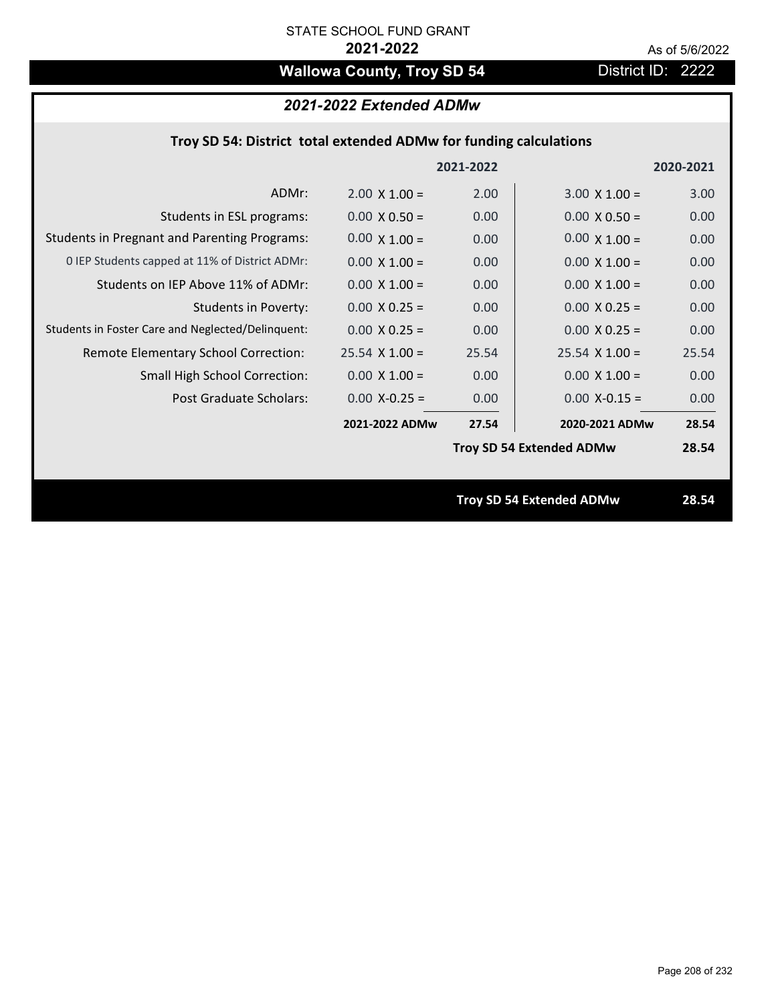# **Wallowa County, Troy SD 54** District ID: 2222

# *2021-2022 Extended ADMw*

## **Troy SD 54: District total extended ADMw for funding calculations**

|                                                     |                      | 2021-2022 |                                 | 2020-2021 |
|-----------------------------------------------------|----------------------|-----------|---------------------------------|-----------|
| ADMr:                                               | $2.00 \times 1.00 =$ | 2.00      | $3.00 \times 1.00 =$            | 3.00      |
| Students in ESL programs:                           | $0.00 \times 0.50 =$ | 0.00      | $0.00 \times 0.50 =$            | 0.00      |
| <b>Students in Pregnant and Parenting Programs:</b> | $0.00 \times 1.00 =$ | 0.00      | $0.00 \times 1.00 =$            | 0.00      |
| 0 IEP Students capped at 11% of District ADMr:      | $0.00 \times 1.00 =$ | 0.00      | $0.00 \times 1.00 =$            | 0.00      |
| Students on IEP Above 11% of ADMr:                  | $0.00$ X $1.00 =$    | 0.00      | $0.00$ X $1.00 =$               | 0.00      |
| <b>Students in Poverty:</b>                         | $0.00 \times 0.25 =$ | 0.00      | $0.00 \times 0.25 =$            | 0.00      |
| Students in Foster Care and Neglected/Delinquent:   | $0.00 \times 0.25 =$ | 0.00      | $0.00 \times 0.25 =$            | 0.00      |
| Remote Elementary School Correction:                | $25.54$ X 1.00 =     | 25.54     | $25.54$ X 1.00 =                | 25.54     |
| <b>Small High School Correction:</b>                | $0.00 \times 1.00 =$ | 0.00      | $0.00 \times 1.00 =$            | 0.00      |
| <b>Post Graduate Scholars:</b>                      | $0.00$ X-0.25 =      | 0.00      | $0.00$ X-0.15 =                 | 0.00      |
|                                                     | 2021-2022 ADMw       | 27.54     | 2020-2021 ADMw                  | 28.54     |
|                                                     |                      |           | <b>Troy SD 54 Extended ADMw</b> | 28.54     |
|                                                     |                      |           |                                 |           |
|                                                     |                      |           | <b>Troy SD 54 Extended ADMw</b> | 28.54     |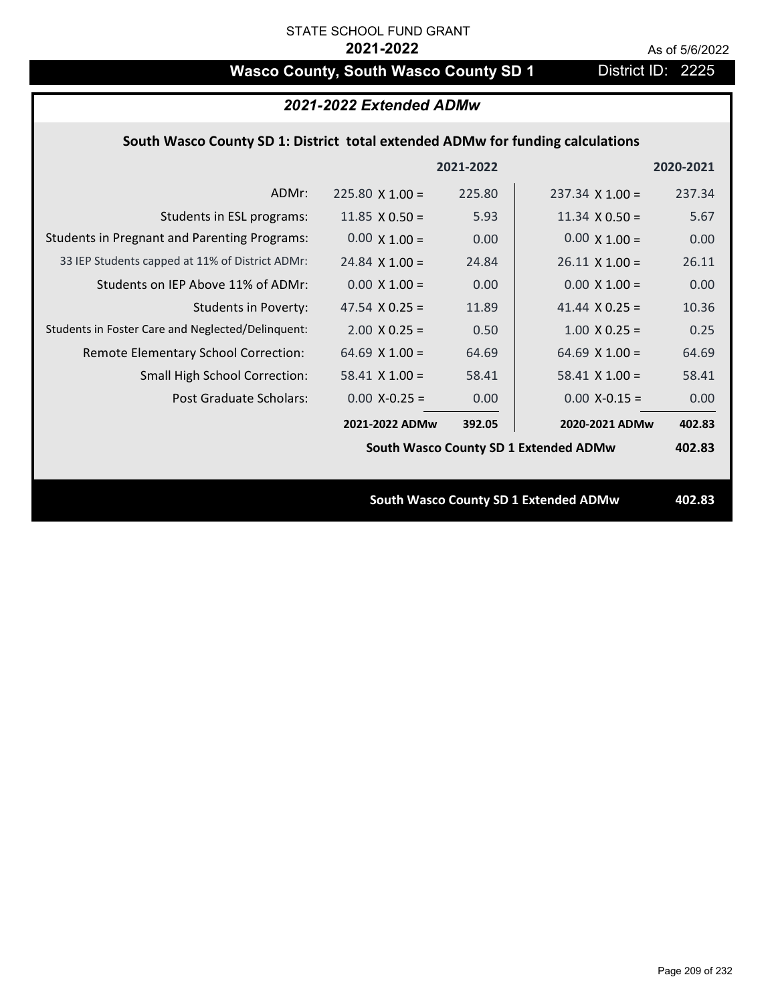# **Wasco County, South Wasco County SD 1** District ID: 2225

| 2021-2022 Extended ADMw                             |                                                                                |           |                                              |           |  |
|-----------------------------------------------------|--------------------------------------------------------------------------------|-----------|----------------------------------------------|-----------|--|
|                                                     | South Wasco County SD 1: District total extended ADMw for funding calculations |           |                                              |           |  |
|                                                     |                                                                                | 2021-2022 |                                              | 2020-2021 |  |
| ADMr:                                               | $225.80 \times 1.00 =$                                                         | 225.80    | $237.34 \times 1.00 =$                       | 237.34    |  |
| Students in ESL programs:                           | 11.85 $\times$ 0.50 =                                                          | 5.93      | $11.34 \times 0.50 =$                        | 5.67      |  |
| <b>Students in Pregnant and Parenting Programs:</b> | $0.00 \times 1.00 =$                                                           | 0.00      | $0.00 \times 1.00 =$                         | 0.00      |  |
| 33 IEP Students capped at 11% of District ADMr:     | $24.84 \times 1.00 =$                                                          | 24.84     | $26.11 \times 1.00 =$                        | 26.11     |  |
| Students on IEP Above 11% of ADMr:                  | $0.00 \times 1.00 =$                                                           | 0.00      | $0.00 \times 1.00 =$                         | 0.00      |  |
| <b>Students in Poverty:</b>                         | 47.54 $X$ 0.25 =                                                               | 11.89     | 41.44 $X$ 0.25 =                             | 10.36     |  |
| Students in Foster Care and Neglected/Delinquent:   | $2.00$ X 0.25 =                                                                | 0.50      | $1.00 \times 0.25 =$                         | 0.25      |  |
| Remote Elementary School Correction:                | 64.69 $X$ 1.00 =                                                               | 64.69     | 64.69 $X$ 1.00 =                             | 64.69     |  |
| <b>Small High School Correction:</b>                | $58.41$ X 1.00 =                                                               | 58.41     | $58.41$ X 1.00 =                             | 58.41     |  |
| <b>Post Graduate Scholars:</b>                      | $0.00$ X-0.25 =                                                                | 0.00      | $0.00$ X-0.15 =                              | 0.00      |  |
|                                                     | 2021-2022 ADMw                                                                 | 392.05    | 2020-2021 ADMw                               | 402.83    |  |
|                                                     |                                                                                |           | <b>South Wasco County SD 1 Extended ADMw</b> | 402.83    |  |
|                                                     |                                                                                |           |                                              |           |  |
|                                                     |                                                                                |           | <b>South Wasco County SD 1 Extended ADMw</b> | 402.83    |  |
|                                                     |                                                                                |           |                                              |           |  |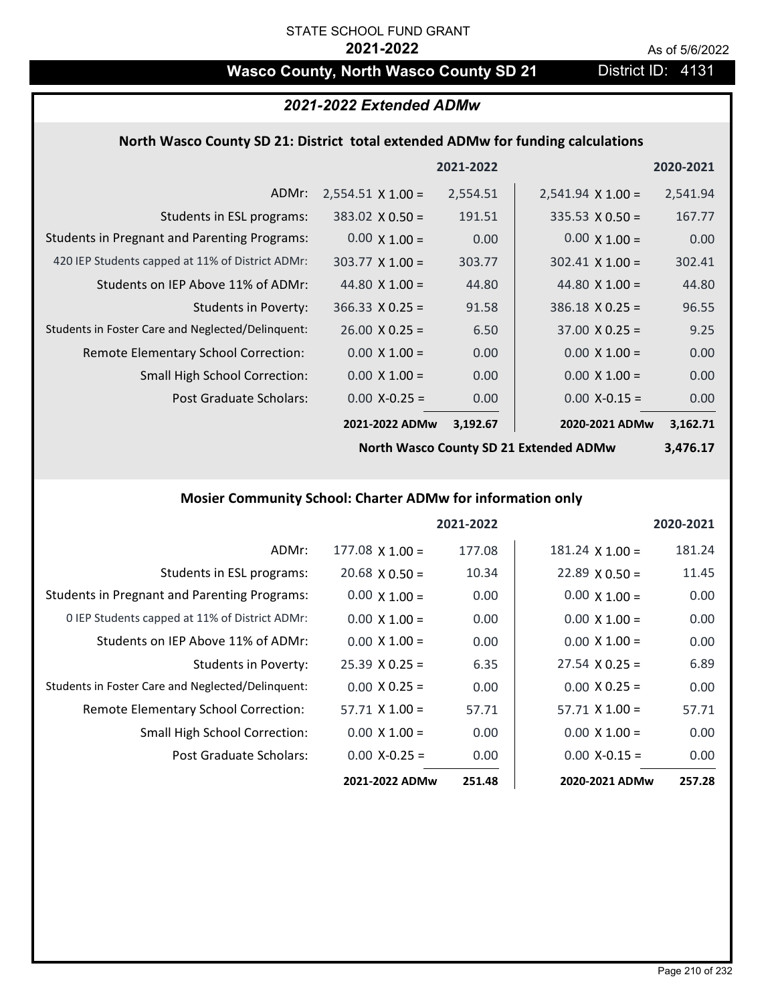# Wasco County, North Wasco County SD 21 District ID: 4131

# *2021-2022 Extended ADMw*

#### **North Wasco County SD 21: District total extended ADMw for funding calculations**

|                                                     |                          | 2021-2022 |                          | 2020-2021 |
|-----------------------------------------------------|--------------------------|-----------|--------------------------|-----------|
| ADMr:                                               | $2,554.51 \times 1.00 =$ | 2,554.51  | $2,541.94 \times 1.00 =$ | 2,541.94  |
| Students in ESL programs:                           | $383.02 \times 0.50 =$   | 191.51    | $335.53 \times 0.50 =$   | 167.77    |
| <b>Students in Pregnant and Parenting Programs:</b> | $0.00 \times 1.00 =$     | 0.00      | $0.00 \times 1.00 =$     | 0.00      |
| 420 IEP Students capped at 11% of District ADMr:    | $303.77 \times 1.00 =$   | 303.77    | $302.41 \times 1.00 =$   | 302.41    |
| Students on IEP Above 11% of ADMr:                  | 44.80 $\times$ 1.00 =    | 44.80     | 44.80 $\times$ 1.00 =    | 44.80     |
| <b>Students in Poverty:</b>                         | $366.33 \times 0.25 =$   | 91.58     | $386.18 \times 0.25 =$   | 96.55     |
| Students in Foster Care and Neglected/Delinquent:   | $26.00 \times 0.25 =$    | 6.50      | $37.00 \times 0.25 =$    | 9.25      |
| Remote Elementary School Correction:                | $0.00 \times 1.00 =$     | 0.00      | $0.00 \times 1.00 =$     | 0.00      |
| <b>Small High School Correction:</b>                | $0.00 \times 1.00 =$     | 0.00      | $0.00 \times 1.00 =$     | 0.00      |
| Post Graduate Scholars:                             | $0.00 X - 0.25 =$        | 0.00      | $0.00$ X-0.15 =          | 0.00      |
|                                                     | 2021-2022 ADMw           | 3,192.67  | 2020-2021 ADMw           | 3,162.71  |

**North Wasco County SD 21 Extended ADMw**

**3,476.17**

# **Mosier Community School: Charter ADMw for information only**

|                                                     |                       | 2021-2022 |                        | 2020-2021 |
|-----------------------------------------------------|-----------------------|-----------|------------------------|-----------|
| ADMr:                                               | $177.08$ X 1.00 =     | 177.08    | $181.24 \times 1.00 =$ | 181.24    |
| Students in ESL programs:                           | $20.68 \times 0.50 =$ | 10.34     | $22.89 \times 0.50 =$  | 11.45     |
| <b>Students in Pregnant and Parenting Programs:</b> | $0.00 \times 1.00 =$  | 0.00      | $0.00 \times 1.00 =$   | 0.00      |
| 0 IEP Students capped at 11% of District ADMr:      | $0.00 \times 1.00 =$  | 0.00      | $0.00 \times 1.00 =$   | 0.00      |
| Students on IEP Above 11% of ADMr:                  | $0.00 \times 1.00 =$  | 0.00      | $0.00 \times 1.00 =$   | 0.00      |
| Students in Poverty:                                | $25.39 \times 0.25 =$ | 6.35      | $27.54 \times 0.25 =$  | 6.89      |
| Students in Foster Care and Neglected/Delinquent:   | $0.00 \times 0.25 =$  | 0.00      | $0.00 \times 0.25 =$   | 0.00      |
| <b>Remote Elementary School Correction:</b>         | $57.71 \times 1.00 =$ | 57.71     | $57.71 \times 1.00 =$  | 57.71     |
| Small High School Correction:                       | $0.00 \times 1.00 =$  | 0.00      | $0.00 \times 1.00 =$   | 0.00      |
| Post Graduate Scholars:                             | $0.00 X-0.25 =$       | 0.00      | $0.00$ X-0.15 =        | 0.00      |
|                                                     | 2021-2022 ADMw        | 251.48    | 2020-2021 ADMw         | 257.28    |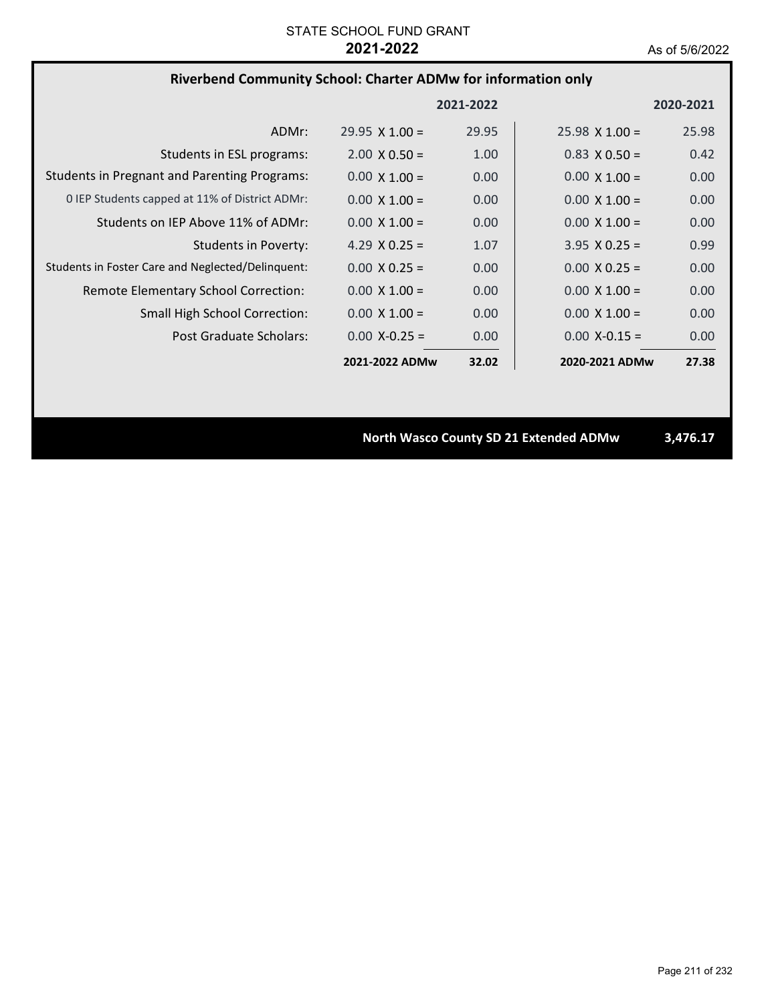# **Riverbend Community School: Charter ADMw for information only**

|                                                     |                       | 2021-2022 |                       | 2020-2021 |
|-----------------------------------------------------|-----------------------|-----------|-----------------------|-----------|
| ADMr:                                               | $29.95 \times 1.00 =$ | 29.95     | $25.98 \times 1.00 =$ | 25.98     |
| Students in ESL programs:                           | $2.00 \times 0.50 =$  | 1.00      | $0.83 \times 0.50 =$  | 0.42      |
| <b>Students in Pregnant and Parenting Programs:</b> | $0.00 \times 1.00 =$  | 0.00      | $0.00 \times 1.00 =$  | 0.00      |
| 0 IEP Students capped at 11% of District ADMr:      | $0.00 \times 1.00 =$  | 0.00      | $0.00 \times 1.00 =$  | 0.00      |
| Students on IEP Above 11% of ADMr:                  | $0.00 \times 1.00 =$  | 0.00      | $0.00 \times 1.00 =$  | 0.00      |
| Students in Poverty:                                | 4.29 $X$ 0.25 =       | 1.07      | $3.95 \times 0.25 =$  | 0.99      |
| Students in Foster Care and Neglected/Delinquent:   | $0.00 \times 0.25 =$  | 0.00      | $0.00 \times 0.25 =$  | 0.00      |
| Remote Elementary School Correction:                | $0.00 \times 1.00 =$  | 0.00      | $0.00 \times 1.00 =$  | 0.00      |
| <b>Small High School Correction:</b>                | $0.00 \times 1.00 =$  | 0.00      | $0.00 \times 1.00 =$  | 0.00      |
| Post Graduate Scholars:                             | $0.00 X - 0.25 =$     | 0.00      | $0.00$ X-0.15 =       | 0.00      |
|                                                     | 2021-2022 ADMw        | 32.02     | 2020-2021 ADMw        | 27.38     |

**North Wasco County SD 21 Extended ADMw 3,476.17**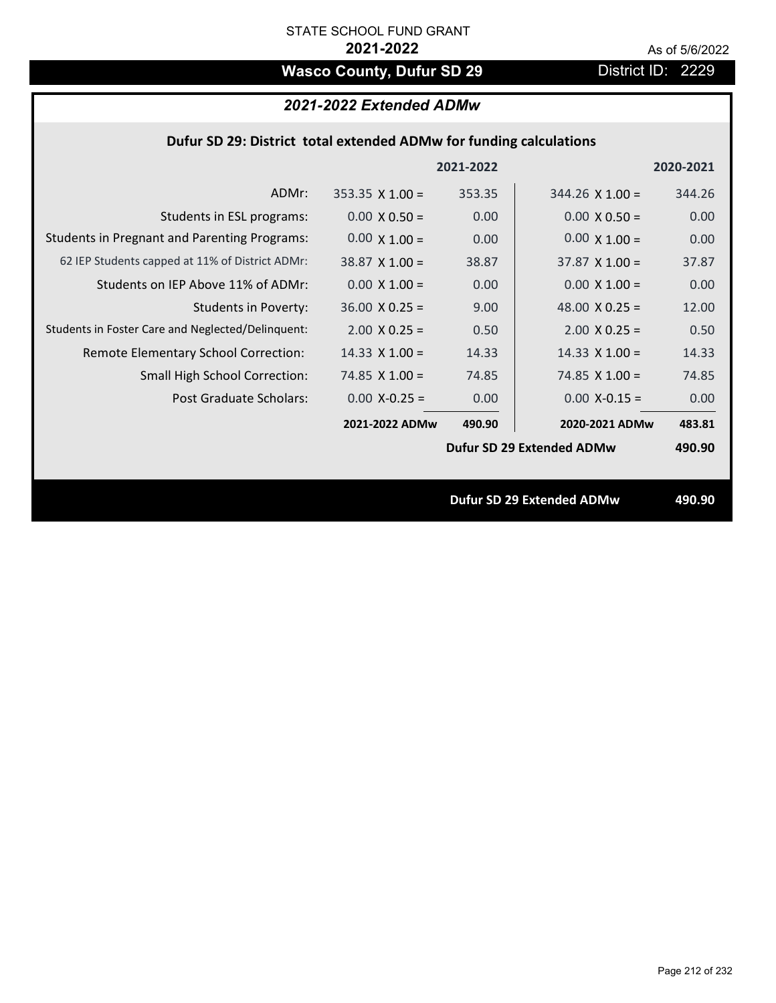# Wasco County, Dufur SD 29 District ID: 2229

# *2021-2022 Extended ADMw*

### **Dufur SD 29: District total extended ADMw for funding calculations**

|                                                     |                        | 2021-2022 |                                  | 2020-2021 |
|-----------------------------------------------------|------------------------|-----------|----------------------------------|-----------|
| ADMr:                                               | $353.35 \times 1.00 =$ | 353.35    | $344.26$ X 1.00 =                | 344.26    |
| Students in ESL programs:                           | $0.00 \times 0.50 =$   | 0.00      | $0.00 \times 0.50 =$             | 0.00      |
| <b>Students in Pregnant and Parenting Programs:</b> | $0.00 \times 1.00 =$   | 0.00      | $0.00 \times 1.00 =$             | 0.00      |
| 62 IEP Students capped at 11% of District ADMr:     | $38.87 \times 1.00 =$  | 38.87     | $37.87 \times 1.00 =$            | 37.87     |
| Students on IEP Above 11% of ADMr:                  | $0.00 X 1.00 =$        | 0.00      | $0.00 \times 1.00 =$             | 0.00      |
| <b>Students in Poverty:</b>                         | $36.00 \times 0.25 =$  | 9.00      | 48.00 $X$ 0.25 =                 | 12.00     |
| Students in Foster Care and Neglected/Delinquent:   | $2.00 \times 0.25 =$   | 0.50      | $2.00 \times 0.25 =$             | 0.50      |
| Remote Elementary School Correction:                | $14.33 \times 1.00 =$  | 14.33     | $14.33 \times 1.00 =$            | 14.33     |
| <b>Small High School Correction:</b>                | $74.85 \times 1.00 =$  | 74.85     | 74.85 $X$ 1.00 =                 | 74.85     |
| Post Graduate Scholars:                             | $0.00 X - 0.25 =$      | 0.00      | $0.00$ X-0.15 =                  | 0.00      |
|                                                     | 2021-2022 ADMw         | 490.90    | 2020-2021 ADMw                   | 483.81    |
|                                                     |                        |           | Dufur SD 29 Extended ADMw        | 490.90    |
|                                                     |                        |           |                                  |           |
|                                                     |                        |           | <b>Dufur SD 29 Extended ADMw</b> | 490.90    |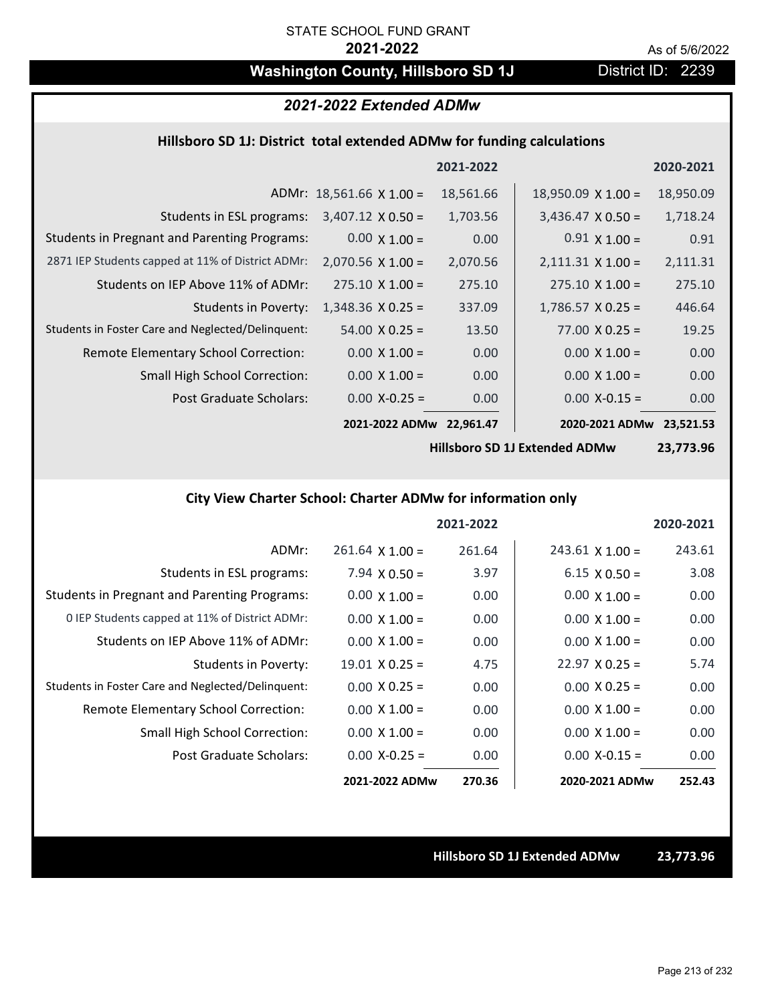# **Washington County, Hillsboro SD 1J** District ID: 2239

# *2021-2022 Extended ADMw*

#### **Hillsboro SD 1J: District total extended ADMw for funding calculations**

|                                                     |                                 | 2021-2022 |                           | 2020-2021 |
|-----------------------------------------------------|---------------------------------|-----------|---------------------------|-----------|
|                                                     | ADMr: $18,561.66 \times 1.00 =$ | 18,561.66 | $18,950.09 \times 1.00 =$ | 18,950.09 |
| Students in ESL programs:                           | $3,407.12 \times 0.50 =$        | 1,703.56  | $3,436.47 \times 0.50 =$  | 1,718.24  |
| <b>Students in Pregnant and Parenting Programs:</b> | $0.00 \times 1.00 =$            | 0.00      | $0.91 \times 1.00 =$      | 0.91      |
| 2871 IEP Students capped at 11% of District ADMr:   | $2,070.56 \times 1.00 =$        | 2,070.56  | $2,111.31 \times 1.00 =$  | 2,111.31  |
| Students on IEP Above 11% of ADMr:                  | $275.10 \times 1.00 =$          | 275.10    | $275.10 \times 1.00 =$    | 275.10    |
| <b>Students in Poverty:</b>                         | $1,348.36 \times 0.25 =$        | 337.09    | $1,786.57 \times 0.25 =$  | 446.64    |
| Students in Foster Care and Neglected/Delinquent:   | $54.00 \times 0.25 =$           | 13.50     | $77.00 \times 0.25 =$     | 19.25     |
| Remote Elementary School Correction:                | $0.00 \times 1.00 =$            | 0.00      | $0.00 \times 1.00 =$      | 0.00      |
| <b>Small High School Correction:</b>                | $0.00 \times 1.00 =$            | 0.00      | $0.00 \times 1.00 =$      | 0.00      |
| Post Graduate Scholars:                             | $0.00$ X-0.25 =                 | 0.00      | $0.00$ X-0.15 =           | 0.00      |
|                                                     | 2021-2022 ADMw                  | 22.961.47 | 2020-2021 ADMw            | 23.521.53 |

**Hillsboro SD 1J Extended ADMw**

**23,773.96**

### **City View Charter School: Charter ADMw for information only**

|                                                     |                       | 2021-2022 |                        | 2020-2021 |
|-----------------------------------------------------|-----------------------|-----------|------------------------|-----------|
| ADMr:                                               | $261.64$ X $1.00 =$   | 261.64    | $243.61 \times 1.00 =$ | 243.61    |
| Students in ESL programs:                           | $7.94 \times 0.50 =$  | 3.97      | $6.15 \times 0.50 =$   | 3.08      |
| <b>Students in Pregnant and Parenting Programs:</b> | $0.00 \times 1.00 =$  | 0.00      | $0.00 \times 1.00 =$   | 0.00      |
| 0 IEP Students capped at 11% of District ADMr:      | $0.00 \times 1.00 =$  | 0.00      | $0.00 \times 1.00 =$   | 0.00      |
| Students on IEP Above 11% of ADMr:                  | $0.00 \times 1.00 =$  | 0.00      | $0.00 \times 1.00 =$   | 0.00      |
| Students in Poverty:                                | $19.01 \times 0.25 =$ | 4.75      | $22.97 \times 0.25 =$  | 5.74      |
| Students in Foster Care and Neglected/Delinquent:   | $0.00 \times 0.25 =$  | 0.00      | $0.00 \times 0.25 =$   | 0.00      |
| <b>Remote Elementary School Correction:</b>         | $0.00 \times 1.00 =$  | 0.00      | $0.00 \times 1.00 =$   | 0.00      |
| <b>Small High School Correction:</b>                | $0.00 \times 1.00 =$  | 0.00      | $0.00 \times 1.00 =$   | 0.00      |
| Post Graduate Scholars:                             | $0.00 X - 0.25 =$     | 0.00      | $0.00 X - 0.15 =$      | 0.00      |
|                                                     | 2021-2022 ADMw        | 270.36    | 2020-2021 ADMw         | 252.43    |

**Hillsboro SD 1J Extended ADMw 23,773.96**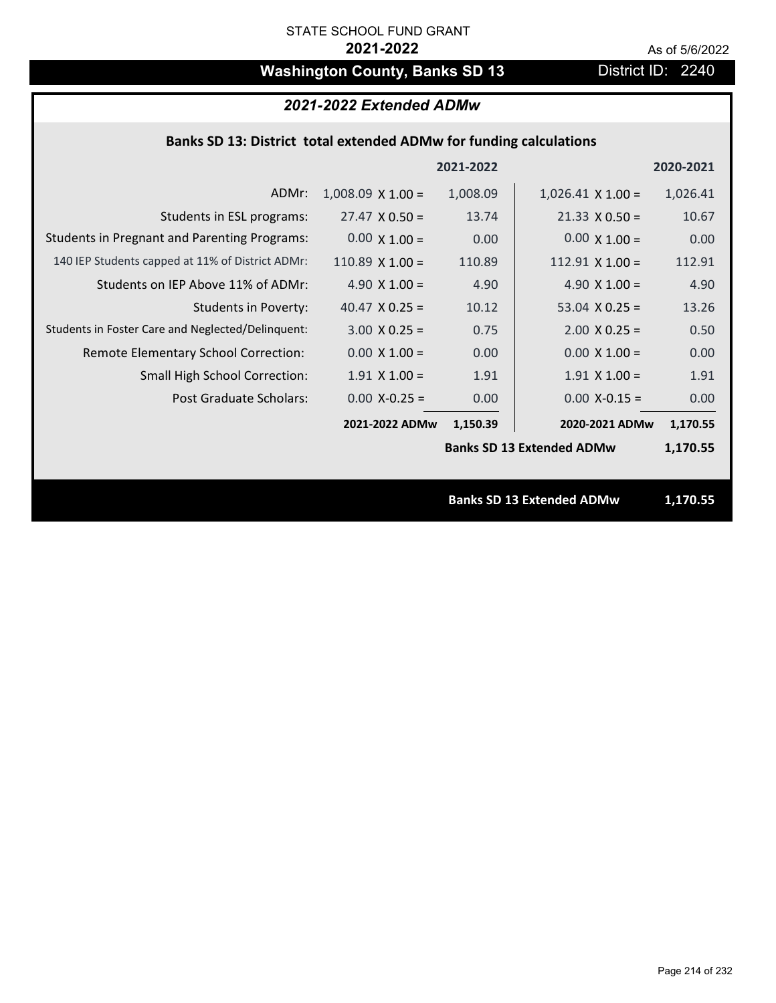# Washington County, Banks SD 13 District ID: 2240

# *2021-2022 Extended ADMw*

## **Banks SD 13: District total extended ADMw for funding calculations**

|                                                     |                          | 2021-2022 |                                  | 2020-2021 |
|-----------------------------------------------------|--------------------------|-----------|----------------------------------|-----------|
| ADMr:                                               | $1,008.09 \times 1.00 =$ | 1,008.09  | $1,026.41 \times 1.00 =$         | 1,026.41  |
| Students in ESL programs:                           | $27.47 \times 0.50 =$    | 13.74     | $21.33 \times 0.50 =$            | 10.67     |
| <b>Students in Pregnant and Parenting Programs:</b> | $0.00 \times 1.00 =$     | 0.00      | $0.00 \times 1.00 =$             | 0.00      |
| 140 IEP Students capped at 11% of District ADMr:    | 110.89 $\times$ 1.00 =   | 110.89    | $112.91$ X $1.00 =$              | 112.91    |
| Students on IEP Above 11% of ADMr:                  | 4.90 $X$ 1.00 =          | 4.90      | 4.90 $X$ 1.00 =                  | 4.90      |
| <b>Students in Poverty:</b>                         | 40.47 $X$ 0.25 =         | 10.12     | 53.04 $X$ 0.25 =                 | 13.26     |
| Students in Foster Care and Neglected/Delinquent:   | $3.00 \times 0.25 =$     | 0.75      | $2.00$ X 0.25 =                  | 0.50      |
| Remote Elementary School Correction:                | $0.00 \times 1.00 =$     | 0.00      | $0.00 \times 1.00 =$             | 0.00      |
| <b>Small High School Correction:</b>                | $1.91$ X $1.00 =$        | 1.91      | $1.91$ X $1.00 =$                | 1.91      |
| Post Graduate Scholars:                             | $0.00$ X-0.25 =          | 0.00      | $0.00$ X-0.15 =                  | 0.00      |
|                                                     | 2021-2022 ADMw           | 1,150.39  | 2020-2021 ADMw                   | 1,170.55  |
|                                                     |                          |           | <b>Banks SD 13 Extended ADMw</b> | 1,170.55  |
|                                                     |                          |           |                                  |           |
|                                                     |                          |           | <b>Banks SD 13 Extended ADMw</b> | 1,170.55  |
|                                                     |                          |           |                                  |           |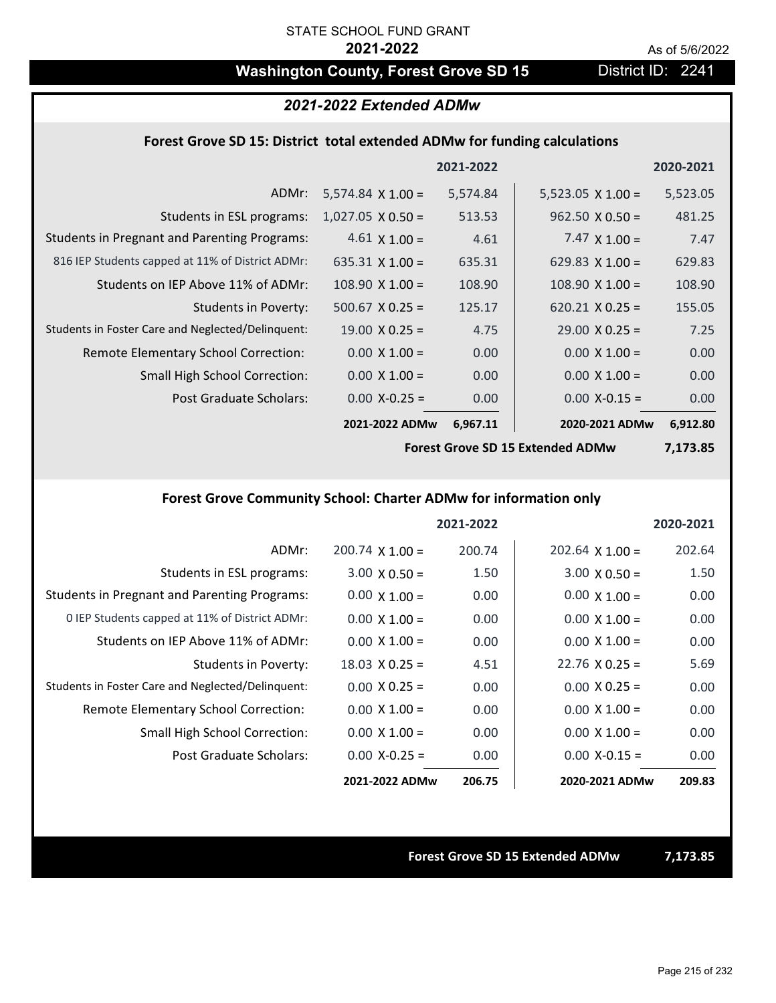# Washington County, Forest Grove SD 15 District ID: 2241

### *2021-2022 Extended ADMw*

#### **Forest Grove SD 15: District total extended ADMw for funding calculations**

|                                                     |                          | 2021-2022 |                          | 2020-2021 |
|-----------------------------------------------------|--------------------------|-----------|--------------------------|-----------|
| ADMr:                                               | $5,574.84 \times 1.00 =$ | 5,574.84  | $5,523.05 \times 1.00 =$ | 5,523.05  |
| Students in ESL programs:                           | $1,027.05 \times 0.50 =$ | 513.53    | $962.50 \times 0.50 =$   | 481.25    |
| <b>Students in Pregnant and Parenting Programs:</b> | $4.61 \times 1.00 =$     | 4.61      | $7.47 \times 1.00 =$     | 7.47      |
| 816 IEP Students capped at 11% of District ADMr:    | $635.31 \times 1.00 =$   | 635.31    | 629.83 $\times$ 1.00 =   | 629.83    |
| Students on IEP Above 11% of ADMr:                  | $108.90 \times 1.00 =$   | 108.90    | $108.90 \times 1.00 =$   | 108.90    |
| <b>Students in Poverty:</b>                         | $500.67$ X 0.25 =        | 125.17    | $620.21 \times 0.25 =$   | 155.05    |
| Students in Foster Care and Neglected/Delinquent:   | $19.00 \times 0.25 =$    | 4.75      | $29.00 \times 0.25 =$    | 7.25      |
| Remote Elementary School Correction:                | $0.00 \times 1.00 =$     | 0.00      | $0.00 \times 1.00 =$     | 0.00      |
| <b>Small High School Correction:</b>                | $0.00 \times 1.00 =$     | 0.00      | $0.00 \times 1.00 =$     | 0.00      |
| Post Graduate Scholars:                             | $0.00$ X-0.25 =          | 0.00      | $0.00$ X-0.15 =          | 0.00      |
|                                                     | 2021-2022 ADMw           | 6,967.11  | 2020-2021 ADMw           | 6,912.80  |

**Forest Grove SD 15 Extended ADMw**

**7,173.85**

### **Forest Grove Community School: Charter ADMw for information only**

|                                                     |                        | 2021-2022 |                        | 2020-2021 |
|-----------------------------------------------------|------------------------|-----------|------------------------|-----------|
| ADMr:                                               | $200.74 \times 1.00 =$ | 200.74    | $202.64 \times 1.00 =$ | 202.64    |
| Students in ESL programs:                           | $3.00 \times 0.50 =$   | 1.50      | $3.00 \times 0.50 =$   | 1.50      |
| <b>Students in Pregnant and Parenting Programs:</b> | $0.00 \times 1.00 =$   | 0.00      | $0.00 \times 1.00 =$   | 0.00      |
| 0 IEP Students capped at 11% of District ADMr:      | $0.00 \times 1.00 =$   | 0.00      | $0.00 \times 1.00 =$   | 0.00      |
| Students on IEP Above 11% of ADMr:                  | $0.00 \times 1.00 =$   | 0.00      | $0.00 \times 1.00 =$   | 0.00      |
| Students in Poverty:                                | $18.03 \times 0.25 =$  | 4.51      | $22.76 \times 0.25 =$  | 5.69      |
| Students in Foster Care and Neglected/Delinquent:   | $0.00 \times 0.25 =$   | 0.00      | $0.00 \times 0.25 =$   | 0.00      |
| Remote Elementary School Correction:                | $0.00 \times 1.00 =$   | 0.00      | $0.00 \times 1.00 =$   | 0.00      |
| <b>Small High School Correction:</b>                | $0.00 \times 1.00 =$   | 0.00      | $0.00 \times 1.00 =$   | 0.00      |
| Post Graduate Scholars:                             | $0.00$ X-0.25 =        | 0.00      | $0.00 X - 0.15 =$      | 0.00      |
|                                                     | 2021-2022 ADMw         | 206.75    | 2020-2021 ADMw         | 209.83    |

**Forest Grove SD 15 Extended ADMw 7,173.85**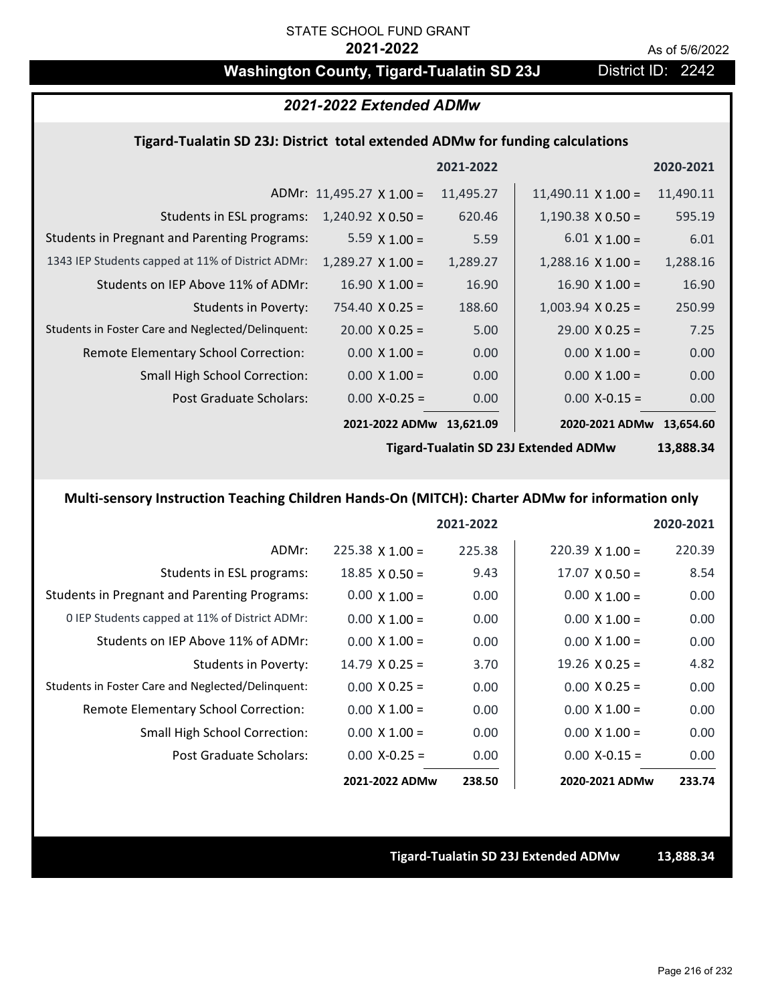# Washington County, Tigard-Tualatin SD 23J District ID: 2242

### *2021-2022 Extended ADMw*

#### **Tigard‐Tualatin SD 23J: District total extended ADMw for funding calculations**

|                                                     |                                 | 2021-2022 |                           | 2020-2021 |
|-----------------------------------------------------|---------------------------------|-----------|---------------------------|-----------|
|                                                     | ADMr: $11,495.27 \times 1.00 =$ | 11,495.27 | $11,490.11 \times 1.00 =$ | 11,490.11 |
| Students in ESL programs:                           | $1,240.92 \times 0.50 =$        | 620.46    | $1,190.38 \times 0.50 =$  | 595.19    |
| <b>Students in Pregnant and Parenting Programs:</b> | 5.59 $\times$ 1.00 =            | 5.59      | $6.01 \times 1.00 =$      | 6.01      |
| 1343 IEP Students capped at 11% of District ADMr:   | $1,289.27 \times 1.00 =$        | 1,289.27  | $1,288.16 \times 1.00 =$  | 1,288.16  |
| Students on IEP Above 11% of ADMr:                  | $16.90 \times 1.00 =$           | 16.90     | $16.90 \times 1.00 =$     | 16.90     |
| Students in Poverty:                                | $754.40 \times 0.25 =$          | 188.60    | $1,003.94 \times 0.25 =$  | 250.99    |
| Students in Foster Care and Neglected/Delinquent:   | $20.00 \times 0.25 =$           | 5.00      | $29.00 \times 0.25 =$     | 7.25      |
| Remote Elementary School Correction:                | $0.00 \times 1.00 =$            | 0.00      | $0.00 \times 1.00 =$      | 0.00      |
| <b>Small High School Correction:</b>                | $0.00 \times 1.00 =$            | 0.00      | $0.00 \times 1.00 =$      | 0.00      |
| Post Graduate Scholars:                             | $0.00$ X-0.25 =                 | 0.00      | $0.00$ X-0.15 =           | 0.00      |
|                                                     | 2021-2022 ADMw                  | 13,621.09 | 2020-2021 ADMw            | 13,654.60 |
|                                                     |                                 |           |                           |           |

**Tigard‐Tualatin SD 23J Extended ADMw**

**13,888.34**

### **Multi‐sensory Instruction Teaching Children Hands‐On (MITCH): Charter ADMw for information only**

|                                                     |                        | 2021-2022 |                       | 2020-2021 |
|-----------------------------------------------------|------------------------|-----------|-----------------------|-----------|
| ADMr:                                               | $225.38 \times 1.00 =$ | 225.38    | $220.39$ X 1.00 =     | 220.39    |
| Students in ESL programs:                           | $18.85 \times 0.50 =$  | 9.43      | $17.07 \times 0.50 =$ | 8.54      |
| <b>Students in Pregnant and Parenting Programs:</b> | $0.00 \times 1.00 =$   | 0.00      | $0.00 \times 1.00 =$  | 0.00      |
| 0 IEP Students capped at 11% of District ADMr:      | $0.00 \times 1.00 =$   | 0.00      | $0.00 \times 1.00 =$  | 0.00      |
| Students on IEP Above 11% of ADMr:                  | $0.00 \times 1.00 =$   | 0.00      | $0.00 \times 1.00 =$  | 0.00      |
| Students in Poverty:                                | $14.79 \times 0.25 =$  | 3.70      | $19.26 \times 0.25 =$ | 4.82      |
| Students in Foster Care and Neglected/Delinquent:   | $0.00 \times 0.25 =$   | 0.00      | $0.00 \times 0.25 =$  | 0.00      |
| <b>Remote Elementary School Correction:</b>         | $0.00 \times 1.00 =$   | 0.00      | $0.00 \times 1.00 =$  | 0.00      |
| <b>Small High School Correction:</b>                | $0.00 \times 1.00 =$   | 0.00      | $0.00 \times 1.00 =$  | 0.00      |
| Post Graduate Scholars:                             | $0.00 X - 0.25 =$      | 0.00      | $0.00 X - 0.15 =$     | 0.00      |
|                                                     | 2021-2022 ADMw         | 238.50    | 2020-2021 ADMw        | 233.74    |

**Tigard‐Tualatin SD 23J Extended ADMw 13,888.34**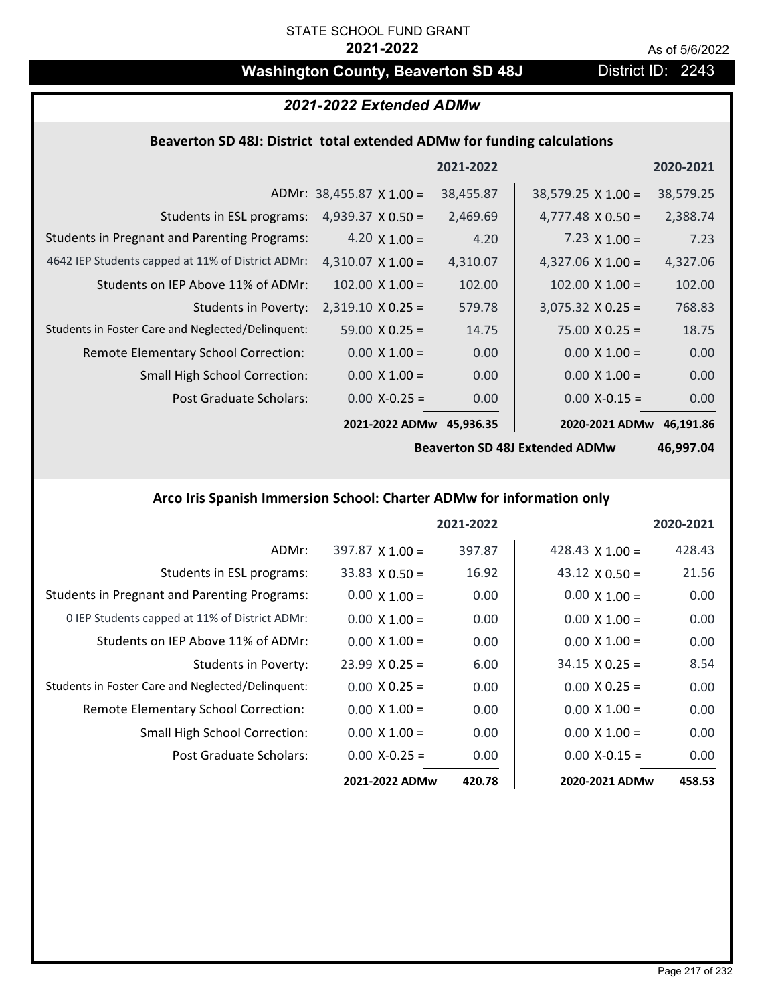# **Washington County, Beaverton SD 48J** District ID: 2243

# *2021-2022 Extended ADMw*

# **Beaverton SD 48J: District total extended ADMw for funding calculations**

|                                                     |                                 | 2021-2022 |                           | 2020-2021 |
|-----------------------------------------------------|---------------------------------|-----------|---------------------------|-----------|
|                                                     | ADMr: $38,455.87 \times 1.00 =$ | 38,455.87 | $38,579.25 \times 1.00 =$ | 38,579.25 |
| Students in ESL programs:                           | $4,939.37 \times 0.50 =$        | 2,469.69  | $4,777.48 \times 0.50 =$  | 2,388.74  |
| <b>Students in Pregnant and Parenting Programs:</b> | 4.20 $\times$ 1.00 =            | 4.20      | 7.23 $\times$ 1.00 =      | 7.23      |
| 4642 IEP Students capped at 11% of District ADMr:   | $4,310.07 \times 1.00 =$        | 4,310.07  | 4,327.06 $\times$ 1.00 =  | 4,327.06  |
| Students on IEP Above 11% of ADMr:                  | $102.00 \times 1.00 =$          | 102.00    | $102.00$ X $1.00 =$       | 102.00    |
| <b>Students in Poverty:</b>                         | $2,319.10 \times 0.25 =$        | 579.78    | $3,075.32$ X 0.25 =       | 768.83    |
| Students in Foster Care and Neglected/Delinquent:   | $59.00 \times 0.25 =$           | 14.75     | $75.00 \times 0.25 =$     | 18.75     |
| Remote Elementary School Correction:                | $0.00 \times 1.00 =$            | 0.00      | $0.00 \times 1.00 =$      | 0.00      |
| <b>Small High School Correction:</b>                | $0.00 \times 1.00 =$            | 0.00      | $0.00 \times 1.00 =$      | 0.00      |
| Post Graduate Scholars:                             | $0.00 X-0.25 =$                 | 0.00      | $0.00$ X-0.15 =           | 0.00      |
|                                                     | 2021-2022 ADMw                  | 45,936.35 | 2020-2021 ADMw            | 46,191.86 |

**Beaverton SD 48J Extended ADMw**

**46,997.04**

# **Arco Iris Spanish Immersion School: Charter ADMw for information only**

|                                                     |                        | 2021-2022 |                        | 2020-2021 |
|-----------------------------------------------------|------------------------|-----------|------------------------|-----------|
| ADMr:                                               | $397.87 \times 1.00 =$ | 397.87    | 428.43 $\times$ 1.00 = | 428.43    |
| Students in ESL programs:                           | $33.83 \times 0.50 =$  | 16.92     | $43.12 \times 0.50 =$  | 21.56     |
| <b>Students in Pregnant and Parenting Programs:</b> | $0.00 \times 1.00 =$   | 0.00      | $0.00 \times 1.00 =$   | 0.00      |
| 0 IEP Students capped at 11% of District ADMr:      | $0.00 \times 1.00 =$   | 0.00      | $0.00 \times 1.00 =$   | 0.00      |
| Students on IEP Above 11% of ADMr:                  | $0.00 \times 1.00 =$   | 0.00      | $0.00 \times 1.00 =$   | 0.00      |
| Students in Poverty:                                | $23.99 \times 0.25 =$  | 6.00      | $34.15 \times 0.25 =$  | 8.54      |
| Students in Foster Care and Neglected/Delinquent:   | $0.00 \times 0.25 =$   | 0.00      | $0.00 \times 0.25 =$   | 0.00      |
| Remote Elementary School Correction:                | $0.00 \times 1.00 =$   | 0.00      | $0.00 \times 1.00 =$   | 0.00      |
| <b>Small High School Correction:</b>                | $0.00 \times 1.00 =$   | 0.00      | $0.00 \times 1.00 =$   | 0.00      |
| Post Graduate Scholars:                             | $0.00$ X-0.25 =        | 0.00      | $0.00 X - 0.15 =$      | 0.00      |
|                                                     | 2021-2022 ADMw         | 420.78    | 2020-2021 ADMw         | 458.53    |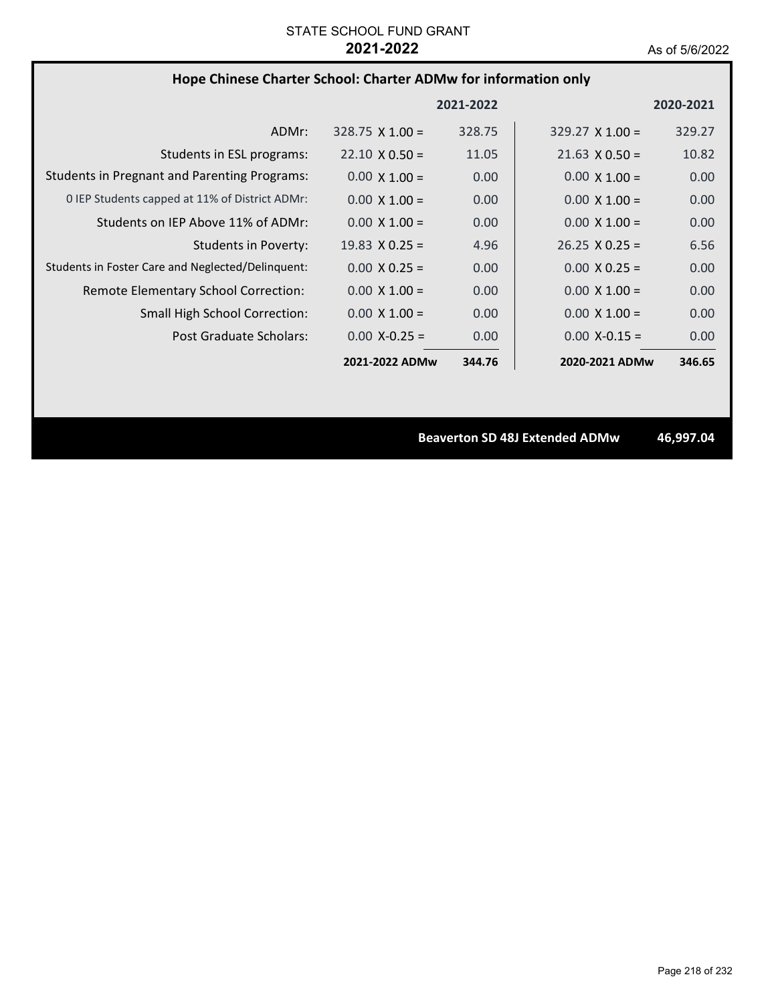# **Hope Chinese Charter School: Charter ADMw for information only**

|                                                     |                        | 2021-2022 |                        | 2020-2021 |
|-----------------------------------------------------|------------------------|-----------|------------------------|-----------|
| ADMr:                                               | $328.75 \times 1.00 =$ | 328.75    | $329.27 \times 1.00 =$ | 329.27    |
| Students in ESL programs:                           | $22.10 \times 0.50 =$  | 11.05     | $21.63 \times 0.50 =$  | 10.82     |
| <b>Students in Pregnant and Parenting Programs:</b> | $0.00 \times 1.00 =$   | 0.00      | $0.00 \times 1.00 =$   | 0.00      |
| 0 IEP Students capped at 11% of District ADMr:      | $0.00 \times 1.00 =$   | 0.00      | $0.00 \times 1.00 =$   | 0.00      |
| Students on IEP Above 11% of ADMr:                  | $0.00 \times 1.00 =$   | 0.00      | $0.00 \times 1.00 =$   | 0.00      |
| Students in Poverty:                                | $19.83 \times 0.25 =$  | 4.96      | $26.25 \times 0.25 =$  | 6.56      |
| Students in Foster Care and Neglected/Delinguent:   | $0.00 \times 0.25 =$   | 0.00      | $0.00 \times 0.25 =$   | 0.00      |
| Remote Elementary School Correction:                | $0.00 \times 1.00 =$   | 0.00      | $0.00 \times 1.00 =$   | 0.00      |
| <b>Small High School Correction:</b>                | $0.00 \times 1.00 =$   | 0.00      | $0.00 \times 1.00 =$   | 0.00      |
| Post Graduate Scholars:                             | $0.00 X - 0.25 =$      | 0.00      | $0.00 X - 0.15 =$      | 0.00      |
|                                                     | 2021-2022 ADMw         | 344.76    | 2020-2021 ADMw         | 346.65    |

**Beaverton SD 48J Extended ADMw 46,997.04**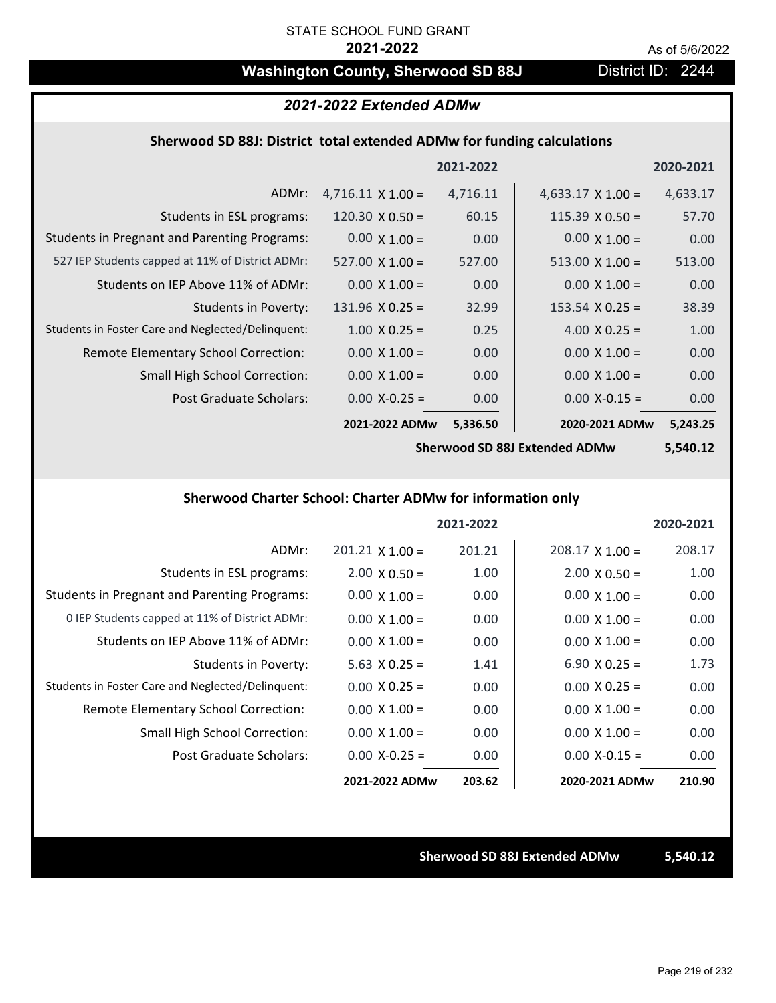# Washington County, Sherwood SD 88J District ID: 2244

## *2021-2022 Extended ADMw*

## **Sherwood SD 88J: District total extended ADMw for funding calculations**

|                                                     |                          | 2021-2022 |                          | 2020-2021 |
|-----------------------------------------------------|--------------------------|-----------|--------------------------|-----------|
| ADMr:                                               | $4,716.11 \times 1.00 =$ | 4,716.11  | $4,633.17 \times 1.00 =$ | 4,633.17  |
| Students in ESL programs:                           | 120.30 $\times$ 0.50 =   | 60.15     | $115.39 \times 0.50 =$   | 57.70     |
| <b>Students in Pregnant and Parenting Programs:</b> | $0.00 \times 1.00 =$     | 0.00      | $0.00 \times 1.00 =$     | 0.00      |
| 527 IEP Students capped at 11% of District ADMr:    | $527.00 \times 1.00 =$   | 527.00    | $513.00 \times 1.00 =$   | 513.00    |
| Students on IEP Above 11% of ADMr:                  | $0.00 \times 1.00 =$     | 0.00      | $0.00 \times 1.00 =$     | 0.00      |
| <b>Students in Poverty:</b>                         | $131.96 \times 0.25 =$   | 32.99     | $153.54 \times 0.25 =$   | 38.39     |
| Students in Foster Care and Neglected/Delinquent:   | $1.00 \times 0.25 =$     | 0.25      | 4.00 $X$ 0.25 =          | 1.00      |
| Remote Elementary School Correction:                | $0.00 \times 1.00 =$     | 0.00      | $0.00 \times 1.00 =$     | 0.00      |
| <b>Small High School Correction:</b>                | $0.00 \times 1.00 =$     | 0.00      | $0.00 \times 1.00 =$     | 0.00      |
| Post Graduate Scholars:                             | $0.00 X - 0.25 =$        | 0.00      | $0.00 X - 0.15 =$        | 0.00      |
|                                                     | 2021-2022 ADMw           | 5,336.50  | 2020-2021 ADMw           | 5,243.25  |

**Sherwood SD 88J Extended ADMw**

**5,540.12**

## **Sherwood Charter School: Charter ADMw for information only**

|                                                     |                        | 2021-2022 |                      | 2020-2021 |
|-----------------------------------------------------|------------------------|-----------|----------------------|-----------|
| ADMr:                                               | $201.21 \times 1.00 =$ | 201.21    | $208.17$ X 1.00 =    | 208.17    |
| Students in ESL programs:                           | $2.00 \times 0.50 =$   | 1.00      | $2.00 \times 0.50 =$ | 1.00      |
| <b>Students in Pregnant and Parenting Programs:</b> | $0.00 \times 1.00 =$   | 0.00      | $0.00 \times 1.00 =$ | 0.00      |
| 0 IEP Students capped at 11% of District ADMr:      | $0.00 \times 1.00 =$   | 0.00      | $0.00 \times 1.00 =$ | 0.00      |
| Students on IEP Above 11% of ADMr:                  | $0.00 \times 1.00 =$   | 0.00      | $0.00 \times 1.00 =$ | 0.00      |
| Students in Poverty:                                | $5.63 \times 0.25 =$   | 1.41      | 6.90 $X$ 0.25 =      | 1.73      |
| Students in Foster Care and Neglected/Delinquent:   | $0.00 \times 0.25 =$   | 0.00      | $0.00 \times 0.25 =$ | 0.00      |
| Remote Elementary School Correction:                | $0.00 \times 1.00 =$   | 0.00      | $0.00 \times 1.00 =$ | 0.00      |
| <b>Small High School Correction:</b>                | $0.00 \times 1.00 =$   | 0.00      | $0.00 \times 1.00 =$ | 0.00      |
| Post Graduate Scholars:                             | $0.00 X - 0.25 =$      | 0.00      | $0.00 X-0.15 =$      | 0.00      |
|                                                     | 2021-2022 ADMw         | 203.62    | 2020-2021 ADMw       | 210.90    |

**Sherwood SD 88J Extended ADMw 5,540.12**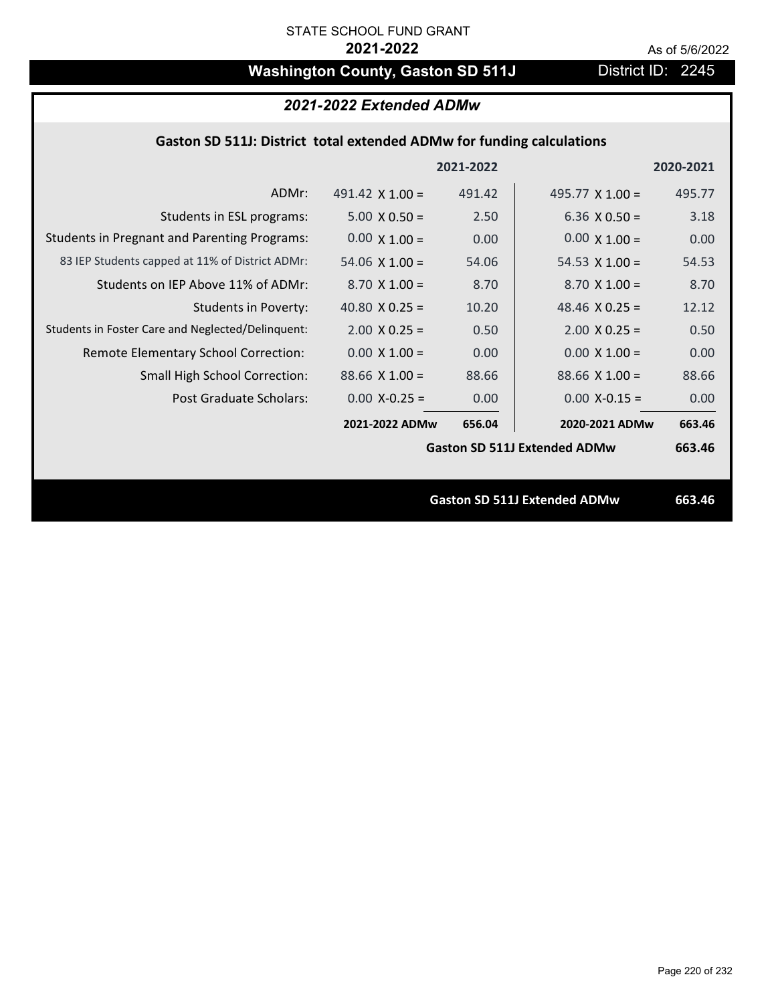# Washington County, Gaston SD 511J District ID: 2245

# *2021-2022 Extended ADMw*

## **Gaston SD 511J: District total extended ADMw for funding calculations**

|                                                     |                        | 2021-2022 |                                     | 2020-2021 |
|-----------------------------------------------------|------------------------|-----------|-------------------------------------|-----------|
| ADMr:                                               | 491.42 $\times$ 1.00 = | 491.42    | 495.77 $X$ 1.00 =                   | 495.77    |
| Students in ESL programs:                           | $5.00 \times 0.50 =$   | 2.50      | 6.36 $\times$ 0.50 =                | 3.18      |
| <b>Students in Pregnant and Parenting Programs:</b> | $0.00 \times 1.00 =$   | 0.00      | $0.00 \times 1.00 =$                | 0.00      |
| 83 IEP Students capped at 11% of District ADMr:     | 54.06 $\times$ 1.00 =  | 54.06     | 54.53 $\times$ 1.00 =               | 54.53     |
| Students on IEP Above 11% of ADMr:                  | $8.70 \times 1.00 =$   | 8.70      | $8.70 \times 1.00 =$                | 8.70      |
| <b>Students in Poverty:</b>                         | 40.80 $X$ 0.25 =       | 10.20     | 48.46 $X$ 0.25 =                    | 12.12     |
| Students in Foster Care and Neglected/Delinquent:   | $2.00 \times 0.25 =$   | 0.50      | $2.00 \times 0.25 =$                | 0.50      |
| Remote Elementary School Correction:                | $0.00 \times 1.00 =$   | 0.00      | $0.00 \times 1.00 =$                | 0.00      |
| <b>Small High School Correction:</b>                | $88.66$ X 1.00 =       | 88.66     | $88.66 \times 1.00 =$               | 88.66     |
| Post Graduate Scholars:                             | $0.00$ X-0.25 =        | 0.00      | $0.00$ X-0.15 =                     | 0.00      |
|                                                     | 2021-2022 ADMw         | 656.04    | 2020-2021 ADMw                      | 663.46    |
|                                                     |                        |           | <b>Gaston SD 511J Extended ADMw</b> | 663.46    |
|                                                     |                        |           |                                     |           |
|                                                     |                        |           | <b>Gaston SD 511J Extended ADMw</b> | 663.46    |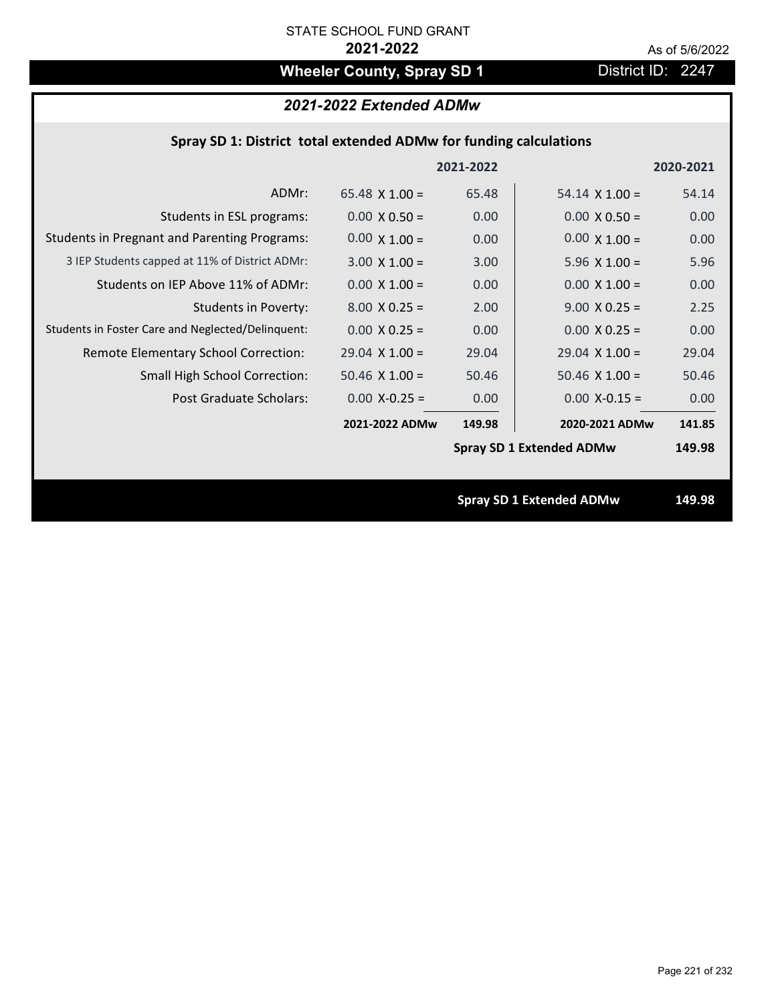# **Wheeler County, Spray SD 1** District ID: 2247

# *2021-2022 Extended ADMw*

## **Spray SD 1: District total extended ADMw for funding calculations**

|                                                     |                       | 2021-2022 |                                 | 2020-2021 |
|-----------------------------------------------------|-----------------------|-----------|---------------------------------|-----------|
| ADMr:                                               | $65.48 \times 1.00 =$ | 65.48     | $54.14 \times 1.00 =$           | 54.14     |
| Students in ESL programs:                           | $0.00 \times 0.50 =$  | 0.00      | $0.00 \times 0.50 =$            | 0.00      |
| <b>Students in Pregnant and Parenting Programs:</b> | $0.00 \times 1.00 =$  | 0.00      | $0.00 \times 1.00 =$            | 0.00      |
| 3 IEP Students capped at 11% of District ADMr:      | $3.00 \times 1.00 =$  | 3.00      | 5.96 $\times$ 1.00 =            | 5.96      |
| Students on IEP Above 11% of ADMr:                  | $0.00$ X $1.00 =$     | 0.00      | $0.00$ X $1.00 =$               | 0.00      |
| <b>Students in Poverty:</b>                         | $8.00 \times 0.25 =$  | 2.00      | $9.00 \times 0.25 =$            | 2.25      |
| Students in Foster Care and Neglected/Delinquent:   | $0.00 \times 0.25 =$  | 0.00      | $0.00 \times 0.25 =$            | 0.00      |
| Remote Elementary School Correction:                | $29.04 \times 1.00 =$ | 29.04     | $29.04$ X 1.00 =                | 29.04     |
| <b>Small High School Correction:</b>                | $50.46$ X $1.00 =$    | 50.46     | $50.46$ X $1.00 =$              | 50.46     |
| Post Graduate Scholars:                             | $0.00 X - 0.25 =$     | 0.00      | $0.00$ X-0.15 =                 | 0.00      |
|                                                     | 2021-2022 ADMw        | 149.98    | 2020-2021 ADMw                  | 141.85    |
|                                                     |                       |           | <b>Spray SD 1 Extended ADMw</b> | 149.98    |
|                                                     |                       |           |                                 |           |
|                                                     |                       |           | <b>Spray SD 1 Extended ADMw</b> | 149.98    |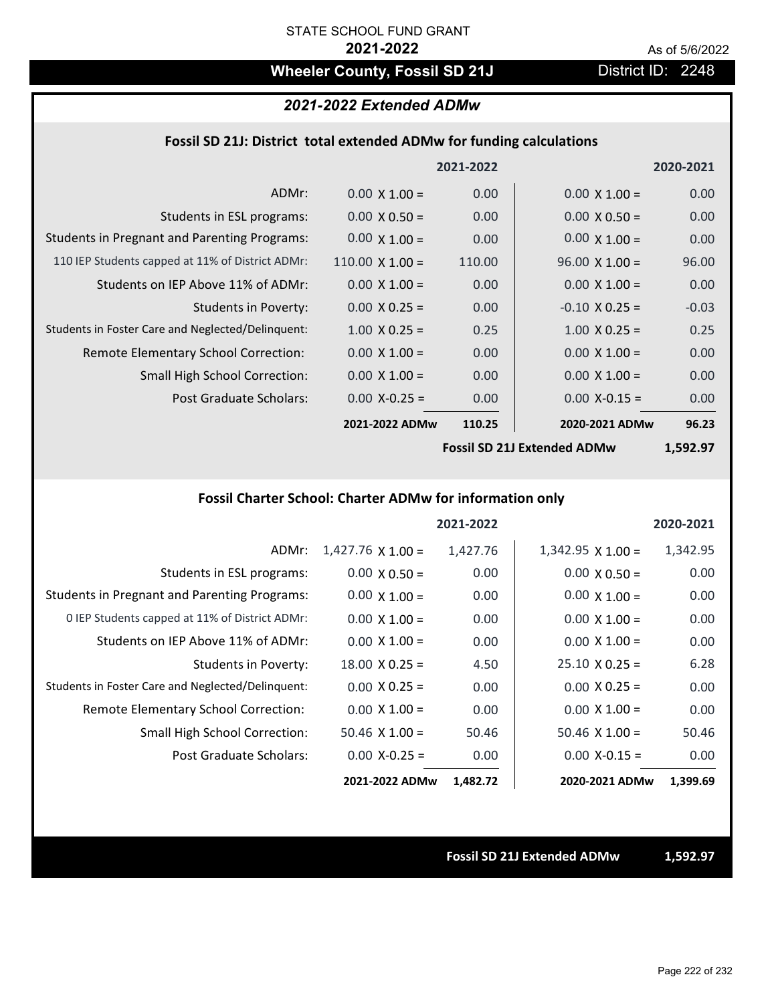# Wheeler County, Fossil SD 21J **District ID: 2248**

## *2021-2022 Extended ADMw*

## **Fossil SD 21J: District total extended ADMw for funding calculations**

|                                                     |                        | 2021-2022 |                       | 2020-2021 |
|-----------------------------------------------------|------------------------|-----------|-----------------------|-----------|
| ADMr:                                               | $0.00 \times 1.00 =$   | 0.00      | $0.00 \times 1.00 =$  | 0.00      |
| Students in ESL programs:                           | $0.00 \times 0.50 =$   | 0.00      | $0.00 \times 0.50 =$  | 0.00      |
| <b>Students in Pregnant and Parenting Programs:</b> | $0.00 \times 1.00 =$   | 0.00      | $0.00 \times 1.00 =$  | 0.00      |
| 110 IEP Students capped at 11% of District ADMr:    | $110.00 \times 1.00 =$ | 110.00    | $96.00 \times 1.00 =$ | 96.00     |
| Students on IEP Above 11% of ADMr:                  | $0.00 \times 1.00 =$   | 0.00      | $0.00 \times 1.00 =$  | 0.00      |
| <b>Students in Poverty:</b>                         | $0.00 \times 0.25 =$   | 0.00      | $-0.10$ X 0.25 =      | $-0.03$   |
| Students in Foster Care and Neglected/Delinquent:   | $1.00 \times 0.25 =$   | 0.25      | $1.00 \times 0.25 =$  | 0.25      |
| Remote Elementary School Correction:                | $0.00 \times 1.00 =$   | 0.00      | $0.00 \times 1.00 =$  | 0.00      |
| <b>Small High School Correction:</b>                | $0.00 \times 1.00 =$   | 0.00      | $0.00 \times 1.00 =$  | 0.00      |
| Post Graduate Scholars:                             | $0.00$ X-0.25 =        | 0.00      | $0.00$ X-0.15 =       | 0.00      |
|                                                     | 2021-2022 ADMw         | 110.25    | 2020-2021 ADMw        | 96.23     |
|                                                     |                        |           |                       |           |

**Fossil SD 21J Extended ADMw**

**1,592.97**

# **Fossil Charter School: Charter ADMw for information only**

|                                                     |                          | 2021-2022 |                       | 2020-2021 |
|-----------------------------------------------------|--------------------------|-----------|-----------------------|-----------|
| ADMr:                                               | $1,427.76 \times 1.00 =$ | 1,427.76  | $1,342.95$ X $1.00 =$ | 1,342.95  |
| Students in ESL programs:                           | $0.00 \times 0.50 =$     | 0.00      | $0.00 \times 0.50 =$  | 0.00      |
| <b>Students in Pregnant and Parenting Programs:</b> | $0.00 \times 1.00 =$     | 0.00      | $0.00 \times 1.00 =$  | 0.00      |
| 0 IEP Students capped at 11% of District ADMr:      | $0.00 \times 1.00 =$     | 0.00      | $0.00 \times 1.00 =$  | 0.00      |
| Students on IEP Above 11% of ADMr:                  | $0.00 \times 1.00 =$     | 0.00      | $0.00 \times 1.00 =$  | 0.00      |
| Students in Poverty:                                | $18.00 \times 0.25 =$    | 4.50      | $25.10 \times 0.25 =$ | 6.28      |
| Students in Foster Care and Neglected/Delinquent:   | $0.00 \times 0.25 =$     | 0.00      | $0.00 \times 0.25 =$  | 0.00      |
| Remote Elementary School Correction:                | $0.00 \times 1.00 =$     | 0.00      | $0.00 \times 1.00 =$  | 0.00      |
| <b>Small High School Correction:</b>                | $50.46$ X 1.00 =         | 50.46     | $50.46 \times 1.00 =$ | 50.46     |
| Post Graduate Scholars:                             | $0.00$ X-0.25 =          | 0.00      | $0.00$ X-0.15 =       | 0.00      |
|                                                     | 2021-2022 ADMw           | 1,482.72  | 2020-2021 ADMw        | 1,399.69  |

### **Fossil SD 21J Extended ADMw 1,592.97**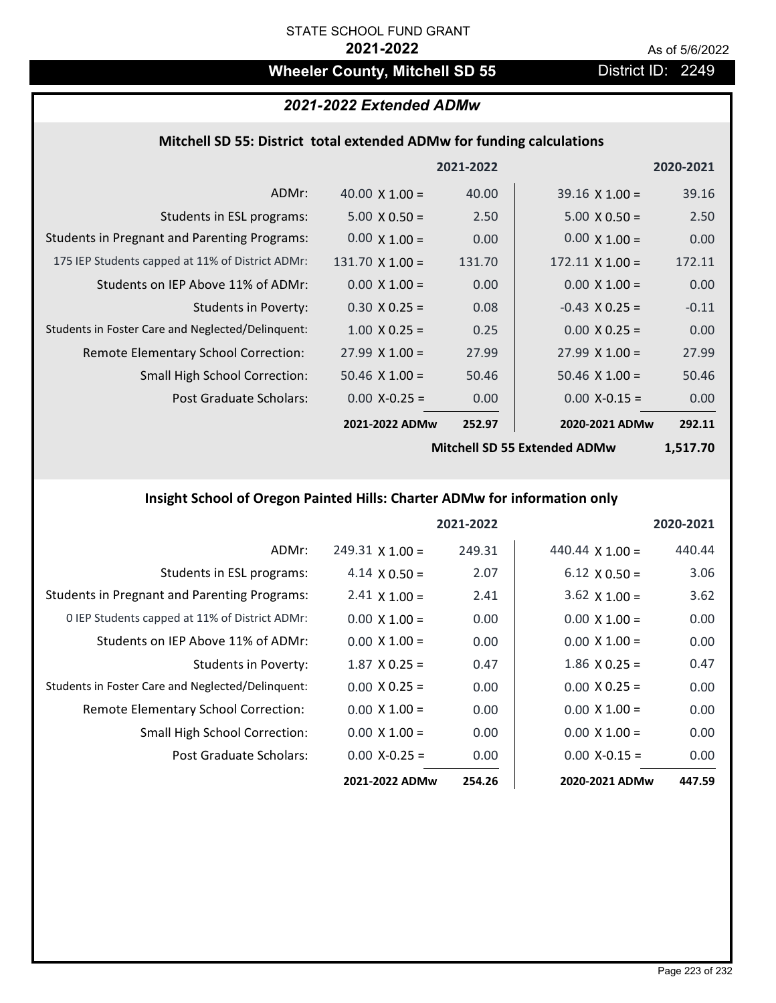# Wheeler County, Mitchell SD 55 **District ID: 2249**

# *2021-2022 Extended ADMw*

# **Mitchell SD 55: District total extended ADMw for funding calculations**

|                                                     |                        | 2021-2022 |                                        | 2020-2021 |
|-----------------------------------------------------|------------------------|-----------|----------------------------------------|-----------|
| ADMr:                                               | 40.00 $\times$ 1.00 =  | 40.00     | $39.16 \times 1.00 =$                  | 39.16     |
| Students in ESL programs:                           | $5.00 \times 0.50 =$   | 2.50      | $5.00 \times 0.50 =$                   | 2.50      |
| <b>Students in Pregnant and Parenting Programs:</b> | $0.00 \times 1.00 =$   | 0.00      | $0.00 \times 1.00 =$                   | 0.00      |
| 175 IEP Students capped at 11% of District ADMr:    | $131.70 \times 1.00 =$ | 131.70    | $172.11 \times 1.00 =$                 | 172.11    |
| Students on IEP Above 11% of ADMr:                  | $0.00 \times 1.00 =$   | 0.00      | $0.00 \times 1.00 =$                   | 0.00      |
| <b>Students in Poverty:</b>                         | $0.30 \times 0.25 =$   | 0.08      | $-0.43$ X 0.25 =                       | $-0.11$   |
| Students in Foster Care and Neglected/Delinquent:   | $1.00 \times 0.25 =$   | 0.25      | $0.00 \times 0.25 =$                   | 0.00      |
| Remote Elementary School Correction:                | $27.99 \times 1.00 =$  | 27.99     | $27.99 \times 1.00 =$                  | 27.99     |
| <b>Small High School Correction:</b>                | $50.46 \times 1.00 =$  | 50.46     | $50.46$ X $1.00 =$                     | 50.46     |
| Post Graduate Scholars:                             | $0.00$ X-0.25 =        | 0.00      | $0.00$ X-0.15 =                        | 0.00      |
|                                                     | 2021-2022 ADMw         | 252.97    | 2020-2021 ADMw                         | 292.11    |
|                                                     |                        |           | <b>Altaball CD FF Fattor deal ADAA</b> | 1.517.7   |

**Mitchell SD 55 Extended ADMw**

**1,517.70**

## **Insight School of Oregon Painted Hills: Charter ADMw for information only**

|                                                     |                        | 2021-2022 |                        | 2020-2021 |
|-----------------------------------------------------|------------------------|-----------|------------------------|-----------|
| ADMr:                                               | $249.31 \times 1.00 =$ | 249.31    | 440.44 $\times$ 1.00 = | 440.44    |
| Students in ESL programs:                           | $4.14 \times 0.50 =$   | 2.07      | $6.12 \times 0.50 =$   | 3.06      |
| <b>Students in Pregnant and Parenting Programs:</b> | $2.41 \times 1.00 =$   | 2.41      | $3.62 \times 1.00 =$   | 3.62      |
| 0 IEP Students capped at 11% of District ADMr:      | $0.00 \times 1.00 =$   | 0.00      | $0.00 \times 1.00 =$   | 0.00      |
| Students on IEP Above 11% of ADMr:                  | $0.00 \times 1.00 =$   | 0.00      | $0.00 \times 1.00 =$   | 0.00      |
| Students in Poverty:                                | $1.87 \times 0.25 =$   | 0.47      | $1.86 \times 0.25 =$   | 0.47      |
| Students in Foster Care and Neglected/Delinquent:   | $0.00 \times 0.25 =$   | 0.00      | $0.00 \times 0.25 =$   | 0.00      |
| Remote Elementary School Correction:                | $0.00 \times 1.00 =$   | 0.00      | $0.00 \times 1.00 =$   | 0.00      |
| <b>Small High School Correction:</b>                | $0.00 \times 1.00 =$   | 0.00      | $0.00 \times 1.00 =$   | 0.00      |
| Post Graduate Scholars:                             | $0.00$ X-0.25 =        | 0.00      | $0.00 X - 0.15 =$      | 0.00      |
|                                                     | 2021-2022 ADMw         | 254.26    | 2020-2021 ADMw         | 447.59    |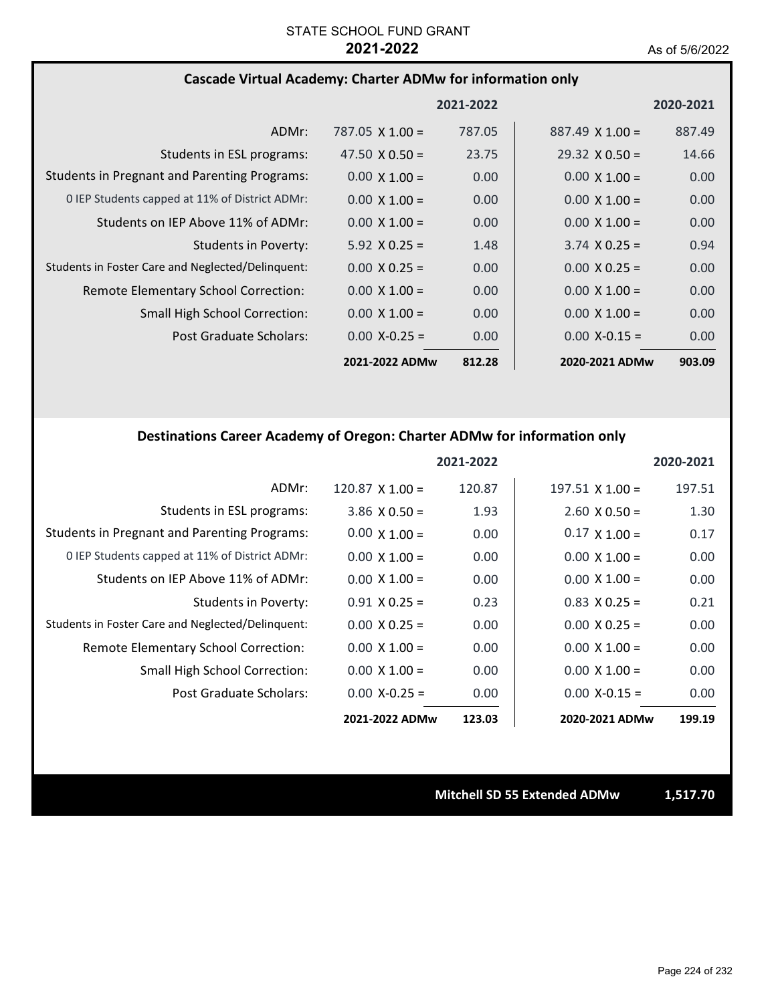## **Cascade Virtual Academy: Charter ADMw for information only**

|                                                     |                        | 2021-2022 |                        | 2020-2021         |
|-----------------------------------------------------|------------------------|-----------|------------------------|-------------------|
| ADMr:                                               | $787.05 \times 1.00 =$ | 787.05    | $887.49 \times 1.00 =$ | 887.49            |
| Students in ESL programs:                           | 47.50 $\times$ 0.50 =  | 23.75     | $29.32 \times 0.50 =$  | 14.66             |
| <b>Students in Pregnant and Parenting Programs:</b> | $0.00 \times 1.00 =$   | 0.00      | $0.00 \times 1.00 =$   | 0.00              |
| 0 IEP Students capped at 11% of District ADMr:      | $0.00 \times 1.00 =$   | 0.00      | $0.00 \times 1.00 =$   | 0.00 <sub>1</sub> |
| Students on IEP Above 11% of ADMr:                  | $0.00 \times 1.00 =$   | 0.00      | $0.00 \times 1.00 =$   | 0.00 <sub>1</sub> |
| <b>Students in Poverty:</b>                         | $5.92 \times 0.25 =$   | 1.48      | $3.74 \times 0.25 =$   | 0.94              |
| Students in Foster Care and Neglected/Delinquent:   | $0.00 \times 0.25 =$   | 0.00      | $0.00 \times 0.25 =$   | 0.00              |
| Remote Elementary School Correction:                | $0.00 \times 1.00 =$   | 0.00      | $0.00 \times 1.00 =$   | 0.00              |
| <b>Small High School Correction:</b>                | $0.00 \times 1.00 =$   | 0.00      | $0.00 \times 1.00 =$   | 0.00              |
| Post Graduate Scholars:                             | $0.00 X - 0.25 =$      | 0.00      | $0.00 X - 0.15 =$      | 0.00              |
|                                                     | 2021-2022 ADMw         | 812.28    | 2020-2021 ADMw         | 903.09            |

## **Destinations Career Academy of Oregon: Charter ADMw for information only**

|                                                     |                      | 2021-2022 |                        | 2020-2021 |
|-----------------------------------------------------|----------------------|-----------|------------------------|-----------|
| ADMr:                                               | $120.87$ X $1.00 =$  | 120.87    | $197.51 \times 1.00 =$ | 197.51    |
| Students in ESL programs:                           | $3.86 \times 0.50 =$ | 1.93      | $2.60 \times 0.50 =$   | 1.30      |
| <b>Students in Pregnant and Parenting Programs:</b> | $0.00 \times 1.00 =$ | 0.00      | $0.17 \times 1.00 =$   | 0.17      |
| 0 IEP Students capped at 11% of District ADMr:      | $0.00 \times 1.00 =$ | 0.00      | $0.00 \times 1.00 =$   | 0.00      |
| Students on IEP Above 11% of ADMr:                  | $0.00 \times 1.00 =$ | 0.00      | $0.00 \times 1.00 =$   | 0.00      |
| Students in Poverty:                                | $0.91$ X $0.25 =$    | 0.23      | $0.83$ X 0.25 =        | 0.21      |
| Students in Foster Care and Neglected/Delinquent:   | $0.00 \times 0.25 =$ | 0.00      | $0.00 \times 0.25 =$   | 0.00      |
| Remote Elementary School Correction:                | $0.00 \times 1.00 =$ | 0.00      | $0.00 \times 1.00 =$   | 0.00      |
| Small High School Correction:                       | $0.00 \times 1.00 =$ | 0.00      | $0.00 \times 1.00 =$   | 0.00      |
| Post Graduate Scholars:                             | $0.00 X - 0.25 =$    | 0.00      | $0.00 X - 0.15 =$      | 0.00      |
|                                                     | 2021-2022 ADMw       | 123.03    | 2020-2021 ADMw         | 199.19    |

**Mitchell SD 55 Extended ADMw 1,517.70**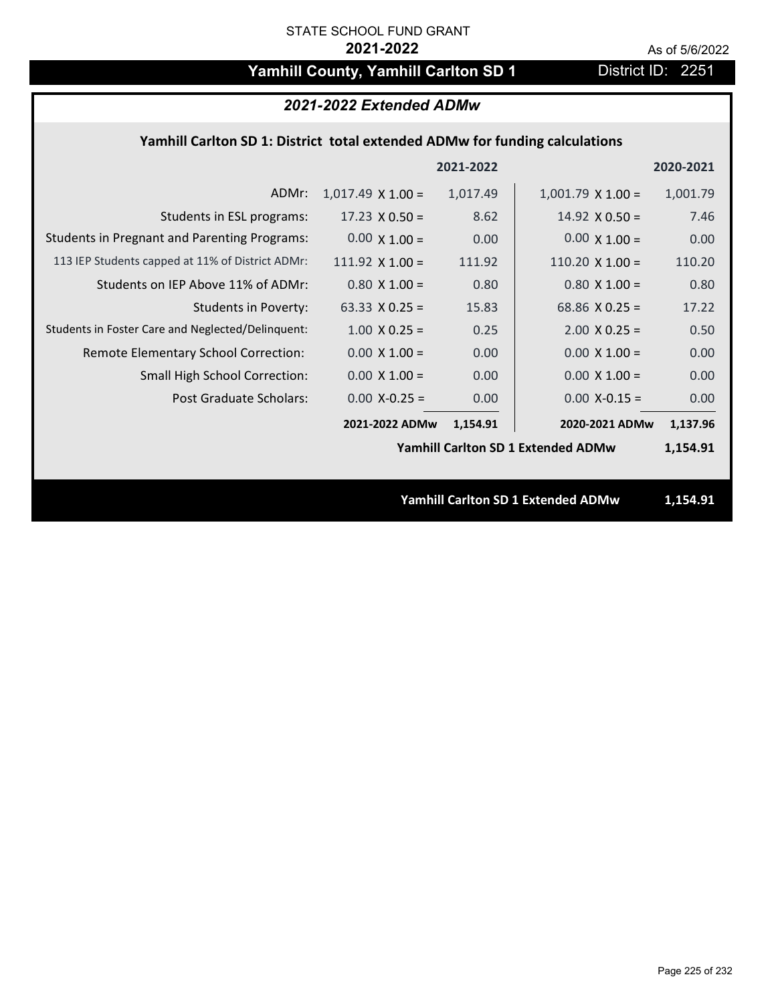# Yamhill County, Yamhill Carlton SD 1 District ID: 2251

| 2021-2022 Extended ADMw                                                     |                          |           |                                           |           |  |
|-----------------------------------------------------------------------------|--------------------------|-----------|-------------------------------------------|-----------|--|
| Yamhill Carlton SD 1: District total extended ADMw for funding calculations |                          |           |                                           |           |  |
|                                                                             |                          | 2021-2022 |                                           | 2020-2021 |  |
| ADMr:                                                                       | $1,017.49 \times 1.00 =$ | 1,017.49  | $1,001.79$ X $1.00 =$                     | 1,001.79  |  |
| Students in ESL programs:                                                   | $17.23 \times 0.50 =$    | 8.62      | 14.92 $\times$ 0.50 =                     | 7.46      |  |
| <b>Students in Pregnant and Parenting Programs:</b>                         | $0.00 \times 1.00 =$     | 0.00      | $0.00 \times 1.00 =$                      | 0.00      |  |
| 113 IEP Students capped at 11% of District ADMr:                            | 111.92 $X$ 1.00 =        | 111.92    | $110.20 \times 1.00 =$                    | 110.20    |  |
| Students on IEP Above 11% of ADMr:                                          | $0.80 X 1.00 =$          | 0.80      | $0.80 X 1.00 =$                           | 0.80      |  |
| <b>Students in Poverty:</b>                                                 | 63.33 $X$ 0.25 =         | 15.83     | 68.86 $X$ 0.25 =                          | 17.22     |  |
| Students in Foster Care and Neglected/Delinquent:                           | $1.00 \times 0.25 =$     | 0.25      | $2.00$ X 0.25 =                           | 0.50      |  |
| Remote Elementary School Correction:                                        | $0.00 \times 1.00 =$     | 0.00      | $0.00 \times 1.00 =$                      | 0.00      |  |
| <b>Small High School Correction:</b>                                        | $0.00 \times 1.00 =$     | 0.00      | $0.00 \times 1.00 =$                      | 0.00      |  |
| <b>Post Graduate Scholars:</b>                                              | $0.00$ X-0.25 =          | 0.00      | $0.00$ X-0.15 =                           | 0.00      |  |
|                                                                             | 2021-2022 ADMw           | 1,154.91  | 2020-2021 ADMw                            | 1,137.96  |  |
|                                                                             |                          |           | <b>Yamhill Carlton SD 1 Extended ADMw</b> | 1,154.91  |  |
|                                                                             |                          |           |                                           |           |  |
|                                                                             |                          |           | <b>Yamhill Carlton SD 1 Extended ADMw</b> | 1,154.91  |  |
|                                                                             |                          |           |                                           |           |  |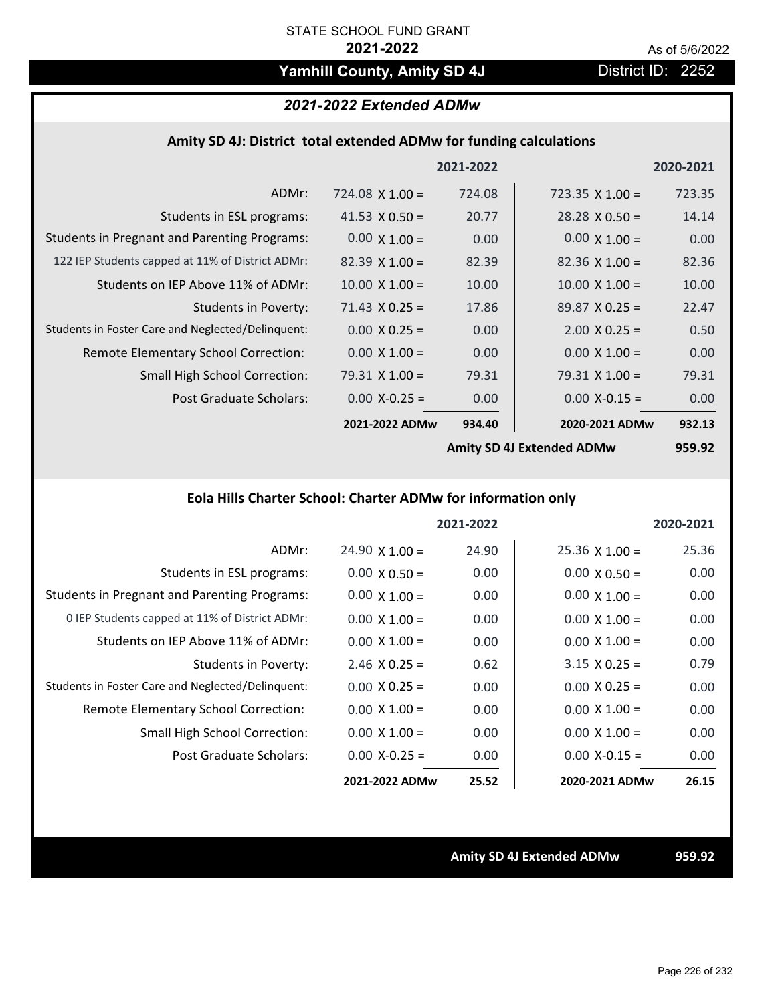# Yamhill County, Amity SD 4J **District ID: 2252**

# *2021-2022 Extended ADMw*

## **Amity SD 4J: District total extended ADMw for funding calculations**

|                                                     |                        | 2021-2022 |                           | 2020-2021     |
|-----------------------------------------------------|------------------------|-----------|---------------------------|---------------|
| ADMr:                                               | $724.08 \times 1.00 =$ | 724.08    | $723.35 \times 1.00 =$    | 723.35        |
| Students in ESL programs:                           | 41.53 $\times$ 0.50 =  | 20.77     | $28.28 \times 0.50 =$     | 14.14         |
| <b>Students in Pregnant and Parenting Programs:</b> | $0.00 \times 1.00 =$   | 0.00      | $0.00 \times 1.00 =$      | 0.00          |
| 122 IEP Students capped at 11% of District ADMr:    | $82.39 \times 1.00 =$  | 82.39     | $82.36 \times 1.00 =$     | 82.36         |
| Students on IEP Above 11% of ADMr:                  | $10.00 \times 1.00 =$  | 10.00     | $10.00 \times 1.00 =$     | 10.00         |
| <b>Students in Poverty:</b>                         | $71.43 \times 0.25 =$  | 17.86     | $89.87 \times 0.25 =$     | 22.47         |
| Students in Foster Care and Neglected/Delinquent:   | $0.00 \times 0.25 =$   | 0.00      | $2.00 \times 0.25 =$      | 0.50          |
| Remote Elementary School Correction:                | $0.00 \times 1.00 =$   | 0.00      | $0.00 \times 1.00 =$      | 0.00          |
| <b>Small High School Correction:</b>                | $79.31 \times 1.00 =$  | 79.31     | $79.31 \times 1.00 =$     | 79.31         |
| Post Graduate Scholars:                             | $0.00$ X-0.25 =        | 0.00      | $0.00$ X-0.15 =           | 0.00          |
|                                                     | 2021-2022 ADMw         | 934.40    | 2020-2021 ADMw            | 932.13        |
|                                                     |                        |           | Amity CD AI Extended ADMW | <b>Q5Q Q2</b> |

**Amity SD 4J Extended ADMw**

# **959.92**

# **Eola Hills Charter School: Charter ADMw for information only**

|                                                     |                       | 2021-2022 |                       | 2020-2021 |
|-----------------------------------------------------|-----------------------|-----------|-----------------------|-----------|
| ADMr:                                               | $24.90 \times 1.00 =$ | 24.90     | $25.36 \times 1.00 =$ | 25.36     |
| Students in ESL programs:                           | $0.00 \times 0.50 =$  | 0.00      | $0.00 \times 0.50 =$  | 0.00      |
| <b>Students in Pregnant and Parenting Programs:</b> | $0.00 \times 1.00 =$  | 0.00      | $0.00 \times 1.00 =$  | 0.00      |
| 0 IEP Students capped at 11% of District ADMr:      | $0.00 \times 1.00 =$  | 0.00      | $0.00 \times 1.00 =$  | 0.00      |
| Students on IEP Above 11% of ADMr:                  | $0.00 \times 1.00 =$  | 0.00      | $0.00 \times 1.00 =$  | 0.00      |
| Students in Poverty:                                | $2.46 \times 0.25 =$  | 0.62      | $3.15 \times 0.25 =$  | 0.79      |
| Students in Foster Care and Neglected/Delinquent:   | $0.00 \times 0.25 =$  | 0.00      | $0.00 \times 0.25 =$  | 0.00      |
| Remote Elementary School Correction:                | $0.00 \times 1.00 =$  | 0.00      | $0.00 \times 1.00 =$  | 0.00      |
| <b>Small High School Correction:</b>                | $0.00 \times 1.00 =$  | 0.00      | $0.00 \times 1.00 =$  | 0.00      |
| Post Graduate Scholars:                             | $0.00 X - 0.25 =$     | 0.00      | $0.00 X - 0.15 =$     | 0.00      |
|                                                     | 2021-2022 ADMw        | 25.52     | 2020-2021 ADMw        | 26.15     |

**Amity SD 4J Extended ADMw 959.92**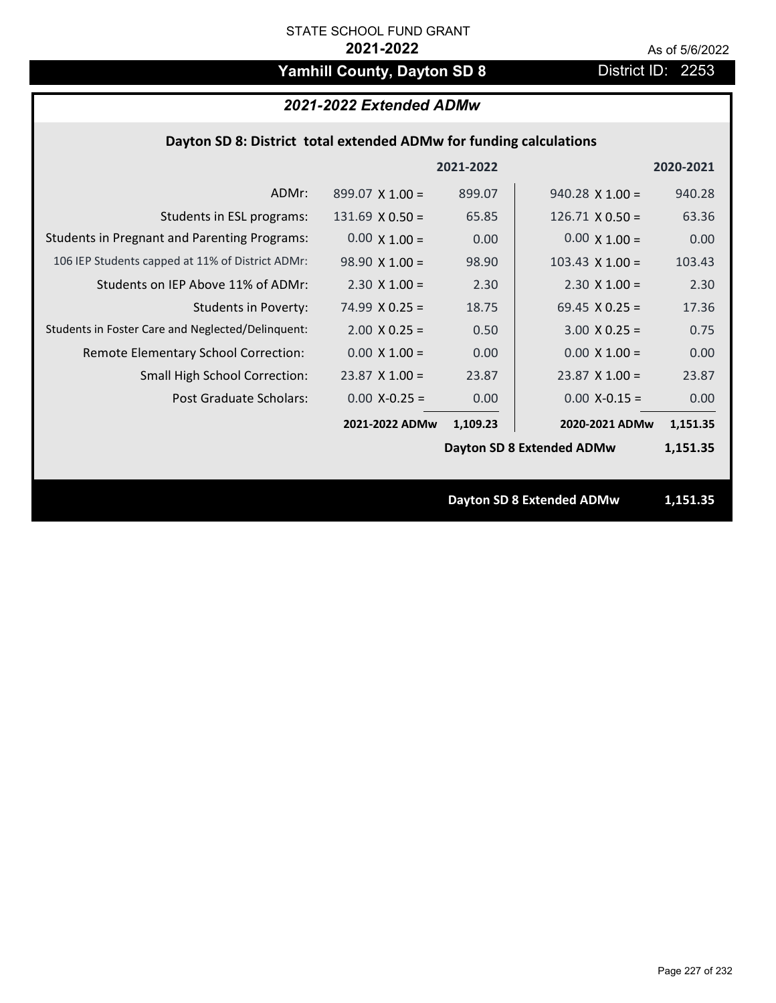# Yamhill County, Dayton SD 8 **District ID: 2253**

## *2021-2022 Extended ADMw*

## **Dayton SD 8: District total extended ADMw for funding calculations**

|                                                     |                        | 2021-2022 |                                  | 2020-2021 |  |
|-----------------------------------------------------|------------------------|-----------|----------------------------------|-----------|--|
| ADMr:                                               | $899.07 \times 1.00 =$ | 899.07    | $940.28$ X 1.00 =                | 940.28    |  |
| Students in ESL programs:                           | $131.69 \times 0.50 =$ | 65.85     | $126.71 \times 0.50 =$           | 63.36     |  |
| <b>Students in Pregnant and Parenting Programs:</b> | $0.00 \times 1.00 =$   | 0.00      | $0.00 \times 1.00 =$             | 0.00      |  |
| 106 IEP Students capped at 11% of District ADMr:    | $98.90 \times 1.00 =$  | 98.90     | $103.43 \times 1.00 =$           | 103.43    |  |
| Students on IEP Above 11% of ADMr:                  | $2.30$ X $1.00 =$      | 2.30      | $2.30 \times 1.00 =$             | 2.30      |  |
| <b>Students in Poverty:</b>                         | 74.99 $X$ 0.25 =       | 18.75     | 69.45 $X$ 0.25 =                 | 17.36     |  |
| Students in Foster Care and Neglected/Delinquent:   | $2.00 \times 0.25 =$   | 0.50      | $3.00 \times 0.25 =$             | 0.75      |  |
| Remote Elementary School Correction:                | $0.00 \times 1.00 =$   | 0.00      | $0.00 \times 1.00 =$             | 0.00      |  |
| <b>Small High School Correction:</b>                | $23.87$ X 1.00 =       | 23.87     | $23.87$ X 1.00 =                 | 23.87     |  |
| Post Graduate Scholars:                             | $0.00 X - 0.25 =$      | 0.00      | $0.00 X-0.15 =$                  | 0.00      |  |
|                                                     | 2021-2022 ADMw         | 1,109.23  | 2020-2021 ADMw                   | 1,151.35  |  |
|                                                     |                        |           | <b>Dayton SD 8 Extended ADMw</b> | 1,151.35  |  |
|                                                     |                        |           |                                  |           |  |
|                                                     |                        |           | <b>Dayton SD 8 Extended ADMw</b> | 1,151.35  |  |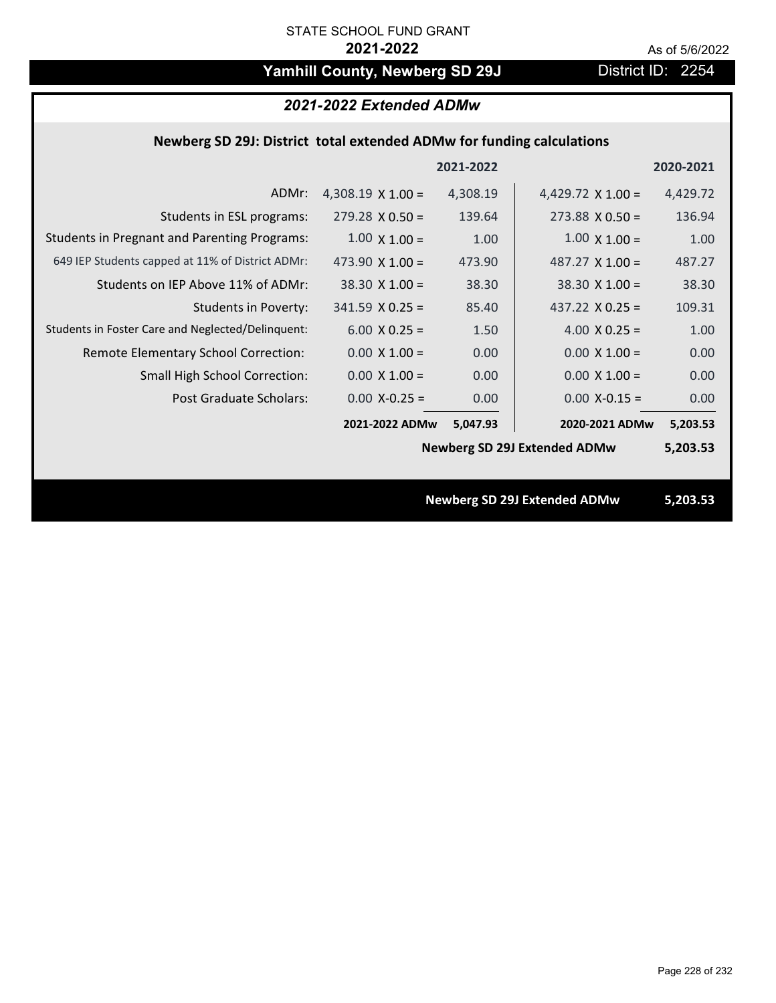# Yamhill County, Newberg SD 29J District ID: 2254

## *2021-2022 Extended ADMw*

## **Newberg SD 29J: District total extended ADMw for funding calculations**

|                                                     |                          | 2021-2022 |                                     | 2020-2021 |
|-----------------------------------------------------|--------------------------|-----------|-------------------------------------|-----------|
| ADMr:                                               | 4,308.19 $\times$ 1.00 = | 4,308.19  | 4,429.72 $\times$ 1.00 =            | 4,429.72  |
| Students in ESL programs:                           | $279.28 \times 0.50 =$   | 139.64    | $273.88 \times 0.50 =$              | 136.94    |
| <b>Students in Pregnant and Parenting Programs:</b> | $1.00 \times 1.00 =$     | 1.00      | $1.00 \times 1.00 =$                | 1.00      |
| 649 IEP Students capped at 11% of District ADMr:    | 473.90 $\times$ 1.00 =   | 473.90    | 487.27 $X$ 1.00 =                   | 487.27    |
| Students on IEP Above 11% of ADMr:                  | $38.30 \times 1.00 =$    | 38.30     | $38.30 \times 1.00 =$               | 38.30     |
| <b>Students in Poverty:</b>                         | $341.59$ X 0.25 =        | 85.40     | 437.22 $X$ 0.25 =                   | 109.31    |
| Students in Foster Care and Neglected/Delinquent:   | $6.00 \times 0.25 =$     | 1.50      | 4.00 $X$ 0.25 =                     | 1.00      |
| Remote Elementary School Correction:                | $0.00 \times 1.00 =$     | 0.00      | $0.00 \times 1.00 =$                | 0.00      |
| <b>Small High School Correction:</b>                | $0.00 \times 1.00 =$     | 0.00      | $0.00 \times 1.00 =$                | 0.00      |
| Post Graduate Scholars:                             | $0.00$ X-0.25 =          | 0.00      | $0.00$ X-0.15 =                     | 0.00      |
|                                                     | 2021-2022 ADMw           | 5,047.93  | 2020-2021 ADMw                      | 5,203.53  |
|                                                     |                          |           | <b>Newberg SD 29J Extended ADMw</b> | 5,203.53  |
|                                                     |                          |           |                                     |           |
|                                                     |                          |           | <b>Newberg SD 29J Extended ADMw</b> | 5,203.53  |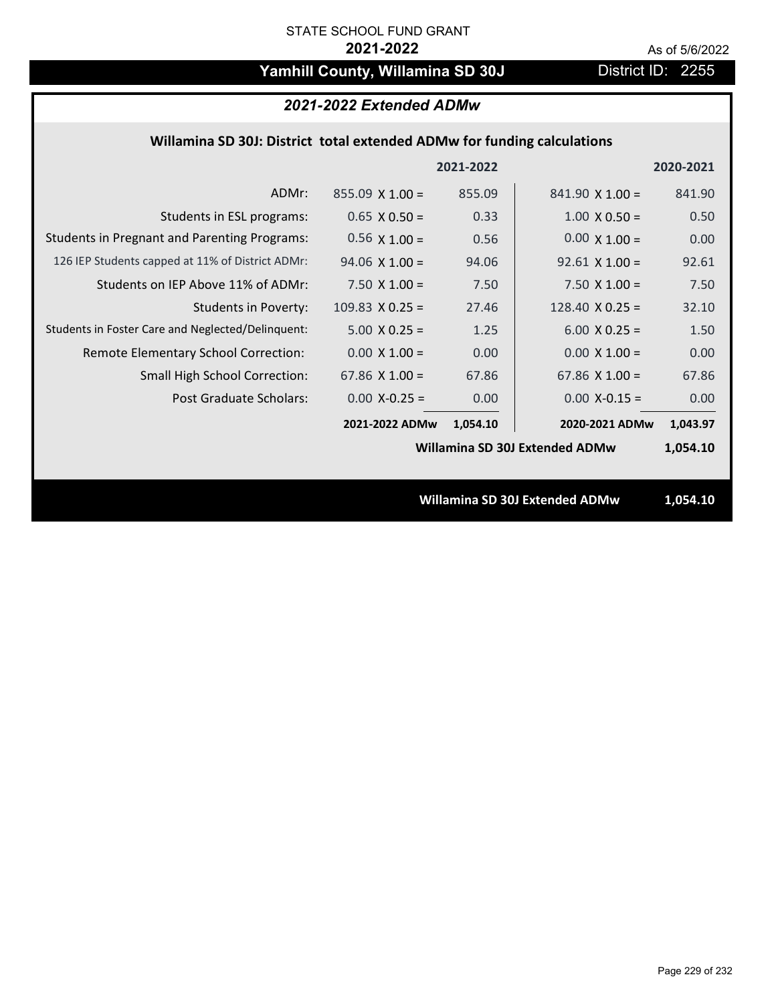# Yamhill County, Willamina SD 30J District ID: 2255

# *2021-2022 Extended ADMw*

## **Willamina SD 30J: District total extended ADMw for funding calculations**

|                                                     |                       | 2021-2022 |                                | 2020-2021 |
|-----------------------------------------------------|-----------------------|-----------|--------------------------------|-----------|
| ADMr:                                               | $855.09$ X 1.00 =     | 855.09    | $841.90 \times 1.00 =$         | 841.90    |
| Students in ESL programs:                           | $0.65 \times 0.50 =$  | 0.33      | $1.00 \times 0.50 =$           | 0.50      |
| <b>Students in Pregnant and Parenting Programs:</b> | $0.56 \times 1.00 =$  | 0.56      | $0.00 \times 1.00 =$           | 0.00      |
| 126 IEP Students capped at 11% of District ADMr:    | $94.06 \times 1.00 =$ | 94.06     | $92.61$ X 1.00 =               | 92.61     |
| Students on IEP Above 11% of ADMr:                  | 7.50 $X$ 1.00 =       | 7.50      | 7.50 $X$ 1.00 =                | 7.50      |
| <b>Students in Poverty:</b>                         | 109.83 $X$ 0.25 =     | 27.46     | 128.40 $X$ 0.25 =              | 32.10     |
| Students in Foster Care and Neglected/Delinquent:   | $5.00 \times 0.25 =$  | 1.25      | $6.00 \times 0.25 =$           | 1.50      |
| Remote Elementary School Correction:                | $0.00 \times 1.00 =$  | 0.00      | $0.00 \times 1.00 =$           | 0.00      |
| <b>Small High School Correction:</b>                | $67.86 \times 1.00 =$ | 67.86     | $67.86 \times 1.00 =$          | 67.86     |
| Post Graduate Scholars:                             | $0.00$ X-0.25 =       | 0.00      | $0.00$ X-0.15 =                | 0.00      |
|                                                     | 2021-2022 ADMw        | 1,054.10  | 2020-2021 ADMw                 | 1,043.97  |
|                                                     |                       |           | Willamina SD 30J Extended ADMw | 1,054.10  |
|                                                     |                       |           |                                |           |
|                                                     |                       |           | Willamina SD 30J Extended ADMw | 1,054.10  |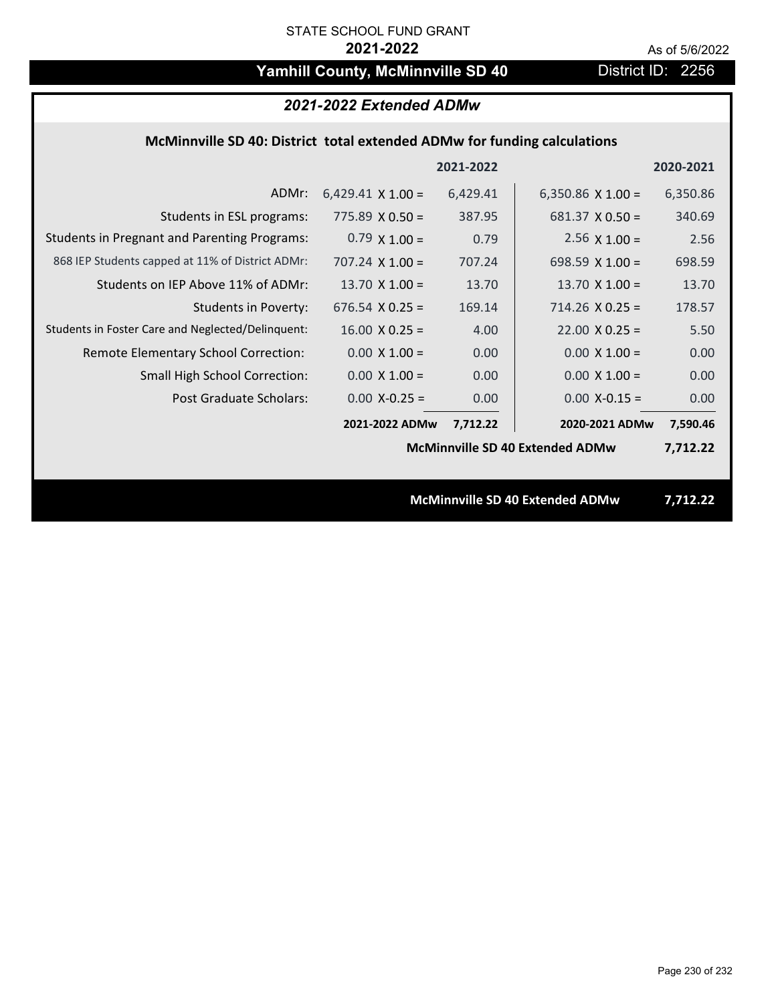# Yamhill County, McMinnville SD 40 District ID: 2256

## *2021-2022 Extended ADMw*

## **McMinnville SD 40: District total extended ADMw for funding calculations**

|                                                     |                          | 2021-2022 |                                        | 2020-2021 |
|-----------------------------------------------------|--------------------------|-----------|----------------------------------------|-----------|
| ADMr:                                               | $6,429.41 \times 1.00 =$ | 6,429.41  | 6,350.86 $\times$ 1.00 =               | 6,350.86  |
| Students in ESL programs:                           | $775.89 \times 0.50 =$   | 387.95    | $681.37 \times 0.50 =$                 | 340.69    |
| <b>Students in Pregnant and Parenting Programs:</b> | $0.79 \times 1.00 =$     | 0.79      | $2.56 \times 1.00 =$                   | 2.56      |
| 868 IEP Students capped at 11% of District ADMr:    | $707.24 \times 1.00 =$   | 707.24    | 698.59 $X$ 1.00 =                      | 698.59    |
| Students on IEP Above 11% of ADMr:                  | 13.70 $X$ 1.00 =         | 13.70     | 13.70 $X$ 1.00 =                       | 13.70     |
| <b>Students in Poverty:</b>                         | $676.54$ X 0.25 =        | 169.14    | $714.26 \times 0.25 =$                 | 178.57    |
| Students in Foster Care and Neglected/Delinquent:   | $16.00 \times 0.25 =$    | 4.00      | $22.00 \times 0.25 =$                  | 5.50      |
| Remote Elementary School Correction:                | $0.00 \times 1.00 =$     | 0.00      | $0.00 \times 1.00 =$                   | 0.00      |
| <b>Small High School Correction:</b>                | $0.00 \times 1.00 =$     | 0.00      | $0.00 \times 1.00 =$                   | 0.00      |
| Post Graduate Scholars:                             | $0.00$ X-0.25 =          | 0.00      | $0.00$ X-0.15 =                        | 0.00      |
|                                                     | 2021-2022 ADMw           | 7,712.22  | 2020-2021 ADMw                         | 7,590.46  |
|                                                     |                          |           | <b>McMinnville SD 40 Extended ADMw</b> | 7,712.22  |
|                                                     |                          |           |                                        |           |
|                                                     |                          |           | <b>McMinnville SD 40 Extended ADMw</b> | 7,712.22  |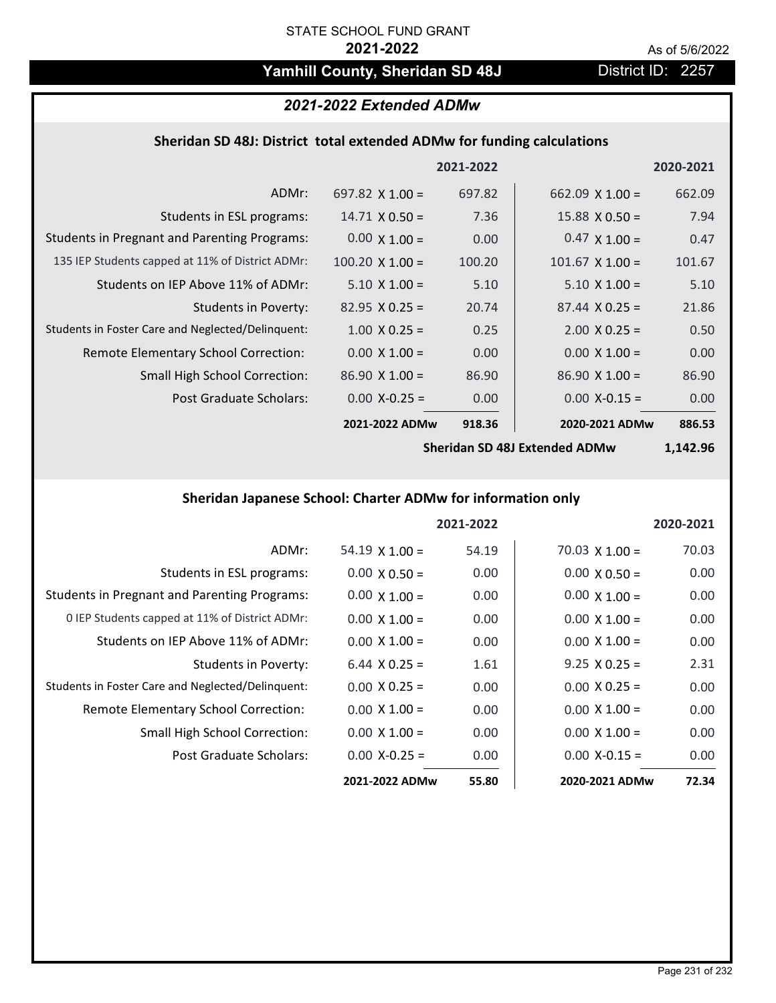# Yamhill County, Sheridan SD 48J District ID: 2257

# *2021-2022 Extended ADMw*

# **Sheridan SD 48J: District total extended ADMw for funding calculations**

|                                                     |                        | 2021-2022 |                        | 2020-2021 |
|-----------------------------------------------------|------------------------|-----------|------------------------|-----------|
| ADMr:                                               | 697.82 $\times$ 1.00 = | 697.82    | $662.09 \times 1.00 =$ | 662.09    |
| Students in ESL programs:                           | $14.71 \times 0.50 =$  | 7.36      | $15.88 \times 0.50 =$  | 7.94      |
| <b>Students in Pregnant and Parenting Programs:</b> | $0.00 \times 1.00 =$   | 0.00      | $0.47 \times 1.00 =$   | 0.47      |
| 135 IEP Students capped at 11% of District ADMr:    | $100.20 \times 1.00 =$ | 100.20    | $101.67 \times 1.00 =$ | 101.67    |
| Students on IEP Above 11% of ADMr:                  | $5.10 \times 1.00 =$   | 5.10      | $5.10 \times 1.00 =$   | 5.10      |
| Students in Poverty:                                | $82.95 \times 0.25 =$  | 20.74     | $87.44 \times 0.25 =$  | 21.86     |
| Students in Foster Care and Neglected/Delinquent:   | $1.00 \times 0.25 =$   | 0.25      | $2.00 \times 0.25 =$   | 0.50      |
| Remote Elementary School Correction:                | $0.00 \times 1.00 =$   | 0.00      | $0.00 \times 1.00 =$   | 0.00      |
| <b>Small High School Correction:</b>                | $86.90 \times 1.00 =$  | 86.90     | $86.90 \times 1.00 =$  | 86.90     |
| Post Graduate Scholars:                             | $0.00$ X-0.25 =        | 0.00      | $0.00$ X-0.15 =        | 0.00      |
|                                                     | 2021-2022 ADMw         | 918.36    | 2020-2021 ADMw         | 886.53    |

**Sheridan SD 48J Extended ADMw**

**1,142.96**

# **Sheridan Japanese School: Charter ADMw for information only**

|                                                     |                       | 2021-2022 |                       | 2020-2021 |
|-----------------------------------------------------|-----------------------|-----------|-----------------------|-----------|
| ADMr:                                               | $54.19 \times 1.00 =$ | 54.19     | $70.03 \times 1.00 =$ | 70.03     |
| Students in ESL programs:                           | $0.00 \times 0.50 =$  | 0.00      | $0.00 \times 0.50 =$  | 0.00      |
| <b>Students in Pregnant and Parenting Programs:</b> | $0.00 \times 1.00 =$  | 0.00      | $0.00 \times 1.00 =$  | 0.00      |
| 0 IEP Students capped at 11% of District ADMr:      | $0.00 \times 1.00 =$  | 0.00      | $0.00 \times 1.00 =$  | 0.00      |
| Students on IEP Above 11% of ADMr:                  | $0.00 \times 1.00 =$  | 0.00      | $0.00 \times 1.00 =$  | 0.00      |
| Students in Poverty:                                | $6.44 \times 0.25 =$  | 1.61      | $9.25 \times 0.25 =$  | 2.31      |
| Students in Foster Care and Neglected/Delinquent:   | $0.00 \times 0.25 =$  | 0.00      | $0.00 \times 0.25 =$  | 0.00      |
| Remote Elementary School Correction:                | $0.00 \times 1.00 =$  | 0.00      | $0.00 \times 1.00 =$  | 0.00      |
| <b>Small High School Correction:</b>                | $0.00 \times 1.00 =$  | 0.00      | $0.00 \times 1.00 =$  | 0.00      |
| Post Graduate Scholars:                             | $0.00 X - 0.25 =$     | 0.00      | $0.00 X-0.15 =$       | 0.00      |
|                                                     | 2021-2022 ADMw        | 55.80     | 2020-2021 ADMw        | 72.34     |